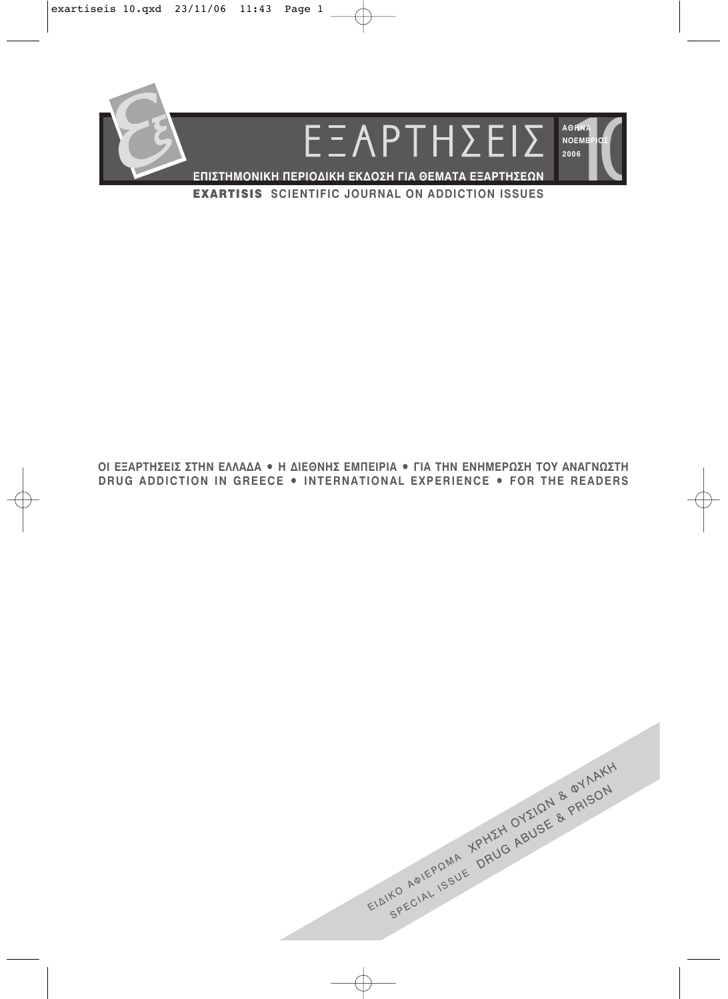

ΟΙ ΕΞΑΡΤΗΣΕΙΣ ΣΤΗΝ ΕΛΛΑΔΑ • Η ΔΙΕΘΝΗΣ ΕΜΠΕΙΡΙΑ • ΓΙΑ ΤΗΝ ΕΝΗΜΕΡΩΣΗ ΤΟΥ ΑΝΑΓΝΩΣΤΗ DRUG ADDICTION IN GREECE . INTERNATIONAL EXPERIENCE . FOR THE READERS

FIAIKO AQIEPAMA XPHISH OYSIQN & QYAAKH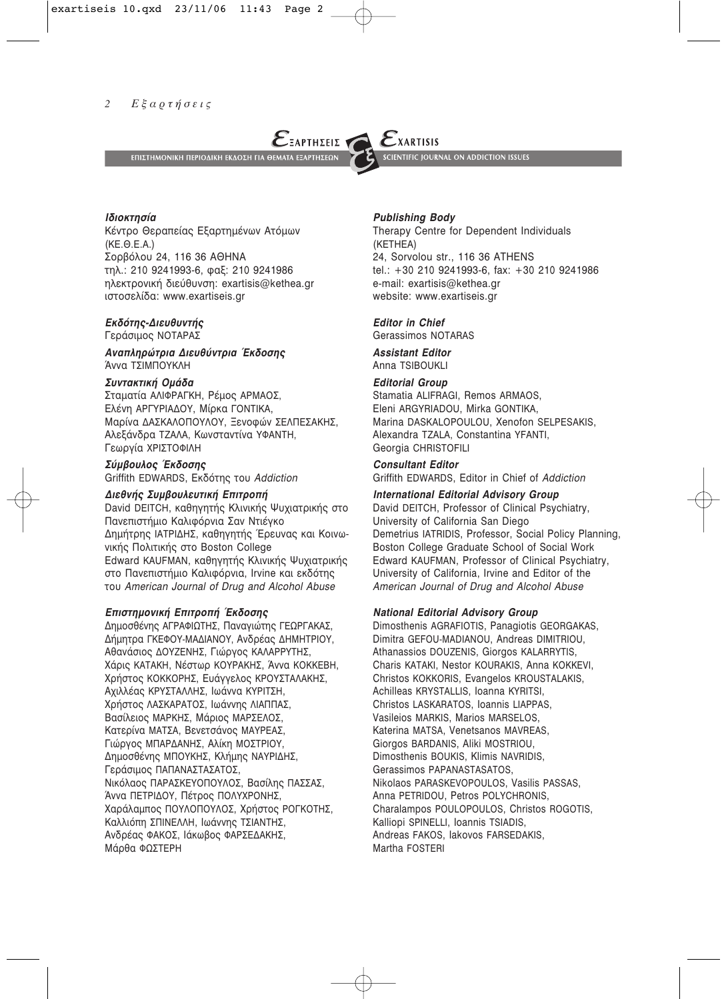

SCIENTIFIC JOURNAL ON ADDICTION ISSUES

#### *Ιδιοκτησία*

Κέντρο Θεραπείας Εξαρτημένων Ατόμων (∫∂.£.∂.∞.) Σορβόλου 24, 116 36 ΑΘΗΝΑ τηλ.: 210 9241993-6, φαξ: 210 9241986 ηλεκτρονική διεύθυνση: exartisis@kethea.gr ιστοσελίδα: www.exartiseis.gr

#### *<i>Εκδότης-Διευθυντής*

Γεράσιμος ΝΟΤΑΡΑΣ

**Αναπληρώτρια Διευθύντρια Έκδοσης** Άννα ΤΣΙΜΠΟΥΚΛΗ

#### Συντακτική Ομάδα

Σταματία ΑΛΙΦΡΑΓΚΗ, Ρέμος ΑΡΜΑΟΣ, Ελένη ΑΡΓΥΡΙΑΔΟΥ, Μίρκα ΓΟΝΤΙΚΑ, Μαρίνα ΔΑΣΚΑΛΟΠΟΥΛΟΥ, Ξενοφών ΣΕΛΠΕΣΑΚΗΣ, Αλεξάνδρα ΤΖΑΛΑ, Κωνσταντίνα ΥΦΑΝΤΗ, Γεωργία ΧΡΙΣΤΟΦΙΛΗ

## $\Sigma$ ύμβουλος Έκδοσης Griffith EDWARDS, Εκδότης του Addiction

**Διεθνής Συμβουλευτική Επιτροπή** David DEITCH, καθηγητής Κλινικής Ψυχιατρικής στο Πανεπιστήμιο Καλιφόρνια Σαν Ντιένκο Δημήτρης ΙΑΤΡΙΔΗΣ, καθηγητής Έρευνας και Κοινωνικής Πολιτικής στο Boston College Edward KAUFMAN, καθηγητής Κλινικής Ψυχιατρικής στο Πανεπιστήμιο Καλιφόρνια, Irvine και εκδότης ÙÔ˘ *∞merican Journal of Drug and Alcohol Abuse*

#### *<i><del>Ēπιστημονική Επιτροπή Έκδοσης</del>*

Δημοσθένης ΑΓΡΑΦΙΩΤΗΣ, Πανανιώτης ΓΕΩΡΓΑΚΑΣ, Δήμητρα ΓΚΕΦΟΥ-ΜΑΔΙΑΝΟΥ, Ανδρέας ΔΗΜΗΤΡΙΟΥ, Αθανάσιος ΔΟΥΖΕΝΗΣ, Γιώργος ΚΑΛΑΡΡΥΤΗΣ, Χάρις ΚΑΤΑΚΗ, Νέστωρ ΚΟΥΡΑΚΗΣ, Άννα ΚΟΚΚΕΒΗ, Χρήστος ΚΟΚΚΟΡΗΣ, Ευάγγελος ΚΡΟΥΣΤΑΛΑΚΗΣ, Αχιλλέας ΚΡΥΣΤΑΛΛΗΣ, Ιωάννα ΚΥΡΙΤΣΗ, Χρήστος ΛΑΣΚΑΡΑΤΟΣ, Ιωάννης ΛΙΑΠΠΑΣ, Βασίλειος ΜΑΡΚΗΣ, Μάριος ΜΑΡΣΕΛΟΣ, Κατερίνα ΜΑΤΣΑ, Βενετσάνος ΜΑΥΡΕΑΣ, Γιώργος ΜΠΑΡΔΑΝΗΣ, Αλίκη ΜΟΣΤΡΙΟΥ, Δημοσθένης ΜΠΟΥΚΗΣ, Κλήμης ΝΑΥΡΙΔΗΣ, Γεράσιμος ΠΑΠΑΝΑΣΤΑΣΑΤΟΣ, Νικόλαος ΠΑΡΑΣΚΕΥΟΠΟΥΛΟΣ, Βασίλης ΠΑΣΣΑΣ, Άννα ΠΕΤΡΙΔΟΥ, Πέτρος ΠΟΛΥΧΡΟΝΗΣ, Χαράλαμπος ΠΟΥΛΟΠΟΥΛΟΣ, Χρήστος ΡΟΓΚΟΤΗΣ, Καλλιόπη ΣΠΙΝΕΛΛΗ, Ιωάννης ΤΣΙΑΝΤΗΣ. Ανδρέας ΦΑΚΟΣ, Ιάκωβος ΦΑΡΣΕΔΑΚΗΣ, Μάρθα ΦΩΣΤΕΡΗ

#### *Publishing Body*

Therapy Centre for Dependent Individuals (KETHEA) 24, Sorvolou str., 116 36 ATHENS tel.: +30 210 9241993-6, fax: +30 210 9241986 e-mail: exartisis@kethea.gr website: www.exartiseis.gr

## *Editor in Chief*

Gerassimos NOTARAS

*Assistant Editor* Anna TSIBOUKLI

#### *Editorial Group*

Stamatia ALIFRAGI, Remos ARMAOS, Eleni ARGYRIADOU, Mirka GONTIKA, Marina DASKALOPOULOU, Xenofon SELPESAKIS, Alexandra TZALA, Constantina YFANTI, Georgia CHRISTOFILI

#### *Consultant Editor*

Griffith EDWARDS, Editor in Chief of *Addiction* 

#### *International Editorial Advisory Group*  David DEITCH, Professor of Clinical Psychiatry, University of California San Diego Demetrius IATRIDIS, Professor, Social Policy Planning, Boston College Graduate School of Social Work Edward KAUFMAN, Professor of Clinical Psychiatry, University of California, Irvine and Editor of the *∞merican Journal of Drug and Alcohol Abuse*

#### *National Editorial Advisory Group*

Dimosthenis AGRAFIOTIS, Panagiotis GEORGAKAS, Dimitra GEFOU-MADIANOU, Andreas DIMITRIOU, Athanassios DOUZENIS, Giorgos KALARRYTIS, Charis KATAKI, Nestor KOURAKIS, Anna KOKKEVI, Christos KOKKORIS, Evangelos KROUSTALAKIS, Achilleas KRYSTALLIS, Ioanna KYRITSI, Christos LASKARATOS, Ioannis LIAPPAS, Vasileios MARKIS, Marios MARSELOS, Katerina MATSA, Venetsanos MAVREAS, Giorgos BARDANIS, Aliki MOSTRIOU, Dimosthenis BOUKIS, Klimis NAVRIDIS, Gerassimos PAPANASTASATOS, Nikolaos PARASKEVOPOULOS, Vasilis PASSAS, Anna PETRIDOU, Petros POLYCHRONIS, Charalampos POULOPOULOS, Christos ROGOTIS, Kalliopi SPINELLI, Ioannis TSIADIS, Andreas FAKOS, Iakovos FARSEDAKIS, Martha FOSTERI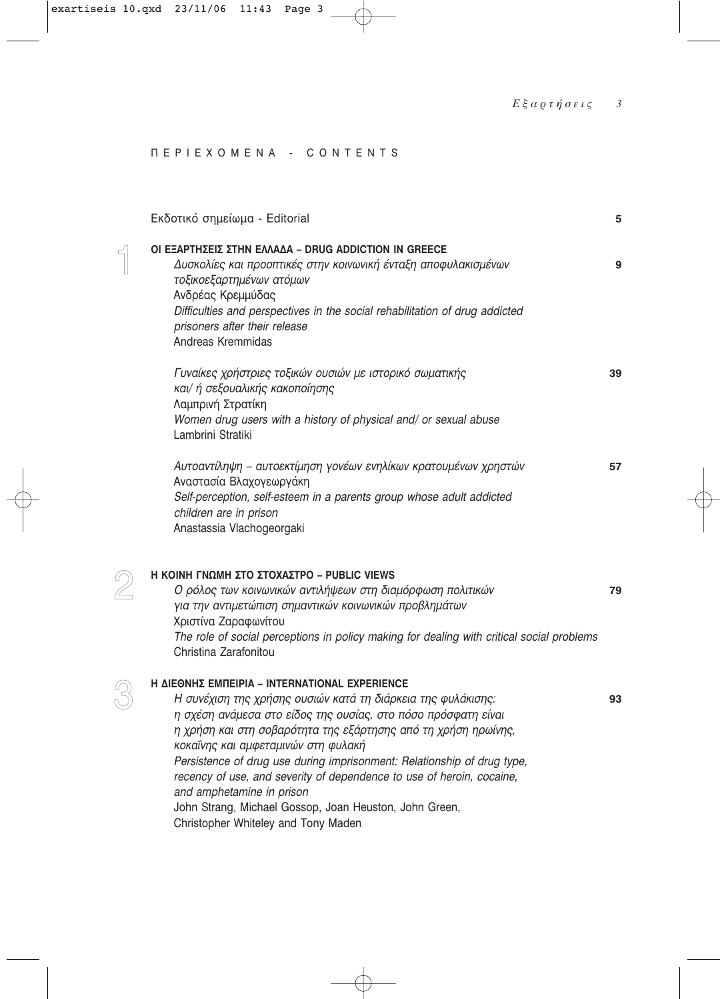# **ΠΕΡΙΕΧΟΜΕΝΑ - CONTENTS**

| Εκδοτικό σημείωμα - Editorial                                                                                                                                                                                                                                                                                                                                                                                                                                                                                                                                             | 5  |
|---------------------------------------------------------------------------------------------------------------------------------------------------------------------------------------------------------------------------------------------------------------------------------------------------------------------------------------------------------------------------------------------------------------------------------------------------------------------------------------------------------------------------------------------------------------------------|----|
| OI ΕΞΑΡΤΗΣΕΙΣ ΣΤΗΝ ΕΛΛΑΔΑ - DRUG ADDICTION IN GREECE<br>Δυσκολίες και προοπτικές στην κοινωνική ένταξη αποφυλακισμένων<br>τοξικοεξαρτημένων ατόμων<br>Ανδρέας Κρεμμύδας<br>Difficulties and perspectives in the social rehabilitation of drug addicted<br>prisoners after their release<br>Andreas Kremmidas                                                                                                                                                                                                                                                              | 9  |
| Γυναίκες χρήστριες τοξικών ουσιών με ιστορικό σωματικής<br>και/ ή σεξουαλικής κακοποίησης<br>Λαμπρινή Στρατίκη<br>Women drug users with a history of physical and/ or sexual abuse<br>Lambrini Stratiki                                                                                                                                                                                                                                                                                                                                                                   | 39 |
| Αυτοαντίληψη - αυτοεκτίμηση γονέων ενηλίκων κρατουμένων χρηστών<br>Αναστασία Βλαχογεωργάκη<br>Self-perception, self-esteem in a parents group whose adult addicted<br>children are in prison<br>Anastassia Vlachogeorgaki                                                                                                                                                                                                                                                                                                                                                 | 57 |
| Η ΚΟΙΝΗ ΓΝΩΜΗ ΣΤΟ ΣΤΟΧΑΣΤΡΟ - PUBLIC VIEWS<br>Ο ρόλος των κοινωνικών αντιλήψεων στη διαμόρφωση πολιτικών<br>για την αντιμετώπιση σημαντικών κοινωνικών προβλημάτων<br>Χριστίνα Ζαραφωνίτου<br>The role of social perceptions in policy making for dealing with critical social problems<br>Christina Zarafonitou                                                                                                                                                                                                                                                          | 79 |
| Η ΔΙΕΘΝΗΣ ΕΜΠΕΙΡΙΑ - INTERNATIONAL EXPERIENCE<br>Η συνέχιση της χρήσης ουσιών κατά τη διάρκεια της φυλάκισης:<br>η σχέση ανάμεσα στο είδος της ουσίας, στο πόσο πρόσφατη είναι<br>η χρήση και στη σοβαρότητα της εξάρτησης από τη χρήση ηρωίνης,<br>κοκαΐνης και αμφεταμινών στη φυλακή<br>Persistence of drug use during imprisonment: Relationship of drug type,<br>recency of use, and severity of dependence to use of heroin, cocaine,<br>and amphetamine in prison<br>John Strang, Michael Gossop, Joan Heuston, John Green,<br>Christopher Whiteley and Tony Maden | 93 |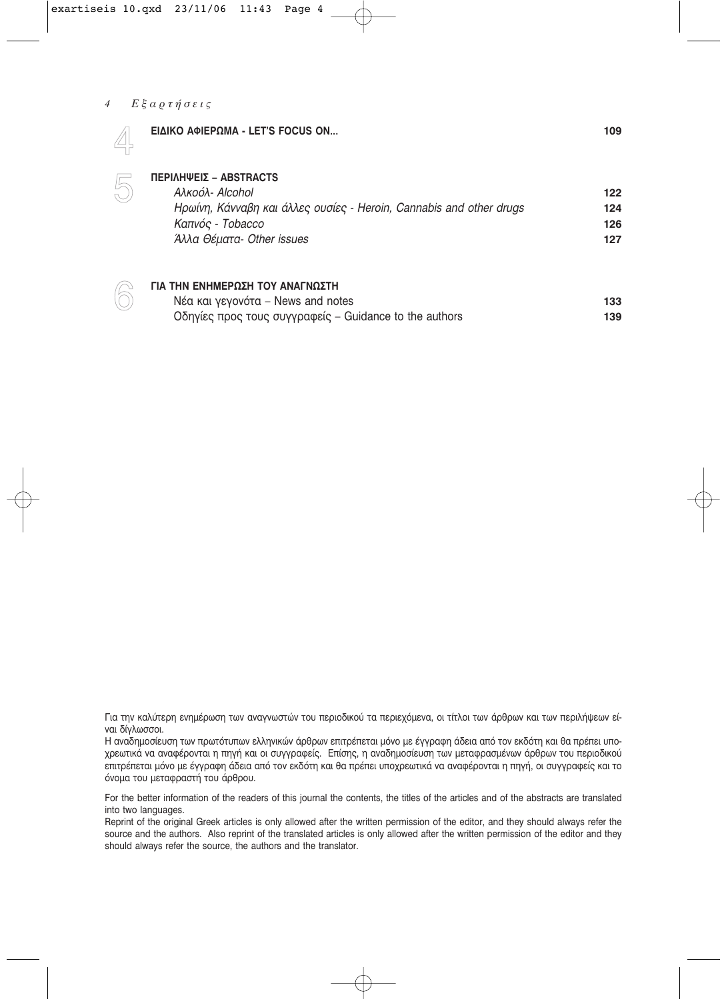#### $\overline{4}$ Εξαρτήσεις



## ΕΙΔΙΚΟ ΑΦΙΕΡΩΜΑ - LET'S FOCUS ON...



## ΠΕΡΙΛΗΨΕΙΣ - ABSTRACTS

| Αλκοόλ- Alcohol                                                     | 122 |
|---------------------------------------------------------------------|-----|
| Hρωίνη, Κάνναβη και άλλες ουσίες - Heroin, Cannabis and other drugs | 124 |
| Καπνός - Tobacco                                                    | 126 |
| Άλλα Θέματα- Other issues                                           | 127 |

109

## ΓΙΑ ΤΗΝ ΕΝΗΜΕΡΩΣΗ ΤΟΥ ΑΝΑΓΝΩΣΤΗ

| Νέα και γεγονότα – News and notes                      | 133 |
|--------------------------------------------------------|-----|
| Οδηγίες προς τους συγγραφείς – Guidance to the authors | 139 |

Για την καλύτερη ενημέρωση των αναγνωστών του περιοδικού τα περιεχόμενα, οι τίτλοι των άρθρων και των περιλήψεων είναι δίγλωσσοι.

Η αναδημοσίευση των πρωτότυπων ελληνικών άρθρων επιτρέπεται μόνο με έγγραφη άδεια από τον εκδότη και θα πρέπει υποχρεωτικά να αναφέρονται η πηγή και οι συγγραφείς. Επίσης, η αναδημοσίευση των μεταφρασμένων άρθρων του περιοδικού επιτρέπεται μόνο με έγγραφη άδεια από τον εκδότη και θα πρέπει υποχρεωτικά να αναφέρονται η πηγή, οι συγγραφείς και το όνομα του μεταφραστή του άρθρου.

For the better information of the readers of this journal the contents, the titles of the articles and of the abstracts are translated into two languages.

Reprint of the original Greek articles is only allowed after the written permission of the editor, and they should always refer the source and the authors. Also reprint of the translated articles is only allowed after the written permission of the editor and they should always refer the source, the authors and the translator.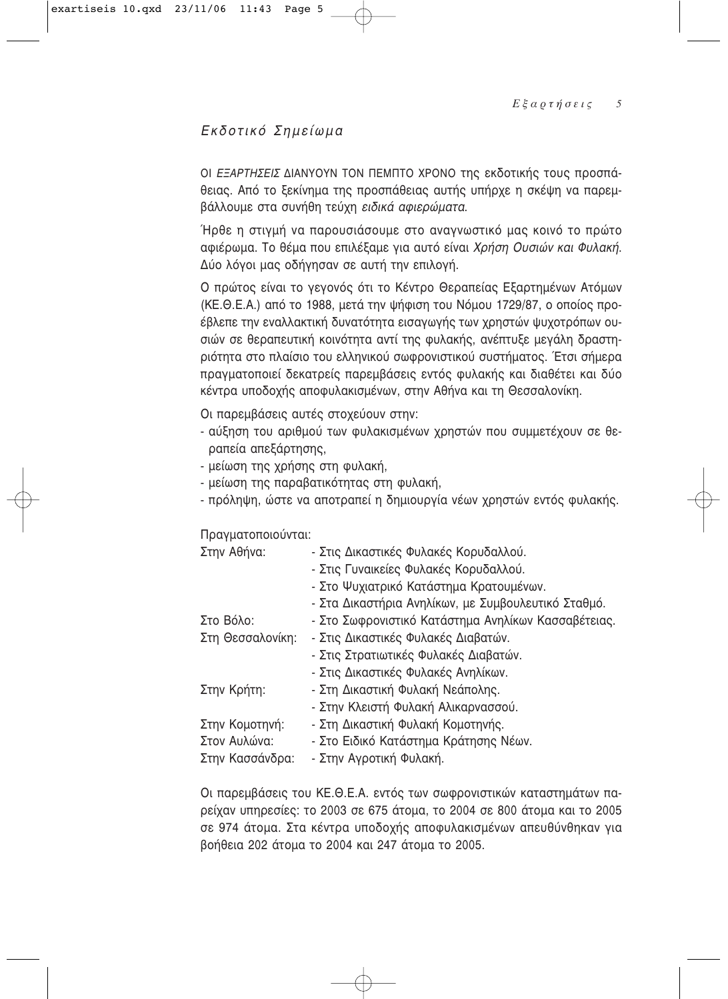## Εκδοτικό Σημείωμα

ΟΙ ΕΞΑΡΤΗΣΕΙΣ ΔΙΑΝΥΟΥΝ ΤΟΝ ΠΕΜΠΤΟ ΧΡΟΝΟ της εκδοτικής τους προσπάθειας. Από το ξεκίνημα της προσπάθειας αυτής υπήρχε η σκέψη να παρεμβάλλουμε στα συνήθη τεύχη ειδικά αφιερώματα.

Ήρθε η στιγμή να παρουσιάσουμε στο αναγνωστικό μας κοινό το πρώτο αφιέρωμα. Το θέμα που επιλέξαμε για αυτό είναι Χρήση Ουσιών και Φυλακή. Δύο λόγοι μας οδήγησαν σε αυτή την επιλογή.

Ο πρώτος είναι το γεγονός ότι το Κέντρο Θεραπείας Εξαρτημένων Ατόμων (ΚΕ.Θ.Ε.Α.) από το 1988, μετά την ψήφιση του Νόμου 1729/87, ο οποίος προέβλεπε την εναλλακτική δυνατότητα εισαγωγής των χρηστών ψυχοτρόπων ουσιών σε θεραπευτική κοινότητα αντί της φυλακής, ανέπτυξε μεγάλη δραστηριότητα στο πλαίσιο του ελληνικού σωφρονιστικού συστήματος. Έτσι σήμερα πραγματοποιεί δεκατρείς παρεμβάσεις εντός φυλακής και διαθέτει και δύο κέντρα υποδοχής αποφυλακισμένων, στην Αθήνα και τη Θεσσαλονίκη.

Οι παρεμβάσεις αυτές στοχεύουν στην:

- αύξηση του αριθμού των φυλακισμένων χρηστών που συμμετέχουν σε θεραπεία απεξάρτησης.
- μείωση της χρήσης στη φυλακή,
- μείωση της παραβατικότητας στη φυλακή,
- πρόληψη, ώστε να αποτραπεί η δημιουργία νέων χρηστών εντός φυλακής.

## Πραγματοποιούνται:

| Στην Αθήνα:      | - Στις Δικαστικές Φυλακές Κορυδαλλού.               |
|------------------|-----------------------------------------------------|
|                  | - Στις Γυναικείες Φυλακές Κορυδαλλού.               |
|                  | - Στο Ψυχιατρικό Κατάστημα Κρατουμένων.             |
|                  | - Στα Δικαστήρια Ανηλίκων, με Συμβουλευτικό Σταθμό. |
| Στο Βόλο:        | - Στο Σωφρονιστικό Κατάστημα Ανηλίκων Κασσαβέτειας. |
| Στη Θεσσαλονίκη: | - Στις Δικαστικές Φυλακές Διαβατών.                 |
|                  | - Στις Στρατιωτικές Φυλακές Διαβατών.               |
|                  | - Στις Δικαστικές Φυλακές Ανηλίκων.                 |
| Στην Κρήτη:      | - Στη Δικαστική Φυλακή Νεάπολης.                    |
|                  | - Στην Κλειστή Φυλακή Αλικαρνασσού.                 |
| Στην Κομοτηνή:   | - Στη Δικαστική Φυλακή Κομοτηνής.                   |
| Στον Αυλώνα:     | - Στο Ειδικό Κατάστημα Κράτησης Νέων.               |
| Στην Κασσάνδρα:  | - Στην Αγροτική Φυλακή.                             |
|                  |                                                     |

Οι παρεμβάσεις του ΚΕ.Θ.Ε.Α. εντός των σωφρονιστικών καταστημάτων παρείχαν υπηρεσίες: το 2003 σε 675 άτομα, το 2004 σε 800 άτομα και το 2005 σε 974 άτομα. Στα κέντρα υποδοχής αποφυλακισμένων απευθύνθηκαν για βοήθεια 202 άτομα το 2004 και 247 άτομα το 2005.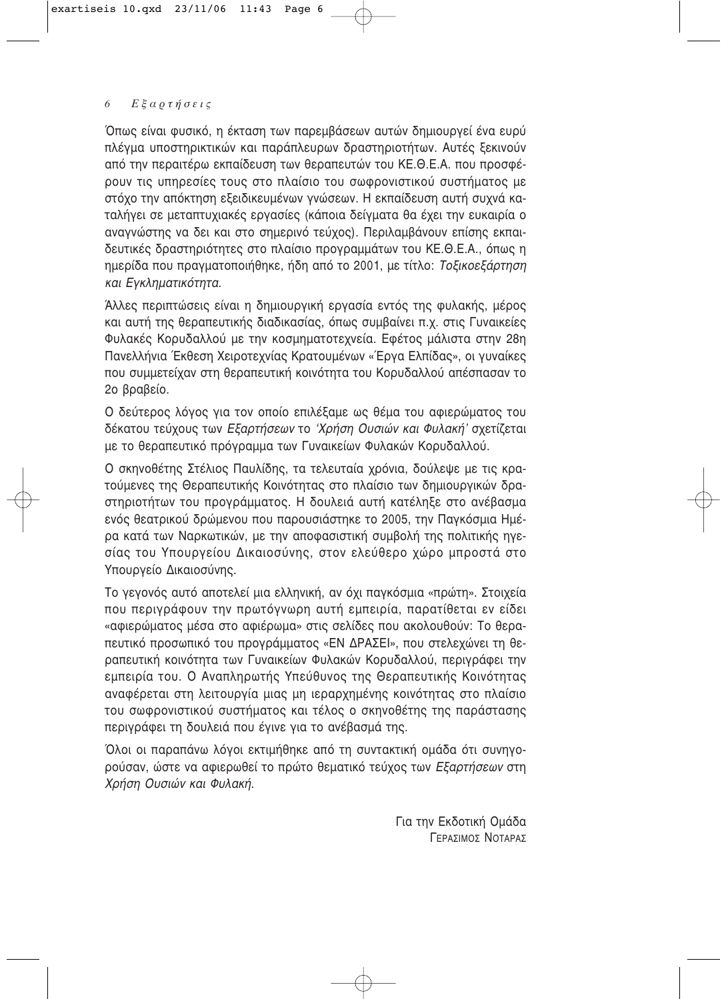Όπως είναι φυσικό, η έκταση των παρεμβάσεων αυτών δημιουργεί ένα ευρύ πλένμα υποστηρικτικών και παράπλευρων δραστηριοτήτων. Αυτές ξεκινούν από την περαιτέρω εκπαίδευση των θεραπευτών του ΚΕ.Θ.Ε.Α. που προσφέρουν τις υπηρεσίες τους στο πλαίσιο του σωφρονιστικού συστήματος με στόχο την απόκτηση εξειδικευμένων γνώσεων. Η εκπαίδευση αυτή συχνά καταλήγει σε μεταπτυχιακές εργασίες (κάποια δείγματα θα έχει την ευκαιρία ο αναγνώστης να δει και στο σημερινό τεύχος). Περιλαμβάνουν επίσης εκπαιδευτικές δραστηριότητες στο πλαίσιο προγραμμάτων του ΚΕ.Θ.Ε.Α., όπως η ημερίδα που πραγματοποιήθηκε, ήδη από το 2001, με τίτλο: *Τοξικοεξάρτηση και Εγκληματικότητα.* 

Άλλες περιπτώσεις είναι η δημιουργική εργασία εντός της φυλακής, μέρος και αυτή της θεραπευτικής διαδικασίας, όπως συμβαίνει π.χ. στις Γυναικείες Φυλακές Κορυδαλλού με την κοσμηματοτεχνεία. Εφέτος μάλιστα στην 28η Πανελλήνια Έκθεση Χειροτεχνίας Κρατουμένων «Έργα Ελπίδας», οι γυναίκες που συμμετείχαν στη θεραπευτική κοινότητα του Κορυδαλλού απέσπασαν το 2ο βραβείο.

Ο δεύτερος λόγος για τον οποίο επιλέξαμε ως θέμα του αφιερώματος του δέκατου τεύχους των Εξαρτήσεων το *'Χρήση Ουσιών και Φυλακή'* σχετίζεται με το θεραπευτικό πρόγραμμα των Γυναικείων Φυλακών Κορυδαλλού.

Ο σκηνοθέτης Στέλιος Παυλίδης, τα τελευταία χρόνια, δούλεψε με τις κρατούμενες της Θεραπευτικής Κοινότητας στο πλαίσιο των δημιουργικών δραστηριοτήτων του προγράμματος. Η δουλειά αυτή κατέληξε στο ανέβασμα ενός θεατρικού δρώμενου που παρουσιάστηκε το 2005, την Παγκόσμια Ημέοα κατά των Ναρκωτικών, με την αποφασιστική συμβολή της πολιτικής ηνεσίας του Υπουργείου Δικαιοσύνης, στον ελεύθερο χώρο μπροστά στο Υπουργείο Δικαιοσύνης.

Το γεγονός αυτό αποτελεί μια ελληνική, αν όχι παγκόσμια «πρώτη». Στοιχεία που περιγράφουν την πρωτόγνωρη αυτή εμπειρία, παρατίθεται εν είδει «αφιερώματος μέσα στο αφιέρωμα» στις σελίδες που ακολουθούν: Το θεραπευτικό προσωπικό του προγράμματος «ΕΝ ΔΡΑΣΕΙ», που στελεχώνει τη θεραπευτική κοινότητα των Γυναικείων Φυλακών Κορυδαλλού, περιγράφει την εμπειρία του. Ο Αναπληρωτής Υπεύθυνος της Θεραπευτικής Κοινότητας αναφέρεται στη λειτουργία μιας μη ιεραρχημένης κοινότητας στο πλαίσιο του σωφρονιστικού συστήματος και τέλος ο σκηνοθέτης της παράστασης περιγράφει τη δουλειά που έγινε για το ανέβασμά της.

Όλοι οι παραπάνω λόγοι εκτιμήθηκε από τη συντακτική ομάδα ότι συνηγορούσαν, ώστε να αφιερωθεί το πρώτο θεματικό τεύχος των *Εξαρτήσεων* στη *Xρήση Ουσιών και Φυλακή.* 

> Για την Εκδοτική Ομάδα ΓΕΡΑΣΙΜΩΣ ΝΟΤΑΡΑΣ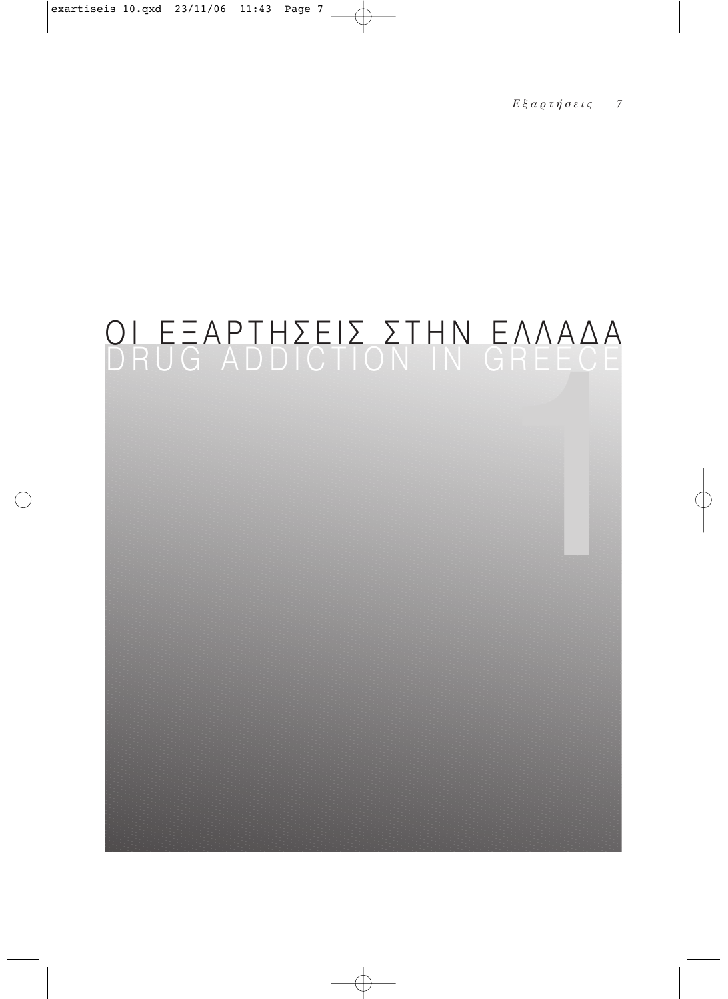# <u>OL EEAPTHΣEIΣ ΣΤΗΝ ΕΛΛΑΔΑ</u><br>Drug addiction in greece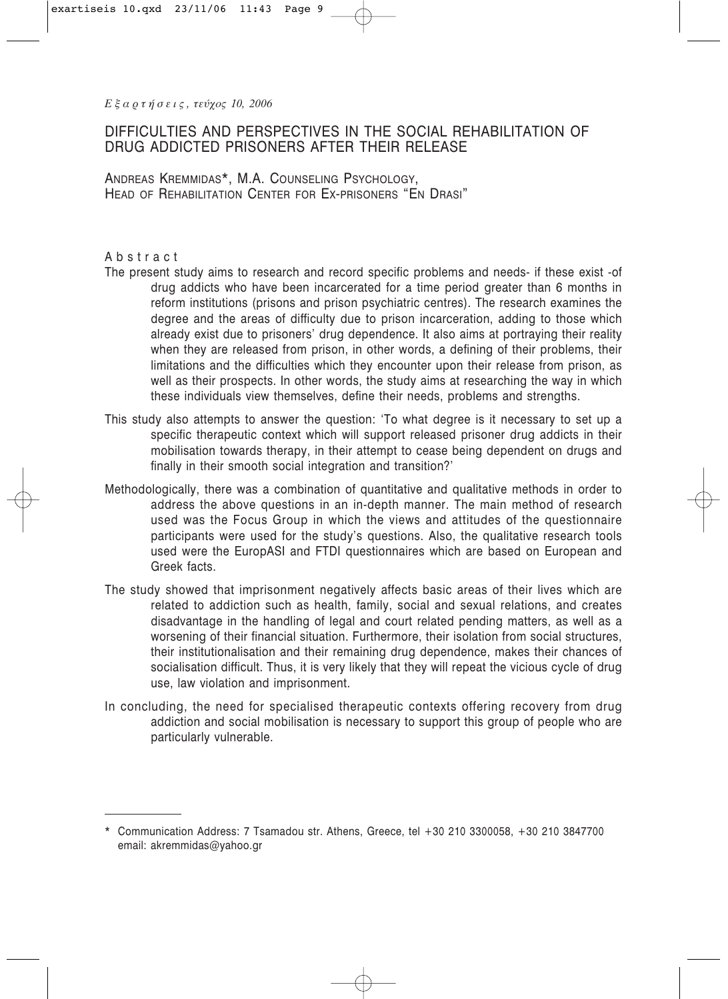# DIFFICULTIES AND PERSPECTIVES IN THE SOCIAL REHABILITATION OF DRUG ADDICTED PRISONERS AFTER THEIR RELEASE

ANDREAS KREMMIDAS\*, M.A. COUNSELING PSYCHOLOGY, HEAD OF REHABILITATION CENTER FOR EX-PRISONERS "EN DRASI"

## Abstract

- The present study aims to research and record specific problems and needs- if these exist -of drug addicts who have been incarcerated for a time period greater than 6 months in reform institutions (prisons and prison psychiatric centres). The research examines the degree and the areas of difficulty due to prison incarceration, adding to those which already exist due to prisoners' drug dependence. It also aims at portraying their reality when they are released from prison, in other words, a defining of their problems, their limitations and the difficulties which they encounter upon their release from prison, as well as their prospects. In other words, the study aims at researching the way in which these individuals view themselves, define their needs, problems and strengths.
- This study also attempts to answer the question: 'To what degree is it necessary to set up a specific therapeutic context which will support released prisoner drug addicts in their mobilisation towards therapy, in their attempt to cease being dependent on drugs and finally in their smooth social integration and transition?'
- Methodologically, there was a combination of quantitative and qualitative methods in order to address the above questions in an in-depth manner. The main method of research used was the Focus Group in which the views and attitudes of the questionnaire participants were used for the study's questions. Also, the qualitative research tools used were the EuropASI and FTDI questionnaires which are based on European and Greek facts.
- The study showed that imprisonment negatively affects basic areas of their lives which are related to addiction such as health, family, social and sexual relations, and creates disadvantage in the handling of legal and court related pending matters, as well as a worsening of their financial situation. Furthermore, their isolation from social structures, their institutionalisation and their remaining drug dependence, makes their chances of socialisation difficult. Thus, it is very likely that they will repeat the vicious cycle of drug use, law violation and imprisonment.
- In concluding, the need for specialised therapeutic contexts offering recovery from drug addiction and social mobilisation is necessary to support this group of people who are particularly vulnerable.

<sup>\*</sup> Communication Address: 7 Tsamadou str. Athens, Greece, tel +30 210 3300058, +30 210 3847700 email: akremmidas@yahoo.gr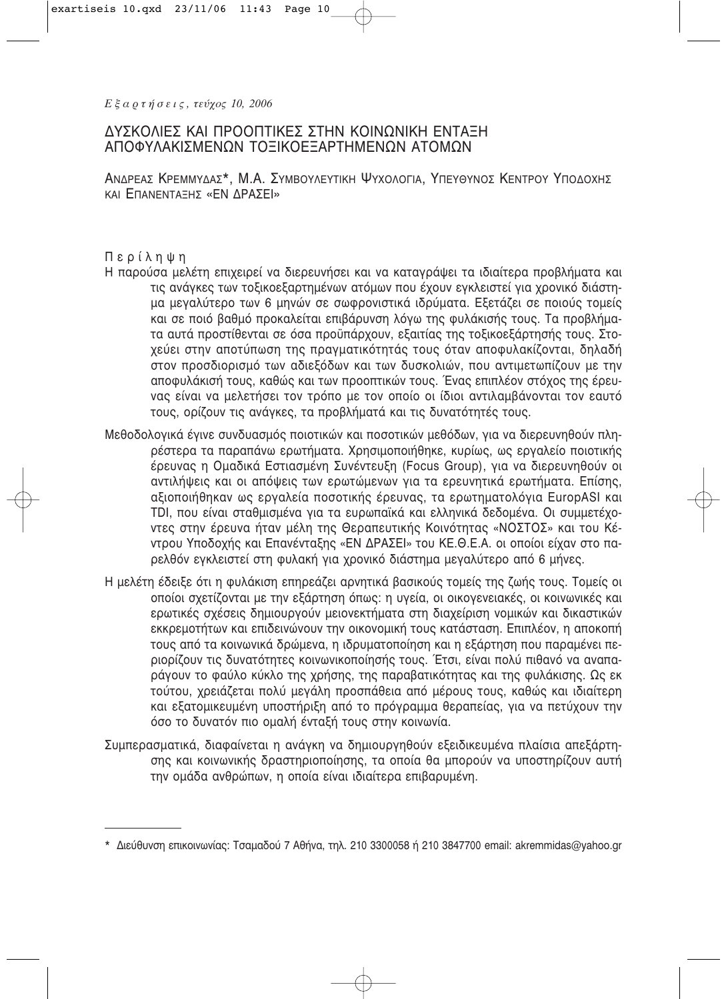## ΔΥΣΚΟΛΙΕΣ ΚΑΙ ΠΡΟΟΠΤΙΚΕΣ ΣΤΗΝ ΚΟΙΝΩΝΙΚΗ ΕΝΤΑΞΗ ΑΠΟΦΥΛΑΚΙΣΜΕΝΟΝ ΤΟΞΙΚΟΕΞΑΡΤΗΜΕΝΟΝ ΑΤΟΜΟΝ

ΑΝΔΡΕΑΣ ΚΡΕΜΜΥΔΑΣ\*, Μ.Α. ΣΥΜΒΟΥΛΕΥΤΙΚΗ ΨΥΧΟΛΟΓΙΑ, ΥΠΕΥΘΥΝΟΣ ΚΕΝΤΡΟΥ ΥΠΟΔΟΧΗΣ KAI FUANENTATHE «FN APASEI»

## Περίληψη

- Η παρούσα μελέτη επιχειρεί να διερευνήσει και να καταγράψει τα ιδιαίτερα προβλήματα και τις ανάγκες των τοξικοεξαρτημένων ατόμων που έχουν εγκλειστεί για χρονικό διάστημα μεγαλύτερο των 6 μηνών σε σωφρονιστικά ιδρύματα. Εξετάζει σε ποιούς τομείς και σε ποιό βαθμό προκαλείται επιβάρυνση λόγω της φυλάκισής τους. Τα προβλήματα αυτά προστίθενται σε όσα προϋπάρχουν, εξαιτίας της τοξικοεξάρτησής τους. Στογεύει στην αποτύπωση της πραγματικότητάς τους όταν αποφυλακίζονται, δηλαδή στον προσδιορισμό των αδιεξόδων και των δυσκολιών, που αντιμετωπίζουν με την αποφυλάκισή τους, καθώς και των προοπτικών τους. Ένας επιπλέον στόχος της έρευνας είναι να μελετήσει τον τρόπο με τον οποίο οι ίδιοι αντιλαμβάνονται τον εαυτό τους, ορίζουν τις ανάγκες, τα προβλήματά και τις δυνατότητές τους.
- Μεθοδολογικά έγινε συνδυασμός ποιοτικών και ποσοτικών μεθόδων, για να διερευνηθούν πληρέστερα τα παραπάνω ερωτήματα. Χρησιμοποιήθηκε, κυρίως, ως εργαλείο ποιοτικής έρευνας η Ομαδικά Εστιασμένη Συνέντευξη (Focus Group), για να διερευνηθούν οι αντιλήψεις και οι απόψεις των ερωτώμενων για τα ερευνητικά ερωτήματα. Επίσης, αξιοποιήθηκαν ως εργαλεία ποσοτικής έρευνας, τα ερωτηματολόγια EuropASI και TDI, που είναι σταθμισμένα για τα ευρωπαϊκά και ελληνικά δεδομένα. Οι συμμετέχοντες στην έρευνα ήταν μέλη της Θεραπευτικής Κοινότητας «ΝΟΣΤΟΣ» και του Κέντρου Υποδοχής και Επανένταξης «ΕΝ ΔΡΑΣΕΙ» του ΚΕ.Θ.Ε.Α. οι οποίοι είχαν στο παρελθόν εγκλειστεί στη φυλακή για χρονικό διάστημα μεγαλύτερο από 6 μήνες.
- Η μελέτη έδειξε ότι η φυλάκιση επηρεάζει αρνητικά βασικούς τομείς της ζωής τους. Τομείς οι οποίοι σχετίζονται με την εξάρτηση όπως: η υγεία, οι οικογενειακές, οι κοινωνικές και ερωτικές σχέσεις δημιουργούν μειονεκτήματα στη διαχείριση νομικών και δικαστικών εκκρεμοτήτων και επιδεινώνουν την οικονομική τους κατάσταση. Επιπλέον, η αποκοπή τους από τα κοινωνικά δρώμενα, η ιδρυματοποίηση και η εξάρτηση που παραμένει περιορίζουν τις δυνατότητες κοινωνικοποίησής τους. Έτσι, είναι πολύ πιθανό να αναπαράγουν το φαύλο κύκλο της χρήσης, της παραβατικότητας και της φυλάκισης. Ως εκ τούτου, χρειάζεται πολύ μεγάλη προσπάθεια από μέρους τους, καθώς και ιδιαίτερη και εξατομικευμένη υποστήριξη από το πρόγραμμα θεραπείας, για να πετύχουν την όσο το δυνατόν πιο ομαλή ένταξή τους στην κοινωνία.
- Συμπερασματικά, διαφαίνεται η ανάγκη να δημιουργηθούν εξειδικευμένα πλαίσια απεξάρτησης και κοινωνικής δραστηριοποίησης, τα οποία θα μπορούν να υποστηρίζουν αυτή την ομάδα ανθρώπων, η οποία είναι ιδιαίτερα επιβαρυμένη.

<sup>\*</sup> Διεύθυνση επικοινωνίας: Τσαμαδού 7 Αθήνα, τηλ. 210 3300058 ή 210 3847700 email: akremmidas@yahoo.gr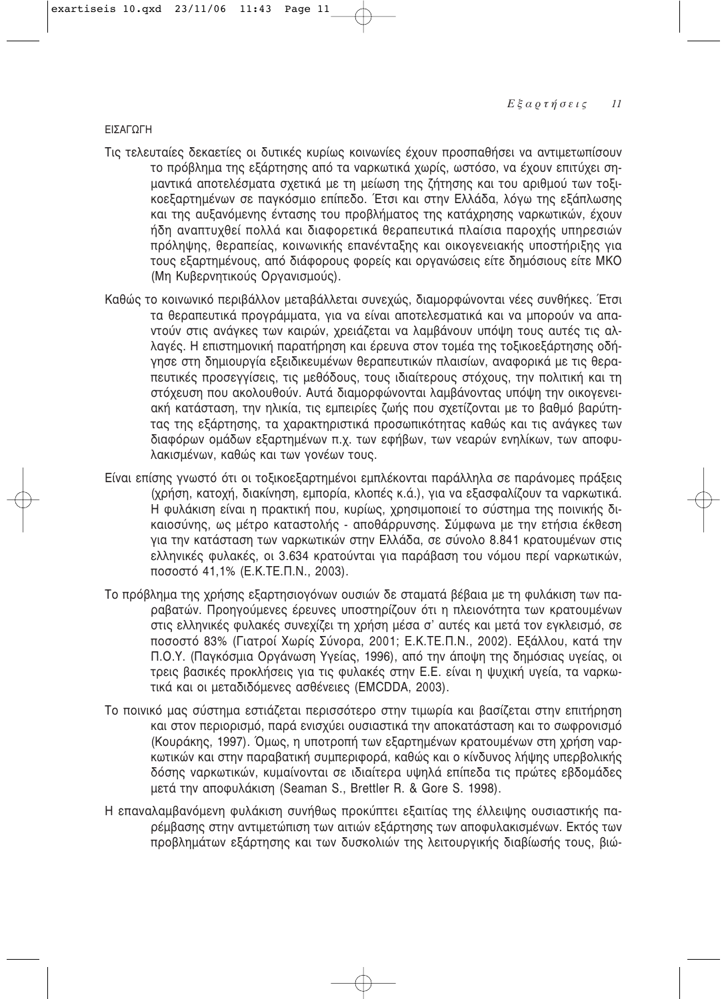## **FIΣAΓOΓH**

- Τις τελευταίες δεκαετίες οι δυτικές κυρίως κοινωνίες έχουν προσπαθήσει να αντιμετωπίσουν το πρόβλημα της εξάρτησης από τα ναρκωτικά χωρίς, ωστόσο, να έχουν επιτύχει σημαντικά αποτελέσματα σχετικά με τη μείωση της ζήτησης και του αριθμού των τοξικοεξαρτημένων σε παγκόσμιο επίπεδο. Έτσι και στην Ελλάδα, λόγω της εξάπλωσης και της αυξανόμενης έντασης του προβλήματος της κατάχρησης ναρκωτικών, έχουν ήδη αναπτυχθεί πολλά και διαφορετικά θεραπευτικά πλαίσια παροχής υπηρεσιών πρόληψης, θεραπείας, κοινωνικής επανένταξης και οικογενειακής υποστήριξης για τους εξαρτημένους, από διάφορους φορείς και οργανώσεις είτε δημόσιους είτε ΜΚΟ (Μη Κυβερνητικούς Οργανισμούς).
- Καθώς το κοινωνικό περιβάλλον μεταβάλλεται συνεχώς, διαμορφώνονται νέες συνθήκες. Έτσι τα θεραπευτικά προγράμματα, για να είναι αποτελεσματικά και να μπορούν να απαντούν στις ανάγκες των καιρών, χρειάζεται να λαμβάνουν υπόψη τους αυτές τις αλλαγές. Η επιστημονική παρατήρηση και έρευνα στον τομέα της τοξικοεξάρτησης οδήγησε στη δημιουργία εξειδικευμένων θεραπευτικών πλαισίων, αναφορικά με τις θεραπευτικές προσεγγίσεις, τις μεθόδους, τους ιδιαίτερους στόχους, την πολιτική και τη στόχευση που ακολουθούν. Αυτά διαμορφώνονται λαμβάνοντας υπόψη την οικογενειακή κατάσταση, την ηλικία, τις εμπειρίες ζωής που σχετίζονται με το βαθμό βαρύτητας της εξάρτησης, τα χαρακτηριστικά προσωπικότητας καθώς και τις ανάγκες των διαφόρων ομάδων εξαρτημένων π.χ. των εφήβων, των νεαρών ενηλίκων, των αποφυλακισμένων, καθώς και των γονέων τους.
- Είναι επίσης γνωστό ότι οι τοξικοεξαρτημένοι εμπλέκονται παράλληλα σε παράνομες πράξεις (χρήση, κατοχή, διακίνηση, εμπορία, κλοπές κ.ά.), για να εξασφαλίζουν τα ναρκωτικά. Η φυλάκιση είναι η πρακτική που, κυρίως, χρησιμοποιεί το σύστημα της ποινικής δικαιοσύνης, ως μέτρο καταστολής - αποθάρρυνσης. Σύμφωνα με την ετήσια έκθεση για την κατάσταση των ναρκωτικών στην Ελλάδα, σε σύνολο 8.841 κρατουμένων στις ελληνικές φυλακές, οι 3.634 κρατούνται για παράβαση του νόμου περί ναρκωτικών, ποσοστό 41,1% (Ε.Κ.ΤΕ.Π.Ν., 2003).
- Το πρόβλημα της χρήσης εξαρτησιογόνων ουσιών δε σταματά βέβαια με τη φυλάκιση των παραβατών. Προηγούμενες έρευνες υποστηρίζουν ότι η πλειονότητα των κρατουμένων στις ελληνικές φυλακές συνεχίζει τη χρήση μέσα σ' αυτές και μετά τον εγκλεισμό, σε ποσοστό 83% (Γιατροί Χωρίς Σύνορα, 2001; Ε.Κ.ΤΕ.Π.Ν., 2002). Εξάλλου, κατά την Π.Ο.Υ. (Παγκόσμια Οργάνωση Υγείας, 1996), από την άποψη της δημόσιας υγείας, οι τρεις βασικές προκλήσεις για τις φυλακές στην Ε.Ε. είναι η ψυχική υγεία, τα ναρκωτικά και οι μεταδιδόμενες ασθένειες (EMCDDA, 2003).
- Το ποινικό μας σύστημα εστιάζεται περισσότερο στην τιμωρία και βασίζεται στην επιτήρηση και στον περιορισμό, παρά ενισχύει ουσιαστικά την αποκατάσταση και το σωφρονισμό (Κουράκης, 1997), Όμως, η υποτροπή των εξαρτημένων κρατουμένων στη χρήση ναρκωτικών και στην παραβατική συμπεριφορά, καθώς και ο κίνδυνος λήψης υπερβολικής δόσης ναρκωτικών, κυμαίνονται σε ιδιαίτερα υψηλά επίπεδα τις πρώτες εβδομάδες μετά την αποφυλάκιση (Seaman S., Brettler R. & Gore S. 1998).
- Η επαναλαμβανόμενη φυλάκιση συνήθως προκύπτει εξαιτίας της έλλειψης ουσιαστικής παρέμβασης στην αντιμετώπιση των αιτιών εξάρτησης των αποφυλακισμένων. Εκτός των προβλημάτων εξάρτησης και των δυσκολιών της λειτουργικής διαβίωσής τους, βιώ-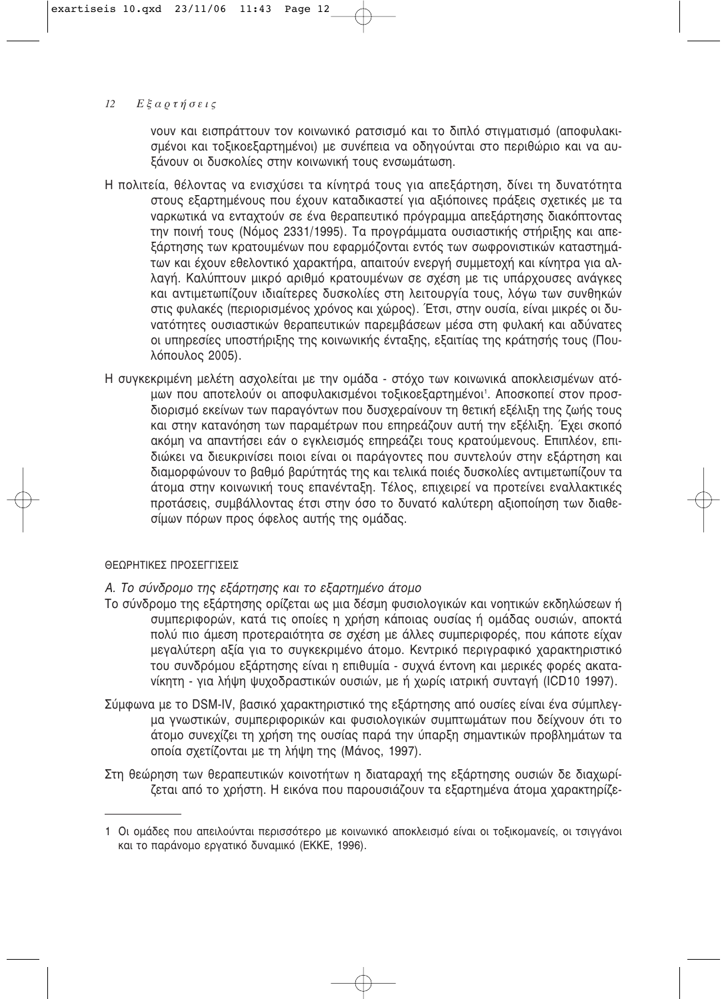VOUV Και εισπράττουν τον κοινωνικό ρατσισμό και το διπλό στιγματισμό (αποφυλακισμένοι και τοξικοεξαρτημένοι) με συνέπεια να οδηγούνται στο περιθώριο και να αυ-<u>Εάνουν οι δυσκολίες στην κοινωνική τους ενσωμάτωση.</u>

- Η πολιτεία, θέλοντας να ενισχύσει τα κίνητρά τους για απεξάρτηση, δίνει τη δυνατότητα στους εξαρτημένους που έχουν καταδικαστεί για αξιόποινες πράξεις σχετικές με τα ναρκωτικά να ενταχτούν σε ένα θεραπευτικό πρόγραμμα απεξάρτησης διακόπτοντας την ποινή τους (Νόμος 2331/1995). Τα προνράμματα ουσιαστικής στήριξης και απεξάρτησης των κρατουμένων που εφαρμόζονται εντός των σωφρονιστικών καταστημάτων και έχουν εθελοντικό χαρακτήρα, απαιτούν ενεργή συμμετοχή και κίνητρα για αλλαγή. Καλύπτουν μικρό αριθμό κρατουμένων σε σχέση με τις υπάρχουσες ανάγκες και αντιμετωπίζουν ιδιαίτερες δυσκολίες στη λειτουργία τους, λόγω των συνθηκών στις φυλακές (περιορισμένος χρόνος και χώρος). Έτσι, στην ουσία, είναι μικρές οι δυνατότητες ουσιαστικών θεραπευτικών παρεμβάσεων μέσα στη φυλακή και αδύνατες οι υπηρεσίες υποστήριξης της κοινωνικής ένταξης, εξαιτίας της κράτησής τους (Πουλόπουλος 2005).
- Η συγκεκριμένη μελέτη ασχολείται με την ομάδα στόχο των κοινωνικά αποκλεισμένων ατόμων που αποτελούν οι αποφυλακισμένοι τοξικοεξαρτημένοι'. Αποσκοπεί στον προσδιορισμό εκείνων των παραγόντων που δυσχεραίνουν τη θετική εξέλιξη της ζωής τους και στην κατανόηση των παραμέτρων που επηρεάζουν αυτή την εξέλιξη. Έχει σκοπό ακόμη να απαντήσει εάν ο εγκλεισμός επηρεάζει τους κρατούμενους. Επιπλέον, επιδιώκει να διευκρινίσει ποιοι είναι οι παράγοντες που συντελούν στην εξάρτηση και διαμορφώνουν το βαθμό βαρύτητάς της και τελικά ποιές δυσκολίες αντιμετωπίζουν τα άτομα στην κοινωνική τους επανένταξη. Τέλος, επιχειρεί να προτείνει εναλλακτικές προτάσεις, συμβάλλοντας έτσι στην όσο το δυνατό καλύτερη αξιοποίηση των διαθεσίμων πόρων προς όφελος αυτής της ομάδας.

## ΘΕΟΡΗΤΙΚΕΣ ΠΡΟΣΕΓΓΙΣΕΙΣ

## *A. Το σύνδρομο της εξάρτησης και το εξαρτημένο άτομο*

- Το σύνδρομο της εξάρτησης ορίζεται ως μια δέσμη φυσιολογικών και νοητικών εκδηλώσεων ή συμπεριφορών, κατά τις οποίες η χρήση κάποιας ουσίας ή ομάδας ουσιών, αποκτά πολύ πιο άμεση προτεραιότητα σε σχέση με άλλες συμπεριφορές, που κάποτε είχαν μεγαλύτερη αξία για το συγκεκριμένο άτομο. Κεντρικό περιγραφικό χαρακτηριστικό του συνδρόμου εξάρτησης είναι η επιθυμία - συχνά έντονη και μερικές φορές ακαταvίκητη - για λήψη ψυχοδραστικών ουσιών, με ή χωρίς ιατρική συνταγή (ICD10 1997).
- Σύμφωνα με το DSM-IV, βασικό χαρακτηριστικό της εξάρτησης από ουσίες είναι ένα σύμπλεγμα γνωστικών, συμπεριφορικών και φυσιολογικών συμπτωμάτων που δείχνουν ότι το άτομο συνεχίζει τη χρήση της ουσίας παρά την ύπαρξη σημαντικών προβλημάτων τα οποία σχετίζονται με τη λήψη της (Μάνος, 1997).
- Στη θεώρηση των θεραπευτικών κοινοτήτων η διαταραχή της εξάρτησης ουσιών δε διαχωρίζεται από το χρήστη. Η εικόνα που παρουσιάζουν τα εξαρτημένα άτομα χαρακτηρίζε-

<sup>1</sup> Οι ομάδες που απειλούνται περισσότερο με κοινωνικό αποκλεισμό είναι οι τοξικομανείς, οι τσιγγάνοι και το παράνομο εργατικό δυναμικό (ΕΚΚΕ, 1996).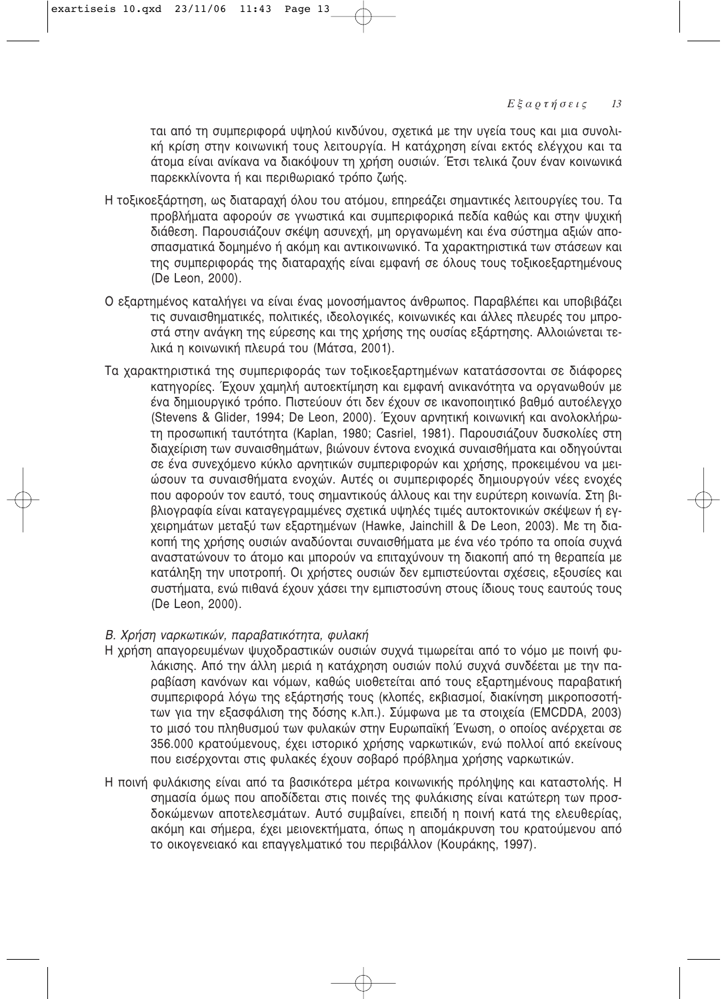ται από τη συμπεριφορά υψηλού κινδύνου, σχετικά με την υγεία τους και μια συνολική κρίση στην κοινωνική τους λειτουργία. Η κατάχρηση είναι εκτός ελέγχου και τα άτομα είναι ανίκανα να διακόψουν τη χρήση ουσιών. Έτσι τελικά ζουν έναν κοινωνικά παρεκκλίνοντα ή και περιθωριακό τρόπο ζωής.

- Η τοξικοεξάρτηση, ως διαταραχή όλου του ατόμου, επηρεάζει σημαντικές λειτουργίες του. Τα προβλήματα αφορούν σε γνωστικά και συμπεριφορικά πεδία καθώς και στην ψυχική διάθεση. Παρουσιάζουν σκέψη ασυνεχή, μη οργανωμένη και ένα σύστημα αξιών αποσπασματικά δομημένο ή ακόμη και αντικοινωνικό. Τα χαρακτηριστικά των στάσεων και της συμπεριφοράς της διαταραχής είναι εμφανή σε όλους τους τοξικοεξαρτημένους (De Leon, 2000).
- Ο εξαρτημένος καταλήγει να είναι ένας μονοσήμαντος άνθρωπος. Παραβλέπει και υποβιβάζει τις συναισθηματικές, πολιτικές, ιδεολογικές, κοινωνικές και άλλες πλευρές του μπροστά στην ανάγκη της εύρεσης και της χρήσης της ουσίας εξάρτησης. Αλλοιώνεται τελικά η κοινωνική πλευρά του (Μάτσα, 2001).
- Τα χαρακτηριστικά της συμπεριφοράς των τοξικοεξαρτημένων κατατάσσονται σε διάφορες κατηγορίες. Έχουν χαμηλή αυτοεκτίμηση και εμφανή ανικανότητα να οργανωθούν με ένα δημιουργικό τρόπο. Πιστεύουν ότι δεν έχουν σε ικανοποιητικό βαθμό αυτοέλεγχο (Stevens & Glider, 1994; De Leon, 2000). Έχουν αρνητική κοινωνική και ανολοκλήρωτη προσωπική ταυτότητα (Kaplan, 1980; Casriel, 1981). Παρουσιάζουν δυσκολίες στη διαχείριση των συναισθημάτων, βιώνουν έντονα ενοχικά συναισθήματα και οδηγούνται σε ένα συνεχόμενο κύκλο αρνητικών συμπεριφορών και χρήσης, προκειμένου να μειώσουν τα συναισθήματα ενοχών. Αυτές οι συμπεριφορές δημιουργούν νέες ενοχές που αφορούν τον εαυτό, τους σημαντικούς άλλους και την ευρύτερη κοινωνία. Στη βιβλιογραφία είναι καταγεγραμμένες σχετικά υψηλές τιμές αυτοκτονικών σκέψεων ή εγχειρημάτων μεταξύ των εξαρτημένων (Hawke, Jainchill & De Leon, 2003). Με τη διακοπή της χρήσης ουσιών αναδύονται συναισθήματα με ένα νέο τρόπο τα οποία συχνά αναστατώνουν το άτομο και μπορούν να επιταχύνουν τη διακοπή από τη θεραπεία με κατάληξη την υποτροπή. Οι χρήστες ουσιών δεν εμπιστεύονται σχέσεις, εξουσίες και συστήματα, ενώ πιθανά έχουν χάσει την εμπιστοσύνη στους ίδιους τους εαυτούς τους (De Leon, 2000).
- *Β. Χρήση ναρκωτικών, παραβατικότητα, φυλακή*
- Η χρήση απαγορευμένων ψυχοδραστικών ουσιών συχνά τιμωρείται από το νόμο με ποινή φυλάκισης. Από την άλλη μεριά η κατάχρηση ουσιών πολύ συχνά συνδέεται με την παpαβίαση κανόνων και νόμων, καθώς υιοθετείται από τους εξαρτημένους παραβατική συμπεριφορά λόγω της εξάρτησής τους (κλοπές, εκβιασμοί, διακίνηση μικροποσοτήτων για την εξασφάλιση της δόσης κ.λπ.). Σύμφωνα με τα στοιχεία (EMCDDA, 2003) το μισό του πληθυσμού των φυλακών στην Ευρωπαϊκή Ένωση, ο οποίος ανέρχεται σε 356.000 κρατούμενους, έχει ιστορικό χρήσης ναρκωτικών, ενώ πολλοί από εκείνους που εισέρχονται στις φυλακές έχουν σοβαρό πρόβλημα χρήσης ναρκωτικών.
- Η ποινή φυλάκισης είναι από τα βασικότερα μέτρα κοινωνικής πρόληψης και καταστολής. Η σημασία όμως που αποδίδεται στις ποινές της φυλάκισης είναι κατώτερη των προσδοκώμενων αποτελεσμάτων. Αυτό συμβαίνει, επειδή η ποινή κατά της ελευθερίας, ακόμη και σήμερα, έχει μειονεκτήματα, όπως η απομάκρυνση του κρατούμενου από το οικογενειακό και επαγγελματικό του περιβάλλον (Κουράκης, 1997).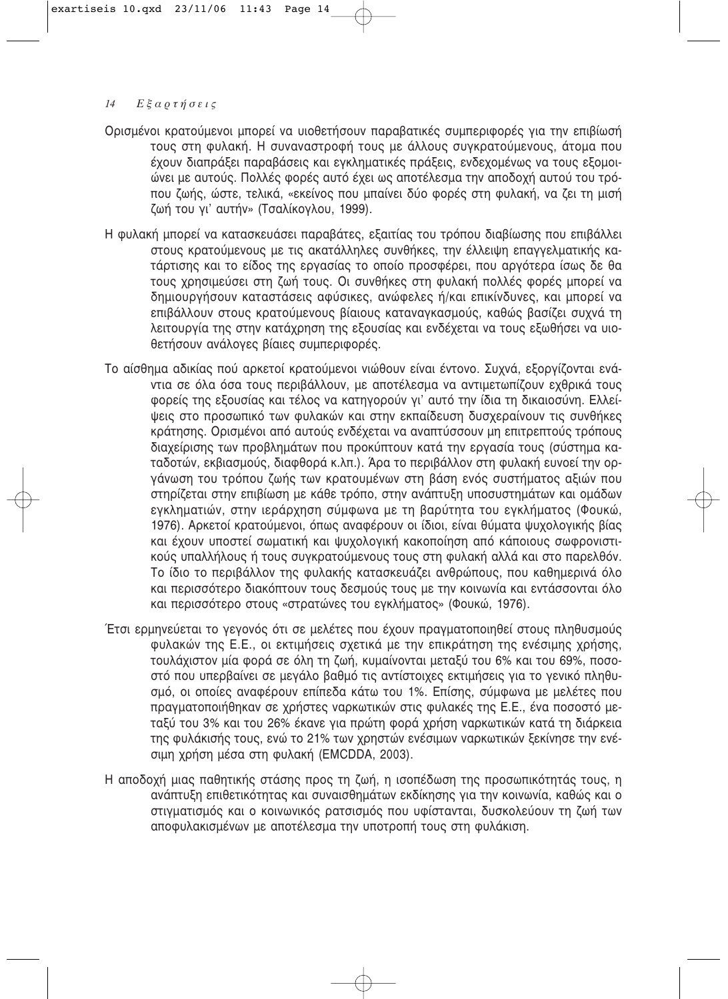- Ορισμένοι κρατούμενοι μπορεί να υιοθετήσουν παραβατικές συμπεριφορές για την επιβίωσή τους στη φυλακή. Η συναναστροφή τους με άλλους συνκρατούμενους, άτομα που έχουν διαπράξει παραβάσεις και εγκληματικές πράξεις, ενδεχομένως να τους εξομοιώνει με αυτούς. Πολλές φορές αυτό έχει ως αποτέλεσμα την αποδοχή αυτού του τρόπου ζωής, ώστε, τελικά, «εκείνος που μπαίνει δύο φορές στη φυλακή, να ζει τη μισή ζωή του γι' αυτήν» (Τσαλίκογλου, 1999).
- Η φυλακή μπορεί να κατασκευάσει παραβάτες, εξαιτίας του τρόπου διαβίωσης που επιβάλλει στους κρατούμενους με τις ακατάλληλες συνθήκες, την έλλειψη επαγγελματικής κατάρτισης και το είδος της εργασίας το οποίο προσφέρει, που αργότερα ίσως δε θα τους χρησιμεύσει στη ζωή τους. Οι συνθήκες στη φυλακή πολλές φορές μπορεί να δημιουργήσουν καταστάσεις αφύσικες, ανώφελες ή/και επικίνδυνες, και μπορεί να επιβάλλουν στους κρατούμενους βίαιους καταναγκασμούς, καθώς βασίζει συχνά τη λειτουργία της στην κατάχρηση της εξουσίας και ενδέχεται να τους εξωθήσει να υιοθετήσουν ανάλογες βίαιες συμπεριφορές.
- Το αίσθημα αδικίας πού αρκετοί κρατούμενοι νιώθουν είναι έντονο. Συχνά, εξορνίζονται ενά-VΤΙα σε όλα όσα τους περιβάλλουν, με αποτέλεσμα να αντιμετωπίζουν εχθρικά τους φορείς της εξουσίας και τέλος να κατηγορούν γι' αυτό την ίδια τη δικαιοσύνη. Ελλεί-Ψεις στο προσωπικό των φυλακών και στην εκπαίδευση δυσχεραίνουν τις συνθήκες κράτησης. Ορισμένοι από αυτούς ενδέχεται να αναπτύσσουν μη επιτρεπτούς τρόπους διαχείρισης των προβλημάτων που προκύπτουν κατά την εργασία τους (σύστημα καταδοτών, εκβιασμούς, διαφθορά κ.λπ.). Άρα το περιβάλλον στη φυλακή ευνοεί την οργάγωση του τρόπου ζωής των κρατουμένων στη βάση ενός συστήματος αξιών που στηρίζεται στην επιβίωση με κάθε τρόπο, στην ανάπτυξη υποσυστημάτων και ομάδων ενκληματιών, στην ιεράρχηση σύμφωνα με τη βαρύτητα του ενκλήματος (Φουκώ, 1976). Αρκετοί κρατούμενοι, όπως αναφέρουν οι ίδιοι, είναι θύματα ψυχολογικής βίας και έχουν υποστεί σωματική και ψυχολογική κακοποίηση από κάποιους σωφρονιστι-ΚΟύς υπαλλήλους ή τους συγκρατούμενους τους στη φυλακή αλλά και στο παρελθόν. Το ίδιο το περιβάλλον της φυλακής κατασκευάζει ανθρώπους, που καθημερινά όλο και περισσότερο διακόπτουν τους δεσμούς τους με την κοινωνία και εντάσσονται όλο Kαι περισσότερο στους «στρατώνες του ενκλήματος» (Φουκώ, 1976).
- Έτσι ερμηνεύεται το γεγονός ότι σε μελέτες που έχουν πραγματοποιηθεί στους πληθυσμούς φυλακών της Ε.Ε., οι εκτιμήσεις σχετικά με την επικράτηση της ενέσιμης χρήσης, τουλάχιστον μία φορά σε όλη τη ζωή, κυμαίνονται μεταξύ του 6% και του 69%, ποσοστό που υπερβαίνει σε μεγάλο βαθμό τις αντίστοιχες εκτιμήσεις για το γενικό πληθυσμό, οι οποίες αναφέρουν επίπεδα κάτω του 1%. Επίσης, σύμφωνα με μελέτες που πραγματοποιήθηκαν σε χρήστες ναρκωτικών στις φυλακές της Ε.Ε., ένα ποσοστό μεταξύ του 3% και του 26% έκανε για πρώτη φορά χρήση ναρκωτικών κατά τη διάρκεια της φυλάκισής τους, ενώ το 21% των χρηστών ενέσιμων ναρκωτικών ξεκίνησε την ενέσιμη χρήση μέσα στη φυλακή (EMCDDA, 2003).
- Η αποδοχή μιας παθητικής στάσης προς τη ζωή, η ισοπέδωση της προσωπικότητάς τους, η ανάπτυξη επιθετικότητας και συναισθημάτων εκδίκησης για την κοινωνία, καθώς και ο στιγματισμός και ο κοινωνικός ρατσισμός που υφίστανται, δυσκολεύουν τη ζωή των αποφυλακισμένων με αποτέλεσμα την υποτροπή τους στη φυλάκιση.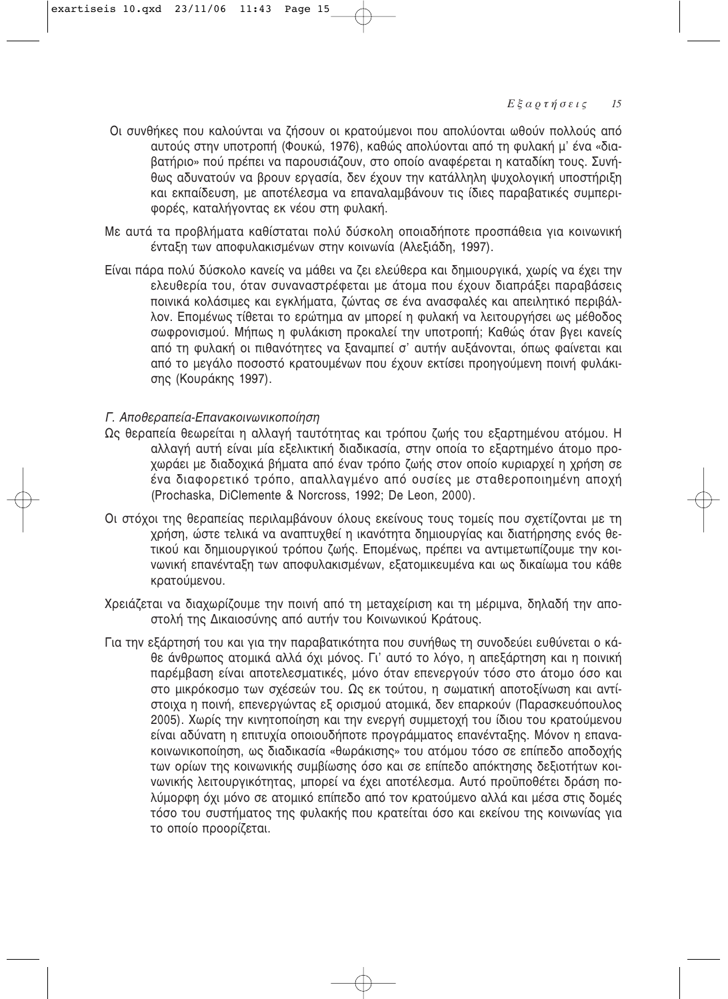- Οι συνθήκες που καλούνται να ζήσουν οι κρατούμενοι που απολύονται ωθούν πολλούς από αυτούς στην υποτροπή (Φουκώ, 1976), καθώς απολύονται από τη φυλακή μ' ένα «διαβατήριο» πού πρέπει να παρουσιάζουν, στο οποίο αναφέρεται η καταδίκη τους. Συνήθως αδυνατούν να βρουν εργασία, δεν έχουν την κατάλληλη ψυχολογική υποστήριξη και εκπαίδευση, με αποτέλεσμα να επαναλαμβάνουν τις ίδιες παραβατικές συμπεριφορές, καταλήγοντας εκ νέου στη φυλακή.
- Με αυτά τα προβλήματα καθίσταται πολύ δύσκολη οποιαδήποτε προσπάθεια για κοινωνική ένταξη των αποφυλακισμένων στην κοινωνία (Αλεξιάδη, 1997).
- Είναι πάρα πολύ δύσκολο κανείς να μάθει να ζει ελεύθερα και δημιουργικά, χωρίς να έχει την ελευθερία του, όταν συναναστρέφεται με άτομα που έχουν διαπράξει παραβάσεις ποινικά κολάσιμες και εγκλήματα, ζώντας σε ένα ανασφαλές και απειλητικό περιβάλλον. Επομένως τίθεται το ερώτημα αν μπορεί η φυλακή να λειτουργήσει ως μέθοδος σωφρονισμού. Μήπως η φυλάκιση προκαλεί την υποτροπή; Καθώς όταν βγει κανείς από τη φυλακή οι πιθανότητες να ξαναμπεί σ' αυτήν αυξάνονται, όπως φαίνεται και από το μεγάλο ποσοστό κρατουμένων που έχουν εκτίσει προηγούμενη ποινή φυλάκισης (Κουράκης 1997).

## Γ. Αποθεραπεία-Επανακοινωνικοποίηση

- Ως θεραπεία θεωρείται η αλλαγή ταυτότητας και τρόπου ζωής του εξαρτημένου ατόμου. Η αλλαγή αυτή είναι μία εξελικτική διαδικασία, στην οποία το εξαρτημένο άτομο προχωράει με διαδοχικά βήματα από έναν τρόπο ζωής στον οποίο κυριαρχεί η χρήση σε ένα διαφορετικό τρόπο, απαλλαγμένο από ουσίες με σταθεροποιημένη αποχή (Prochaska, DiClemente & Norcross, 1992; De Leon, 2000).
- Οι στόχοι της θεραπείας περιλαμβάνουν όλους εκείνους τους τομείς που σχετίζονται με τη χρήση, ώστε τελικά να αναπτυχθεί η ικανότητα δημιουργίας και διατήρησης ενός θετικού και δημιουργικού τρόπου ζωής. Επομένως, πρέπει να αντιμετωπίζουμε την κοινωνική επανένταξη των αποφυλακισμένων, εξατομικευμένα και ως δικαίωμα του κάθε κρατούμενου.
- Χρειάζεται να διαχωρίζουμε την ποινή από τη μεταχείριση και τη μέριμνα, δηλαδή την αποστολή της Δικαιοσύνης από αυτήν του Κοινωνικού Κράτους.
- Για την εξάρτησή του και για την παραβατικότητα που συνήθως τη συνοδεύει ευθύνεται ο κάθε άνθρωπος ατομικά αλλά όχι μόνος. Γι' αυτό το λόγο, η απεξάρτηση και η ποινική παρέμβαση είναι αποτελεσματικές, μόνο όταν επενεργούν τόσο στο άτομο όσο και στο μικρόκοσμο των σχέσεών του. Ως εκ τούτου, η σωματική αποτοξίνωση και αντίστοιχα η ποινή, επενεργώντας εξ ορισμού ατομικά, δεν επαρκούν (Παρασκευόπουλος 2005). Χωρίς την κινητοποίηση και την ενεργή συμμετοχή του ίδιου του κρατούμενου είναι αδύνατη η επιτυχία οποιουδήποτε προγράμματος επανένταξης. Μόνον η επανακοινωνικοποίηση, ως διαδικασία «θωράκισης» του ατόμου τόσο σε επίπεδο αποδοχής των ορίων της κοινωνικής συμβίωσης όσο και σε επίπεδο απόκτησης δεξιοτήτων κοινωνικής λειτουργικότητας, μπορεί να έχει αποτέλεσμα. Αυτό προϋποθέτει δράση πολύμορφη όχι μόνο σε ατομικό επίπεδο από τον κρατούμενο αλλά και μέσα στις δομές τόσο του συστήματος της φυλακής που κρατείται όσο και εκείνου της κοινωνίας για το οποίο προορίζεται.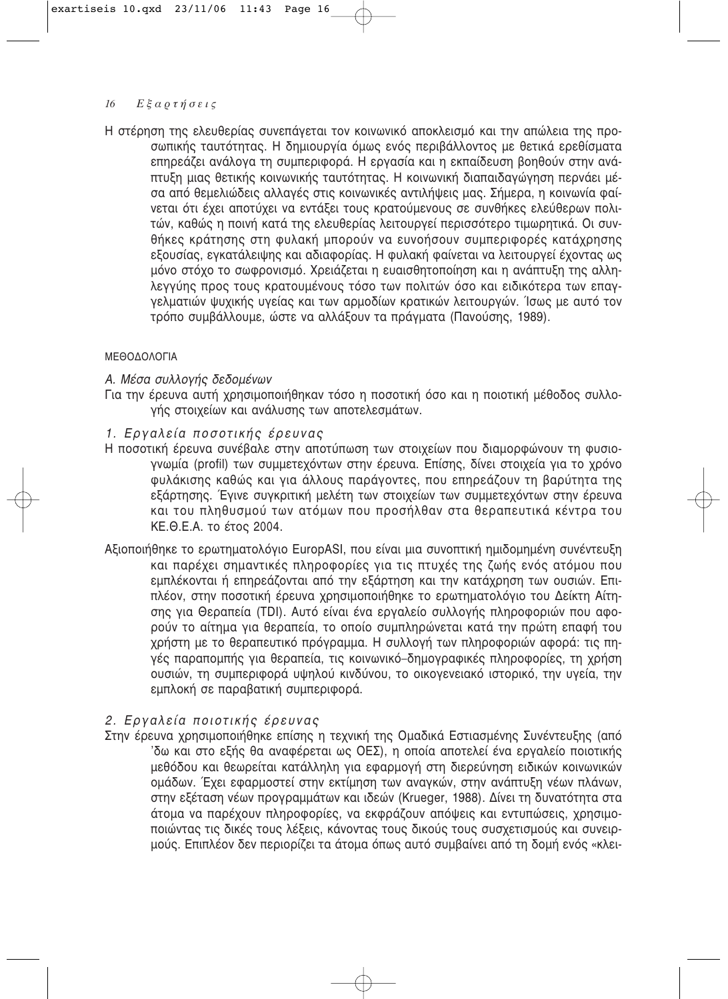Η στέρηση της ελευθερίας συνεπάγεται τον κοινωνικό αποκλεισμό και την απώλεια της προσωπικής ταυτότητας. Η δημιουργία όμως ενός περιβάλλοντος με θετικά ερεθίσματα επηρεάζει ανάλογα τη συμπεριφορά. Η εργασία και η εκπαίδευση βοηθούν στην ανάπτυξη μιας θετικής κοινωνικής ταυτότητας. Η κοινωνική διαπαιδαγώγηση περνάει μέσα από θεμελιώδεις αλλαγές στις κοινωνικές αντιλήψεις μας. Σήμερα, η κοινωνία φαί-Vεται ότι έχει αποτύχει να εντάξει τους κρατούμενους σε συνθήκες ελεύθερων πολιτών, καθώς η ποινή κατά της ελευθερίας λειτουργεί περισσότερο τιμωρητικά. Οι συνθήκες κράτησης στη φυλακή μπορούν να ευνοήσουν συμπεριφορές κατάχρησης εξουσίας, εγκατάλειψης και αδιαφορίας. Η φυλακή φαίνεται να λειτουργεί έχοντας ως μόνο στόχο το σωφρονισμό. Χρειάζεται η ευαισθητοποίηση και η ανάπτυξη της αλληλεγγύης προς τους κρατουμένους τόσο των πολιτών όσο και ειδικότερα των επαγ-Vελματιών ψυχικής υνείας και των αρμοδίων κρατικών λειτουργών. Ίσως με αυτό τον τρόπο συμβάλλουμε, ώστε να αλλάξουν τα πράγματα (Πανούσης, 1989).

## ΜΕΘΟΔΟΛΟΓΙΑ

## *Α. Μέσα συλλονής δεδομένων*

Για την έρευνα αυτή χρησιμοποιήθηκαν τόσο η ποσοτική όσο και η ποιοτική μέθοδος συλλογής στοιχείων και ανάλυσης των αποτελεσμάτων.

## 1. Εργαλεία ποσοτικής έρευνας

- Η ποσοτική έρευνα συνέβαλε στην αποτύπωση των στοιχείων που διαμορφώνουν τη φυσιογνωμία (profil) των συμμετεχόντων στην έρευνα. Επίσης, δίνει στοιχεία για το χρόνο φυλάκισης καθώς και για άλλους παράγοντες, που επηρεάζουν τη βαρύτητα της εξάρτησης. Έγινε συγκριτική μελέτη των στοιχείων των συμμετεχόντων στην έρευνα και του πληθυσμού των ατόμων που προσήλθαν στα θεραπευτικά κέντρα του KE.Θ.Ε.Α. το έτος 2004.
- Αξιοποιήθηκε το ερωτηματολόγιο EuropASI, που είναι μια συνοπτική ημιδομημένη συνέντευξη και παρέχει σημαντικές πληροφορίες για τις πτυχές της ζωής ενός ατόμου που εμπλέκονται ή επηρεάζονται από την εξάρτηση και την κατάχρηση των ουσιών. Επιπλέον, στην ποσοτική έρευνα χρησιμοποιήθηκε το ερωτηματολόγιο του Δείκτη Αίτησης για Θεραπεία (TDI). Αυτό είναι ένα εργαλείο συλλογής πληροφοριών που αφορούν το αίτημα για θεραπεία, το οποίο συμπληρώνεται κατά την πρώτη επαφή του χρήστη με το θεραπευτικό πρόγραμμα. Η συλλογή των πληροφοριών αφορά: τις πηγές παραπομπής για θεραπεία, τις κοινωνικό–δημογραφικές πληροφορίες, τη χρήση ουσιών, τη συμπεριφορά υψηλού κινδύνου, το οικονενειακό ιστορικό, την υνεία, την εμπλοκή σε παραβατική συμπεριφορά.

## 2. Εργαλεία ποιοτικής έρευνας

Στην έρευνα χρησιμοποιήθηκε επίσης η τεχνική της Ομαδικά Εστιασμένης Συνέντευξης (από 'δω και στο εξής θα αναφέρεται ως ΟΕΣ), η οποία αποτελεί ένα εργαλείο ποιοτικής μεθόδου και θεωρείται κατάλληλη για εφαρμογή στη διερεύνηση ειδικών κοινωνικών ομάδων. Έχει εφαρμοστεί στην εκτίμηση των αναγκών, στην ανάπτυξη νέων πλάνων, στην εξέταση νέων προγραμμάτων και ιδεών (Krueger, 1988). Δίνει τη δυνατότητα στα άτομα να παρέχουν πληροφορίες, να εκφράζουν απόψεις και εντυπώσεις, χρησιμοποιώντας τις δικές τους λέξεις, κάνοντας τους δικούς τους συσχετισμούς και συνειρμούς. Επιπλέον δεν περιορίζει τα άτομα όπως αυτό συμβαίνει από τη δομή ενός «κλει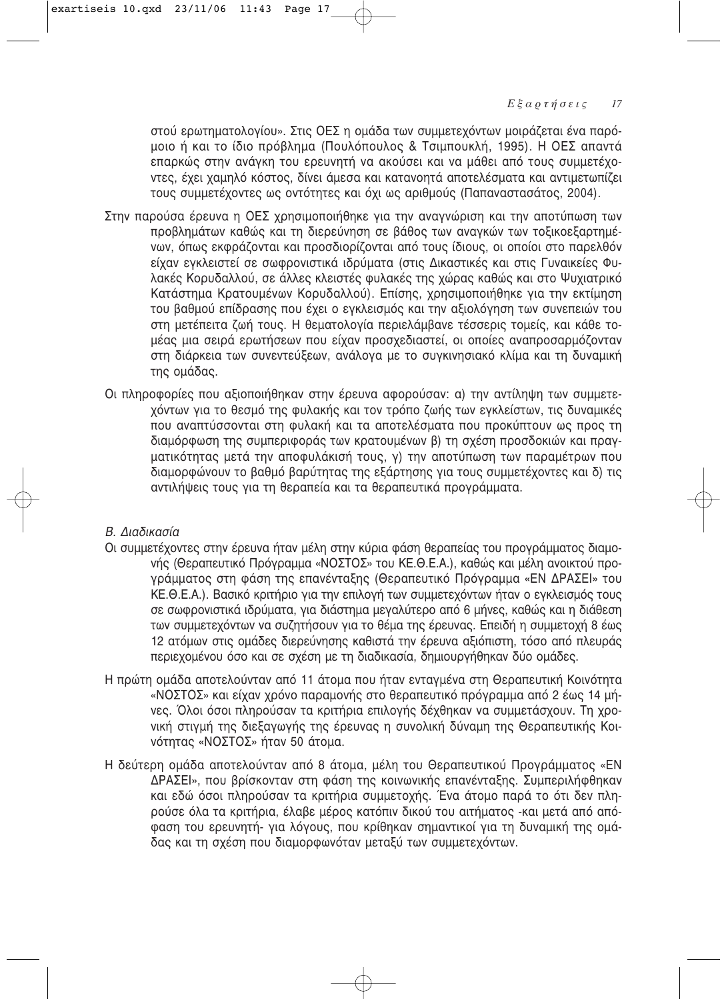στού ερωτηματολογίου». Στις ΟΕΣ η ομάδα των συμμετεχόντων μοιράζεται ένα παρόμοιο ή και το ίδιο πρόβλημα (Πουλόπουλος & Τσιμπουκλή, 1995). Η ΟΕΣ απαντά επαρκώς στην ανάγκη του ερευνητή να ακούσει και να μάθει από τους συμμετέχο-VΤες, έχει χαμηλό κόστος, δίνει άμεσα και κατανοητά αποτελέσματα και αντιμετωπίζει τους συμμετέχοντες ως οντότητες και όχι ως αριθμούς (Παπαναστασάτος, 2004).

- Στην παρούσα έρευνα η ΟΕΣ χρησιμοποιήθηκε για την αναγνώριση και την αποτύπωση των προβλημάτων καθώς και τη διερεύνηση σε βάθος των ανανκών των τοξικοεξαρτημένων, όπως εκφράζονται και προσδιορίζονται από τους ίδιους, οι οποίοι στο παρελθόν είχαν εγκλειστεί σε σωφρονιστικά ιδρύματα (στις Δικαστικές και στις Γυναικείες Φυλακές Κορυδαλλού, σε άλλες κλειστές φυλακές της χώρας καθώς και στο Ψυχιατρικό Κατάστημα Κρατουμένων Κορυδαλλού). Επίσης, χρησιμοποιήθηκε για την εκτίμηση του βαθμού επίδρασης που έχει ο εγκλεισμός και την αξιολόγηση των συνεπειών του στη μετέπειτα ζωή τους. Η θεματολονία περιελάμβανε τέσσερις τομείς, και κάθε τομέας μια σειρά ερωτήσεων που είχαν προσχεδιαστεί, οι οποίες αναπροσαρμόζονταν στη διάρκεια των συνεντεύξεων, ανάλογα με το συγκινησιακό κλίμα και τη δυναμική της ομάδας.
- Οι πληροφορίες που αξιοποιήθηκαν στην έρευνα αφορούσαν: α) την αντίληψη των συμμετεχόντων για το θεσμό της φυλακής και τον τρόπο ζωής των εγκλείστων, τις δυναμικές που αναπτύσσονται στη φυλακή και τα αποτελέσματα που προκύπτουν ως προς τη διαμόρφωση της συμπεριφοράς των κρατουμένων β) τη σχέση προσδοκιών και πραγματικότητας μετά την αποφυλάκισή τους, γ) την αποτύπωση των παραμέτρων που διαμορφώνουν το βαθμό βαρύτητας της εξάρτησης για τους συμμετέχοντες και δ) τις αντιλήψεις τους για τη θεραπεία και τα θεραπευτικά προγράμματα.

## **Β. Διαδικασία**

- Οι συμμετέχοντες στην έρευνα ήταν μέλη στην κύρια φάση θεραπείας του προγράμματος διαμονής (Θεραπευτικό Πρόγραμμα «ΝΟΣΤΟΣ» του ΚΕ.Θ.Ε.Α.), καθώς και μέλη ανοικτού προγράμματος στη φάση της επανένταξης (Θεραπευτικό Πρόγραμμα «ΕΝ ΔΡΑΣΕΙ» του ΚΕ.Θ.Ε.Α.). Βασικό κριτήριο για την επιλογή των συμμετεχόντων ήταν ο εγκλεισμός τους σε σωφρονιστικά ιδρύματα, για διάστημα μεγαλύτερο από 6 μήνες, καθώς και η διάθεση των συμμετεχόντων να συζητήσουν για το θέμα της έρευνας. Επειδή η συμμετοχή 8 έως 12 ατόμων στις ομάδες διερεύνησης καθιστά την έρευνα αξιόπιστη, τόσο από πλευράς περιεχομένου όσο και σε σχέση με τη διαδικασία, δημιουργήθηκαν δύο ομάδες.
- Η πρώτη ομάδα αποτελούνταν από 11 άτομα που ήταν ενταγμένα στη Θεραπευτική Κοινότητα «ΝΟΣΤΟΣ» και είχαν χρόνο παραμονής στο θεραπευτικό πρόγραμμα από 2 έως 14 μήνες. Όλοι όσοι πληρούσαν τα κριτήρια επιλογής δέχθηκαν να συμμετάσχουν. Τη χρονική στιγμή της διεξαγωγής της έρευνας η συνολική δύναμη της Θεραπευτικής Κοινότητας «ΝΟΣΤΟΣ» ήταν 50 άτομα.
- Η δεύτερη ομάδα αποτελούνταν από 8 άτομα, μέλη του Θεραπευτικού Προγράμματος «ΕΝ ΔΡΑΣΕΙ», που βρίσκονταν στη φάση της κοινωνικής επανένταξης. Συμπεριλήφθηκαν και εδώ όσοι πληρούσαν τα κριτήρια συμμετοχής. Ένα άτομο παρά το ότι δεν πληρούσε όλα τα κριτήρια, έλαβε μέρος κατόπιν δικού του αιτήματος -και μετά από απόφαση του ερευνητή- για λόγους, που κρίθηκαν σημαντικοί για τη δυναμική της ομάδας και τη σχέση που διαμορφωνόταν μεταξύ των συμμετεχόντων.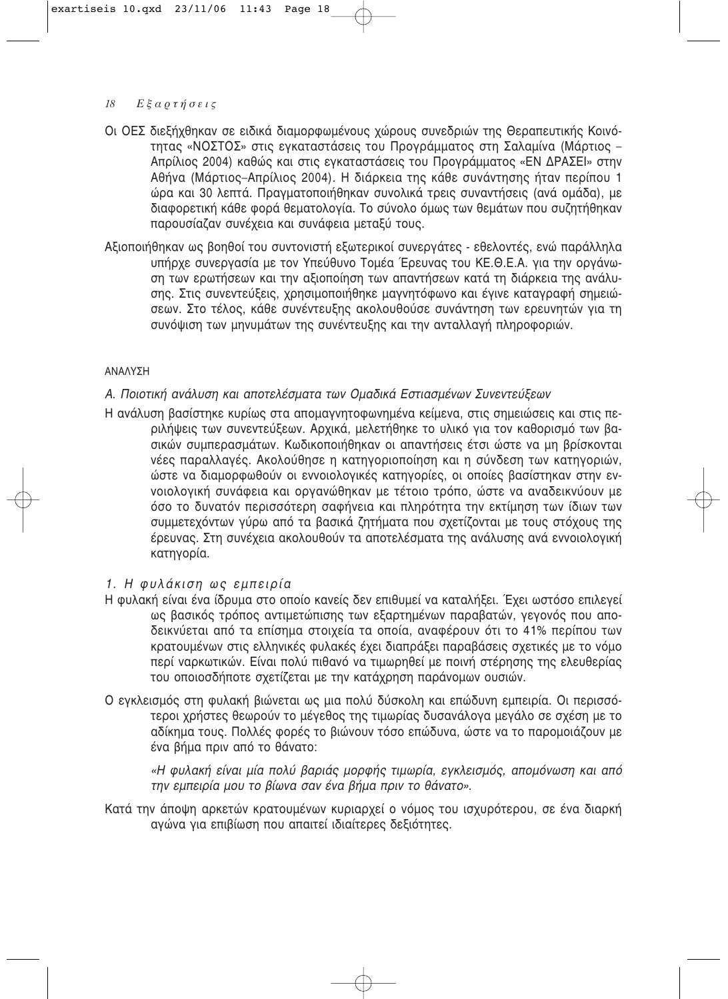#### 18  $E$ ξαρτήσεις

- Οι ΟΕΣ διεξήχθηκαν σε ειδικά διαμορφωμένους χώρους συνεδριών της Θεραπευτικής Κοινότητας «ΝΟΣΤΟΣ» στις εγκαταστάσεις του Προγράμματος στη Σαλαμίνα (Μάρτιος -Απρίλιος 2004) καθώς και στις εγκαταστάσεις του Προγράμματος «ΕΝ ΔΡΑΣΕΙ» στην Αθήνα (Μάρτιος-Απρίλιος 2004). Η διάρκεια της κάθε συνάντησης ήταν περίπου 1 ώρα και 30 λεπτά. Πραγματοποιήθηκαν συνολικά τρεις συναντήσεις (ανά ομάδα), με διαφορετική κάθε φορά θεματολογία. Το σύνολο όμως των θεμάτων που συζητήθηκαν παρουσίαζαν συνέχεια και συνάφεια μεταξύ τους.
- Αξιοποιήθηκαν ως βοηθοί του συντονιστή εξωτερικοί συνεργάτες εθελοντές, ενώ παράλληλα υπήρχε συνεργασία με τον Υπεύθυνο Τομέα Έρευνας του ΚΕ.Θ.Ε.Α. για την οργάνωση των ερωτήσεων και την αξιοποίηση των απαντήσεων κατά τη διάρκεια της ανάλυσης. Στις συνεντεύξεις, χρησιμοποιήθηκε μαγνητόφωνο και έγινε καταγραφή σημειώσεών. Στο τέλος, κάθε συνέντευξης ακολουθούσε συνάντηση των ερευνητών για τη συνόψιση των μηνυμάτων της συνέντευξης και την ανταλλαγή πληροφοριών.

## **ANAAYSH**

## Α. Ποιοτική ανάλυση και αποτελέσματα των Ομαδικά Εστιασμένων Συνεντεύξεων

Η ανάλυση βασίστηκε κυρίως στα απομαννητοφωνημένα κείμενα, στις σημειώσεις και στις περιλήψεις των συνεντεύξεων. Αρχικά, μελετήθηκε το υλικό για τον καθορισμό των βασικών συμπερασμάτων. Κωδικοποιήθηκαν οι απαντήσεις έτσι ώστε να μη βρίσκονται νέες παραλλανές. Ακολούθησε η κατηνοριοποίηση και η σύνδεση των κατηνοριών. ώστε να διαμορφωθούν οι εννοιολογικές κατηγορίες, οι οποίες βασίστηκαν στην εννοιολογική συνάφεια και οργανώθηκαν με τέτοιο τρόπο, ώστε να αναδεικνύουν με όσο το δυνατόν περισσότερη σαφήνεια και πληρότητα την εκτίμηση των ίδιων των συμμετεχόντων γύρω από τα βασικά ζητήματα που σχετίζονται με τους στόχους της έρευνας. Στη συνέχεια ακολουθούν τα αποτελέσματα της ανάλυσης ανά εννοιολογική κατηγορία.

## 1. Η φυλάκιση ως εμπειρία

- Η φυλακή είναι ένα ίδρυμα στο οποίο κανείς δεν επιθυμεί να καταλήξει. Έχει ωστόσο επιλενεί ως βασικός τρόπος αντιμετώπισης των εξαρτημένων παραβατών, γεγονός που αποδεικνύεται από τα επίσημα στοιχεία τα οποία, αναφέρουν ότι το 41% περίπου των κρατουμένων στις ελληνικές φυλακές έχει διαπράξει παραβάσεις σχετικές με το νόμο περί ναρκωτικών. Είναι πολύ πιθανό να τιμωρηθεί με ποινή στέρησης της ελευθερίας του οποιοσδήποτε σχετίζεται με την κατάχρηση παράνομων ουσιών.
- Ο εγκλεισμός στη φυλακή βιώνεται ως μια πολύ δύσκολη και επώδυνη εμπειρία. Οι περισσότεροι χρήστες θεωρούν το μέγεθος της τιμωρίας δυσανάλογα μεγάλο σε σχέση με το αδίκημα τους. Πολλές φορές το βιώνουν τόσο επώδυνα, ώστε να το παρομοιάζουν με ένα βήμα πριν από το θάνατο:

«Η φυλακή είναι μία πολύ βαριάς μορφής τιμωρία, εγκλεισμός, απομόνωση και από την εμπειρία μου το βίωνα σαν ένα βήμα πριν το θάνατο».

Κατά την άποψη αρκετών κρατουμένων κυριαρχεί ο νόμος του ισχυρότερου, σε ένα διαρκή αγώνα για επιβίωση που απαιτεί ιδιαίτερες δεξιότητες.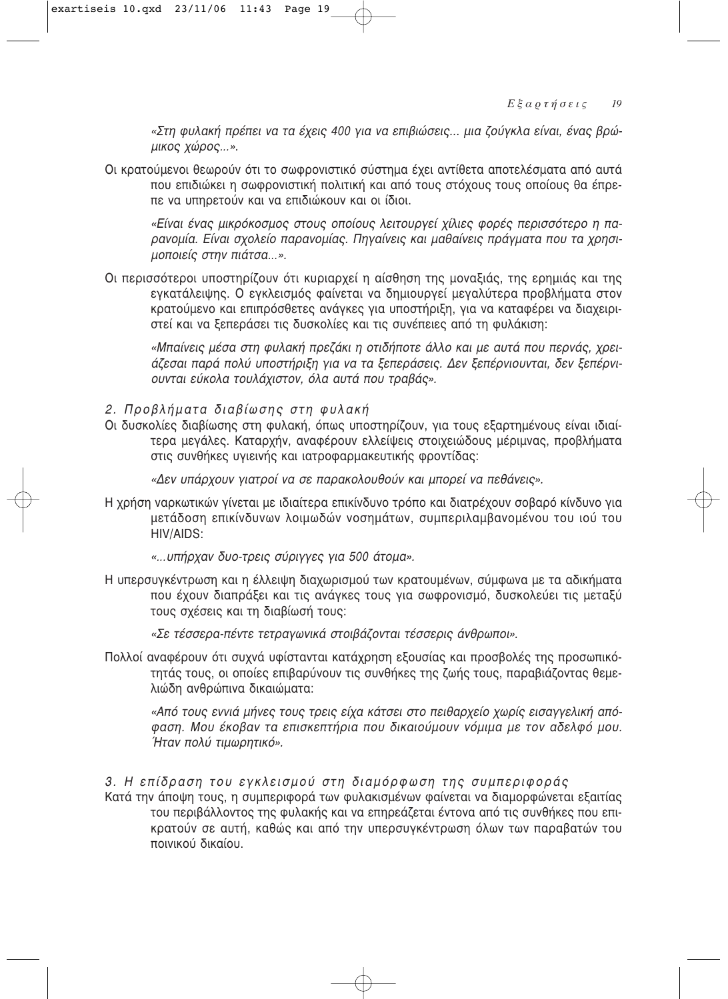«Στη φυλακή πρέπει να τα έχεις 400 για να επιβιώσεις... μια ζούγκλα είναι, ένας βρώшкос хώрос...».

Οι κρατούμενοι θεωρούν ότι το σωφρονιστικό σύστημα έχει αντίθετα αποτελέσματα από αυτά που επιδιώκει η σωφρονιστική πολιτική και από τους στόχους τους οποίους θα έπρεπε να υπηρετούν και να επιδιώκουν και οι ίδιοι.

«Είναι ένας μικρόκοσμος στους οποίους λειτουργεί χίλιες φορές περισσότερο η παρανομία. Είναι σχολείο παρανομίας. Πηγαίνεις και μαθαίνεις πράγματα που τα χρησιμοποιείς στην πιάτσα...».

Οι περισσότεροι υποστηρίζουν ότι κυριαρχεί η αίσθηση της μοναξιάς, της ερημιάς και της εγκατάλειψης. Ο εγκλεισμός φαίνεται να δημιουργεί μεγαλύτερα προβλήματα στον κρατούμενο και επιπρόσθετες ανάγκες για υποστήριξη, για να καταφέρει να διαχειριστεί και να ξεπεράσει τις δυσκολίες και τις συνέπειες από τη φυλάκιση:

«Μπαίνεις μέσα στη φυλακή πρεζάκι η οτιδήποτε άλλο και με αυτά που περνάς, χρειάζεσαι παρά πολύ υποστήριξη για να τα ξεπεράσεις. Δεν ξεπέρνιουνται, δεν ξεπέρνιουνται εύκολα τουλάχιστον, όλα αυτά που τραβάς».

- 2. Προβλήματα διαβίωσης στη φυλακή
- Οι δυσκολίες διαβίωσης στη φυλακή, όπως υποστηρίζουν, για τους εξαρτημένους είναι ιδιαίτερα μεγάλες. Καταρχήν, αναφέρουν ελλείψεις στοιχειώδους μέριμνας, προβλήματα στις συνθήκες υγιεινής και ιατροφαρμακευτικής φροντίδας:

«Δεν υπάρχουν γιατροί να σε παρακολουθούν και μπορεί να πεθάνεις».

Η χρήση ναρκωτικών γίνεται με ιδιαίτερα επικίνδυνο τρόπο και διατρέχουν σοβαρό κίνδυνο για μετάδοση επικίνδυνων λοιμωδών νοσημάτων, συμπεριλαμβανομένου του ιού του HIV/AIDS:

«...υπήρχαν δυο-τρεις σύριγγες για 500 άτομα».

Η υπερσυγκέντρωση και η έλλειψη διαχωρισμού των κρατουμένων, σύμφωνα με τα αδικήματα που έχουν διαπράξει και τις ανάγκες τους για σωφρονισμό, δυσκολεύει τις μεταξύ τους σχέσεις και τη διαβίωσή τους:

«Σε τέσσερα-πέντε τετραγωνικά στοιβάζονται τέσσερις άνθρωποι».

Πολλοί αναφέρουν ότι συχνά υφίστανται κατάχρηση εξουσίας και προσβολές της προσωπικότητάς τους, οι οποίες επιβαρύνουν τις συνθήκες της ζωής τους, παραβιάζοντας θεμελιώδη ανθρώπινα δικαιώματα:

«Από τους εννιά μήνες τους τρεις είχα κάτσει στο πειθαρχείο χωρίς εισαγγελική απόφαση. Μου έκοβαν τα επισκεπτήρια που δικαιούμουν νόμιμα με τον αδελφό μου. Ήταν πολύ τιμωρητικό».

3. Η επίδραση του εγκλεισμού στη διαμόρφωση της συμπεριφοράς Κατά την άποψη τους, η συμπεριφορά των φυλακισμένων φαίνεται να διαμορφώνεται εξαιτίας του περιβάλλοντος της φυλακής και να επηρεάζεται έντονα από τις συνθήκες που επικρατούν σε αυτή, καθώς και από την υπερσυγκέντρωση όλων των παραβατών του ποινικού δικαίου.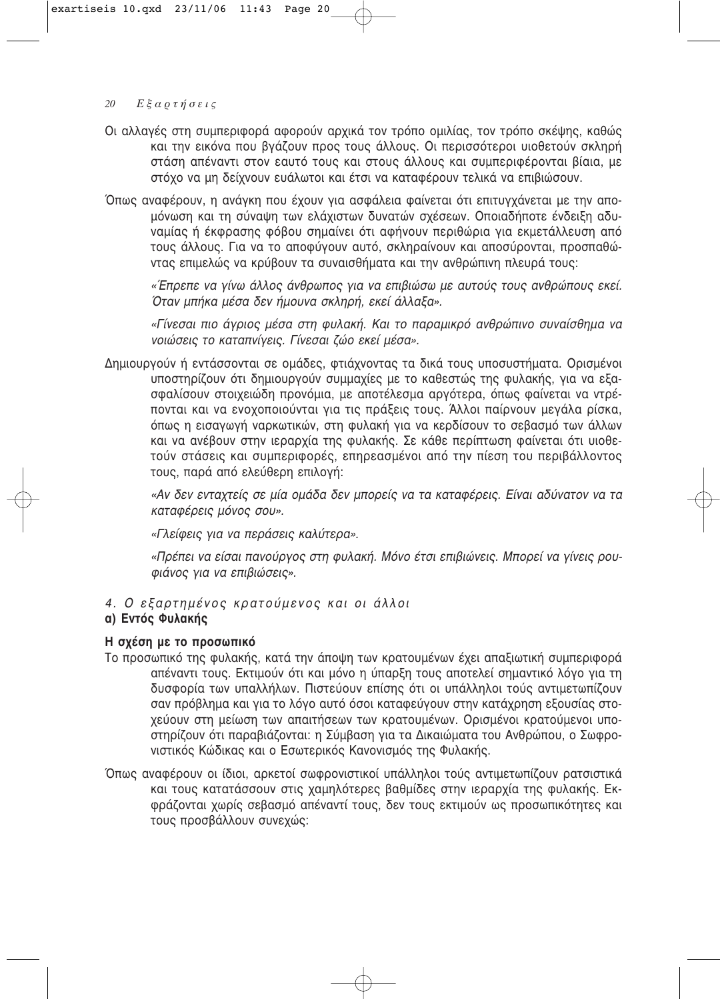- Οι αλλαγές στη συμπεριφορά αφορούν αρχικά τον τρόπο ομιλίας, τον τρόπο σκέψης, καθώς και την εικόνα που βγάζουν προς τους άλλους. Οι περισσότεροι υιοθετούν σκληρή στάση απέναντι στον εαυτό τους και στους άλλους και συμπεριφέρονται βίαια, με στόχο να μη δείχνουν ευάλωτοι και έτσι να καταφέρουν τελικά να επιβιώσουν.
- Όπως αναφέρουν, η ανάγκη που έχουν για ασφάλεια φαίνεται ότι επιτυγχάνεται με την απομόνωση και τη σύναψη των ελάχιστων δυνατών σχέσεων. Οποιαδήποτε ένδειξη αδυναμίας ή έκφρασης φόβου σημαίνει ότι αφήνουν περιθώρια για εκμετάλλευση από τους άλλους. Για να το αποφύγουν αυτό, σκληραίνουν και αποσύρονται, προσπαθώντας επιμελώς να κρύβουν τα συναισθήματα και την ανθρώπινη πλευρά τους:

«Έπρεπε να γίνω άλλος άνθρωπος για να επιβιώσω με αυτούς τους ανθρώπους εκεί. Όταν μπήκα μέσα δεν ήμουνα σκληρή, εκεί άλλαξα».

«Γίνεσαι πιο άγριος μέσα στη φυλακή. Και το παραμικρό ανθρώπινο συναίσθημα να νοιώσεις το καταπνίγεις. Γίνεσαι ζώο εκεί μέσα».

Δημιουργούν ή εντάσσονται σε ομάδες, φτιάχνοντας τα δικά τους υποσυστήματα. Ορισμένοι υποστηρίζουν ότι δημιουργούν συμμαχίες με το καθεστώς της φυλακής, για να εξασφαλίσουν στοιχειώδη προνόμια, με αποτέλεσμα αργότερα, όπως φαίνεται να ντρέπονται και να ενοχοποιούνται για τις πράξεις τους. Άλλοι παίρνουν μεγάλα ρίσκα, όπως η εισαγωγή ναρκωτικών, στη φυλακή για να κερδίσουν το σεβασμό των άλλων και να ανέβουν στην ιεραρχία της φυλακής. Σε κάθε περίπτωση φαίνεται ότι υιοθετούν στάσεις και συμπεριφορές, επηρεασμένοι από την πίεση του περιβάλλοντος τους, παρά από ελεύθερη επιλογή:

«Αν δεν ενταχτείς σε μία ομάδα δεν μπορείς να τα καταφέρεις. Είναι αδύνατον να τα καταφέρεις μόνος σου».

«Γλείφεις για να περάσεις καλύτερα».

«Πρέπει να είσαι πανούργος στη φυλακή. Μόνο έτσι επιβιώνεις. Μπορεί να γίνεις ρουφιάνος για να επιβιώσεις».

4. Ο εξαρτημένος κρατούμενος και οι άλλοι

## α) Εντός Φυλακής

## Η σχέση με το προσωπικό

- Το προσωπικό της φυλακής, κατά την άποψη των κρατουμένων έχει απαξιωτική συμπεριφορά απέναντι τους. Εκτιμούν ότι και μόνο η ύπαρξη τους αποτελεί σημαντικό λόγο για τη δυσφορία των υπαλλήλων. Πιστεύουν επίσης ότι οι υπάλληλοι τούς αντιμετωπίζουν σαν πρόβλημα και για το λόγο αυτό όσοι καταφεύγουν στην κατάχρηση εξουσίας στοχεύουν στη μείωση των απαιτήσεων των κρατουμένων. Ορισμένοι κρατούμενοι υποστηρίζουν ότι παραβιάζονται: η Σύμβαση για τα Δικαιώματα του Ανθρώπου, ο Σωφρονιστικός Κώδικας και ο Εσωτερικός Κανονισμός της Φυλακής.
- Όπως αναφέρουν οι ίδιοι, αρκετοί σωφρονιστικοί υπάλληλοι τούς αντιμετωπίζουν ρατσιστικά και τους κατατάσσουν στις χαμηλότερες βαθμίδες στην ιεραρχία της φυλακής. Εκφράζονται χωρίς σεβασμό απέναντί τους, δεν τους εκτιμούν ως προσωπικότητες και τους προσβάλλουν συνεχώς: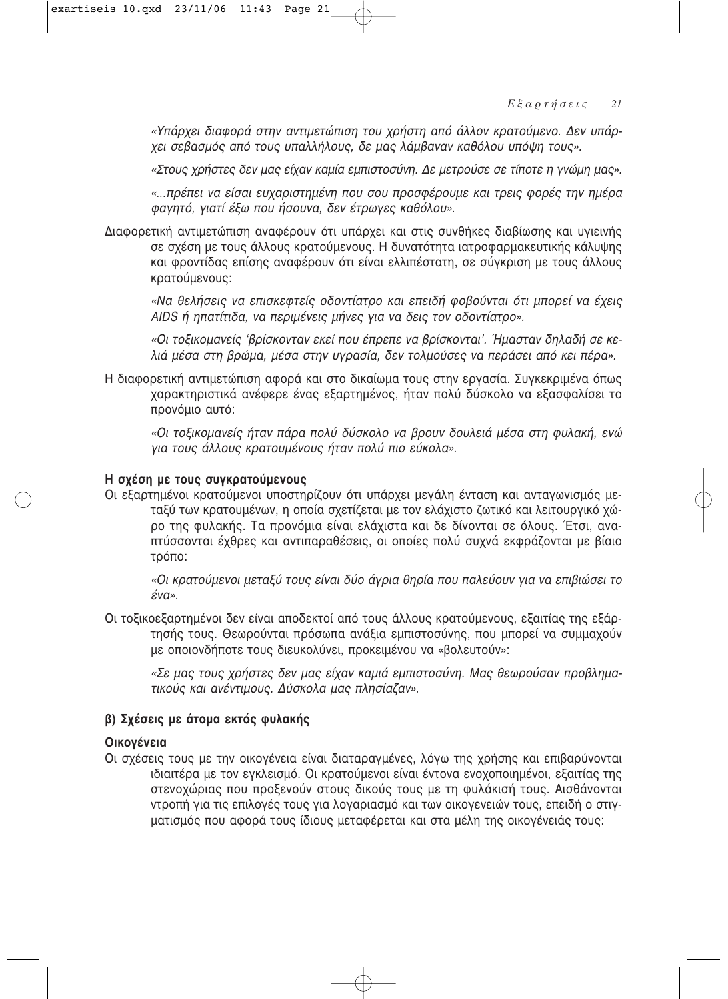«Υπάρχει διαφορά στην αντιμετώπιση του χρήστη από άλλον κρατούμενο. Δεν υπάρ- $\chi$ ει σεβασμός από τους υπαλλήλους. δε μας λάμβαναν καθόλου υπόψη τους».

«Στους χρήστες δεν μας είχαν καμία εμπιστοσύνη. Δε μετρούσε σε τίποτε η γνώμη μας».

«…πρέπει να είσαι ευχαριστημένη που σου προσφέρουμε και τρεις φορές την ημέρα **Φανητό, γιατί έξω που ήσουνα, δεν έτρωνες καθόλου».** 

Διαφορετική αντιμετώπιση αναφέρουν ότι υπάρχει και στις συνθήκες διαβίωσης και υγιεινής σε σχέση με τους άλλους κρατούμενους. Η δυνατότητα ιατροφαρμακευτικής κάλυψης και φροντίδας επίσης αναφέρουν ότι είναι ελλιπέστατη, σε σύγκριση με τους άλλους **κρατούμενους:** 

«Να θελήσεις να επισκεφτείς οδοντίατρο και επειδή φοβούνται ότι μπορεί να έχεις *AIDS ή ηπατίτιδα, να περιμένεις μήνες για να δεις τον οδοντίατρο».* 

«Οι τοξικομανείς 'βρίσκονταν εκεί που έπρεπε να βρίσκονται'. Ήμασταν δηλαδή σε κελιά μέσα στη βρώμα, μέσα στην υγρασία, δεν τολμούσες να περάσει από κει πέρα».

Η διαφορετική αντιμετώπιση αφορά και στο δικαίωμα τους στην εργασία. Συγκεκριμένα όπως .<br>χαρακτηριστικά ανέφερε ένας εξαρτημένος, ήταν πολύ δύσκολο να εξασφαλίσει το προνόμιο αυτό:

«Οι τοξικομανείς ήταν πάρα πολύ δύσκολο να βρουν δουλειά μέσα στη φυλακή, ενώ για τους άλλους κρατουμένους ήταν πολύ πιο εύκολα».

## **Η σχέση με τους συγκρατούμενους**

Οι εξαρτημένοι κρατούμενοι υποστηρίζουν ότι υπάρχει μεγάλη ένταση και ανταγωνισμός μεταξύ των κρατουμένων, η οποία σχετίζεται με τον ελάχιστο ζωτικό και λειτουργικό χώρο της φυλακής. Τα προνόμια είναι ελάχιστα και δε δίνονται σε όλους. Έτσι, αναπτύσσονται έχθρες και αντιπαραθέσεις, οι οποίες πολύ συχνά εκφράζονται με βίαιο τρόπο:

«Οι κρατούμενοι μεταξύ τους είναι δύο άγρια θηρία που παλεύουν για να επιβιώσει το *¤Ó·».*

Οι τοξικοεξαρτημένοι δεν είναι αποδεκτοί από τους άλλους κρατούμενους, εξαιτίας της εξάρτησής τους. Θεωρούνται πρόσωπα ανάξια εμπιστοσύνης, που μπορεί να συμμαχούν με οποιονδήποτε τους διευκολύνει, προκειμένου να «βολευτούν»:

«Σε μας τους χρήστες δεν μας είχαν καμιά εμπιστοσύνη. Μας θεωρούσαν προβλημα*τικούς και ανέντιμους. Δύσκολα μας πλησίαζαν».* 

## **β) Σχέσεις με άτομα εκτός φυλακής**

## **Οικογένεια**

Οι σχέσεις τους με την οικογένεια είναι διαταραγμένες, λόγω της χρήσης και επιβαρύνονται ιδιαιτέρα με τον εγκλεισμό. Οι κρατούμενοι είναι έντονα ενοχοποιημένοι, εξαιτίας της στενοχώριας που προξενούν στους δικούς τους με τη φυλάκισή τους. Αισθάνονται ντροπή για τις επιλογές τους για λογαριασμό και των οικογενειών τους, επειδή ο στιγματισμός που αφορά τους ίδιους μεταφέρεται και στα μέλη της οικογένειάς τους: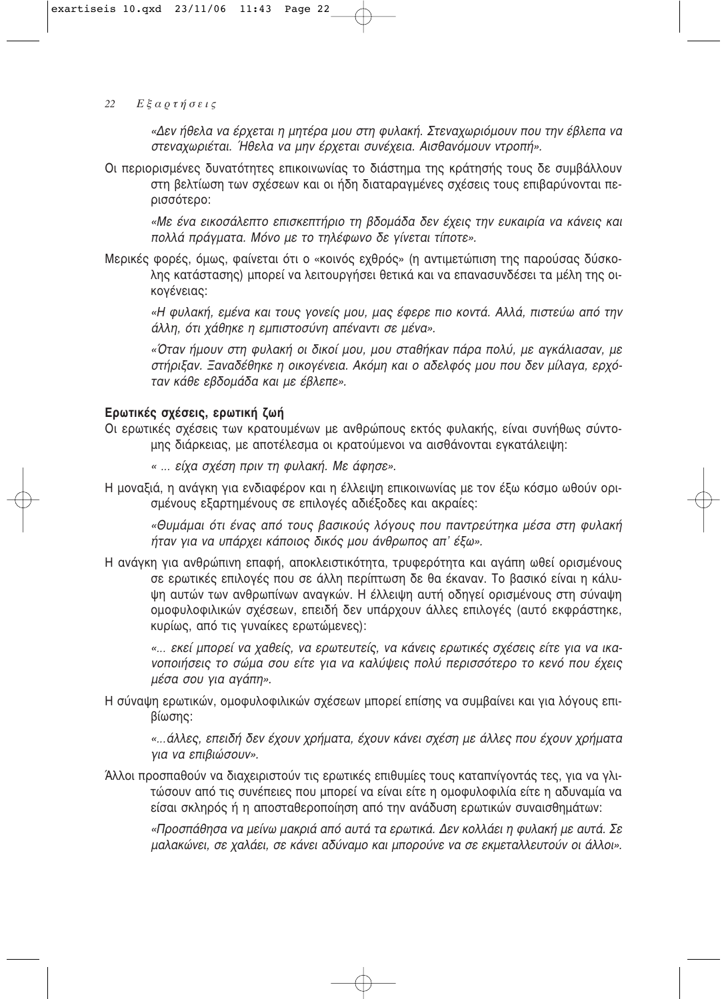«Δεν ήθελα να έρχεται η μητέρα μου στη φυλακή. Στεναχωριόμουν που την έβλεπα να στεναχωριέται. Ήθελα να μην έρχεται συνέχεια. Αισθανόμουν ντροπή».

Οι περιορισμένες δυνατότητες επικοινωνίας το διάστημα της κράτησής τους δε συμβάλλουν στη βελτίωση των σχέσεων και οι ήδη διαταραγμένες σχέσεις τους επιβαρύνονται περισσότερο:

«Με ένα εικοσάλεπτο επισκεπτήριο τη βδομάδα δεν έχεις την ευκαιρία να κάνεις και πολλά πράγματα. Μόνο με το τηλέφωνο δε γίνεται τίποτε».

Μερικές φορές, όμως, φαίνεται ότι ο «κοινός εχθρός» (η αντιμετώπιση της παρούσας δύσκολης κατάστασης) μπορεί να λειτουργήσει θετικά και να επανασυνδέσει τα μέλη της οικογένειας:

«Η φυλακή, εμένα και τους γονείς μου, μας έφερε πιο κοντά. Αλλά, πιστεύω από την άλλη, ότι χάθηκε η εμπιστοσύνη απέναντι σε μένα».

«Όταν ήμουν στη φυλακή οι δικοί μου, μου σταθήκαν πάρα πολύ, με αγκάλιασαν, με στήριξαν. Ξαναδέθηκε η οικογένεια. Ακόμη και ο αδελφός μου που δεν μίλαγα, ερχόταν κάθε εβδομάδα και με έβλεπε».

## Ερωτικές σχέσεις, ερωτική ζωή

Οι ερωτικές σχέσεις των κρατουμένων με ανθρώπους εκτός φυλακής, είναι συνήθως σύντομης διάρκειας, με αποτέλεσμα οι κρατούμενοι να αισθάνονται εγκατάλειψη:

« ... είχα σχέση πριν τη φυλακή. Με άφησε».

Η μοναξιά, η ανάγκη για ενδιαφέρον και η έλλειψη επικοινωνίας με τον έξω κόσμο ωθούν ορισμένους εξαρτημένους σε επιλογές αδιέξοδες και ακραίες:

«Θυμάμαι ότι ένας από τους βασικούς λόγους που παντρεύτηκα μέσα στη φυλακή ήταν για να υπάρχει κάποιος δικός μου άνθρωπος απ' έξω».

Η ανάγκη για ανθρώπινη επαφή, αποκλειστικότητα, τρυφερότητα και αγάπη ωθεί ορισμένους σε ερωτικές επιλογές που σε άλλη περίπτωση δε θα έκαναν. Το βασικό είναι η κάλυψη αυτών των ανθρωπίνων αναγκών. Η έλλειψη αυτή οδηγεί ορισμένους στη σύναψη ομοφυλοφιλικών σχέσεων, επειδή δεν υπάρχουν άλλες επιλογές (αυτό εκφράστηκε, κυρίως, από τις γυναίκες ερωτώμενες):

«... εκεί μπορεί να χαθείς, να ερωτευτείς, να κάνεις ερωτικές σχέσεις είτε για να ικανοποιήσεις το σώμα σου είτε για να καλύψεις πολύ περισσότερο το κενό που έχεις μέσα σου για αγάπη».

Η σύναψη ερωτικών, ομοφυλοφιλικών σχέσεων μπορεί επίσης να συμβαίνει και για λόγους επιβίωσης:

«...άλλες, επειδή δεν έχουν χρήματα, έχουν κάνει σχέση με άλλες που έχουν χρήματα νια να επιβιώσουν».

Άλλοι προσπαθούν να διαχειριστούν τις ερωτικές επιθυμίες τους καταπνίγοντάς τες, για να γλιτώσουν από τις συνέπειες που μπορεί να είναι είτε η ομοφυλοφιλία είτε η αδυναμία να είσαι σκληρός ή η αποσταθεροποίηση από την ανάδυση ερωτικών συναισθημάτων:

«Προσπάθησα να μείνω μακριά από αυτά τα ερωτικά. Δεν κολλάει η φυλακή με αυτά. Σε μαλακώνει, σε χαλάει, σε κάνει αδύναμο και μπορούνε να σε εκμεταλλευτούν οι άλλοι».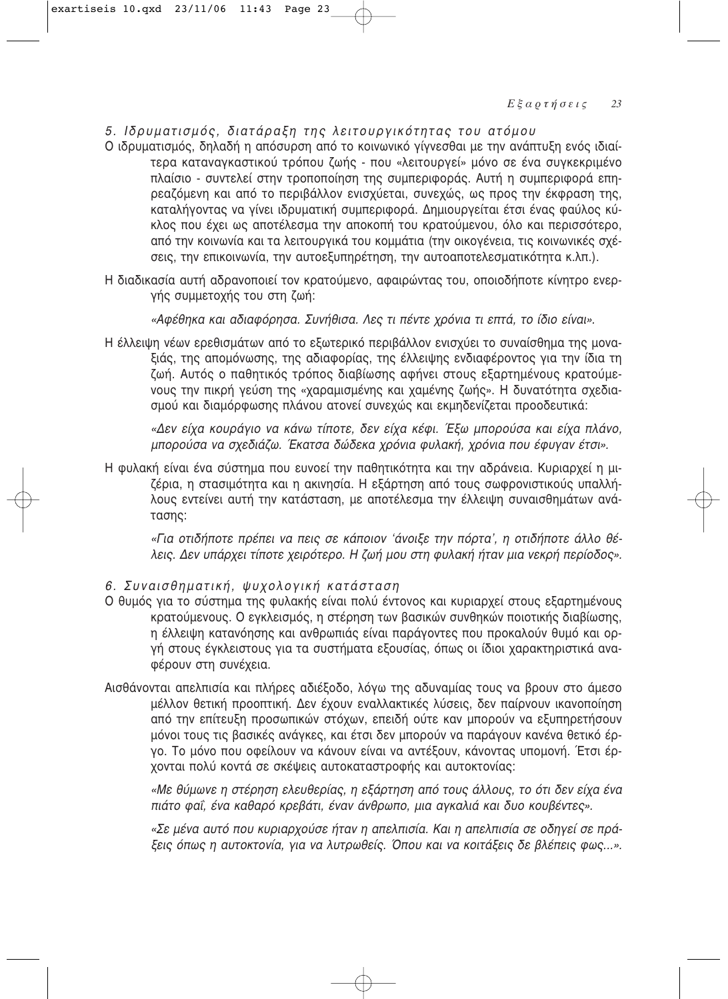## 5. Ιδρυματισμός, διατάραξη της λειτουργικότητας του ατόμου

- Ο ιδρυματισμός, δηλαδή η απόσυρση από το κοινωνικό γίγνεσθαι με την ανάπτυξη ενός ιδιαίτερα καταναγκαστικού τρόπου ζωής - που «λειτουργεί» μόνο σε ένα συγκεκριμένο πλαίσιο - συντελεί στην τροποποίηση της συμπεριφοράς. Αυτή η συμπεριφορά επηρεαζόμενη και από το περιβάλλον ενισχύεται, συνεχώς, ως προς την έκφραση της, καταλήγοντας να γίνει ιδρυματική συμπεριφορά. Δημιουργείται έτσι ένας φαύλος κύκλος που έχει ως αποτέλεσμα την αποκοπή του κρατούμενου, όλο και περισσότερο, από την κοινωνία και τα λειτουργικά του κομμάτια (την οικονένεια, τις κοινωνικές σχέσεις, την επικοινωνία, την αυτοεξυπηρέτηση, την αυτοαποτελεσματικότητα κ.λπ.).
- Η διαδικασία αυτή αδρανοποιεί τον κρατούμενο, αφαιρώντας του, οποιοδήποτε κίνητρο ενεργής συμμετοχής του στη ζωή:

«Αφέθηκα και αδιαφόρησα. Συνήθισα. Λες τι πέντε χρόνια τι επτά, το ίδιο είναι».

Η έλλειψη νέων ερεθισμάτων από το εξωτερικό περιβάλλον ενισχύει το συναίσθημα της μοναξιάς, της απομόνωσης, της αδιαφορίας, της έλλειψης ενδιαφέροντος για την ίδια τη ζωή. Αυτός ο παθητικός τρόπος διαβίωσης αφήνει στους εξαρτημένους κρατούμενους την πικρή γεύση της «χαραμισμένης και χαμένης ζωής». Η δυνατότητα σχεδιασμού και διαμόρφωσης πλάνου ατονεί συνεχώς και εκμηδενίζεται προοδευτικά:

«Δεν είχα κουράγιο να κάνω τίποτε, δεν είχα κέφι. Έξω μπορούσα και είχα πλάνο, μπορούσα να σχεδιάζω. Έκατσα δώδεκα χρόνια φυλακή, χρόνια που έφυγαν έτσι».

Η φυλακή είναι ένα σύστημα που ευνοεί την παθητικότητα και την αδράνεια. Κυριαρχεί η μιζέρια, η στασιμότητα και η ακινησία. Η εξάρτηση από τους σωφρονιστικούς υπαλλήλους εντείνει αυτή την κατάσταση, με αποτέλεσμα την έλλειψη συναισθημάτων ανάτασης:

*«°È· ÔÙȉ‹ÔÙ ڤÂÈ Ó· ÂȘ Û οÔÈÔÓ '¿ÓÔÈÍ ÙËÓ fiÚÙ·', Ë ÔÙȉ‹ÔÙ ¿ÏÏÔ ı¤* λεις. Δεν υπάρχει τίποτε χειρότερο. Η ζωή μου στη φυλακή ήταν μια νεκρή περίοδος».

- 6. Συναισθηματική, ψυχολογική κατάσταση
- Ο θυμός για το σύστημα της φυλακής είναι πολύ έντονος και κυριαρχεί στους εξαρτημένους κρατούμενους. Ο εγκλεισμός, η στέρηση των βασικών συνθηκών ποιοτικής διαβίωσης, η έλλειψη κατανόησης και ανθρωπιάς είναι παράγοντες που προκαλούν θυμό και οργή στους έγκλειστους για τα συστήματα εξουσίας, όπως οι ίδιοι χαρακτηριστικά αναφέρουν στη συνέχεια.
- Aισθάνονται απελπισία και πλήρες αδιέξοδο, λόγω της αδυναμίας τους να βρουν στο άμεσο μέλλον θετική προοπτική. Δεν έχουν εναλλακτικές λύσεις, δεν παίρνουν ικανοποίηση από την επίτευξη προσωπικών στόχων, επειδή ούτε καν μπορούν να εξυπηρετήσουν μόνοι τους τις βασικές ανάγκες, και έτσι δεν μπορούν να παράγουν κανένα θετικό έργο. Το μόνο που οφείλουν να κάνουν είναι να αντέξουν, κάνοντας υπομονή, Έτσι έρχονται πολύ κοντά σε σκέψεις αυτοκαταστροφής και αυτοκτονίας:

«Με θύμωνε η στέρηση ελευθερίας, η εξάρτηση από τους άλλους, το ότι δεν είχα ένα πιάτο φαΐ, ένα καθαρό κρεβάτι, έναν άνθρωπο, μια αγκαλιά και δυο κουβέντες».

«Σε μένα αυτό που κυριαρχούσε ήταν η απελπισία. Και η απελπισία σε οδηγεί σε πρά*ξεις όπως η αυτοκτονία, για να λυτρωθείς. Όπου και να κοιτάξεις δε βλέπεις φως...».*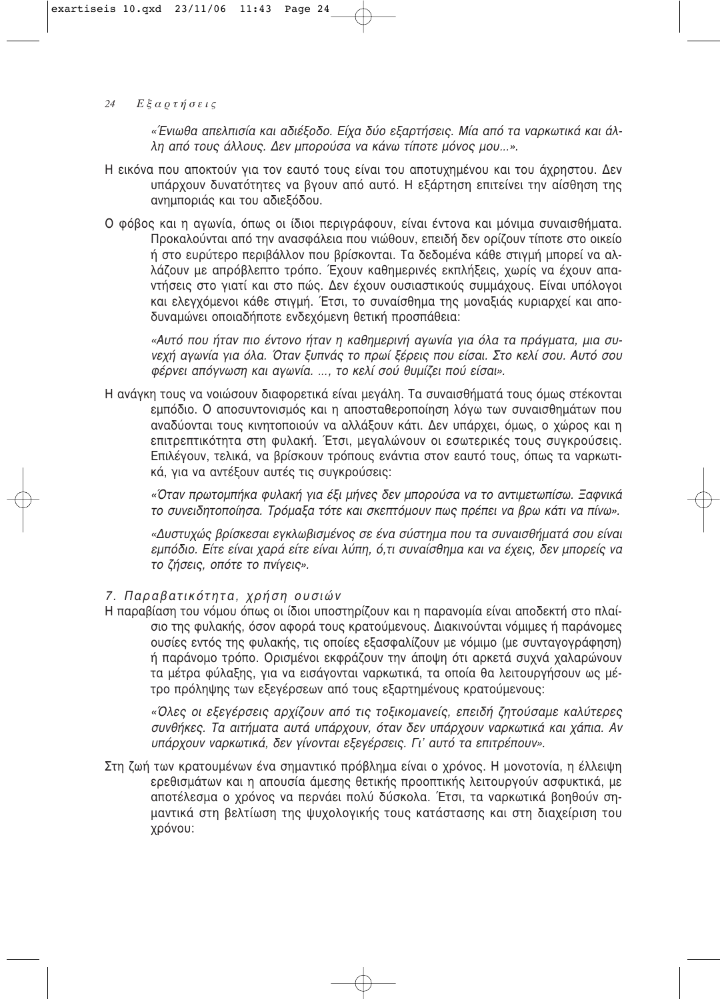«Ένιωθα απελπισία και αδιέξοδο. Είχα δύο εξαρτήσεις. Μία από τα ναρκωτικά και άλ*λη από τους άλλους. Δεν μπορούσα να κάνω τίποτε μόνος μου...».* 

- Η εικόνα που αποκτούν για τον εαυτό τους είναι του αποτυχημένου και του άχρηστου. Δεν υπάρχουν δυνατότητες να βγουν από αυτό. Η εξάρτηση επιτείνει την αίσθηση της ανημποριάς και του αδιεξόδου.
- Ο φόβος και η αγωνία, όπως οι ίδιοι περιγράφουν, είναι έντονα και μόνιμα συναισθήματα. Προκαλούνται από την ανασφάλεια που νιώθουν, επειδή δεν ορίζουν τίποτε στο οικείο ή στο ευρύτερο περιβάλλον που βρίσκονται. Τα δεδομένα κάθε στινμή μπορεί να αλλάζουν με απρόβλεπτο τρόπο. Έχουν καθημερινές εκπλήξεις, χωρίς να έχουν απαντήσεις στο γιατί και στο πώς. Δεν έχουν ουσιαστικούς συμμάχους. Είναι υπόλογοι και ελεγχόμενοι κάθε στιγμή. Έτσι, το συναίσθημα της μοναξιάς κυριαρχεί και αποδυναμώνει οποιαδήποτε ενδεχόμενη θετική προσπάθεια:

«Αυτό που ήταν πιο έντονο ήταν η καθημερινή αγωνία για όλα τα πράγματα, μια συνεχή αγωνία για όλα. Όταν ξυπνάς το πρωί ξέρεις που είσαι. Στο κελί σου. Αυτό σου  $\phi$ έρνει απόγνωση και αγωνία. ..., το κελί σού θυμίζει πού είσαι».

Η ανάγκη τους να νοιώσουν διαφορετικά είναι μεγάλη. Τα συναισθήματά τους όμως στέκονται εμπόδιο. Ο αποσυντονισμός και η αποσταθεροποίηση λόγω των συναισθημάτων που αναδύονται τους κινητοποιούν να αλλάξουν κάτι. Δεν υπάρχει, όμως, ο χώρος και η επιτρεπτικότητα στη φυλακή. Έτσι, μεγαλώνουν οι εσωτερικές τους συγκρούσεις. Επιλέγουν, τελικά, να βρίσκουν τρόπους ενάντια στον εαυτό τους, όπως τα ναρκωτικά, για να αντέξουν αυτές τις συγκρούσεις:

«Όταν πρωτομπήκα φυλακή για έξι μήνες δεν μπορούσα να το αντιμετωπίσω. Ξαφνικά το συνειδητοποίησα. Τρόμαξα τότε και σκεπτόμουν πως πρέπει να βρω κάτι να πίνω».

«Δυστυχώς βρίσκεσαι εγκλωβισμένος σε ένα σύστημα που τα συναισθήματά σου είναι εμπόδιο. Είτε είναι χαρά είτε είναι λύπη, ό,τι συναίσθημα και να έχεις, δεν μπορείς να *το ζήσεις, οπότε το πνίγεις».* 

## *7. Παραβατικότητα, χρήση ουσιών*

Η παραβίαση του νόμου όπως οι ίδιοι υποστηρίζουν και η παρανομία είναι αποδεκτή στο πλαίσιο της φυλακής, όσον αφορά τους κρατούμενους. Διακινούνται νόμιμες ή παράνομες ουσίες εντός της φυλακής, τις οποίες εξασφαλίζουν με νόμιμο (με συνταγογράφηση) ή παράνομο τρόπο. Ορισμένοι εκφράζουν την άποψη ότι αρκετά συχνά χαλαρώνουν τα μέτρα φύλαξης, για να εισάγονται ναρκωτικά, τα οποία θα λειτουργήσουν ως μέτρο πρόληψης των εξεγέρσεων από τους εξαρτημένους κρατούμενους:

«Όλες οι εξεγέρσεις αρχίζουν από τις τοξικομανείς, επειδή ζητούσαμε καλύτερες συνθήκες. Τα αιτήματα αυτά υπάρχουν, όταν δεν υπάρχουν ναρκωτικά και χάπια. Αν υπάρχουν ναρκωτικά, δεν γίνονται εξεγέρσεις. Γι' αυτό τα επιτρέπουν».

Στη ζωή των κρατουμένων ένα σημαντικό πρόβλημα είναι ο χρόνος. Η μονοτονία, η έλλειψη ερεθισμάτων και η απουσία άμεσης θετικής προοπτικής λειτουργούν ασφυκτικά, με αποτέλεσμα ο χρόνος να περνάει πολύ δύσκολα. Έτσι, τα ναρκωτικά βοηθούν σημαντικά στη βελτίωση της ψυχολογικής τους κατάστασης και στη διαχείριση του χρόνου: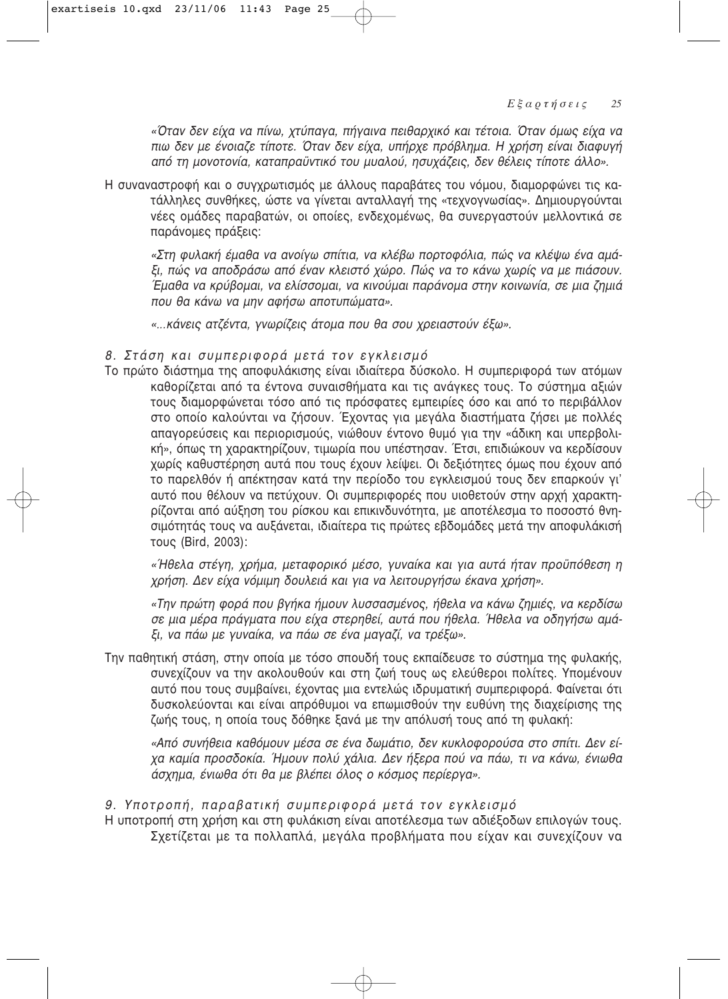«Όταν δεν είχα να πίνω, χτύπαγα, πήγαινα πειθαρχικό και τέτοια. Όταν όμως είχα να πιω δεν με ένοιαζε τίποτε. Όταν δεν είχα, υπήρχε πρόβλημα. Η χρήση είναι διαφυγή από τη μονοτονία, καταπραϋντικό του μυαλού, ησυχάζεις, δεν θέλεις τίποτε άλλο».

Η συναναστροφή και ο συγχρωτισμός με άλλους παραβάτες του νόμου, διαμορφώνει τις κατάλληλες συνθήκες, ώστε να γίνεται ανταλλαγή της «τεχνογνωσίας». Δημιουργούνται νέες ομάδες παραβατών, οι οποίες, ενδεχομένως, θα συνεργαστούν μελλοντικά σε παράνομες πράξεις:

«Στη φυλακή έμαθα να ανοίνω σπίτια, να κλέβω πορτοφόλια, πώς να κλέψω ένα αμάξι, πώς να αποδράσω από έναν κλειστό χώρο. Πώς να το κάνω χωρίς να με πιάσουν. Έμαθα να κρύβομαι, να ελίσσομαι, να κινούμαι παράνομα στην κοινωνία, σε μια ζημιά που θα κάνω να μην αφήσω αποτυπώματα».

«...κάνεις ατζέντα, γνωρίζεις άτομα που θα σου χρειαστούν έξω».

## 8. Στάση και συμπεριφορά μετά τον εγκλεισμό

Το πρώτο διάστημα της αποφυλάκισης είναι ιδιαίτερα δύσκολο. Η συμπεριφορά των ατόμων καθορίζεται από τα έντονα συναισθήματα και τις ανάγκες τους. Το σύστημα αξιών τους διαμορφώνεται τόσο από τις πρόσφατες εμπειρίες όσο και από το περιβάλλον στο οποίο καλούνται να ζήσουν. Έχοντας για μεγάλα διαστήματα ζήσει με πολλές απαγορεύσεις και περιορισμούς, νιώθουν έντονο θυμό για την «άδικη και υπερβολική», όπως τη χαρακτηρίζουν, τιμωρία που υπέστησαν. Έτσι, επιδιώκουν να κερδίσουν χωρίς καθυστέρηση αυτά που τους έχουν λείψει. Οι δεξιότητες όμως που έχουν από το παρελθόν ή απέκτησαν κατά την περίοδο του εγκλεισμού τους δεν επαρκούν γι' αυτό που θέλουν να πετύχουν. Οι συμπεριφορές που υιοθετούν στην αρχή χαρακτηρίζονται από αύξηση του ρίσκου και επικινδυνότητα, με αποτέλεσμα το ποσοστό θνησιμότητάς τους να αυξάνεται, ιδιαίτερα τις πρώτες εβδομάδες μετά την αποφυλάκισή τους (Bird, 2003):

«Ήθελα στέγη, χρήμα, μεταφορικό μέσο, γυναίκα και για αυτά ήταν προϋπόθεση η χρήση. Δεν είχα νόμιμη δουλειά και για να λειτουργήσω έκανα χρήση».

«Την πρώτη φορά που βγήκα ήμουν λυσσασμένος, ήθελα να κάνω ζημιές, να κερδίσω σε μια μέρα πράγματα που είχα στερηθεί, αυτά που ήθελα. Ήθελα να οδηγήσω αμάξι, να πάω με γυναίκα, να πάω σε ένα μαγαζί, να τρέξω».

Την παθητική στάση, στην οποία με τόσο σπουδή τους εκπαίδευσε το σύστημα της φυλακής, συνεχίζουν να την ακολουθούν και στη ζωή τους ως ελεύθεροι πολίτες. Υπομένουν αυτό που τους συμβαίνει, έχοντας μια εντελώς ιδρυματική συμπεριφορά. Φαίνεται ότι δυσκολεύονται και είναι απρόθυμοι να επωμισθούν την ευθύνη της διαχείρισης της ζωής τους, η οποία τους δόθηκε ξανά με την απόλυσή τους από τη φυλακή:

«Από συνήθεια καθόμουν μέσα σε ένα δωμάτιο, δεν κυκλοφορούσα στο σπίτι. Δεν είχα καμία προσδοκία. Ήμουν πολύ χάλια. Δεν ήξερα πού να πάω, τι να κάνω, ένιωθα άσχημα, ένιωθα ότι θα με βλέπει όλος ο κόσμος περίεργα».

9. Υποτροπή, παραβατική συμπεριφορά μετά τον εγκλεισμό

Η υποτροπή στη χρήση και στη φυλάκιση είναι αποτέλεσμα των αδιέξοδων επιλογών τους. Σχετίζεται με τα πολλαπλά, μεγάλα προβλήματα που είχαν και συνεχίζουν να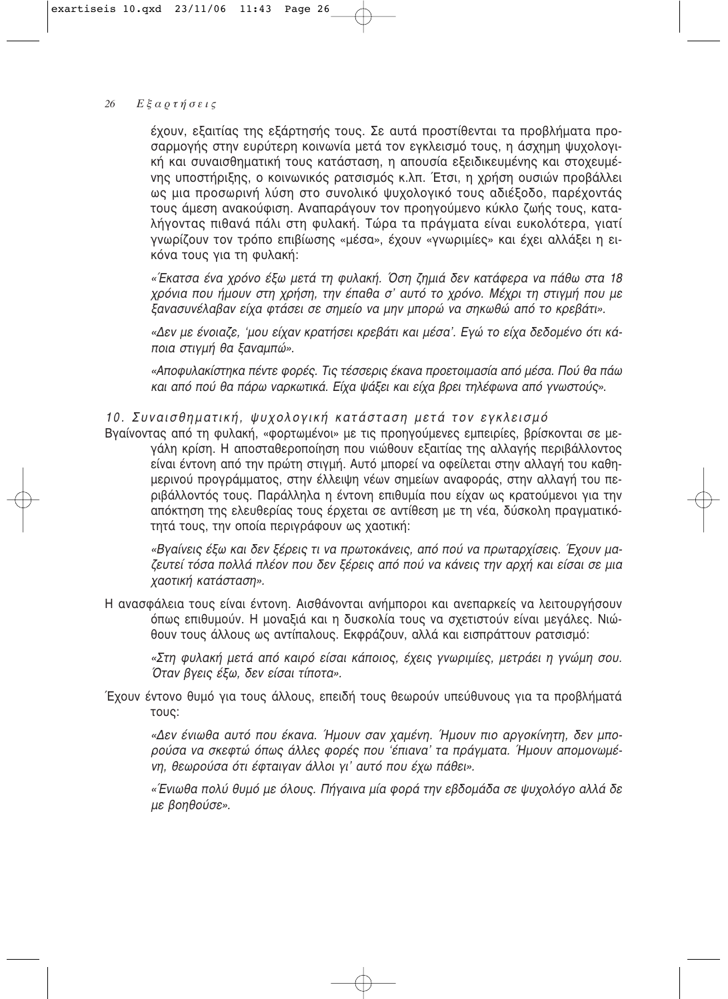έχουν, εξαιτίας της εξάρτησής τους. Σε αυτά προστίθενται τα προβλήματα προσαρμογής στην ευρύτερη κοινωνία μετά τον εγκλεισμό τους, η άσχημη ψυχολογική και συναισθηματική τους κατάσταση, η απουσία εξειδικευμένης και στοχευμένης υποστήριξης, ο κοινωνικός ρατσισμός κ.λπ. Έτσι, η χρήση ουσιών προβάλλει ως μια προσωρινή λύση στο συνολικό ψυχολογικό τους αδιέξοδο, παρέχοντάς τους άμεση ανακούφιση. Αναπαράγουν τον προηγούμενο κύκλο ζωής τους, καταλήγοντας πιθανά πάλι στη φυλακή. Τώρα τα πράγματα είναι ευκολότερα, γιατί γνωρίζουν τον τρόπο επιβίωσης «μέσα», έχουν «γνωριμίες» και έχει αλλάξει η εικόνα τους για τη φυλακή:

«Έκατσα ένα χρόνο έξω μετά τη φυλακή. Όση ζημιά δεν κατάφερα να πάθω στα 18 χρόνια που ήμουν στη χρήση, την έπαθα σ' αυτό το χρόνο. Μέχρι τη στιγμή που με ξανασυνέλαβαν είχα φτάσει σε σημείο να μην μπορώ να σηκωθώ από το κρεβάτι».

«Δεν με ένοιαζε, 'μου είχαν κρατήσει κρεβάτι και μέσα'. Εγώ το είχα δεδομένο ότι κάποια στιγμή θα ξαναμπώ».

«Αποφυλακίστηκα πέντε φορές. Τις τέσσερις έκανα προετοιμασία από μέσα. Πού θα πάω και από πού θα πάρω ναρκωτικά. Είχα ψάξει και είχα βρει τηλέφωνα από γνωστούς».

10. Συναισθηματική, ψυχολονική κατάσταση μετά τον ενκλεισμό

Βγαίνοντας από τη φυλακή, «φορτωμένοι» με τις προηγούμενες εμπειρίες, βρίσκονται σε μεγάλη κρίση. Η αποσταθεροποίηση που νιώθουν εξαιτίας της αλλαγής περιβάλλοντος είναι έντονη από την πρώτη στιγμή. Αυτό μπορεί να οφείλεται στην αλλαγή του καθημερινού προγράμματος, στην έλλειψη νέων σημείων αναφοράς, στην αλλαγή του περιβάλλοντός τους. Παράλληλα η έντονη επιθυμία που είχαν ως κρατούμενοι για την απόκτηση της ελευθερίας τους έρχεται σε αντίθεση με τη νέα, δύσκολη πραγματικότητά τους, την οποία περιγράφουν ως χαοτική:

«Βγαίνεις έξω και δεν ξέρεις τι να πρωτοκάνεις, από πού να πρωταρχίσεις. Έχουν μαζευτεί τόσα πολλά πλέον που δεν ξέρεις από πού να κάνεις την αρχή και είσαι σε μια χαοτική κατάσταση».

Η ανασφάλεια τους είναι έντονη. Αισθάνονται ανήμποροι και ανεπαρκείς να λειτουργήσουν όπως επιθυμούν. Η μοναξιά και η δυσκολία τους να σχετιστούν είναι μεγάλες. Νιώθουν τους άλλους ως αντίπαλους. Εκφράζουν, αλλά και εισπράττουν ρατσισμό:

«Στη φυλακή μετά από καιρό είσαι κάποιος, έχεις γνωριμίες, μετράει η γνώμη σου. Όταν βγεις έξω, δεν είσαι τίποτα».

Έχουν έντονο θυμό για τους άλλους, επειδή τους θεωρούν υπεύθυνους για τα προβλήματά TOUC:

«Δεν ένιωθα αυτό που έκανα. Ήμουν σαν χαμένη. Ήμουν πιο αργοκίνητη, δεν μπορούσα να σκεφτώ όπως άλλες φορές που 'έπιανα' τα πράνματα. Ήμουν απομονωμένη, θεωρούσα ότι έφταιγαν άλλοι γι' αυτό που έχω πάθει».

«Ένιωθα πολύ θυμό με όλους. Πήγαινα μία φορά την εβδομάδα σε ψυχολόγο αλλά δε με βοηθούσε».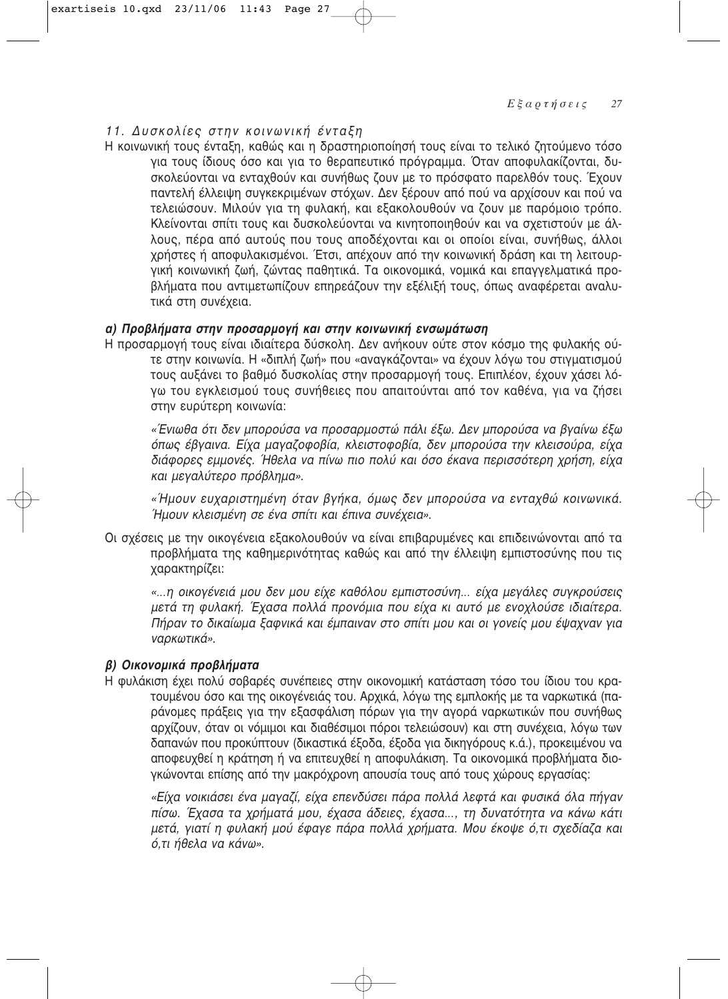## 11. Δυσκολίες στην κοινωνική ένταξη

Η κοινωνική τους ένταξη, καθώς και η δραστηριοποίησή τους είναι το τελικό ζητούμενο τόσο για τους ίδιους όσο και για το θεραπευτικό πρόγραμμα. Όταν αποφυλακίζονται, δυσκολεύονται να ενταχθούν και συνήθως ζουν με το πρόσφατο παρελθόν τους. Έχουν παντελή έλλειψη συγκεκριμένων στόχων. Δεν ξέρουν από πού να αρχίσουν και πού να τελειώσουν. Μιλούν για τη φυλακή, και εξακολουθούν να ζουν με παρόμοιο τρόπο. Κλείνονται σπίτι τους και δυσκολεύονται να κινητοποιηθούν και να σχετιστούν με άλλους, πέρα από αυτούς που τους αποδέχονται και οι οποίοι είναι, συνήθως, άλλοι χρήστες ή αποφυλακισμένοι. Έτσι, απέχουν από την κοινωνική δράση και τη λειτουργική κοινωνική ζωή, ζώντας παθητικά. Τα οικονομικά, νομικά και επαγγελματικά προβλήματα που αντιμετωπίζουν επηρεάζουν την εξέλιξή τους, όπως αναφέρεται αναλυτικά στη συνέχεια.

## α) Προβλήματα στην προσαρμογή και στην κοινωνική ενσωμάτωση

Η προσαρμογή τους είναι ιδιαίτερα δύσκολη. Δεν ανήκουν ούτε στον κόσμο της φυλακής ούτε στην κοινωνία. Η «διπλή ζωή» που «αναγκάζονται» να έχουν λόγω του στιγματισμού τους αυξάνει το βαθμό δυσκολίας στην προσαρμογή τους. Επιπλέον, έχουν χάσει λόγω του εγκλεισμού τους συνήθειες που απαιτούνται από τον καθένα, για να ζήσει στην ευρύτερη κοινωνία:

«Ένιωθα ότι δεν μπορούσα να προσαρμοστώ πάλι έξω. Δεν μπορούσα να βγαίνω έξω όπως έβγαινα. Είχα μαγαζοφοβία, κλειστοφοβία, δεν μπορούσα την κλεισούρα, είχα διάφορες εμμονές. Ήθελα να πίνω πιο πολύ και όσο έκανα περισσότερη χρήση, είχα και μεγαλύτερο πρόβλημα».

«Ήμουν ευχαριστημένη όταν βγήκα, όμως δεν μπορούσα να ενταχθώ κοινωνικά. Ήμουν κλεισμένη σε ένα σπίτι και έπινα συνέχεια».

Οι σχέσεις με την οικογένεια εξακολουθούν να είναι επιβαρυμένες και επιδεινώνονται από τα προβλήματα της καθημερινότητας καθώς και από την έλλειψη εμπιστοσύνης που τις χαρακτηρίζει:

«...η οικογένειά μου δεν μου είχε καθόλου εμπιστοσύνη... είχα μεγάλες συγκρούσεις μετά τη φυλακή. Έχασα πολλά προνόμια που είχα κι αυτό με ενοχλούσε ιδιαίτερα. Πήραν το δικαίωμα ξαφνικά και έμπαιναν στο σπίτι μου και οι γονείς μου έψαχναν για ναρκωτικά».

## β) Οικονομικά προβλήματα

Η φυλάκιση έχει πολύ σοβαρές συνέπειες στην οικονομική κατάσταση τόσο του ίδιου του κρατουμένου όσο και της οικογένειάς του. Αρχικά, λόγω της εμπλοκής με τα ναρκωτικά (παράνομες πράξεις για την εξασφάλιση πόρων για την αγορά ναρκωτικών που συνήθως αρχίζουν, όταν οι νόμιμοι και διαθέσιμοι πόροι τελειώσουν) και στη συνέχεια, λόγω των δαπανών που προκύπτουν (δικαστικά έξοδα, έξοδα για δικηγόρους κ.ά.), προκειμένου να αποφευχθεί η κράτηση ή να επιτευχθεί η αποφυλάκιση. Τα οικονομικά προβλήματα διογκώνονται επίσης από την μακρόχρονη απουσία τους από τους χώρους εργασίας:

«Είχα νοικιάσει ένα μαγαζί, είχα επενδύσει πάρα πολλά λεφτά και φυσικά όλα πήγαν πίσω. Έχασα τα χρήματά μου, έχασα άδειες, έχασα..., τη δυνατότητα να κάνω κάτι μετά, γιατί η φυλακή μού έφαγε πάρα πολλά χρήματα. Μου έκοψε ό,τι σχεδίαζα και ό.τι ήθελα να κάνω».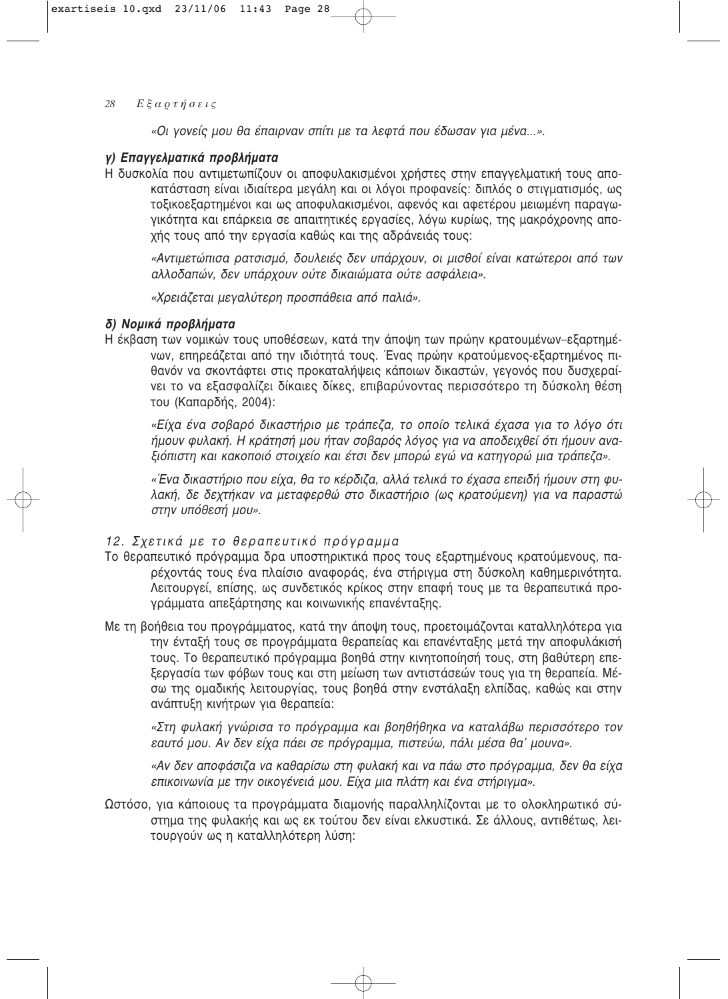«Οι γονείς μου θα έπαιρναν σπίτι με τα λεφτά που έδωσαν για μένα...».

## ν) Επαννελματικά προβλήματα

Η δυσκολία που αντιμετωπίζουν οι αποφυλακισμένοι χρήστες στην επαγγελματική τους αποκατάσταση είναι ιδιαίτερα μεγάλη και οι λόγοι προφανείς: διπλός ο στιγματισμός, ως τοξικοεξαρτημένοι και ως αποφυλακισμένοι, αφενός και αφετέρου μειωμένη παραγωvικότητα και επάρκεια σε απαιτητικές εργασίες, λόγω κυρίως, της μακρόχρονης αποχής τους από την εργασία καθώς και της αδράνειάς τους:

«Αντιμετώπισα ρατσισμό, δουλειές δεν υπάρχουν, οι μισθοί είναι κατώτεροι από των *αλλοδαπών, δεν υπάρχουν ούτε δικαιώματα ούτε ασφάλεια».* 

«Χρειάζεται μεγαλύτερη προσπάθεια από παλιά».

## δ) Νομικά προβλήματα

Η έκβαση των νομικών τους υποθέσεων, κατά την άποψη των πρώην κρατουμένων–εξαρτημένων, επηρεάζεται από την ιδιότητά τους. Ένας πρώην κρατούμενος-εξαρτημένος πιθανόν να σκοντάφτει στις προκαταλήψεις κάποιων δικαστών, γεγονός που δυσχεραίνει το να εξασφαλίζει δίκαιες δίκες, επιβαρύνοντας περισσότερο τη δύσκολη θέση του (Καπαρδής, 2004):

«Είχα ένα σοβαρό δικαστήριο με τράπεζα, το οποίο τελικά έχασα για το λόγο ότι *ήμουν φυλακή. Η κράτησή μου ήταν σοβαρός λόγος για να αποδειχθεί ότι ήμουν αναξιόπιστη και κακοποιό στοιχείο και έτσι δεν μπορώ ενώ να κατηνορώ μια τράπεζα».* 

«Ένα δικαστήριο που είχα, θα το κέρδιζα, αλλά τελικά το έχασα επειδή ήμουν στη φυλακή, δε δεχτήκαν να μεταφερθώ στο δικαστήριο (ως κρατούμενη) για να παραστώ  $\sigma$ την υπόθεσή μου».

## *12. Σχετικά με το θεραπευτικό πρόγραμμα*

- <u>Το θεραπευτικό πρόγραμμα δρα υποστηρικτικά προς τους εξαρτημένους κρατούμενους, πα-</u> ρέχοντάς τους ένα πλαίσιο αναφοράς, ένα στήριγμα στη δύσκολη καθημερινότητα. Λειτουργεί, επίσης, ως συνδετικός κρίκος στην επαφή τους με τα θεραπευτικά προγράμματα απεξάρτησης και κοινωνικής επανένταξης.
- Με τη βοήθεια του προγράμματος, κατά την άποψη τους, προετοιμάζονται καταλληλότερα για την ένταξή τους σε προγράμματα θεραπείας και επανένταξης μετά την αποφυλάκισή τους. Το θεραπευτικό πρόνραμμα βοηθά στην κινητοποίησή τους, στη βαθύτερη επεξεργασία των φόβων τους και στη μείωση των αντιστάσεών τους για τη θεραπεία. Μέσω της ομαδικής λειτουργίας, τους βοηθά στην ενστάλαξη ελπίδας, καθώς και στην ανάπτυξη κινήτρων για θεραπεία:

«Στη φυλακή γνώρισα το πρόγραμμα και βοηθήθηκα να καταλάβω περισσότερο τον εαυτό μου. Αν δεν είχα πάει σε πρόγραμμα, πιστεύω, πάλι μέσα θα' μουνα».

«Αν δεν αποφάσιζα να καθαρίσω στη φυλακή και να πάω στο πρόγραμμα, δεν θα είχα επικοινωνία με την οικογένειά μου. Είχα μια πλάτη και ένα στήριγμα».

Ωστόσο, για κάποιους τα προγράμματα διαμονής παραλληλίζονται με το ολοκληρωτικό σύστημα της φυλακής και ως εκ τούτου δεν είναι ελκυστικά. Σε άλλους, αντιθέτως, λειτουργούν ως η καταλληλότερη λύση: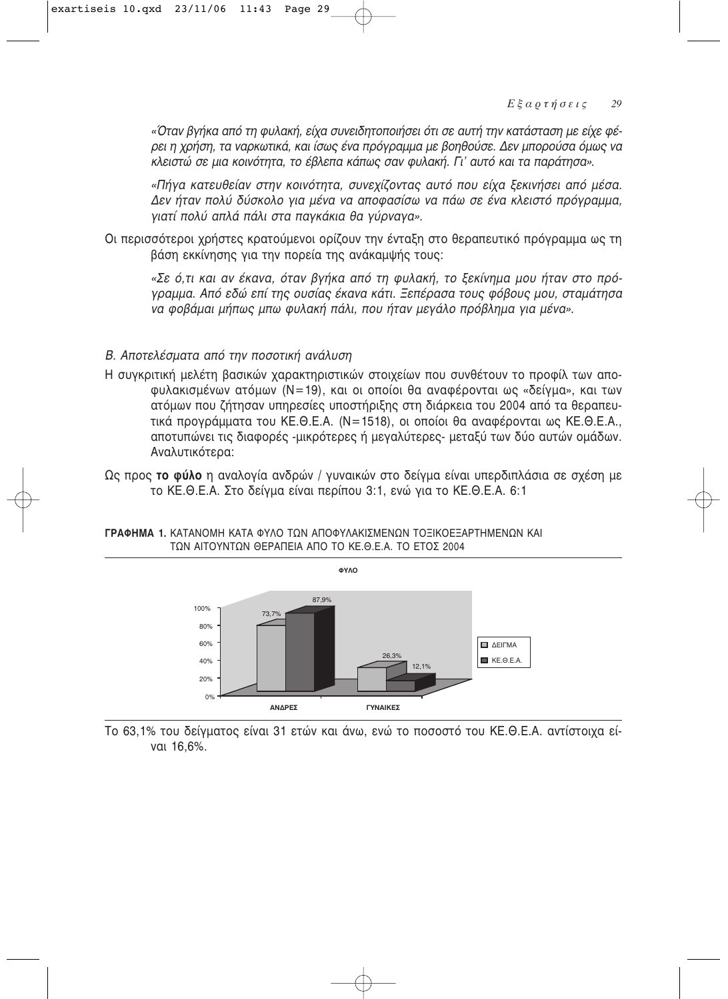«Όταν βγήκα από τη φυλακή, είχα συνειδητοποιήσει ότι σε αυτή την κατάσταση με είχε φέρει η χρήση, τα ναρκωτικά, και ίσως ένα πρόγραμμα με βοηθούσε. Δεν μπορούσα όμως να κλειστώ σε μια κοινότητα, το έβλεπα κάπως σαν φυλακή. Γι' αυτό και τα παράτησα».

«Πήγα κατευθείαν στην κοινότητα, συνεχίζοντας αυτό που είχα ξεκινήσει από μέσα. Δεν ήταν πολύ δύσκολο για μένα να αποφασίσω να πάω σε ένα κλειστό πρόγραμμα. νιατί πολύ απλά πάλι στα πανκάκια θα νύρνανα».

Οι περισσότεροι χρήστες κρατούμενοι ορίζουν την ένταξη στο θεραπευτικό πρόγραμμα ως τη βάση εκκίνησης για την πορεία της ανάκαμψής τους:

«Σε ό,τι και αν έκανα, όταν βγήκα από τη φυλακή, το ξεκίνημα μου ήταν στο πρόγραμμα. Από εδώ επί της ουσίας έκανα κάτι. Ξεπέρασα τους φόβους μου, σταμάτησα να φοβάμαι μήπως μπω φυλακή πάλι, που ήταν μεγάλο πρόβλημα για μένα».

## Β. Αποτελέσματα από την ποσοτική ανάλυση

- Η συγκριτική μελέτη βασικών χαρακτηριστικών στοιχείων που συνθέτουν το προφίλ των αποφυλακισμένων ατόμων (N=19), και οι οποίοι θα αναφέρονται ως «δείγμα», και των ατόμων που ζήτησαν υπηρεσίες υποστήριξης στη διάρκεια του 2004 από τα θεραπευτικά προγράμματα του ΚΕ.Θ.Ε.Α. (N=1518), οι οποίοι θα αναφέρονται ως ΚΕ.Θ.Ε.Α., αποτυπώνει τις διαφορές -μικρότερες ή μεγαλύτερες- μεταξύ των δύο αυτών ομάδων. Αναλυτικότερα:
- Ως προς το φύλο η αναλογία ανδρών / γυναικών στο δείγμα είναι υπερδιπλάσια σε σχέση με το ΚΕ.Θ.Ε.Α. Στο δείγμα είναι περίπου 3:1, ενώ για το ΚΕ.Θ.Ε.Α. 6:1

ΓΡΑΦΗΜΑ 1. ΚΑΤΑΝΟΜΗ ΚΑΤΑ ΦΥΛΟ ΤΩΝ ΑΠΟΦΥΛΑΚΙΣΜΕΝΩΝ ΤΟΞΙΚΟΕΞΑΡΤΗΜΕΝΩΝ ΚΑΙ ΤΩΝ ΑΙΤΟΥΝΤΩΝ ΘΕΡΑΠΕΙΑ ΑΠΟ ΤΟ ΚΕ.Θ.Ε.Α. ΤΟ ΕΤΟΣ 2004



Το 63,1% του δείγματος είναι 31 ετών και άνω, ενώ το ποσοστό του ΚΕ.Θ.Ε.Α. αντίστοιχα είναι 16,6%.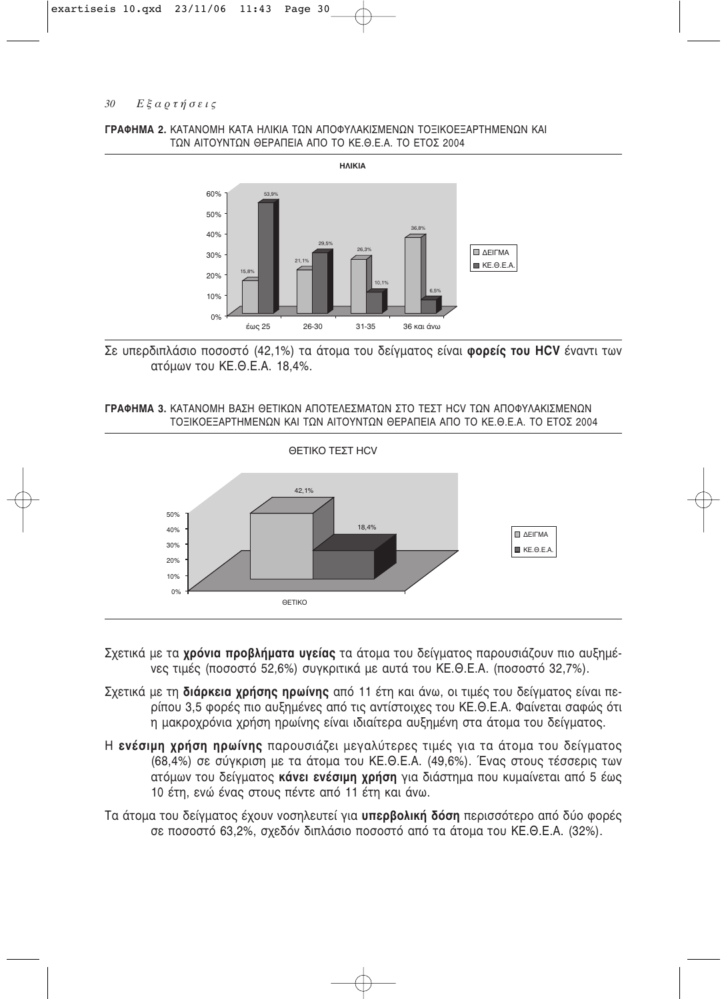#### ΓΡΑΦΗΜΑ 2. ΚΑΤΑΝΟΜΗ ΚΑΤΑ ΗΛΙΚΙΑ ΤΩΝ ΑΠΟΦΥΛΑΚΙΣΜΕΝΩΝ ΤΟΞΙΚΟΕΞΑΡΤΗΜΕΝΩΝ ΚΑΙ ΤΩΝ ΑΙΤΟΥΝΤΩΝ ΘΕΡΑΠΕΙΑ ΑΠΟ ΤΟ ΚΕ.Θ.Ε.Α. ΤΟ ΕΤΟΣ 2004



Σε υπερδιπλάσιο ποσοστό (42,1%) τα άτομα του δείγματος είναι **φορείς του HCV** έναντι των ατόμων του ΚΕ.Θ.Ε.Α. 18,4%.

#### ΓΡΑΦΗΜΑ 3. ΚΑΤΑΝΟΜΗ ΒΑΣΗ ΘΕΤΙΚΩΝ ΑΠΟΤΕΛΕΣΜΑΤΩΝ ΣΤΟ ΤΕΣΤ ΗCV ΤΩΝ ΑΠΟΦΥΛΑΚΙΣΜΕΝΩΝ ΤΟΞΙΚΟΕΞΑΡΤΗΜΕΝΩΝ ΚΑΙ ΤΩΝ ΑΙΤΟΥΝΤΩΝ ΘΕΡΑΠΕΙΑ ΑΠΟ ΤΟ ΚΕ.Θ.Ε.Α. ΤΟ ΕΤΟΣ 2004



- Σχετικά με τα **χρόνια προβλήματα υγείας** τα άτομα του δείγματος παρουσιάζουν πιο αυξημένες τιμές (ποσοστό 52,6%) συγκριτικά με αυτά του ΚΕ.Θ.Ε.Α. (ποσοστό 32,7%).
- Σχετικά με τη διάρκεια χρήσης ηρωίνης από 11 έτη και άνω, οι τιμές του δείγματος είναι περίπου 3,5 φορές πιο αυξημένες από τις αντίστοιχες του ΚΕ.Θ.Ε.Α. Φαίνεται σαφώς ότι η μακροχρόνια χρήση ηρωίνης είναι ιδιαίτερα αυξημένη στα άτομα του δείγματος.
- Η ενέσιμη χρήση ηρωίνης παρουσιάζει μεγαλύτερες τιμές για τα άτομα του δείγματος (68,4%) σε σύγκριση με τα άτομα του ΚΕ.Θ.Ε.Α. (49,6%). Ένας στους τέσσερις των ατόμων του δείγματος κάνει ενέσιμη χρήση για διάστημα που κυμαίνεται από 5 έως 10 έτη, ενώ ένας στους πέντε από 11 έτη και άνω.
- Τα άτομα του δείγματος έχουν νοσηλευτεί για **υπερβολική δόση** περισσότερο από δύο φορές σε ποσοστό 63,2%, σχεδόν διπλάσιο ποσοστό από τα άτομα του KE.Θ.Ε.Α. (32%).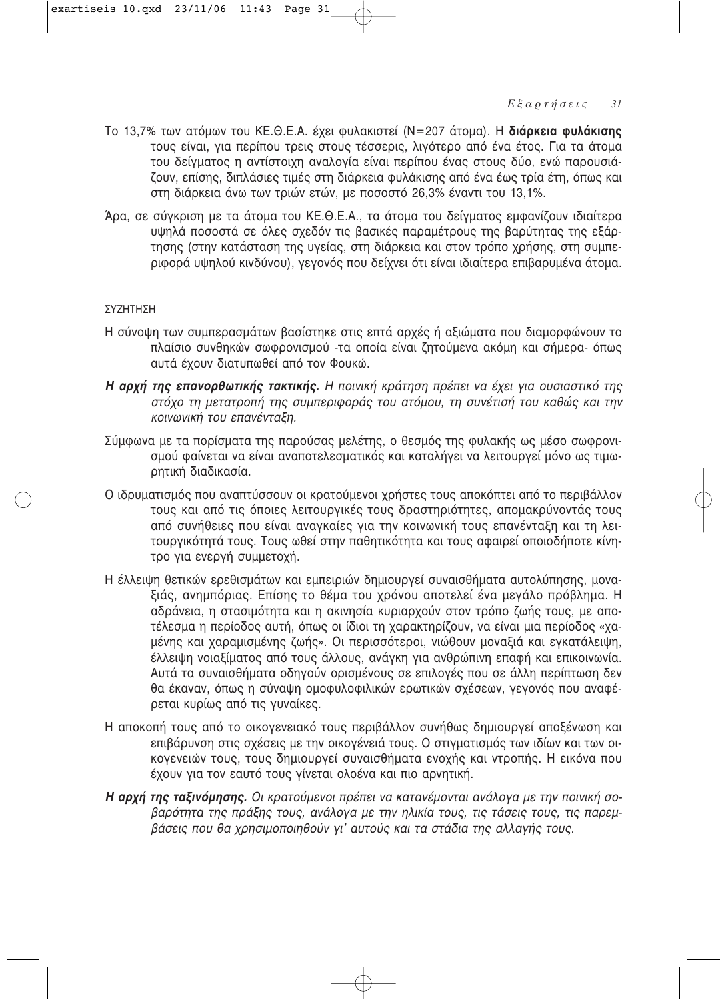- Το 13,7% των ατόμων του ΚΕ.Θ.Ε.Α. έχει φυλακιστεί (N=207 άτομα). Η **διάρκεια φυλάκισης** τους είναι, για περίπου τρεις στους τέσσερις, λιγότερο από ένα έτος. Για τα άτομα του δείγματος η αντίστοιχη αναλογία είναι περίπου ένας στους δύο, ενώ παρουσιάζουν, επίσης, διπλάσιες τιμές στη διάρκεια φυλάκισης από ένα έως τρία έτη, όπως και στη διάρκεια άνω των τριών ετών, με ποσοστό 26,3% έναντι του 13,1%.
- Άρα, σε σύγκριση με τα άτομα του ΚΕ.Θ.Ε.Α., τα άτομα του δείγματος εμφανίζουν ιδιαίτερα υψηλά ποσοστά σε όλες σχεδόν τις βασικές παραμέτρους της βαρύτητας της εξάρτησης (στην κατάσταση της υγείας, στη διάρκεια και στον τρόπο χρήσης, στη συμπεριφορά υψηλού κινδύνου), γεγονός που δείχνει ότι είναι ιδιαίτερα επιβαρυμένα άτομα.

## ΣΥΖΗΤΗΣΗ

- Η σύνοψη των συμπερασμάτων βασίστηκε στις επτά αρχές ή αξιώματα που διαμορφώνουν το πλαίσιο συνθηκών σωφρονισμού -τα οποία είναι ζητούμενα ακόμη και σήμερα- όπως αυτά έχουν διατυπωθεί από τον Φουκώ.
- **Η αρχή της επανορθωτικής τακτικής.** Η ποινική κράτηση πρέπει να έχει για ουσιαστικό της  $\sigma$ τόχο τη μετατροπή της συμπεριφοράς του ατόμου, τη συνέτισή του καθώς και την *KOIVWVIKή του επανένταξη.*
- Σύμφωνα με τα πορίσματα της παρούσας μελέτης, ο θεσμός της φυλακής ως μέσο σωφρονισμού φαίνεται να είναι αναποτελεσματικός και καταλήνει να λειτουργεί μόνο ως τιμωρητική διαδικασία.
- Ο ιδρυματισμός που αναπτύσσουν οι κρατούμενοι χρήστες τους αποκόπτει από το περιβάλλον τους και από τις όποιες λειτουργικές τους δραστηριότητες, απομακρύνοντάς τους από συνήθειες που είναι αναγκαίες για την κοινωνική τους επανένταξη και τη λειτουργικότητά τους. Τους ωθεί στην παθητικότητα και τους αφαιρεί οποιοδήποτε κίνητρο για ενεργή συμμετοχή.
- Η έλλειψη θετικών ερεθισμάτων και εμπειριών δημιουργεί συναισθήματα αυτολύπησης, μοναξιάς, ανημπόριας. Επίσης το θέμα του χρόνου αποτελεί ένα μεγάλο πρόβλημα. Η αδράνεια, η στασιμότητα και η ακινησία κυριαρχούν στον τρόπο ζωής τους, με αποτέλεσμα η περίοδος αυτή, όπως οι ίδιοι τη χαρακτηρίζουν, να είναι μια περίοδος «χαµένης και χαραμισμένης ζωής». Οι περισσότεροι, νιώθουν μοναξιά και εγκατάλειψη, έλλειψη νοιαξίματος από τους άλλους, ανάγκη για ανθρώπινη επαφή και επικοινωνία. Aυτά τα συναισθήματα οδηγούν ορισμένους σε επιλογές που σε άλλη περίπτωση δεν θα έκαναν, όπως η σύναψη ομοφυλοφιλικών ερωτικών σχέσεων, γεγονός που αναφέρεται κυρίως από τις γυναίκες.
- Η αποκοπή τους από το οικογενειακό τους περιβάλλον συνήθως δημιουργεί αποξένωση και επιβάρυνση στις σχέσεις με την οικογένειά τους. Ο στιγματισμός των ιδίων και των οικογενειών τους, τους δημιουργεί συναισθήματα ενοχής και ντροπής. Η εικόνα που έχουν για τον εαυτό τους γίνεται ολοένα και πιο αρνητική.
- **Η αρχή της ταξινόμησης.** Οι κρατούμενοι πρέπει να κατανέμονται ανάλογα με την ποινική σοβαρότητα της πράξης τους, ανάλογα με την ηλικία τους, τις τάσεις τους, τις παρεμβάσεις που θα χρησιμοποιηθούν γι' αυτούς και τα στάδια της αλλαγής τους.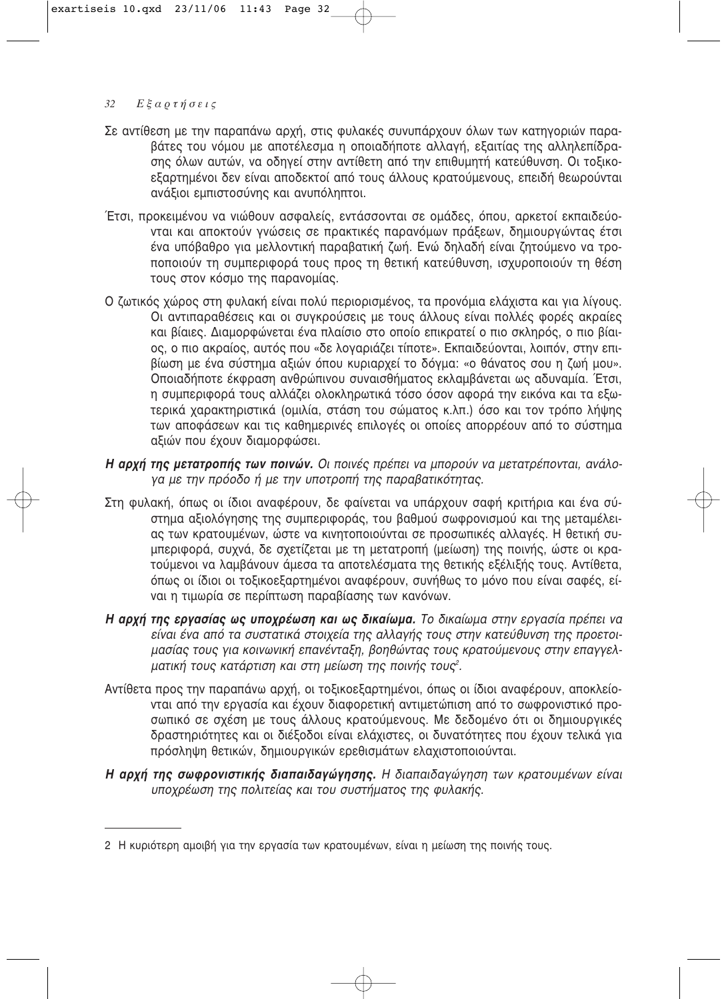- Σε αντίθεση με την παραπάνω αρχή, στις φυλακές συνυπάρχουν όλων των κατηγοριών παραβάτες του νόμου με αποτέλεσμα η οποιαδήποτε αλλαγή, εξαιτίας της αλληλεπίδρασης όλων αυτών, να οδηγεί στην αντίθετη από την επιθυμητή κατεύθυνση. Οι τοξικοεξαρτημένοι δεν είναι αποδεκτοί από τους άλλους κρατούμενους, επειδή θεωρούνται ανάξιοι εμπιστοσύνης και ανυπόληπτοι.
- Έτσι, προκειμένου να νιώθουν ασφαλείς, εντάσσονται σε ομάδες, όπου, αρκετοί εκπαιδεύονται και αποκτούν γνώσεις σε πρακτικές παρανόμων πράξεων, δημιουργώντας έτσι ένα υπόβαθρο για μελλοντική παραβατική ζωή. Ενώ δηλαδή είναι ζητούμενο να τροποποιούν τη συμπεριφορά τους προς τη θετική κατεύθυνση, ισχυροποιούν τη θέση τους στον κόσμο της παρανομίας.
- Ο ζωτικός χώρος στη φυλακή είναι πολύ περιορισμένος, τα προνόμια ελάχιστα και για λίγους. Οι αντιπαραθέσεις και οι συγκρούσεις με τους άλλους είναι πολλές φορές ακραίες και βίαιες. Διαμορφώνεται ένα πλαίσιο στο οποίο επικρατεί ο πιο σκληρός, ο πιο βίαιος, ο πιο ακραίος, αυτός που «δε λογαριάζει τίποτε». Εκπαιδεύονται, λοιπόν, στην επι-Bίωση με ένα σύστημα αξιών όπου κυριαρχεί το δόνμα: «ο θάνατος σου η ζωή μου». Οποιαδήποτε έκφραση ανθρώπινου συναισθήματος εκλαμβάνεται ως αδυναμία. Έτσι, η συμπεριφορά τους αλλάζει ολοκληρωτικά τόσο όσον αφορά την εικόνα και τα εξωτερικά χαρακτηριστικά (ομιλία, στάση του σώματος κ.λπ.) όσο και τον τρόπο λήψης των αποφάσεων και τις καθημερινές επιλογές οι οποίες απορρέουν από το σύστημα αξιών που έχουν διαμορφώσει.
- **Η αρχή της μετατροπής των ποινών.** Οι ποινές πρέπει να μπορούν να μετατρέπονται, ανάλογα με την πρόοδο ή με την υποτροπή της παραβατικότητας.
- Στη φυλακή, όπως οι ίδιοι αναφέρουν, δε φαίνεται να υπάρχουν σαφή κριτήρια και ένα σύστημα αξιολόγησης της συμπεριφοράς, του βαθμού σωφρονισμού και της μεταμέλειας των κρατουμένων, ώστε να κινητοποιούνται σε προσωπικές αλλαγές. Η θετική συμπεριφορά, συχνά, δε σχετίζεται με τη μετατροπή (μείωση) της ποινής, ώστε οι κρατούμενοι να λαμβάνουν άμεσα τα αποτελέσματα της θετικής εξέλιξής τους. Αντίθετα, όπως οι ίδιοι οι τοξικοεξαρτημένοι αναφέρουν, συνήθως το μόνο που είναι σαφές, είναι η τιμωρία σε περίπτωση παραβίασης των κανόνων.
- **Η αρχή της εργασίας ως υποχρέωση και ως δικαίωμα.** Το δικαίωμα στην εργασία πρέπει να είναι ένα από τα συστατικά στοιχεία της αλλαγής τους στην κατεύθυνση της προετοιμασίας τους για κοινωνική επανένταξη, βοηθώντας τους κρατούμενους στην επαγγελματική τους κατάρτιση και στη μείωση της ποινής τους<sup>2</sup>.
- Aντίθετα προς την παραπάνω αρχή, οι τοξικοεξαρτημένοι, όπως οι ίδιοι αναφέρουν, αποκλείονται από την εργασία και έχουν διαφορετική αντιμετώπιση από το σωφρονιστικό προσωπικό σε σχέση με τους άλλους κρατούμενους. Με δεδομένο ότι οι δημιουργικές δραστηριότητες και οι διέξοδοι είναι ελάχιστες, οι δυνατότητες που έχουν τελικά για πρόσληψη θετικών, δημιουργικών ερεθισμάτων ελαχιστοποιούνται.
- **Η αρχή της σωφρονιστικής διαπαιδαγώγησης.** Η διαπαιδαγώγηση των κρατουμένων είναι υποχρέωση της πολιτείας και του συστήματος της φυλακής.

<sup>2</sup> Η κυριότερη αμοιβή για την εργασία των κρατουμένων, είναι η μείωση της ποινής τους.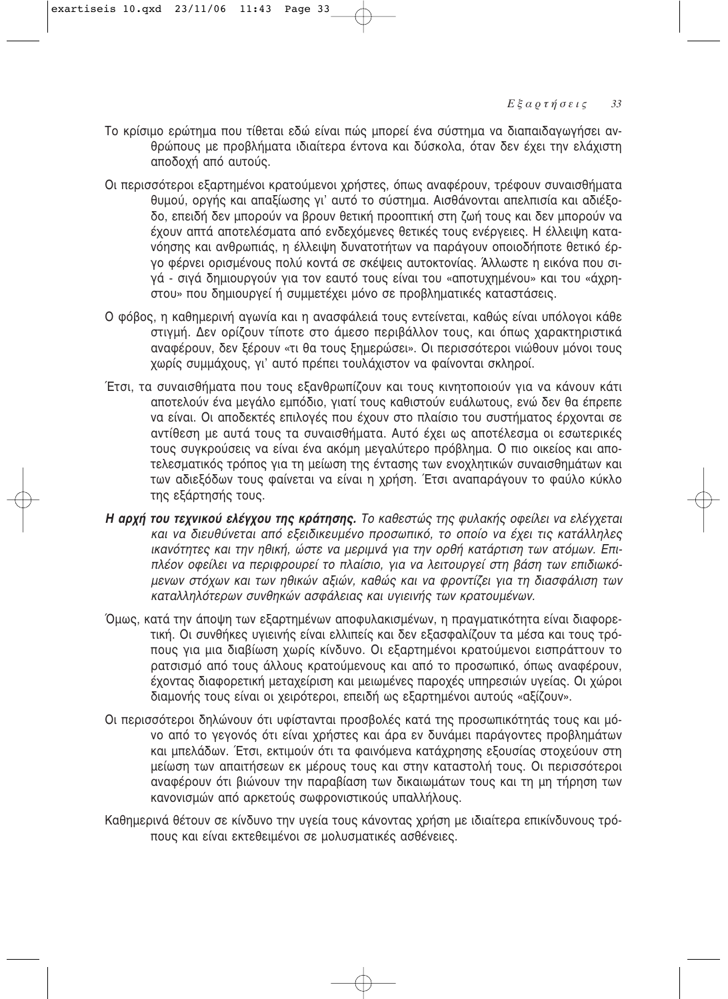- Το κρίσιμο ερώτημα που τίθεται εδώ είναι πώς μπορεί ένα σύστημα να διαπαιδαγωγήσει ανθρώπους με προβλήματα ιδιαίτερα έντονα και δύσκολα, όταν δεν έχει την ελάχιστη αποδοχή από αυτούς.
- Οι περισσότεροι εξαρτημένοι κρατούμενοι χρήστες, όπως αναφέρουν, τρέφουν συναισθήματα θυμού, οργής και απαξίωσης γι' αυτό το σύστημα. Αισθάνονται απελπισία και αδιέξοδο, επειδή δεν μπορούν να βρουν θετική προοπτική στη ζωή τους και δεν μπορούν να έχουν απτά αποτελέσματα από ενδεχόμενες θετικές τους ενέρνειες. Η έλλειψη κατανόησης και ανθρωπιάς, η έλλειψη δυνατοτήτων να παράγουν οποιοδήποτε θετικό έργο φέρνει ορισμένους πολύ κοντά σε σκέψεις αυτοκτονίας. Άλλωστε η εικόνα που σιγά - σιγά δημιουργούν για τον εαυτό τους είναι του «αποτυχημένου» και του «άχρηστου» που δημιουργεί ή συμμετέχει μόνο σε προβληματικές καταστάσεις.
- Ο φόβος, η καθημερινή αγωνία και η ανασφάλειά τους εντείνεται, καθώς είναι υπόλογοι κάθε στιγμή. Δεν ορίζουν τίποτε στο άμεσο περιβάλλον τους, και όπως χαρακτηριστικά αναφέρουν, δεν ξέρουν «τι θα τους ξημερώσει». Οι περισσότεροι νιώθουν μόνοι τους χωρίς συμμάχους, γι' αυτό πρέπει τουλάχιστον να φαίνονται σκληροί.
- Έτσι, τα συναισθήματα που τους εξανθρωπίζουν και τους κινητοποιούν για να κάνουν κάτι αποτελούν ένα μεγάλο εμπόδιο, γιατί τους καθιστούν ευάλωτους, ενώ δεν θα έπρεπε να είναι. Οι αποδεκτές επιλογές που έχουν στο πλαίσιο του συστήματος έρχονται σε αντίθεση με αυτά τους τα συναισθήματα. Αυτό έχει ως αποτέλεσμα οι εσωτερικές τους συγκρούσεις να είναι ένα ακόμη μεγαλύτερο πρόβλημα. Ο πιο οικείος και αποτελεσματικός τρόπος για τη μείωση της έντασης των ενοχλητικών συναισθημάτων και των αδιεξόδων τους φαίνεται να είναι η χρήση. Έτσι αναπαράγουν το φαύλο κύκλο της εξάρτησής τους.
- Η αρχή του τεχνικού ελέγχου της κράτησης. Το καθεστώς της φυλακής οφείλει να ελέγχεται και να διευθύνεται από εξειδικευμένο προσωπικό, το οποίο να έχει τις κατάλληλες ικανότητες και την ηθική, ώστε να μεριμνά για την ορθή κατάρτιση των ατόμων. Επιπλέον οφείλει να περιφρουρεί το πλαίσιο, για να λειτουργεί στη βάση των επιδιωκόμενων στόχων και των ηθικών αξιών, καθώς και να φροντίζει για τη διασφάλιση των καταλληλότερων συνθηκών ασφάλειας και υγιεινής των κρατουμένων.
- Όμως, κατά την άποψη των εξαρτημένων αποφυλακισμένων, η πρανματικότητα είναι διαφορετική. Οι συνθήκες υγιεινής είναι ελλιπείς και δεν εξασφαλίζουν τα μέσα και τους τρόπους για μια διαβίωση χωρίς κίνδυνο. Οι εξαρτημένοι κρατούμενοι εισπράττουν το ρατσισμό από τους άλλους κρατούμενους και από το προσωπικό, όπως αναφέρουν, έχοντας διαφορετική μεταχείριση και μειωμένες παροχές υπηρεσιών υγείας. Οι χώροι διαμονής τους είναι οι χειρότεροι, επειδή ως εξαρτημένοι αυτούς «αξίζουν».
- Οι περισσότεροι δηλώνουν ότι υφίστανται προσβολές κατά της προσωπικότητάς τους και μόνο από το γεγονός ότι είναι χρήστες και άρα εν δυνάμει παράγοντες προβλημάτων και μπελάδων. Έτσι, εκτιμούν ότι τα φαινόμενα κατάχρησης εξουσίας στοχεύουν στη μείωση των απαιτήσεων εκ μέρους τους και στην καταστολή τους. Οι περισσότεροι αναφέρουν ότι βιώνουν την παραβίαση των δικαιωμάτων τους και τη μη τήρηση των κανονισμών από αρκετούς σωφρονιστικούς υπαλλήλους.
- Καθημερινά θέτουν σε κίνδυνο την υγεία τους κάνοντας χρήση με ιδιαίτερα επικίνδυνους τρόπους και είναι εκτεθειμένοι σε μολυσματικές ασθένειες.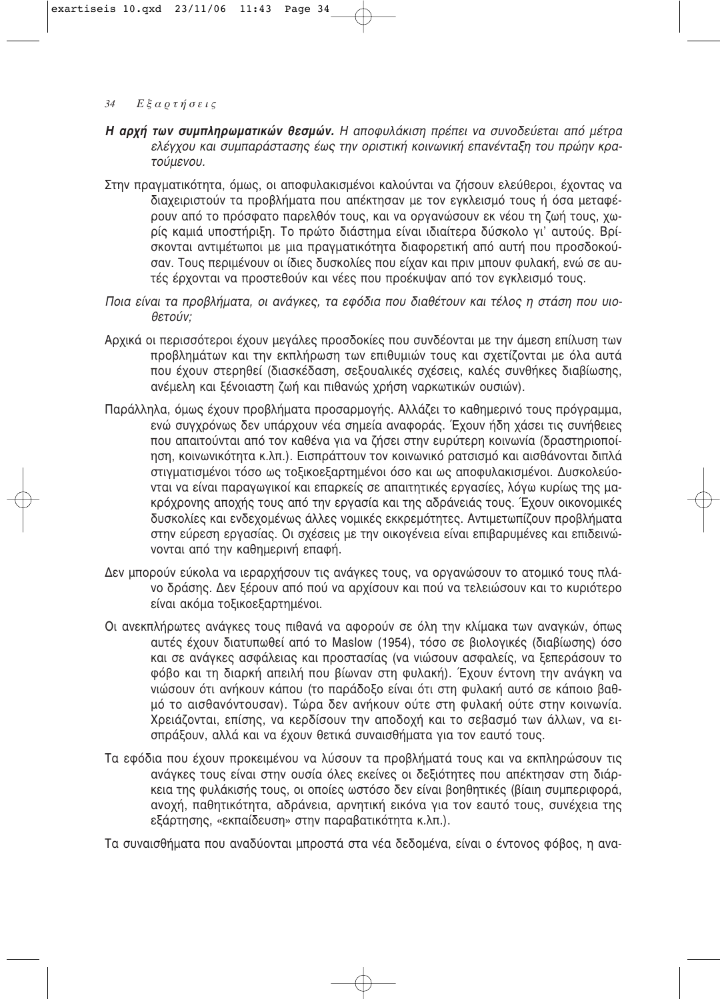- *Η αρχή των συμπληρωματικών θεσμών. Η αποφυλάκιση πρέπει να συνοδεύεται από μέτρα* ελέγχου και συμπαράστασης έως την οριστική κοινωνική επανένταξη του πρώην κρα-*ÙÔ‡ÌÂÓÔ˘.*
- Στην πραγματικότητα, όμως, οι αποφυλακισμένοι καλούνται να ζήσουν ελεύθεροι, έχοντας να διαχειριστούν τα προβλήματα που απέκτησαν με τον εγκλεισμό τους ή όσα μεταφέρουν από το πρόσφατο παρελθόν τους, και να οργανώσουν εκ νέου τη ζωή τους, χωρίς καμιά υποστήριξη. Το πρώτο διάστημα είναι ιδιαίτερα δύσκολο γι' αυτούς. Βρίσκονται αντιμέτωποι με μια πραγματικότητα διαφορετική από αυτή που προσδοκούσαν. Τους περιμένουν οι ίδιες δυσκολίες που είχαν και πριν μπουν φυλακή, ενώ σε αυτές έρχονται να προστεθούν και νέες που προέκυψαν από τον εγκλεισμό τους.
- Ποια είναι τα προβλήματα, οι ανάγκες, τα εφόδια που διαθέτουν και τέλος η στάση που υιο- $\theta$ ετούν;
- Αρχικά οι περισσότεροι έχουν μεγάλες προσδοκίες που συνδέονται με την άμεση επίλυση των προβλημάτων και την εκπλήρωση των επιθυμιών τους και σχετίζονται με όλα αυτά που έχουν στερηθεί (διασκέδαση, σεξουαλικές σχέσεις, καλές συνθήκες διαβίωσης, ανέμελη και ξένοιαστη ζωή και πιθανώς χρήση ναρκωτικών ουσιών).
- Παράλληλα, όμως έχουν προβλήματα προσαρμογής. Αλλάζει το καθημερινό τους πρόγραμμα, ενώ συγχρόνως δεν υπάρχουν νέα σημεία αναφοράς. Έχουν ήδη χάσει τις συνήθειες που απαιτούνται από τον καθένα για να ζήσει στην ευρύτερη κοινωνία (δραστηριοποίηση, κοινωνικότητα κ.λπ.). Εισπράττουν τον κοινωνικό ρατσισμό και αισθάνονται διπλά στινματισμένοι τόσο ως τοξικοεξαρτημένοι όσο και ως αποφυλακισμένοι. Δυσκολεύονται να είναι παραγωγικοί και επαρκείς σε απαιτητικές εργασίες, λόγω κυρίως της μακρόχρονης αποχής τους από την εργασία και της αδράνειάς τους. Έχουν οικονομικές δυσκολίες και ενδεχομένως άλλες νομικές εκκρεμότητες. Αντιμετωπίζουν προβλήματα στην εύρεση εργασίας. Οι σχέσεις με την οικογένεια είναι επιβαρυμένες και επιδεινώνονται από την καθημερινή επαφή.
- Δεν μπορούν εύκολα να ιεραρχήσουν τις ανάγκες τους, να οργανώσουν το ατομικό τους πλάνο δράσης. Δεν ξέρουν από πού να αρχίσουν και πού να τελειώσουν και το κυριότερο είναι ακόμα τοξικοεξαρτημένοι.
- Οι ανεκπλήρωτες ανάγκες τους πιθανά να αφορούν σε όλη την κλίμακα των αναγκών, όπως αυτές έχουν διατυπωθεί από το Maslow (1954), τόσο σε βιολογικές (διαβίωσης) όσο και σε ανάγκες ασφάλειας και προστασίας (να νιώσουν ασφαλείς, να ξεπεράσουν το φόβο και τη διαρκή απειλή που βίωναν στη φυλακή). Έχουν έντονη την ανάγκη να νιώσουν ότι ανήκουν κάπου (το παράδοξο είναι ότι στη φυλακή αυτό σε κάποιο βαθμό το αισθανόντουσαν). Τώρα δεν ανήκουν ούτε στη φυλακή ούτε στην κοινωνία. Χρειάζονται, επίσης, να κερδίσουν την αποδοχή και το σεβασμό των άλλων, να εισπράξουν, αλλά και να έχουν θετικά συναισθήματα νια τον εαυτό τους.
- Τα εφόδια που έχουν προκειμένου να λύσουν τα προβλήματά τους και να εκπληρώσουν τις ανάγκες τους είναι στην ουσία όλες εκείνες οι δεξιότητες που απέκτησαν στη διάρ-Κεια της φυλάκισής τους, οι οποίες ωστόσο δεν είναι βοηθητικές (βίαιη συμπεριφορά, ανοχή, παθητικότητα, αδράνεια, αρνητική εικόνα για τον εαυτό τους, συνέχεια της εξάρτησης, «εκπαίδευση» στην παραβατικότητα κ.λπ.).

Τα συναισθήματα που αναδύονται μπροστά στα νέα δεδομένα, είναι ο έντονος φόβος, η ανα-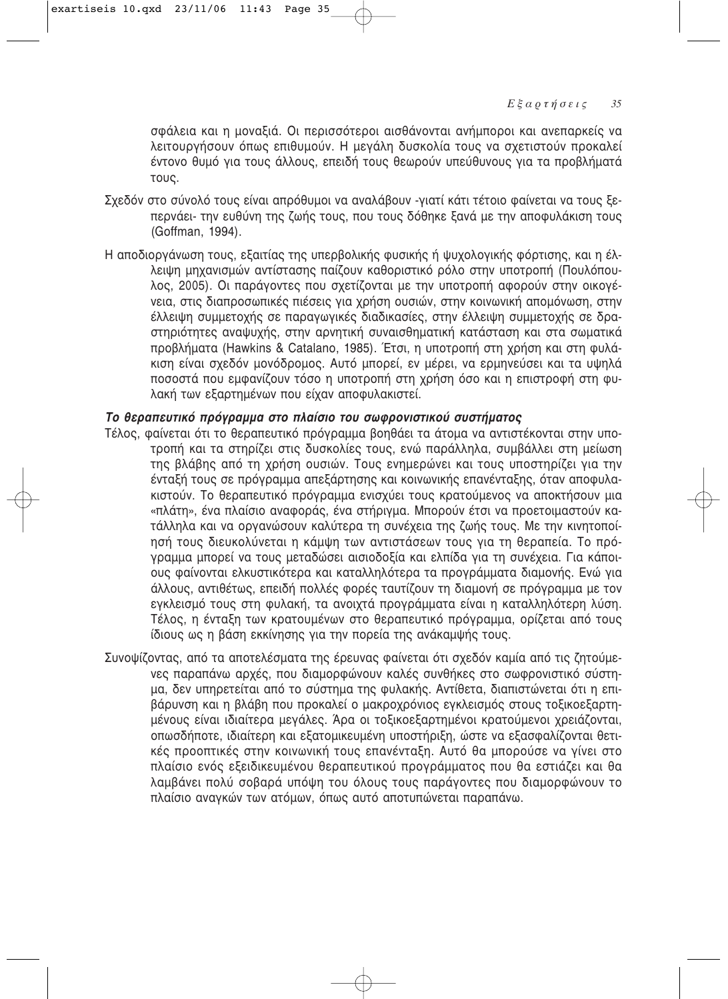σφάλεια και η μοναξιά. Οι περισσότεροι αισθάνονται ανήμποροι και ανεπαρκείς να λειτουργήσουν όπως επιθυμούν. Η μεγάλη δυσκολία τους να σχετιστούν προκαλεί έντονο θυμό για τους άλλους, επειδή τους θεωρούν υπεύθυνους για τα προβλήματά TOUC.

- Σχεδόν στο σύνολό τους είναι απρόθυμοι να αναλάβουν -γιατί κάτι τέτοιο φαίνεται να τους ξεπερνάει- την ευθύνη της ζωής τους, που τους δόθηκε ξανά με την αποφυλάκιση τους (Goffman, 1994).
- Η αποδιοργάνωση τους, εξαιτίας της υπερβολικής φυσικής ή ψυχολογικής φόρτισης, και η έλλειψη μηχανισμών αντίστασης παίζουν καθοριστικό ρόλο στην υποτροπή (Πουλόπουλος, 2005). Οι παράγοντες που σχετίζονται με την υποτροπή αφορούν στην οικογένεια, στις διαπροσωπικές πιέσεις για χρήση ουσιών, στην κοινωνική απομόνωση, στην έλλειψη συμμετοχής σε παραγωγικές διαδικασίες, στην έλλειψη συμμετοχής σε δραστηριότητες αναψυχής, στην αρνητική συναισθηματική κατάσταση και στα σωματικά προβλήματα (Hawkins & Catalano, 1985). Έτσι, η υποτροπή στη χρήση και στη φυλάκιση είναι σχεδόν μονόδρομος. Αυτό μπορεί, εν μέρει, να ερμηνεύσει και τα υψηλά ποσοστά που εμφανίζουν τόσο η υποτροπή στη χρήση όσο και η επιστροφή στη φυλακή των εξαρτημένων που είχαν αποφυλακιστεί.

## **Το θεραπευτικό πρόγραμμα στο πλαίσιο του σωφρονιστικού συστήματος**

- Τέλος, φαίνεται ότι το θεραπευτικό πρόγραμμα βοηθάει τα άτομα να αντιστέκονται στην υποτροπή και τα στηρίζει στις δυσκολίες τους, ενώ παράλληλα, συμβάλλει στη μείωση της βλάβης από τη χρήση ουσιών. Τους ενημερώνει και τους υποστηρίζει για την ένταξή τους σε πρόγραμμα απεξάρτησης και κοινωνικής επανένταξης, όταν αποφυλακιστούν. Το θεραπευτικό πρόγραμμα ενισχύει τους κρατούμενος να αποκτήσουν μια «πλάτη», ένα πλαίσιο αναφοράς, ένα στήριγμα. Μπορούν έτσι να προετοιμαστούν κατάλληλα και να οργανώσουν καλύτερα τη συνέχεια της ζωής τους. Με την κινητοποίησή τους διευκολύνεται η κάμψη των αντιστάσεων τους για τη θεραπεία. Το πρόγραμμα μπορεί να τους μεταδώσει αισιοδοξία και ελπίδα για τη συνέχεια. Για κάποιους φαίνονται ελκυστικότερα και καταλληλότερα τα προγράμματα διαμονής. Ενώ για άλλους, αντιθέτως, επειδή πολλές φορές ταυτίζουν τη διαμονή σε πρόγραμμα με τον εγκλεισμό τους στη φυλακή, τα ανοιχτά προγράμματα είναι η καταλληλότερη λύση. Τέλος, η ένταξη των κρατουμένων στο θεραπευτικό πρόγραμμα, ορίζεται από τους ίδιους ως η βάση εκκίνησης για την πορεία της ανάκαμψής τους.
- Συνοψίζοντας, από τα αποτελέσματα της έρευνας φαίνεται ότι σχεδόν καμία από τις ζητούμενες παραπάνω αρχές, που διαμορφώνουν καλές συνθήκες στο σωφρονιστικό σύστημα, δεν υπηρετείται από το σύστημα της φυλακής. Αντίθετα, διαπιστώνεται ότι η επιβάρυνση και η βλάβη που προκαλεί ο μακροχρόνιος εγκλεισμός στους τοξικοεξαρτημένους είναι ιδιαίτερα μεγάλες. Άρα οι τοξικοεξαρτημένοι κρατούμενοι χρειάζονται, οπωσδήποτε, ιδιαίτερη και εξατομικευμένη υποστήριξη, ώστε να εξασφαλίζονται θετικές προοπτικές στην κοινωνική τους επανένταξη. Αυτό θα μπορούσε να γίνει στο πλαίσιο ενός εξειδικευμένου θεραπευτικού προγράμματος που θα εστιάζει και θα λαμβάνει πολύ σοβαρά υπόψη του όλους τους παράγοντες που διαμορφώνουν το πλαίσιο αναγκών των ατόμων, όπως αυτό αποτυπώνεται παραπάνω.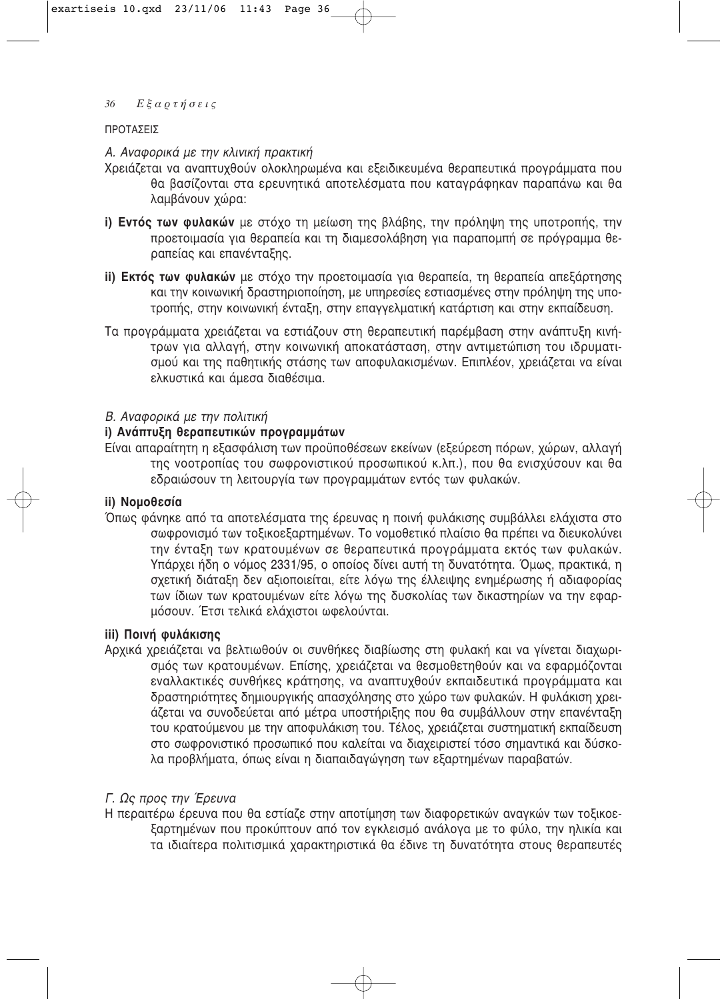## 36  $E \xi \alpha \varrho \tau \eta \sigma \varepsilon \iota \varsigma$

## ΠΡΟΤΑΣΕΙΣ

## Α. Αναφορικά με την κλινική πρακτική

- Χρειάζεται να αναπτυχθούν ολοκληρωμένα και εξειδικευμένα θεραπευτικά προγράμματα που θα βασίζονται στα ερευνητικά αποτελέσματα που καταγράφηκαν παραπάνω και θα λαμβάνουν χώρα:
- i) Εντός των φυλακών με στόχο τη μείωση της βλάβης, την πρόληψη της υποτροπής, την προετοιμασία για θεραπεία και τη διαμεσολάβηση για παραπομπή σε πρόγραμμα θεραπείας και επανένταξης.
- ii) Εκτός των φυλακών με στόχο την προετοιμασία για θεραπεία, τη θεραπεία απεξάρτησης και την κοινωνική δραστηριοποίηση, με υπηρεσίες εστιασμένες στην πρόληψη της υποτροπής, στην κοινωνική ένταξη, στην επαγγελματική κατάρτιση και στην εκπαίδευση.
- Τα προγράμματα χρειάζεται να εστιάζουν στη θεραπευτική παρέμβαση στην ανάπτυξη κινήτρων για αλλανή, στην κοινωνική αποκατάσταση, στην αντιμετώπιση του ιδρυματισμού και της παθητικής στάσης των αποφυλακισμένων. Επιπλέον, χρειάζεται να είναι ελκυστικά και άμεσα διαθέσιμα.

## Β. Αναφορικά με την πολιτική

## i) Ανάπτυξη θεραπευτικών προγραμμάτων

Είναι απαραίτητη η εξασφάλιση των προϋποθέσεων εκείνων (εξεύρεση πόρων, χώρων, αλλαγή της νοοτροπίας του σωφρονιστικού προσωπικού κ.λπ.), που θα ενισχύσουν και θα εδραιώσουν τη λειτουργία των προγραμμάτων εντός των φυλακών.

## ii) Νομοθεσία

Όπως φάνηκε από τα αποτελέσματα της έρευνας η ποινή φυλάκισης συμβάλλει ελάχιστα στο σωφρονισμό των τοξικοεξαρτημένων. Το νομοθετικό πλαίσιο θα πρέπει να διευκολύνει την ένταξη των κρατουμένων σε θεραπευτικά προγράμματα εκτός των φυλακών. Υπάρχει ήδη ο νόμος 2331/95, ο οποίος δίνει αυτή τη δυνατότητα. Όμως, πρακτικά, η σχετική διάταξη δεν αξιοποιείται, είτε λόγω της έλλειψης ενημέρωσης ή αδιαφορίας των ίδιων των κρατουμένων είτε λόγω της δυσκολίας των δικαστηρίων να την εφαρμόσουν. Έτσι τελικά ελάχιστοι ωφελούνται.

## iii) Ποινή φυλάκισης

Αρχικά χρειάζεται να βελτιωθούν οι συνθήκες διαβίωσης στη φυλακή και να γίνεται διαχωρισμός των κρατουμένων. Επίσης, χρειάζεται να θεσμοθετηθούν και να εφαρμόζονται εναλλακτικές συνθήκες κράτησης, να αναπτυχθούν εκπαιδευτικά προγράμματα και δραστηριότητες δημιουργικής απασχόλησης στο χώρο των φυλακών. Η φυλάκιση χρειάζεται να συνοδεύεται από μέτρα υποστήριξης που θα συμβάλλουν στην επανένταξη του κρατούμενου με την αποφυλάκιση του. Τέλος, χρειάζεται συστηματική εκπαίδευση στο σωφρονιστικό προσωπικό που καλείται να διαχειριστεί τόσο σημαντικά και δύσκολα προβλήματα, όπως είναι η διαπαιδαγώνηση των εξαρτημένων παραβατών.

## Γ. Ως προς την Έρευνα

Η περαιτέρω έρευνα που θα εστίαζε στην αποτίμηση των διαφορετικών αναγκών των τοξικοεξαρτημένων που προκύπτουν από τον εγκλεισμό ανάλογα με το φύλο, την ηλικία και τα ιδιαίτερα πολιτισμικά χαρακτηριστικά θα έδινε τη δυνατότητα στους θεραπευτές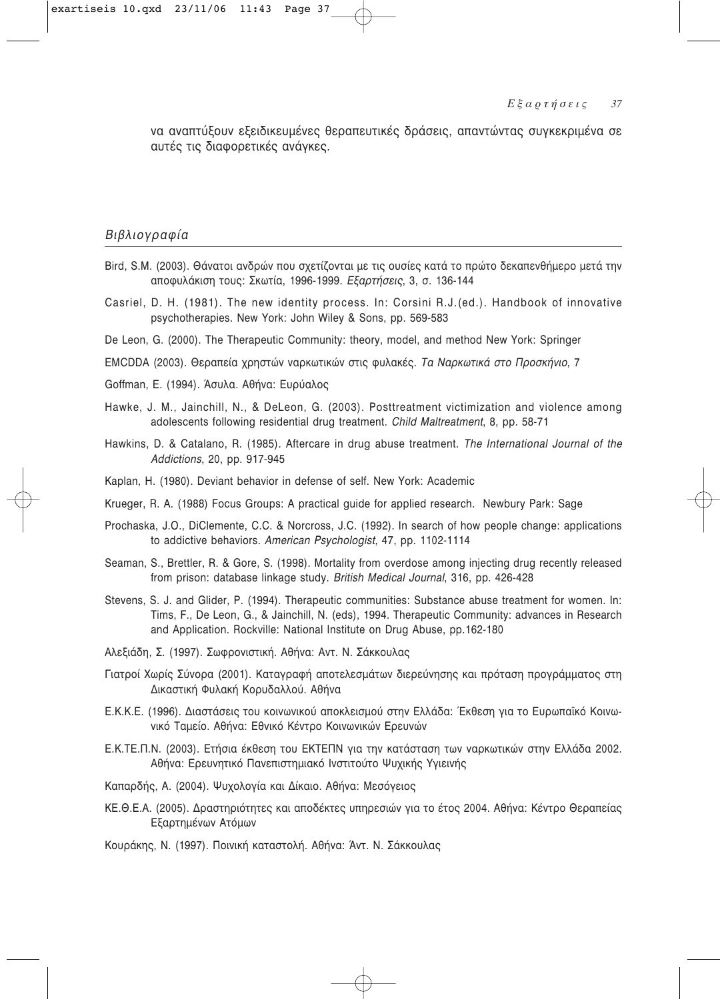να αναπτύξουν εξειδικευμένες θεραπευτικές δράσεις, απαντώντας συγκεκριμένα σε αυτές τις διαφορετικές ανάγκες.

#### Βιβλιογραφία

- Bird, S.M. (2003). Θάνατοι ανδρών που σχετίζονται με τις ουσίες κατά το πρώτο δεκαπενθήμερο μετά την αποφυλάκιση τους: Σκωτία, 1996-1999. Εξαρτήσεις, 3, σ. 136-144
- Casriel, D. H. (1981). The new identity process. In: Corsini R.J.(ed.). Handbook of innovative psychotherapies. New York: John Wiley & Sons, pp. 569-583
- De Leon, G. (2000). The Therapeutic Community: theory, model, and method New York: Springer
- EMCDDA (2003). Θεραπεία χρηστών ναρκωτικών στις φυλακές. Τα Ναρκωτικά στο Προσκήνιο, 7
- Goffman, E. (1994), Άσυλα, Αθήνα: Ευρύαλος
- Hawke, J. M., Jainchill, N., & DeLeon, G. (2003). Posttreatment victimization and violence among adolescents following residential drug treatment. Child Maltreatment, 8, pp. 58-71
- Hawkins, D. & Catalano, R. (1985). Aftercare in drug abuse treatment. The International Journal of the Addictions, 20, pp. 917-945
- Kaplan, H. (1980). Deviant behavior in defense of self. New York: Academic
- Krueger, R. A. (1988) Focus Groups: A practical quide for applied research. Newbury Park: Sage
- Prochaska, J.O., DiClemente, C.C. & Norcross, J.C. (1992). In search of how people change: applications to addictive behaviors. American Psychologist, 47, pp. 1102-1114
- Seaman, S., Brettler, R. & Gore, S. (1998). Mortality from overdose among injecting drug recently released from prison: database linkage study. British Medical Journal, 316, pp. 426-428
- Stevens, S. J. and Glider, P. (1994). Therapeutic communities: Substance abuse treatment for women. In: Tims, F., De Leon, G., & Jainchill, N. (eds), 1994. Therapeutic Community: advances in Research and Application. Rockville: National Institute on Drug Abuse, pp.162-180
- Αλεξιάδη, Σ. (1997). Σωφρονιστική. Αθήνα: Αντ. Ν. Σάκκουλας
- Γιατροί Χωρίς Σύνορα (2001). Καταγραφή αποτελεσμάτων διερεύνησης και πρόταση προγράμματος στη Δικαστική Φυλακή Κορυδαλλού. Αθήνα
- Ε.Κ.Κ.Ε. (1996). Διαστάσεις του κοινωνικού αποκλεισμού στην Ελλάδα: Έκθεση για το Ευρωπαϊκό Κοινωνικό Ταμείο. Αθήνα: Εθνικό Κέντρο Κοινωνικών Ερευνών
- Ε.Κ.ΤΕ.Π.Ν. (2003). Ετήσια έκθεση του ΕΚΤΕΠΝ για την κατάσταση των ναρκωτικών στην Ελλάδα 2002. Αθήνα: Ερευνητικό Πανεπιστημιακό Ινστιτούτο Ψυχικής Υγιεινής
- Καπαρδής, Α. (2004). Ψυχολογία και Δίκαιο. Αθήνα: Μεσόγειος
- ΚΕ.Θ.Ε.Α. (2005). Δραστηριότητες και αποδέκτες υπηρεσιών για το έτος 2004. Αθήνα: Κέντρο Θεραπείας Εξαρτημένων Ατόμων
- Κουράκης, Ν. (1997). Ποινική καταστολή. Αθήνα: Άντ. Ν. Σάκκουλας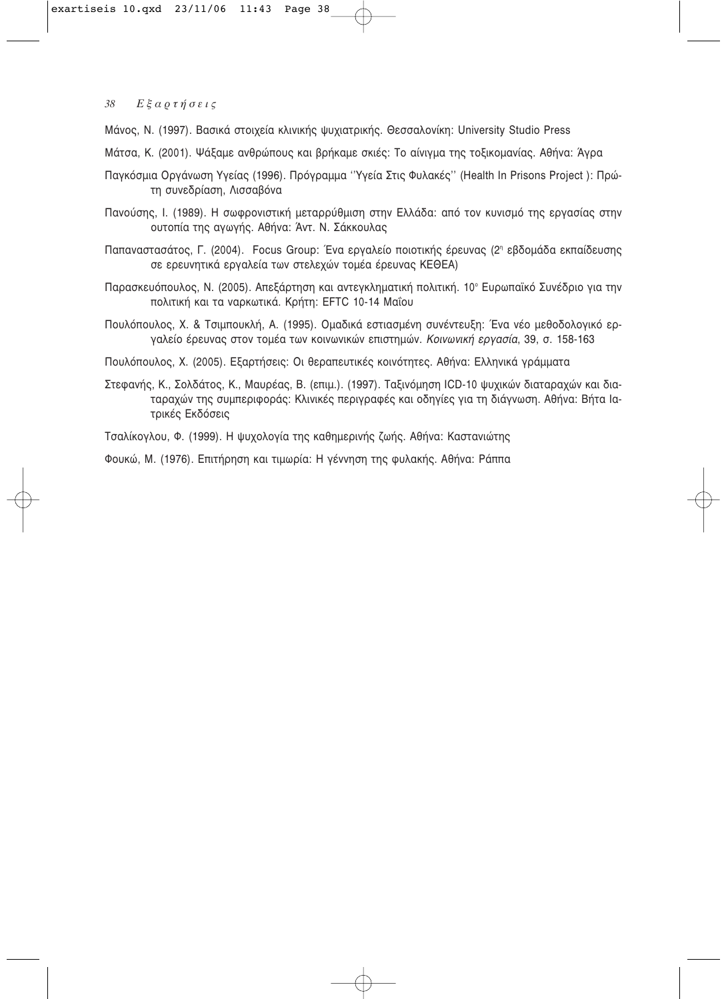Μάνος, Ν. (1997). Βασικά στοιχεία κλινικής ψυχιατρικής. Θεσσαλονίκη: University Studio Press

- Μάτσα, Κ. (2001). Ψάξαμε ανθρώπους και βρήκαμε σκιές: Το αίνιγμα της τοξικομανίας. Αθήνα: Άγρα
- Tανκόσμια Ορνάνωση Υνείας (1996). Πρόνραμμα ''Υνεία Στις Φυλακές'' (Health In Prisons Project ): Πρώτη συνεδρίαση, Λισσαβόνα
- Πανούσης, Ι. (1989). Η σωφρονιστική μεταρρύθμιση στην Ελλάδα: από τον κυνισμό της εργασίας στην ουτοπία της αγωγής. Αθήνα: Άντ. Ν. Σάκκουλας
- Παπαναστασάτος, Γ. (2004). Focus Group: Ένα εργαλείο ποιοτικής έρευνας (2<sup>η</sup> εβδομάδα εκπαίδευσης σε ερευνητικά εργαλεία των στελεχών τομέα έρευνας ΚΕΘΕΑ)
- Παρασκευόπουλος, Ν. (2005). Απεξάρτηση και αντεγκληματική πολιτική. 10° Ευρωπαϊκό Συνέδριο για την πολιτική και τα ναρκωτικά. Κρήτη: EFTC 10-14 Μαΐου
- Πουλόπουλος, Χ. & Τσιμπουκλή, Α. (1995). Ομαδικά εστιασμένη συνέντευξη: Ένα νέο μεθοδολογικό εργαλείο έρευνας στον τομέα των κοινωνικών επιστημών. Κοινωνική εργασία, 39, σ. 158-163
- Πουλόπουλος, Χ. (2005). Εξαρτήσεις: Οι θεραπευτικές κοινότητες. Αθήνα: Ελληνικά γράμματα
- Στεφανής, Κ., Σολδάτος, Κ., Μαυρέας, Β. (επιμ.). (1997). Ταξινόμηση ICD-10 ψυχικών διαταραχών και διαταραχών της συμπεριφοράς: Κλινικές περιγραφές και οδηγίες για τη διάγνωση. Αθήνα: Βήτα Ιατρικές Εκδόσεις

Τσαλίκογλου, Φ. (1999). Η ψυχολογία της καθημερινής ζωής. Αθήνα: Καστανιώτης

Φουκώ, Μ. (1976). Επιτήρηση και τιμωρία: Η γέννηση της φυλακής. Αθήνα: Ράππα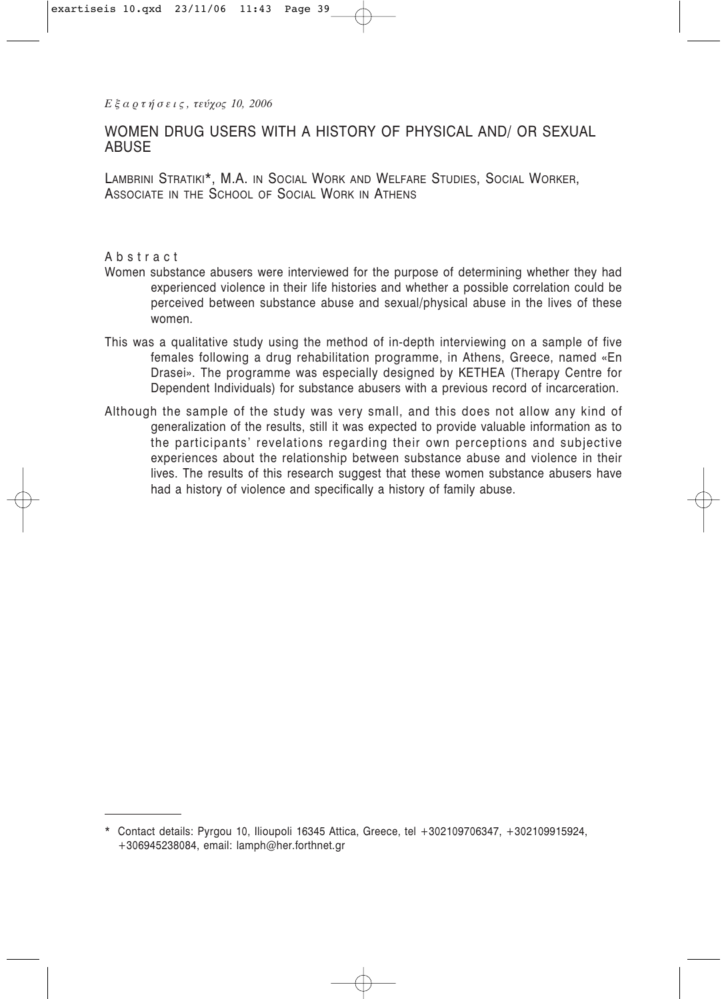# WOMEN DRUG USERS WITH A HISTORY OF PHYSICAL AND/ OR SEXUAL ABUSE

LAMBRINI STRATIKI\*, M.A. IN SOCIAL WORK AND WELFARE STUDIES, SOCIAL WORKER, ASSOCIATE IN THE SCHOOL OF SOCIAL WORK IN ATHENS

#### Abstract

- Women substance abusers were interviewed for the purpose of determining whether they had experienced violence in their life histories and whether a possible correlation could be perceived between substance abuse and sexual/physical abuse in the lives of these women.
- This was a qualitative study using the method of in-depth interviewing on a sample of five females following a drug rehabilitation programme, in Athens, Greece, named «En Drasei». The programme was especially designed by KETHEA (Therapy Centre for Dependent Individuals) for substance abusers with a previous record of incarceration.
- Although the sample of the study was very small, and this does not allow any kind of generalization of the results, still it was expected to provide valuable information as to the participants' revelations regarding their own perceptions and subjective experiences about the relationship between substance abuse and violence in their lives. The results of this research suggest that these women substance abusers have had a history of violence and specifically a history of family abuse.

<sup>\*</sup> Contact details: Pyrgou 10, Ilioupoli 16345 Attica, Greece, tel +302109706347, +302109915924, +306945238084, email: lamph@her.forthnet.gr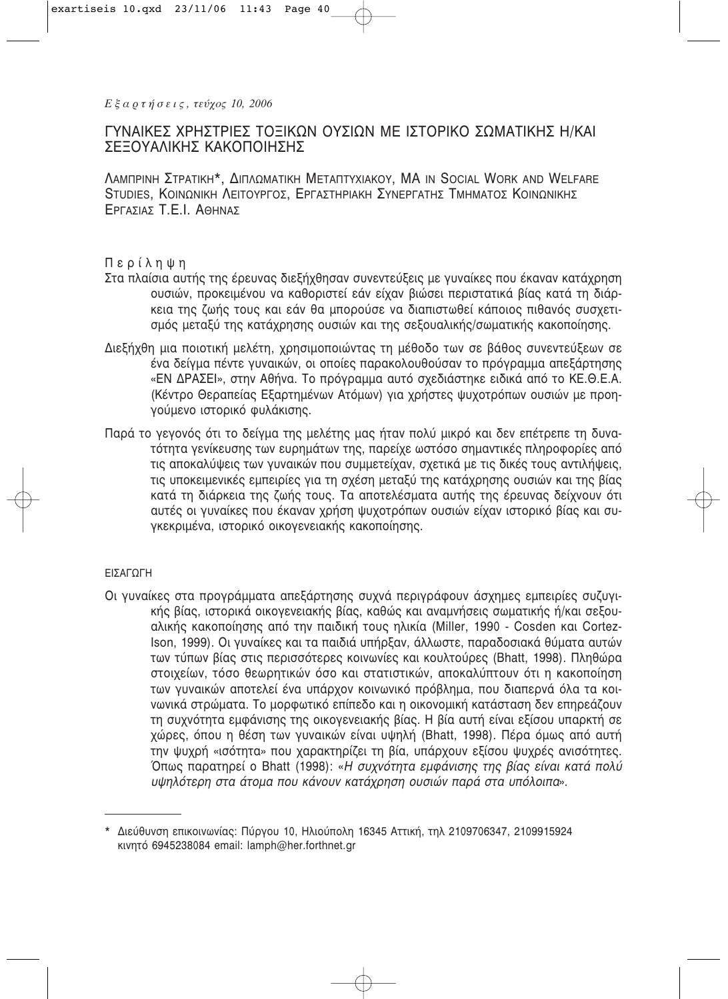# ΓΥΝΑΙΚΕΣ ΧΡΗΣΤΡΙΕΣ ΤΟΞΙΚΩΝ ΟΥΣΙΩΝ ΜΕ ΙΣΤΟΡΙΚΟ ΣΩΜΑΤΙΚΗΣ Η/ΚΑΙ ΣΕΞΟΥΑΛΙΚΗΣ ΚΑΚΟΠΟΙΗΣΗΣ

ΛΑΜΠΡΙΝΗ ΣΤΡΑΤΙΚΗ\*, ΔΙΠΛΩΜΑΤΙΚΗ ΜΕΤΑΠΤΥΧΙΑΚΟΥ, ΜΑ ΙΝ SOCIAL WORK AND WELFARE STUDIES. KOINONIKH AEITOYPFOE, EPFAZTHPIAKH ZYNEPFATHZ TMHMATOZ KOINONIKHZ ΕΡΓΑΣΙΑΣ Τ.Ε.Ι. ΑΘΗΝΑΣ

Περίληψη

- Στα πλαίσια αυτής της έρευνας διεξήχθησαν συνεντεύξεις με γυναίκες που έκαναν κατάχρηση ουσιών, προκειμένου να καθοριστεί εάν είχαν βιώσει περιστατικά βίας κατά τη διάρκεια της ζωής τους και εάν θα μπορούσε να διαπιστωθεί κάποιος πιθανός συσχετισμός μεταξύ της κατάχρησης ουσιών και της σεξουαλικής/σωματικής κακοποίησης.
- Διεξήχθη μια ποιοτική μελέτη, χρησιμοποιώντας τη μέθοδο των σε βάθος συνεντεύξεων σε ένα δείνμα πέντε γυναικών, οι οποίες παρακολουθούσαν το πρόγραμμα απεξάρτησης «ΕΝ ΔΡΑΣΕΙ», στην Αθήνα. Το πρόγραμμα αυτό σχεδιάστηκε ειδικά από το ΚΕ.Θ.Ε.Α. (Κέντρο Θεραπείας Εξαρτημένων Ατόμων) για χρήστες ψυχοτρόπων ουσιών με προηγούμενο ιστορικό φυλάκισης.
- Παρά το γεγονός ότι το δείγμα της μελέτης μας ήταν πολύ μικρό και δεν επέτρεπε τη δυνατότητα γενίκευσης των ευρημάτων της, παρείχε ωστόσο σημαντικές πληροφορίες από τις αποκαλύψεις των γυναικών που συμμετείχαν, σχετικά με τις δικές τους αντιλήψεις, τις υποκειμενικές εμπειρίες για τη σχέση μεταξύ της κατάχρησης ουσιών και της βίας κατά τη διάρκεια της ζωής τους. Τα αποτελέσματα αυτής της έρευνας δείχνουν ότι αυτές οι γυναίκες που έκαναν χρήση ψυχοτρόπων ουσιών είχαν ιστορικό βίας και συγκεκριμένα, ιστορικό οικογενειακής κακοποίησης.

## ΕΙΣΑΓΩΓΗ

Οι γυναίκες στα προγράμματα απεξάρτησης συχνά περιγράφουν άσχημες εμπειρίες συζυγικής βίας, ιστορικά οικογενειακής βίας, καθώς και αναμνήσεις σωματικής ή/και σεξουαλικής κακοποίησης από την παιδική τους ηλικία (Miller, 1990 - Cosden και Cortez-Ison, 1999). Οι γυναίκες και τα παιδιά υπήρξαν, άλλωστε, παραδοσιακά θύματα αυτών των τύπων βίας στις περισσότερες κοινωνίες και κουλτούρες (Bhatt, 1998). Πληθώρα στοιχείων, τόσο θεωρητικών όσο και στατιστικών, αποκαλύπτουν ότι η κακοποίηση των γυναικών αποτελεί ένα υπάρχον κοινωνικό πρόβλημα, που διαπερνά όλα τα κοινωνικά στρώματα. Το μορφωτικό επίπεδο και η οικονομική κατάσταση δεν επηρεάζουν τη συχνότητα εμφάνισης της οικογενειακής βίας. Η βία αυτή είναι εξίσου υπαρκτή σε χώρες, όπου η θέση των γυναικών είναι υψηλή (Bhatt, 1998). Πέρα όμως από αυτή την ψυχρή «ισότητα» που χαρακτηρίζει τη βία, υπάρχουν εξίσου ψυχρές ανισότητες. Όπως παρατηρεί ο Bhatt (1998): «Η συχνότητα εμφάνισης της βίας είναι κατά πολύ υψηλότερη στα άτομα που κάνουν κατάχρηση ουσιών παρά στα υπόλοιπα».

<sup>\*</sup> Διεύθυνση επικοινωνίας: Πύργου 10, Ηλιούπολη 16345 Αττική, τηλ 2109706347, 2109915924 κινητό 6945238084 email: lamph@her.forthnet.gr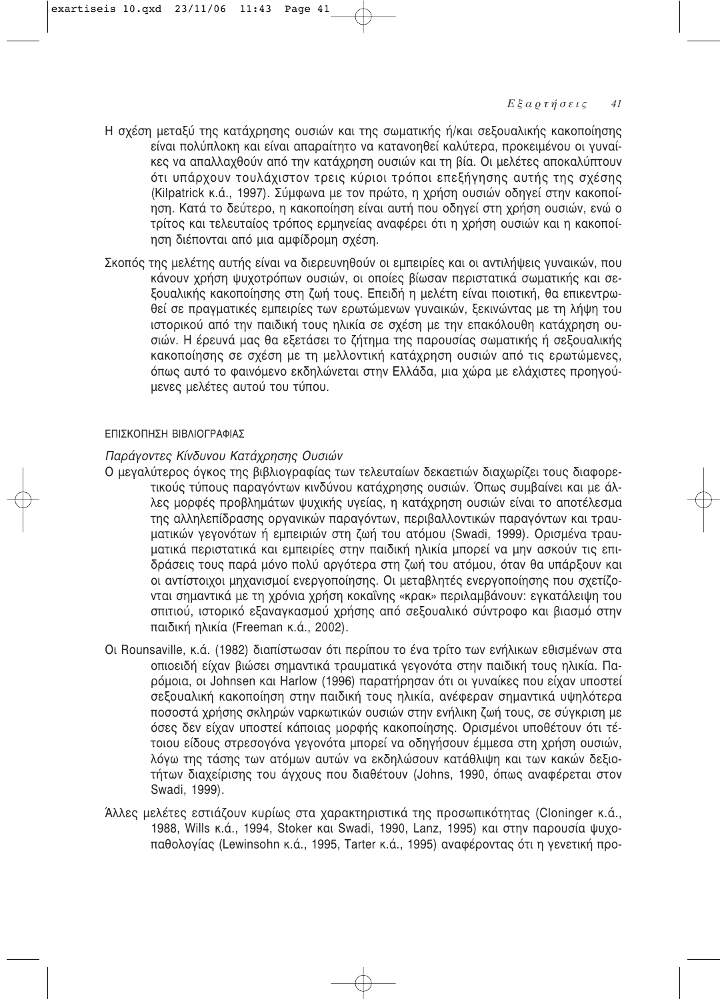- Η σχέση μεταξύ της κατάχρησης ουσιών και της σωματικής ή/και σεξουαλικής κακοποίησης είναι πολύπλοκη και είναι απαραίτητο να κατανοηθεί καλύτερα, προκειμένου οι γυναίκες να απαλλαχθούν από την κατάχρηση ουσιών και τη βία. Οι μελέτες αποκαλύπτουν ότι υπάρχουν τουλάχιστον τρεις κύριοι τρόποι επεξήγησης αυτής της σχέσης (Kilpatrick κ.ά., 1997). Σύμφωνα με τον πρώτο, η χρήση ουσιών οδηγεί στην κακοποίηση. Κατά το δεύτερο, η κακοποίηση είναι αυτή που οδηγεί στη χρήση ουσιών, ενώ ο τρίτος και τελευταίος τρόπος ερμηνείας αναφέρει ότι η χρήση ουσιών και η κακοποίηση διέπονται από μια αμφίδρομη σχέση.
- Σκοπός της μελέτης αυτής είναι να διερευνηθούν οι εμπειρίες και οι αντιλήψεις γυναικών, που κάνουν χρήση ψυχοτρόπων ουσιών, οι οποίες βίωσαν περιστατικά σωματικής και σεξουαλικής κακοποίησης στη ζωή τους. Επειδή η μελέτη είναι ποιοτική. θα επικεντρωθεί σε πραγματικές εμπειρίες των ερωτώμενων γυναικών, ξεκινώντας με τη λήψη του ιστορικού από την παιδική τους ηλικία σε σχέση με την επακόλουθη κατάχρηση ουσιών. Η έρευνά μας θα εξετάσει το ζήτημα της παρουσίας σωματικής ή σεξουαλικής κακοποίησης σε σχέση με τη μελλοντική κατάχρηση ουσιών από τις ερωτώμενες, όπως αυτό το φαινόμενο εκδηλώνεται στην Ελλάδα, μια χώρα με ελάχιστες προηγούμενες μελέτες αυτού του τύπου.

## ΕΠΙΣΚΟΠΗΣΗ ΒΙΒΛΙΟΓΡΑΦΙΑΣ

## *Παράγοντες Κίνδυνου Κατάχρησης Ουσιών*

- Ο μεναλύτερος όγκος της βιβλιονραφίας των τελευταίων δεκαετιών διαχωρίζει τους διαφορετικούς τύπους παραγόντων κινδύνου κατάχρησης ουσιών. Όπως συμβαίνει και με άλλες μορφές προβλημάτων ψυχικής υγείας, η κατάχρηση ουσιών είναι το αποτέλεσμα της αλληλεπίδρασης οργανικών παραγόντων, περιβαλλοντικών παραγόντων και τραυματικών γεγονότων ή εμπειριών στη ζωή του ατόμου (Swadi, 1999). Ορισμένα τραυματικά περιστατικά και εμπειρίες στην παιδική ηλικία μπορεί να μην ασκούν τις επιδράσεις τους παρά μόνο πολύ αργότερα στη ζωή του ατόμου, όταν θα υπάρξουν και οι αντίστοιχοι μηχανισμοί ενεργοποίησης. Οι μεταβλητές ενεργοποίησης που σχετίζο-Vται σημαντικά με τη χρόνια χρήση κοκαΐνης «κρακ» περιλαμβάνουν: εγκατάλειψη του σπιτιού, ιστορικό εξαναγκασμού χρήσης από σεξουαλικό σύντροφο και βιασμό στην παιδική ηλικία (Freeman κ.ά., 2002).
- Οι Rounsaville, κ.ά. (1982) διαπίστωσαν ότι περίπου το ένα τρίτο των ενήλικων εθισμένων στα οπιοειδή είχαν βιώσει σημαντικά τραυματικά γεγονότα στην παιδική τους ηλικία. Παρόμοια, οι Johnsen και Harlow (1996) παρατήρησαν ότι οι γυναίκες που είχαν υποστεί σεξουαλική κακοποίηση στην παιδική τους ηλικία, ανέφεραν σημαντικά υψηλότερα ποσοστά χρήσης σκληρών ναρκωτικών ουσιών στην ενήλικη ζωή τους, σε σύγκριση με όσες δεν είχαν υποστεί κάποιας μορφής κακοποίησης. Ορισμένοι υποθέτουν ότι τέτοιου είδους στρεσογόνα γεγονότα μπορεί να οδηγήσουν έμμεσα στη χρήση ουσιών, λόγω της τάσης των ατόμων αυτών να εκδηλώσουν κατάθλιψη και των κακών δεξιοτήτων διαχείρισης του άγχους που διαθέτουν (Johns, 1990, όπως αναφέρεται στον Swadi, 1999).
- Άλλες μελέτες εστιάζουν κυρίως στα χαρακτηριστικά της προσωπικότητας (Cloninger κ.ά., 1988, Wills κ.ά., 1994, Stoker και Swadi, 1990, Lanz, 1995) και στην παρουσία ψυχοπαθολογίας (Lewinsohn κ.ά., 1995, Tarter κ.ά., 1995) αναφέροντας ότι η γενετική προ-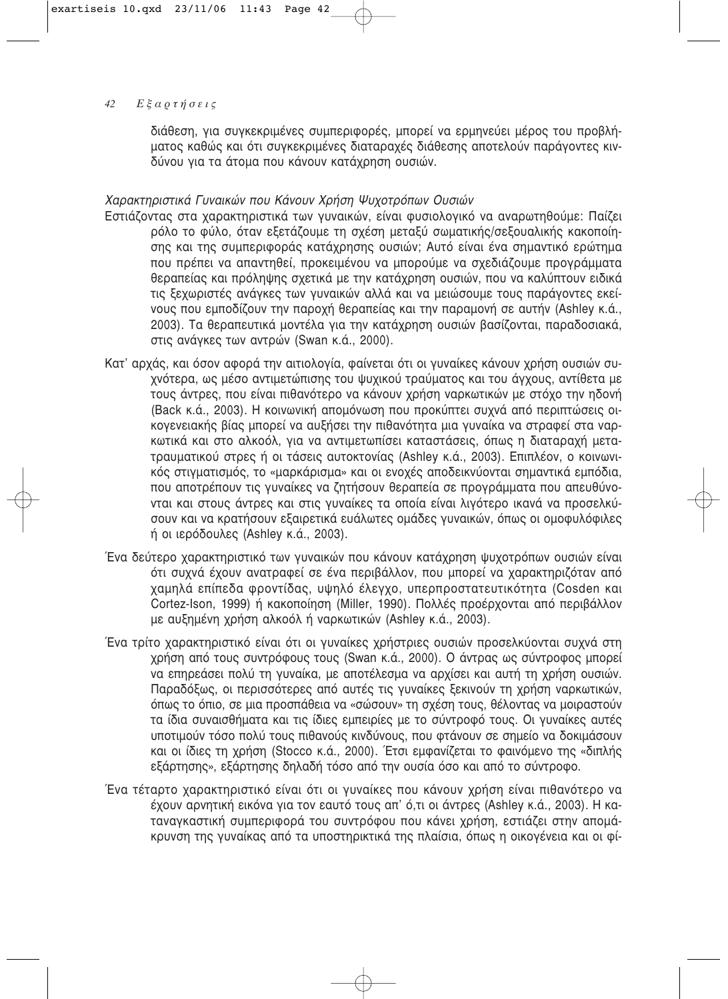διάθεση, για συγκεκριμένες συμπεριφορές, μπορεί να ερμηνεύει μέρος του προβλήματος καθώς και ότι συγκεκριμένες διαταραχές διάθεσης αποτελούν παράγοντες κινδύνου για τα άτομα που κάνουν κατάχρηση ουσιών.

## Χαρακτηριστικά Γυναικών που Κάνουν Χρήση Ψυχοτρόπων Ουσιών

- Εστιάζοντας στα χαρακτηριστικά των γυναικών, είναι φυσιολογικό να αναρωτηθούμε: Παίζει ρόλο το φύλο, όταν εξετάζουμε τη σχέση μεταξύ σωματικής/σεξουαλικής κακοποίησης και της συμπεριφοράς κατάχρησης ουσιών; Αυτό είναι ένα σημαντικό ερώτημα που πρέπει να απαντηθεί, προκειμένου να μπορούμε να σχεδιάζουμε προγράμματα θεραπείας και πρόληψης σχετικά με την κατάχρηση ουσιών, που να καλύπτουν ειδικά τις ξεχωριστές ανάγκες των γυναικών αλλά και να μειώσουμε τους παράγοντες εκεί-VOUS που εμποδίζουν την παροχή θεραπείας και την παραμονή σε αυτήν (Ashley κ.ά., 2003). Τα θεραπευτικά μοντέλα για την κατάχρηση ουσιών βασίζονται, παραδοσιακά, στις ανάγκες των αντρών (Swan κ.ά., 2000).
- Κατ' αρχάς, και όσον αφορά την αιτιολογία, φαίνεται ότι οι γυναίκες κάνουν χρήση ουσιών συχνότερα, ως μέσο αντιμετώπισης του ψυχικού τραύματος και του άγχους, αντίθετα με τους άντρες, που είναι πιθανότερο να κάνουν χρήση ναρκωτικών με στόχο την ηδονή (Back κ.ά., 2003). Η κοινωνική απομόνωση που προκύπτει συχνά από περιπτώσεις οικογενειακής βίας μπορεί να αυξήσει την πιθανότητα μια γυναίκα να στραφεί στα ναρκωτικά και στο αλκοόλ, για να αντιμετωπίσει καταστάσεις, όπως η διαταραχή μετατραυματικού στρες ή οι τάσεις αυτοκτονίας (Ashley κ.ά., 2003). Επιπλέον, ο κοινωνι-Κός στιγματισμός, το «μαρκάρισμα» και οι ενοχές αποδεικνύονται σημαντικά εμπόδια, που αποτρέπουν τις γυναίκες να ζητήσουν θεραπεία σε προγράμματα που απευθύνονται και στους άντρες και στις γυναίκες τα οποία είναι λιγότερο ικανά να προσελκύσουν και να κρατήσουν εξαιρετικά ευάλωτες ομάδες γυναικών, όπως οι ομοφυλόφιλες  $η$  οι ιερόδουλες (Ashley κ.ά., 2003).
- Ένα δεύτερο χαρακτηριστικό των γυναικών που κάνουν κατάχρηση ψυχοτρόπων ουσιών είναι ότι συχνά έχουν ανατραφεί σε ένα περιβάλλον, που μπορεί να χαρακτηριζόταν από χαμηλά επίπεδα φροντίδας, υψηλό έλεγχο, υπερπροστατευτικότητα (Cosden και Cortez-Ison, 1999) ή κακοποίηση (Miller, 1990). Πολλές προέρχονται από περιβάλλον με αυξημένη χρήση αλκοόλ ή ναρκωτικών (Ashley κ.ά., 2003).
- Ένα τρίτο χαρακτηριστικό είναι ότι οι γυναίκες χρήστριες ουσιών προσελκύονται συχνά στη γρήση από τους συντρόφους τους (Swan κ.ά., 2000). Ο άντρας ως σύντροφος μπορεί να επηρεάσει πολύ τη γυναίκα, με αποτέλεσμα να αρχίσει και αυτή τη χρήση ουσιών. Παραδόξως, οι περισσότερες από αυτές τις γυναίκες ξεκινούν τη χρήση ναρκωτικών, όπως το όπιο, σε μια προσπάθεια να «σώσουν» τη σχέση τους, θέλοντας να μοιραστούν τα ίδια συναισθήματα και τις ίδιες εμπειρίες με το σύντροφό τους. Οι γυναίκες αυτές υποτιμούν τόσο πολύ τους πιθανούς κινδύνους, που φτάνουν σε σημείο να δοκιμάσουν Kαι οι ίδιες τη χρήση (Stocco K.ά., 2000). Έτσι εμφανίζεται το φαινόμενο της «διπλής εξάρτησης», εξάρτησης δηλαδή τόσο από την ουσία όσο και από το σύντροφο.
- Ένα τέταρτο χαρακτηριστικό είναι ότι οι γυναίκες που κάνουν χρήση είναι πιθανότερο να έχουν αρνητική εικόνα για τον εαυτό τους απ' ό,τι οι άντρες (Ashley κ.ά., 2003). Η καταναγκαστική συμπεριφορά του συντρόφου που κάνει χρήση, εστιάζει στην απομά-Κρυνση της γυναίκας από τα υποστηρικτικά της πλαίσια, όπως η οικογένεια και οι φί-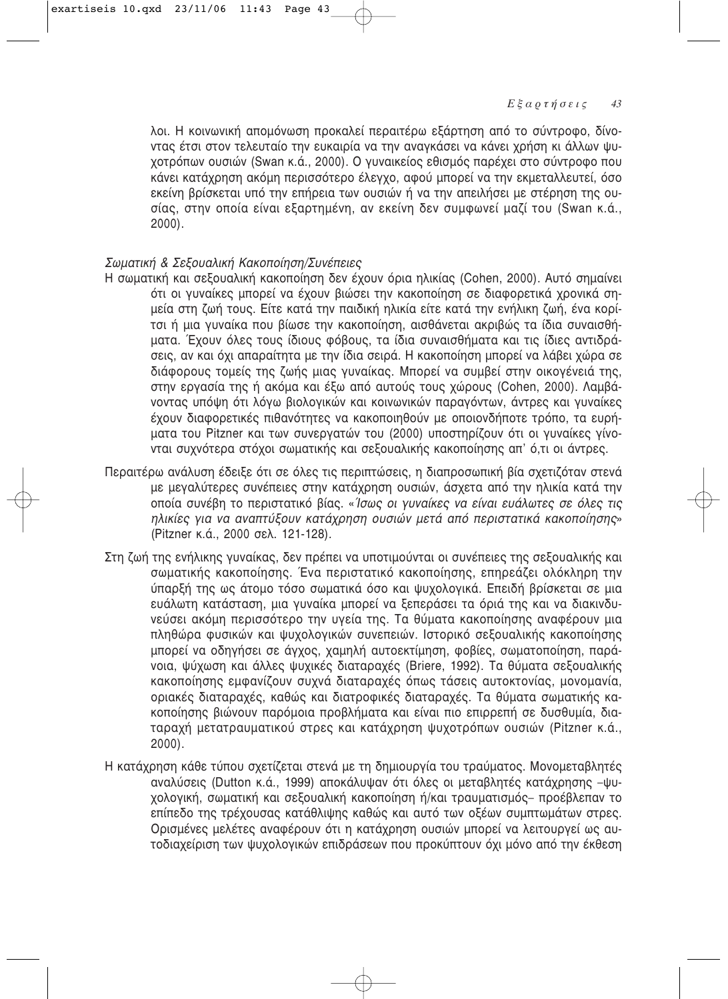λοι. Η κοινωνική απομόνωση προκαλεί περαιτέρω εξάρτηση από το σύντροφο, δίνοντας έτσι στον τελευταίο την ευκαιρία να την αναγκάσει να κάνει χρήση κι άλλων ψυχοτρόπων ουσιών (Swan κ.ά., 2000). Ο γυναικείος εθισμός παρέχει στο σύντροφο που κάνει κατάχρηση ακόμη περισσότερο έλεγχο, αφού μπορεί να την εκμεταλλευτεί, όσο εκείνη βρίσκεται υπό την επήρεια των ουσιών ή να την απειλήσει με στέρηση της ουσίας, στην οποία είναι εξαρτημένη, αν εκείνη δεν συμφωνεί μαζί του (Swan κ.ά., 2000).

# *Σωματική & Σεξουαλική Κακοποίηση/Συνέπειες*

- Η σωματική και σεξουαλική κακοποίηση δεν έχουν όρια ηλικίας (Cohen, 2000). Αυτό σημαίνει ότι οι νυναίκες μπορεί να έχουν βιώσει την κακοποίηση σε διαφορετικά χρονικά σημεία στη ζωή τους. Είτε κατά την παιδική ηλικία είτε κατά την ενήλικη ζωή, ένα κορίτσι ή μια γυναίκα που βίωσε την κακοποίηση, αισθάνεται ακριβώς τα ίδια συναισθήματα. Έχουν όλες τους ίδιους φόβους, τα ίδια συναισθήματα και τις ίδιες αντιδράσεις, αν και όχι απαραίτητα με την ίδια σειρά. Η κακοποίηση μπορεί να λάβει χώρα σε διάφορους τομείς της ζωής μιας γυναίκας. Μπορεί να συμβεί στην οικογένειά της. στην εργασία της ή ακόμα και έξω από αυτούς τους χώρους (Cohen, 2000). Λαμβά-VΟΥΤας υπόψη ότι λόγω βιολογικών και κοινωνικών παραγόντων, άντρες και γυναίκες έχουν διαφορετικές πιθανότητες να κακοποιηθούν με οποιονδήποτε τρόπο, τα ευρήματα του Pitzner και των συνεργατών του (2000) υποστηρίζουν ότι οι γυναίκες γίνονται συχνότερα στόχοι σωματικής και σεξουαλικής κακοποίησης απ' ό,τι οι άντρες.
- Περαιτέρω ανάλυση έδειξε ότι σε όλες τις περιπτώσεις, η διαπροσωπική βία σχετιζόταν στενά με μεναλύτερες συνέπειες στην κατάχρηση ουσιών, άσχετα από την ηλικία κατά την οποία συνέβη το περιστατικό βίας. «*Ίσως οι γυναίκες να είναι ευάλωτες σε όλες τις* ηλικίες για να αναπτύξουν κατάχρηση ουσιών μετά από περιστατικά κακοποίησης» (Pitzner κ.ά., 2000 σελ. 121-128).
- Στη ζωή της ενήλικης γυναίκας, δεν πρέπει να υποτιμούνται οι συνέπειες της σεξουαλικής και σωματικής κακοποίησης. Ένα περιστατικό κακοποίησης, επηρεάζει ολόκληρη την ύπαρξή της ως άτομο τόσο σωματικά όσο και ψυχολογικά. Επειδή βρίσκεται σε μια ευάλωτη κατάσταση, μια γυναίκα μπορεί να ξεπεράσει τα όριά της και να διακινδυνεύσει ακόμη περισσότερο την υγεία της. Τα θύματα κακοποίησης αναφέρουν μια πληθώρα φυσικών και ψυχολογικών συνεπειών. Ιστορικό σεξουαλικής κακοποίησης μπορεί να οδηγήσει σε άγχος, χαμηλή αυτοεκτίμηση, φοβίες, σωματοποίηση, παράνοια, ψύχωση και άλλες ψυχικές διαταραχές (Briere, 1992). Τα θύματα σεξουαλικής κακοποίησης εμφανίζουν συχνά διαταραχές όπως τάσεις αυτοκτονίας, μονομανία, οριακές διαταραχές, καθώς και διατροφικές διαταραχές. Τα θύματα σωματικής κακοποίησης βιώνουν παρόμοια προβλήματα και είναι πιο επιρρεπή σε δυσθυμία, διαταραχή μετατραυματικού στρες και κατάχρηση ψυχοτρόπων ουσιών (Pitzner κ.ά., 2000).
- Η κατάχρηση κάθε τύπου σχετίζεται στενά με τη δημιουργία του τραύματος. Μονομεταβλητές αναλύσεις (Dutton κ.ά., 1999) αποκάλυψαν ότι όλες οι μεταβλητές κατάχρησης -ψυχολογική, σωματική και σεξουαλική κακοποίηση ή/και τραυματισμός– προέβλεπαν το επίπεδο της τρέχουσας κατάθλιψης καθώς και αυτό των οξέων συμπτωμάτων στρες. Ορισμένες μελέτες αναφέρουν ότι η κατάχρηση ουσιών μπορεί να λειτουργεί ως αυτοδιαχείριση των ψυχολογικών επιδράσεων που προκύπτουν όχι μόνο από την έκθεση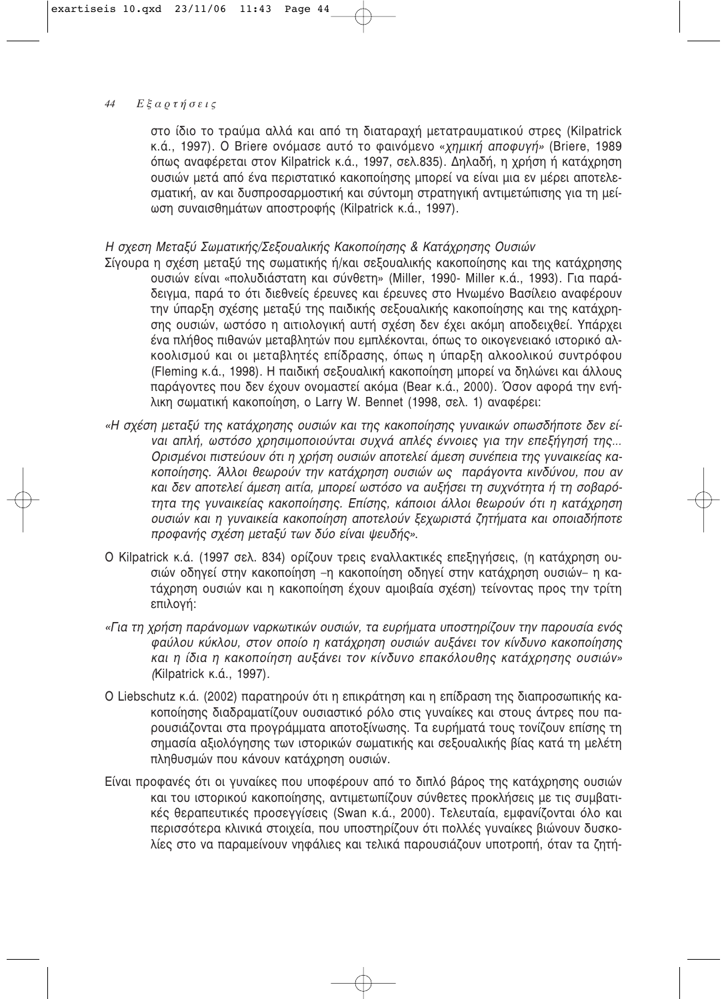στο ίδιο το τραύμα αλλά και από τη διαταραχή μετατραυματικού στρες (Kilpatrick K.ά., 1997). Ο Briere ονόμασε αυτό το φαινόμενο «*χημική αποφυγή»* (Briere, 1989 όπως αναφέρεται στον Kilpatrick κ.ά., 1997, σελ.835). Δηλαδή, η χρήση ή κατάχρηση ουσιών μετά από ένα περιστατικό κακοποίησης μπορεί να είναι μια εν μέρει αποτελεσματική, αν και δυσπροσαρμοστική και σύντομη στρατηγική αντιμετώπισης για τη μείωση συναισθημάτων αποστροφής (Kilpatrick κ.ά., 1997).

## Η σχεση Μεταξύ Σωματικής/Σεξουαλικής Κακοποίησης & Κατάχρησης Ουσιών

- Σίγουρα η σχέση μεταξύ της σωματικής ή/και σεξουαλικής κακοποίησης και της κατάχρησης ουσιών είναι «πολυδιάστατη και σύνθετη» (Miller, 1990- Miller κ.ά., 1993). Για παράδειγμα, παρά το ότι διεθνείς έρευνες και έρευνες στο Ηνωμένο Βασίλειο αναφέρουν την ύπαρξη σχέσης μεταξύ της παιδικής σεξουαλικής κακοποίησης και της κατάχρησης ουσιών, ωστόσο η αιτιολογική αυτή σχέση δεν έχει ακόμη αποδειχθεί. Υπάρχει ένα πλήθος πιθανών μεταβλητών που εμπλέκονται, όπως το οικογενειακό ιστορικό αλκοολισμού και οι μεταβλητές επίδρασης, όπως η ύπαρξη αλκοολικού συντρόφου (Fleming κ.ά., 1998). Η παιδική σεξουαλική κακοποίηση μπορεί να δηλώνει και άλλους παράγοντες που δεν έχουν ονομαστεί ακόμα (Bear κ.ά., 2000). Όσον αφορά την ενήλικη σωματική κακοποίηση, ο Larry W. Bennet (1998, σελ. 1) αναφέρει:
- «Η σχέση μεταξύ της κατάχρησης ουσιών και της κακοποίησης γυναικών οπωσδήποτε δεν είvaι απλή, ωστόσο χρησιμοποιούνται συχνά απλές έννοιες για την επεξήγησή της... Ορισμένοι πιστεύουν ότι η χρήση ουσιών αποτελεί άμεση συνέπεια της γυναικείας κα-*ΚΟΠΟΙΠΟΠΟΣ. Άλλοι θεωρούν την κατάχρηση ουσιών ως παράγοντα κινδύνου, που αν Και δεν αποτελεί άμεση αιτία, μπορεί ωστόσο να αυξήσει τη συχνότητα ή τη σοβαρό*τητα της γυναικείας κακοποίησης. Επίσης, κάποιοι άλλοι θεωρούν ότι η κατάχρηση *Ουσιών και η γυναικεία κακοποίηση αποτελούν ξεχωριστά ζητήματα και οποιαδήποτε προφανής σχέση μεταξύ των δύο είναι ψευδής».*
- Ο Kilpatrick κ.ά. (1997 σελ. 834) ορίζουν τρεις εναλλακτικές επεξηγήσεις, (η κατάχρηση ουσιών οδηγεί στην κακοποίηση –η κακοποίηση οδηγεί στην κατάχρηση ουσιών– η κατάχρηση ουσιών και η κακοποίηση έχουν αμοιβαία σχέση) τείνοντας προς την τρίτη επιλογή:
- *«°È· ÙË ¯Ú‹ÛË ·Ú¿ÓÔÌˆÓ Ó·ÚΈÙÈÎÒÓ Ô˘ÛÈÒÓ, Ù· Â˘Ú‹Ì·Ù· ˘ÔÛÙËÚ›˙Ô˘Ó ÙËÓ ·ÚÔ˘Û›· ÂÓfi˜* φαύλου κύκλου, στον οποίο η κατάχρηση ουσιών αυξάνει τον κίνδυνο κακοποίησης *και η ίδια η κακοποίηση αυξάνει τον κίνδυνο επακόλουθης κατάχρησης ουσιών» (Kilpatrick κ.ά., 1997).*
- Ο Liebschutz κ.ά. (2002) παρατηρούν ότι η επικράτηση και η επίδραση της διαπροσωπικής κακοποίησης διαδραματίζουν ουσιαστικό ρόλο στις γυναίκες και στους άντρες που παρουσιάζονται στα προγράμματα αποτοξίνωσης. Τα ευρήματά τους τονίζουν επίσης τη σημασία αξιολόγησης των ιστορικών σωματικής και σεξουαλικής βίας κατά τη μελέτη πληθυσμών που κάνουν κατάχρηση ουσιών.
- Είναι προφανές ότι οι γυναίκες που υποφέρουν από το διπλό βάρος της κατάχρησης ουσιών και του ιστορικού κακοποίησης, αντιμετωπίζουν σύνθετες προκλήσεις με τις συμβατικές θεραπευτικές προσεγγίσεις (Swan κ.ά., 2000). Τελευταία, εμφανίζονται όλο και περισσότερα κλινικά στοιχεία, που υποστηρίζουν ότι πολλές γυναίκες βιώνουν δυσκολίες στο να παραμείνουν νηφάλιες και τελικά παρουσιάζουν υποτροπή, όταν τα ζητή-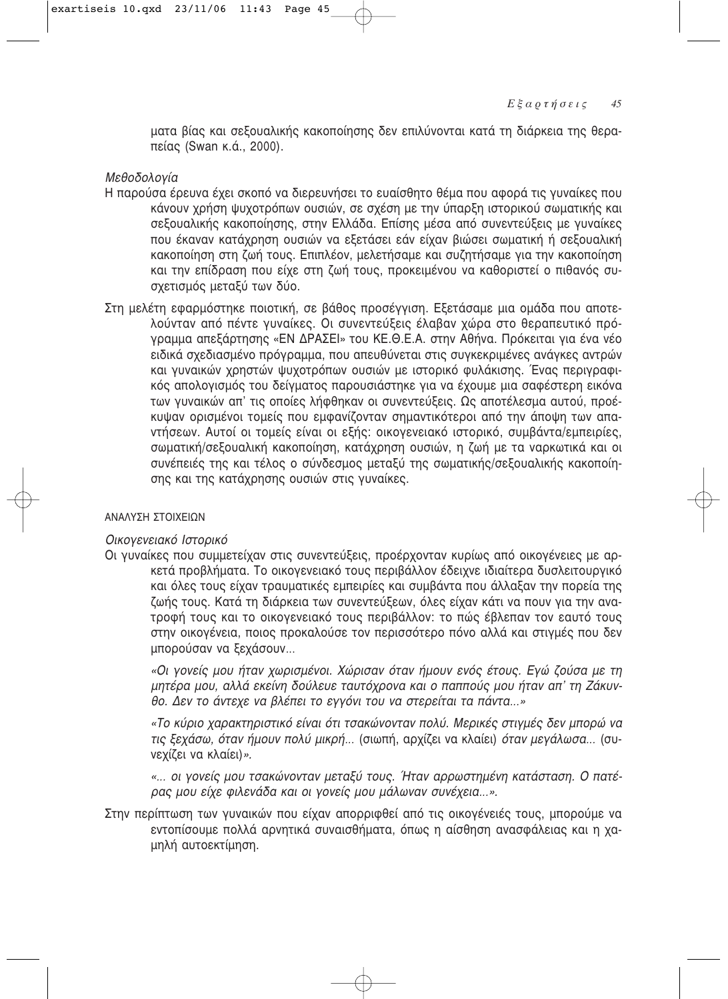ματα βίας και σεξουαλικής κακοποίησης δεν επιλύνονται κατά τη διάρκεια της θεραπείας (Swan κ.ά., 2000).

#### $M\varepsilon\theta$ οδολονία

- Η παρούσα έρευνα έχει σκοπό να διερευνήσει το ευαίσθητο θέμα που αφορά τις γυναίκες που κάνουν χρήση ψυχοτρόπων ουσιών, σε σχέση με την ύπαρξη ιστορικού σωματικής και σεξουαλικής κακοποίησης, στην Ελλάδα. Επίσης μέσα από συνεντεύξεις με γυναίκες που έκαναν κατάχρηση ουσιών να εξετάσει εάν είχαν βιώσει σωματική ή σεξουαλική κακοποίηση στη ζωή τους. Επιπλέον, μελετήσαμε και συζητήσαμε για την κακοποίηση και την επίδραση που είχε στη ζωή τους, προκειμένου να καθοριστεί ο πιθανός συσχετισμός μεταξύ των δύο.
- Στη μελέτη εφαρμόστηκε ποιοτική, σε βάθος προσέγγιση. Εξετάσαμε μια ομάδα που αποτελούνταν από πέντε γυναίκες. Οι συνεντεύξεις έλαβαν χώρα στο θεραπευτικό πρόγραμμα απεξάρτησης «ΕΝ ΔΡΑΣΕΙ» του ΚΕ.Θ.Ε.Α. στην Αθήνα. Πρόκειται για ένα νέο ειδικά σχεδιασμένο πρόγραμμα, που απευθύνεται στις συγκεκριμένες ανάγκες αντρών και γυναικών χρηστών ψυχοτρόπων ουσιών με ιστορικό φυλάκισης. Ένας περινραφικός απολογισμός του δείγματος παρουσιάστηκε για να έχουμε μια σαφέστερη εικόνα των γυναικών απ' τις οποίες λήφθηκαν οι συνεντεύξεις. Ως αποτέλεσμα αυτού, προέκυψαν ορισμένοι τομείς που εμφανίζονταν σημαντικότεροι από την άποψη των απα-Vτήσεων. Αυτοί οι τομείς είναι οι εξής: οικογενειακό ιστορικό, συμβάντα/εμπειρίες, σωματική/σεξουαλική κακοποίηση, κατάχρηση ουσιών, η ζωή με τα ναρκωτικά και οι συνέπειές της και τέλος ο σύνδεσμος μεταξύ της σωματικής/σεξουαλικής κακοποίησης και της κατάχρησης ουσιών στις γυναίκες.

#### ΑΝΑΛΥΣΗ ΣΤΟΙΧΕΙΩΝ

## Οικονενειακό Ιστορικό

Οι γυναίκες που συμμετείχαν στις συνεντεύξεις, προέρχονταν κυρίως από οικογένειες με αρκετά προβλήματα. Το οικογενειακό τους περιβάλλον έδειχνε ιδιαίτερα δυσλειτουργικό και όλες τους είχαν τραυματικές εμπειρίες και συμβάντα που άλλαξαν την πορεία της ζωής τους. Κατά τη διάρκεια των συνεντεύξεων, όλες είχαν κάτι να πουν για την ανατροφή τους και το οικογενειακό τους περιβάλλον: το πώς έβλεπαν τον εαυτό τους στην οικογένεια, ποιος προκαλούσε τον περισσότερο πόνο αλλά και στιγμές που δεν μπορούσαν να ξεχάσουν...

«Οι γονείς μου ήταν χωρισμένοι. Χώρισαν όταν ήμουν ενός έτους. Εγώ ζούσα με τη ιητέρα μου, αλλά εκείνη δούλευε ταυτόχρονα και ο παππούς μου ήταν απ' τη Ζάκυνθο. Δεν το άντεχε να βλέπει το εγγόνι του να στερείται τα πάντα...»

«Το κύριο χαρακτηριστικό είναι ότι τσακώνονταν πολύ. Μερικές στιγμές δεν μπορώ να *τις ξεχάσω, όταν ήμουν πολύ μικρή...* (σιωπή, αρχίζει να κλαίει) *όταν μεγάλωσα...* (συ $v$ εχίζει να κλαίει)».

«... οι γονείς μου τσακώνονταν μεταξύ τους. Ήταν αρρωστημένη κατάσταση. Ο πατέ- $\beta$ ας μου είχε φιλενάδα και οι γονείς μου μάλωναν συνέχεια...».

Στην περίπτωση των γυναικών που είχαν απορριφθεί από τις οικογένειές τους, μπορούμε να εντοπίσουμε πολλά αρνητικά συναισθήματα, όπως η αίσθηση ανασφάλειας και η χαμηλή αυτοεκτίμηση.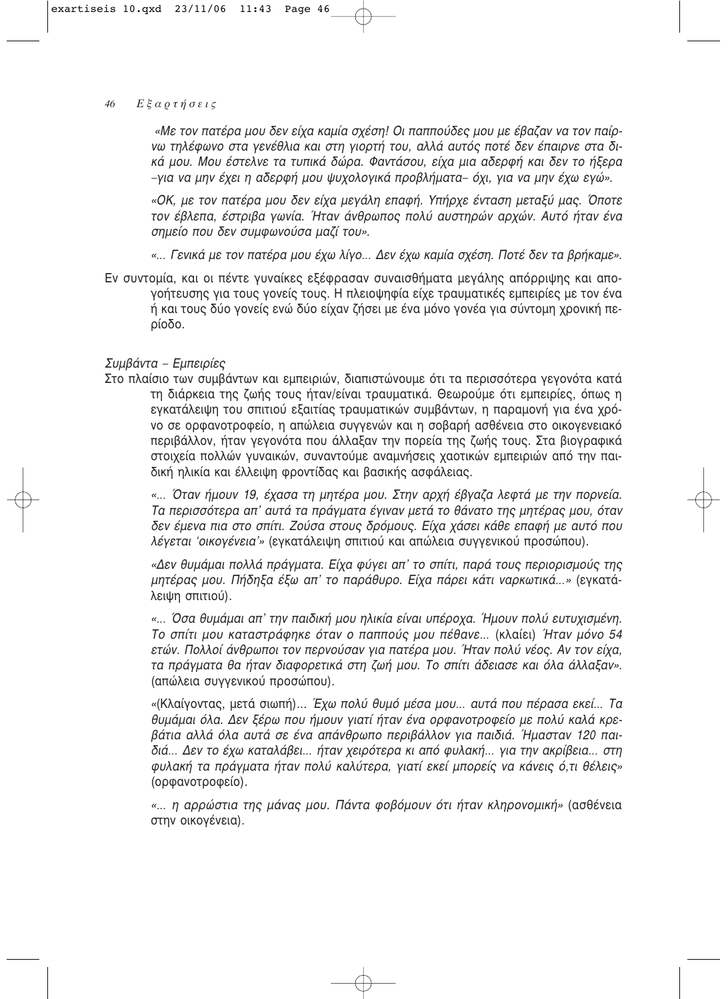«Με τον πατέρα μου δεν είχα καμία σχέση! Οι παππούδες μου με έβαζαν να τον παίρνω τηλέφωνο στα γενέθλια και στη γιορτή του, αλλά αυτός ποτέ δεν έπαιρνε στα δικά μου. Μου έστελνε τα τυπικά δώρα. Φαντάσου, είχα μια αδερφή και δεν το ήξερα *–ÁÈ· Ó· ÌËÓ ¤¯ÂÈ Ë ·‰ÂÚÊ‹ ÌÔ˘ "˘¯ÔÏÔÁÈο ÚԂϋ̷ٷ– fi¯È, ÁÈ· Ó· ÌËÓ ¤¯ˆ ÂÁÒ».*

«ΟΚ, με τον πατέρα μου δεν είχα μεγάλη επαφή. Υπήρχε ένταση μεταξύ μας. Όποτε τον έβλεπα, έστριβα γωνία. Ήταν άνθρωπος πολύ αυστηρών αρχών. Αυτό ήταν ένα *σημείο που δεν συμφωνούσα μαζί του».* 

«… Γενικά με τον πατέρα μου έχω λίνο… Δεν έχω καμία σχέση. Ποτέ δεν τα βρήκαμε».

Eν συντομία, και οι πέντε γυναίκες εξέφρασαν συναισθήματα μεγάλης απόρριψης και απογοήτευσης για τους γονείς τους. Η πλειοψηφία είχε τραυματικές εμπειρίες με τον ένα ή και τους δύο γονείς ενώ δύο είχαν ζήσει με ένα μόνο γονέα για σύντομη χρονική περίοδο.

## Συμβάντα – Εμπειρίες

Στο πλαίσιο των συμβάντων και εμπειριών, διαπιστώνουμε ότι τα περισσότερα γεγονότα κατά τη διάρκεια της ζωής τους ήταν/είναι τραυματικά. Θεωρούμε ότι εμπειρίες, όπως η εγκατάλειψη του σπιτιού εξαιτίας τραυματικών συμβάντων, η παραμονή για ένα χρόνο σε ορφανοτροφείο, η απώλεια συγγενών και η σοβαρή ασθένεια στο οικογενειακό περιβάλλον, ήταν γεγονότα που άλλαξαν την πορεία της ζωής τους. Στα βιογραφικά στοιχεία πολλών γυναικών, συναντούμε αναμνήσεις χαοτικών εμπειριών από την παιδική ηλικία και έλλειψη φροντίδας και βασικής ασφάλειας.

«… Όταν ήμουν 19, έχασα τη μητέρα μου. Στην αρχή έβγαζα λεφτά με την πορνεία. *Δ· ÂÚÈÛÛfiÙÂÚ· ·' ·˘Ù¿ Ù· Ú¿ÁÌ·Ù· ¤ÁÈÓ·Ó ÌÂÙ¿ ÙÔ ı¿Ó·ÙÔ Ù˘ ÌËÙ¤Ú·˜ ÌÔ˘, fiÙ·Ó* δεν έμενα πια στο σπίτι. Ζούσα στους δρόμους. Είχα χάσει κάθε επαφή με αυτό που λέγεται 'οικογένεια'» (εγκατάλειψη σπιτιού και απώλεια συγγενικού προσώπου).

«Δεν θυμάμαι πολλά πράγματα. Είχα φύγει απ' το σπίτι, παρά τους περιορισμούς της μητέρας μου. Πήδηξα έξω απ' το παράθυρο. Είχα πάρει κάτι ναρκωτικά...» (εγκατάλειψη σπιτιού).

«… Όσα θυμάμαι απ' την παιδική μου ηλικία είναι υπέροχα. Ήμουν πολύ ευτυχισμένη. *Το σπίτι μου καταστράφηκε όταν ο παππούς μου πέθανε...* (κλαίει) Ήταν μόνο 54 ετών. Πολλοί άνθρωποι τον περνούσαν για πατέρα μου. Ήταν πολύ νέος. Αν τον είχα, τα πράγματα θα ήταν διαφορετικά στη ζωή μου. Το σπίτι άδειασε και όλα άλλαξαν». (απώλεια συγγενικού προσώπου).

«(Κλαίγοντας, μετά σιωπή)*... Έχω πολύ θυμό μέσα μου... αυτά που πέρασα εκεί... Τα* θυμάμαι όλα. Δεν ξέρω που ήμουν γιατί ήταν ένα ορφανοτροφείο με πολύ καλά κρεβάτια αλλά όλα αυτά σε ένα απάνθρωπο περιβάλλον για παιδιά. Ήμασταν 120 παιδιά... Δεν το έχω καταλάβει... ήταν χειρότερα κι από φυλακή... για την ακρίβεια... στη φυλακή τα πράγματα ήταν πολύ καλύτερα, γιατί εκεί μπορείς να κάνεις ό,τι θέλεις» (ορφανοτροφείο).

«… η αρρώστια της μάνας μου. Πάντα φοβόμουν ότι ήταν κληρονομική» (ασθένεια στην οικογένεια).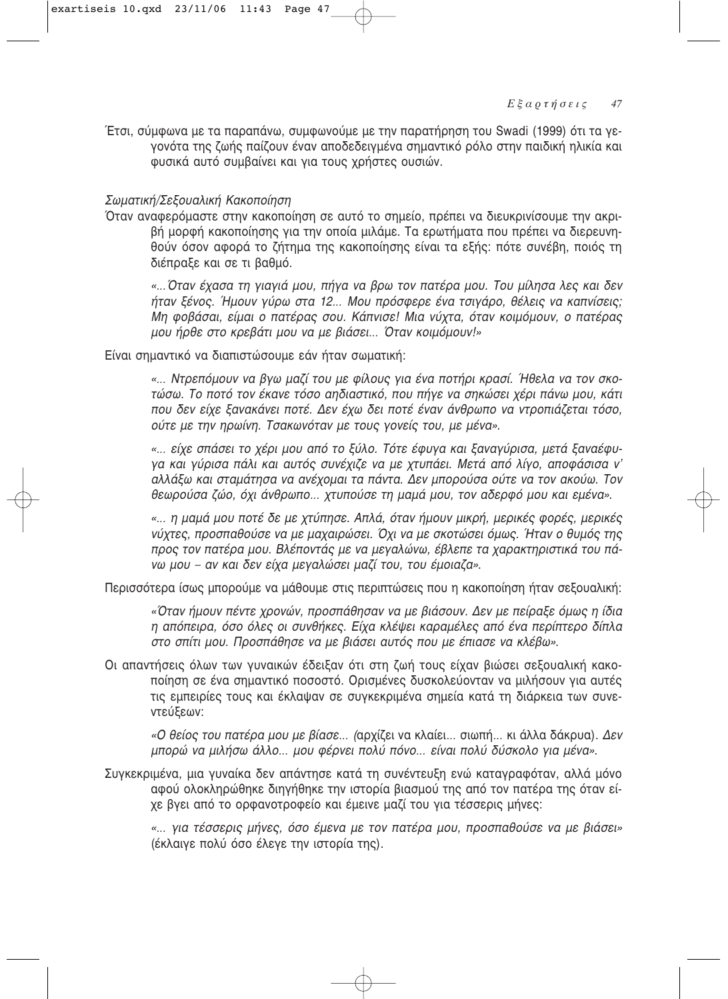Έτσι, σύμφωνα με τα παραπάνω, συμφωνούμε με την παρατήρηση του Swadi (1999) ότι τα γεγονότα της ζωής παίζουν έναν αποδεδειγμένα σημαντικό ρόλο στην παιδική ηλικία και φυσικά αυτό συμβαίνει και για τους χρήστες ουσιών.

## Σωματική/Σε*ξουαλική Κακοποίηση*

Όταν αναφερόμαστε στην κακοποίηση σε αυτό το σημείο, πρέπει να διευκρινίσουμε την ακριβή μορφή κακοποίησης για την οποία μιλάμε. Τα ερωτήματα που πρέπει να διερευνηθούν όσον αφορά το ζήτημα της κακοποίησης είναι τα εξής: πότε συνέβη, ποιός τη διέπραξε και σε τι βαθμό.

*«…ŸÙ·Ó ¤¯·Û· ÙË ÁÈ·ÁÈ¿ ÌÔ˘, ‹Á· Ó· 'Úˆ ÙÔÓ ·Ù¤Ú· ÌÔ˘. ΔÔ˘ Ì›ÏËÛ· Ϙ Î·È ‰ÂÓ ήταν ξένος. Ήμουν γύρω στα 12... Μου πρόσφερε ένα τσιγάρο, θέλεις να καπνίσεις; Μη φοβάσαι, είμαι ο πατέρας σου. Κάπνισε! Μια νύχτα, όταν κοιμόμουν, ο πατέρας*  $\mu$ ου ήρθε στο κρεβάτι μου να με βιάσει... Όταν κοιμόμουν!»

Είναι σημαντικό να διαπιστώσουμε εάν ήταν σωματική:

«... Ντρεπόμουν να βγω μαζί του με φίλους για ένα ποτήρι κρασί. Ήθελα να τον σκοτώσω. Το ποτό τον έκανε τόσο αηδιαστικό, που πήγε να σηκώσει χέρι πάνω μου, κάτι που δεν είχε ξανακάνει ποτέ. Δεν έχω δει ποτέ έναν άνθρωπο να ντροπιάζεται τόσο,  $\tilde{\rho}$ ύτε με την ηρωίνη. Τσακωνόταν με τους γονείς του, με μένα».

«… είχε σπάσει το χέρι μου από το ξύλο. Τότε έφυγα και ξαναγύρισα, μετά ξαναέφυγα και γύρισα πάλι και αυτός συνέχιζε να με χτυπάει. Μετά από λίγο, αποφάσισα ν' *aλλάξω και σταμάτησα να ανέχομαι τα πάντα. Δεν μπορούσα ούτε να τον ακούω. Τον* θεωρούσα ζώο, όχι άνθρωπο... χτυπούσε τη μαμά μου, τον αδερφό μου και εμένα».

«... η μαμά μου ποτέ δε με χτύπησε. Απλά, όταν ήμουν μικρή, μερικές φορές, μερικές νύχτες, προσπαθούσε να με μαχαιρώσει. Όχι να με σκοτώσει όμως. Ήταν ο θυμός της προς τον πατέρα μου. Βλέποντάς με να μεγαλώνω, έβλεπε τα χαρακτηριστικά του πά-*Vω μου – αν και δεν είχα μεγαλώσει μαζί του, του έμοιαζα».* 

Περισσότερα ίσως μπορούμε να μάθουμε στις περιπτώσεις που η κακοποίηση ήταν σεξουαλική:

«Όταν ήμουν πέντε χρονών, προσπάθησαν να με βιάσουν. Δεν με πείραξε όμως η ίδια η απόπειρα, όσο όλες οι συνθήκες. Είχα κλέψει καραμέλες από ένα περίπτερο δίπλα στο σπίτι μου. Προσπάθησε να με βιάσει αυτός που με έπιασε να κλέβω».

Οι απαντήσεις όλων των γυναικών έδειξαν ότι στη ζωή τους είχαν βιώσει σεξουαλική κακοποίηση σε ένα σημαντικό ποσοστό. Ορισμένες δυσκολεύονταν να μιλήσουν για αυτές τις εμπειρίες τους και έκλαψαν σε συγκεκριμένα σημεία κατά τη διάρκεια των συνεντεύξεων:

«*Ο θείος του πατέρα μου με βίασε... (*αρχίζει να κλαίει... σιωπή... κι άλλα δάκρυα). Δεν *ÌÔÚÒ Ó· ÌÈϋۈ ¿ÏÏÔ… ÌÔ˘ ʤÚÓÂÈ Ôχ fiÓÔ… Â›Ó·È Ôχ ‰‡ÛÎÔÏÔ ÁÈ· ̤ӷ».* 

Συγκεκριμένα, μια γυναίκα δεν απάντησε κατά τη συνέντευξη ενώ καταγραφόταν, αλλά μόνο αφού ολοκληρώθηκε διηγήθηκε την ιστορία βιασμού της από τον πατέρα της όταν είχε βγει από το ορφανοτροφείο και έμεινε μαζί του για τέσσερις μήνες:

«… για τέσσερις μήνες, όσο έμενα με τον πατέρα μου, προσπαθούσε να με βιάσει» (έκλαιγε πολύ όσο έλεγε την ιστορία της).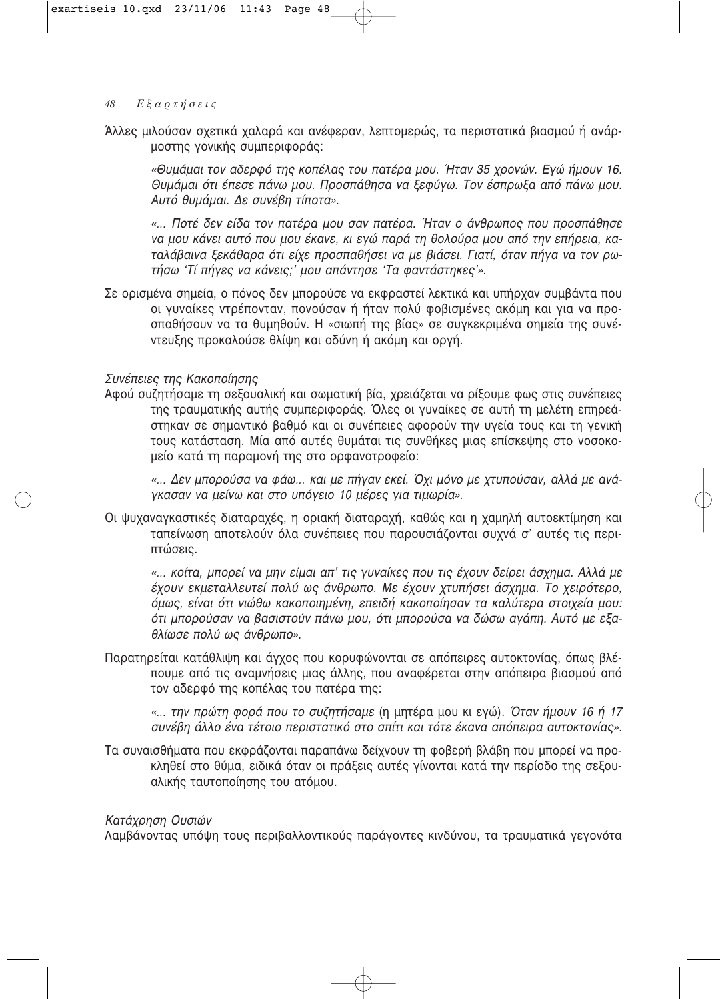#### 48  $E$ ξαρτήσεις

Άλλες μιλούσαν σχετικά χαλαρά και ανέφεραν, λεπτομερώς, τα περιστατικά βιασμού ή ανάρμοστης γονικής συμπεριφοράς:

«Θυμάμαι τον αδερφό της κοπέλας του πατέρα μου. Ήταν 35 χρονών. Εγώ ήμουν 16. Θυμάμαι ότι έπεσε πάνω μου. Προσπάθησα να ξεφύγω. Τον έσπρωξα από πάνω μου. Αυτό θυμάμαι. Δε συνέβη τίποτα».

«... Ποτέ δεν είδα τον πατέρα μου σαν πατέρα. Ήταν ο άνθρωπος που προσπάθησε να μου κάνει αυτό που μου έκανε, κι εγώ παρά τη θολούρα μου από την επήρεια, καταλάβαινα ξεκάθαρα ότι είχε προσπαθήσει να με βιάσει. Γιατί, όταν πήνα να τον ρωτήσω 'Τί πήγες να κάνεις;' μου απάντησε 'Τα φαντάστηκες'».

Σε ορισμένα σημεία, ο πόνος δεν μπορούσε να εκφραστεί λεκτικά και υπήρχαν συμβάντα που οι γυναίκες ντρέπονταν, πονούσαν ή ήταν πολύ φοβισμένες ακόμη και για να προσπαθήσουν να τα θυμηθούν. Η «σιωπή της βίας» σε συγκεκριμένα σημεία της συνέντευξης προκαλούσε θλίψη και οδύνη ή ακόμη και οργή.

## Συνέπειες της Κακοποίησης

Αφού συζητήσαμε τη σεξουαλική και σωματική βία, χρειάζεται να ρίξουμε φως στις συνέπειες της τραυματικής αυτής συμπεριφοράς. Όλες οι γυναίκες σε αυτή τη μελέτη επηρεάστηκαν σε σημαντικό βαθμό και οι συνέπειες αφορούν την υγεία τους και τη γενική τους κατάσταση. Μία από αυτές θυμάται τις συνθήκες μιας επίσκεψης στο νοσοκομείο κατά τη παραμονή της στο ορφανοτροφείο:

«... Δεν μπορούσα να φάω... και με πήγαν εκεί. Όχι μόνο με χτυπούσαν, αλλά με ανάγκασαν να μείνω και στο υπόγειο 10 μέρες για τιμωρία».

Οι ψυχανανκαστικές διαταραχές, η οριακή διαταραχή, καθώς και η χαμηλή αυτοεκτίμηση και ταπείνωση αποτελούν όλα συνέπειες που παρουσιάζονται συχνά σ' αυτές τις περιπτώσεις.

«... κοίτα, μπορεί να μην είμαι απ' τις γυναίκες που τις έχουν δείρει άσχημα. Αλλά με έχουν εκμεταλλευτεί πολύ ως άνθρωπο. Με έχουν χτυπήσει άσχημα. Το χειρότερο, όμως, είναι ότι γιώθω κακοποιημένη, επειδή κακοποίησαν τα καλύτερα στοιχεία μου: ότι μπορούσαν να βασιστούν πάνω μου, ότι μπορούσα να δώσω αγάπη. Αυτό με εξαθλίωσε πολύ ως άνθρωπο».

Παρατηρείται κατάθλιψη και άγχος που κορυφώνονται σε απόπειρες αυτοκτονίας, όπως βλέπουμε από τις αναμνήσεις μιας άλλης, που αναφέρεται στην απόπειρα βιασμού από τον αδερφό της κοπέλας του πατέρα της:

«... την πρώτη φορά που το συζητήσαμε (η μητέρα μου κι εγώ). Όταν ήμουν 16 ή 17 συνέβη άλλο ένα τέτοιο περιστατικό στο σπίτι και τότε έκανα απόπειρα αυτοκτονίας».

Τα συναισθήματα που εκφράζονται παραπάνω δείχνουν τη φοβερή βλάβη που μπορεί να προκληθεί στο θύμα, ειδικά όταν οι πράξεις αυτές γίνονται κατά την περίοδο της σεξουαλικής ταυτοποίησης του ατόμου.

## Κατάχρηση Ουσιών

Λαμβάνοντας υπόψη τους περιβαλλοντικούς παράγοντες κινδύνου, τα τραυματικά γεγονότα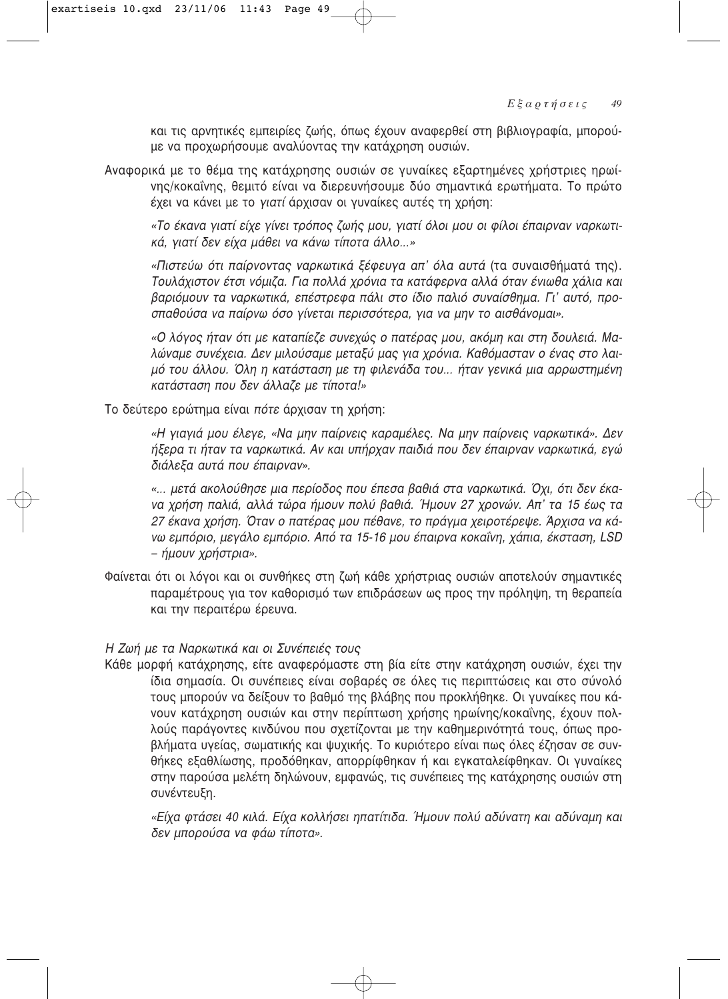και τις αρνητικές εμπειρίες ζωής, όπως έχουν αναφερθεί στη βιβλιογραφία, μπορούμε να προχωρήσουμε αναλύοντας την κατάχρηση ουσιών.

Αναφορικά με το θέμα της κατάχρησης ουσιών σε γυναίκες εξαρτημένες χρήστριες ηρωίνης/κοκαΐνης, θεμιτό είναι να διερευνήσουμε δύο σημαντικά ερωτήματα. Το πρώτο έχει να κάνει με το γιατί άρχισαν οι γυναίκες αυτές τη χρήση:

«Το έκανα γιατί είχε γίνει τρόπος ζωής μου, γιατί όλοι μου οι φίλοι έπαιρναν ναρκωτικά, γιατί δεν είχα μάθει να κάνω τίποτα άλλο...»

«Πιστεύω ότι παίρνοντας ναρκωτικά ξέφευγα απ' όλα αυτά (τα συναισθήματά της). Τουλάχιστον έτσι νόμιζα. Για πολλά χρόνια τα κατάφερνα αλλά όταν ένιωθα χάλια και βαριόμουν τα ναρκωτικά, επέστρεφα πάλι στο ίδιο παλιό συναίσθημα. Γι' αυτό, προσπαθούσα να παίρνω όσο γίνεται περισσότερα, για να μην το αισθάνομαι».

«Ο λόγος ήταν ότι με καταπίεζε συνεχώς ο πατέρας μου, ακόμη και στη δουλειά. Μαλώναμε συνέχεια. Δεν μιλούσαμε μεταξύ μας για χρόνια. Καθόμασταν ο ένας στο λαιμό του άλλου. Όλη η κατάσταση με τη φιλενάδα του... ήταν γενικά μια αρρωστημένη κατάσταση που δεν άλλαζε με τίποτα!»

Το δεύτερο ερώτημα είναι πότε άρχισαν τη χρήση:

«Η γιαγιά μου έλεγε, «Να μην παίρνεις καραμέλες. Να μην παίρνεις ναρκωτικά». Δεν ήξερα τι ήταν τα ναρκωτικά. Αν και υπήρχαν παιδιά που δεν έπαιρναν ναρκωτικά, εγώ διάλεξα αυτά που έπαιρναν».

«... μετά ακολούθησε μια περίοδος που έπεσα βαθιά στα ναρκωτικά. Όχι, ότι δεν έκανα χρήση παλιά, αλλά τώρα ήμουν πολύ βαθιά. Ήμουν 27 χρονών. Απ' τα 15 έως τα 27 έκανα χρήση. Όταν ο πατέρας μου πέθανε, το πράγμα χειροτέρεψε. Άρχισα να κάνω εμπόριο, μεγάλο εμπόριο. Από τα 15-16 μου έπαιρνα κοκαΐνη, χάπια, έκσταση, LSD - ήμουν χρήστρια».

Φαίνεται ότι οι λόγοι και οι συνθήκες στη ζωή κάθε χρήστριας ουσιών αποτελούν σημαντικές παραμέτρους για τον καθορισμό των επιδράσεων ως προς την πρόληψη, τη θεραπεία και την περαιτέρω έρευνα.

## Η Ζωή με τα Ναρκωτικά και οι Συνέπειές τους

Κάθε μορφή κατάχρησης, είτε αναφερόμαστε στη βία είτε στην κατάχρηση ουσιών, έχει την ίδια σημασία. Οι συνέπειες είναι σοβαρές σε όλες τις περιπτώσεις και στο σύνολό τους μπορούν να δείξουν το βαθμό της βλάβης που προκλήθηκε. Οι γυναίκες που κάνουν κατάχρηση ουσιών και στην περίπτωση χρήσης ηρωίνης/κοκαΐνης, έχουν πολλούς παράγοντες κινδύνου που σχετίζονται με την καθημερινότητά τους, όπως προβλήματα υγείας, σωματικής και ψυχικής. Το κυριότερο είναι πως όλες έζησαν σε συνθήκες εξαθλίωσης, προδόθηκαν, απορρίφθηκαν ή και εγκαταλείφθηκαν. Οι γυναίκες στην παρούσα μελέτη δηλώνουν, εμφανώς, τις συνέπειες της κατάχρησης ουσιών στη συνέντευξη.

«Είχα φτάσει 40 κιλά. Είχα κολλήσει ηπατίτιδα. Ήμουν πολύ αδύνατη και αδύναμη και δεν μπορούσα να φάω τίποτα».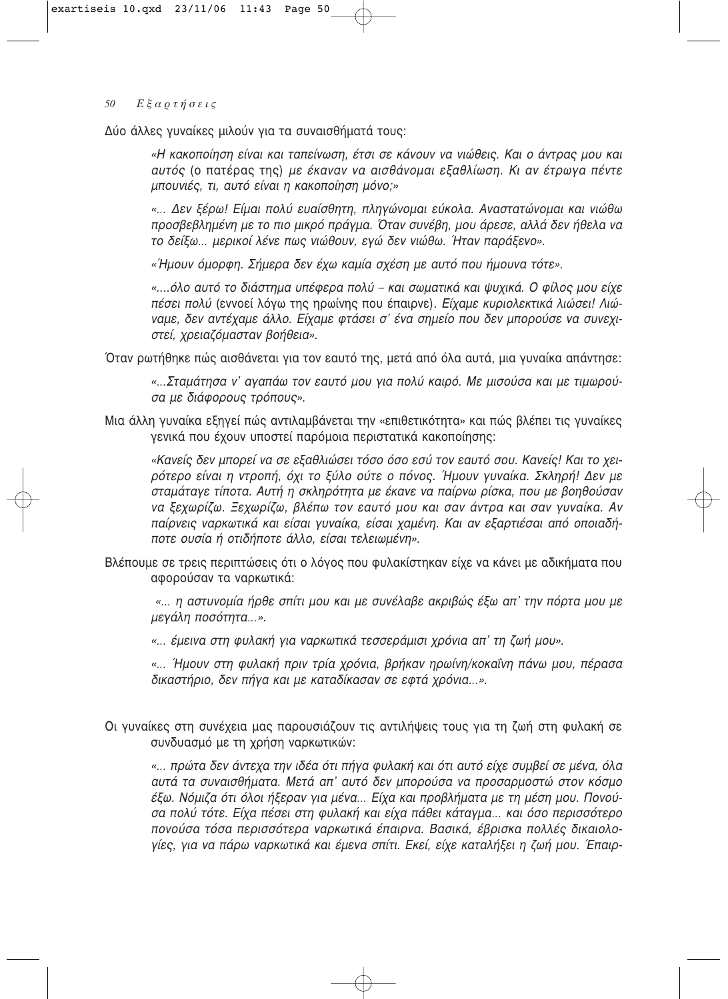#### 50  $E \xi \alpha \rho \tau \eta \sigma \epsilon \iota \varsigma$

Δύο άλλες γυναίκες μιλούν για τα συναισθήματά τους:

«Η κακοποίηση είναι και ταπείνωση, έτσι σε κάνουν να νιώθεις. Και ο άντρας μου και αυτός (ο πατέρας της) με έκαναν να αισθάνομαι εξαθλίωση. Κι αν έτρωγα πέντε μπουνιές, τι, αυτό είναι η κακοποίηση μόνο;»

«... Δεν ξέρω! Είμαι πολύ ευαίσθητη, πληνώνομαι εύκολα, Αναστατώνομαι και νιώθω προσβεβλημένη με το πιο μικρό πράγμα. Όταν συνέβη, μου άρεσε, αλλά δεν ήθελα να το δείξω... μερικοί λένε πως νιώθουν, ενώ δεν νιώθω. Ήταν παράξενο»,

«Ήμουν όμορφη. Σήμερα δεν έχω καμία σχέση με αυτό που ήμουνα τότε».

«....όλο αυτό το διάστημα υπέφερα πολύ – και σωματικά και ψυχικά. Ο φίλος μου είχε πέσει πολύ (εννοεί λόγω της ηρωίνης που έπαιρνε). Είχαμε κυριολεκτικά λιώσει! Λιώναμε, δεν αντέχαμε άλλο. Είχαμε φτάσει σ' ένα σημείο που δεν μπορούσε να συνεχιστεί, χρειαζόμασταν βοήθεια».

Όταν ρωτήθηκε πώς αισθάνεται για τον εαυτό της, μετά από όλα αυτά, μια γυναίκα απάντησε:

«...Σταμάτησα ν' αγαπάω τον εαυτό μου για πολύ καιρό. Με μισούσα και με τιμωρούσα με διάφορους τρόπους».

Μια άλλη γυναίκα εξηγεί πώς αντιλαμβάνεται την «επιθετικότητα» και πώς βλέπει τις γυναίκες γενικά που έχουν υποστεί παρόμοια περιστατικά κακοποίησης:

«Κανείς δεν μπορεί να σε εξαθλιώσει τόσο όσο εσύ τον εαυτό σου. Κανείς! Και το χειρότερο είναι η ντροπή, όχι το ξύλο ούτε ο πόνος. Ήμουν γυναίκα. Σκληρή! Δεν με σταμάταγε τίποτα. Αυτή η σκληρότητα με έκανε να παίρνω ρίσκα, που με βοηθούσαν να ξεχωρίζω. Ξεχωρίζω, βλέπω τον εαυτό μου και σαν άντρα και σαν γυναίκα. Αν παίρνεις ναρκωτικά και είσαι γυναίκα, είσαι χαμένη. Και αν εξαρτιέσαι από οποιαδήποτε ουσία ή οτιδήποτε άλλο, είσαι τελειωμένη».

Βλέπουμε σε τρεις περιπτώσεις ότι ο λόγος που φυλακίστηκαν είχε να κάνει με αδικήματα που αφορούσαν τα ναρκωτικά:

«... η αστυνομία ήρθε σπίτι μου και με συνέλαβε ακριβώς έξω απ' την πόρτα μου με μεγάλη ποσότητα...».

«... έμεινα στη φυλακή για ναρκωτικά τεσσεράμισι χρόνια απ' τη ζωή μου».

«... Ήμουν στη φυλακή πριν τρία χρόνια, βρήκαν ηρωίνη/κοκαΐνη πάνω μου, πέρασα δικαστήριο, δεν πήγα και με καταδίκασαν σε εφτά χρόνια...».

Οι γυναίκες στη συνέχεια μας παρουσιάζουν τις αντιλήψεις τους για τη ζωή στη φυλακή σε συνδυασμό με τη χρήση ναρκωτικών:

«... πρώτα δεν άντεχα την ιδέα ότι πήγα φυλακή και ότι αυτό είχε συμβεί σε μένα, όλα αυτά τα συναισθήματα. Μετά απ' αυτό δεν μπορούσα να προσαρμοστώ στον κόσμο έξω. Νόμιζα ότι όλοι ήξεραν για μένα... Είχα και προβλήματα με τη μέση μου. Πονούσα πολύ τότε. Είχα πέσει στη φυλακή και είχα πάθει κάταγμα... και όσο περισσότερο πονούσα τόσα περισσότερα ναρκωτικά έπαιρνα. Βασικά, έβρισκα πολλές δικαιολογίες, για να πάρω ναρκωτικά και έμενα σπίτι. Εκεί, είχε καταλήξει η ζωή μου. Έπαιρ-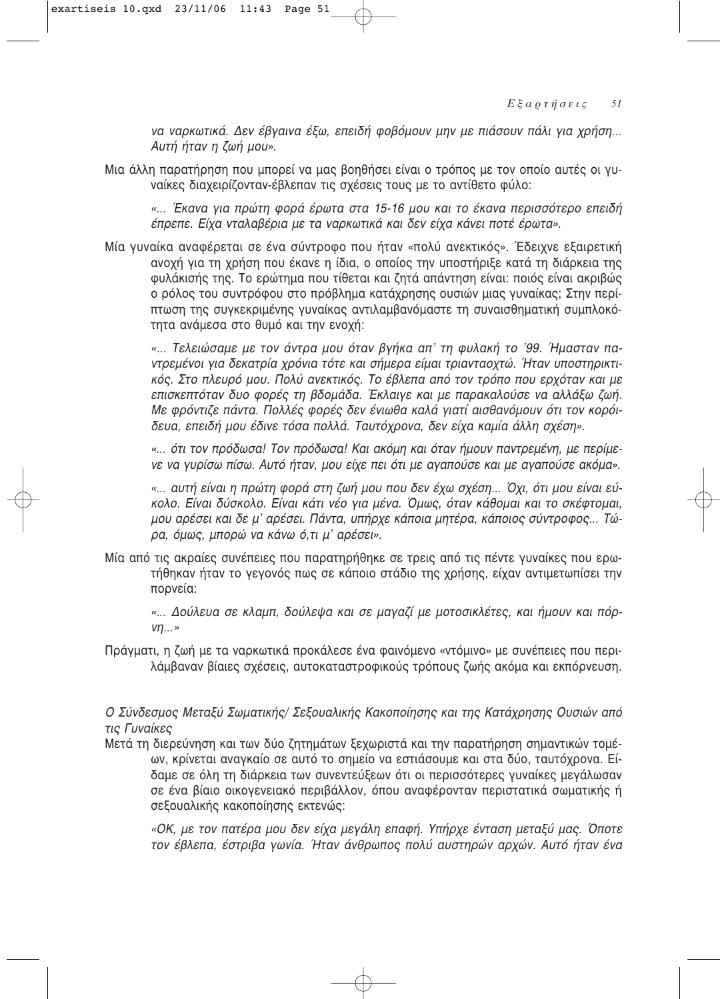να ναρκωτικά. Δεν έβγαινα έξω, επειδή φοβόμουν μην με πιάσουν πάλι για χρήση... Aυτή ήταν η ζωή μου».

Μια άλλη παρατήρηση που μπορεί να μας βοηθήσει είναι ο τρόπος με τον οποίο αυτές οι γυναίκες διαχειρίζονταν-έβλεπαν τις σχέσεις τους με το αντίθετο φύλο:

«... Έκανα για πρώτη φορά έρωτα στα 15-16 μου και το έκανα περισσότερο επειδή έπρεπε. Είχα νταλαβέρια με τα ναρκωτικά και δεν είχα κάνει ποτέ έρωτα».

Μία γυναίκα αναφέρεται σε ένα σύντροφο που ήταν «πολύ ανεκτικός». Έδειχνε εξαιρετική ανοχή για τη χρήση που έκανε η ίδια, ο οποίος την υποστήριξε κατά τη διάρκεια της φυλάκισής της. Το ερώτημα που τίθεται και ζητά απάντηση είναι: ποιός είναι ακριβώς ο ρόλος του συντρόφου στο πρόβλημα κατάχρησης ουσιών μιας γυναίκας: Στην περίπτωση της συγκεκριμένης γυναίκας αντιλαμβανόμαστε τη συναισθηματική συμπλοκότητα ανάμεσα στο θυμό και την ενοχή:

«... Τελειώσαμε με τον άντρα μου όταν βγήκα απ' τη φυλακή το '99. Ήμασταν παντρεμένοι για δεκατρία χρόνια τότε και σήμερα είμαι τριανταοχτώ. Ήταν υποστηρικτικός. Στο πλευρό μου, Πολύ ανεκτικός. Το έβλεπα από τον τρόπο που ερχόταν και με επισκεπτόταν δυο φορές τη βδομάδα. Έκλαινε και με παρακαλούσε να αλλάξω ζωή. Με φρόντιζε πάντα. Πολλές φορές δεν ένιωθα καλά γιατί αισθανόμουν ότι τον κορόιδευα, επειδή μου έδινε τόσα πολλά. Ταυτόχρονα, δεν είχα καμία άλλη σχέση».

«... ότι τον πρόδωσα! Τον πρόδωσα! Και ακόμη και όταν ήμουν παντρεμένη, με περίμενε να γυρίσω πίσω. Αυτό ήταν, μου είχε πει ότι με αγαπούσε και με αγαπούσε ακόμα».

«... αυτή είναι η πρώτη φορά στη ζωή μου που δεν έχω σχέση... Όχι, ότι μου είναι εύκολο. Είναι δύσκολο. Είναι κάτι νέο για μένα. Όμως, όταν κάθομαι και το σκέφτομαι, μου αρέσει και δε μ' αρέσει. Πάντα, υπήρχε κάποια μητέρα, κάποιος σύντροφος... Τώρα, όμως, μπορώ να κάνω ό,τι μ' αρέσει».

Μία από τις ακραίες συνέπειες που παρατηρήθηκε σε τρεις από τις πέντε γυναίκες που ερωτήθηκαν ήταν το γεγονός πως σε κάποιο στάδιο της χρήσης, είχαν αντιμετωπίσει την πορνεία:

«... Δούλευα σε κλαμπ, δούλεψα και σε μαγαζί με μοτοσικλέτες, και ήμουν και πόρ $vn...$ 

Πράγματι, η ζωή με τα ναρκωτικά προκάλεσε ένα φαινόμενο «ντόμινο» με συνέπειες που περιλάμβαναν βίαιες σχέσεις, αυτοκαταστροφικούς τρόπους ζωής ακόμα και εκπόρνευση.

Ο Σύνδεσμος Μεταξύ Σωματικής/ Σεξουαλικής Κακοποίησης και της Κατάχρησης Ουσιών από τις Γυναίκες

Μετά τη διερεύνηση και των δύο ζητημάτων ξεχωριστά και την παρατήρηση σημαντικών τομέων, κρίνεται αναγκαίο σε αυτό το σημείο να εστιάσουμε και στα δύο, ταυτόχρονα. Είδαμε σε όλη τη διάρκεια των συνεντεύξεων ότι οι περισσότερες γυναίκες μεγάλωσαν σε ένα βίαιο οικογενειακό περιβάλλον, όπου αναφέρονταν περιστατικά σωματικής ή σεξουαλικής κακοποίησης εκτενώς:

«ΟΚ, με τον πατέρα μου δεν είχα μεγάλη επαφή. Υπήρχε ένταση μεταξύ μας. Όποτε τον έβλεπα, έστριβα γωνία. Ήταν άνθρωπος πολύ αυστηρών αρχών. Αυτό ήταν ένα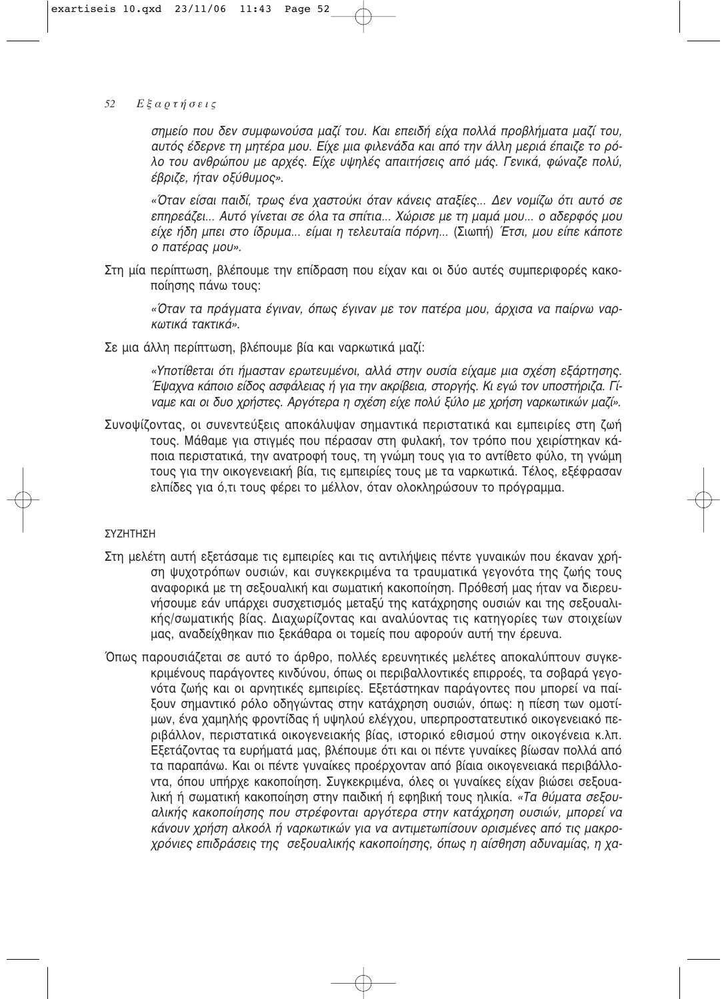σημείο που δεν συμφωνούσα μαζί του. Και επειδή είχα πολλά προβλήματα μαζί του, αυτός έδερνε τη μητέρα μου. Είχε μια φιλενάδα και από την άλλη μεριά έπαιζε το ρόλο του ανθρώπου με αρχές. Είχε υψηλές απαιτήσεις από μάς. Γενικά, φώναζε πολύ, έβριζε, ήταν οξύθυμος».

«Όταν είσαι παιδί, τρως ένα χαστούκι όταν κάνεις αταξίες... Δεν νομίζω ότι αυτό σε επηρεάζει... Αυτό γίνεται σε όλα τα σπίτια... Χώρισε με τη μαμά μου... ο αδερφός μου είχε ήδη μπει στο ίδρυμα... είμαι η τελευταία πόρνη... (Σιωπή) Έτσι, μου είπε κάποτε ο πατέρας μου».

Στη μία περίπτωση, βλέπουμε την επίδραση που είχαν και οι δύο αυτές συμπεριφορές κακοποίησης πάνω τους:

«Όταν τα πράγματα έγιναν, όπως έγιναν με τον πατέρα μου, άρχισα να παίρνω ναρκωτικά τακτικά».

Σε μια άλλη περίπτωση, βλέπουμε βία και ναρκωτικά μαζί:

«Υποτίθεται ότι ήμασταν ερωτευμένοι, αλλά στην ουσία είχαμε μια σχέση εξάρτησης. Έψαχνα κάποιο είδος ασφάλειας ή για την ακρίβεια, στοργής. Κι εγώ τον υποστήριζα. Γίναμε και οι δυο χρήστες. Αργότερα η σχέση είχε πολύ ξύλο με χρήση ναρκωτικών μαζί».

Συνοψίζοντας, οι συνεντεύξεις αποκάλυψαν σημαντικά περιστατικά και εμπειρίες στη ζωή τους. Μάθαμε για στιγμές που πέρασαν στη φυλακή, τον τρόπο που χειρίστηκαν κάποια περιστατικά, την ανατροφή τους, τη γνώμη τους για το αντίθετο φύλο, τη γνώμη τους για την οικονενειακή βία, τις εμπειρίες τους με τα ναρκωτικά. Τέλος, εξέφρασαν ελπίδες για ό,τι τους φέρει το μέλλον, όταν ολοκληρώσουν το πρόγραμμα.

## ΣΥΖΗΤΗΣΗ

- Στη μελέτη αυτή εξετάσαμε τις εμπειρίες και τις αντιλήψεις πέντε γυναικών που έκαναν χρήση ψυχοτρόπων ουσιών, και συγκεκριμένα τα τραυματικά γεγονότα της ζωής τους αναφορικά με τη σεξουαλική και σωματική κακοποίηση. Πρόθεσή μας ήταν να διερευνήσουμε εάν υπάρχει συσχετισμός μεταξύ της κατάχρησης ουσιών και της σεξουαλικής/σωματικής βίας. Διαχωρίζοντας και αναλύοντας τις κατηγορίες των στοιχείων μας, αναδείχθηκαν πιο ξεκάθαρα οι τομείς που αφορούν αυτή την έρευνα.
- Όπως παρουσιάζεται σε αυτό το άρθρο, πολλές ερευνητικές μελέτες αποκαλύπτουν συγκεκριμένους παράγοντες κινδύνου, όπως οι περιβαλλοντικές επιρροές, τα σοβαρά γεγονότα ζωής και οι αρνητικές εμπειρίες. Εξετάστηκαν παράγοντες που μπορεί να παίξουν σημαντικό ρόλο οδηγώντας στην κατάχρηση ουσιών, όπως: η πίεση των ομοτίμων, ένα χαμηλής φροντίδας ή υψηλού ελέγχου, υπερπροστατευτικό οικογενειακό περιβάλλον, περιστατικά οικογενειακής βίας, ιστορικό εθισμού στην οικογένεια κ.λπ. Εξετάζοντας τα ευρήματά μας, βλέπουμε ότι και οι πέντε γυναίκες βίωσαν πολλά από τα παραπάνω. Και οι πέντε γυναίκες προέρχονταν από βίαια οικογενειακά περιβάλλοντα, όπου υπήρχε κακοποίηση. Συγκεκριμένα, όλες οι γυναίκες είχαν βιώσει σεξουαλική ή σωματική κακοποίηση στην παιδική ή εφηβική τους ηλικία. «Τα θύματα σεξουαλικής κακοποίησης που στρέφονται αργότερα στην κατάχρηση ουσιών, μπορεί να κάνουν χρήση αλκοόλ ή ναρκωτικών για να αντιμετωπίσουν ορισμένες από τις μακροχρόνιες επιδράσεις της σεξουαλικής κακοποίησης, όπως η αίσθηση αδυναμίας, η χα-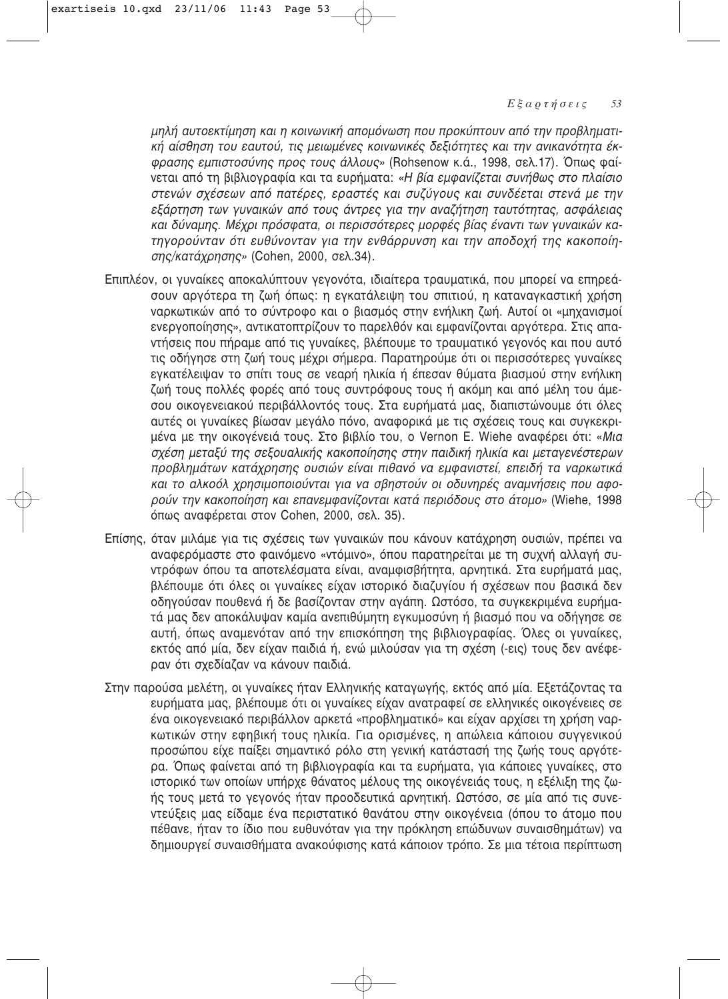μηλή αυτοεκτίμηση και η κοινωνική απομόνωση που προκύπτουν από την προβληματι*κή αίσθηση του εαυτού, τις μειωμένες κοινωνικές δεξιότητες και την ανικανότητα έκ-***Φρασης εμπιστοσύνης προς τους άλλους» (Rohsenow κ.ά., 1998, σελ.17). Όπως φαί**νεται από τη βιβλιογραφία και τα ευρήματα: *«Η βία εμφανίζεται συνήθως στο πλαίσιο ÛÙÂÓÒÓ Û¯¤ÛÂˆÓ ·fi ·Ù¤Ú˜, ÂÚ·ÛÙ¤˜ Î·È Û˘˙‡ÁÔ˘˜ Î·È Û˘Ó‰¤ÂÙ·È ÛÙÂÓ¿ Ì ÙËÓ* εξάρτηση των γυναικών από τους άντρες για την αναζήτηση ταυτότητας, ασφάλειας *Και δύναμης. Μέχρι πρόσφατα, οι περισσότερες μορφές βίας έναντι των γυναικών κα*τηγορούνταν ότι ευθύνονταν για την ενθάρρυνση και την αποδοχή της κακοποίη- $\sigma$ ης/κατάχρησης» (Cohen, 2000, σελ.34).

- Επιπλέον, οι γυναίκες αποκαλύπτουν γεγονότα, ιδιαίτερα τραυματικά, που μπορεί να επηρεάσουν αρνότερα τη ζωή όπως: η ενκατάλειψη του σπιτιού, η κατανανκαστική χρήση Vαρκωτικών από το σύντροφο και ο βιασμός στην ενήλικη ζωή. Αυτοί οι «μηχανισμοί ενεργοποίησης», αντικατοπτρίζουν το παρελθόν και εμφανίζονται αργότερα. Στις απαντήσεις που πήραμε από τις γυναίκες, βλέπουμε το τραυματικό γεγονός και που αυτό τις οδήγησε στη ζωή τους μέχρι σήμερα. Παρατηρούμε ότι οι περισσότερες γυναίκες εγκατέλειψαν το σπίτι τους σε νεαρή ηλικία ή έπεσαν θύματα βιασμού στην ενήλικη ζωή τους πολλές φορές από τους συντρόφους τους ή ακόμη και από μέλη του άμεσου οικονενειακού περιβάλλοντός τους. Στα ευρήματά μας, διαπιστώνουμε ότι όλες αυτές οι γυναίκες βίωσαν μεγάλο πόνο, αναφορικά με τις σχέσεις τους και συγκεκριμένα με την οικονένειά τους. Στο βιβλίο του, ο Vernon E. Wiehe αναφέρει ότι: «*Μια* σχέση μεταξύ της σεξουαλικής κακοποίησης στην παιδική ηλικία και μεταγενέστερων προβλημάτων κατάχρησης ουσιών είναι πιθανό να εμφανιστεί, επειδή τα ναρκωτικά *Και το αλκοόλ χρησιμοποιούνται για να σβηστούν οι οδυνηρές αναμνήσεις που αφο* $p$ ούν την κακοποίηση και επανεμφανίζονται κατά περιόδους στο άτομο» (Wiehe, 1998 όπως αναφέρεται στον Cohen, 2000, σελ. 35).
- Επίσης, όταν μιλάμε για τις σχέσεις των γυναικών που κάνουν κατάχρηση ουσιών, πρέπει να αναφερόμαστε στο φαινόμενο «ντόμινο», όπου παρατηρείται με τη συχνή αλλαγή συντρόφων όπου τα αποτελέσματα είναι, αναμφισβήτητα, αρνητικά. Στα ευρήματά μας, βλέπουμε ότι όλες οι γυναίκες είχαν ιστορικό διαζυγίου ή σχέσεων που βασικά δεν οδηγούσαν πουθενά ή δε βασίζονταν στην αγάπη. Ωστόσο, τα συγκεκριμένα ευρήματά μας δεν αποκάλυψαν καμία ανεπιθύμητη εγκυμοσύνη ή βιασμό που να οδήγησε σε αυτή, όπως αναμενόταν από την επισκόπηση της βιβλιογραφίας. Όλες οι γυναίκες, εκτός από μία, δεν είχαν παιδιά ή, ενώ μιλούσαν για τη σχέση (-εις) τους δεν ανέφεραν ότι σχεδίαζαν να κάνουν παιδιά.
- Στην παρούσα μελέτη, οι γυναίκες ήταν Ελληνικής καταγωγής, εκτός από μία. Εξετάζοντας τα ευρήματα μας, βλέπουμε ότι οι γυναίκες είχαν ανατραφεί σε ελληνικές οικογένειες σε ένα οικογενειακό περιβάλλον αρκετά «προβληματικό» και είχαν αρχίσει τη χρήση ναρκωτικών στην εφηβική τους ηλικία. Για ορισμένες, η απώλεια κάποιου συγγενικού προσώπου είχε παίξει σημαντικό ρόλο στη νενική κατάστασή της ζωής τους αρνότερα. Όπως φαίνεται από τη βιβλιογραφία και τα ευρήματα, για κάποιες γυναίκες, στο ιστορικό των οποίων υπήρχε θάνατος μέλους της οικογένειάς τους, η εξέλιξη της ζωής τους μετά το γεγονός ήταν προοδευτικά αρνητική. Ωστόσο, σε μία από τις συνεντεύξεις μας είδαμε ένα περιστατικό θανάτου στην οικογένεια (όπου το άτομο που πέθανε, ήταν το ίδιο που ευθυνόταν για την πρόκληση επώδυνων συναισθημάτων) να δημιουργεί συναισθήματα ανακούφισης κατά κάποιον τρόπο. Σε μια τέτοια περίπτωση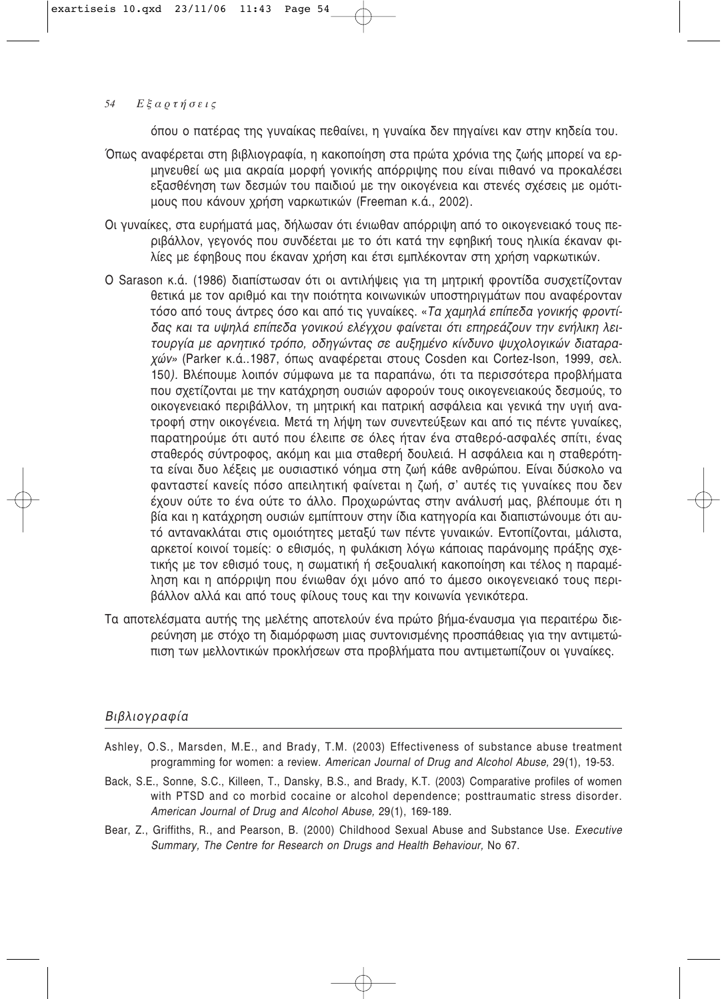όπου ο πατέρας της γυναίκας πεθαίνει, η γυναίκα δεν πηγαίνει καν στην κηδεία του.

- Όπως αναφέρεται στη βιβλιογραφία, η κακοποίηση στα πρώτα χρόνια της ζωής μπορεί να ερμηνευθεί ως μια ακραία μορφή γονικής απόρριψης που είναι πιθανό να προκαλέσει εξασθένηση των δεσμών του παιδιού με την οικονένεια και στενές σχέσεις με ομότιμους που κάνουν χρήση ναρκωτικών (Freeman κ.ά., 2002).
- Οι γυναίκες, στα ευρήματά μας, δήλωσαν ότι ένιωθαν απόρριψη από το οικογενειακό τους περιβάλλον, γενονός που συνδέεται με το ότι κατά την εφηβική τους ηλικία έκαναν φιλίες με έφηβους που έκαναν χρήση και έτσι εμπλέκονταν στη χρήση ναρκωτικών.
- Ο Sarason κ.ά. (1986) διαπίστωσαν ότι οι αντιλήψεις για τη μητρική φροντίδα συσχετίζονταν θετικά με τον αριθμό και την ποιότητα κοινωνικών υποστηριγμάτων που αναφέρονταν τόσο από τους άντρες όσο και από τις γυναίκες. «*Τα χαμηλά επίπεδα γονικής φροντί*δας και τα υψηλά επίπεδα γονικού ελέγχου φαίνεται ότι επηρεάζουν την ενήλικη λειτουργία με αρνητικό τρόπο, οδηγώντας σε αυξημένο κίνδυνο ψυχολογικών διαταρα $χών$ » (Parker κ.ά..1987, όπως αναφέρεται στους Cosden και Cortez-Ison, 1999, σελ. 150). Βλέπουμε λοιπόν σύμφωνα με τα παραπάνω, ότι τα περισσότερα προβλήματα που σχετίζονται με την κατάχρηση ουσιών αφορούν τους οικογενειακούς δεσμούς, το οικογενειακό περιβάλλον, τη μητρική και πατρική ασφάλεια και γενικά την υγιή ανατροφή στην οικογένεια. Μετά τη λήψη των συνεντεύξεων και από τις πέντε γυναίκες, παρατηρούμε ότι αυτό που έλειπε σε όλες ήταν ένα σταθερό-ασφαλές σπίτι, ένας σταθερός σύντροφος, ακόμη και μια σταθερή δουλειά. Η ασφάλεια και η σταθερότητα είναι δυο λέξεις με ουσιαστικό νόημα στη ζωή κάθε ανθρώπου. Είναι δύσκολο να φανταστεί κανείς πόσο απειλητική φαίνεται η ζωή, σ' αυτές τις γυναίκες που δεν έχουν ούτε το ένα ούτε το άλλο. Προχωρώντας στην ανάλυσή μας, βλέπουμε ότι η βία και η κατάχρηση ουσιών εμπίπτουν στην ίδια κατηνορία και διαπιστώνουμε ότι αυτό αντανακλάται στις ομοιότητες μεταξύ των πέντε γυναικών. Εντοπίζονται, μάλιστα, αρκετοί κοινοί τομείς: ο εθισμός, η φυλάκιση λόγω κάποιας παράνομης πράξης σχετικής με τον εθισμό τους, η σωματική ή σεξουαλική κακοποίηση και τέλος η παραμέληση και η απόρριψη που ένιωθαν όχι μόνο από το άμεσο οικογενειακό τους περιβάλλον αλλά και από τους φίλους τους και την κοινωνία γενικότερα.
- Τα αποτελέσματα αυτής της μελέτης αποτελούν ένα πρώτο βήμα-έναυσμα νια περαιτέρω διερεύνηση με στόχο τη διαμόρφωση μιας συντονισμένης προσπάθειας για την αντιμετώπιση των μελλοντικών προκλήσεων στα προβλήματα που αντιμετωπίζουν οι γυναίκες.

## $B$ ιβλιογραφία

- Ashley, O.S., Marsden, M.E., and Brady, T.M. (2003) Effectiveness of substance abuse treatment programming for women: a review. *American Journal of Drug and Alcohol Abuse*, 29(1), 19-53.
- Back, S.E., Sonne, S.C., Killeen, T., Dansky, B.S., and Brady, K.T. (2003) Comparative profiles of women with PTSD and co morbid cocaine or alcohol dependence; posttraumatic stress disorder. *American Journal of Drug and Alcohol Abuse,* 29(1), 169-189.
- Bear, Z., Griffiths, R., and Pearson, B. (2000) Childhood Sexual Abuse and Substance Use. *Executive Summary, The Centre for Research on Drugs and Health Behaviour,* No 67.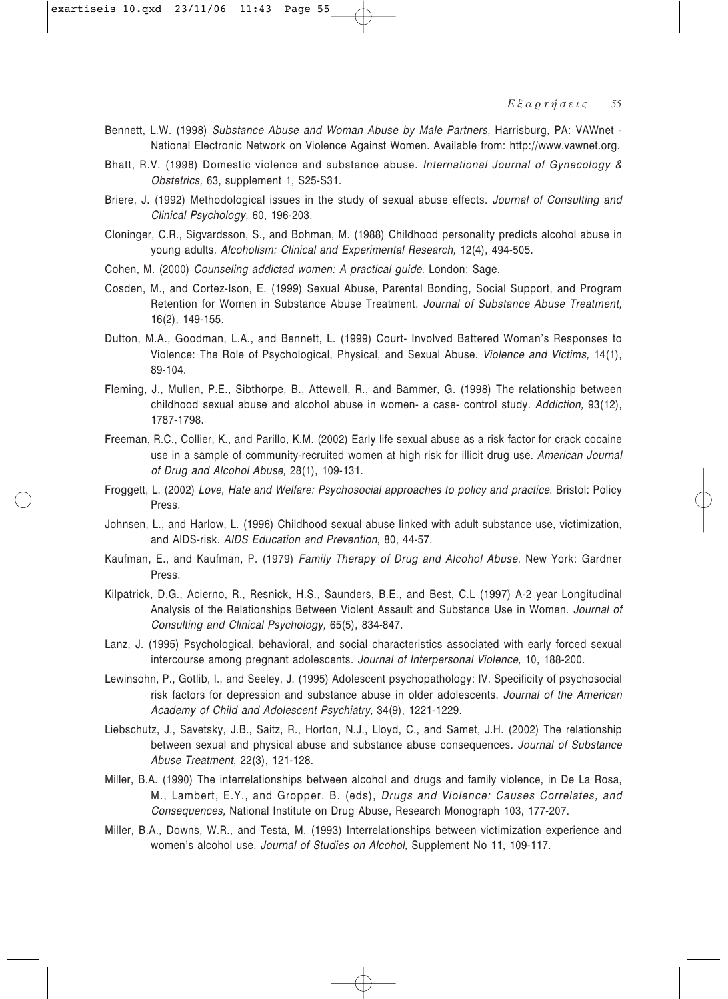- Bennett, L.W. (1998) *Substance Abuse and Woman Abuse by Male Partners,* Harrisburg, PA: VAWnet National Electronic Network on Violence Against Women. Available from: http://www.vawnet.org.
- Bhatt, R.V. (1998) Domestic violence and substance abuse. *International Journal of Gynecology & Obstetrics,* 63, supplement 1, S25-S31.
- Briere, J. (1992) Methodological issues in the study of sexual abuse effects. *Journal of Consulting and Clinical Psychology,* 60, 196-203.
- Cloninger, C.R., Sigvardsson, S., and Bohman, M. (1988) Childhood personality predicts alcohol abuse in young adults. *Alcoholism: Clinical and Experimental Research,* 12(4), 494-505.
- Cohen, M. (2000) *Counseling addicted women: A practical guide*. London: Sage.
- Cosden, M., and Cortez-Ison, E. (1999) Sexual Abuse, Parental Bonding, Social Support, and Program Retention for Women in Substance Abuse Treatment. *Journal of Substance Abuse Treatment,* 16(2), 149-155.
- Dutton, M.A., Goodman, L.A., and Bennett, L. (1999) Court- Involved Battered Woman's Responses to Violence: The Role of Psychological, Physical, and Sexual Abuse. *Violence and Victims,* 14(1), 89-104.
- Fleming, J., Mullen, P.E., Sibthorpe, B., Attewell, R., and Bammer, G. (1998) The relationship between childhood sexual abuse and alcohol abuse in women- a case- control study. *Addiction,* 93(12), 1787-1798.
- Freeman, R.C., Collier, K., and Parillo, K.M. (2002) Early life sexual abuse as a risk factor for crack cocaine use in a sample of community-recruited women at high risk for illicit drug use. *American Journal of Drug and Alcohol Abuse,* 28(1), 109-131.
- Froggett, L. (2002) *Love, Hate and Welfare: Psychosocial approaches to policy and practice*. Bristol: Policy Press.
- Johnsen, L., and Harlow, L. (1996) Childhood sexual abuse linked with adult substance use, victimization, and AIDS-risk. *AIDS Education and Prevention*, 80, 44-57.
- Kaufman, E., and Kaufman, P. (1979) *Family Therapy of Drug and Alcohol Abuse*. New York: Gardner Press.
- Kilpatrick, D.G., Acierno, R., Resnick, H.S., Saunders, B.E., and Best, C.L (1997) A-2 year Longitudinal Analysis of the Relationships Between Violent Assault and Substance Use in Women. *Journal of Consulting and Clinical Psychology,* 65(5), 834-847.
- Lanz, J. (1995) Psychological, behavioral, and social characteristics associated with early forced sexual intercourse among pregnant adolescents*. Journal of Interpersonal Violence,* 10, 188-200.
- Lewinsohn, P., Gotlib, I., and Seeley, J. (1995) Adolescent psychopathology: IV. Specificity of psychosocial risk factors for depression and substance abuse in older adolescents. *Journal of the American Academy of Child and Adolescent Psychiatry,* 34(9), 1221-1229.
- Liebschutz, J., Savetsky, J.B., Saitz, R., Horton, N.J., Lloyd, C., and Samet, J.H. (2002) The relationship between sexual and physical abuse and substance abuse consequences*. Journal of Substance Abuse Treatment*, 22(3), 121-128.
- Miller, B.A. (1990) The interrelationships between alcohol and drugs and family violence, in De La Rosa, M., Lambert, E.Y., and Gropper. B. (eds), *Drugs and Violence: Causes Correlates, and Consequences,* National Institute on Drug Abuse, Research Monograph 103, 177-207.
- Miller, B.A., Downs, W.R., and Testa, M. (1993) Interrelationships between victimization experience and women's alcohol use. *Journal of Studies on Alcohol,* Supplement No 11, 109-117.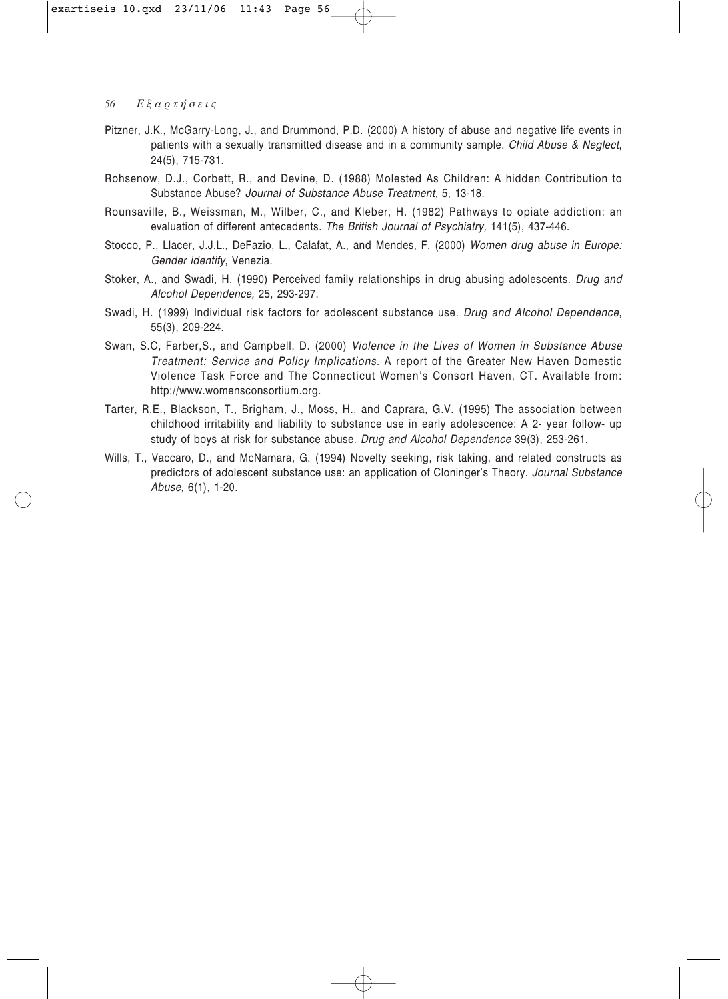- Pitzner, J.K., McGarry-Long, J., and Drummond, P.D. (2000) A history of abuse and negative life events in patients with a sexually transmitted disease and in a community sample. *Child Abuse & Neglect*, 24(5), 715-731.
- Rohsenow, D.J., Corbett, R., and Devine, D. (1988) Molested As Children: A hidden Contribution to Substance Abuse? *Journal of Substance Abuse Treatment,* 5, 13-18.
- Rounsaville, B., Weissman, M., Wilber, C., and Kleber, H. (1982) Pathways to opiate addiction: an evaluation of different antecedents*. The British Journal of Psychiatry,* 141(5), 437-446.
- Stocco, P., Llacer, J.J.L., DeFazio, L., Calafat, A., and Mendes, F. (2000) *Women drug abuse in Europe: Gender identify*, Venezia.
- Stoker, A., and Swadi, H. (1990) Perceived family relationships in drug abusing adolescents. *Drug and Alcohol Dependence,* 25, 293-297.
- Swadi, H. (1999) Individual risk factors for adolescent substance use*. Drug and Alcohol Dependence*, 55(3), 209-224.
- Swan, S.C, Farber,S., and Campbell, D. (2000) *Violence in the Lives of Women in Substance Abuse Treatment: Service and Policy Implications*. A report of the Greater New Haven Domestic Violence Task Force and The Connecticut Women's Consort Haven, CT. Available from: http://www.womensconsortium.org.
- Tarter, R.E., Blackson, T., Brigham, J., Moss, H., and Caprara, G.V. (1995) The association between childhood irritability and liability to substance use in early adolescence: A 2- year follow- up study of boys at risk for substance abuse. *Drug and Alcohol Dependence* 39(3), 253-261.
- Wills, T., Vaccaro, D., and McNamara, G. (1994) Novelty seeking, risk taking, and related constructs as predictors of adolescent substance use: an application of Cloninger's Theory. *Journal Substance Abuse,* 6(1), 1-20.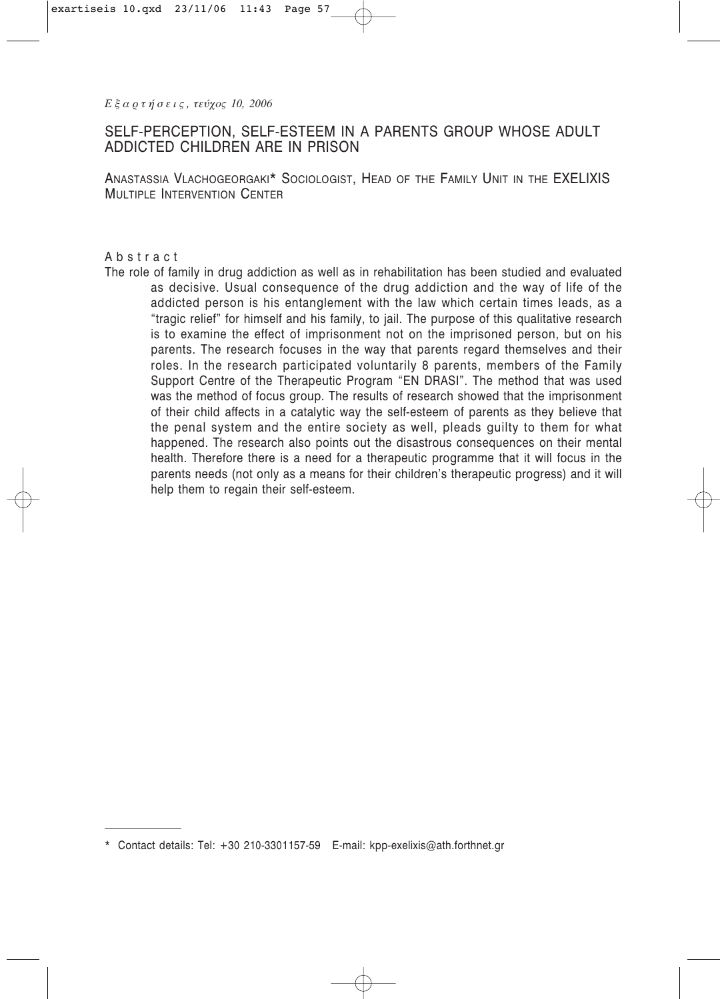# SELF-PERCEPTION, SELF-ESTEEM IN A PARENTS GROUP WHOSE ADULT ADDICTED CHILDREN ARE IN PRISON

ANASTASSIA VLACHOGEORGAKI\* SOCIOLOGIST, HEAD OF THE FAMILY UNIT IN THE EXELIXIS MULTIPLE INTERVENTION CENTER

#### Abstract

The role of family in drug addiction as well as in rehabilitation has been studied and evaluated as decisive. Usual consequence of the drug addiction and the way of life of the addicted person is his entanglement with the law which certain times leads, as a "tragic relief" for himself and his family, to jail. The purpose of this qualitative research is to examine the effect of imprisonment not on the imprisoned person, but on his parents. The research focuses in the way that parents regard themselves and their roles. In the research participated voluntarily 8 parents, members of the Family Support Centre of the Therapeutic Program "EN DRASI". The method that was used was the method of focus group. The results of research showed that the imprisonment of their child affects in a catalytic way the self-esteem of parents as they believe that the penal system and the entire society as well, pleads guilty to them for what happened. The research also points out the disastrous consequences on their mental health. Therefore there is a need for a therapeutic programme that it will focus in the parents needs (not only as a means for their children's therapeutic progress) and it will help them to regain their self-esteem.

<sup>\*</sup> Contact details: Tel: +30 210-3301157-59 E-mail: kpp-exelixis@ath.forthnet.gr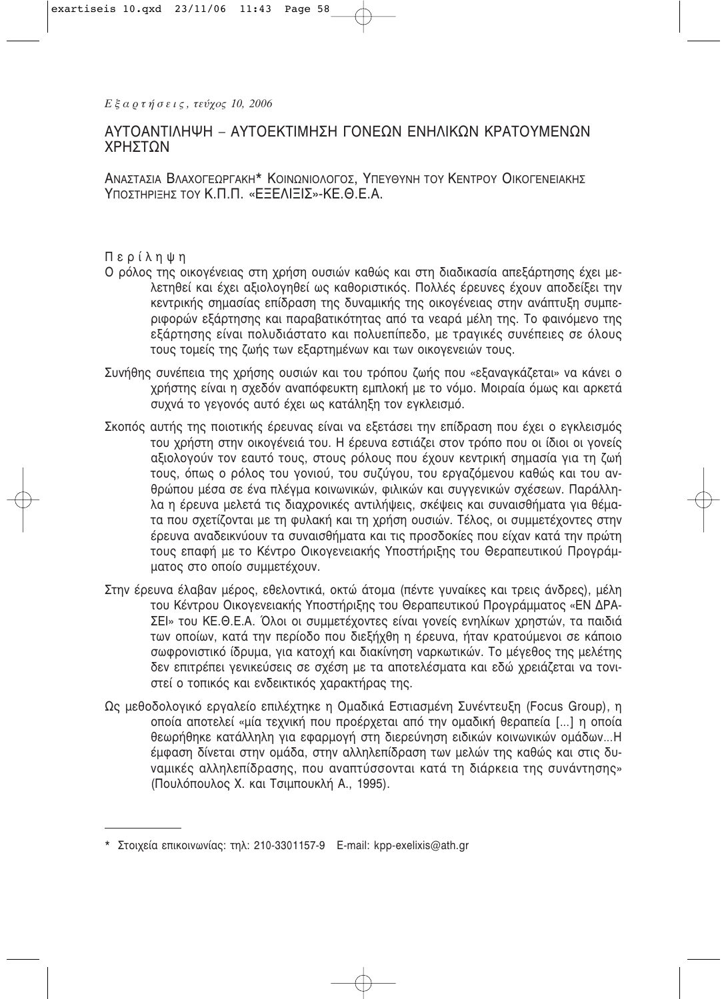# ΑΥΤΟΑΝΤΙΛΗΨΗ – ΑΥΤΟΕΚΤΙΜΗΣΗ ΓΟΝΕΩΝ ΕΝΗΛΙΚΩΝ ΚΡΑΤΟΥΜΕΝΩΝ **XPH7TON**

ΑΝΑΣΤΑΣΙΑ ΒΛΑΧΟΓΕΩΡΓΑΚΗ\* ΚΟΙΝΩΝΙΟΛΟΓΟΣ, ΥΠΕΥΘΥΝΗ ΤΟΥ ΚΕΝΤΡΟΥ ΟΙΚΟΓΕΝΕΙΑΚΗΣ **YOOSTHPIEHS TOY K O O «FEEALEIS»-KE O F A** 

## Περίληψη

- Ο ρόλος της οικογένειας στη χρήση ουσιών καθώς και στη διαδικασία απεξάρτησης έχει μελετηθεί και έχει αξιολογηθεί ως καθοριστικός. Πολλές έρευνες έχουν αποδείξει την κεντρικής σημασίας επίδραση της δυναμικής της οικογένειας στην ανάπτυξη συμπεριφορών εξάρτησης και παραβατικότητας από τα νεαρά μέλη της. Το φαινόμενο της εξάρτησης είναι πολυδιάστατο και πολυεπίπεδο, με τρανικές συνέπειες σε όλους τους τομείς της ζωής των εξαρτημένων και των οικογενειών τους.
- Συνήθης συνέπεια της χρήσης ουσιών και του τρόπου ζωής που «εξαναγκάζεται» να κάνει ο χρήστης είναι η σχεδόν αναπόφευκτη εμπλοκή με το νόμο. Μοιραία όμως και αρκετά συχνά το γεγονός αυτό έχει ως κατάληξη τον εγκλεισμό.
- Σκοπός αυτής της ποιοτικής έρευνας είναι να εξετάσει την επίδραση που έχει ο ενκλεισμός του χρήστη στην οικογένειά του. Η έρευνα εστιάζει στον τρόπο που οι ίδιοι οι γονείς αξιολογούν τον εαυτό τους, στους ρόλους που έχουν κεντρική σημασία για τη ζωή τους, όπως ο ρόλος του γονιού, του συζύγου, του εργαζόμενου καθώς και του ανθρώπου μέσα σε ένα πλέγμα κοινωνικών, φιλικών και συγγενικών σχέσεων. Παράλληλα η έρευνα μελετά τις διαχρονικές αντιλήψεις, σκέψεις και συναισθήματα για θέματα που σχετίζονται με τη φυλακή και τη χρήση ουσιών. Τέλος, οι συμμετέχοντες στην έρευνα αναδεικνύουν τα συναισθήματα και τις προσδοκίες που είχαν κατά την πρώτη τους επαφή με το Κέντρο Οικογενειακής Υποστήριξης του Θεραπευτικού Προγράμματος στο οποίο συμμετέχουν.
- Στην έρευνα έλαβαν μέρος, εθελοντικά, οκτώ άτομα (πέντε γυναίκες και τρεις άνδρες), μέλη του Κέντρου Οικογενειακής Υποστήριξης του Θεραπευτικού Προγράμματος «ΕΝ ΔΡΑ-ΣΕΙ» του ΚΕ.Θ.Ε.Α. Όλοι οι συμμετέχοντες είναι γονείς ενηλίκων χρηστών, τα παιδιά των οποίων, κατά την περίοδο που διεξήχθη η έρευνα, ήταν κρατούμενοι σε κάποιο σωφρονιστικό ίδρυμα, για κατοχή και διακίνηση ναρκωτικών. Το μέγεθος της μελέτης δεν επιτρέπει γενικεύσεις σε σχέση με τα αποτελέσματα και εδώ χρειάζεται να τονιστεί ο τοπικός και ενδεικτικός χαρακτήρας της.
- Ως μεθοδολογικό εργαλείο επιλέχτηκε η Ομαδικά Εστιασμένη Συνέντευξη (Focus Group), η οποία αποτελεί «μία τεχνική που προέρχεται από την ομαδική θεραπεία [...] η οποία θεωρήθηκε κατάλληλη για εφαρμογή στη διερεύνηση ειδικών κοινωνικών ομάδων...Η έμφαση δίνεται στην ομάδα, στην αλληλεπίδραση των μελών της καθώς και στις δυναμικές αλληλεπίδρασης, που αναπτύσσονται κατά τη διάρκεια της συνάντησης» (Πουλόπουλος Χ. και Τσιμπουκλή Α., 1995).

<sup>\*</sup> Στοιχεία επικοινωνίας: τηλ: 210-3301157-9 E-mail: kpp-exelixis@ath.gr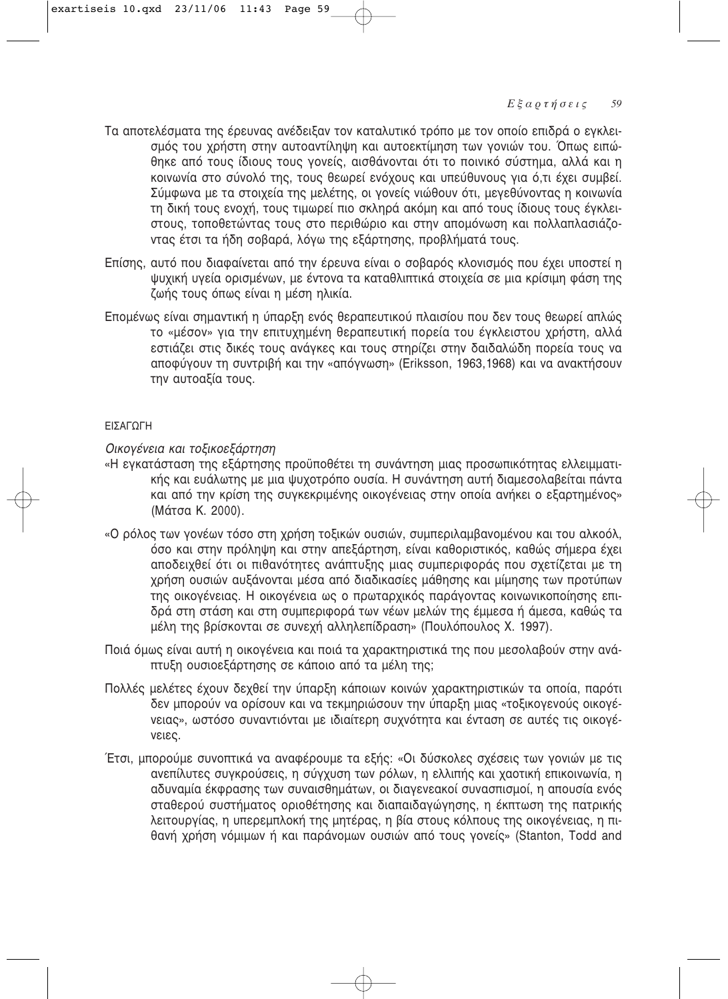- Τα αποτελέσματα της έρευνας ανέδειξαν τον καταλυτικό τρόπο με τον οποίο επιδρά ο εγκλεισμός του χρήστη στην αυτοαντίληψη και αυτοεκτίμηση των γονιών του. Όπως ειπώθηκε από τους ίδιους τους γονείς, αισθάνονται ότι το ποινικό σύστημα, αλλά και η ΚΟΙΥΦΥΊα στο σύνολό της, τους θεωρεί ενόχους και υπεύθυνους για ό,τι έχει συμβεί. Σύμφωνα με τα στοιχεία της μελέτης, οι γονείς νιώθουν ότι, μεγεθύνοντας η κοινωνία τη δική τους ενοχή, τους τιμωρεί πιο σκληρά ακόμη και από τους ίδιους τους έγκλειστους, τοποθετώντας τους στο περιθώριο και στην απομόνωση και πολλαπλασιάζοντας έτσι τα ήδη σοβαρά, λόγω της εξάρτησης, προβλήματά τους.
- Επίσης, αυτό που διαφαίνεται από την έρευνα είναι ο σοβαρός κλονισμός που έχει υποστεί η ψυχική υγεία ορισμένων, με έντονα τα καταθλιπτικά στοιχεία σε μια κρίσιμη φάση της ζωής τους όπως είναι η μέση ηλικία.
- Επομένως είναι σημαντική η ύπαρξη ενός θεραπευτικού πλαισίου που δεν τους θεωρεί απλώς το «μέσον» για την επιτυχημένη θεραπευτική πορεία του έγκλειστου χρήστη, αλλά εστιάζει στις δικές τους ανάγκες και τους στηρίζει στην δαιδαλώδη πορεία τους να αποφύγουν τη συντριβή και την «απόγνωση» (Eriksson, 1963,1968) και να ανακτήσουν την αυτοαξία τους.

## ∂π™∞°ø°∏

## Οικογένεια και τοξικοεξάρτηση

- «Η εγκατάσταση της εξάρτησης προϋποθέτει τη συνάντηση μιας προσωπικότητας ελλειμματικής και ευάλωτης με μια ψυχοτρόπο ουσία. Η συνάντηση αυτή διαμεσολαβείται πάντα και από την κρίση της συγκεκριμένης οικογένειας στην οποία ανήκει ο εξαρτημένος» (Μάτσα Κ. 2000).
- «Ο ρόλος των γονέων τόσο στη χρήση τοξικών ουσιών, συμπεριλαμβανομένου και του αλκοόλ, όσο και στην πρόληψη και στην απεξάρτηση, είναι καθοριστικός, καθώς σήμερα έχει αποδειχθεί ότι οι πιθανότητες ανάπτυξης μιας συμπεριφοράς που σχετίζεται με τη χρήση ουσιών αυξάνονται μέσα από διαδικασίες μάθησης και μίμησης των προτύπων της οικογένειας. Η οικογένεια ως ο πρωταρχικός παράγοντας κοινωνικοποίησης επιδρά στη στάση και στη συμπεριφορά των νέων μελών της έμμεσα ή άμεσα, καθώς τα μέλη της βρίσκονται σε συνεχή αλληλεπίδραση» (Πουλόπουλος Χ. 1997).
- Ποιά όμως είναι αυτή η οικογένεια και ποιά τα χαρακτηριστικά της που μεσολαβούν στην ανάπτυξη ουσιοεξάρτησης σε κάποιο από τα μέλη της;
- Πολλές μελέτες έχουν δεχθεί την ύπαρξη κάποιων κοινών χαρακτηριστικών τα οποία, παρότι δεν μπορούν να ορίσουν και να τεκμηριώσουν την ύπαρξη μιας «τοξικογενούς οικογέ-Vειας», ωστόσο συναντιόνται με ιδιαίτερη συχνότητα και ένταση σε αυτές τις οικογέ-VEIEC.
- Έτσι, μπορούμε συνοπτικά να αναφέρουμε τα εξής: «Οι δύσκολες σχέσεις των γονιών με τις ανεπίλυτες συγκρούσεις, η σύγχυση των ρόλων, η ελλιπής και χαοτική επικοινωνία, η αδυναμία έκφρασης των συναισθημάτων, οι διαγενεακοί συνασπισμοί, η απουσία ενός σταθερού συστήματος οριοθέτησης και διαπαιδαγώγησης, η έκπτωση της πατρικής λειτουργίας, η υπερεμπλοκή της μητέρας, η βία στους κόλπους της οικογένειας, η πιθανή χρήση νόμιμων ή και παράνομων ουσιών από τους γονείς» (Stanton, Todd and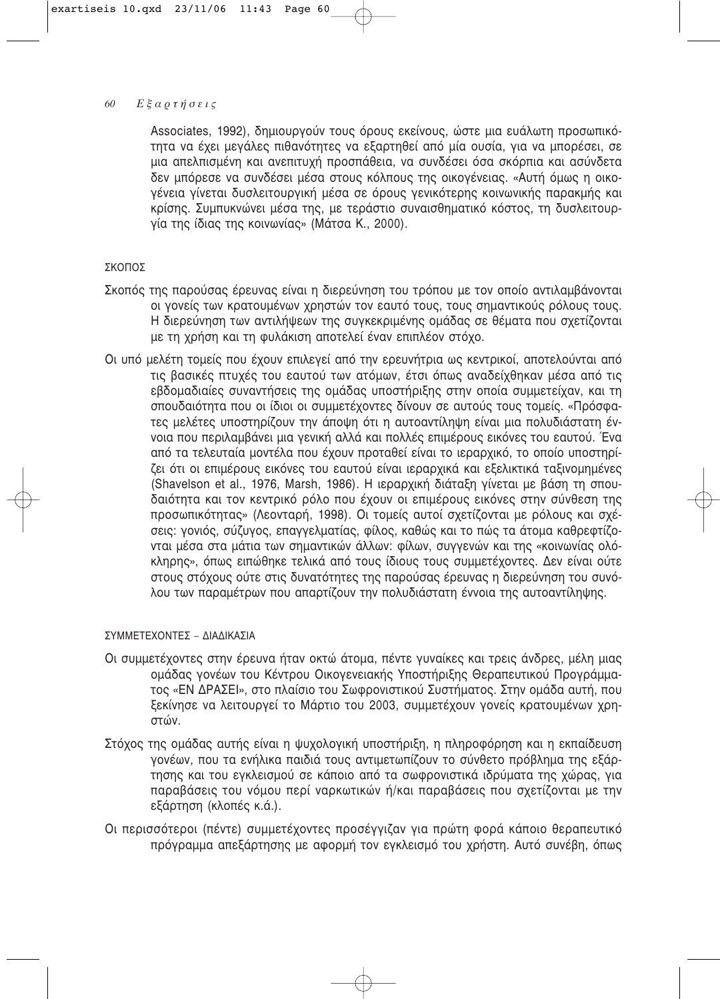Associates, 1992), δημιουργούν τους όρους εκείνους, ώστε μια ευάλωτη προσωπικότητα να έχει μεγάλες πιθανότητες να εξαρτηθεί από μία ουσία, για να μπορέσει, σε μια απελπισμένη και ανεπιτυχή προσπάθεια, να συνδέσει όσα σκόρπια και ασύνδετα δεν μπόρεσε να συνδέσει μέσα στους κόλπους της οικογένειας. «Αυτή όμως η οικογένεια γίνεται δυσλειτουργική μέσα σε όρους γενικότερης κοινωνικής παρακμής και Κρίσης. Συμπυκνώνει μέσα της, με τεράστιο συναισθηματικό κόστος, τη δυσλειτουργία της ίδιας της κοινωνίας» (Μάτσα Κ., 2000).

#### ∑KU⊔U2

- Σκοπός της παρούσας έρευνας είναι η διερεύνηση του τρόπου με τον οποίο αντιλαμβάνονται οι γονείς των κρατουμένων χρηστών τον εαυτό τους, τους σημαντικούς ρόλους τους. Η διερεύνηση των αντιλήψεων της συγκεκριμένης ομάδας σε θέματα που σχετίζονται με τη χρήση και τη φυλάκιση αποτελεί έναν επιπλέον στόχο.
- Οι υπό μελέτη τομείς που έχουν επιλεγεί από την ερευνήτρια ως κεντρικοί, αποτελούνται από τις βασικές πτυχές του εαυτού των ατόμων, έτσι όπως αναδείχθηκαν μέσα από τις εβδομαδιαίες συναντήσεις της ομάδας υποστήριξης στην οποία συμμετείχαν, και τη σπουδαιότητα που οι ίδιοι οι συμμετέχοντες δίνουν σε αυτούς τους τομείς. «Πρόσφατες μελέτες υποστηρίζουν την άποψη ότι η αυτοαντίληψη είναι μια πολυδιάστατη έννοια που περιλαμβάνει μια γενική αλλά και πολλές επιμέρους εικόνες του εαυτού. Ένα από τα τελευταία μοντέλα που έχουν προταθεί είναι το ιεραρχικό, το οποίο υποστηρίζει ότι οι επιμέρους εικόνες του εαυτού είναι ιεραρχικά και εξελικτικά ταξινομημένες (Shavelson et al., 1976, Marsh, 1986). Η ιεραρχική διάταξη γίνεται με βάση τη σπουδαιότητα και τον κεντρικό ρόλο που έχουν οι επιμέρους εικόνες στην σύνθεση της προσωπικότητας» (Λεονταρή, 1998). Οι τομείς αυτοί σχετίζονται με ρόλους και σχέσεις: γονιός, σύζυγος, επαγγελματίας, φίλος, καθώς και το πώς τα άτομα καθρεφτίζο-Vται μέσα στα μάτια των σημαντικών άλλων: φίλων, συγγενών και της «κοινωνίας ολό-Kληρης», όπως ειπώθηκε τελικά από τους ίδιους τους συμμετέχοντες. Δεν είναι ούτε στους στόχους ούτε στις δυνατότητες της παρούσας έρευνας η διερεύνηση του συνόλου των παραμέτρων που απαρτίζουν την πολυδιάστατη έννοια της αυτοαντίληψης.

## ΣΥΜΜΕΤΕΧΟΝΤΕΣ – ΔΙΑΔΙΚΑΣΙΑ

- Οι συμμετέχοντες στην έρευνα ήταν οκτώ άτομα, πέντε γυναίκες και τρεις άνδρες, μέλη μιας ομάδας γονέων του Κέντρου Οικογενειακής Υποστήριξης Θεραπευτικού Προγράμματος «ΕΝ ΔΡΑΣΕΙ», στο πλαίσιο του Σωφρονιστικού Συστήματος. Στην ομάδα αυτή, που ξεκίνησε να λειτουργεί το Μάρτιο του 2003, συμμετέχουν γονείς κρατουμένων χρηστών.
- Στόχος της ομάδας αυτής είναι η ψυχολογική υποστήριξη, η πληροφόρηση και η εκπαίδευση γονέων, που τα ενήλικα παιδιά τους αντιμετωπίζουν το σύνθετο πρόβλημα της εξάρτησης και του εγκλεισμού σε κάποιο από τα σωφρονιστικά ιδρύματα της χώρας, για παραβάσεις του νόμου περί ναρκωτικών ή/και παραβάσεις που σχετίζονται με την εξάρτηση (κλοπές κ.ά.).
- Οι περισσότεροι (πέντε) συμμετέχοντες προσέγγιζαν για πρώτη φορά κάποιο θεραπευτικό πρόγραμμα απεξάρτησης με αφορμή τον εγκλεισμό του χρήστη. Αυτό συνέβη, όπως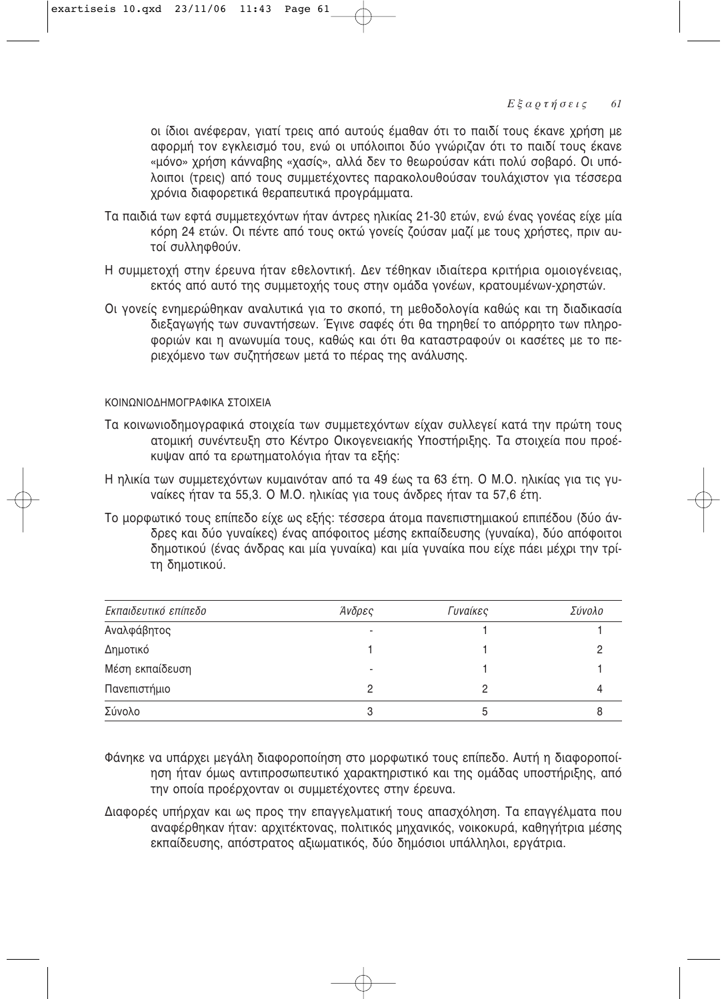οι ίδιοι ανέφεραν, γιατί τρεις από αυτούς έμαθαν ότι το παιδί τους έκανε χρήση με αφορμή τον εγκλεισμό του, ενώ οι υπόλοιποι δύο γνώριζαν ότι το παιδί τους έκανε «μόνο» χρήση κάνναβης «χασίς», αλλά δεν το θεωρούσαν κάτι πολύ σοβαρό. Οι υπόλοιποι (τρεις) από τους συμμετέχοντες παρακολουθούσαν τουλάχιστον για τέσσερα χρόνια διαφορετικά θεραπευτικά προγράμματα.

- Τα παιδιά των εφτά συμμετεχόντων ήταν άντρες ηλικίας 21-30 ετών, ενώ ένας γονέας είχε μία Κόρη 24 ετών. Οι πέντε από τους οκτώ νονείς ζούσαν μαζί με τους χρήστες, πριν αυτοί συλληφθούν.
- Η συμμετοχή στην έρευνα ήταν εθελοντική. Δεν τέθηκαν ιδιαίτερα κριτήρια ομοιογένειας, εκτός από αυτό της συμμετοχής τους στην ομάδα γονέων, κρατουμένων-χρηστών.
- Οι γονείς ενημερώθηκαν αναλυτικά για το σκοπό, τη μεθοδολογία καθώς και τη διαδικασία διεξαγωγής των συναντήσεων. Έγινε σαφές ότι θα τηρηθεί το απόρρητο των πληροφοριών και η ανωνυμία τους, καθώς και ότι θα καταστραφούν οι κασέτες με το περιεχόμενο των συζητήσεων μετά το πέρας της ανάλυσης.

## ΚΟΙΝΟΝΙΟΛΗΜΟΓΡΑΦΙΚΑ ΣΤΟΙΧΕΙΑ

- Τα κοινωνιοδημογραφικά στοιχεία των συμμετεχόντων είχαν συλλεγεί κατά την πρώτη τους ατομική συνέντευξη στο Κέντρο Οικογενειακής Υποστήριξης. Τα στοιχεία που προέκυψαν από τα ερωτηματολόνια ήταν τα εξής:
- Η ηλικία των συμμετεχόντων κυμαινόταν από τα 49 έως τα 63 έτη. Ο Μ.Ο. ηλικίας για τις γυναίκες ήταν τα 55,3. Ο Μ.Ο. ηλικίας για τους άνδρες ήταν τα 57,6 έτη.
- Το μορφωτικό τους επίπεδο είχε ως εξής: τέσσερα άτομα πανεπιστημιακού επιπέδου (δύο άνδρες και δύο γυναίκες) ένας απόφοιτος μέσης εκπαίδευσης (γυναίκα), δύο απόφοιτοι δημοτικού (ένας άνδρας και μία γυναίκα) και μία γυναίκα που είχε πάει μέχρι την τρίτη δημοτικού.

| Εκπαιδευτικό επίπεδο | Άνδρες         | Γυναίκες | Σύνολο |
|----------------------|----------------|----------|--------|
| Αναλφάβητος          | $\overline{a}$ |          |        |
| Δημοτικό             |                |          |        |
| Μέση εκπαίδευση      | $\overline{a}$ |          |        |
| Πανεπιστήμιο         | 2              | 0        |        |
| Σύνολο               | 3              | 5        |        |

- Φάνηκε να υπάρχει μεγάλη διαφοροποίηση στο μορφωτικό τους επίπεδο. Αυτή η διαφοροποίηση ήταν όμως αντιπροσωπευτικό χαρακτηριστικό και της ομάδας υποστήριξης, από την οποία προέρχονταν οι συμμετέχοντες στην έρευνα.
- Διαφορές υπήρχαν και ως προς την επαγγελματική τους απασχόληση. Τα επαγγέλματα που αναφέρθηκαν ήταν: αρχιτέκτονας, πολιτικός μηχανικός, νοικοκυρά, καθηγήτρια μέσης εκπαίδευσης, απόστρατος αξιωματικός, δύο δημόσιοι υπάλληλοι, εργάτρια.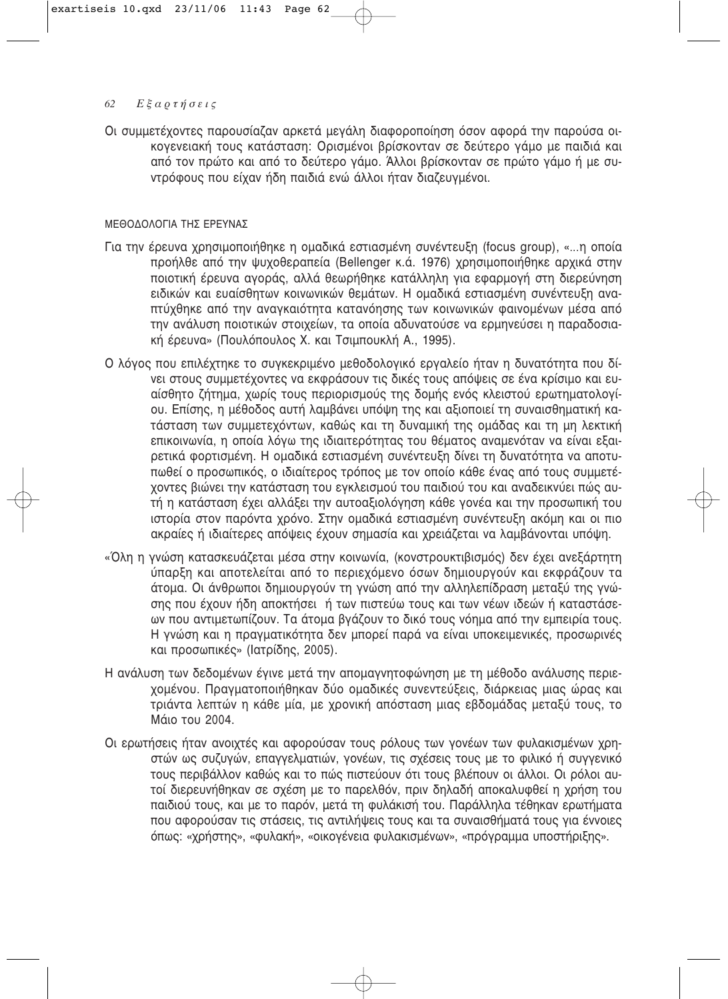Οι συμμετέχοντες παρουσίαζαν αρκετά μεγάλη διαφοροποίηση όσον αφορά την παρούσα οι-Κογενειακή τους κατάσταση: Ορισμένοι βρίσκονταν σε δεύτερο γάμο με παιδιά και από τον πρώτο και από το δεύτερο γάμο. Άλλοι βρίσκονταν σε πρώτο γάμο ή με συντρόφους που είχαν ήδη παιδιά ενώ άλλοι ήταν διαζευγμένοι.

## ΜΕΘΩΛΩΛΟΓΙΑ ΤΗΣ ΕΡΕΥΝΑΣ

- Για την έρευνα χρησιμοποιήθηκε η ομαδικά εστιασμένη συνέντευξη (focus group), «...η οποία προήλθε από την ψυχοθεραπεία (Bellenger κ.ά. 1976) χρησιμοποιήθηκε αρχικά στην ποιοτική έρευνα αγοράς, αλλά θεωρήθηκε κατάλληλη για εφαρμογή στη διερεύνηση ειδικών και ευαίσθητων κοινωνικών θεμάτων. Η ομαδικά εστιασμένη συνέντευξη αναπτύχθηκε από την αναγκαιότητα κατανόησης των κοινωνικών φαινομένων μέσα από την ανάλυση ποιοτικών στοιχείων, τα οποία αδυνατούσε να ερμηνεύσει η παραδοσιακή έρευνα» (Πουλόπουλος Χ. και Τσιμπουκλή Α., 1995).
- Ο λόγος που επιλέχτηκε το συγκεκριμένο μεθοδολογικό εργαλείο ήταν η δυνατότητα που δί-VEL στους συμμετέχοντες να εκφράσουν τις δικές τους απόψεις σε ένα κρίσιμο και ευαίσθητο ζήτημα, χωρίς τους περιορισμούς της δομής ενός κλειστού ερωτηματολογίου. Επίσης, η μέθοδος αυτή λαμβάνει υπόψη της και αξιοποιεί τη συναισθηματική κατάσταση των συμμετεχόντων, καθώς και τη δυναμική της ομάδας και τη μη λεκτική επικοινωνία, η οποία λόγω της ιδιαιτερότητας του θέματος αναμενόταν να είναι εξαιρετικά φορτισμένη. Η ομαδικά εστιασμένη συνέντευξη δίνει τη δυνατότητα να αποτυπωθεί ο προσωπικός, ο ιδιαίτερος τρόπος με τον οποίο κάθε ένας από τους συμμετέχοντες βιώνει την κατάσταση του εγκλεισμού του παιδιού του και αναδεικνύει πώς αυτή η κατάσταση έχει αλλάξει την αυτοαξιολόγηση κάθε γονέα και την προσωπική του ιστορία στον παρόντα χρόνο. Στην ομαδικά εστιασμένη συνέντευξη ακόμη και οι πιο ακραίες ή ιδιαίτερες απόψεις έχουν σημασία και χρειάζεται να λαμβάνονται υπόψη.
- «Όλη η γνώση κατασκευάζεται μέσα στην κοινωνία, (κονστρουκτιβισμός) δεν έχει ανεξάρτητη ύπαρξη και αποτελείται από το περιεχόμενο όσων δημιουργούν και εκφράζουν τα άτομα. Οι άνθρωποι δημιουργούν τη γνώση από την αλληλεπίδραση μεταξύ της γνώσης που έχουν ήδη αποκτήσει ή των πιστεύω τους και των νέων ιδεών ή καταστάσεων που αντιμετωπίζουν. Τα άτομα βνάζουν το δικό τους νόημα από την εμπειρία τους. Η γνώση και η πραγματικότητα δεν μπορεί παρά να είναι υποκειμενικές, προσωρινές και προσωπικές» (Ιατρίδης, 2005).
- Η ανάλυση των δεδομένων έγινε μετά την απομαγνητοφώνηση με τη μέθοδο ανάλυσης περιεχομένου. Πραγματοποιήθηκαν δύο ομαδικές συνεντεύξεις, διάρκειας μιας ώρας και τριάντα λεπτών η κάθε μία, με χρονική απόσταση μιας εβδομάδας μεταξύ τους, το Μάιο του 2004.
- Οι ερωτήσεις ήταν ανοιχτές και αφορούσαν τους ρόλους των γονέων των φυλακισμένων χρηστών ως συζυγών, επαγγελματιών, γονέων, τις σχέσεις τους με το φιλικό ή συγγενικό τους περιβάλλον καθώς και το πώς πιστεύουν ότι τους βλέπουν οι άλλοι. Οι ρόλοι αυτοί διερευνήθηκαν σε σχέση με το παρελθόν, πριν δηλαδή αποκαλυφθεί η χρήση του παιδιού τους, και με το παρόν, μετά τη φυλάκισή του. Παράλληλα τέθηκαν ερωτήματα που αφορούσαν τις στάσεις, τις αντιλήψεις τους και τα συναισθήματά τους για έννοιες όπως: «χρήστης», «φυλακή», «οικογένεια φυλακισμένων», «πρόγραμμα υποστήριξης».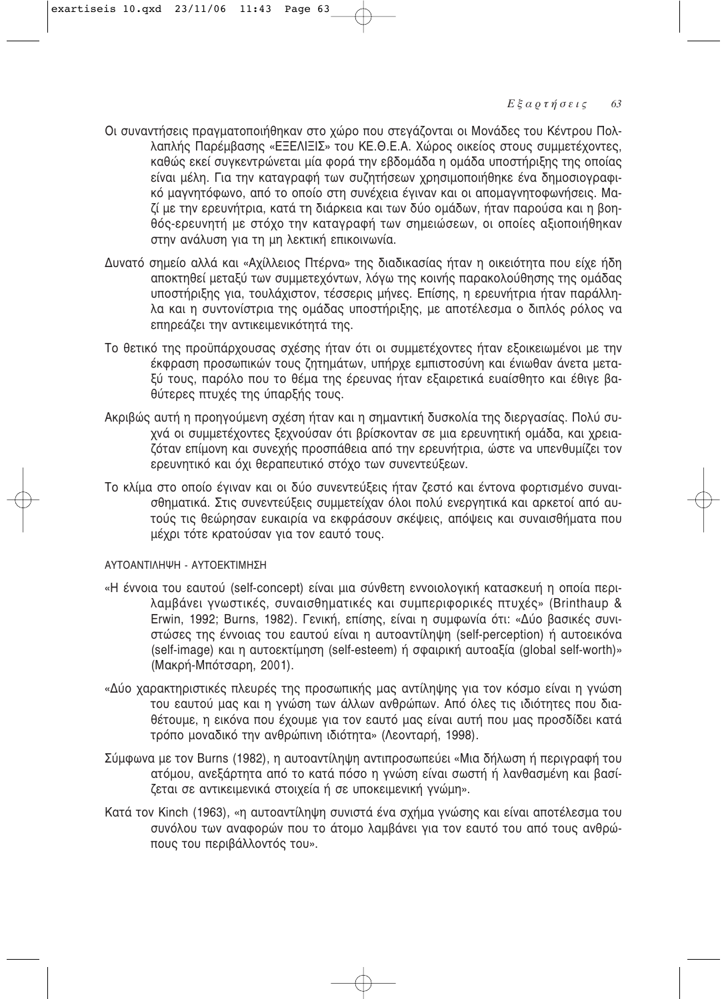- Οι συναντήσεις πραγματοποιήθηκαν στο χώρο που στεγάζονται οι Μονάδες του Κέντρου Πολλαπλής Παρέμβασης «ΕΞΕΛΙΞΙΣ» του ΚΕ.Θ.Ε.Α. Χώρος οικείος στους συμμετέχοντες. καθώς εκεί συγκεντρώνεται μία φορά την εβδομάδα η ομάδα υποστήριξης της οποίας είναι μέλη. Για την καταγραφή των συζητήσεων χρησιμοποιήθηκε ένα δημοσιογραφικό μαγνητόφωνο, από το οποίο στη συνέχεια έγιναν και οι απομαγνητοφωνήσεις. Μαζί με την ερευνήτρια, κατά τη διάρκεια και των δύο ομάδων, ήταν παρούσα και η βοηθός-ερευνητή με στόχο την καταγραφή των σημειώσεων, οι οποίες αξιοποιήθηκαν στην ανάλυση για τη μη λεκτική επικοινωνία.
- Δυνατό σημείο αλλά και «Αχίλλειος Πτέρνα» της διαδικασίας ήταν η οικειότητα που είχε ήδη αποκτηθεί μεταξύ των συμμετεχόντων, λόγω της κοινής παρακολούθησης της ομάδας υποστήριξης για, τουλάχιστον, τέσσερις μήνες. Επίσης, η ερευνήτρια ήταν παράλληλα και η συντονίστρια της ομάδας υποστήριξης, με αποτέλεσμα ο διπλός ρόλος να επηρεάζει την αντικειμενικότητά της.
- Το θετικό της προϋπάρχουσας σχέσης ήταν ότι οι συμμετέχοντες ήταν εξοικειωμένοι με την έκφραση προσωπικών τους ζητημάτων, υπήρχε εμπιστοσύνη και ένιωθαν άνετα μεταξύ τους, παρόλο που το θέμα της έρευνας ήταν εξαιρετικά ευαίσθητο και έθιγε βαθύτερες πτυχές της ύπαρξής τους.
- Ακριβώς αυτή η προηγούμενη σχέση ήταν και η σημαντική δυσκολία της διεργασίας. Πολύ συχνά οι συμμετέχοντες ξεχνούσαν ότι βρίσκονταν σε μια ερευνητική ομάδα, και χρειαζόταν επίμονη και συνεχής προσπάθεια από την ερευνήτρια, ώστε να υπενθυμίζει τον ερευνητικό και όχι θεραπευτικό στόχο των συνεντεύξεων.
- Το κλίμα στο οποίο έγιναν και οι δύο συνεντεύξεις ήταν ζεστό και έντονα φορτισμένο συναισθηματικά. Στις συνεντεύξεις συμμετείχαν όλοι πολύ ενεργητικά και αρκετοί από αυτούς τις θεώρησαν ευκαιρία να εκφράσουν σκέψεις, απόψεις και συναισθήματα που μέχρι τότε κρατούσαν για τον εαυτό τους.

## ΑΥΤΟΑΝΤΙΛΗΨΗ - ΑΥΤΟΕΚΤΙΜΗΣΗ

- «Η έννοια του εαυτού (self-concept) είναι μια σύνθετη εννοιολογική κατασκευή η οποία περιλαμβάνει γνωστικές, συναισθηματικές και συμπεριφορικές πτυχές» (Brinthaup & Erwin, 1992; Burns, 1982). Γενική, επίσης, είναι η συμφωνία ότι: «Δύο βασικές συνιστώσες της έννοιας του εαυτού είναι η αυτοαντίληψη (self-perception) ή αυτοεικόνα (self-image) και η αυτοεκτίμηση (self-esteem) ή σφαιρική αυτοαξία (global self-worth)» (Μακρή-Μπότσαρη, 2001).
- «Δύο χαρακτηριστικές πλευρές της προσωπικής μας αντίληψης για τον κόσμο είναι η γνώση του εαυτού μας και η γνώση των άλλων ανθρώπων. Από όλες τις ιδιότητες που διαθέτουμε, η εικόνα που έχουμε για τον εαυτό μας είναι αυτή που μας προσδίδει κατά τρόπο μοναδικό την ανθρώπινη ιδιότητα» (Λεονταρή, 1998).
- Σύμφωνα με τον Burns (1982), η αυτοαντίληψη αντιπροσωπεύει «Μια δήλωση ή περιγραφή του ατόμου, ανεξάρτητα από το κατά πόσο η γνώση είναι σωστή ή λανθασμένη και βασίζεται σε αντικειμενικά στοιχεία ή σε υποκειμενική γνώμη».
- Κατά τον Kinch (1963), «η αυτοαντίληψη συνιστά ένα σχήμα γνώσης και είναι αποτέλεσμα του συνόλου των αναφορών που το άτομο λαμβάνει για τον εαυτό του από τους ανθρώπους του περιβάλλοντός του».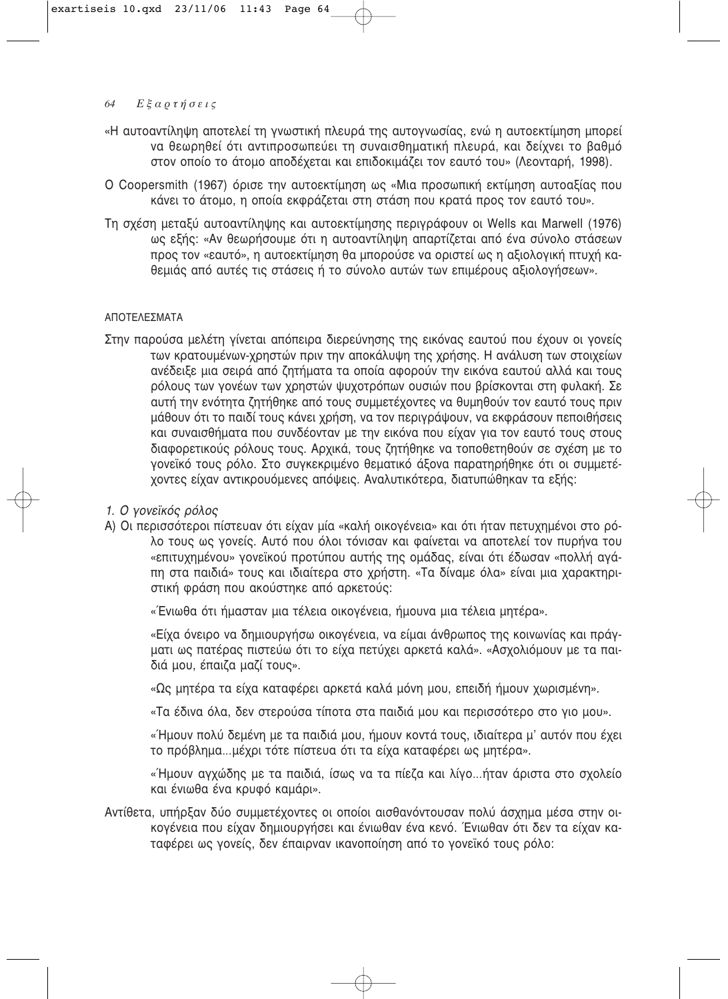- «Η αυτοαντίληψη αποτελεί τη γνωστική πλευρά της αυτογνωσίας, ενώ η αυτοεκτίμηση μπορεί να θεωρηθεί ότι αντιπροσωπεύει τη συναισθηματική πλευρά, και δείχνει το βαθμό στον οποίο το άτομο αποδέχεται και επιδοκιμάζει τον εαυτό του» (Λεονταρή, 1998).
- Ο Coopersmith (1967) όρισε την αυτοεκτίμηση ως «Μια προσωπική εκτίμηση αυτοαξίας που κάνει το άτομο, η οποία εκφράζεται στη στάση που κρατά προς τον εαυτό του».
- Τη σχέση μεταξύ αυτοαντίληψης και αυτοεκτίμησης περιγράφουν οι Wells και Marwell (1976) ως εξής: «Αν θεωρήσουμε ότι η αυτοαντίληψη απαρτίζεται από ένα σύνολο στάσεων προς τον «εαυτό», η αυτοεκτίμηση θα μπορούσε να οριστεί ως η αξιολογική πτυχή καθεμιάς από αυτές τις στάσεις ή το σύνολο αυτών των επιμέρους αξιολογήσεων».

## AΠΟΤΕΛΕΣΜΑΤΑ

- Στην παρούσα μελέτη γίνεται απόπειρα διερεύνησης της εικόνας εαυτού που έχουν οι γονείς .<br>των κρατουμένων-χρηστών πριν την αποκάλυψη της χρήσης. Η ανάλυση των στοιχείων ανέδειξε μια σειρά από ζητήματα τα οποία αφορούν την εικόνα εαυτού αλλά και τους ρόλους των γονέων των χρηστών ψυχοτρόπων ουσιών που βρίσκονται στη φυλακή. Σε αυτή την ενότητα ζητήθηκε από τους συμμετέχοντες να θυμηθούν τον εαυτό τους πριν μάθουν ότι το παιδί τους κάνει χρήση, να τον περιγράψουν, να εκφράσουν πεποιθήσεις .<br>Και συναισθήματα που συνδέονταν με την εικόνα που είχαν για τον εαυτό τους στους διαφορετικούς ρόλους τους. Αρχικά, τους ζητήθηκε να τοποθετηθούν σε σχέση με το γονεϊκό τους ρόλο. Στο συγκεκριμένο θεματικό άξονα παρατηρήθηκε ότι οι συμμετέχοντες είχαν αντικρουόμενες απόψεις. Αναλυτικότερα, διατυπώθηκαν τα εξής:
- *1. Ο γονεϊκός ρόλος*
- A) Οι περισσότεροι πίστευαν ότι είχαν μία «καλή οικογένεια» και ότι ήταν πετυχημένοι στο ρόλο τους ως γονείς. Αυτό που όλοι τόνισαν και φαίνεται να αποτελεί τον πυρήνα του «επιτυχημένου» γονεϊκού προτύπου αυτής της ομάδας, είναι ότι έδωσαν «πολλή αγάπη στα παιδιά» τους και ιδιαίτερα στο χρήστη. «Τα δίναμε όλα» είναι μια χαρακτηριστική φράση που ακούστηκε από αρκετούς:

«Ένιωθα ότι ήμασταν μια τέλεια οικογένεια, ήμουνα μια τέλεια μητέρα».

«Είχα όνειρο να δημιουργήσω οικογένεια, να είμαι άνθρωπος της κοινωνίας και πράγματι ως πατέρας πιστεύω ότι το είχα πετύχει αρκετά καλά». «Ασχολιόμουν με τα παιδιά μου, έπαιζα μαζί τους».

«Ως μητέρα τα είχα καταφέρει αρκετά καλά μόνη μου, επειδή ήμουν χωρισμένη».

«Τα έδινα όλα, δεν στερούσα τίποτα στα παιδιά μου και περισσότερο στο γιο μου».

«Ήμουν πολύ δεμένη με τα παιδιά μου, ήμουν κοντά τους, ιδιαίτερα μ' αυτόν που έχει το πρόβλημα...μέχρι τότε πίστευα ότι τα είχα καταφέρει ως μητέρα».

«Ήμουν αγχώδης με τα παιδιά, ίσως να τα πίεζα και λίγο...ήταν άριστα στο σχολείο και ένιωθα ένα κουφό καμάρι».

Αντίθετα, υπήρξαν δύο συμμετέχοντες οι οποίοι αισθανόντουσαν πολύ άσχημα μέσα στην οικογένεια που είχαν δημιουργήσει και ένιωθαν ένα κενό. Ένιωθαν ότι δεν τα είχαν καταφέρει ως γονείς, δεν έπαιρναν ικανοποίηση από το γονεϊκό τους ρόλο: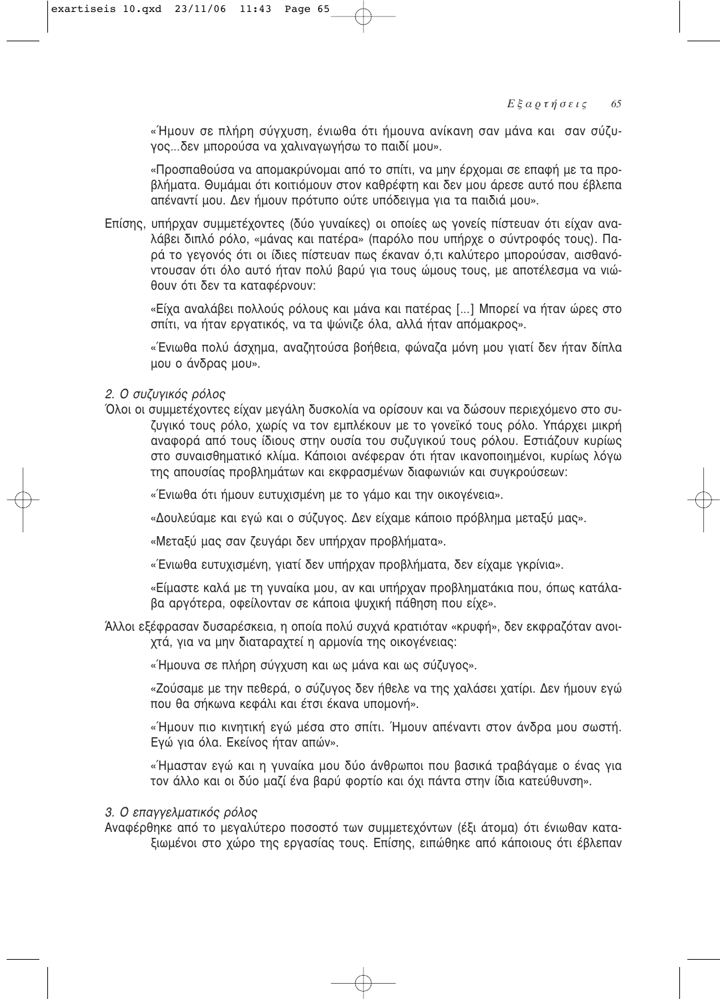«Ήμουν σε πλήρη σύγχυση, ένιωθα ότι ήμουνα ανίκανη σαν μάνα και σαν σύζυγος...δεν μπορούσα να χαλιναγωγήσω το παιδί μου».

«Προσπαθούσα να απομακρύνομαι από το σπίτι, να μην έρχομαι σε επαφή με τα προβλήματα. Θυμάμαι ότι κοιτιόμουν στον καθρέφτη και δεν μου άρεσε αυτό που έβλεπα απέναντί μου. Δεν ήμουν πρότυπο ούτε υπόδειγμα για τα παιδιά μου».

Επίσης, υπήρχαν συμμετέχοντες (δύο γυναίκες) οι οποίες ως γονείς πίστευαν ότι είχαν αναλάβει διπλό ρόλο, «μάνας και πατέρα» (παρόλο που υπήρχε ο σύντροφός τους). Παοά το νενονός ότι οι ίδιες πίστευαν πως έκαναν ό τι καλύτερο μπορούσαν, αισθανόντουσαν ότι όλο αυτό ήταν πολύ βαρύ για τους ώμους τους, με αποτέλεσμα να νιώθουν ότι δεν τα καταφέρνουν:

«Είχα αναλάβει πολλούς ρόλους και μάνα και πατέρας [...] Μπορεί να ήταν ώρες στο σπίτι, να ήταν εργατικός, να τα ψώνιζε όλα, αλλά ήταν απόμακρος».

«Ένιωθα πολύ άσχημα, αναζητούσα βοήθεια, φώναζα μόνη μου γιατί δεν ήταν δίπλα μου ο άνδρας μου».

## 2. Ο συζυγικός ρόλος

## Όλοι οι συμμετέχοντες είχαν μεγάλη δυσκολία να ορίσουν και να δώσουν περιεχόμενο στο συζυγικό τους ρόλο, χωρίς να τον εμπλέκουν με το γονεϊκό τους ρόλο. Υπάρχει μικρή αναφορά από τους ίδιους στην ουσία του συζυγικού τους ρόλου. Εστιάζουν κυρίως στο συναισθηματικό κλίμα. Κάποιοι ανέφεραν ότι ήταν ικανοποιημένοι, κυρίως λόγω της απουσίας προβλημάτων και εκφρασμένων διαφωνιών και συνκρούσεων:

«Ένιωθα ότι ήμουν ευτυχισμένη με το γάμο και την οικογένεια».

«Δουλεύαμε και εγώ και ο σύζυγος. Δεν είχαμε κάποιο πρόβλημα μεταξύ μας».

«Μεταξύ μας σαν ζευγάρι δεν υπήρχαν προβλήματα».

«Ένιωθα ευτυχισμένη, γιατί δεν υπήρχαν προβλήματα, δεν είχαμε γκρίνια».

«Είμαστε καλά με τη γυναίκα μου, αν και υπήρχαν προβληματάκια που, όπως κατάλαβα αργότερα, οφείλονταν σε κάποια ψυχική πάθηση που είχε».

## Άλλοι εξέφρασαν δυσαρέσκεια, η οποία πολύ συχνά κρατιόταν «κρυφή», δεν εκφραζόταν ανοιχτά, για να μην διαταραχτεί η αρμονία της οικογένειας:

«Ήμουνα σε πλήρη σύγχυση και ως μάνα και ως σύζυγος».

«Ζούσαμε με την πεθερά, ο σύζυγος δεν ήθελε να της χαλάσει χατίρι. Δεν ήμουν εγώ που θα σήκωνα κεφάλι και έτσι έκανα υπομονή».

«Ήμουν πιο κινητική εγώ μέσα στο σπίτι. Ήμουν απέναντι στον άνδρα μου σωστή. Εγώ για όλα. Εκείνος ήταν απών».

«Ήμασταν εγώ και η γυναίκα μου δύο άνθρωποι που βασικά τραβάγαμε ο ένας για τον άλλο και οι δύο μαζί ένα βαρύ φορτίο και όχι πάντα στην ίδια κατεύθυνση».

## 3. Ο επαγγελματικός ρόλος

Aναφέρθηκε από το μεγαλύτερο ποσοστό των συμμετεχόντων (έξι άτομα) ότι ένιωθαν καταξιωμένοι στο χώρο της εργασίας τους. Επίσης, ειπώθηκε από κάποιους ότι έβλεπαν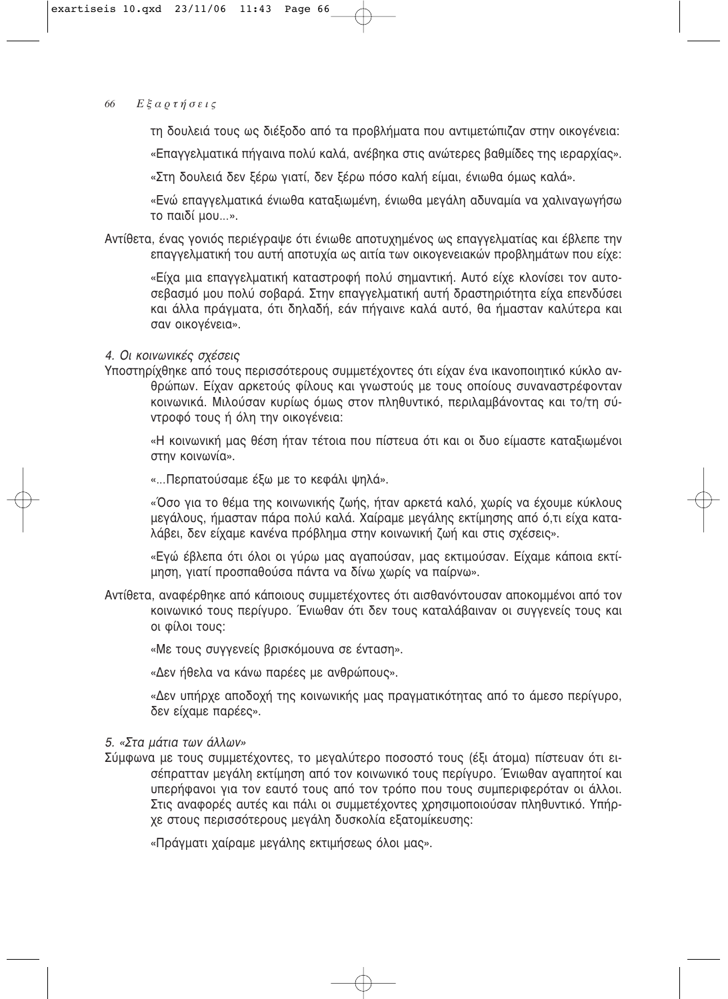τη δουλειά τους ως διέξοδο από τα προβλήματα που αντιμετώπιζαν στην οικογένεια:

«Επαγγελματικά πήγαινα πολύ καλά, ανέβηκα στις ανώτερες βαθμίδες της ιεραρχίας».

«Στη δουλειά δεν ξέρω γιατί, δεν ξέρω πόσο καλή είμαι, ένιωθα όμως καλά».

«Ενώ επαγγελματικά ένιωθα καταξιωμένη, ένιωθα μεγάλη αδυναμία να χαλιναγωγήσω το παιδί μου...».

Aντίθετα, ένας γονιός περιέγραψε ότι ένιωθε αποτυχημένος ως επαγγελματίας και έβλεπε την επαγγελματική του αυτή αποτυχία ως αιτία των οικογενειακών προβλημάτων που είχε:

«Είχα μια επαγγελματική καταστροφή πολύ σημαντική. Αυτό είχε κλονίσει τον αυτοσεβασμό μου πολύ σοβαρά. Στην επαγγελματική αυτή δραστηριότητα είχα επενδύσει και άλλα πράγματα, ότι δηλαδή, εάν πήγαινε καλά αυτό, θα ήμασταν καλύτερα και σαν οικογένεια».

## *4. Οι κοινωνικές σχέσεις*

Υποστηρίχθηκε από τους περισσότερους συμμετέχοντες ότι είχαν ένα ικανοποιητικό κύκλο ανθρώπων. Είχαν αρκετούς φίλους και γνωστούς με τους οποίους συναναστρέφονταν κοινωνικά. Μιλούσαν κυρίως όμως στον πληθυντικό, περιλαμβάνοντας και το/τη σύντροφό τους ή όλη την οικογένεια:

«Η κοινωνική μας θέση ήταν τέτοια που πίστευα ότι και οι δυο είμαστε καταξιωμένοι στην κοινωνία».

«...Περπατούσαμε έξω με το κεφάλι ψηλά».

«Όσο για το θέμα της κοινωνικής ζωής, ήταν αρκετά καλό, χωρίς να έχουμε κύκλους μεγάλους, ήμασταν πάρα πολύ καλά. Χαίραμε μεγάλης εκτίμησης από ό,τι είχα καταλάβει, δεν είχαμε κανένα πρόβλημα στην κοινωνική ζωή και στις σχέσεις».

«Εγώ έβλεπα ότι όλοι οι γύρω μας αγαπούσαν, μας εκτιμούσαν. Είχαμε κάποια εκτίμηση, γιατί προσπαθούσα πάντα να δίνω χωρίς να παίρνω».

Aντίθετα, αναφέρθηκε από κάποιους συμμετέχοντες ότι αισθανόντουσαν αποκομμένοι από τον ΚΟΙΥΦΥΙΚΌ ΤΟυς περίγυρο. Ένιωθαν ότι δεν τους καταλάβαιναν οι συγγενείς τους και οι φίλοι τους:

«Με τους συγγενείς βρισκόμουνα σε ένταση».

«Δεν ήθελα να κάνω παρέες με ανθρώπους».

«Δεν υπήρχε αποδοχή της κοινωνικής μας πραγματικότητας από το άμεσο περίγυρο, δεν είχαμε παρέες».

## *5. «Στα μάτια των άλλων»*

Σύμφωνα με τους συμμετέχοντες, το μεγαλύτερο ποσοστό τους (έξι άτομα) πίστευαν ότι εισέπρατταν μεγάλη εκτίμηση από τον κοινωνικό τους περίγυρο. Ένιωθαν αγαπητοί και υπερήφανοι για τον εαυτό τους από τον τρόπο που τους συμπεριφερόταν οι άλλοι. Στις αναφορές αυτές και πάλι οι συμμετέχοντες χρησιμοποιούσαν πληθυντικό. Υπήρχε στους περισσότερους μεγάλη δυσκολία εξατομίκευσης:

«Πράγματι χαίραμε μεγάλης εκτιμήσεως όλοι μας».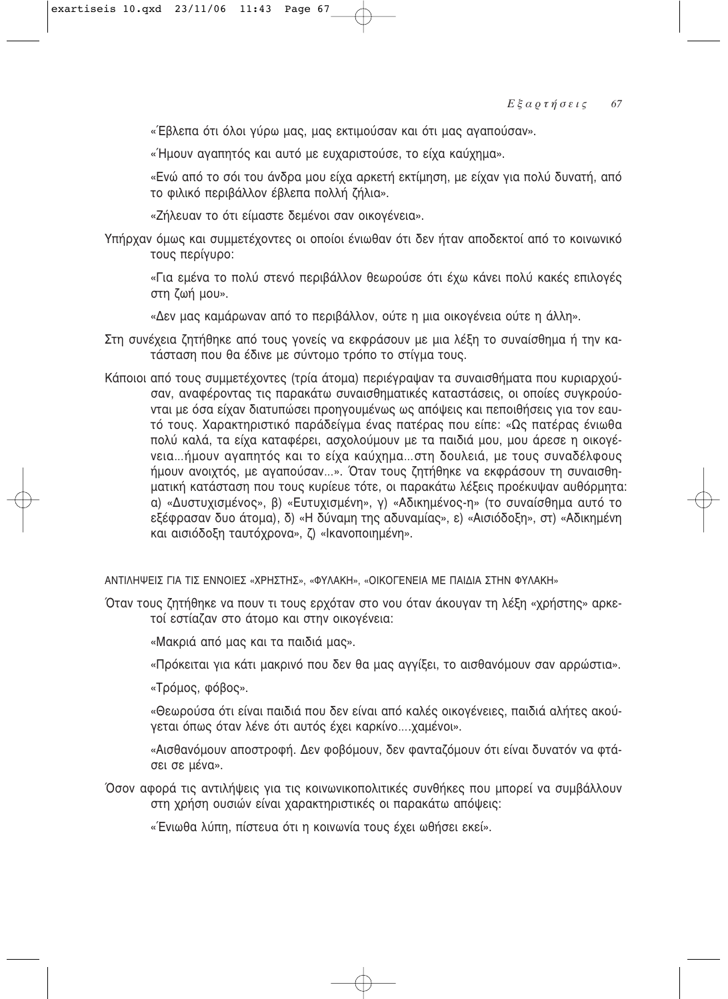«Έβλεπα ότι όλοι γύρω μας, μας εκτιμούσαν και ότι μας αγαπούσαν».

«Ήμουν αγαπητός και αυτό με ευχαριστούσε, το είχα καύχημα».

«Ενώ από το σόι του άνδρα μου είχα αρκετή εκτίμηση, με είχαν για πολύ δυνατή, από το φιλικό περιβάλλον έβλεπα πολλή ζήλια».

«Ζήλευαν το ότι είμαστε δεμένοι σαν οικονένεια».

Υπήρχαν όμως και συμμετέχοντες οι οποίοι ένιωθαν ότι δεν ήταν αποδεκτοί από το κοινωνικό τους περίγυρο:

«Για εμένα το πολύ στενό περιβάλλον θεωρούσε ότι έχω κάνει πολύ κακές επιλογές στη ζωή μου».

«Δεν μας καμάρωναν από το περιβάλλον, ούτε η μια οικονένεια ούτε η άλλη».

- Στη συνέχεια ζητήθηκε από τους γονείς να εκφράσουν με μια λέξη το συναίσθημα ή την κατάσταση που θα έδινε με σύντομο τρόπο το στίγμα τους.
- Κάποιοι από τους συμμετέχοντες (τρία άτομα) περιέγραψαν τα συναισθήματα που κυριαρχούσαν, αναφέροντας τις παρακάτω συναισθηματικές καταστάσεις, οι οποίες συγκρούο-Vται με όσα είχαν διατυπώσει προηγουμένως ως απόψεις και πεποιθήσεις για τον εαυτό τους. Χαρακτηριστικό παράδείγμα ένας πατέρας που είπε: «Ως πατέρας ένιωθα πολύ καλά, τα είχα καταφέρει, ασχολούμουν με τα παιδιά μου, μου άρεσε η οικογέvεια...ήμουν αγαπητός και το είχα καύχημα...στη δουλειά, με τους συναδέλφους ήμουν ανοιχτός, με αναπούσαν...». Όταν τους ζητήθηκε να εκφράσουν τη συναισθηματική κατάσταση που τους κυρίευε τότε, οι παρακάτω λέξεις προέκυψαν αυθόρμητα: α) «Δυστυχισμένος», β) «Ευτυχισμένη», γ) «Αδικημένος-η» (το συναίσθημα αυτό το εξέφρασαν δυο άτομα), δ) «Η δύναμη της αδυναμίας», ε) «Αισιόδοξη», στ) «Αδικημένη και αισιόδοξη ταυτόχρονα», ζ) «Ικανοποιημένη».

ΑΝΤΙΛΗΨΕΙΣ ΓΙΑ ΤΙΣ ΕΝΝΟΙΕΣ «ΧΡΗΣΤΗΣ», «ΦΥΛΑΚΗ», «ΟΙΚΟΓΕΝΕΙΑ ΜΕ ΠΑΙΔΙΑ ΣΤΗΝ ΦΥΛΑΚΗ»

Όταν τους ζητήθηκε να πουν τι τους ερχόταν στο νου όταν άκουγαν τη λέξη «χρήστης» αρκετοί εστίαζαν στο άτομο και στην οικογένεια:

«Μακριά από μας και τα παιδιά μας».

«Πρόκειται για κάτι μακρινό που δεν θα μας αγγίξει, το αισθανόμουν σαν αρρώστια».

«Τρόμος, φόβος».

«Θεωρούσα ότι είναι παιδιά που δεν είναι από καλές οικογένειες, παιδιά αλήτες ακούγεται όπως όταν λένε ότι αυτός έχει καρκίνο....χαμένοι».

«Αισθανόμουν αποστροφή. Δεν φοβόμουν, δεν φανταζόμουν ότι είναι δυνατόν να φτάσει σε μένα».

Όσον αφορά τις αντιλήψεις για τις κοινωνικοπολιτικές συνθήκες που μπορεί να συμβάλλουν στη χρήση ουσιών είναι χαρακτηριστικές οι παρακάτω απόψεις:

«Ένιωθα λύπη, πίστευα ότι η κοινωνία τους έχει ωθήσει εκεί».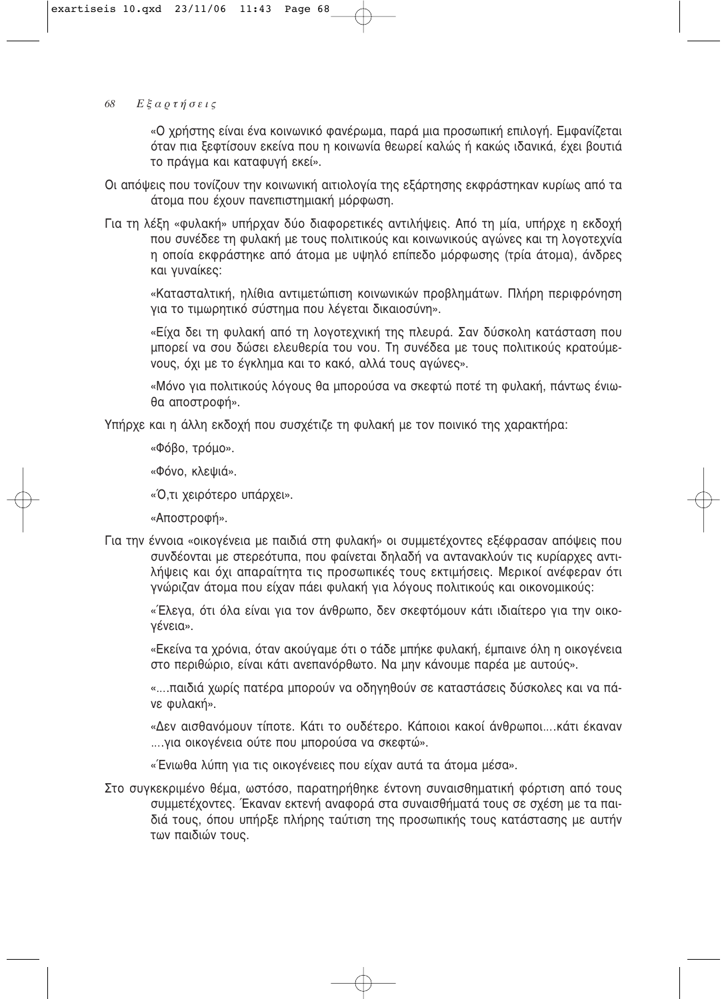#### 68  $E \xi \alpha \rho \tau \eta \sigma \epsilon \iota \varsigma$

«Ο χρήστης είναι ένα κοινωνικό φανέρωμα, παρά μια προσωπική επιλογή. Εμφανίζεται όταν πια ξεφτίσουν εκείνα που η κοινωνία θεωρεί καλώς ή κακώς ιδανικά, έχει βουτιά το πράγμα και καταφυγή εκεί».

- Οι απόψεις που τονίζουν την κοινωνική αιτιολογία της εξάρτησης εκφράστηκαν κυρίως από τα άτομα που έχουν πανεπιστημιακή μόρφωση.
- Για τη λέξη «φυλακή» υπήρχαν δύο διαφορετικές αντιλήψεις. Από τη μία, υπήρχε η εκδοχή που συνέδεε τη φυλακή με τους πολιτικούς και κοινωνικούς αγώνες και τη λογοτεχνία η οποία εκφράστηκε από άτομα με υψηλό επίπεδο μόρφωσης (τρία άτομα), άνδρες και νυναίκες:

«Κατασταλτική, ηλίθια αντιμετώπιση κοινωνικών προβλημάτων. Πλήρη περιφρόνηση για το τιμωρητικό σύστημα που λένεται δικαιοσύνη».

«Είχα δει τη φυλακή από τη λογοτεχνική της πλευρά. Σαν δύσκολη κατάσταση που μπορεί να σου δώσει ελευθερία του νου. Τη συνέδεα με τους πολιτικούς κρατούμενους, όχι με το έγκλημα και το κακό, αλλά τους αγώνες».

«Μόνο για πολιτικούς λόγους θα μπορούσα να σκεφτώ ποτέ τη φυλακή, πάντως ένιωθα αποστροφή».

Υπήρχε και η άλλη εκδοχή που συσχέτιζε τη φυλακή με τον ποινικό της χαρακτήρα:

«Φόβο, τρόμο».

«Φόνο, κλεψιά».

«Ό,τι χειρότερο υπάρχει».

«Αποστροφή».

Για την έννοια «οικογένεια με παιδιά στη φυλακή» οι συμμετέχοντες εξέφρασαν απόψεις που συνδέονται με στερεότυπα, που φαίνεται δηλαδή να αντανακλούν τις κυρίαρχες αντιλήψεις και όχι απαραίτητα τις προσωπικές τους εκτιμήσεις. Μερικοί ανέφεραν ότι γνώριζαν άτομα που είχαν πάει φυλακή για λόγους πολιτικούς και οικονομικούς:

«Έλεγα, ότι όλα είναι για τον άνθρωπο, δεν σκεφτόμουν κάτι ιδιαίτερο για την οικογένεια».

«Εκείνα τα χρόνια, όταν ακούγαμε ότι ο τάδε μπήκε φυλακή, έμπαινε όλη η οικογένεια στο περιθώριο, είναι κάτι ανεπανόρθωτο. Να μην κάνουμε παρέα με αυτούς».

«....παιδιά χωρίς πατέρα μπορούν να οδηγηθούν σε καταστάσεις δύσκολες και να πάνε φυλακή».

«Δεν αισθανόμουν τίποτε. Κάτι το ουδέτερο. Κάποιοι κακοί άνθρωποι....κάτι έκαναν ....για οικογένεια ούτε που μπορούσα να σκεφτώ».

«Ένιωθα λύπη για τις οικογένειες που είχαν αυτά τα άτομα μέσα».

Στο συγκεκριμένο θέμα, ωστόσο, παρατηρήθηκε έντονη συναισθηματική φόρτιση από τους συμμετέχοντες. Έκαναν εκτενή αναφορά στα συναισθήματά τους σε σχέση με τα παιδιά τους, όπου υπήρξε πλήρης ταύτιση της προσωπικής τους κατάστασης με αυτήν των παιδιών τους.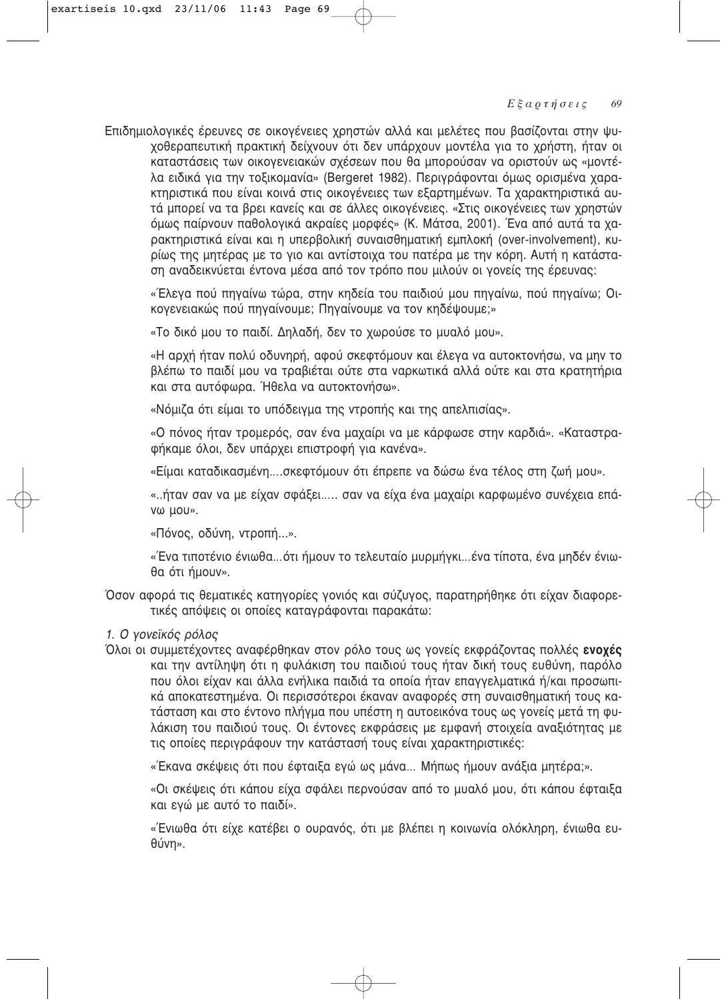Επιδημιολογικές έρευνες σε οικογένειες χρηστών αλλά και μελέτες που βασίζονται στην ψυχοθεραπευτική πρακτική δείχνουν ότι δεν υπάρχουν μοντέλα για το χρήστη, ήταν οι καταστάσεις των οικογενειακών σχέσεων που θα μπορούσαν να οριστούν ως «μοντέλα ειδικά για την τοξικομανία» (Bergeret 1982). Περιγράφονται όμως ορισμένα χαρακτηριστικά που είναι κοινά στις οικογένειες των εξαρτημένων. Τα χαρακτηριστικά αυτά μπορεί να τα βρει κανείς και σε άλλες οικογένειες. «Στις οικογένειες των χρηστών όμως παίρνουν παθολογικά ακραίες μορφές» (Κ. Μάτσα, 2001). Ένα από αυτά τα χαpακτηριστικά είναι και η υπερβολική συναισθηματική εμπλοκή (over-involvement), κυρίως της μητέρας με το γιο και αντίστοιχα του πατέρα με την κόρη. Αυτή η κατάσταση αναδεικνύεται έντονα μέσα από τον τρόπο που μιλούν οι γονείς της έρευνας:

«Έλεγα πού πηγαίνω τώρα, στην κηδεία του παιδιού μου πηγαίνω, πού πηγαίνω; Οι-Κογενειακώς πού πηγαίνουμε; Πηγαίνουμε να τον κηδέψουμε;»

«Το δικό μου το παιδί. Δηλαδή, δεν το χωρούσε το μυαλό μου».

«Η αρχή ήταν πολύ οδυνηρή, αφού σκεφτόμουν και έλεγα να αυτοκτονήσω, να μην το βλέπω το παιδί μου να τραβιέται ούτε στα ναρκωτικά αλλά ούτε και στα κρατητήρια και στα αυτόφωρα. Ήθελα να αυτοκτονήσω».

«Νόμιζα ότι είμαι το υπόδειγμα της ντροπής και της απελπισίας».

«Ο πόνος ήταν τρομερός, σαν ένα μαχαίρι να με κάρφωσε στην καρδιά». «Καταστραφήκαμε όλοι, δεν υπάρχει επιστροφή για κανένα».

«Είμαι καταδικασμένη....σκεφτόμουν ότι έπρεπε να δώσω ένα τέλος στη ζωή μου».

«..ήταν σαν να με είχαν σφάξει….. σαν να είχα ένα μαχαίρι καρφωμένο συνέχεια επάνω μου».

«Πόνος, οδύνη, ντροπή...».

«Ένα τιποτένιο ένιωθα...ότι ήμουν το τελευταίο μυρμήγκι...ένα τίποτα, ένα μηδέν ένιωθα ότι ήμουν».

Όσον αφορά τις θεματικές κατηγορίες γονιός και σύζυγος, παρατηρήθηκε ότι είχαν διαφορετικές απόψεις οι οποίες καταγράφονται παρακάτω:

## *1. Ο γονεϊκός ρόλος*

Όλοι οι συμμετέχοντες αναφέρθηκαν στον ρόλο τους ως γονείς εκφράζοντας πολλές **ενοχές** και την αντίληψη ότι η φυλάκιση του παιδιού τους ήταν δική τους ευθύνη, παρόλο που όλοι είχαν και άλλα ενήλικα παιδιά τα οποία ήταν επαγγελματικά ή/και προσωπικά αποκατεστημένα. Οι περισσότεροι έκαναν αναφορές στη συναισθηματική τους κατάσταση και στο έντονο πλήγμα που υπέστη η αυτοεικόνα τους ως γονείς μετά τη φυλάκιση του παιδιού τους. Οι έντονες εκφράσεις με εμφανή στοιχεία αναξιότητας με τις οποίες περιγράφουν την κατάστασή τους είναι χαρακτηριστικές:

«Έκανα σκέψεις ότι που έφταιξα εγώ ως μάνα... Μήπως ήμουν ανάξια μητέρα;».

«Οι σκέψεις ότι κάπου είχα σφάλει περνούσαν από το μυαλό μου, ότι κάπου έφταιξα και ενώ με αυτό το παιδί».

«Ένιωθα ότι είχε κατέβει ο ουρανός, ότι με βλέπει η κοινωνία ολόκληρη, ένιωθα ευθύνη».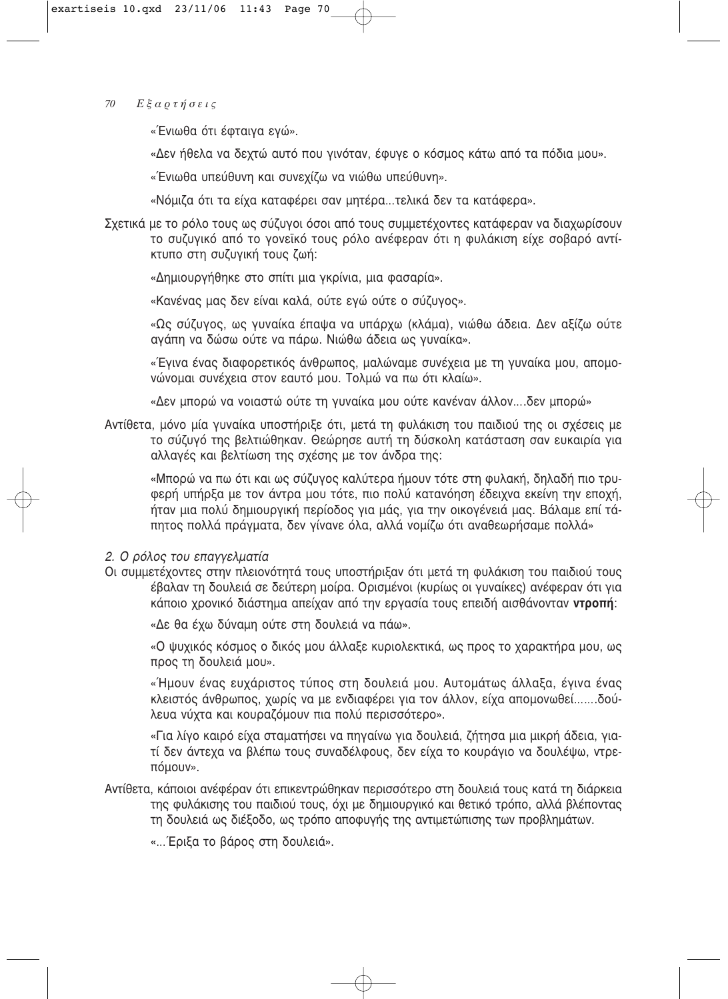«Ένιωθα ότι έφταιγα εγώ».

«Δεν ήθελα να δεχτώ αυτό που γινόταν, έφυγε ο κόσμος κάτω από τα πόδια μου».

«Ένιωθα υπεύθυνη και συνεχίζω να νιώθω υπεύθυνη».

«Νόμιζα ότι τα είχα καταφέρει σαν μητέρα...τελικά δεν τα κατάφερα».

Σχετικά με το ρόλο τους ως σύζυγοι όσοι από τους συμμετέχοντες κατάφεραν να διαχωρίσουν το συζυγικό από το γονεϊκό τους ρόλο ανέφεραν ότι η φυλάκιση είχε σοβαρό αντί-**ΚΤUΠΟ στη συζυγική τους ζωή:** 

«Δημιουργήθηκε στο σπίτι μια γκρίνια, μια φασαρία».

«Κανένας μας δεν είναι καλά, ούτε εγώ ούτε ο σύζυγος».

«Ως σύζυγος, ως γυναίκα έπαψα να υπάρχω (κλάμα), νιώθω άδεια. Δεν αξίζω ούτε αγάπη να δώσω ούτε να πάρω. Νιώθω άδεια ως γυναίκα».

«Έγινα ένας διαφορετικός άνθρωπος, μαλώναμε συνέχεια με τη γυναίκα μου, απομοvώνομαι συνέχεια στον εαυτό μου. Τολμώ να πω ότι κλαίω».

«Δεν μπορώ να νοιαστώ ούτε τη γυναίκα μου ούτε κανέναν άλλον....δεν μπορώ»

Aντίθετα, μόνο μία γυναίκα υποστήριξε ότι, μετά τη φυλάκιση του παιδιού της οι σχέσεις με το σύζυγό της βελτιώθηκαν. Θεώρησε αυτή τη δύσκολη κατάσταση σαν ευκαιρία για αλλαγές και βελτίωση της σχέσης με τον άνδρα της:

«Μπορώ να πω ότι και ως σύζυγος καλύτερα ήμουν τότε στη φυλακή, δηλαδή πιο τρυφερή υπήρξα με τον άντρα μου τότε, πιο πολύ κατανόηση έδειχνα εκείνη την εποχή, ήταν μια πολύ δημιουργική περίοδος για μάς, για την οικογένειά μας. Βάλαμε επί τάπητος πολλά πράγματα, δεν γίνανε όλα, αλλά νομίζω ότι αναθεωρήσαμε πολλά»

## 2. Ο ρόλος του επαγγελματία

Οι συμμετέχοντες στην πλειονότητά τους υποστήριξαν ότι μετά τη φυλάκιση του παιδιού τους έβαλαν τη δουλειά σε δεύτερη μοίρα. Ορισμένοι (κυρίως οι γυναίκες) ανέφεραν ότι για κάποιο χρονικό διάστημα απείχαν από την εργασία τους επειδή αισθάνονταν **ντροπή**:

«Δε θα έχω δύναμη ούτε στη δουλειά να πάω».

«Ο ψυχικός κόσμος ο δικός μου άλλαξε κυριολεκτικά, ως προς το χαρακτήρα μου, ως προς τη δουλειά μου».

«Ήμουν ένας ευχάριστος τύπος στη δουλειά μου. Αυτομάτως άλλαξα, έγινα ένας κλειστός άνθρωπος, χωρίς να με ενδιαφέρει για τον άλλον, είχα απομονωθεί.......δούλευα νύχτα και κουραζόμουν πια πολύ περισσότερο».

«Για λίγο καιρό είχα σταματήσει να πηγαίνω για δουλειά, ζήτησα μια μικρή άδεια, γιατί δεν άντεχα να βλέπω τους συναδέλφους, δεν είχα το κουράγιο να δουλέψω, ντρεπόμουν».

Aντίθετα, κάποιοι ανέφέραν ότι επικεντρώθηκαν περισσότερο στη δουλειά τους κατά τη διάρκεια της φυλάκισης του παιδιού τους, όχι με δημιουργικό και θετικό τρόπο, αλλά βλέποντας

τη δουλειά ως διέξοδο, ως τρόπο αποφυγής της αντιμετώπισης των προβλημάτων.

«... Έριξα το βάρος στη δουλειά».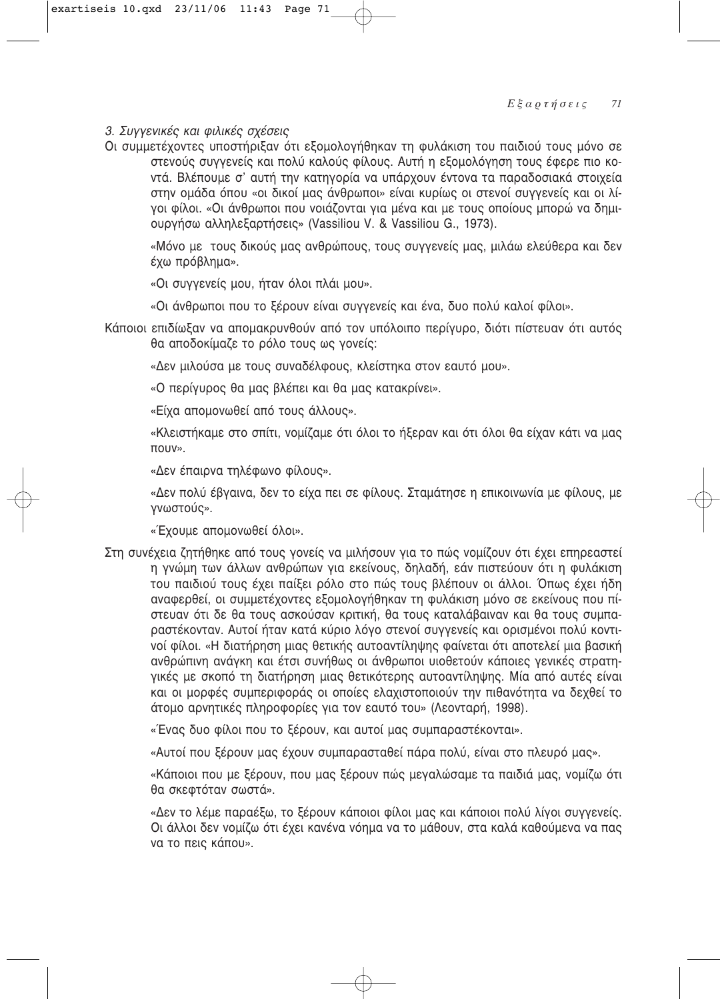## 3. Συγγενικές και φιλικές σχέσεις

Οι συμμετέχοντες υποστήριξαν ότι εξομολογήθηκαν τη φυλάκιση του παιδιού τους μόνο σε στενούς συγγενείς και πολύ καλούς φίλους. Αυτή η εξομολόγηση τους έφερε πιο κοντά. Βλέπουμε σ' αυτή την κατηγορία να υπάρχουν έντονα τα παραδοσιακά στοιχεία στην ομάδα όπου «οι δικοί μας άνθρωποι» είναι κυρίως οι στενοί συγγενείς και οι λίγοι φίλοι. «Οι άνθρωποι που νοιάζονται για μένα και με τους οποίους μπορώ να δημιoυργήσω αλληλεξαρτήσεις» (Vassiliou V. & Vassiliou G., 1973).

«Μόνο με τους δικούς μας ανθρώπους, τους συγγενείς μας, μιλάω ελεύθερα και δεν έχω πρόβλημα».

«Οι συγγενείς μου, ήταν όλοι πλάι μου».

«Οι άνθρωποι που το ξέρουν είναι συγγενείς και ένα. δυο πολύ καλοί φίλοι».

Κάποιοι επιδίωξαν να απομακρυνθούν από τον υπόλοιπο περίγυρο, διότι πίστευαν ότι αυτός θα αποδοκίμαζε το ρόλο τους ως γονείς:

«Δεν μιλούσα με τους συναδέλφους, κλείστηκα στον εαυτό μου».

«Ο περίγυρος θα μας βλέπει και θα μας κατακρίνει».

«Είχα απομονωθεί από τους άλλους».

«Κλειστήκαμε στο σπίτι, νομίζαμε ότι όλοι το ήξεραν και ότι όλοι θα είχαν κάτι να μας πουν».

«Δεν έπαιρνα τηλέφωνο φίλους».

«Δεν πολύ έβγαινα, δεν το είχα πει σε φίλους. Σταμάτησε η επικοινωνία με φίλους, με γνωστούς».

«Έχουμε απομονωθεί όλοι».

Στη συνέχεια ζητήθηκε από τους γονείς να μιλήσουν για το πώς νομίζουν ότι έχει επηρεαστεί η γνώμη των άλλων ανθρώπων για εκείνους, δηλαδή, εάν πιστεύουν ότι η φυλάκιση του παιδιού τους έχει παίξει ρόλο στο πώς τους βλέπουν οι άλλοι. Όπως έχει ήδη αναφερθεί, οι συμμετέχοντες εξομολογήθηκαν τη φυλάκιση μόνο σε εκείνους που πίστευαν ότι δε θα τους ασκούσαν κριτική, θα τους καταλάβαιναν και θα τους συμπαραστέκονταν. Αυτοί ήταν κατά κύριο λόγο στενοί συγγενείς και ορισμένοι πολύ κοντιvοί φίλοι. «Η διατήρηση μιας θετικής αυτοαντίληψης φαίνεται ότι αποτελεί μια βασική ανθρώπινη ανάγκη και έτσι συνήθως οι άνθρωποι υιοθετούν κάποιες γενικές στρατηγικές με σκοπό τη διατήρηση μιας θετικότερης αυτοαντίληψης. Μία από αυτές είναι και οι μορφές συμπεριφοράς οι οποίες ελαχιστοποιούν την πιθανότητα να δεχθεί το άτομο αρνητικές πληροφορίες για τον εαυτό του» (Λεονταρή, 1998).

«Ένας δυο φίλοι που το ξέρουν, και αυτοί μας συμπαραστέκονται».

«Αυτοί που ξέρουν μας έχουν συμπαρασταθεί πάρα πολύ, είναι στο πλευρό μας».

«Κάποιοι που με ξέρουν, που μας ξέρουν πώς μεγαλώσαμε τα παιδιά μας, νομίζω ότι θα σκεφτόταν σωστά».

«Δεν το λέμε παραέξω, το ξέρουν κάποιοι φίλοι μας και κάποιοι πολύ λίγοι συγγενείς. Οι άλλοι δεν νομίζω ότι έχει κανένα νόημα να το μάθουν, στα καλά καθούμενα να πας να το πεις κάπου».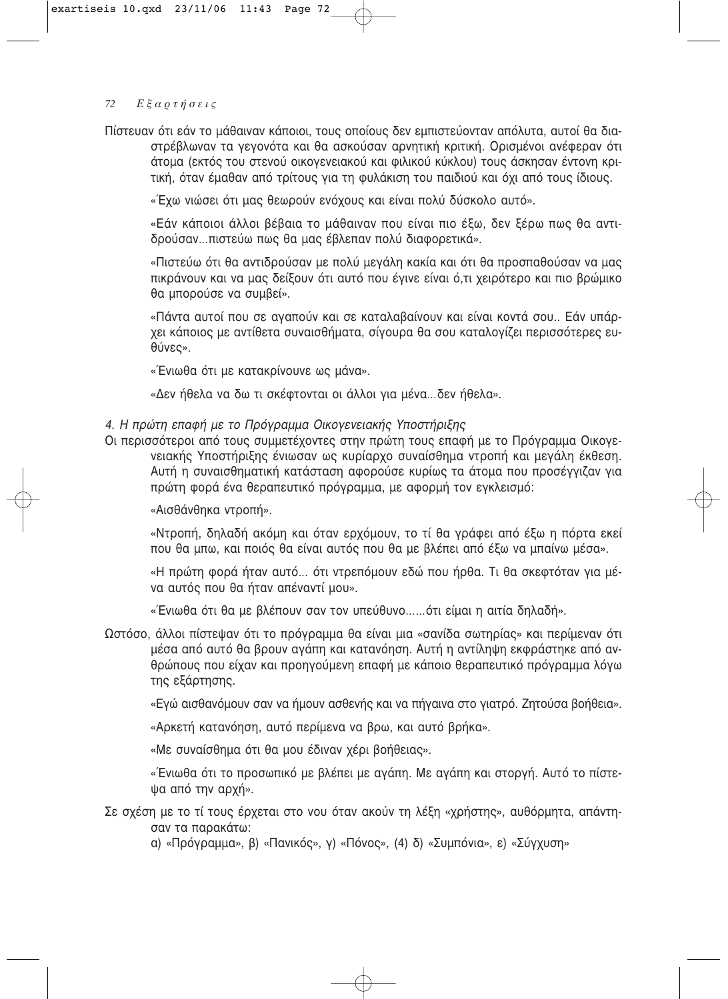Πίστευαν ότι εάν το μάθαιναν κάποιοι, τους οποίους δεν εμπιστεύονταν απόλυτα, αυτοί θα διαστρέβλωναν τα γεγονότα και θα ασκούσαν αρνητική κριτική. Ορισμένοι ανέφεραν ότι άτομα (εκτός του στενού οικογενειακού και φιλικού κύκλου) τους άσκησαν έντονη κριτική, όταν έμαθαν από τρίτους για τη φυλάκιση του παιδιού και όχι από τους ίδιους.

«Έχω νιώσει ότι μας θεωρούν ενόχους και είναι πολύ δύσκολο αυτό».

«Εάν κάποιοι άλλοι βέβαια το μάθαιναν που είναι πιο έξω, δεν ξέρω πως θα αντιδρούσαν...πιστεύω πως θα μας έβλεπαν πολύ διαφορετικά».

«Πιστεύω ότι θα αντιδρούσαν με πολύ μεγάλη κακία και ότι θα προσπαθούσαν να μας πικράνουν και να μας δείξουν ότι αυτό που έγινε είναι ό,τι χειρότερο και πιο βρώμικο θα μπορούσε να συμβεί».

«Πάντα αυτοί που σε αγαπούν και σε καταλαβαίνουν και είναι κοντά σου.. Εάν υπάρχει κάποιος με αντίθετα συναισθήματα, σίγουρα θα σου καταλογίζει περισσότερες ευθύνες».

«Ένιωθα ότι με κατακρίνουνε ως μάνα».

«Δεν ήθελα να δω τι σκέφτονται οι άλλοι για μένα...δεν ήθελα».

## 4. Η πρώτη επαφή με το Πρόγραμμα Οικογενειακής Υποστήριξης

Οι περισσότεροι από τους συμμετέχοντες στην πρώτη τους επαφή με το Πρόγραμμα Οικογενειακής Υποστήριξης ένιωσαν ως κυρίαρχο συναίσθημα ντροπή και μενάλη έκθεση. Αυτή η συναισθηματική κατάσταση αφορούσε κυρίως τα άτομα που προσέννιζαν νια πρώτη φορά ένα θεραπευτικό πρόγραμμα, με αφορμή τον εγκλεισμό:

«Αισθάνθηκα ντροπή».

«Ντροπή, δηλαδή ακόμη και όταν ερχόμουν, το τί θα γράφει από έξω η πόρτα εκεί που θα μπω, και ποιός θα είναι αυτός που θα με βλέπει από έξω να μπαίνω μέσα».

«Η πρώτη φορά ήταν αυτό... ότι ντρεπόμουν εδώ που ήρθα. Τι θα σκεφτόταν για μένα αυτός που θα ήταν απέναντί μου».

«Ένιωθα ότι θα με βλέπουν σαν τον υπεύθυνο......ότι είμαι η αιτία δηλαδή».

Ωστόσο, άλλοι πίστεψαν ότι το πρόγραμμα θα είναι μια «σανίδα σωτηρίας» και περίμεναν ότι μέσα από αυτό θα βρουν αγάπη και κατανόηση. Αυτή η αντίληψη εκφράστηκε από ανθρώπους που είχαν και προηγούμενη επαφή με κάποιο θεραπευτικό πρόγραμμα λόγω της εξάρτησης.

«Εγώ αισθανόμουν σαν να ήμουν ασθενής και να πήγαινα στο γιατρό. Ζητούσα βοήθεια».

«Αρκετή κατανόηση, αυτό περίμενα να βρω, και αυτό βρήκα».

«Με συναίσθημα ότι θα μου έδιναν χέρι βοήθειας».

«Ένιωθα ότι το προσωπικό με βλέπει με αγάπη. Με αγάπη και στοργή. Αυτό το πίστεψα από την αρχή».

Σε σχέση με το τί τους έρχεται στο νου όταν ακούν τη λέξη «χρήστης», αυθόρμητα, απάντησαν τα παρακάτω:

α) «Πρόγραμμα», β) «Πανικός», γ) «Πόνος», (4) δ) «Συμπόνια», ε) «Σύγχυση»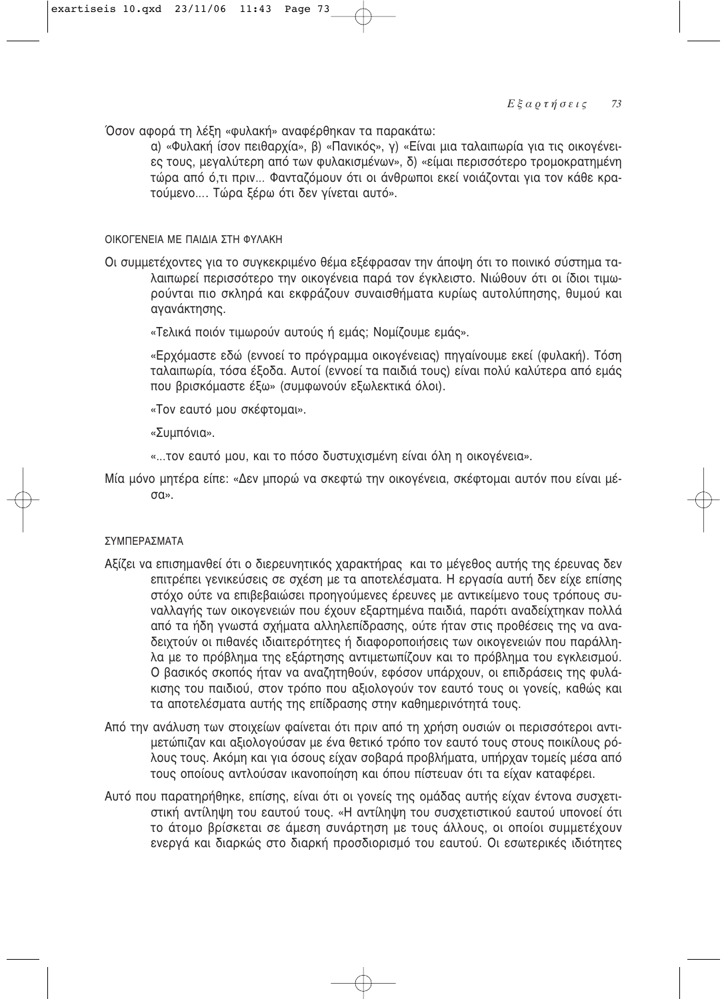Όσον αφορά τη λέξη «φυλακή» αναφέρθηκαν τα παρακάτω:

α) «Φυλακή ίσον πειθαρχία», β) «Πανικός», γ) «Είναι μια ταλαιπωρία για τις οικογένειες τους, μεγαλύτερη από των φυλακισμένων», δ) «είμαι περισσότερο τρομοκρατημένη τώρα από ό,τι πριν... Φανταζόμουν ότι οι άνθρωποι εκεί νοιάζονται για τον κάθε κρατούμενο.... Τώρα ξέρω ότι δεν γίνεται αυτό».

# ΟΙΚΟΓΕΝΕΙΑ ΜΕ ΠΑΙΔΙΑ ΣΤΗ ΦΥΛΑΚΗ

Οι συμμετέχοντες για το συγκεκριμένο θέμα εξέφρασαν την άποψη ότι το ποινικό σύστημα ταλαιπωρεί περισσότερο την οικονένεια παρά τον ένκλειστο. Νιώθουν ότι οι ίδιοι τιμωρούνται πιο σκληρά και εκφράζουν συναισθήματα κυρίως αυτολύπησης, θυμού και αγανάκτησης.

«Τελικά ποιόν τιμωρούν αυτούς ή εμάς; Νομίζουμε εμάς».

«Ερχόμαστε εδώ (εννοεί το πρόγραμμα οικογένειας) πηγαίνουμε εκεί (φυλακή). Τόση ταλαιπωρία, τόσα έξοδα. Αυτοί (εννοεί τα παιδιά τους) είναι πολύ καλύτερα από εμάς που βρισκόμαστε έξω» (συμφωνούν εξωλεκτικά όλοι).

«Τον εαυτό μου σκέφτομαι».

«Συμπόνια».

«...τον εαυτό μου, και το πόσο δυστυχισμένη είναι όλη η οικογένεια».

Μία μόνο μητέρα είπε: «Δεν μπορώ να σκεφτώ την οικογένεια, σκέφτομαι αυτόν που είναι μέσα».

### **ΣΥΜΠΕΡΑΣΜΑΤΑ**

- Αξίζει να επισημανθεί ότι ο διερευνητικός χαρακτήρας και το μέγεθος αυτής της έρευνας δεν επιτρέπει γενικεύσεις σε σχέση με τα αποτελέσματα. Η εργασία αυτή δεν είχε επίσης στόχο ούτε να επιβεβαιώσει προηγούμενες έρευνες με αντικείμενο τους τρόπους συναλλαγής των οικογενειών που έχουν εξαρτημένα παιδιά, παρότι αναδείχτηκαν πολλά από τα ήδη γνωστά σχήματα αλληλεπίδρασης, ούτε ήταν στις προθέσεις της να αναδειχτούν οι πιθανές ιδιαιτερότητες ή διαφοροποιήσεις των οικογενειών που παράλληλα με το πρόβλημα της εξάρτησης αντιμετωπίζουν και το πρόβλημα του εγκλεισμού. Ο βασικός σκοπός ήταν να αναζητηθούν, εφόσον υπάρχουν, οι επιδράσεις της φυλάκισης του παιδιού, στον τρόπο που αξιολογούν τον εαυτό τους οι γονείς, καθώς και τα αποτελέσματα αυτής της επίδρασης στην καθημερινότητά τους.
- Από την ανάλυση των στοιχείων φαίνεται ότι πριν από τη χρήση ουσιών οι περισσότεροι αντιμετώπιζαν και αξιολογούσαν με ένα θετικό τρόπο τον εαυτό τους στους ποικίλους ρόλους τους. Ακόμη και για όσους είχαν σοβαρά προβλήματα, υπήρχαν τομείς μέσα από τους οποίους αντλούσαν ικανοποίηση και όπου πίστευαν ότι τα είχαν καταφέρει.
- Αυτό που παρατηρήθηκε, επίσης, είναι ότι οι γονείς της ομάδας αυτής είχαν έντονα συσχετιστική αντίληψη του εαυτού τους. «Η αντίληψη του συσχετιστικού εαυτού υπονοεί ότι το άτομο βρίσκεται σε άμεση συνάρτηση με τους άλλους, οι οποίοι συμμετέχουν ενεργά και διαρκώς στο διαρκή προσδιορισμό του εαυτού. Οι εσωτερικές ιδιότητες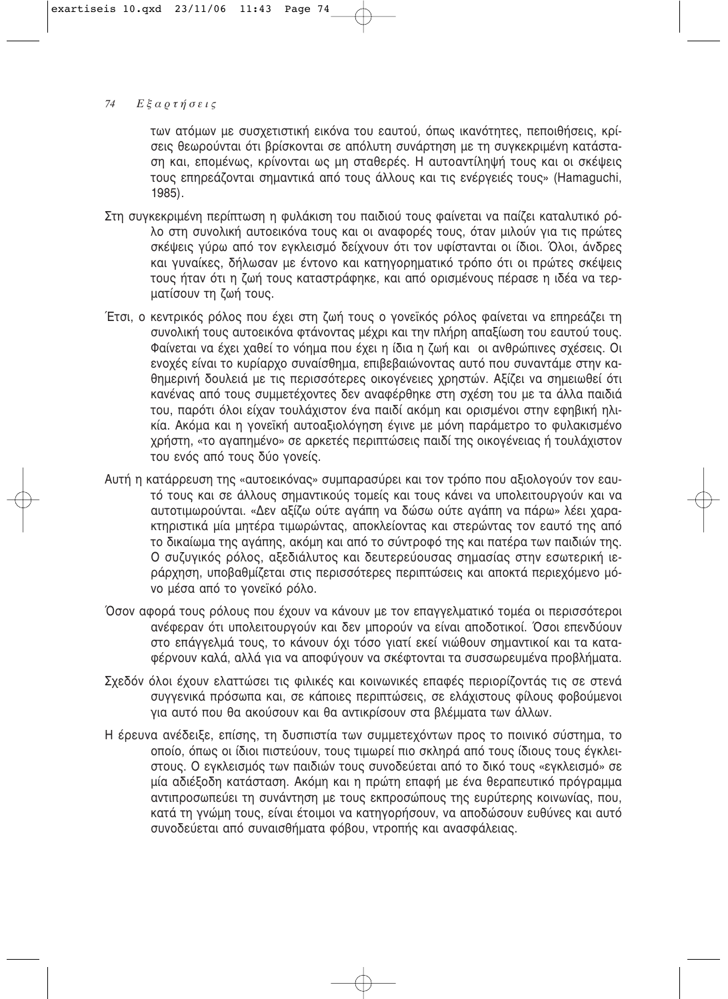των ατόμων με συσχετιστική εικόνα του εαυτού, όπως ικανότητες, πεποιθήσεις, κρίσεις θεωρούνται ότι βρίσκονται σε απόλυτη συνάρτηση με τη συγκεκριμένη κατάσταση και, επομένως, κρίνονται ως μη σταθερές. Η αυτοαντίληψή τους και οι σκέψεις τους επηρεάζονται σημαντικά από τους άλλους και τις ενέργειές τους» (Hamaguchi,  $1985$ ).

- Στη συγκεκριμένη περίπτωση η φυλάκιση του παιδιού τους φαίνεται να παίζει καταλυτικό ρόλο στη συνολική αυτοεικόνα τους και οι αναφορές τους, όταν μιλούν για τις πρώτες σκέψεις γύρω από τον εγκλεισμό δείχνουν ότι τον υφίστανται οι ίδιοι. Όλοι, άνδρες και γυναίκες, δήλωσαν με έντονο και κατηγορηματικό τρόπο ότι οι πρώτες σκέψεις τους ήταν ότι η ζωή τους καταστράφηκε, και από ορισμένους πέρασε η ιδέα να τερματίσουν τη ζωή τους.
- Έτσι, ο κεντρικός ρόλος που έχει στη ζωή τους ο γονεϊκός ρόλος φαίνεται να επηρεάζει τη συνολική τους αυτοεικόνα φτάνοντας μέχρι και την πλήρη απαξίωση του εαυτού τους. Φαίνεται να έχει χαθεί το νόημα που έχει η ίδια η ζωή και οι ανθρώπινες σχέσεις. Οι ενοχές είναι το κυρίαρχο συναίσθημα, επιβεβαιώνοντας αυτό που συναντάμε στην καθημερινή δουλειά με τις περισσότερες οικογένειες χρηστών. Αξίζει να σημειωθεί ότι κανένας από τους συμμετέχοντες δεν αναφέρθηκε στη σχέση του με τα άλλα παιδιά του, παρότι όλοι είχαν τουλάχιστον ένα παιδί ακόμη και ορισμένοι στην εφηβική ηλικία. Ακόμα και η γονεϊκή αυτοαξιολόγηση έγινε με μόνη παράμετρο το φυλακισμένο χρήστη, «το αγαπημένο» σε αρκετές περιπτώσεις παιδί της οικογένειας ή τουλάχιστον του ενός από τους δύο γονείς.
- Αυτή η κατάρρευση της «αυτοεικόνας» συμπαρασύρει και τον τρόπο που αξιολογούν τον εαυτό τους και σε άλλους σημαντικούς τομείς και τους κάνει να υπολειτουργούν και να αυτοτιμωρούνται. «Δεν αξίζω ούτε αγάπη να δώσω ούτε αγάπη να πάρω» λέει χαρακτηριστικά μία μητέρα τιμωρώντας, αποκλείοντας και στερώντας τον εαυτό της από το δικαίωμα της αγάπης, ακόμη και από το σύντροφό της και πατέρα των παιδιών της. Ο συζυγικός ρόλος, αξεδιάλυτος και δευτερεύουσας σημασίας στην εσωτερική ιεράρχηση, υποβαθμίζεται στις περισσότερες περιπτώσεις και αποκτά περιεχόμενο μόνο μέσα από το γονεϊκό ρόλο.
- Όσον αφορά τους ρόλους που έχουν να κάνουν με τον επαγγελματικό τομέα οι περισσότεροι ανέφεραν ότι υπολειτουργούν και δεν μπορούν να είναι αποδοτικοί. Όσοι επενδύουν στο επάγγελμά τους, το κάνουν όχι τόσο γιατί εκεί νιώθουν σημαντικοί και τα καταφέρνουν καλά, αλλά για να αποφύγουν να σκέφτονται τα συσσωρευμένα προβλήματα.
- Σχεδόν όλοι έχουν ελαττώσει τις φιλικές και κοινωνικές επαφές περιορίζοντάς τις σε στενά συγγενικά πρόσωπα και, σε κάποιες περιπτώσεις, σε ελάχιστους φίλους φοβούμενοι για αυτό που θα ακούσουν και θα αντικρίσουν στα βλέμματα των άλλων.
- Η έρευνα ανέδειξε, επίσης, τη δυσπιστία των συμμετεχόντων προς το ποινικό σύστημα, το οποίο, όπως οι ίδιοι πιστεύουν, τους τιμωρεί πιο σκληρά από τους ίδιους τους έγκλειστους. Ο εγκλεισμός των παιδιών τους συνοδεύεται από το δικό τους «εγκλεισμό» σε μία αδιέξοδη κατάσταση. Ακόμη και η πρώτη επαφή με ένα θεραπευτικό πρόγραμμα αντιπροσωπεύει τη συνάντηση με τους εκπροσώπους της ευρύτερης κοινωνίας, που, κατά τη γνώμη τους, είναι έτοιμοι να κατηγορήσουν, να αποδώσουν ευθύνες και αυτό συνοδεύεται από συναισθήματα φόβου, ντροπής και ανασφάλειας.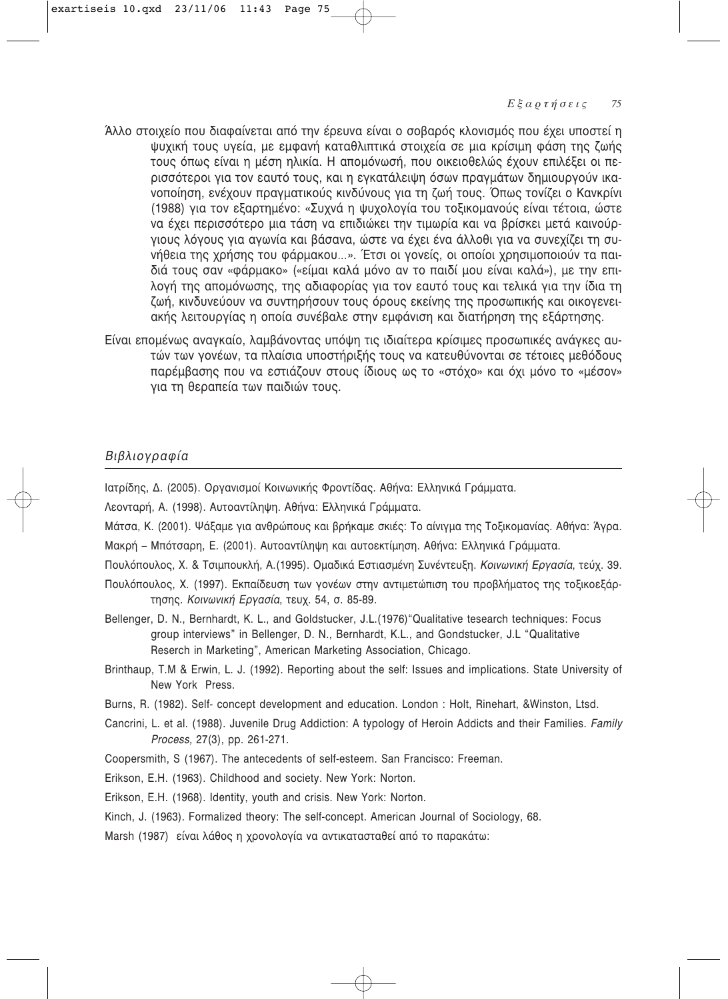- Άλλο στοιχείο που διαφαίνεται από την έρευνα είναι ο σοβαρός κλονισμός που έχει υποστεί η ψυχική τους υγεία, με εμφανή καταθλιπτικά στοιχεία σε μια κρίσιμη φάση της ζωής τους όπως είναι η μέση ηλικία. Η απομόνωσή, που οικειοθελώς έχουν επιλέξει οι περισσότεροι για τον εαυτό τους, και η εγκατάλειψη όσων πραγμάτων δημιουργούν ικανοποίηση, ενέχουν πραγματικούς κινδύνους για τη ζωή τους. Όπως τονίζει ο Κανκρίνι (1988) για τον εξαρτημένο: «Συχνά η ψυχολογία του τοξικομανούς είναι τέτοια, ώστε να έχει περισσότερο μια τάση να επιδιώκει την τιμωρία και να βρίσκει μετά καινούργιους λόγους για αγωνία και βάσανα, ώστε να έχει ένα άλλοθι για να συνεχίζει τη συνήθεια της χρήσης του φάρμακου...». Έτσι οι γονείς, οι οποίοι χρησιμοποιούν τα παιδιά τους σαν «φάρμακο» («είμαι καλά μόνο αν το παιδί μου είναι καλά»), με την επιλογή της απομόνωσης, της αδιαφορίας για τον εαυτό τους και τελικά για την ίδια τη ζωή, κινδυνεύουν να συντηρήσουν τους όρους εκείνης της προσωπικής και οικονενειακής λειτουργίας η οποία συνέβαλε στην εμφάνιση και διατήρηση της εξάρτησης.
- Είναι επομένως αναγκαίο, λαμβάνοντας υπόψη τις ιδιαίτερα κρίσιμες προσωπικές ανάγκες αυτών των γονέων, τα πλαίσια υποστήριξής τους να κατευθύνονται σε τέτοιες μεθόδους παρέμβασης που να εστιάζουν στους ίδιους ως το «στόχο» και όχι μόνο το «μέσον» για τη θεραπεία των παιδιών τους.

### *Βιβλιογραφία*

Ιατρίδης, Δ. (2005). Οργανισμοί Κοινωνικής Φροντίδας. Αθήνα: Ελληνικά Γράμματα.

Λεονταρή, Α. (1998). Αυτοαντίληψη. Αθήνα: Ελληνικά Γράμματα.

Μάτσα, Κ. (2001). Ψάξαμε για ανθρώπους και βρήκαμε σκιές: Το αίνιγμα της Τοξικομανίας. Αθήνα: Άγρα.

Μακρή – Μπότσαρη, Ε. (2001). Αυτοαντίληψη και αυτοεκτίμηση. Αθήνα: Ελληνικά Γράμματα.

Πουλόπουλος, Χ. & Τσιμπουκλή, Α.(1995). Ομαδικά Εστιασμένη Συνέντευξη. *Κοινωνική Εργασία*, τεύχ. 39.

Πουλόπουλος, Χ. (1997). Εκπαίδευση των γονέων στην αντιμετώπιση του προβλήματος της τοξικοεξάρτησης. *Κοινωνική Εργασία*, τευχ. 54, σ. 85-89.

- Bellenger, D. N., Bernhardt, K. L., and Goldstucker, J.L.(1976)"Qualitative tesearch techniques: Focus group interviews" in Bellenger, D. N., Bernhardt, K.L., and Gondstucker, J.L "Qualitative Reserch in Marketing", American Marketing Association, Chicago.
- Brinthaup, T.M & Erwin, L. J. (1992). Reporting about the self: Issues and implications. State University of New York Press.
- Burns, R. (1982). Self- concept development and education. London : Holt, Rinehart, &Winston, Ltsd.
- Cancrini, L. et al. (1988). Juvenile Drug Addiction: A typology of Heroin Addicts and their Families. *Family Process,* 27(3), pp. 261-271.
- Coopersmith, S (1967). The antecedents of self-esteem. San Francisco: Freeman.

Erikson, E.H. (1963). Childhood and society. New York: Norton.

Erikson, E.H. (1968). Identity, youth and crisis. New York: Norton.

Kinch, J. (1963). Formalized theory: The self-concept. American Journal of Sociology, 68.

Marsh (1987) είναι λάθος η χρονολογία να αντικατασταθεί από το παρακάτω: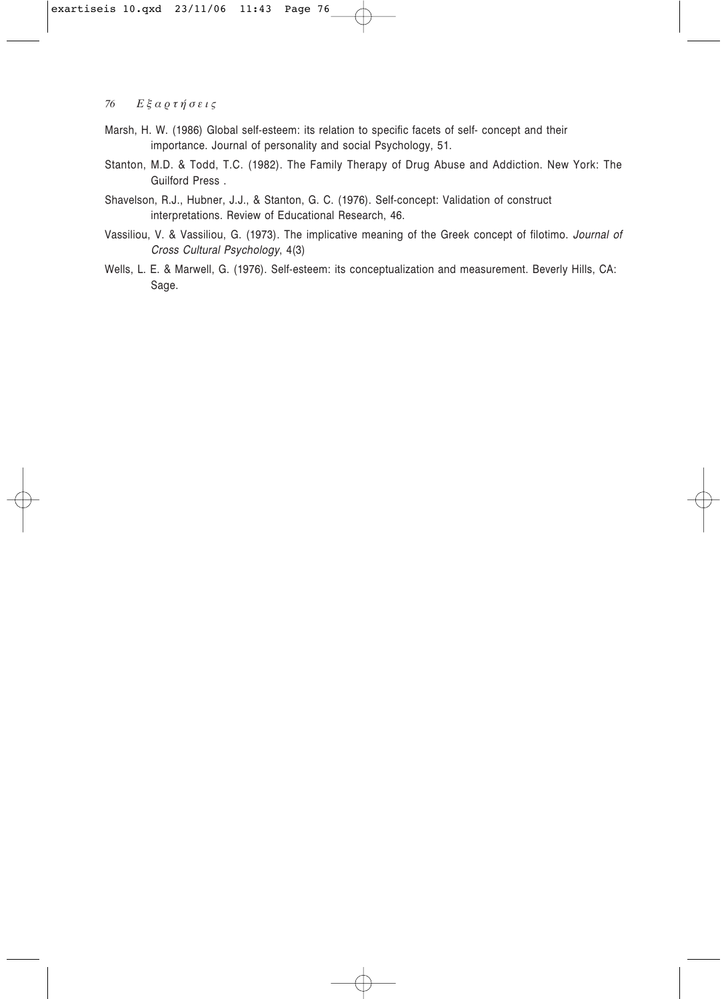- Marsh, H. W. (1986) Global self-esteem: its relation to specific facets of self- concept and their importance. Journal of personality and social Psychology, 51.
- Stanton, M.D. & Todd, T.C. (1982). The Family Therapy of Drug Abuse and Addiction. New York: The Guilford Press .
- Shavelson, R.J., Hubner, J.J., & Stanton, G. C. (1976). Self-concept: Validation of construct interpretations. Review of Educational Research, 46.
- Vassiliou, V. & Vassiliou, G. (1973). The implicative meaning of the Greek concept of filotimo. *Journal of Cross Cultural Psychology*, 4(3)
- Wells, L. E. & Marwell, G. (1976). Self-esteem: its conceptualization and measurement. Beverly Hills, CA: Sage.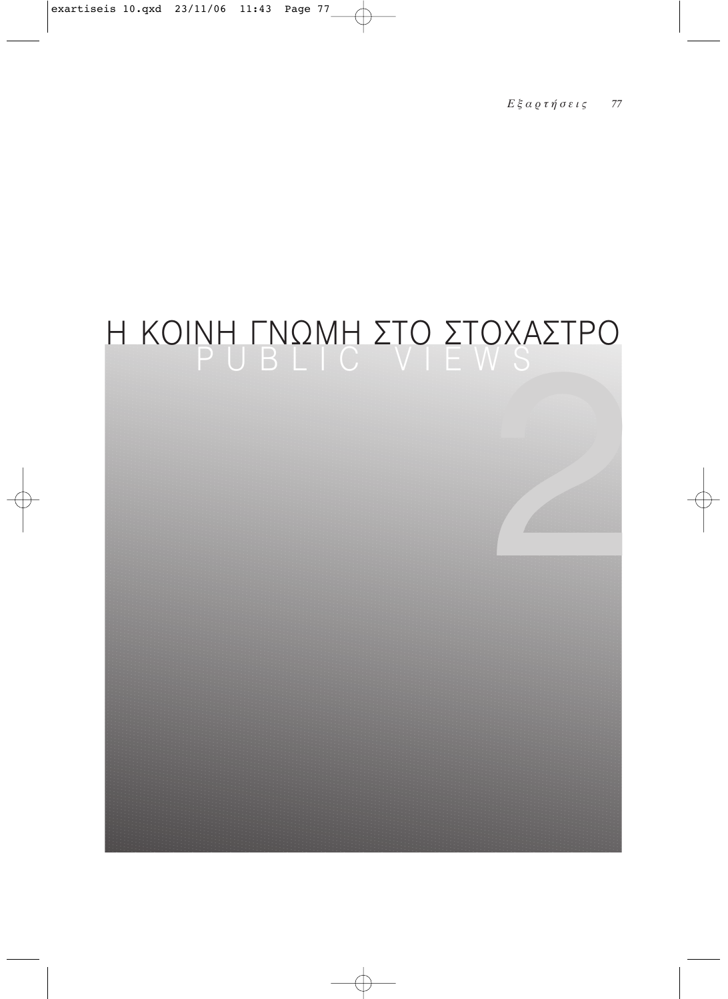# H KOINH FNOMH ΣΤΟ ΣΤΟΧΑΣΤΡΟ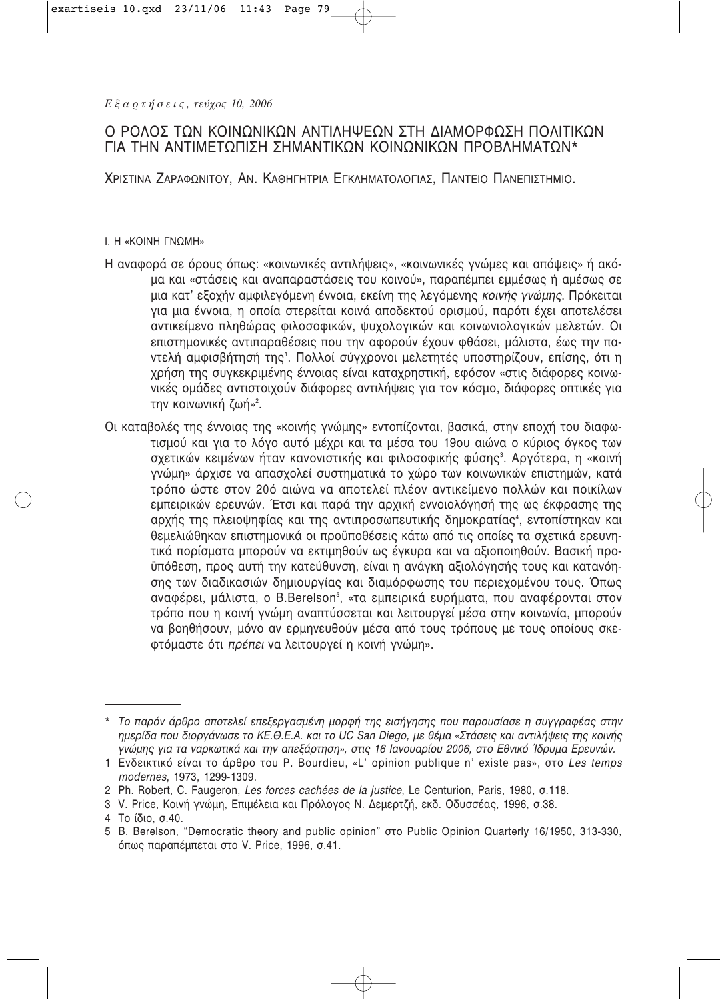# Ο ΡΟΛΟΣ ΤΩΝ ΚΟΙΝΩΝΙΚΩΝ ΑΝΤΙΛΗΨΕΩΝ ΣΤΗ ΔΙΑΜΟΡΦΩΣΗ ΠΟΛΙΤΙΚΩΝ **FIA THN ANTIMETOFISH SHMANTIKON KOINONIKON FIPOBAHMATON\***

ΧΡΙΣΤΙΝΑ ΖΑΡΑΦΩΝΙΤΟΥ, ΑΝ. ΚΑΘΗΓΗΤΡΙΑ ΕΓΚΛΗΜΑΤΟΛΟΓΙΑΣ, ΠΑΝΤΕΙΟ ΠΑΝΕΠΙΣΤΗΜΙΟ.

### I. Η «ΚΟΙΝΗ ΓΝΩΜΗ»

- Η αναφορά σε όρους όπως: «κοινωνικές αντιλήψεις», «κοινωνικές γνώμες και απόψεις» ή ακόμα και «στάσεις και αναπαραστάσεις του κοινού», παραπέμπει εμμέσως ή αμέσως σε μια κατ' εξοχήν αμφιλενόμενη έννοια, εκείνη της λενόμενης κοινής γνώμης. Πρόκειται για μια έννοια, η οποία στερείται κοινά αποδεκτού ορισμού, παρότι έχει αποτελέσει αντικείμενο πληθώρας φιλοσοφικών, ψυχολογικών και κοινωνιολογικών μελετών. Οι επιστημονικές αντιπαραθέσεις που την αφορούν έχουν φθάσει, μάλιστα, έως την παντελή αμφισβήτησή της<sup>1</sup>. Πολλοί σύγχρονοι μελετητές υποστηρίζουν, επίσης, ότι η χρήση της συγκεκριμένης έννοιας είναι καταχρηστική, εφόσον «στις διάφορες κοινωγικές ομάδες αντιστοιχούν διάφορες αντιλήψεις για τον κόσμο. διάφορες οπτικές για την κοινωνική ζωή»<sup>2</sup>.
- Οι καταβολές της έννοιας της «κοινής γνώμης» εντοπίζονται, βασικά, στην εποχή του διαφωτισμού και για το λόγο αυτό μέχρι και τα μέσα του 19ου αιώνα ο κύριος όγκος των σχετικών κειμένων ήταν κανονιστικής και φιλοσοφικής φύσης<sup>3</sup>. Αργότερα, η «κοινή γνώμη» άρχισε να απασχολεί συστηματικά το χώρο των κοινωνικών επιστημών, κατά τρόπο ώστε στον 20ό αιώνα να αποτελεί πλέον αντικείμενο πολλών και ποικίλων εμπειρικών ερευνών. Έτσι και παρά την αρχική εννοιολόγησή της ως έκφρασης της αρχής της πλειοψηφίας και της αντιπροσωπευτικής δημοκρατίας<sup>4</sup>, εντοπίστηκαν και θεμελιώθηκαν επιστημονικά οι προϋποθέσεις κάτω από τις οποίες τα σχετικά ερευνητικά πορίσματα μπορούν να εκτιμηθούν ως έγκυρα και να αξιοποιηθούν. Βασική προϋπόθεση, προς αυτή την κατεύθυνση, είναι η ανάγκη αξιολόγησής τους και κατανόησης των διαδικασιών δημιουργίας και διαμόρφωσης του περιεχομένου τους. Όπως αναφέρει, μάλιστα, ο B.Berelson<sup>5</sup>, «τα εμπειρικά ευρήματα, που αναφέρονται στον τρόπο που η κοινή γνώμη αναπτύσσεται και λειτουργεί μέσα στην κοινωνία, μπορούν να βοηθήσουν, μόνο αν ερμηνευθούν μέσα από τους τρόπους με τους οποίους σκεφτόμαστε ότι πρέπει να λειτουργεί η κοινή γνώμη».

<sup>\*</sup> Το παρόν άρθρο αποτελεί επεξεργασμένη μορφή της εισήγησης που παρουσίασε η συγγραφέας στην ημερίδα που διοργάνωσε το KE.Θ.Ε.Α. και το UC San Diego, με θέμα «Στάσεις και αντιλήψεις της κοινής γνώμης για τα ναρκωτικά και την απεξάρτηση», στις 16 Ιανουαρίου 2006, στο Εθνικό Ίδρυμα Ερευνών.

<sup>1</sup> Ενδεικτικό είναι το άρθρο του P. Bourdieu, «L' opinion publique n' existe pas», στο Les temps modernes, 1973, 1299-1309.

<sup>2</sup> Ph. Robert, C. Faugeron, Les forces cachées de la justice, Le Centurion, Paris, 1980, o.118.

<sup>3</sup> V. Price, Κοινή γνώμη, Επιμέλεια και Πρόλογος Ν. Δεμερτζή, εκδ. Οδυσσέας, 1996, σ.38.

<sup>4</sup> Το ίδιο, σ.40.

<sup>5</sup> B. Berelson, "Democratic theory and public opinion"  $\sigma$  Public Opinion Quarterly 16/1950, 313-330, όπως παραπέμπεται στο V. Price, 1996, σ.41.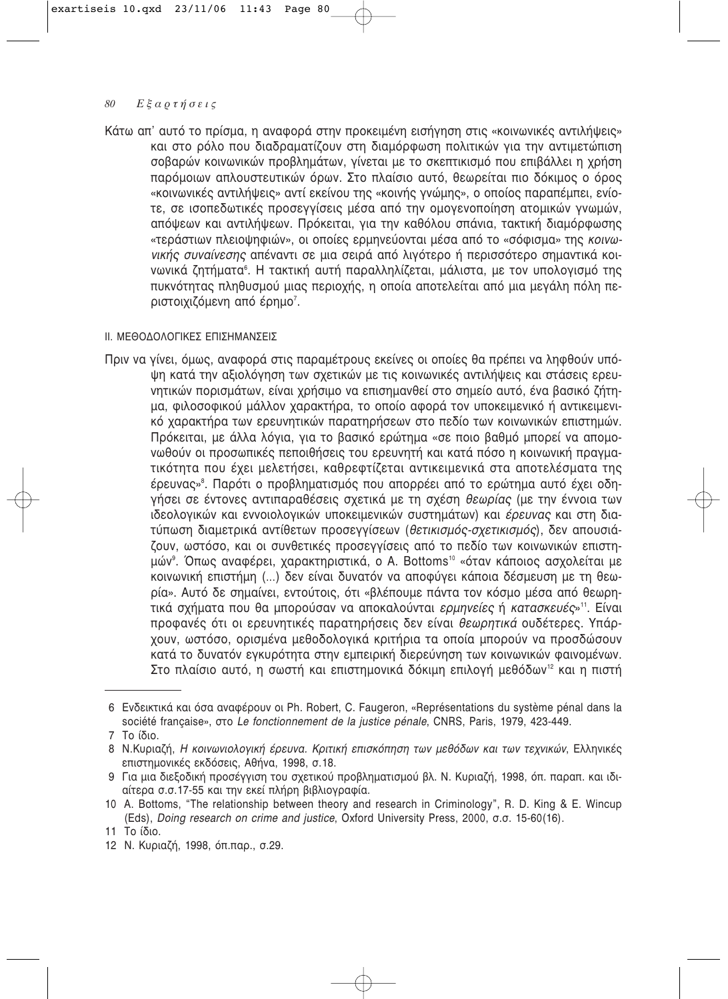Κάτω απ' αυτό το πρίσμα, η αναφορά στην προκειμένη εισήγηση στις «κοινωνικές αντιλήψεις» και στο ρόλο που διαδραματίζουν στη διαμόρφωση πολιτικών για την αντιμετώπιση σοβαρών κοινωνικών προβλημάτων, γίνεται με το σκεπτικισμό που επιβάλλει η χρήση παρόμοιων απλουστευτικών όρων. Στο πλαίσιο αυτό, θεωρείται πιο δόκιμος ο όρος «κοινωνικές αντιλήψεις» αντί εκείνου της «κοινής γνώμης», ο οποίος παραπέμπει, ενίοτε, σε ισοπεδωτικές προσεγγίσεις μέσα από την ομογενοποίηση ατομικών γνωμών, απόψεων και αντιλήψεων. Πρόκειται, για την καθόλου σπάνια, τακτική διαμόρφωσης «τεράστιων πλειοψηφιών», οι οποίες ερμηνεύονται μέσα από το «σόφισμα» της κοινωνικής συναίνεσης απέναντι σε μια σειρά από λιγότερο ή περισσότερο σημαντικά κοινωνικά ζητήματα<sup>6</sup>. Η τακτική αυτή παραλληλίζεται, μάλιστα, με τον υπολογισμό της πυκνότητας πληθυσμού μιας περιοχής, η οποία αποτελείται από μια μεγάλη πόλη περιστοιχιζόμενη από έρημο<sup>7</sup>.

### ΙΙ. ΜΕΘΟΔΟΛΟΓΙΚΕΣ ΕΠΙΣΗΜΑΝΣΕΙΣ

Πριν να γίνει, όμως, αναφορά στις παραμέτρους εκείνες οι οποίες θα πρέπει να ληφθούν υπόψη κατά την αξιολόγηση των σχετικών με τις κοινωνικές αντιλήψεις και στάσεις ερευνητικών πορισμάτων, είναι χρήσιμο να επισημανθεί στο σημείο αυτό, ένα βασικό ζήτημα, φιλοσοφικού μάλλον χαρακτήρα, το οποίο αφορά τον υποκειμενικό ή αντικειμενικό χαρακτήρα των ερευνητικών παρατηρήσεων στο πεδίο των κοινωνικών επιστημών. Πρόκειται, με άλλα λόγια, για το βασικό ερώτημα «σε ποιο βαθμό μπορεί να απομονωθούν οι προσωπικές πεποιθήσεις του ερευνητή και κατά πόσο η κοινωνική πραγματικότητα που έχει μελετήσει, καθρεφτίζεται αντικειμενικά στα αποτελέσματα της έρευνας»<sup>8</sup>. Παρότι ο προβληματισμός που απορρέει από το ερώτημα αυτό έχει οδηγήσει σε έντονες αντιπαραθέσεις σχετικά με τη σχέση θεωρίας (με την έννοια των ιδεολογικών και εννοιολογικών υποκειμενικών συστημάτων) και έρευνας και στη διατύπωση διαμετρικά αντίθετων προσεγγίσεων (θετικισμός-σχετικισμός), δεν απουσιάζουν, ωστόσο, και οι συνθετικές προσεγγίσεις από το πεδίο των κοινωνικών επιστημών<sup>9</sup>. Όπως αναφέρει, χαρακτηριστικά, ο A. Bottoms<sup>10</sup> «όταν κάποιος ασχολείται με κοινωνική επιστήμη (...) δεν είναι δυνατόν να αποφύγει κάποια δέσμευση με τη θεωρία». Αυτό δε σημαίνει, εντούτοις, ότι «βλέπουμε πάντα τον κόσμο μέσα από θεωρητικά σχήματα που θα μπορούσαν να αποκαλούνται ερμηνείες ή κατασκευές»<sup>11</sup>. Είναι προφανές ότι οι ερευνητικές παρατηρήσεις δεν είναι θεωρητικά ουδέτερες. Υπάρχουν, ωστόσο, ορισμένα μεθοδολογικά κριτήρια τα οποία μπορούν να προσδώσουν κατά το δυνατόν εγκυρότητα στην εμπειρική διερεύνηση των κοινωνικών φαινομένων. Στο πλαίσιο αυτό, η σωστή και επιστημονικά δόκιμη επιλογή μεθόδων<sup>12</sup> και η πιστή

<sup>6</sup> Ενδεικτικά και όσα αναφέρουν οι Ph. Robert, C. Faugeron, «Représentations du système pénal dans la société française», στο Le fonctionnement de la justice pénale, CNRS, Paris, 1979, 423-449.

<sup>7</sup> Το ίδιο.

<sup>8</sup> Ν. Κυριαζή, Η κοινωνιολογική έρευνα. Κριτική επισκόπηση των μεθόδων και των τεχνικών, Ελληνικές επιστημονικές εκδόσεις, Αθήνα, 1998, σ.18.

<sup>9</sup> Για μια διεξοδική προσέγγιση του σχετικού προβληματισμού βλ. Ν. Κυριαζή, 1998, όπ. παραπ. και ιδιαίτερα σ.σ.17-55 και την εκεί πλήρη βιβλιογραφία.

<sup>10</sup> A. Bottoms, "The relationship between theory and research in Criminology". R. D. King & E. Wincup (Eds), Doing research on crime and justice, Oxford University Press, 2000,  $\sigma.\sigma$ . 15-60(16).

<sup>11</sup> Το ίδιο.

<sup>12</sup> Ν. Κυριαζή, 1998, όπ.παρ., σ.29.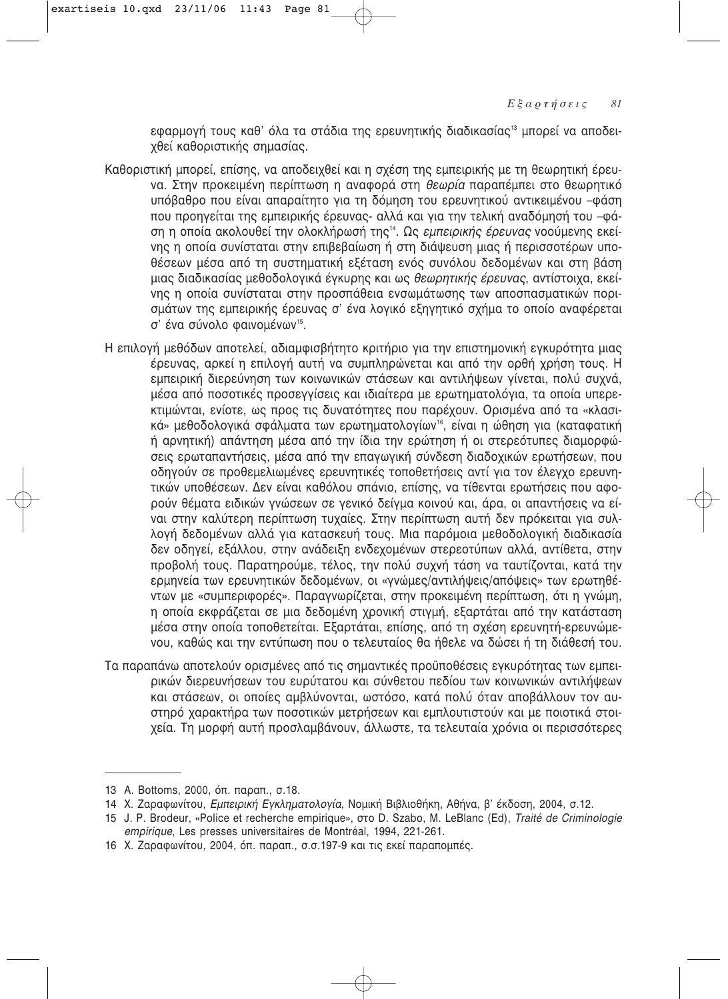εφαρμογή τους καθ' όλα τα στάδια της ερευνητικής διαδικασίας<sup>13</sup> μπορεί να αποδειχθεί καθοριστικής σημασίας.

- Καθοριστική μπορεί, επίσης, να αποδειχθεί και η σχέση της εμπειρικής με τη θεωρητική έρευνα. Στην προκειμένη περίπτωση η αναφορά στη θεωρία παραπέμπει στο θεωρητικό υπόβαθρο που είναι απαραίτητο για τη δόμηση του ερευνητικού αντικειμένου -φάση που προηγείται της εμπειρικής έρευνας- αλλά και για την τελική αναδόμησή του -φάση η οποία ακολουθεί την ολοκλήρωσή της<sup>14</sup>. Ως εμπειρικής έρευνας νοούμενης εκείνης η οποία συνίσταται στην επιβεβαίωση ή στη διάψευση μιας ή περισσοτέρων υποθέσεων μέσα από τη συστηματική εξέταση ενός συνόλου δεδομένων και στη βάση μιας διαδικασίας μεθοδολογικά έγκυρης και ως θεωρητικής έρευνας, αντίστοιχα, εκείνης η οποία συνίσταται στην προσπάθεια ενσωμάτωσης των αποσπασματικών πορισμάτων της εμπειρικής έρευνας σ' ένα λογικό εξηγητικό σχήμα το οποίο αναφέρεται σ' ένα σύνολο φαινομένων<sup>15</sup>.
- Η επιλογή μεθόδων αποτελεί, αδιαμφισβήτητο κριτήριο για την επιστημονική εγκυρότητα μιας έρευνας, αρκεί η επιλογή αυτή να συμπληρώνεται και από την ορθή χρήση τους. Η εμπειρική διερεύνηση των κοινωνικών στάσεων και αντιλήψεων γίνεται, πολύ συχνά, μέσα από ποσοτικές προσεγγίσεις και ιδιαίτερα με ερωτηματολόγια, τα οποία υπερεκτιμώνται, ενίοτε, ως προς τις δυνατότητες που παρέχουν. Ορισμένα από τα «κλασικά» μεθοδολογικά σφάλματα των ερωτηματολογίων<sup>16</sup>, είναι η ώθηση για (καταφατική ή αρνητική) απάντηση μέσα από την ίδια την ερώτηση ή οι στερεότυπες διαμορφώσεις ερωταπαντήσεις, μέσα από την επαγωγική σύνδεση διαδοχικών ερωτήσεων, που οδηγούν σε προθεμελιωμένες ερευνητικές τοποθετήσεις αντί για τον έλεγχο ερευνητικών υποθέσεων. Δεν είναι καθόλου σπάνιο, επίσης, να τίθενται ερωτήσεις που αφορούν θέματα ειδικών γνώσεων σε γενικό δείγμα κοινού και, άρα, οι απαντήσεις να είναι στην καλύτερη περίπτωση τυχαίες. Στην περίπτωση αυτή δεν πρόκειται για συλλογή δεδομένων αλλά για κατασκευή τους. Μια παρόμοια μεθοδολογική διαδικασία δεν οδηγεί, εξάλλου, στην ανάδειξη ενδεχομένων στερεοτύπων αλλά, αντίθετα, στην προβολή τους. Παρατηρούμε, τέλος, την πολύ συχνή τάση να ταυτίζονται, κατά την ερμηνεία των ερευνητικών δεδομένων, οι «γνώμες/αντιλήψεις/απόψεις» των ερωτηθέντων με «συμπεριφορές». Παραγνωρίζεται, στην προκειμένη περίπτωση, ότι η γνώμη, η οποία εκφράζεται σε μια δεδομένη χρονική στιγμή, εξαρτάται από την κατάσταση μέσα στην οποία τοποθετείται. Εξαρτάται, επίσης, από τη σχέση ερευνητή-ερευνώμενου, καθώς και την εντύπωση που ο τελευταίος θα ήθελε να δώσει ή τη διάθεσή του.
- Τα παραπάνω αποτελούν ορισμένες από τις σημαντικές προϋποθέσεις εγκυρότητας των εμπειρικών διερευνήσεων του ευρύτατου και σύνθετου πεδίου των κοινωνικών αντιλήψεων και στάσεων, οι οποίες αμβλύνονται, ωστόσο, κατά πολύ όταν αποβάλλουν τον αυστηρό χαρακτήρα των ποσοτικών μετρήσεων και εμπλουτιστούν και με ποιοτικά στοιχεία. Τη μορφή αυτή προσλαμβάνουν, άλλωστε, τα τελευταία χρόνια οι περισσότερες

<sup>13</sup> A. Bottoms, 2000, όπ. παραπ., σ.18.

<sup>14</sup> Χ. Ζαραφωνίτου, Εμπειρική Εγκληματολογία, Νομική Βιβλιοθήκη, Αθήνα, β' έκδοση, 2004. σ.12.

<sup>15</sup> J. P. Brodeur, «Police et recherche empirique», στο D. Szabo, M. LeBlanc (Ed), Traité de Criminologie empirique, Les presses universitaires de Montréal, 1994, 221-261.

<sup>16</sup> Χ. Ζαραφωνίτου, 2004, όπ. παραπ., σ.σ.197-9 και τις εκεί παραπομπές.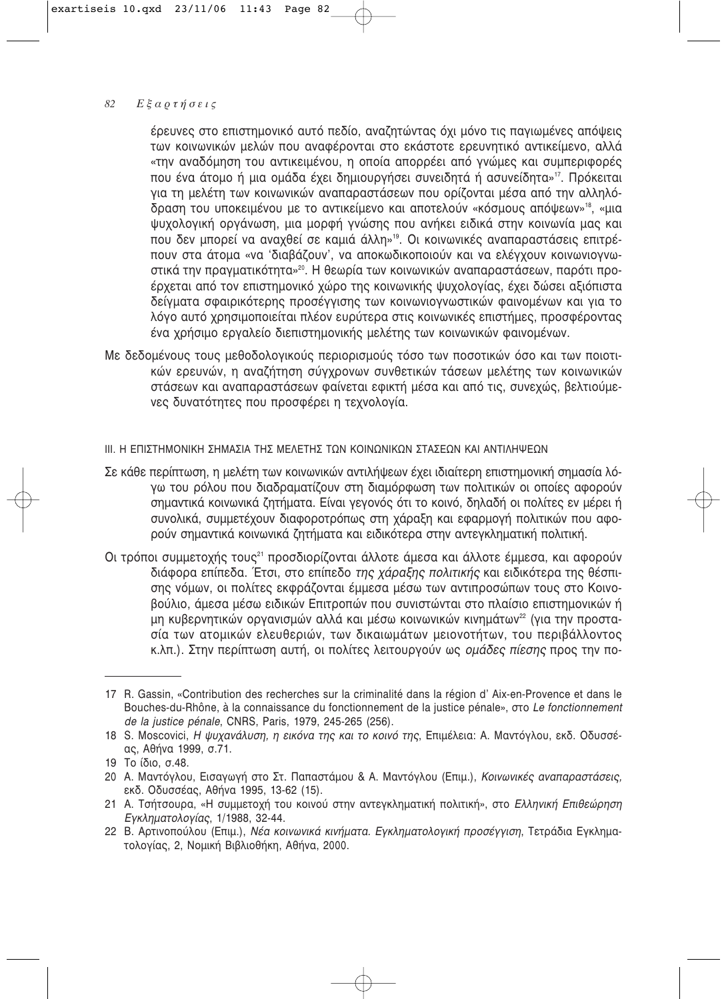έρευνες στο επιστημονικό αυτό πεδίο, αναζητώντας όχι μόνο τις παγιωμένες απόψεις των κοινωνικών μελών που αναφέρονται στο εκάστοτε ερευνητικό αντικείμενο, αλλά «την αναδόμηση του αντικειμένου, η οποία απορρέει από γνώμες και συμπεριφορές που ένα άτομο ή μια ομάδα έχει δημιουργήσει συνειδητά ή ασυνείδητα»<sup>17</sup>. Πρόκειται για τη μελέτη των κοινωνικών αναπαραστάσεων που ορίζονται μέσα από την αλληλόδραση του υποκειμένου με το αντικείμενο και αποτελούν «κόσμους απόψεων»<sup>18</sup>, «μια ψυχολογική οργάνωση, μια μορφή γνώσης που ανήκει ειδικά στην κοινωνία μας και που δεν μπορεί να αναχθεί σε καμιά άλλη»<sup>19</sup>. Οι κοινωνικές αναπαραστάσεις επιτρέπουν στα άτομα «να 'διαβάζουν', να αποκωδικοποιούν και να ελέγχουν κοινωνιογνωστικά την πραγματικότητα»<sup>20</sup>. Η θεωρία των κοινωνικών αναπαραστάσεων, παρότι προέρχεται από τον επιστημονικό χώρο της κοινωνικής ψυχολογίας, έχει δώσει αξιόπιστα δείνματα σφαιρικότερης προσέννισης των κοινωνιοννωστικών φαινομένων και νια το λόγο αυτό χρησιμοποιείται πλέον ευρύτερα στις κοινωνικές επιστήμες, προσφέροντας ένα χρήσιμο εργαλείο διεπιστημονικής μελέτης των κοινωνικών φαινομένων.

- Με δεδομένους τους μεθοδολογικούς περιορισμούς τόσο των ποσοτικών όσο και των ποιοτικών ερευνών, η αναζήτηση σύγχρονων συνθετικών τάσεων μελέτης των κοινωνικών στάσεων και αναπαραστάσεων φαίνεται εφικτή μέσα και από τις, συνεχώς, βελτιούμενες δυνατότητες που προσφέρει η τεχνολογία.
- ΙΙΙ. Η ΕΠΙΣΤΗΜΟΝΙΚΗ ΣΗΜΑΣΙΑ ΤΗΣ ΜΕΛΕΤΗΣ ΤΩΝ ΚΟΙΝΩΝΙΚΩΝ ΣΤΑΣΕΩΝ ΚΑΙ ΑΝΤΙΛΗΨΕΩΝ
- Σε κάθε περίπτωση, η μελέτη των κοινωνικών αντιλήψεων έχει ιδιαίτερη επιστημονική σημασία λόγω του ρόλου που διαδραματίζουν στη διαμόρφωση των πολιτικών οι οποίες αφορούν σημαντικά κοινωνικά ζητήματα. Είναι γεγονός ότι το κοινό, δηλαδή οι πολίτες εν μέρει ή συνολικά, συμμετέχουν διαφοροτρόπως στη χάραξη και εφαρμογή πολιτικών που αφορούν σημαντικά κοινωνικά ζητήματα και ειδικότερα στην αντεγκληματική πολιτική.
- Οι τρόποι συμμετοχής τους<sup>21</sup> προσδιορίζονται άλλοτε άμεσα και άλλοτε έμμεσα, και αφορούν διάφορα επίπεδα. Έτσι, στο επίπεδο της χάραξης πολιτικής και ειδικότερα της θέσπισης νόμων, οι πολίτες εκφράζονται έμμεσα μέσω των αντιπροσώπων τους στο Κοινοβούλιο, άμεσα μέσω ειδικών Επιτροπών που συνιστώνται στο πλαίσιο επιστημονικών ή μη κυβερνητικών οργανισμών αλλά και μέσω κοινωνικών κινημάτων<sup>22</sup> (για την προστασία των ατομικών ελευθεριών, των δικαιωμάτων μειονοτήτων, του περιβάλλοντος κ.λπ.). Στην περίπτωση αυτή, οι πολίτες λειτουργούν ως ομάδες πίεσης προς την πο-

21 Α. Τσήτσουρα, «Η συμμετοχή του κοινού στην αντεγκληματική πολιτική», στο Ελληνική Επιθεώρηση Ενκληματολονίας, 1/1988, 32-44.

<sup>17</sup> R. Gassin, «Contribution des recherches sur la criminalité dans la région d'Aix-en-Provence et dans le Bouches-du-Rhône, à la connaissance du fonctionnement de la justice pénale», στο Le fonctionnement de la justice pénale, CNRS, Paris, 1979, 245-265 (256).

<sup>18</sup> S. Moscovici, Η ψυχανάλυση, η εικόνα της και το κοινό της, Επιμέλεια: Α. Μαντόγλου, εκδ. Οδυσσέας, Αθήνα 1999, σ.71.

<sup>19</sup> Το ίδιο, σ.48.

<sup>20</sup> Α. Μαντόγλου, Εισαγωγή στο Στ. Παπαστάμου & Α. Μαντόγλου (Επιμ.), Κοινωνικές αναπαραστάσεις, εκδ. Οδυσσέας, Αθήνα 1995, 13-62 (15).

<sup>22</sup> Β. Αρτινοπούλου (Επιμ.), Νέα κοινωνικά κινήματα. Εγκληματολογική προσέγγιση, Τετράδια Εγκληματολογίας, 2, Νομική Βιβλιοθήκη, Αθήνα, 2000.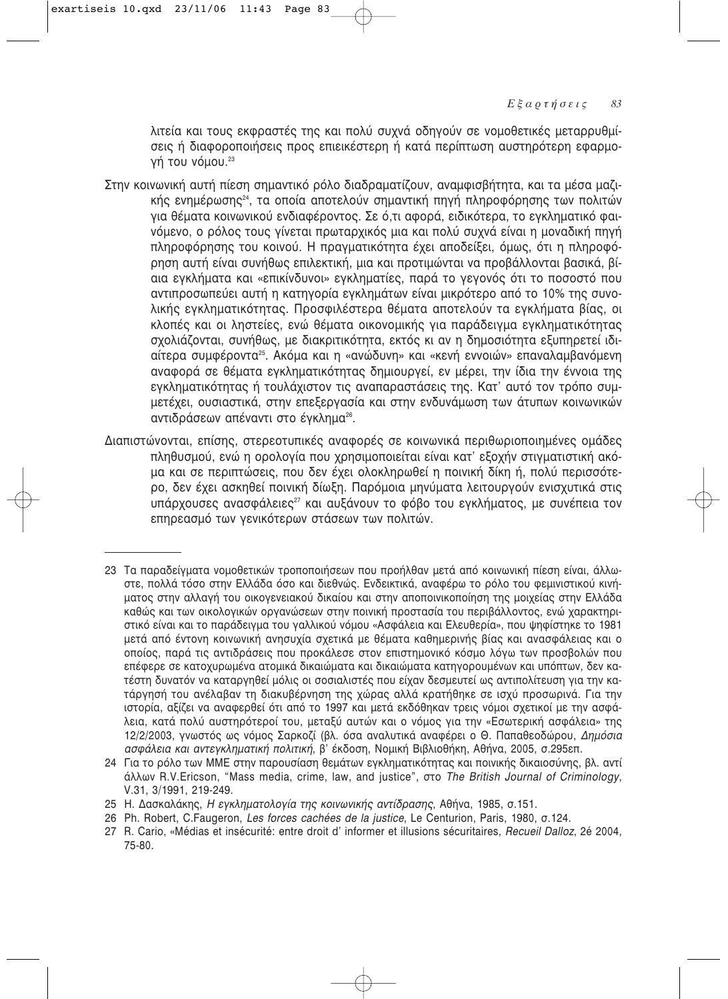λιτεία και τους εκφραστές της και πολύ συχνά οδηγούν σε νομοθετικές μεταρρυθμίσεις ή διαφοροποιήσεις προς επιεικέστερη ή κατά περίπτωση αυστηρότερη εφαρμονή του νόμου.<sup>23</sup>

- Στην κοινωνική αυτή πίεση σημαντικό ρόλο διαδραματίζουν, αναμφισβήτητα, και τα μέσα μαζικής ενημέρωσης<sup>24</sup>, τα οποία αποτελούν σημαντική πηγή πληροφόρησης των πολιτών για θέματα κοινωνικού ενδιαφέροντος. Σε ό,τι αφορά, ειδικότερα, το εγκληματικό φαινόμενο, ο ρόλος τους γίνεται πρωταρχικός μια και πολύ συχνά είναι η μοναδική πηγή πληροφόρησης του κοινού. Η πραγματικότητα έχει αποδείξει, όμως, ότι η πληροφόρηση αυτή είναι συνήθως επιλεκτική, μια και προτιμώνται να προβάλλονται βασικά, βίαια εγκλήματα και «επικίνδυνοι» εγκληματίες, παρά το γεγονός ότι το ποσοστό που αντιπροσωπεύει αυτή η κατηγορία εγκλημάτων είναι μικρότερο από το 10% της συνολικής εγκληματικότητας. Προσφιλέστερα θέματα αποτελούν τα εγκλήματα βίας, οι κλοπές και οι ληστείες, ενώ θέματα οικονομικής για παράδειγμα εγκληματικότητας σχολιάζονται, συνήθως, με διακριτικότητα, εκτός κι αν η δημοσιότητα εξυπηρετεί ιδιαίτερα συμφέροντα<sup>25</sup>. Ακόμα και η «ανώδυνη» και «κενή εννοιών» επαναλαμβανόμενη αναφορά σε θέματα εγκληματικότητας δημιουργεί, εν μέρει, την ίδια την έννοια της εγκληματικότητας ή τουλάχιστον τις αναπαραστάσεις της. Κατ' αυτό τον τρόπο συμμετέχει, ουσιαστικά, στην επεξεργασία και στην ενδυνάμωση των άτυπων κοινωνικών αντιδράσεων απέναντι στο έγκλημα<sup>26</sup>.
- Διαπιστώνονται, επίσης, στερεοτυπικές αναφορές σε κοινωνικά περιθωριοποιημένες ομάδες πληθυσμού, ενώ η ορολογία που χρησιμοποιείται είναι κατ' εξοχήν στιγματιστική ακόμα και σε περιπτώσεις, που δεν έχει ολοκληρωθεί η ποινική δίκη ή, πολύ περισσότερο, δεν έχει ασκηθεί ποινική δίωξη. Παρόμοια μηνύματα λειτουργούν ενισχυτικά στις υπάρχουσες ανασφάλειες<sup>27</sup> και αυξάνουν το φόβο του εγκλήματος, με συνέπεια τον επηρεασμό των γενικότερων στάσεων των πολιτών.
- 23 Τα παραδείγματα νομοθετικών τροποποιήσεων που προήλθαν μετά από κοινωνική πίεση είναι, άλλωστε, πολλά τόσο στην Ελλάδα όσο και διεθνώς. Ενδεικτικά, αναφέρω το ρόλο του φεμινιστικού κινήματος στην αλλαγή του οικογενειακού δικαίου και στην αποποινικοποίηση της μοιχείας στην Ελλάδα καθώς και των οικολογικών οργανώσεων στην ποινική προστασία του περιβάλλοντος, ενώ χαρακτηριστικό είναι και το παράδειγμα του γαλλικού νόμου «Ασφάλεια και Ελευθερία», που ψηφίστηκε το 1981 μετά από έντονη κοινωνική ανησυχία σχετικά με θέματα καθημερινής βίας και ανασφάλειας και ο οποίος, παρά τις αντιδράσεις που προκάλεσε στον επιστημονικό κόσμο λόγω των προσβολών που επέφερε σε κατοχυρωμένα ατομικά δικαιώματα και δικαιώματα κατηγορουμένων και υπόπτων, δεν κατέστη δυνατόν να καταρνηθεί μόλις οι σοσιαλιστές που είχαν δεσμευτεί ως αντιπολίτευση νια την κατάργησή του ανέλαβαν τη διακυβέρνηση της χώρας αλλά κρατήθηκε σε ισχύ προσωρινά. Για την ιστορία, αξίζει να αναφερθεί ότι από το 1997 και μετά εκδόθηκαν τρεις νόμοι σχετικοί με την ασφάλεια, κατά πολύ αυστηρότεροί του, μεταξύ αυτών και ο νόμος για την «Εσωτερική ασφάλεια» της 12/2/2003, γνωστός ως νόμος Σαρκοζί (βλ. όσα αναλυτικά αναφέρει ο Θ. Παπαθεοδώρου, Δημόσια ασφάλεια και αντεγκληματική πολιτική, β' έκδοση, Νομική Βιβλιοθήκη, Αθήνα, 2005, σ.295επ.
- 24 Για το ρόλο των ΜΜΕ στην παρουσίαση θεμάτων εγκληματικότητας και ποινικής δικαιοσύνης, βλ. αντί άλλων R.V. Ericson, "Mass media, crime, law, and justice", στο The British Journal of Criminology, V.31, 3/1991, 219-249.
- 25 Η. Δασκαλάκης, Η εγκληματολογία της κοινωνικής αντίδρασης, Αθήνα, 1985, σ.151.
- 26 Ph. Robert, C.Faugeron, Les forces cachées de la justice, Le Centurion, Paris, 1980, σ.124.
- 27 R. Cario, «Médias et insécurité: entre droit d' informer et illusions sécuritaires, Recueil Dalloz, 2é 2004, 75-80.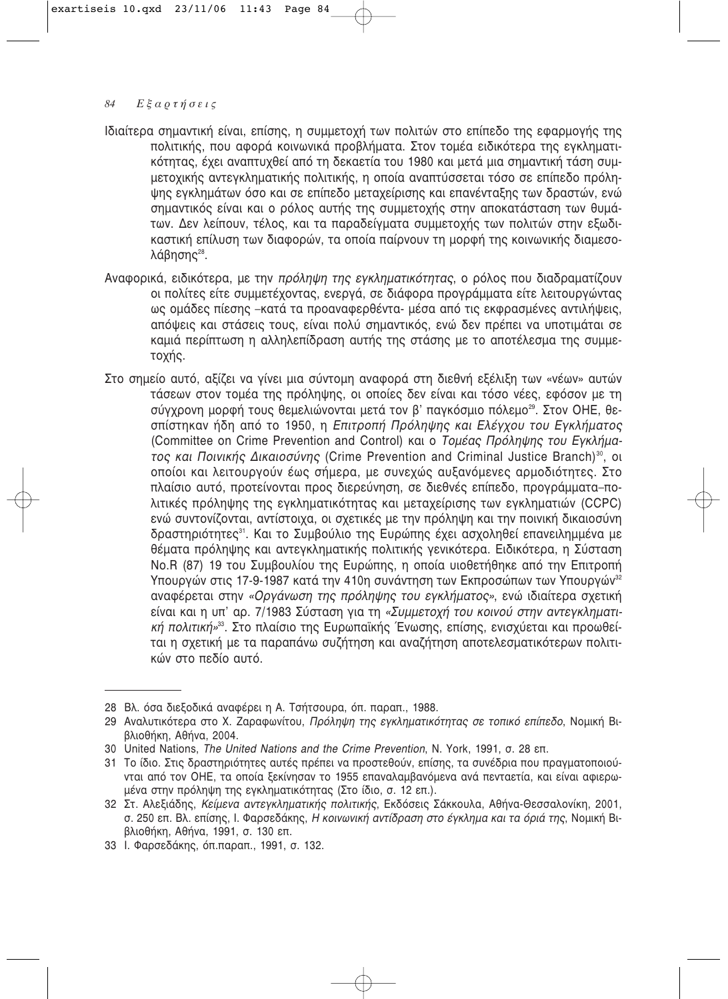- Ιδιαίτερα σημαντική είναι, επίσης, η συμμετοχή των πολιτών στο επίπεδο της εφαρμογής της πολιτικής, που αφορά κοινωνικά προβλήματα. Στον τομέα ειδικότερα της εγκληματικότητας, έχει αναπτυχθεί από τη δεκαετία του 1980 και μετά μια σημαντική τάση συμμετοχικής αντεγκληματικής πολιτικής, η οποία αναπτύσσεται τόσο σε επίπεδο πρόληψης εγκλημάτων όσο και σε επίπεδο μεταχείρισης και επανένταξης των δραστών, ενώ σημαντικός είναι και ο ρόλος αυτής της συμμετοχής στην αποκατάσταση των θυμάτων. Δεν λείπουν, τέλος, και τα παραδείγματα συμμετοχής των πολιτών στην εξωδικαστική επίλυση των διαφορών, τα οποία παίρνουν τη μορφή της κοινωνικής διαμεσολάβησης<sup>28</sup>.
- Αναφορικά, ειδικότερα, με την πρόληψη της εγκληματικότητας, ο ρόλος που διαδραματίζουν οι πολίτες είτε συμμετέχοντας, ενεργά, σε διάφορα προγράμματα είτε λειτουργώντας ως ομάδες πίεσης -κατά τα προαναφερθέντα- μέσα από τις εκφρασμένες αντιλήψεις, απόψεις και στάσεις τους, είναι πολύ σημαντικός, ενώ δεν πρέπει να υποτιμάται σε καμιά περίπτωση η αλληλεπίδραση αυτής της στάσης με το αποτέλεσμα της συμμετοχής.
- Στο σημείο αυτό, αξίζει να γίνει μια σύντομη αναφορά στη διεθνή εξέλιξη των «νέων» αυτών τάσεων στον τομέα της πρόληψης, οι οποίες δεν είναι και τόσο νέες, εφόσον με τη σύγχρονη μορφή τους θεμελιώνονται μετά τον β' παγκόσμιο πόλεμο<sup>29</sup>. Στον ΟΗΕ, θεσπίστηκαν ήδη από το 1950, η Επιτροπή Πρόληψης και Ελέγχου του Εγκλήματος (Committee on Crime Prevention and Control) και ο *Τομέας Πρόληψης του Εγκλήματος και Ποινικής Δικαιοσύνης* (Crime Prevention and Criminal Justice Branch)<sup>30</sup>, οι οποίοι και λειτουργούν έως σήμερα, με συνεχώς αυξανόμενες αρμοδιότητες. Στο πλαίσιο αυτό, προτείνονται προς διερεύνηση, σε διεθνές επίπεδο, προγράμματα-πολιτικές πρόληψης της εγκληματικότητας και μεταχείρισης των εγκληματιών (CCPC) ενώ συντονίζονται, αντίστοιχα, οι σχετικές με την πρόληψη και την ποινική δικαιοσύνη δραστηριότητες<sup>31</sup>. Και το Συμβούλιο της Ευρώπης έχει ασχοληθεί επανειλημμένα με θέματα πρόληψης και αντεγκληματικής πολιτικής γενικότερα. Ειδικότερα, η Σύσταση Νο. R (87) 19 του Συμβουλίου της Ευρώπης, η οποία υιοθετήθηκε από την Επιτροπή Υπουργών στις 17-9-1987 κατά την 410η συνάντηση των Εκπροσώπων των Υπουργών<sup>32</sup> αναφέρεται στην «Οργάνωση της πρόληψης του εγκλήματος», ενώ ιδιαίτερα σχετική είναι και η υπ' αρ. 7/1983 Σύσταση για τη «Συμμετοχή του κοινού στην αντεγκληματική πολιτική»<sup>33</sup>. Στο πλαίσιο της Ευρωπαϊκής Ένωσης, επίσης, ενισχύεται και προωθείται η σχετική με τα παραπάνω συζήτηση και αναζήτηση αποτελεσματικότερων πολιτικών στο πεδίο αυτό.

<sup>28</sup> Βλ. όσα διεξοδικά αναφέρει η Α. Τσήτσουρα, όπ. παραπ., 1988.

<sup>29</sup> Αναλυτικότερα στο Χ. Ζαραφωνίτου, Πρόληψη της εγκληματικότητας σε τοπικό επίπεδο, Νομική Βιβλιοθήκη, Αθήνα, 2004.

<sup>30</sup> United Nations, *The United Nations and the Crime Prevention*, N. York, 1991, σ. 28 επ.

<sup>31</sup> Το ίδιο. Στις δραστηριότητες αυτές πρέπει να προστεθούν, επίσης, τα συνέδρια που πραγματοποιούνται από τον ΟΗΕ, τα οποία ξεκίνησαν το 1955 επαναλαμβανόμενα ανά πενταετία, και είναι αφιερωμένα στην πρόληψη της εγκληματικότητας (Στο ίδιο, σ. 12 επ.).

<sup>32</sup> Στ. Αλεξιάδης, *Κείμενα αντεγκληματικής πολιτικής*, Εκδόσεις Σάκκουλα, Αθήνα-Θεσσαλονίκη, 2001, σ. 250 επ. Βλ. επίσης, Ι. Φαρσεδάκης, *Η κοινωνική αντίδραση στο έγκλημα και τα όριά της*, Νομική Βιβλιοθήκη, Αθήνα, 1991, σ. 130 επ.

<sup>33</sup> Ι. Φαρσεδάκης, όπ.παραπ., 1991, σ. 132.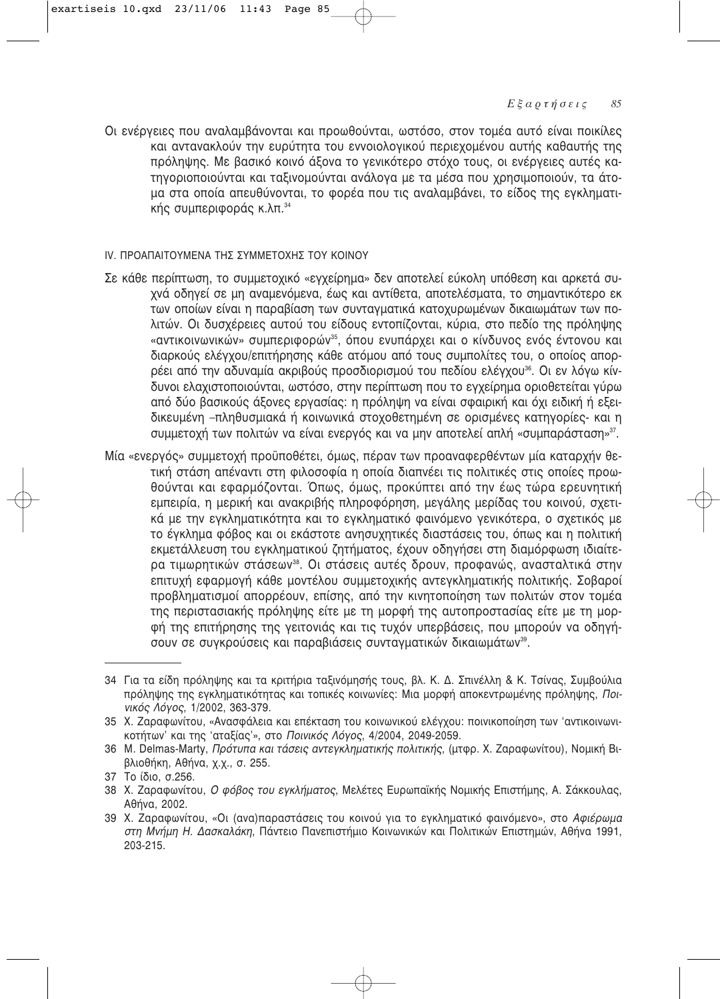Οι ενέργειες που αναλαμβάνονται και προωθούνται, ωστόσο, στον τομέα αυτό είναι ποικίλες και αντανακλούν την ευρύτητα του εννοιολογικού περιεχομένου αυτής καθαυτής της πρόληψης. Με βασικό κοινό άξονα το γενικότερο στόχο τους, οι ενέργειες αυτές κατηγοριοποιούνται και ταξινομούνται ανάλογα με τα μέσα που χρησιμοποιούν, τα άτομα στα οποία απευθύνονται, το φορέα που τις αναλαμβάνει, το είδος της εγκληματικής συμπεριφοράς κ.λπ.<sup>34</sup>

### ΙΥ. ΠΡΟΑΠΑΙΤΟΥΜΕΝΑ ΤΗΣ ΣΥΜΜΕΤΟΧΗΣ ΤΟΥ ΚΟΙΝΟΥ

- Σε κάθε περίπτωση, το συμμετοχικό «ενχείρημα» δεν αποτελεί εύκολη υπόθεση και αρκετά συχνά οδηγεί σε μη αναμενόμενα, έως και αντίθετα, αποτελέσματα, το σημαντικότερο εκ των οποίων είναι η παραβίαση των συνταγματικά κατοχυρωμένων δικαιωμάτων των πολιτών. Οι δυσχέρειες αυτού του είδους εντοπίζονται, κύρια, στο πεδίο της πρόληψης «αντικοινωνικών» συμπεριφορών<sup>35</sup>, όπου ενυπάρχει και ο κίνδυνος ενός έντονου και διαρκούς ελέγχου/επιτήρησης κάθε ατόμου από τους συμπολίτες του, ο οποίος απορρέει από την αδυναμία ακριβούς προσδιορισμού του πεδίου ελένχου<sup>36</sup>. Οι εν λόγω κίνδυνοι ελαχιστοποιούνται, ωστόσο, στην περίπτωση που το εγχείρημα οριοθετείται γύρω από δύο βασικούς άξονες εργασίας: η πρόληψη να είναι σφαιρική και όχι ειδική ή εξειδικευμένη -πληθυσμιακά ή κοινωνικά στοχοθετημένη σε ορισμένες κατηγορίες- και η συμμετοχή των πολιτών να είναι ενεργός και να μην αποτελεί απλή «συμπαράσταση»<sup>37</sup>.
- Μία «ενεργός» συμμετοχή προϋποθέτει, όμως, πέραν των προαναφερθέντων μία καταρχήν θετική στάση απέναντι στη φιλοσοφία η οποία διαπνέει τις πολιτικές στις οποίες προωθούνται και εφαρμόζονται. Όπως, όμως, προκύπτει από την έως τώρα ερευνητική εμπειρία, η μερική και ανακριβής πληροφόρηση, μεγάλης μερίδας του κοινού, σχετικά με την εγκληματικότητα και το εγκληματικό φαινόμενο γενικότερα, ο σχετικός με το έγκλημα φόβος και οι εκάστοτε ανησυχητικές διαστάσεις του, όπως και η πολιτική εκμετάλλευση του εγκληματικού ζητήματος, έχουν οδηγήσει στη διαμόρφωση ιδιαίτερα τιμωρητικών στάσεων<sup>38</sup>. Οι στάσεις αυτές δρουν, προφανώς, ανασταλτικά στην επιτυχή εφαρμογή κάθε μοντέλου συμμετοχικής αντεγκληματικής πολιτικής. Σοβαροί προβληματισμοί απορρέουν, επίσης, από την κινητοποίηση των πολιτών στον τομέα της περιστασιακής πρόληψης είτε με τη μορφή της αυτοπροστασίας είτε με τη μορφή της επιτήρησης της γειτονιάς και τις τυχόν υπερβάσεις, που μπορούν να οδηγήσουν σε συγκρούσεις και παραβιάσεις συνταγματικών δικαιωμάτων<sup>39</sup>.

<sup>34</sup> Για τα είδη πρόληψης και τα κριτήρια ταξινόμησής τους, βλ. Κ. Δ. Σπινέλλη & Κ. Τσίνας, Συμβούλια πρόληψης της εγκληματικότητας και τοπικές κοινωνίες: Μια μορφή αποκεντρωμένης πρόληψης, Ποινικός Λόγος, 1/2002, 363-379.

<sup>35</sup> Χ. Ζαραφωνίτου, «Ανασφάλεια και επέκταση του κοινωνικού ελέγχου: ποινικοποίηση των 'αντικοινωνικοτήτων' και της 'αταξίας'», στο Ποινικός Λόγος, 4/2004, 2049-2059.

<sup>36</sup> Μ. Delmas-Marty, Πρότυπα και τάσεις αντεγκληματικής πολιτικής, (μτφρ. Χ. Ζαραφωνίτου), Νομική Βιβλιοθήκη, Αθήνα, χ.χ., σ. 255.

<sup>37</sup> Το ίδιο. σ.256.

<sup>38</sup> Χ. Ζαραφωνίτου, Ο φόβος του εγκλήματος, Μελέτες Ευρωπαϊκής Νομικής Επιστήμης, Α. Σάκκουλας, Αθήνα, 2002.

<sup>39</sup> Χ. Ζαραφωνίτου, «Οι (ανα)παραστάσεις του κοινού για το εγκληματικό φαινόμενο», στο Αφιέρωμα στη Μνήμη Η. Δασκαλάκη, Πάντειο Πανεπιστήμιο Κοινωνικών και Πολιτικών Επιστημών, Αθήνα 1991, 203-215.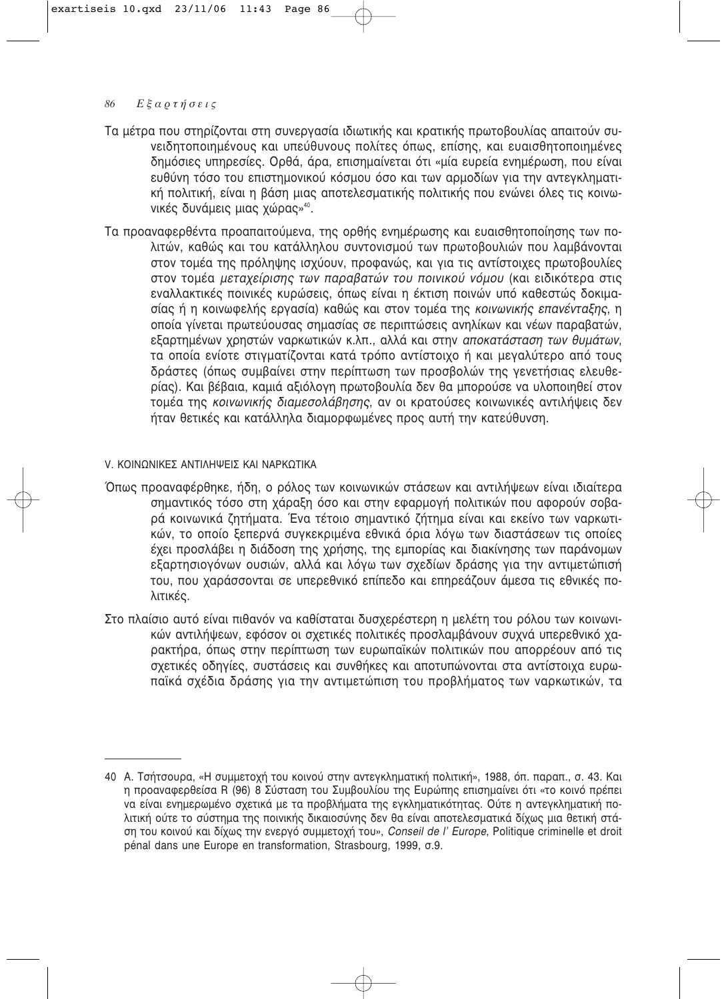### 86  $E$ ξαρτήσεις

- Τα μέτρα που στηρίζονται στη συνεργασία ιδιωτικής και κρατικής πρωτοβουλίας απαιτούν συνειδητοποιημένους και υπεύθυνους πολίτες όπως, επίσης, και ευαισθητοποιημένες δημόσιες υπηρεσίες. Ορθά, άρα, επισημαίνεται ότι «μία ευρεία ενημέρωση, που είναι ευθύνη τόσο του επιστημονικού κόσμου όσο και των αρμοδίων για την αντεγκληματική πολιτική, είναι η βάση μιας αποτελεσματικής πολιτικής που ενώνει όλες τις κοινωνικές δυνάμεις μιας χώρας»<sup>40</sup>.
- Τα προαναφερθέντα προαπαιτούμενα, της ορθής ενημέρωσης και ευαισθητοποίησης των πολιτών, καθώς και του κατάλληλου συντονισμού των πρωτοβουλιών που λαμβάνονται στον τομέα της πρόληψης ισχύουν, προφανώς, και για τις αντίστοιχες πρωτοβουλίες στον τομέα μεταχείρισης των παραβατών του ποινικού νόμου (και ειδικότερα στις εναλλακτικές ποινικές κυρώσεις, όπως είναι η έκτιση ποινών υπό καθεστώς δοκιμασίας ή η κοινωφελής εργασία) καθώς και στον τομέα της κοινωνικής επανένταξης, η οποία γίνεται πρωτεύουσας σημασίας σε περιπτώσεις ανηλίκων και νέων παραβατών, εξαρτημένων χρηστών ναρκωτικών κ.λπ., αλλά και στην αποκατάσταση των θυμάτων. τα οποία ενίοτε στιγματίζονται κατά τρόπο αντίστοιχο ή και μεγαλύτερο από τους δράστες (όπως συμβαίνει στην περίπτωση των προσβολών της γενετήσιας ελευθερίας). Και βέβαια, καμιά αξιόλογη πρωτοβουλία δεν θα μπορούσε να υλοποιηθεί στον τομέα της κοινωνικής διαμεσολάβησης, αν οι κρατούσες κοινωνικές αντιλήψεις δεν ήταν θετικές και κατάλληλα διαμορφωμένες προς αυτή την κατεύθυνση.

### V KOINONIKES ANTIAHWEIS KAI NAPKOTIKA

- Όπως προαναφέρθηκε, ήδη, ο ρόλος των κοινωνικών στάσεων και αντιλήψεων είναι ιδιαίτερα σημαντικός τόσο στη χάραξη όσο και στην εφαρμογή πολιτικών που αφορούν σοβαρά κοινωνικά ζητήματα. Ένα τέτοιο σημαντικό ζήτημα είναι και εκείνο των ναρκωτικών, το οποίο ξεπερνά συγκεκριμένα εθνικά όρια λόγω των διαστάσεων τις οποίες έχει προσλάβει η διάδοση της χρήσης, της εμπορίας και διακίνησης των παράνομων εξαρτησιογόνων ουσιών, αλλά και λόγω των σχεδίων δράσης για την αντιμετώπισή του, που χαράσσονται σε υπερεθνικό επίπεδο και επηρεάζουν άμεσα τις εθνικές πολιτικές.
- Στο πλαίσιο αυτό είναι πιθανόν να καθίσταται δυσχερέστερη η μελέτη του ρόλου των κοινωνικών αντιλήψεων, εφόσον οι σχετικές πολιτικές προσλαμβάνουν συχνά υπερεθνικό χαρακτήρα, όπως στην περίπτωση των ευρωπαϊκών πολιτικών που απορρέουν από τις σχετικές οδηγίες, συστάσεις και συνθήκες και αποτυπώνονται στα αντίστοιχα ευρωπαϊκά σχέδια δράσης για την αντιμετώπιση του προβλήματος των ναρκωτικών, τα

<sup>40</sup> A. Τσήτσουρα, «Η συμμετοχή του κοινού στην αντεγκληματική πολιτική», 1988, όπ. παραπ., σ. 43. Και η προαναφερθείσα R (96) 8 Σύσταση του Συμβουλίου της Ευρώπης επισημαίνει ότι «το κοινό πρέπει να είναι ενημερωμένο σχετικά με τα προβλήματα της εγκληματικότητας. Ούτε η αντεγκληματική πολιτική ούτε το σύστημα της ποινικής δικαιοσύνης δεν θα είναι αποτελεσματικά δίχως μια θετική στάση του κοινού και δίχως την ενεργό συμμετοχή του», Conseil de l' Europe, Politique criminelle et droit pénal dans une Europe en transformation, Strasbourg, 1999, σ.9.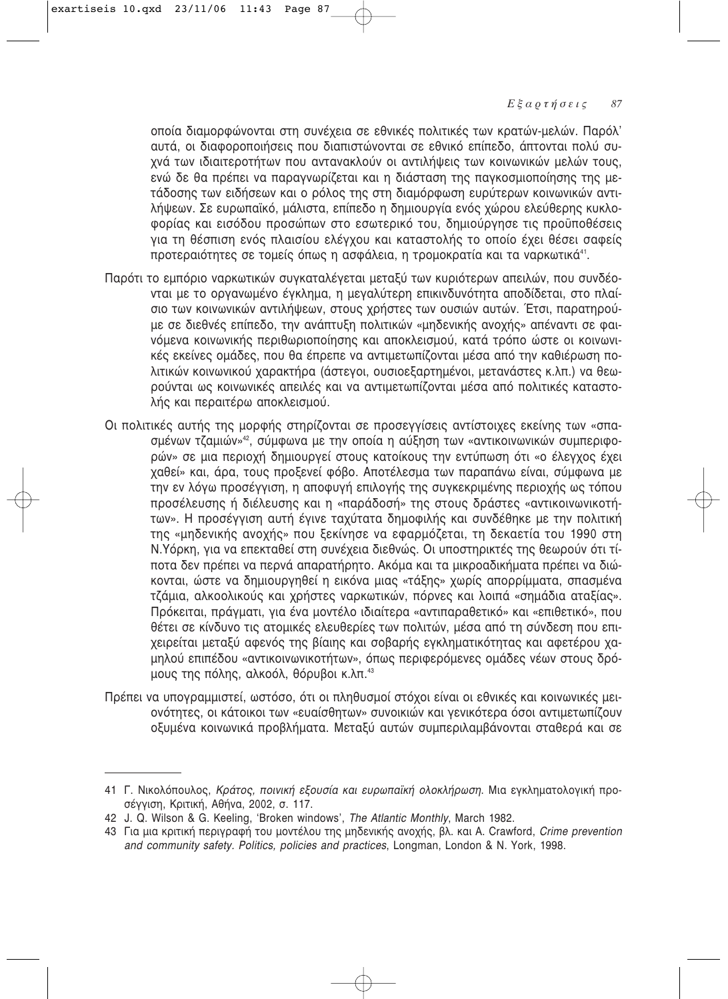οποία διαμορφώνονται στη συνέχεια σε εθνικές πολιτικές των κρατών-μελών. Παρόλ' αυτά, οι διαφοροποιήσεις που διαπιστώνονται σε εθνικό επίπεδο, άπτονται πολύ συχνά των ιδιαιτεροτήτων που αντανακλούν οι αντιλήψεις των κοινωνικών μελών τους, ενώ δε θα πρέπει να παραγνωρίζεται και η διάσταση της παγκοσμιοποίησης της μετάδοσης των ειδήσεων και ο ρόλος της στη διαμόρφωση ευρύτερων κοινωνικών αντιλήψεων. Σε ευρωπαϊκό, μάλιστα, επίπεδο η δημιουργία ενός χώρου ελεύθερης κυκλοφορίας και εισόδου προσώπων στο εσωτερικό του, δημιούργησε τις προϋποθέσεις για τη θέσπιση ενός πλαισίου ελέγχου και καταστολής το οποίο έχει θέσει σαφείς προτεραιότητες σε τομείς όπως η ασφάλεια, η τρομοκρατία και τα ναρκωτικά<sup>41</sup>.

- Παρότι το εμπόριο ναρκωτικών συγκαταλέγεται μεταξύ των κυριότερων απειλών, που συνδέονται με το οργανωμένο έγκλημα, η μεγαλύτερη επικινδυνότητα αποδίδεται, στο πλαίσιο των κοινωνικών αντιλήψεων, στους χρήστες των ουσιών αυτών. Έτσι, παρατηρούμε σε διεθνές επίπεδο, την ανάπτυξη πολιτικών «μηδενικής ανοχής» απέναντι σε φαινόμενα κοινωνικής περιθωριοποίησης και αποκλεισμού, κατά τρόπο ώστε οι κοινωνικές εκείνες ομάδες, που θα έπρεπε να αντιμετωπίζονται μέσα από την καθιέρωση πολιτικών κοινωνικού χαρακτήρα (άστεγοι, ουσιοεξαρτημένοι, μετανάστες κ.λπ.) να θεωρούνται ως κοινωνικές απειλές και να αντιμετωπίζονται μέσα από πολιτικές καταστολής και περαιτέρω αποκλεισμού.
- Οι πολιτικές αυτής της μορφής στηρίζονται σε προσεγγίσεις αντίστοιχες εκείνης των «σπασμένων τζαμιών»<sup>42</sup>, σύμφωνα με την οποία η αύξηση των «αντικοινωνικών συμπεριφορών» σε μια περιοχή δημιουργεί στους κατοίκους την εντύπωση ότι «ο έλεγχος έχει χαθεί» και, άρα, τους προξενεί φόβο. Αποτέλεσμα των παραπάνω είναι, σύμφωνα με την εν λόγω προσέγγιση, η αποφυγή επιλογής της συγκεκριμένης περιοχής ως τόπου προσέλευσης ή διέλευσης και η «παράδοσή» της στους δράστες «αντικοινωνικοτήτων». Η προσέγγιση αυτή έγινε ταχύτατα δημοφιλής και συνδέθηκε με την πολιτική της «μηδενικής ανοχής» που ξεκίνησε να εφαρμόζεται, τη δεκαετία του 1990 στη Ν. Υόρκη, για να επεκταθεί στη συνέχεια διεθνώς. Οι υποστηρικτές της θεωρούν ότι τίποτα δεν πρέπει να περνά απαρατήρητο. Ακόμα και τα μικροαδικήματα πρέπει να διώκονται, ώστε να δημιουργηθεί η εικόνα μιας «τάξης» χωρίς απορρίμματα, σπασμένα τζάμια, αλκοολικούς και χρήστες ναρκωτικών, πόρνες και λοιπά «σημάδια αταξίας». Πρόκειται, πράγματι, για ένα μοντέλο ιδιαίτερα «αντιπαραθετικό» και «επιθετικό», που θέτει σε κίνδυνο τις ατομικές ελευθερίες των πολιτών, μέσα από τη σύνδεση που επιχειρείται μεταξύ αφενός της βίαιης και σοβαρής εγκληματικότητας και αφετέρου χαμηλού επιπέδου «αντικοινωνικοτήτων», όπως περιφερόμενες ομάδες νέων στους δρόμους της πόλης, αλκοόλ, θόρυβοι κ.λπ.<sup>43</sup>
- Πρέπει να υπογραμμιστεί, ωστόσο, ότι οι πληθυσμοί στόχοι είναι οι εθνικές και κοινωνικές μειονότητες, οι κάτοικοι των «ευαίσθητων» συνοικιών και γενικότερα όσοι αντιμετωπίζουν οξυμένα κοινωνικά προβλήματα. Μεταξύ αυτών συμπεριλαμβάνονται σταθερά και σε

<sup>41</sup> Γ. Νικολόπουλος, Κράτος, ποινική εξουσία και ευρωπαϊκή ολοκλήρωση. Μια εγκληματολογική προσέγγιση, Κριτική, Αθήνα, 2002, σ. 117.

<sup>42</sup> J. Q. Wilson & G. Keeling, 'Broken windows', The Atlantic Monthly, March 1982.

<sup>43</sup> Για μια κριτική περιγραφή του μοντέλου της μηδενικής ανοχής, βλ. και Α. Crawford, Crime prevention and community safety. Politics, policies and practices, Longman, London & N. York, 1998.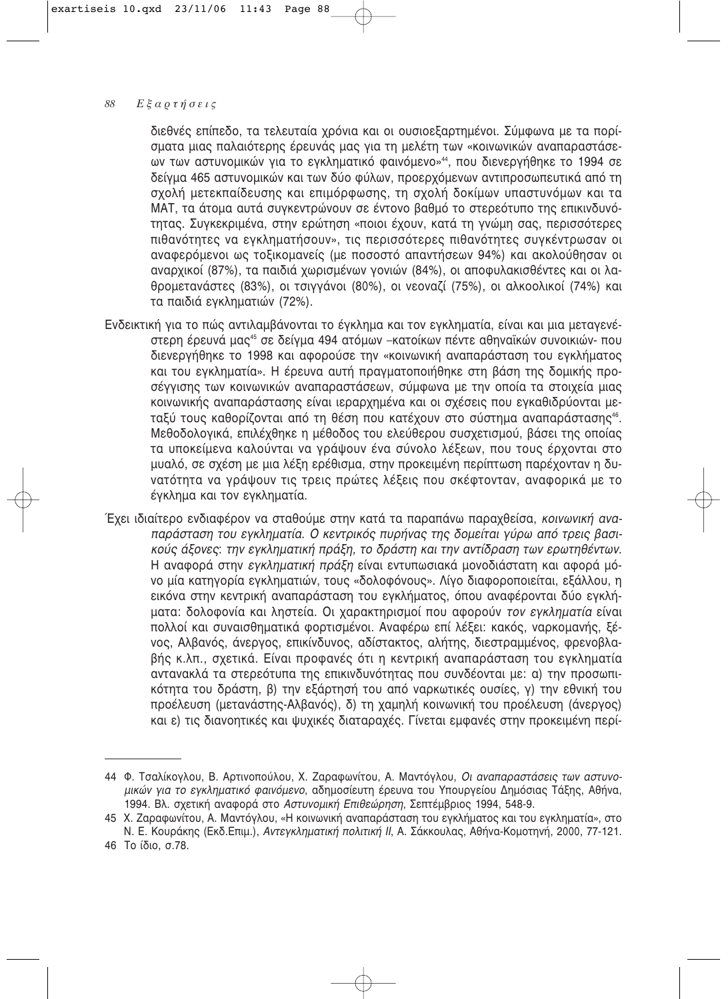διεθνές επίπεδο, τα τελευταία χρόνια και οι ουσιοεξαρτημένοι. Σύμφωνα με τα πορίσματα μιας παλαιότερης έρευνάς μας για τη μελέτη των «κοινωνικών αναπαραστάσεων των αστυνομικών για το εγκληματικό φαινόμενο»<sup>44</sup>, που διενεργήθηκε το 1994 σε δείγμα 465 αστυνομικών και των δύο φύλων, προερχόμενων αντιπροσωπευτικά από τη σχολή μετεκπαίδευσης και επιμόρφωσης, τη σχολή δοκίμων υπαστυνόμων και τα ΜΑΤ, τα άτομα αυτά συγκεντρώνουν σε έντονο βαθμό το στερεότυπο της επικινδυνότητας. Συγκεκριμένα, στην ερώτηση «ποιοι έχουν, κατά τη γνώμη σας, περισσότερες πιθανότητες να εγκληματήσουν», τις περισσότερες πιθανότητες συγκέντρωσαν οι αναφερόμενοι ως τοξικομανείς (με ποσοστό απαντήσεων 94%) και ακολούθησαν οι αναρχικοί (87%), τα παιδιά χωρισμένων γονιών (84%), οι αποφυλακισθέντες και οι λαθρομετανάστες (83%), οι τσιγγάνοι (80%), οι νεοναζί (75%), οι αλκοολικοί (74%) και τα παιδιά εγκληματιών (72%).

- Ενδεικτική για το πώς αντιλαμβάνονται το έγκλημα και τον εγκληματία, είναι και μια μεταγενέστερη έρευνά μας<sup>45</sup> σε δείγμα 494 ατόμων –κατοίκων πέντε αθηναϊκών συνοικιών- που διενεργήθηκε το 1998 και αφορούσε την «κοινωνική αναπαράσταση του εγκλήματος και του εγκληματία». Η έρευνα αυτή πραγματοποιήθηκε στη βάση της δομικής προσέγγισης των κοινωνικών αναπαραστάσεων, σύμφωνα με την οποία τα στοιχεία μιας κοινωνικής αναπαράστασης είναι ιεραρχημένα και οι σχέσεις που εγκαθιδρύονται μεταξύ τους καθορίζονται από τη θέση που κατέχουν στο σύστημα αναπαράστασης<sup>46</sup>. Μεθοδολογικά, επιλέχθηκε η μέθοδος του ελεύθερου συσχετισμού, βάσει της οποίας τα υποκείμενα καλούνται να γράψουν ένα σύνολο λέξεων, που τους έρχονται στο μυαλό, σε σχέση με μια λέξη ερέθισμα, στην προκειμένη περίπτωση παρέχονταν η δυνατότητα να γράψουν τις τρεις πρώτες λέξεις που σκέφτονταν, αναφορικά με το έγκλημα και τον εγκληματία.
- Έχει ιδιαίτερο ενδιαφέρον να σταθούμε στην κατά τα παραπάνω παραχθείσα, *κοινωνική αναπαράσταση του εγκληματία. Ο κεντρικός πυρήνας της δομείται γύρω από τρεις βασι-ΚΟ*ύς άξονες: την εγκληματική πράξη, το δράστη και την αντίδραση των ερωτηθέντων. Η αναφορά στην *εγκληματική πράξη* είναι εντυπωσιακά μονοδιάστατη και αφορά μόvo μία κατηγορία εγκληματιών, τους «δολοφόνους». Λίγο διαφοροποιείται, εξάλλου, η εικόνα στην κεντρική αναπαράσταση του εγκλήματος, όπου αναφέρονται δύο εγκλήματα: δολοφονία και ληστεία. Οι χαρακτηρισμοί που αφορούν *τον εγκληματία* είναι πολλοί και συναισθηματικά φορτισμένοι. Αναφέρω επί λέξει: κακός, ναρκομανής, ξένος, Αλβανός, άνεργος, επικίνδυνος, αδίστακτος, αλήτης, διεστραμμένος, φρενοβλαβής κ.λπ., σχετικά. Είναι προφανές ότι η κεντρική αναπαράσταση του εγκληματία αντανακλά τα στερεότυπα της επικινδυνότητας που συνδέονται με: α) την προσωπι-Κότητα του δράστη, β) την εξάρτησή του από ναρκωτικές ουσίες, γ) την εθνική του προέλευση (μετανάστης-Αλβανός), δ) τη χαμηλή κοινωνική του προέλευση (άνεργος) και ε) τις διανοητικές και ψυχικές διαταραχές. Γίνεται εμφανές στην προκειμένη περί-

<sup>44</sup> Φ. Τσαλίκογλου, Β. Αρτινοπούλου, Χ. Ζαραφωνίτου, Α. Μαντόγλου, *Οι αναπαραστάσεις των αστυνομικών για το εγκληματικό φαινόμενο*, αδημοσίευτη έρευνα του Υπουργείου Δημόσιας Τάξης, Αθήνα, 1994. Βλ. σχετική αναφορά στο Αστυνομική Επιθεώρηση, Σεπτέμβριος 1994, 548-9.

<sup>45</sup> Χ. Ζαραφωνίτου, Α. Μαντόγλου, «Η κοινωνική αναπαράσταση του εγκλήματος και του εγκληματία», στο Ν. Ε. Κουράκης (Εκδ.Επιμ.), *Αντεγκληματική πολιτική ΙΙ*, Α. Σάκκουλας, Αθήνα Κομοτηνή, 2000, 77-121.

<sup>46</sup> Το ίδιο, σ.78.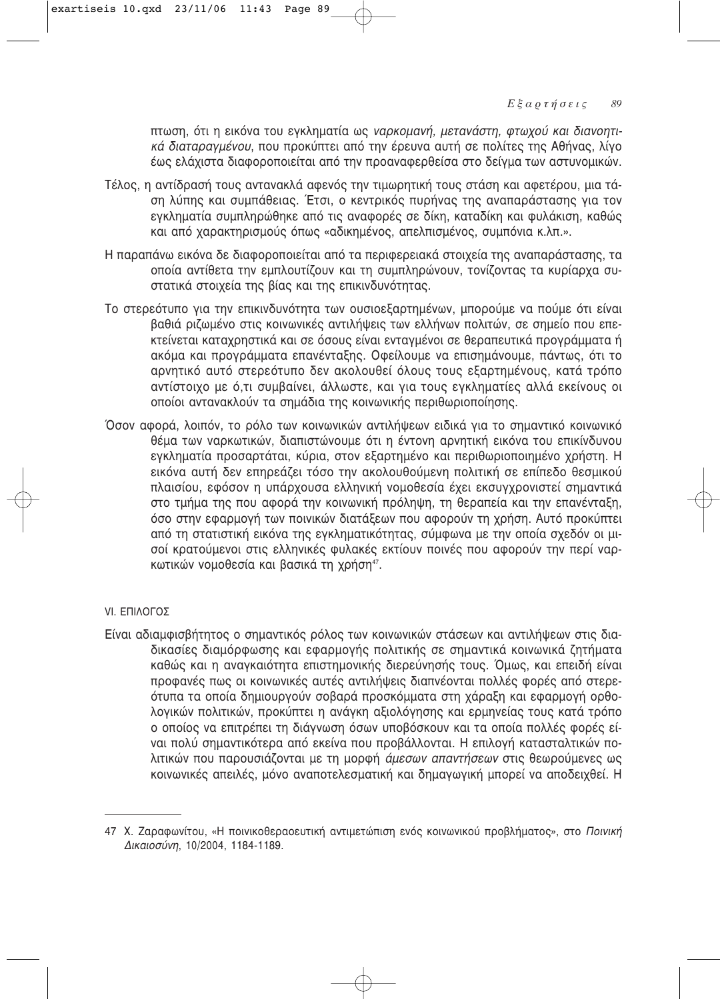πτωση, ότι η εικόνα του εγκληματία ως ναρκομανή, μετανάστη, φτωχού και διανοητικά διαταραγμένου, που προκύπτει από την έρευνα αυτή σε πολίτες της Αθήνας, λίγο έως ελάχιστα διαφοροποιείται από την προαναφερθείσα στο δείγμα των αστυνομικών.

- Τέλος, η αντίδρασή τους αντανακλά αφενός την τιμωρητική τους στάση και αφετέρου, μια τάση λύπης και συμπάθειας. Έτσι, ο κεντρικός πυρήνας της αναπαράστασης για τον εγκληματία συμπληρώθηκε από τις αναφορές σε δίκη, καταδίκη και φυλάκιση, καθώς και από χαρακτηρισμούς όπως «αδικημένος, απελπισμένος, συμπόνια κ.λπ.».
- Η παραπάνω εικόνα δε διαφοροποιείται από τα περιφερειακά στοιχεία της αναπαράστασης, τα οποία αντίθετα την εμπλουτίζουν και τη συμπληρώνουν, τονίζοντας τα κυρίαρχα συστατικά στοιχεία της βίας και της επικινδυνότητας.
- Το στερεότυπο για την επικινδυνότητα των ουσιοεξαρτημένων, μπορούμε να πούμε ότι είναι βαθιά ριζωμένο στις κοινωνικές αντιλήψεις των ελλήνων πολιτών, σε σημείο που επεκτείνεται καταχρηστικά και σε όσους είναι ενταγμένοι σε θεραπευτικά προγράμματα ή ακόμα και προγράμματα επανένταξης. Οφείλουμε να επισημάνουμε, πάντως, ότι το αρνητικό αυτό στερεότυπο δεν ακολουθεί όλους τους εξαρτημένους, κατά τρόπο αντίστοιχο με ό,τι συμβαίνει, άλλωστε, και για τους εγκληματίες αλλά εκείνους οι οποίοι αντανακλούν τα σημάδια της κοινωνικής περιθωριοποίησης.
- Όσον αφορά, λοιπόν, το ρόλο των κοινωνικών αντιλήψεων ειδικά για το σημαντικό κοινωνικό θέμα των ναρκωτικών, διαπιστώνουμε ότι η έντονη αρνητική εικόνα του επικίνδυνου ενκληματία προσαρτάται, κύρια, στον εξαρτημένο και περιθωριοποιημένο χρήστη. Η εικόνα αυτή δεν επηρεάζει τόσο την ακολουθούμενη πολιτική σε επίπεδο θεσμικού πλαισίου, εφόσον η υπάρχουσα ελληνική νομοθεσία έχει εκσυγχρονιστεί σημαντικά στο τμήμα της που αφορά την κοινωνική πρόληψη, τη θεραπεία και την επανένταξη, όσο στην εφαρμογή των ποινικών διατάξεων που αφορούν τη χρήση. Αυτό προκύπτει από τη στατιστική εικόνα της εγκληματικότητας, σύμφωνα με την οποία σχεδόν οι μισοί κρατούμενοι στις ελληνικές φυλακές εκτίουν ποινές που αφορούν την περί ναρκωτικών νομοθεσία και βασικά τη χρήση<sup>47</sup>.

### **VI. ΕΠΙΛΟΓΟΣ**

Είναι αδιαμφισβήτητος ο σημαντικός ρόλος των κοινωνικών στάσεων και αντιλήψεων στις διαδικασίες διαμόρφωσης και εφαρμογής πολιτικής σε σημαντικά κοινωνικά ζητήματα καθώς και η αναγκαιότητα επιστημονικής διερεύνησής τους. Όμως, και επειδή είναι προφανές πως οι κοινωνικές αυτές αντιλήψεις διαπνέονται πολλές φορές από στερεότυπα τα οποία δημιουργούν σοβαρά προσκόμματα στη χάραξη και εφαρμογή ορθολογικών πολιτικών, προκύπτει η ανάγκη αξιολόγησης και ερμηνείας τους κατά τρόπο ο οποίος να επιτρέπει τη διάγνωση όσων υποβόσκουν και τα οποία πολλές φορές είναι πολύ σημαντικότερα από εκείνα που προβάλλονται. Η επιλογή κατασταλτικών πολιτικών που παρουσιάζονται με τη μορφή άμεσων απαντήσεων στις θεωρούμενες ως κοινωνικές απειλές, μόνο αναποτελεσματική και δημαγωγική μπορεί να αποδειχθεί. Η

<sup>47</sup> Χ. Ζαραφωνίτου, «Η ποινικοθεραοευτική αντιμετώπιση ενός κοινωνικού προβλήματος», στο Ποινική Δικαιοσύνη, 10/2004, 1184-1189.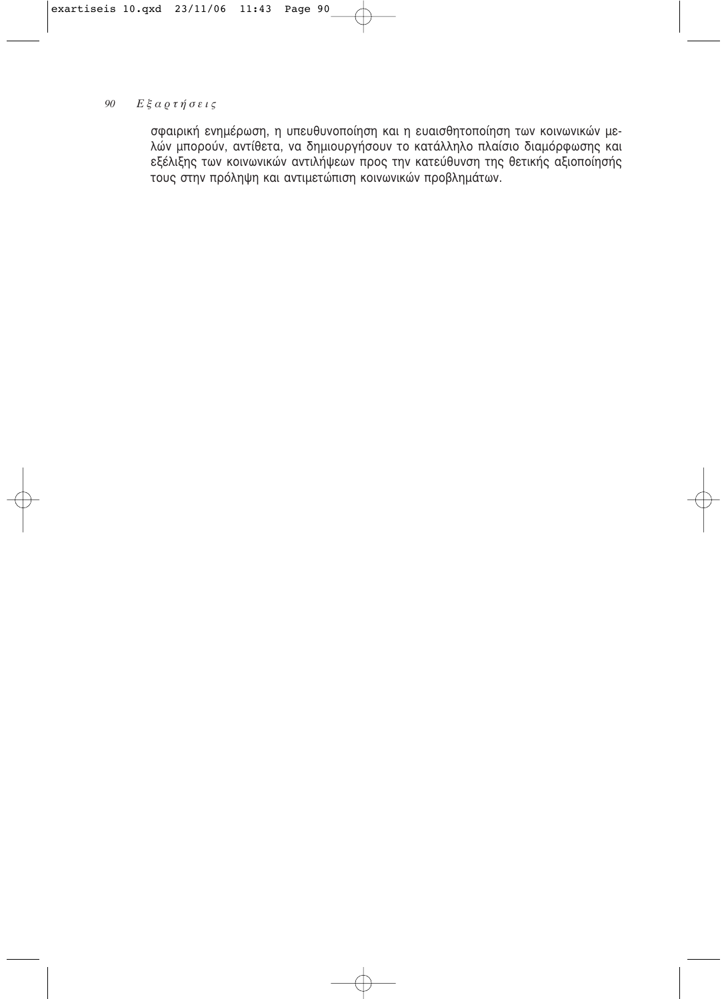σφαιρική ενημέρωση, η υπευθυνοποίηση και η ευαισθητοποίηση των κοινωνικών μελών μπορούν, αντίθετα, να δημιουργήσουν το κατάλληλο πλαίσιο διαμόρφωσης και εξέλιξης των κοινωνικών αντιλήψεων προς την κατεύθυνση της θετικής αξιοποίησής τους στην πρόληψη και αντιμετώπιση κοινωνικών προβλημάτων.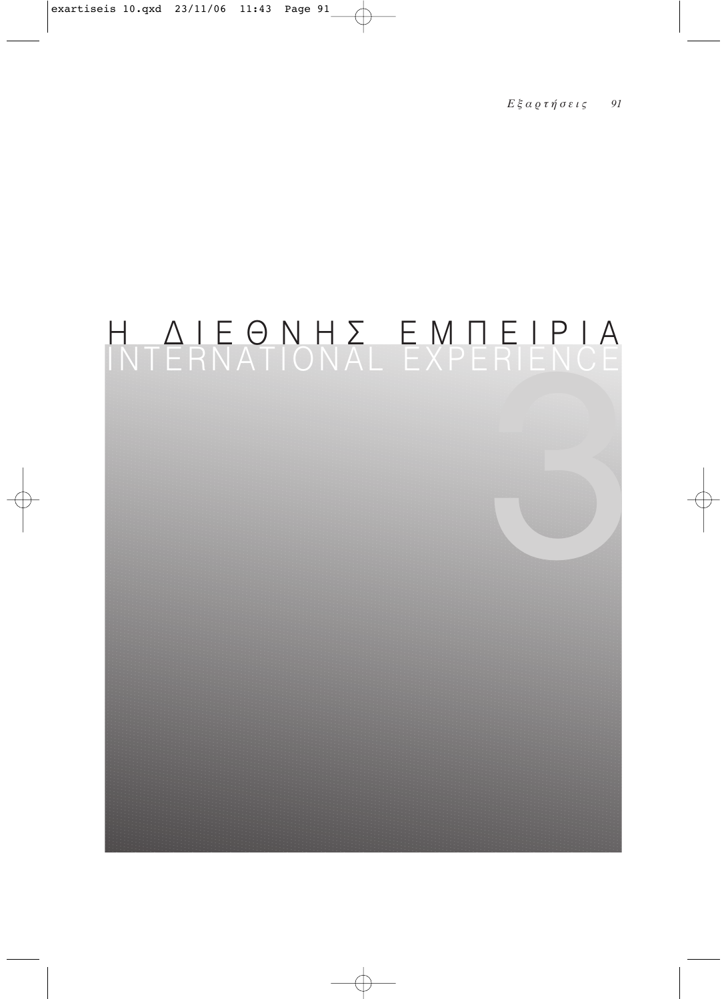# H AIEONH E EMPEIPIA<br>INTERNATIONAL EXPERIENCE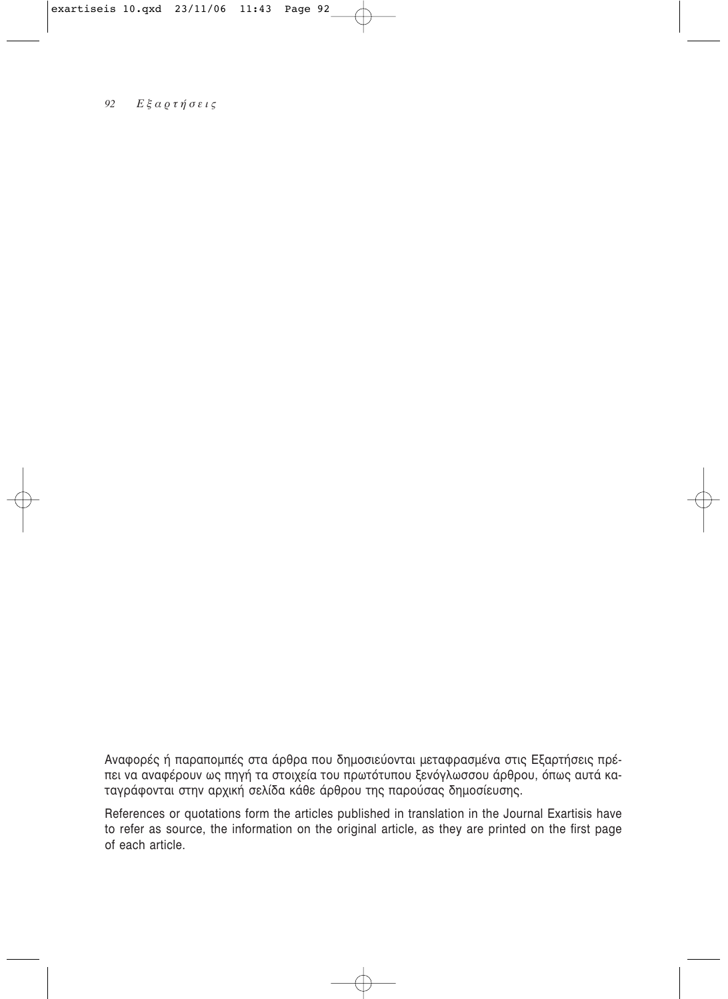### 92  $E \xi \alpha \varrho \tau \eta \sigma \epsilon \iota \varsigma$

Αναφορές ή παραπομπές στα άρθρα που δημοσιεύονται μεταφρασμένα στις Εξαρτήσεις πρέπει να αναφέρουν ως πηγή τα στοιχεία του πρωτότυπου ξενόγλωσσου άρθρου, όπως αυτά καταγράφονται στην αρχική σελίδα κάθε άρθρου της παρούσας δημοσίευσης.

References or quotations form the articles published in translation in the Journal Exartisis have to refer as source, the information on the original article, as they are printed on the first page of each article.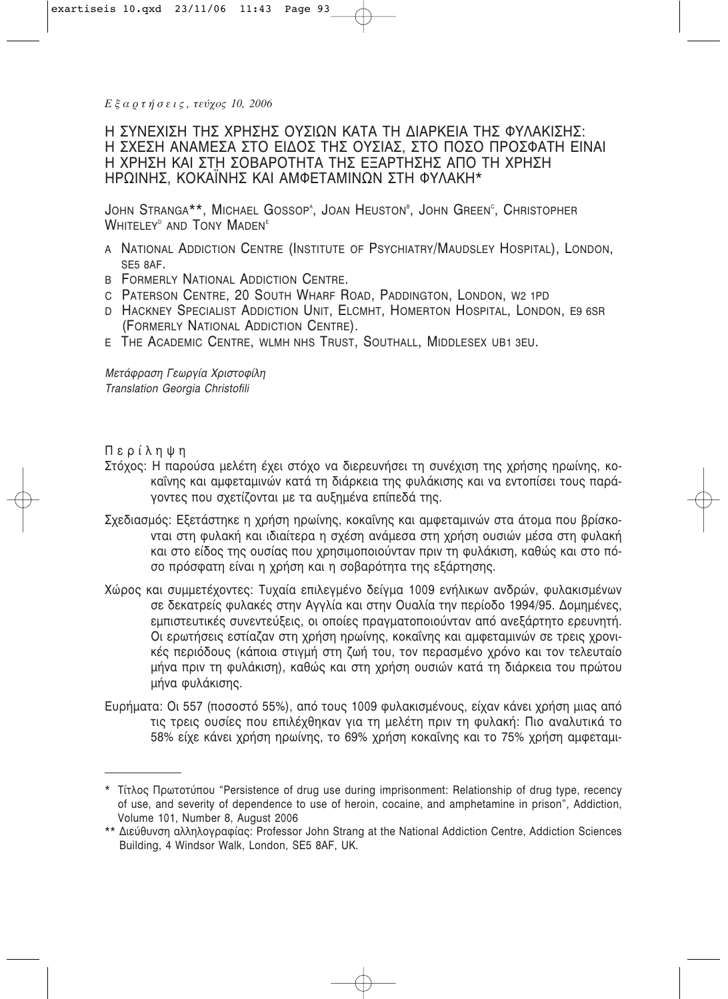*Ε ξ α ρ τ ή σ ε ι ς , τεύχος 10, 2006*

# Η ΣΥΝΕΧΙΣΗ ΤΗΣ ΧΡΗΣΗΣ ΟΥΣΙΩΝ ΚΑΤΑ ΤΗ ΔΙΑΡΚΕΙΑ ΤΗΣ ΦΥΛΑΚΙΣΗΣ: ΤΗ ΣΧΕΣΗ ΑΝΑΜΕΣΑ ΣΤΟ ΕΙΔΟΣ ΤΗΣ ΟΥΣΙΑΣ. ΣΤΟ ΠΟΣΟ ΠΡΟΣΦΑΤΗ ΕΙΝΑΙ Η ΧΡΗΣΗ ΚΑΙ ΣΤΗ ΣΟΒΑΡΟΤΗΤΑ ΤΗΣ ΕΞΑΡΤΗΣΗΣ ΑΠΟ ΤΗ ΧΡΗΣΗ ΗΡΩΙΝΗΣ, ΚΟΚΑΙΝΗΣ ΚΑΙ ΑΜΦΕΤΑΜΙΝΩΝ ΣΤΗ ΦΥΛΑΚΗ\*

JOHN STRANGA\*\*, MICHAEL GOSSOP^, JOAN HEUSTON<sup>8</sup>, JOHN GREEN<sup>6</sup>, CHRISTOPHER WHITELEY<sup>0</sup> AND TONY MADEN<sup>e</sup>

- A NATIONAL ADDICTION CENTRE (INSTITUTE OF PSYCHIATRY/MAUDSLEY HOSPITAL), LONDON, SE5 8AF.
- B FORMERLY NATIONAL ADDICTION CENTRE.
- C PATERSON CENTRE, 20 SOUTH WHARF ROAD, PADDINGTON, LONDON, W2 1PD
- D HACKNEY SPECIALIST ADDICTION UNIT, ELCMHT, HOMERTON HOSPITAL, LONDON, E9 6SR (FORMERLY NATIONAL ADDICTION CENTRE).
- E THE ACADEMIC CENTRE, WLMH NHS TRUST, SOUTHALL, MIDDLESEX UB1 3EU.

*Μετάφραση Γεωργία Χριστοφίλη Translation Georgia Christofili*

Περίληψη

- Στόχος: Η παρούσα μελέτη έχει στόχο να διερευνήσει τη συνέχιση της χρήσης ηρωίνης, κοκαΐνης και αμφεταμινών κατά τη διάρκεια της φυλάκισης και να εντοπίσει τους παράγοντες που σχετίζονται με τα αυξημένα επίπεδά της.
- Σχεδιασμός: Εξετάστηκε η χρήση ηρωίνης, κοκαΐνης και αμφεταμινών στα άτομα που βρίσκοvται στη φυλακή και ιδιαίτερα η σχέση ανάμεσα στη χρήση ουσιών μέσα στη φυλακή και στο είδος της ουσίας που χρησιμοποιούνταν πριν τη φυλάκιση, καθώς και στο πόσο πρόσφατη είναι η χρήση και η σοβαρότητα της εξάρτησης.
- Χώρος και συμμετέχοντες: Τυχαία επιλεγμένο δείγμα 1009 ενήλικων ανδρών, φυλακισμένων σε δεκατρείς φυλακές στην Αγγλία και στην Ουαλία την περίοδο 1994/95. Δομημένες, εμπιστευτικές συνεντεύξεις, οι οποίες πραγματοποιούνταν από ανεξάρτητο ερευνητή. Οι ερωτήσεις εστίαζαν στη χρήση ηρωίνης, κοκαΐνης και αμφεταμινών σε τρεις χρονικές περιόδους (κάποια στιγμή στη ζωή του, τον περασμένο χρόνο και τον τελευταίο μήνα πριν τη φυλάκιση), καθώς και στη χρήση ουσιών κατά τη διάρκεια του πρώτου μήνα φυλάκισης.
- Ευρήματα: Οι 557 (ποσοστό 55%), από τους 1009 φυλακισμένους, είχαν κάνει χρήση μιας από τις τρεις ουσίες που επιλέχθηκαν για τη μελέτη πριν τη φυλακή: Πιο αναλυτικά το 58% είχε κάνει χρήση ηρωίνης, το 69% χρήση κοκαΐνης και το 75% χρήση αμφεταμι-

<sup>\*</sup> Τίτλος Πρωτοτύπου "Persistence of drug use during imprisonment: Relationship of drug type, recency of use, and severity of dependence to use of heroin, cocaine, and amphetamine in prison", Addiction, Volume 101, Number 8, August 2006

<sup>\*\*</sup> Διεύθυνση αλληλογραφίας: Professor John Strang at the National Addiction Centre, Addiction Sciences Building, 4 Windsor Walk, London, SE5 8AF, UK.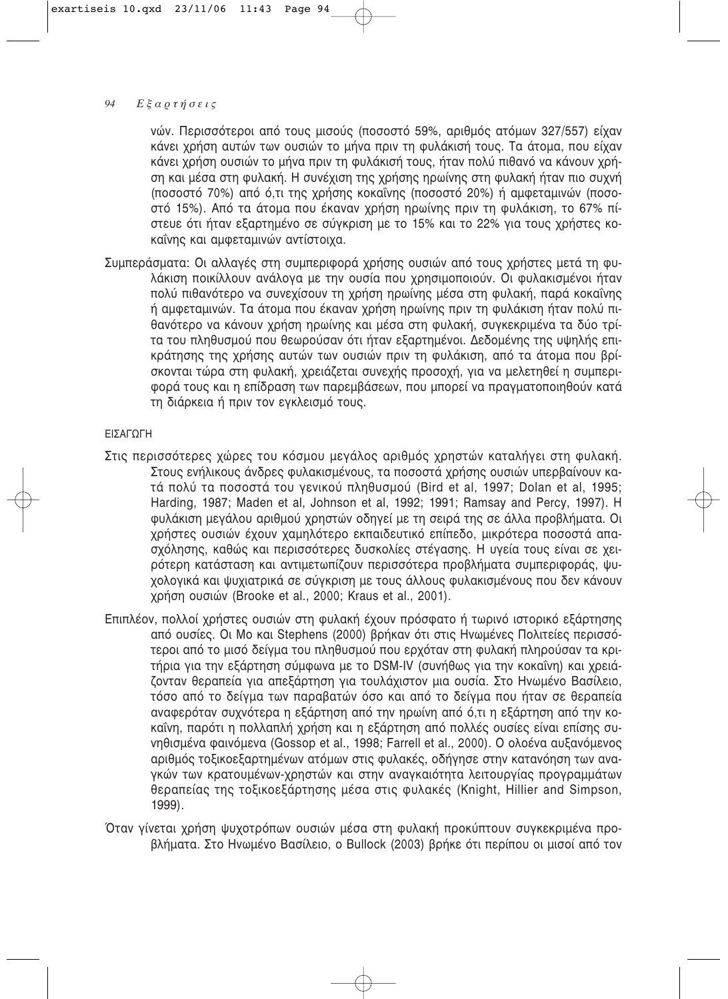νών. Περισσότεροι από τους μισούς (ποσοστό 59%, αριθμός ατόμων 327/557) είχαν κάνει χρήση αυτών των ουσιών το μήνα πριν τη φυλάκισή τους. Τα άτομα, που είχαν κάνει χρήση ουσιών το μήνα πριν τη φυλάκισή τους, ήταν πολύ πιθανό να κάνουν χρήση και μέσα στη φυλακή. Η συνέχιση της χρήσης ηρωίνης στη φυλακή ήταν πιο συχνή (ποσοστό 70%) από ό,τι της χρήσης κοκαΐνης (ποσοστό 20%) ή αμφεταμινών (ποσοστό 15%). Από τα άτομα που έκαναν χρήση ηρωίνης πριν τη φυλάκιση, το 67% πίστευε ότι ήταν εξαρτημένο σε σύγκριση με το 15% και το 22% για τους χρήστες κοκαΐνης και αμφεταμινών αντίστοιχα.

Συμπεράσματα: Οι αλλαγές στη συμπεριφορά χρήσης ουσιών από τους χρήστες μετά τη φυλάκιση ποικίλλουν ανάλογα με την ουσία που χρησιμοποιούν. Οι φυλακισμένοι ήταν πολύ πιθανότερο να συνεχίσουν τη χρήση ηρωίνης μέσα στη φυλακή, παρά κοκαΐνης ή αμφεταμινών. Τα άτομα που έκαναν χρήση ηρωίνης πριν τη φυλάκιση ήταν πολύ πιθανότερο να κάνουν χρήση ηρωίνης και μέσα στη φυλακή, συγκεκριμένα τα δύο τρίτα του πληθυσμού που θεωρούσαν ότι ήταν εξαρτημένοι. Δεδομένης της υψηλής επι-Κράτησης της χρήσης αυτών των ουσιών πριν τη φυλάκιση, από τα άτομα που βρίσκονται τώρα στη φυλακή, χρειάζεται συνεχής προσοχή, για να μελετηθεί η συμπεριφορά τους και η επίδραση των παρεμβάσεων, που μπορεί να πραγματοποιηθούν κατά τη διάρκεια ή πριν τον εγκλεισμό τους.

### ΕΙΣΑΓΩΓΗ

- Στις περισσότερες χώρες του κόσμου μεγάλος αριθμός χρηστών καταλήγει στη φυλακή. Στους ενήλικους άνδρες φυλακισμένους, τα ποσοστά χρήσης ουσιών υπερβαίνουν κατά πολύ τα ποσοστά του γενικού πληθυσμού (Bird et al, 1997; Dolan et al, 1995; Harding, 1987; Maden et al, Johnson et al, 1992; 1991; Ramsay and Percy, 1997). H φυλάκιση μεγάλου αριθμού χρηστών οδηγεί με τη σειρά της σε άλλα προβλήματα. Οι χρήστες ουσιών έχουν χαμηλότερο εκπαιδευτικό επίπεδο, μικρότερα ποσοστά απασχόλησης, καθώς και περισσότερες δυσκολίες στέγασης. Η υγεία τους είναι σε χειρότερη κατάσταση και αντιμετωπίζουν περισσότερα προβλήματα συμπεριφοράς, ψυχολογικά και ψυχιατρικά σε σύγκριση με τους άλλους φυλακισμένους που δεν κάνουν χρήση ουσιών (Brooke et al., 2000; Kraus et al., 2001).
- Επιπλέον, πολλοί χρήστες ουσιών στη φυλακή έχουν πρόσφατο ή τωρινό ιστορικό εξάρτησης από ουσίες. Οι Μο και Stephens (2000) βρήκαν ότι στις Ηνωμένες Πολιτείες περισσότεροι από το μισό δείγμα του πληθυσμού που ερχόταν στη φυλακή πληρούσαν τα κριτήρια για την εξάρτηση σύμφωνα με το DSM-IV (συνήθως για την κοκαΐνη) και χρειάζονταν θεραπεία για απεξάρτηση για τουλάχιστον μια ουσία. Στο Ηνωμένο Βασίλειο, τόσο από το δείγμα των παραβατών όσο και από το δείγμα που ήταν σε θεραπεία αναφερόταν συχνότερα η εξάρτηση από την ηρωίνη από ό,τι η εξάρτηση από την κοκαΐνη, παρότι η πολλαπλή χρήση και η εξάρτηση από πολλές ουσίες είναι επίσης συνηθισμένα φαινόμενα (Gossop et al., 1998; Farrell et al., 2000). Ο ολοένα αυξανόμενος αριθμός τοξικοεξαρτημένων ατόμων στις φυλακές, οδήγησε στην κατανόηση των αναγκών των κρατουμένων-χρηστών και στην αναγκαιότητα λειτουργίας προγραμμάτων θεραπείας της τοξικοεξάρτησης μέσα στις φυλακές (Knight, Hillier and Simpson, 1999).
- Όταν γίνεται χρήση ψυχοτρόπων ουσιών μέσα στη φυλακή προκύπτουν συγκεκριμένα προβλήματα. Στο Ηνωμένο Βασίλειο, ο Bullock (2003) βρήκε ότι περίπου οι μισοί από τον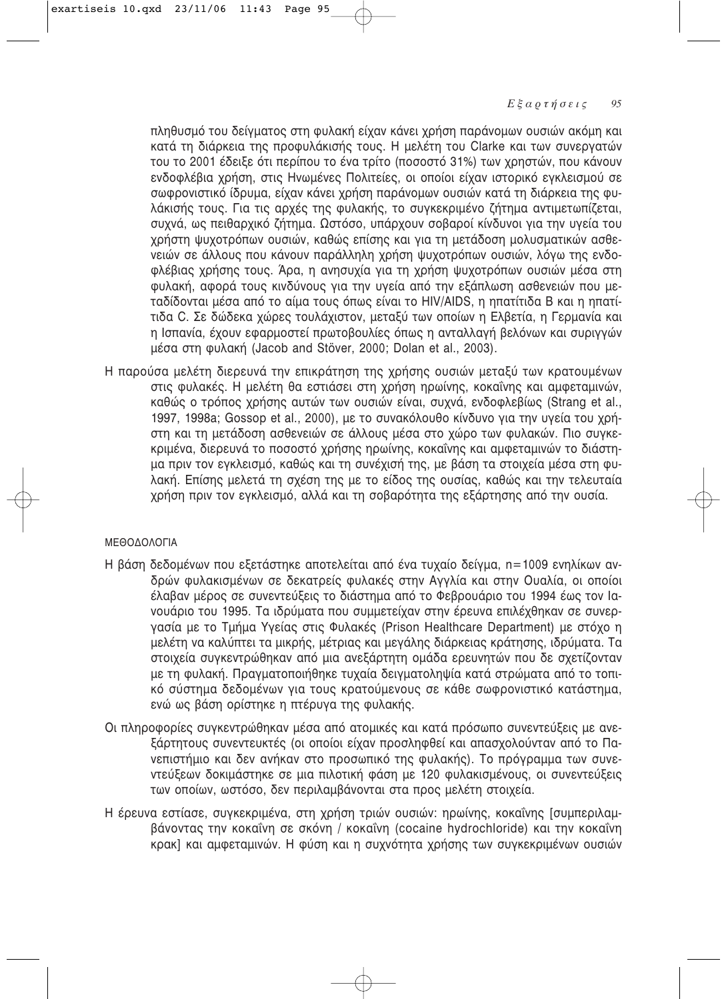πληθυσμό του δείγματος στη φυλακή είχαν κάνει χρήση παράνομων ουσιών ακόμη και κατά τη διάρκεια της προφυλάκισής τους. Η μελέτη του Clarke και των συνεργατών του το 2001 έδειξε ότι περίπου το ένα τρίτο (ποσοστό 31%) των χρηστών, που κάνουν ενδοφλέβια χρήση, στις Ηνωμένες Πολιτείες, οι οποίοι είχαν ιστορικό εγκλεισμού σε σωφρονιστικό ίδρυμα, είχαν κάνει χρήση παράνομων ουσιών κατά τη διάρκεια της φυλάκισής τους. Για τις αρχές της φυλακής, το συγκεκριμένο ζήτημα αντιμετωπίζεται, συχνά, ως πειθαρχικό ζήτημα. Ωστόσο, υπάρχουν σοβαροί κίνδυνοι για την υγεία του χρήστη ψυχοτρόπων ουσιών, καθώς επίσης και για τη μετάδοση μολυσματικών ασθε-Vειών σε άλλους που κάνουν παράλληλη χρήση ψυχοτρόπων ουσιών, λόγω της ενδο-Φλέβιας χρήσης τους. Άρα, η ανησυχία για τη χρήση ψυχοτρόπων ουσιών μέσα στη φυλακή, αφορά τους κινδύνους για την υγεία από την εξάπλωση ασθενειών που μεταδίδονται μέσα από το αίμα τους όπως είναι το HIV/AIDS, η ηπατίτιδα B και η ηπατίτιδα C. Σε δώδεκα χώρες τουλάχιστον, μεταξύ των οποίων η Ελβετία, η Γερμανία και η Ισπανία, έχουν εφαρμοστεί πρωτοβουλίες όπως η ανταλλαγή βελόνων και συριγγών μέσα στη φυλακή (Jacob and Stöver, 2000; Dolan et al., 2003).

Η παρούσα μελέτη διερευνά την επικράτηση της χρήσης ουσιών μεταξύ των κρατουμένων στις φυλακές. Η μελέτη θα εστιάσει στη χρήση ηρωίνης, κοκαΐνης και αμφεταμινών, καθώς ο τρόπος χρήσης αυτών των ουσιών είναι, συχνά, ενδοφλεβίως (Strang et al., 1997, 1998a; Gossop et al., 2000), με το συνακόλουθο κίνδυνο για την υγεία του χρήστη και τη μετάδοση ασθενειών σε άλλους μέσα στο χώρο των φυλακών. Πιο συγκε-Κριμένα, διερευνά το ποσοστό χρήσης ηρωίνης, κοκαΐνης και αμφεταμινών το διάστημα πριν τον εγκλεισμό, καθώς και τη συνέχισή της, με βάση τα στοιχεία μέσα στη φυλακή. Επίσης μελετά τη σχέση της με το είδος της ουσίας, καθώς και την τελευταία χρήση πριν τον εγκλεισμό, αλλά και τη σοβαρότητα της εξάρτησης από την ουσία.

## ΜΕΘΟΔΟΛΟΓΙΑ

- Η βάση δεδομένων που εξετάστηκε αποτελείται από ένα τυχαίο δείγμα, n=1009 ενηλίκων ανδρών φυλακισμένων σε δεκατρείς φυλακές στην Αγγλία και στην Ουαλία, οι οποίοι έλαβαν μέρος σε συνεντεύξεις το διάστημα από το Φεβρουάριο του 1994 έως τον Ιανουάριο του 1995. Τα ιδρύματα που συμμετείχαν στην έρευνα επιλέχθηκαν σε συνεργασία με το Τμήμα Υγείας στις Φυλακές (Prison Healthcare Department) με στόχο η μελέτη να καλύπτει τα μικρής, μέτριας και μεγάλης διάρκειας κράτησης, ιδρύματα. Τα στοιχεία συγκεντρώθηκαν από μια ανεξάρτητη ομάδα ερευνητών που δε σχετίζονταν με τη φυλακή. Πραγματοποιήθηκε τυχαία δειγματοληψία κατά στρώματα από το τοπι-Κό σύστημα δεδομένων για τους κρατούμενους σε κάθε σωφρονιστικό κατάστημα, ενώ ως βάση ορίστηκε η πτέρυγα της φυλακής.
- Οι πληροφορίες συγκεντρώθηκαν μέσα από ατομικές και κατά πρόσωπο συνεντεύξεις με ανεξάρτητους συνεντευκτές (οι οποίοι είχαν προσληφθεί και απασχολούνταν από το Πανεπιστήμιο και δεν ανήκαν στο προσωπικό της φυλακής). Το πρόγραμμα των συνε-VΤεύξεων δοκιμάστηκε σε μια πιλοτική φάση με 120 φυλακισμένους, οι συνεντεύξεις των οποίων, ωστόσο, δεν περιλαμβάνονται στα προς μελέτη στοιχεία.
- Η έρευνα εστίασε, συγκεκριμένα, στη χρήση τριών ουσιών: ηρωίνης, κοκαΐνης [συμπεριλαμβάνοντας την κοκαΐνη σε σκόνη / κοκαΐνη (cocaine hydrochloride) και την κοκαΐνη Κρακ] και αμφεταμινών. Η φύση και η συχνότητα χρήσης των συγκεκριμένων ουσιών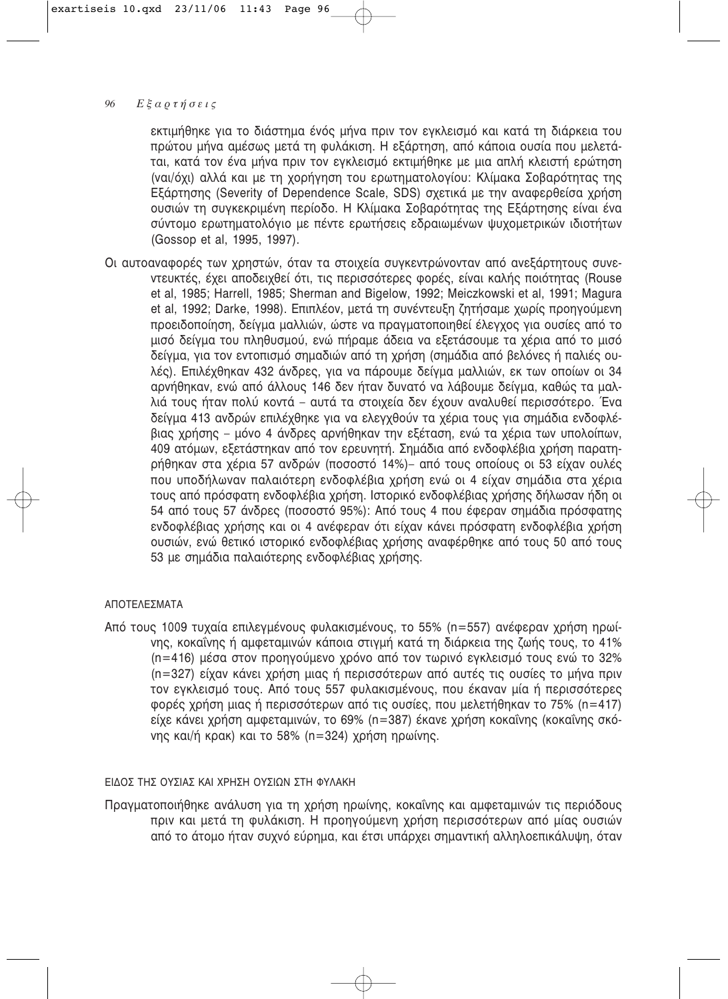εκτιμήθηκε για το διάστημα ένός μήνα πριν τον εγκλεισμό και κατά τη διάρκεια του πρώτου μήνα αμέσως μετά τη φυλάκιση. Η εξάρτηση, από κάποια ουσία που μελετάται, κατά τον ένα μήνα πριν τον εγκλεισμό εκτιμήθηκε με μια απλή κλειστή ερώτηση (ναι/όχι) αλλά και με τη χορήγηση του ερωτηματολογίου: Κλίμακα Σοβαρότητας της Eξάρτησης (Severity of Dependence Scale, SDS) σχετικά με την αναφερθείσα χρήση ουσιών τη συγκεκριμένη περίοδο. Η Κλίμακα Σοβαρότητας της Εξάρτησης είναι ένα σύντομο ερωτηματολόγιο με πέντε ερωτήσεις εδραιωμένων ψυχομετρικών ιδιοτήτων (Gossop et al, 1995, 1997).

Οι αυτοαναφορές των χρηστών, όταν τα στοιχεία συγκεντρώνονταν από ανεξάρτητους συνε-VΤευκτές, έχει αποδειχθεί ότι, τις περισσότερες φορές, είναι καλής ποιότητας (Rouse et al, 1985; Harrell, 1985; Sherman and Bigelow, 1992; Meiczkowski et al, 1991; Magura et al, 1992; Darke, 1998). Επιπλέον, μετά τη συνέντευξη ζητήσαμε χωρίς προηγούμενη προειδοποίηση, δείγμα μαλλιών, ώστε να πραγματοποιηθεί έλεγχος για ουσίες από το μισό δείγμα του πληθυσμού, ενώ πήραμε άδεια να εξετάσουμε τα χέρια από το μισό δείγμα, για τον εντοπισμό σημαδιών από τη χρήση (σημάδια από βελόνες ή παλιές ουλές). Επιλέχθηκαν 432 άνδρες, για να πάρουμε δείγμα μαλλιών, εκ των οποίων οι 34 αρνήθηκαν, ενώ από άλλους 146 δεν ήταν δυνατό να λάβουμε δείγμα, καθώς τα μαλλιά τους ήταν πολύ κοντά – αυτά τα στοιχεία δεν έχουν αναλυθεί περισσότερο. Ένα δείγμα 413 ανδρών επιλέχθηκε για να ελεγχθούν τα χέρια τους για σημάδια ενδοφλέβιας χρήσης – μόνο 4 άνδρες αρνήθηκαν την εξέταση, ενώ τα χέρια των υπολοίπων, 409 ατόμων, εξετάστηκαν από τον ερευνητή. Σημάδια από ενδοφλέβια χρήση παρατηρήθηκαν στα χέρια 57 ανδρών (ποσοστό 14%)– από τους οποίους οι 53 είχαν ουλές που υποδήλωναν παλαιότερη ενδοφλέβια χρήση ενώ οι 4 είχαν σημάδια στα χέρια τους από πρόσφατη ενδοφλέβια χρήση. Ιστορικό ενδοφλέβιας χρήσης δήλωσαν ήδη οι 54 από τους 57 άνδρες (ποσοστό 95%): Από τους 4 που έφεραν σημάδια πρόσφατης ενδοφλέβιας χρήσης και οι 4 ανέφεραν ότι είχαν κάνει πρόσφατη ενδοφλέβια χρήση ουσιών, ενώ θετικό ιστορικό ενδοφλέβιας χρήσης αναφέρθηκε από τους 50 από τους 53 με σημάδια παλαιότερης ενδοφλέβιας χρήσης.

### ∞¶√Δ∂§∂™ª∞Δ∞

Aπό τους 1009 τυχαία επιλεγμένους φυλακισμένους, το 55% (n=557) ανέφεραν χρήση ηρωίνης, κοκαΐνης ή αμφεταμινών κάποια στιγμή κατά τη διάρκεια της ζωής τους, το 41% (n=416) μέσα στον προηγούμενο χρόνο από τον τωρινό εγκλεισμό τους ενώ το 32% (n=327) είχαν κάνει χρήση μιας ή περισσότερων από αυτές τις ουσίες το μήνα πριν τον εγκλεισμό τους. Από τους 557 φυλακισμένους, που έκαναν μία ή περισσότερες φορές χρήση μιας ή περισσότερων από τις ουσίες, που μελετήθηκαν το 75% (n=417) είχε κάνει χρήση αμφεταμινών, το 69% (n=387) έκανε χρήση κοκαΐνης (κοκαΐνης σκόνης και/ή κρακ) και το 58% (n=324) χρήση ηρωίνης.

### ΕΙΔΟΣ ΤΗΣ ΟΥΣΙΑΣ ΚΑΙ ΧΡΗΣΗ ΟΥΣΙΩΝ ΣΤΗ ΦΥΛΑΚΗ

Πραγματοποιήθηκε ανάλυση για τη χρήση ηρωίνης, κοκαΐνης και αμφεταμινών τις περιόδους πριν και μετά τη φυλάκιση. Η προηγούμενη χρήση περισσότερων από μίας ουσιών από το άτομο ήταν συχνό εύρημα, και έτσι υπάρχει σημαντική αλληλοεπικάλυψη, όταν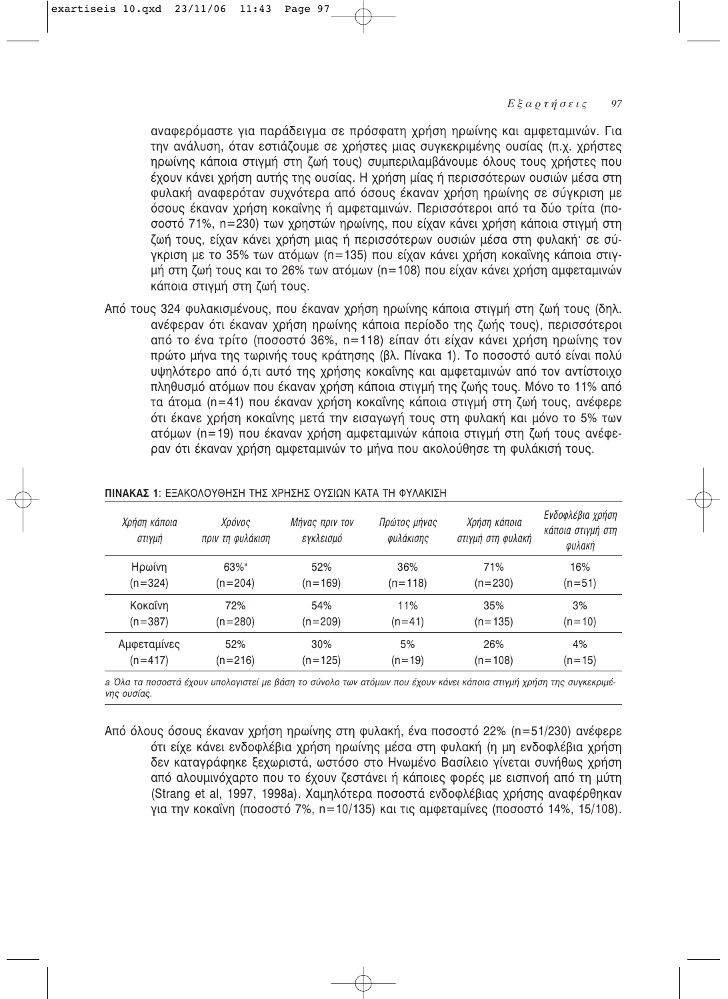αναφερόμαστε για παράδειγμα σε πρόσφατη χρήση ηρωίνης και αμφεταμινών. Για την ανάλυση, όταν εστιάζουμε σε χρήστες μιας συγκεκριμένης ουσίας (π.χ. χρήστες ηρωίνης κάποια στιγμή στη ζωή τους) συμπεριλαμβάνουμε όλους τους χρήστες που έχουν κάνει χρήση αυτής της ουσίας. Η χρήση μίας ή περισσότερων ουσιών μέσα στη φυλακή αναφερόταν συχνότερα από όσους έκαναν χρήση ηρωίνης σε σύγκριση με όσους έκαναν χρήση κοκαΐνης ή αμφεταμινών. Περισσότεροι από τα δύο τρίτα (ποσοστό 71%, n=230) των χρηστών ηρωίνης, που είχαν κάνει χρήση κάποια στιγμή στη ζωή τους, είχαν κάνει χρήση μιας ή περισσότερων ουσιών μέσα στη φυλακή· σε σύγκριση με το 35% των ατόμων (n=135) που είχαν κάνει χρήση κοκαΐνης κάποια στιγμή στη ζωή τους και το 26% των ατόμων (n=108) που είχαν κάνει χρήση αμφεταμινών κάποια στιγμή στη ζωή τους.

Aπό τους 324 φυλακισμένους, που έκαναν χρήση ηρωίνης κάποια στιγμή στη ζωή τους (δηλ. ανέφεραν ότι έκαναν χρήση ηρωίνης κάποια περίοδο της ζωής τους), περισσότεροι από το ένα τρίτο (ποσοστό 36%, n=118) είπαν ότι είχαν κάνει χρήση ηρωίνης τον πρώτο μήνα της τωρινής τους κράτησης (βλ. Πίνακα 1). Το ποσοστό αυτό είναι πολύ υψηλότερο από ό,τι αυτό της χρήσης κοκαΐνης και αμφεταμινών από τον αντίστοιχο πληθυσμό ατόμων που έκαναν χρήση κάποια στιγμή της ζωής τους. Μόνο το 11% από τα άτομα (n=41) που έκαναν χρήση κοκαΐνης κάποια στιγμή στη ζωή τους, ανέφερε ότι έκανε χρήση κοκαΐνης μετά την εισαγωγή τους στη φυλακή και μόνο το 5% των ατόμων (n=19) που έκαναν χρήση αμφεταμινών κάποια στιγμή στη ζωή τους ανέφεραν ότι έκαναν χρήση αμφεταμινών το μήνα που ακολούθησε τη φυλάκισή τους.

| Χρήση κάποια<br>στιγμή | Χρόνος<br>πριν τη φυλάκιση | Μήνας πριν τον<br>εγκλεισμό | Πρώτος μήνας<br>φυλάκισης | Χρήση κάποια<br>στιγμή στη φυλακή | Ενδοφλέβια χρήση<br>κάποια στιγμή στη<br>φυλακή |
|------------------------|----------------------------|-----------------------------|---------------------------|-----------------------------------|-------------------------------------------------|
| Ηρωίνη                 | $63\%$ <sup>a</sup>        | 52%                         | 36%                       | 71%                               | 16%                                             |
| $(n=324)$              | $(n=204)$                  | $(n=169)$                   | $(n=118)$                 | $(n=230)$                         | $(n=51)$                                        |
| Κοκαΐνη                | 72%                        | 54%                         | 11%                       | 35%                               | 3%                                              |
| $(n=387)$              | $(n=280)$                  | $(n=209)$                   | $(n=41)$                  | $(n=135)$                         | $(n=10)$                                        |
| Αμφεταμίνες            | 52%                        | 30%                         | 5%                        | 26%                               | 4%                                              |
| $(n=417)$              | (n=216)                    | $(n=125)$                   | $(n=19)$                  | $(n=108)$                         | $(n=15)$                                        |

### **ΠΙΝΑΚΑΣ 1: F=ΑΚΟΛΟΥΘΗΣΗ ΤΗΣ ΧΡΗΣΗΣ ΩΥΣΙΟΝ ΚΑΤΑ ΤΗ ΦΥΛΑΚΙΣΗ**

*a Όλα τα ποσοστά έχουν υπολογιστεί με βάση το σύνολο των ατόμων που έχουν κάνει κάποια στιγμή χρήση της συγκεκριμέ*νης ουσίας.

Aπό όλους όσους έκαναν χρήση ηρωίνης στη φυλακή, ένα ποσοστό 22% (n=51/230) ανέφερε ότι είχε κάνει ενδοφλέβια χρήση ηρωίνης μέσα στη φυλακή (η μη ενδοφλέβια χρήση δεν καταγράφηκε ξεχωριστά, ωστόσο στο Ηνωμένο Βασίλειο γίνεται συνήθως χρήση από αλουμινόχαρτο που το έχουν ζεστάνει ή κάποιες φορές με εισπνοή από τη μύτη (Strang et al, 1997, 1998a). Χαμηλότερα ποσοστά ενδοφλέβιας χρήσης αναφέρθηκαν για την κοκαΐνη (ποσοστό 7%, n=10/135) και τις αμφεταμίνες (ποσοστό 14%, 15/108).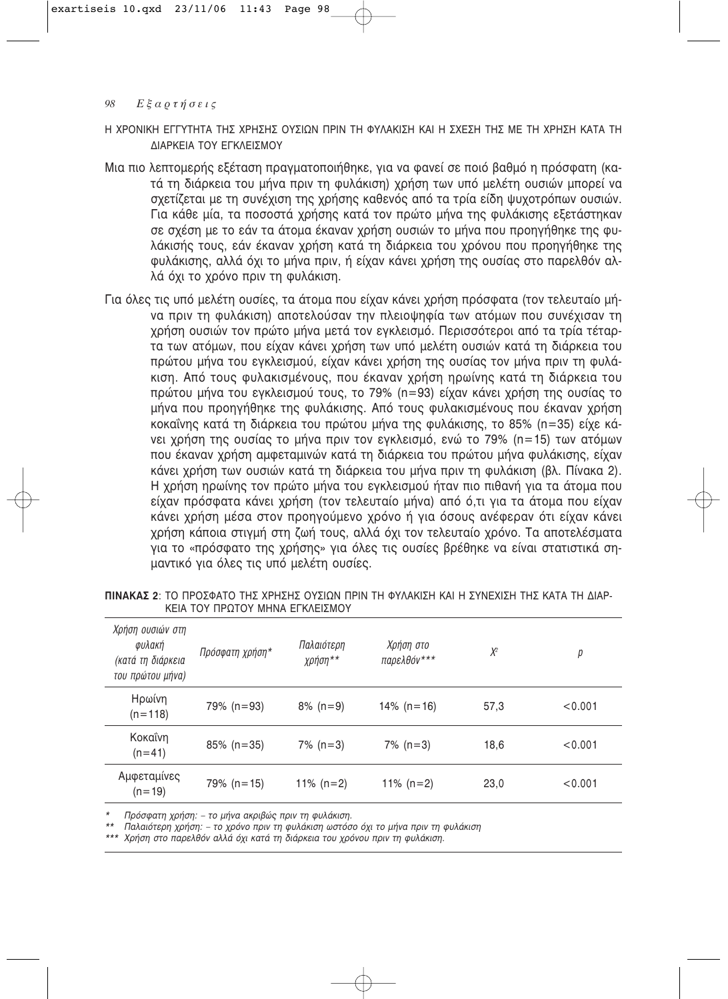### 98  $E$ ξαρτήσεις

- H XPONIKH FELYTHTA THE XPHEHE OYEION DPIN TH ΦΥΛΑΚΙΣΗ ΚΑΙ Η ΣΧΕΣΗ ΤΗΣ ΜΕ ΤΗ ΧΡΗΣΗ ΚΑΤΑ ΤΗ ΔΙΑΡΚΕΙΑ ΤΟΥ ΕΓΚΛΕΙΣΜΟΥ
- Μια πιο λεπτομερής εξέταση πραγματοποιήθηκε, για να φανεί σε ποιό βαθμό η πρόσφατη (κατά τη διάρκεια του μήνα πριν τη φυλάκιση) χρήση των υπό μελέτη ουσιών μπορεί να σχετίζεται με τη συνέχιση της χρήσης καθενός από τα τρία είδη ψυχοτρόπων ουσιών. Για κάθε μία, τα ποσοστά χρήσης κατά τον πρώτο μήνα της φυλάκισης εξετάστηκαν σε σχέση με το εάν τα άτομα έκαναν χρήση ουσιών το μήνα που προηγήθηκε της φυλάκισής τους, εάν έκαναν χρήση κατά τη διάρκεια του χρόνου που προηγήθηκε της φυλάκισης, αλλά όχι το μήνα πριν, ή είχαν κάνει χρήση της ουσίας στο παρελθόν αλλά όχι το χρόνο πριν τη φυλάκιση.
- Για όλες τις υπό μελέτη ουσίες, τα άτομα που είχαν κάνει χρήση πρόσφατα (τον τελευταίο μήνα πριν τη φυλάκιση) αποτελούσαν την πλειοψηφία των ατόμων που συνέχισαν τη χρήση ουσιών τον πρώτο μήνα μετά τον εγκλεισμό. Περισσότεροι από τα τρία τέταρτα των ατόμων, που είχαν κάνει χρήση των υπό μελέτη ουσιών κατά τη διάρκεια του πρώτου μήνα του εγκλεισμού, είχαν κάνει χρήση της ουσίας τον μήνα πριν τη φυλάκιση. Από τους φυλακισμένους, που έκαναν χρήση ηρωίνης κατά τη διάρκεια του πρώτου μήνα του εγκλεισμού τους, το 79% (n=93) είχαν κάνει χρήση της ουσίας το μήνα που προηγήθηκε της φυλάκισης. Από τους φυλακισμένους που έκαναν χρήση κοκαΐνης κατά τη διάρκεια του πρώτου μήνα της φυλάκισης, το 85% (n=35) είχε κάνει χρήση της ουσίας το μήνα πριν τον εγκλεισμό, ενώ το 79% (n=15) των ατόμων που έκαναν χρήση αμφεταμινών κατά τη διάρκεια του πρώτου μήνα φυλάκισης, είχαν κάνει χρήση των ουσιών κατά τη διάρκεια του μήνα πριν τη φυλάκιση (βλ. Πίνακα 2). Η χρήση ηρωίνης τον πρώτο μήνα του εγκλεισμού ήταν πιο πιθανή για τα άτομα που είχαν πρόσφατα κάνει χρήση (τον τελευταίο μήνα) από ό,τι για τα άτομα που είχαν κάνει χρήση μέσα στον προηγούμενο χρόνο ή για όσους ανέφεραν ότι είχαν κάνει χρήση κάποια στιγμή στη ζωή τους, αλλά όχι τον τελευταίο χρόνο. Τα αποτελέσματα για το «πρόσφατο της χρήσης» για όλες τις ουσίες βρέθηκε να είναι στατιστικά σημαντικό για όλες τις υπό μελέτη ουσίες.

| Χρήση ουσιών στη<br>φυλακή<br>(κατά τη διάρκεια<br>του πρώτου μήνα) | Πρόσφατη χρήση* | Παλαιότερη<br>χρήση** | Χρήση στο<br>παρελθόν*** | $X^2$ | р       |
|---------------------------------------------------------------------|-----------------|-----------------------|--------------------------|-------|---------|
| Ηρωίνη<br>$(n=118)$                                                 | 79% (n=93)      | $8\%$ (n=9)           | 14% (n=16)               | 57,3  | < 0.001 |
| Κοκαΐνη<br>$(n=41)$                                                 | $85\%$ (n=35)   | $7\%$ (n=3)           | $7\%$ (n=3)              | 18,6  | < 0.001 |
| Αμφεταμίνες<br>$(n=19)$                                             | $79\%$ (n=15)   | 11% $(n=2)$           | 11% $(n=2)$              | 23,0  | < 0.001 |

| ΠΙΝΑΚΑΣ 2: ΤΟ ΠΡΟΣΦΑΤΟ ΤΗΣ ΧΡΗΣΗΣ ΟΥΣΙΩΝ ΠΡΙΝ ΤΗ ΦΥΛΑΚΙΣΗ ΚΑΙ Η ΣΥΝΕΧΙΣΗ ΤΗΣ ΚΑΤΑ ΤΗ ΔΙΑΡ- |                                 |  |  |  |
|--------------------------------------------------------------------------------------------|---------------------------------|--|--|--|
|                                                                                            | ΚΕΙΑ ΤΟΥ ΠΡΩΤΟΥ ΜΗΝΑ ΕΓΚΛΕΙΣΜΟΥ |  |  |  |

\* Πρόσφατη χρήση: - το μήνα ακριβώς πριν τη φυλάκιση.

\*\* Παλαιότερη χρήση: - το χρόνο πριν τη φυλάκιση ωστόσο όχι το μήνα πριν τη φυλάκιση

\*\*\* Χρήση στο παρελθόν αλλά όχι κατά τη διάρκεια του χρόνου πριν τη φυλάκιση.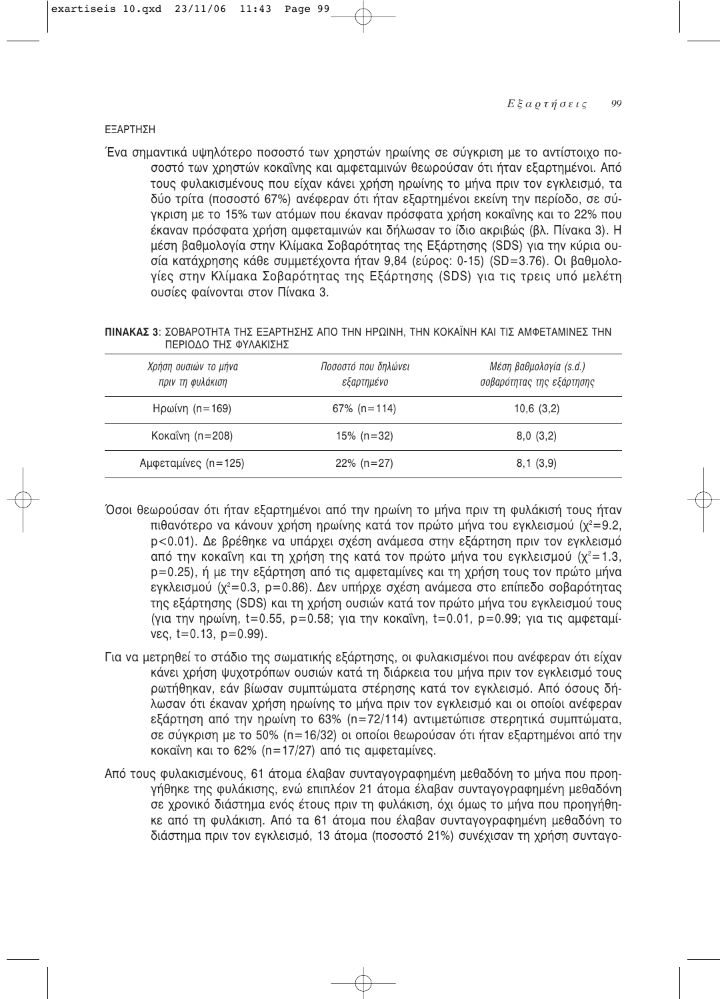### **F=**АРТН∑Н

Ένα σημαντικά υψηλότερο ποσοστό των χρηστών ηρωίνης σε σύγκριση με το αντίστοιχο ποσοστό των χρηστών κοκαΐνης και αμφεταμινών θεωρούσαν ότι ήταν εξαρτημένοι. Από τους φυλακισμένους που είχαν κάνει χρήση ηρωίνης το μήνα πριν τον εγκλεισμό, τα δύο τρίτα (ποσοστό 67%) ανέφεραν ότι ήταν εξαρτημένοι εκείνη την περίοδο, σε σύγκριση με το 15% των ατόμων που έκαναν πρόσφατα χρήση κοκαΐνης και το 22% που έκαναν πρόσφατα χρήση αμφεταμινών και δήλωσαν το ίδιο ακριβώς (βλ. Πίνακα 3). Η μέση βαθμολογία στην Κλίμακα Σοβαρότητας της Εξάρτησης (SDS) για την κύρια ουσία κατάχρησης κάθε συμμετέχοντα ήταν 9,84 (εύρος: 0-15) (SD=3.76). Οι βαθμολογίες στην Κλίμακα Σοβαρότητας της Εξάρτησης (SDS) για τις τρεις υπό μελέτη ουσίες φαίνονται στον Πίνακα 3.

**ΠΙΝΑΚΑΣ 3: ΣΟΒΑΡΟΤΗΤΑ ΤΗΣ ΕΞΑΡΤΗΣΗΣ ΑΠΟ ΤΗΝ ΗΡΩΙΝΗ. ΤΗΝ ΚΟΚΑΪΝΗ ΚΑΙ ΤΙΣ ΑΜΦΕΤΑΜΙΝΕΣ ΤΗΝ** ΠΕΡΙΟΔΟ ΤΗΣ ΦΥΛΑΚΙΣΗΣ

| Χρήση ουσιών το μήνα<br>πριν τη φυλάκιση | Ποσοστό που δηλώνει<br>εξαρτημένο | Μέση βαθμολογία (s.d.)<br>σοβαρότητας της εξάρτησης |  |  |
|------------------------------------------|-----------------------------------|-----------------------------------------------------|--|--|
| $Hρωίνη (n=169)$                         | 67% (n=114)                       | 10,6(3,2)                                           |  |  |
| Κοκαΐνη (n=208)                          | 15% (n=32)                        | 8,0(3,2)                                            |  |  |
| Αμφεταμίνες (n=125)                      | $22\%$ (n=27)                     | 8,1(3,9)                                            |  |  |

- Όσοι θεωρούσαν ότι ήταν εξαρτημένοι από την ηρωίνη το μήνα πριν τη φυλάκισή τους ήταν πιθανότερο να κάνουν χρήση ηρωίνης κατά τον πρώτο μήνα του εγκλεισμού (χ²=9.2, p<0.01). Δε βρέθηκε να υπάρχει σχέση ανάμεσα στην εξάρτηση πριν τον εγκλεισμό από την κοκαΐνη και τη χρήση της κατά τον πρώτο μήνα του εγκλεισμού (χ²=1.3,  $p=0.25$ ), ή με την εξάρτηση από τις αμφεταμίνες και τη χρήση τους τον πρώτο μήνα εγκλεισμού (χ²=0.3, p=0.86). Δεν υπήρχε σχέση ανάμεσα στο επίπεδο σοβαρότητας της εξάρτησης (SDS) και τη χρήση ουσιών κατά τον πρώτο μήνα του ενκλεισμού τους (για την ηρωίνη, t=0.55, p=0.58; για την κοκαΐνη, t=0.01, p=0.99; για τις αμφεταμί $vες, t=0.13, p=0.99$ ).
- Για να μετρηθεί το στάδιο της σωματικής εξάρτησης, οι φυλακισμένοι που ανέφεραν ότι είχαν κάνει χρήση ψυχοτρόπων ουσιών κατά τη διάρκεια του μήνα πριν τον εγκλεισμό τους ρωτήθηκαν, εάν βίωσαν συμπτώματα στέρησης κατά τον εγκλεισμό. Από όσους δήλωσαν ότι έκαναν χρήση ηρωίνης το μήνα πριν τον εγκλεισμό και οι οποίοι ανέφεραν εξάρτηση από την ηρωίνη το 63% (n=72/114) αντιμετώπισε στερητικά συμπτώματα, σε σύγκριση με το 50% (n=16/32) οι οποίοι θεωρούσαν ότι ήταν εξαρτημένοι από την  $K$ οκαΐνη και το 62% (n=17/27) από τις αμφεταμίνες.
- Aπό τους φυλακισμένους, 61 άτομα έλαβαν συνταγογραφημένη μεθαδόνη το μήνα που προηγήθηκε της φυλάκισης, ενώ επιπλέον 21 άτομα έλαβαν συνταγογραφημένη μεθαδόνη σε χρονικό διάστημα ενός έτους πριν τη φυλάκιση, όχι όμως το μήνα που προηγήθηκε από τη φυλάκιση. Από τα 61 άτομα που έλαβαν συνταγογραφημένη μεθαδόνη το διάστημα πριν τον εγκλεισμό, 13 άτομα (ποσοστό 21%) συνέχισαν τη χρήση συνταγο-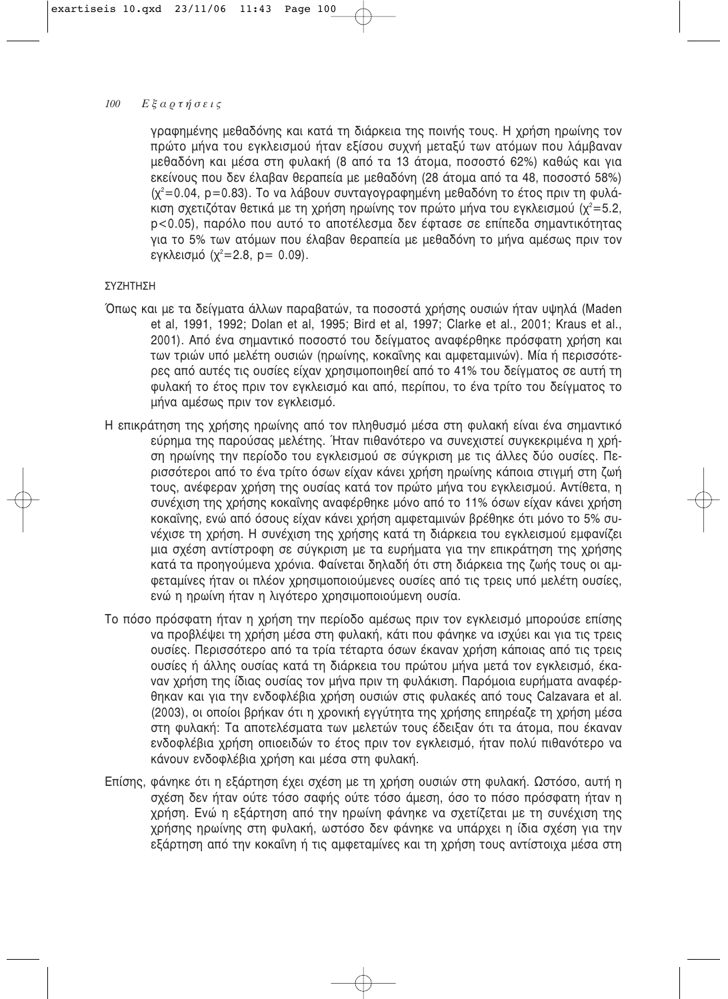γραφημένης μεθαδόνης και κατά τη διάρκεια της ποινής τους. Η χρήση ηρωίνης τον πρώτο μήνα του εγκλεισμού ήταν εξίσου συχνή μεταξύ των ατόμων που λάμβαναν μεθαδόνη και μέσα στη φυλακή (8 από τα 13 άτομα, ποσοστό 62%) καθώς και για εκείνους που δεν έλαβαν θεραπεία με μεθαδόνη (28 άτομα από τα 48, ποσοστό 58%) (χ´=0.04, p=0.83). Το να λάβουν συνταγογραφημένη μεθαδόνη το έτος πριν τη φυλάκιση σχετιζόταν θετικά με τη χρήση ηρωίνης τον πρώτο μήνα του εγκλεισμού (χ²=5.2, p<0.05), παρόλο που αυτό το αποτέλεσμα δεν έφτασε σε επίπεδα σημαντικότητας για το 5% των ατόμων που έλαβαν θεραπεία με μεθαδόνη το μήνα αμέσως πριν τον εγκλεισμό (χ²=2.8, p= 0.09).

### ΣΥΖΗΤΗΣΗ

- Όπως και με τα δείγματα άλλων παραβατών, τα ποσοστά χρήσης ουσιών ήταν υψηλά (Maden et al, 1991, 1992; Dolan et al, 1995; Bird et al, 1997; Clarke et al., 2001; Kraus et al., 2001). Από ένα σημαντικό ποσοστό του δείγματος αναφέρθηκε πρόσφατη χρήση και των τριών υπό μελέτη ουσιών (ηρωίνης, κοκαΐνης και αμφεταμινών). Μία ή περισσότερες από αυτές τις ουσίες είχαν χρησιμοποιηθεί από το 41% του δείγματος σε αυτή τη φυλακή το έτος πριν τον εγκλεισμό και από, περίπου, το ένα τρίτο του δείγματος το μήνα αμέσως πριν τον εγκλεισμό.
- Η επικράτηση της χρήσης ηρωίνης από τον πληθυσμό μέσα στη φυλακή είναι ένα σημαντικό εύρημα της παρούσας μελέτης. Ήταν πιθανότερο να συνεχιστεί συγκεκριμένα η χρήση ηρωίνης την περίοδο του ενκλεισμού σε σύνκριση με τις άλλες δύο ουσίες. Πεοισσότεροι από το ένα τρίτο όσων είχαν κάνει χρήση ηρωίνης κάποια στινμή στη ζωή τους, ανέφεραν χρήση της ουσίας κατά τον πρώτο μήνα του ενκλεισμού. Αντίθετα. n συνέχιση της χρήσης κοκαΐνης αναφέρθηκε μόνο από το 11% όσων είχαν κάνει χρήση Κοκαΐνης, ενώ από όσους είχαν κάνει χρήση αμφεταμινών βρέθηκε ότι μόνο το 5% συνέχισε τη χρήση. Η συνέχιση της χρήσης κατά τη διάρκεια του εγκλεισμού εμφανίζει μια σχέση αντίστροφη σε σύγκριση με τα ευρήματα για την επικράτηση της χρήσης κατά τα προηγούμενα χρόνια. Φαίνεται δηλαδή ότι στη διάρκεια της ζωής τους οι αμ-Φεταμίνες ήταν οι πλέον χρησιμοποιούμενες ουσίες από τις τρεις υπό μελέτη ουσίες, ενώ η ηρωίνη ήταν η λιγότερο χρησιμοποιούμενη ουσία.
- Το πόσο πρόσφατη ήταν η χρήση την περίοδο αμέσως πριν τον ενκλεισμό μπορούσε επίσης να προβλέψει τη χρήση μέσα στη φυλακή, κάτι που φάνηκε να ισχύει και για τις τρεις ουσίες. Περισσότερο από τα τρία τέταρτα όσων έκαναν χρήση κάποιας από τις τρεις ουσίες ή άλλης ουσίας κατά τη διάρκεια του πρώτου μήνα μετά τον εγκλεισμό, έκαvαν χρήση της ίδιας ουσίας τον μήνα πριν τη φυλάκιση. Παρόμοια ευρήματα αναφέρθηκαν και για την ενδοφλέβια χρήση ουσιών στις φυλακές από τους Calzavara et al. (2003), οι οποίοι βρήκαν ότι η χρονική εγγύτητα της χρήσης επηρέαζε τη χρήση μέσα στη φυλακή: Τα αποτελέσματα των μελετών τους έδειξαν ότι τα άτομα, που έκαναν ενδοφλέβια χρήση οπιοειδών το έτος πριν τον εγκλεισμό, ήταν πολύ πιθανότερο να κάνουν ενδοφλέβια χρήση και μέσα στη φυλακή.
- Επίσης, φάνηκε ότι η εξάρτηση έχει σχέση με τη χρήση ουσιών στη φυλακή. Ωστόσο, αυτή η σχέση δεν ήταν ούτε τόσο σαφής ούτε τόσο άμεση, όσο το πόσο πρόσφατη ήταν η χρήση. Ενώ η εξάρτηση από την ηρωίνη φάνηκε να σχετίζεται με τη συνέχιση της χρήσης ηρωίνης στη φυλακή, ωστόσο δεν φάνηκε να υπάρχει η ίδια σχέση για την εξάρτηση από την κοκαΐνη ή τις αμφεταμίνες και τη χρήση τους αντίστοιχα μέσα στη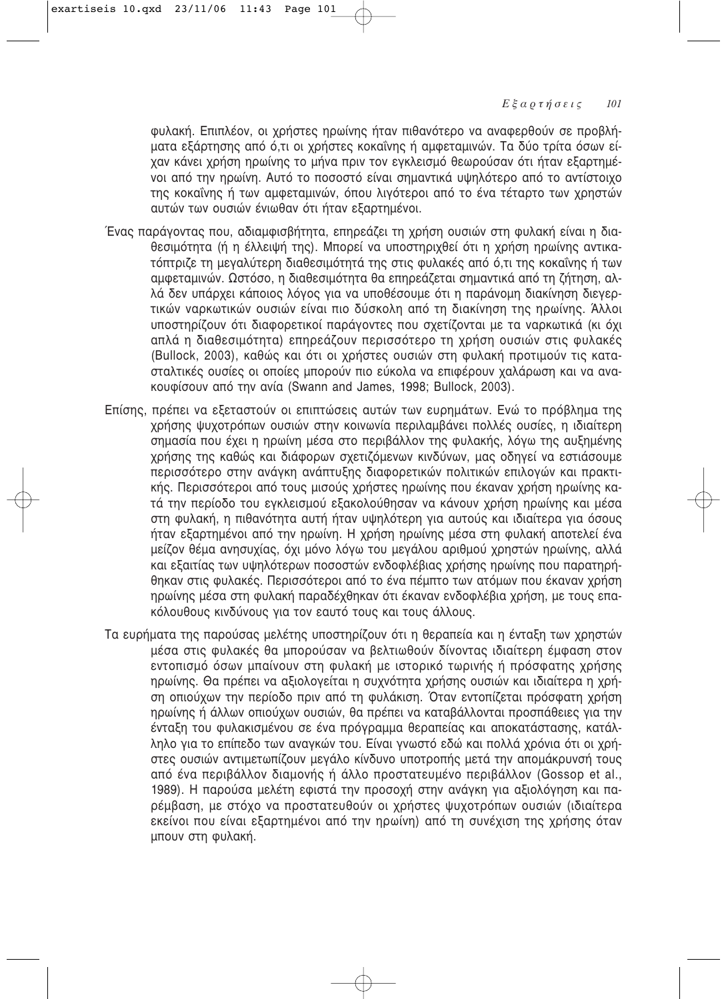φυλακή. Επιπλέον, οι χρήστες ηρωίνης ήταν πιθανότερο να αναφερθούν σε προβλήματα εξάρτησης από ό,τι οι χρήστες κοκαΐνης ή αμφεταμινών. Τα δύο τρίτα όσων είχαν κάνει χρήση ηρωίνης το μήνα πριν τον εγκλεισμό θεωρούσαν ότι ήταν εξαρτημένοι από την ηρωίνη. Αυτό το ποσοστό είναι σημαντικά υψηλότερο από το αντίστοιχο της κοκαΐνης ή των αμφεταμινών, όπου λιγότεροι από το ένα τέταρτο των χρηστών αυτών των ουσιών ένιωθαν ότι ήταν εξαρτημένοι.

- Ένας παράγοντας που, αδιαμφισβήτητα, επηρεάζει τη χρήση ουσιών στη φυλακή είναι η διαθεσιμότητα (ή η έλλειψή της). Μπορεί να υποστηριχθεί ότι η χρήση ηρωίνης αντικατόπτριζε τη μεγαλύτερη διαθεσιμότητά της στις φυλακές από ό,τι της κοκαΐνης ή των αμφεταμινών. Ωστόσο, η διαθεσιμότητα θα επηρεάζεται σημαντικά από τη ζήτηση, αλλά δεν υπάρχει κάποιος λόγος για να υποθέσουμε ότι η παράνομη διακίνηση διεγερτικών ναρκωτικών ουσιών είναι πιο δύσκολη από τη διακίνηση της ηρωίνης. Άλλοι υποστηρίζουν ότι διαφορετικοί παράγοντες που σχετίζονται με τα ναρκωτικά (κι όχι απλά η διαθεσιμότητα) επηρεάζουν περισσότερο τη χρήση ουσιών στις φυλακές (Bullock, 2003), καθώς και ότι οι χρήστες ουσιών στη φυλακή προτιμούν τις κατασταλτικές ουσίες οι οποίες μπορούν πιο εύκολα να επιφέρουν χαλάρωση και να ανακουφίσουν από την ανία (Swann and James, 1998; Bullock, 2003).
- Επίσης, πρέπει να εξεταστούν οι επιπτώσεις αυτών των ευρημάτων. Ενώ το πρόβλημα της χρήσης ψυχοτρόπων ουσιών στην κοινωνία περιλαμβάνει πολλές ουσίες, η ιδιαίτερη σημασία που έχει η ηρωίνη μέσα στο περιβάλλον της φυλακής, λόγω της αυξημένης χρήσης της καθώς και διάφορων σχετιζόμενων κινδύνων, μας οδηγεί να εστιάσουμε περισσότερο στην ανάγκη ανάπτυξης διαφορετικών πολιτικών επιλογών και πρακτικής. Περισσότεροι από τους μισούς χρήστες ηρωίνης που έκαναν χρήση ηρωίνης κατά την περίοδο του εγκλεισμού εξακολούθησαν να κάνουν χρήση ηρωίνης και μέσα στη φυλακή, η πιθανότητα αυτή ήταν υψηλότερη για αυτούς και ιδιαίτερα για όσους ήταν εξαρτημένοι από την ηρωίνη. Η χρήση ηρωίνης μέσα στη φυλακή αποτελεί ένα μείζον θέμα ανησυχίας, όχι μόνο λόγω του μεγάλου αριθμού χρηστών ηρωίνης, αλλά και εξαιτίας των υψηλότερων ποσοστών ενδοφλέβιας χρήσης ηρωίνης που παρατηρήθηκαν στις φυλακές. Περισσότεροι από το ένα πέμπτο των ατόμων που έκαναν χρήση nοωίνης μέσα στη φυλακή παραδέχθηκαν ότι έκαναν ενδοφλέβια χρήση, με τους επακόλουθους κινδύνους για τον εαυτό τους και τους άλλους.
- Τα ευρήματα της παρούσας μελέτης υποστηρίζουν ότι η θεραπεία και η ένταξη των χρηστών μέσα στις φυλακές θα μπορούσαν να βελτιωθούν δίνοντας ιδιαίτερη έμφαση στον εντοπισμό όσων μπαίνουν στη φυλακή με ιστορικό τωρινής ή πρόσφατης χρήσης ηρωίνης. Θα πρέπει να αξιολογείται η συχνότητα χρήσης ουσιών και ιδιαίτερα η χρήση οπιούχων την περίοδο πριν από τη φυλάκιση. Όταν εντοπίζεται πρόσφατη χρήση ηρωίνης ή άλλων οπιούχων ουσιών, θα πρέπει να καταβάλλονται προσπάθειες για την ένταξη του φυλακισμένου σε ένα πρόγραμμα θεραπείας και αποκατάστασης, κατάλληλο για το επίπεδο των αναγκών του. Είναι γνωστό εδώ και πολλά χρόνια ότι οι χρήστες ουσιών αντιμετωπίζουν μεγάλο κίνδυνο υποτροπής μετά την απομάκρυνσή τους από ένα περιβάλλον διαμονής ή άλλο προστατευμένο περιβάλλον (Gossop et al., 1989). Η παρούσα μελέτη εφιστά την προσοχή στην ανάγκη για αξιολόγηση και παρέμβαση, με στόχο να προστατευθούν οι χρήστες ψυχοτρόπων ουσιών (ιδιαίτερα εκείνοι που είναι εξαρτημένοι από την ηρωίνη) από τη συνέχιση της χρήσης όταν μπουν στη φυλακή.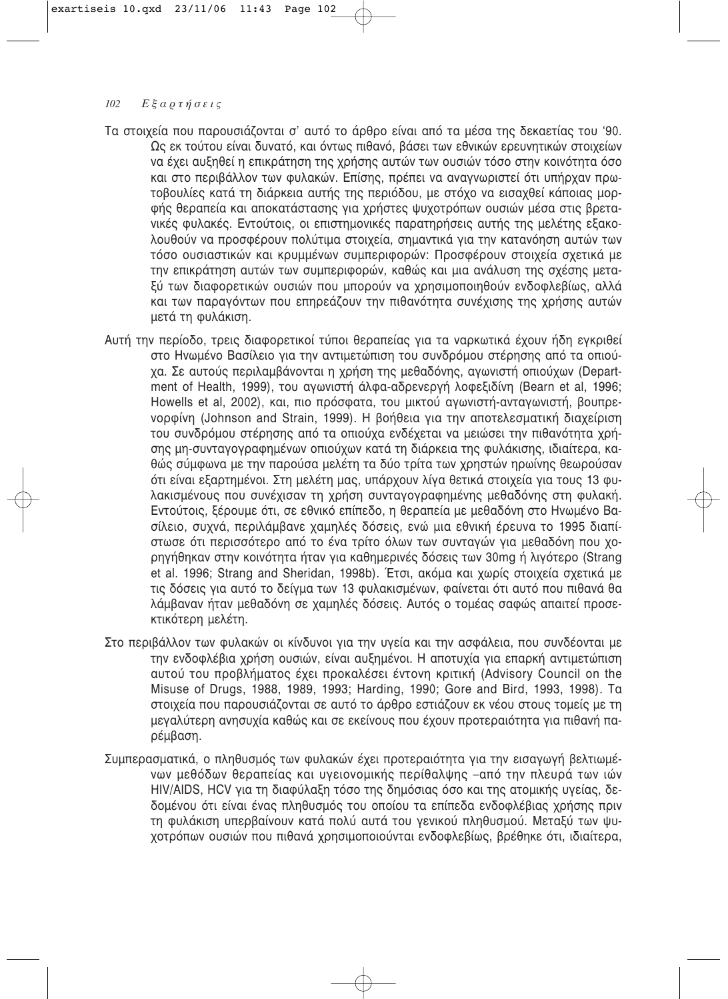- Τα στοιχεία που παρουσιάζονται σ' αυτό το άρθρο είναι από τα μέσα της δεκαετίας του '90. Ως εκ τούτου είναι δυνατό, και όντως πιθανό, βάσει των εθνικών ερευνητικών στοιχείων να έχει αυξηθεί η επικράτηση της χρήσης αυτών των ουσιών τόσο στην κοινότητα όσο και στο περιβάλλον των φυλακών. Επίσης, πρέπει να αναγνωριστεί ότι υπήρχαν πρωτοβουλίες κατά τη διάρκεια αυτής της περιόδου, με στόχο να εισαχθεί κάποιας μορφής θεραπεία και αποκατάστασης για χρήστες ψυχοτρόπων ουσιών μέσα στις βρετανικές φυλακές. Εντούτοις, οι επιστημονικές παρατηρήσεις αυτής της μελέτης εξακολουθούν να προσφέρουν πολύτιμα στοιχεία, σημαντικά για την κατανόηση αυτών των τόσο ουσιαστικών και κρυμμένων συμπεριφορών: Προσφέρουν στοιχεία σχετικά με την επικράτηση αυτών των συμπεριφορών, καθώς και μια ανάλυση της σχέσης μεταξύ των διαφορετικών ουσιών που μπορούν να χρησιμοποιηθούν ενδοφλεβίως, αλλά και των παραγόντων που επηρεάζουν την πιθανότητα συνέχισης της χρήσης αυτών μετά τη φυλάκιση.
- Aυτή την περίοδο, τρεις διαφορετικοί τύποι θεραπείας για τα ναρκωτικά έχουν ήδη εγκριθεί στο Ηνωμένο Βασίλειο για την αντιμετώπιση του συνδρόμου στέρησης από τα οπιούχα. Σε αυτούς περιλαμβάνονται η χρήση της μεθαδόνης, αγωνιστή οπιούχων (Department of Health, 1999), του αγωνιστή άλφα-αδρενεργή λοφεξιδίνη (Bearn et al, 1996; Howells et al, 2002), και, πιο πρόσφατα, του μικτού αγωνιστή-ανταγωνιστή, βουπρενορφίνη (Johnson and Strain, 1999). Η βοήθεια για την αποτελεσματική διαχείριση του συνδρόμου στέρησης από τα οπιούχα ενδέχεται να μειώσει την πιθανότητα χρήσης μη-συνταγογραφημένων οπιούχων κατά τη διάρκεια της φυλάκισης, ιδιαίτερα, καθώς σύμφωνα με την παρούσα μελέτη τα δύο τρίτα των χρηστών ηρωίνης θεωρούσαν ότι είναι εξαρτημένοι. Στη μελέτη μας, υπάρχουν λίγα θετικά στοιχεία για τους 13 φυλακισμένους που συνέχισαν τη χρήση συνταγογραφημένης μεθαδόνης στη φυλακή. Εντούτοις, ξέρουμε ότι, σε εθνικό επίπεδο, η θεραπεία με μεθαδόνη στο Ηνωμένο Βασίλειο, συχνά, περιλάμβανε χαμηλές δόσεις, ενώ μια εθνική έρευνα το 1995 διαπίστωσε ότι περισσότερο από το ένα τρίτο όλων των συνταγών για μεθαδόνη που χοpηγήθηκαν στην κοινότητα ήταν για καθημερινές δόσεις των 30mg ή λιγότερο (Strang et al. 1996; Strang and Sheridan, 1998b). Έτσι, ακόμα και χωρίς στοιχεία σχετικά με τις δόσεις για αυτό το δείγμα των 13 φυλακισμένων, φαίνεται ότι αυτό που πιθανά θα λάμβαναν ήταν μεθαδόνη σε χαμηλές δόσεις. Αυτός ο τομέας σαφώς απαιτεί προσεκτικότερη μελέτη.
- Στο περιβάλλον των φυλακών οι κίνδυνοι για την υγεία και την ασφάλεια, που συνδέονται με την ενδοφλέβια χρήση ουσιών, είναι αυξημένοι. Η αποτυχία για επαρκή αντιμετώπιση αυτού του προβλήματος έχει προκαλέσει έντονη κριτική (Advisory Council on the Misuse of Drugs, 1988, 1989, 1993; Harding, 1990; Gore and Bird, 1993, 1998). Τα στοιχεία που παρουσιάζονται σε αυτό το άρθρο εστιάζουν εκ νέου στους τομείς με τη μεγαλύτερη ανησυχία καθώς και σε εκείνους που έχουν προτεραιότητα για πιθανή παρέμβαση.
- Συμπερασματικά, ο πληθυσμός των φυλακών έχει προτεραιότητα για την εισαγωγή βελτιωμένων μεθόδων θεραπείας και υγειονομικής περίθαλψης −από την πλευρά των ιών HIV/AIDS, HCV για τη διαφύλαξη τόσο της δημόσιας όσο και της ατομικής υγείας, δεδομένου ότι είναι ένας πληθυσμός του οποίου τα επίπεδα ενδοφλέβιας χρήσης πριν τη φυλάκιση υπερβαίνουν κατά πολύ αυτά του γενικού πληθυσμού. Μεταξύ των ψυχοτρόπων ουσιών που πιθανά χρησιμοποιούνται ενδοφλεβίως, βρέθηκε ότι, ιδιαίτερα,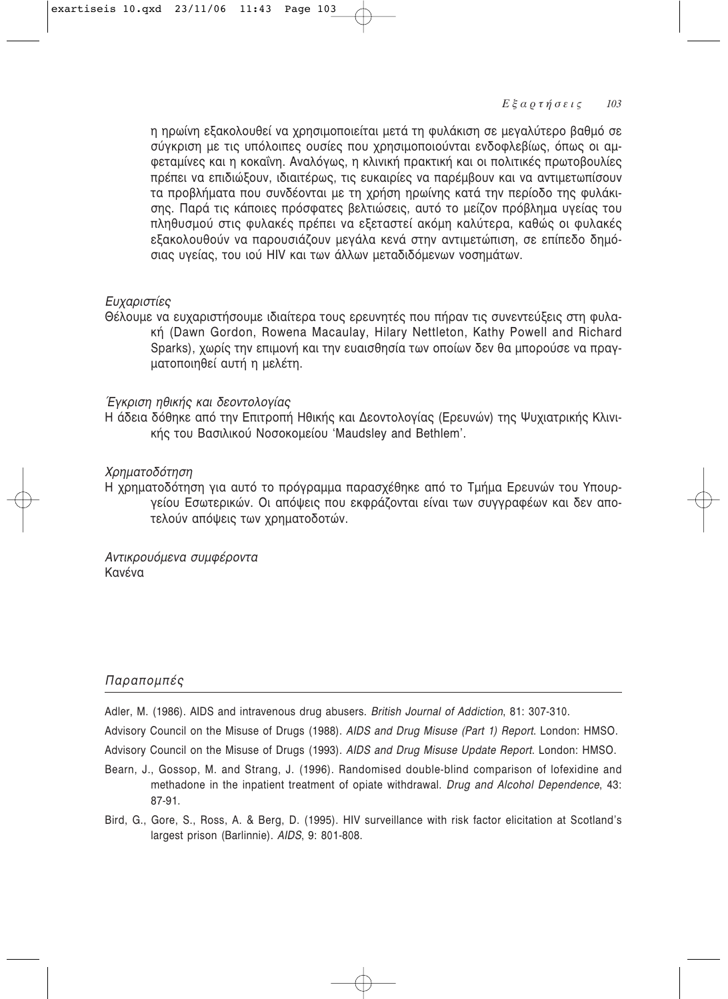η ηρωίνη εξακολουθεί να χρησιμοποιείται μετά τη φυλάκιση σε μεγαλύτερο βαθμό σε σύγκριση με τις υπόλοιπες ουσίες που χρησιμοποιούνται ενδοφλεβίως, όπως οι αμφεταμίνες και η κοκαΐνη. Αναλόγως, η κλινική πρακτική και οι πολιτικές πρωτοβουλίες πρέπει να επιδιώξουν, ιδιαιτέρως, τις ευκαιρίες να παρέμβουν και να αντιμετωπίσουν τα προβλήματα που συνδέονται με τη χρήση ηρωίνης κατά την περίοδο της φυλάκισης. Παρά τις κάποιες πρόσφατες βελτιώσεις, αυτό το μείζον πρόβλημα υγείας του πληθυσμού στις φυλακές πρέπει να εξεταστεί ακόμη καλύτερα, καθώς οι φυλακές εξακολουθούν να παρουσιάζουν μεγάλα κενά στην αντιμετώπιση, σε επίπεδο δημόσιας υγείας, του ιού HIV και των άλλων μεταδιδόμενων νοσημάτων.

### *Ευχαριστίες*

Θέλουμε να ευχαριστήσουμε ιδιαίτερα τους ερευνητές που πήραν τις συνεντεύξεις στη φυλα-΋ (Dawn Gordon, Rowena Macaulay, Hilary Nettleton, Kathy Powell and Richard Sparks), χωρίς την επιμονή και την ευαισθησία των οποίων δεν θα μπορούσε να πραγματοποιηθεί αυτή η μελέτη.

### Έγκριση ηθικής και δεοντολογίας

Η άδεια δόθηκε από την Επιτροπή Ηθικής και Δεοντολογίας (Ερευνών) της Ψυχιατρικής Κλινικής του Βασιλικού Νοσοκομείου 'Maudsley and Bethlem'.

### *X*<sub>O</sub>nuaτοδότηση

Η χρηματοδότηση για αυτό το πρόγραμμα παρασχέθηκε από το Τμήμα Ερευνών του Υπουργείου Εσωτερικών. Οι απόψεις που εκφράζονται είναι των συγγραφέων και δεν αποτελούν απόψεις των χρηματοδοτών.

*Aντικρουόμενα συμφέροντα* Κανένα

## *Παραπομπές*

- Adler, M. (1986). AIDS and intravenous drug abusers. *British Journal of Addiction*, 81: 307-310.
- Advisory Council on the Misuse of Drugs (1988). *AIDS and Drug Misuse (Part 1) Report*. London: HMSO.
- Advisory Council on the Misuse of Drugs (1993). *AIDS and Drug Misuse Update Report*. London: HMSO.
- Bearn, J., Gossop, M. and Strang, J. (1996). Randomised double-blind comparison of lofexidine and methadone in the inpatient treatment of opiate withdrawal. *Drug and Alcohol Dependence*, 43: 87-91.
- Bird, G., Gore, S., Ross, A. & Berg, D. (1995). HIV surveillance with risk factor elicitation at Scotland's largest prison (Barlinnie). *AIDS*, 9: 801-808.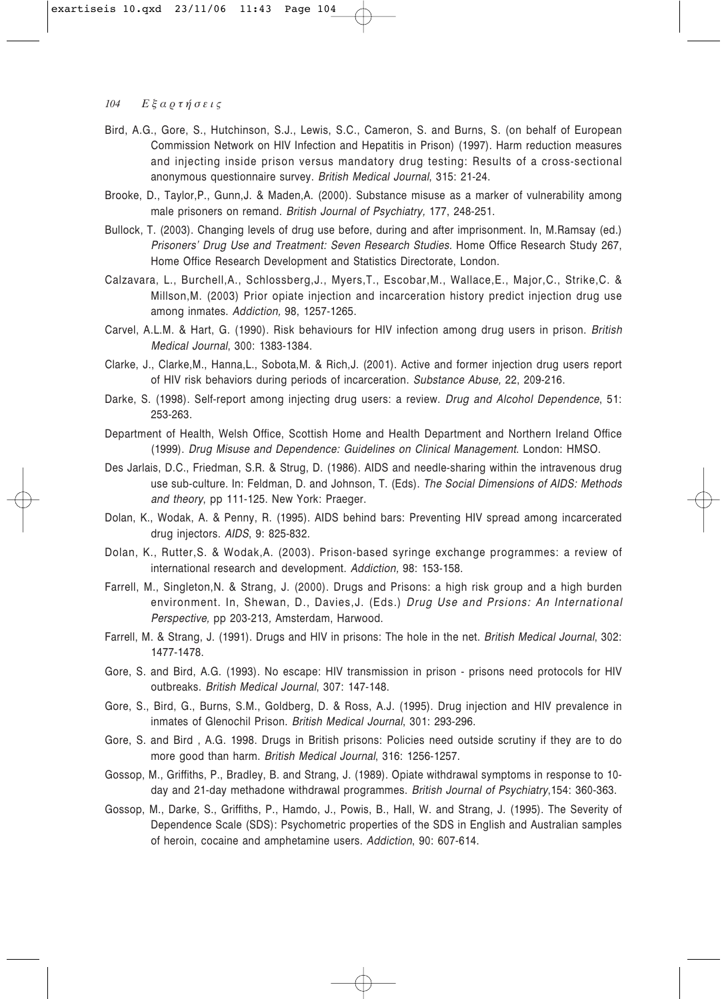- Bird, A.G., Gore, S., Hutchinson, S.J., Lewis, S.C., Cameron, S. and Burns, S. (on behalf of European Commission Network on HIV Infection and Hepatitis in Prison) (1997). Harm reduction measures and injecting inside prison versus mandatory drug testing: Results of a cross-sectional anonymous questionnaire survey. *British Medical Journal*, 315: 21-24.
- Brooke, D., Taylor,P., Gunn,J. & Maden,A. (2000). Substance misuse as a marker of vulnerability among male prisoners on remand. *British Journal of Psychiatry,* 177, 248-251.
- Bullock, T. (2003). Changing levels of drug use before, during and after imprisonment. In, M.Ramsay (ed.) *Prisoners' Drug Use and Treatment: Seven Research Studies.* Home Office Research Study 267, Home Office Research Development and Statistics Directorate, London.
- Calzavara, L., Burchell,A., Schlossberg,J., Myers,T., Escobar,M., Wallace,E., Major,C., Strike,C. & Millson,M. (2003) Prior opiate injection and incarceration history predict injection drug use among inmates. *Addiction,* 98, 1257-1265.
- Carvel, A.L.M. & Hart, G. (1990). Risk behaviours for HIV infection among drug users in prison. *British Medical Journal*, 300: 1383-1384.
- Clarke, J., Clarke,M., Hanna,L., Sobota,M. & Rich,J. (2001). Active and former injection drug users report of HIV risk behaviors during periods of incarceration. *Substance Abuse,* 22, 209-216.
- Darke, S. (1998). Self-report among injecting drug users: a review. *Drug and Alcohol Dependence*, 51: 253-263.
- Department of Health, Welsh Office, Scottish Home and Health Department and Northern Ireland Office (1999). *Drug Misuse and Dependence: Guidelines on Clinical Management*. London: HMSO.
- Des Jarlais, D.C., Friedman, S.R. & Strug, D. (1986). AIDS and needle-sharing within the intravenous drug use sub-culture. In: Feldman, D. and Johnson, T. (Eds). *The Social Dimensions of AIDS: Methods and theory*, pp 111-125. New York: Praeger.
- Dolan, K., Wodak, A. & Penny, R. (1995). AIDS behind bars: Preventing HIV spread among incarcerated drug injectors. *AIDS*, 9: 825-832.
- Dolan, K., Rutter,S. & Wodak,A. (2003). Prison-based syringe exchange programmes: a review of international research and development. *Addiction,* 98: 153-158.
- Farrell, M., Singleton,N. & Strang, J. (2000). Drugs and Prisons: a high risk group and a high burden environment. In, Shewan, D., Davies,J. (Eds.) *Drug Use and Prsions: An International Perspective,* pp 203-213*,* Amsterdam, Harwood.
- Farrell, M. & Strang, J. (1991). Drugs and HIV in prisons: The hole in the net. *British Medical Journal*, 302: 1477-1478.
- Gore, S. and Bird, A.G. (1993). No escape: HIV transmission in prison prisons need protocols for HIV outbreaks. *British Medical Journal*, 307: 147-148.
- Gore, S., Bird, G., Burns, S.M., Goldberg, D. & Ross, A.J. (1995). Drug injection and HIV prevalence in inmates of Glenochil Prison. *British Medical Journal*, 301: 293-296.
- Gore, S. and Bird , A.G. 1998. Drugs in British prisons: Policies need outside scrutiny if they are to do more good than harm. *British Medical Journal*, 316: 1256-1257.
- Gossop, M., Griffiths, P., Bradley, B. and Strang, J. (1989). Opiate withdrawal symptoms in response to 10 day and 21-day methadone withdrawal programmes. *British Journal of Psychiatry*,154: 360-363.
- Gossop, M., Darke, S., Griffiths, P., Hamdo, J., Powis, B., Hall, W. and Strang, J. (1995). The Severity of Dependence Scale (SDS): Psychometric properties of the SDS in English and Australian samples of heroin, cocaine and amphetamine users. *Addiction*, 90: 607-614.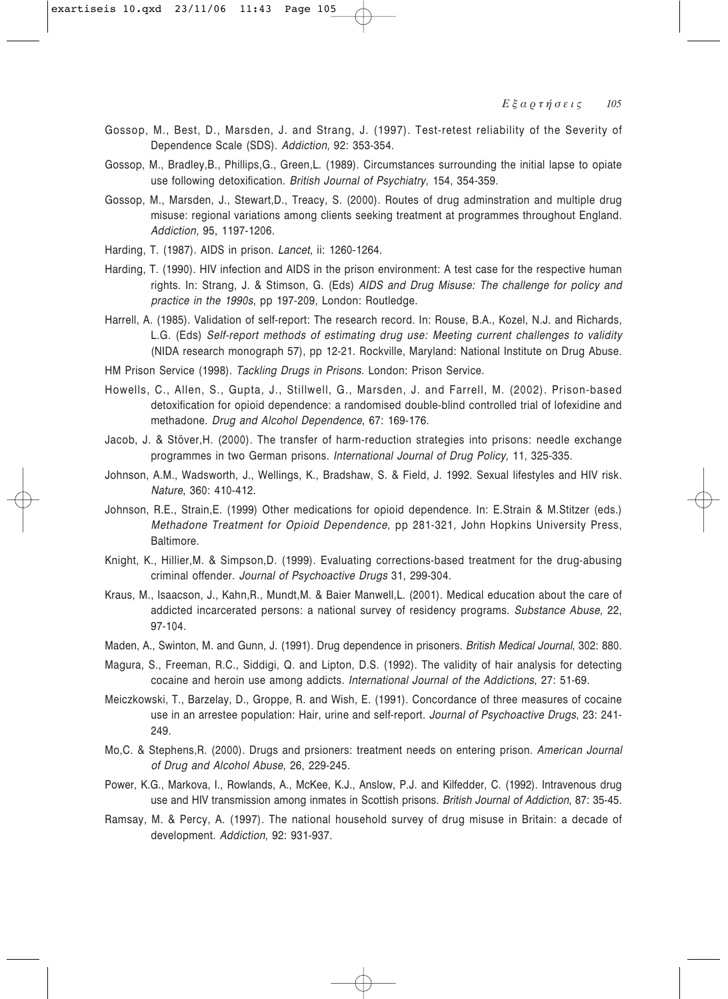- Gossop, M., Best, D., Marsden, J. and Strang, J. (1997). Test-retest reliability of the Severity of Dependence Scale (SDS). *Addiction*, 92: 353-354.
- Gossop, M., Bradley,B., Phillips,G., Green,L. (1989). Circumstances surrounding the initial lapse to opiate use following detoxification. *British Journal of Psychiatry,* 154, 354-359.
- Gossop, M., Marsden, J., Stewart,D., Treacy, S. (2000). Routes of drug adminstration and multiple drug misuse: regional variations among clients seeking treatment at programmes throughout England. *Addiction,* 95, 1197-1206.
- Harding, T. (1987). AIDS in prison. *Lancet*, ii: 1260-1264.
- Harding, T. (1990). HIV infection and AIDS in the prison environment: A test case for the respective human rights. In: Strang, J. & Stimson, G. (Eds) *AIDS and Drug Misuse: The challenge for policy and practice in the 1990s*, pp 197-209, London: Routledge.
- Harrell, A. (1985). Validation of self-report: The research record. In: Rouse, B.A., Kozel, N.J. and Richards, L.G. (Eds) *Self-report methods of estimating drug use: Meeting current challenges to validity* (NIDA research monograph 57), pp 12-21. Rockville, Maryland: National Institute on Drug Abuse.
- HM Prison Service (1998). *Tackling Drugs in Prisons*. London: Prison Service.
- Howells, C., Allen, S., Gupta, J., Stillwell, G., Marsden, J. and Farrell, M. (2002). Prison-based detoxification for opioid dependence: a randomised double-blind controlled trial of lofexidine and methadone. *Drug and Alcohol Dependence*, 67: 169-176.
- Jacob, J. & Stöver,H. (2000). The transfer of harm-reduction strategies into prisons: needle exchange programmes in two German prisons. *International Journal of Drug Policy,* 11, 325-335.
- Johnson, A.M., Wadsworth, J., Wellings, K., Bradshaw, S. & Field, J. 1992. Sexual lifestyles and HIV risk. *Nature*, 360: 410-412.
- Johnson, R.E., Strain,E. (1999) Other medications for opioid dependence. In: E.Strain & M.Stitzer (eds.) *Methadone Treatment for Opioid Dependence,* pp 281-321*,* John Hopkins University Press, Baltimore.
- Knight, K., Hillier,M. & Simpson,D. (1999). Evaluating corrections-based treatment for the drug-abusing criminal offender. *Journal of Psychoactive Drugs* 31, 299-304.
- Kraus, M., Isaacson, J., Kahn,R., Mundt,M. & Baier Manwell,L. (2001). Medical education about the care of addicted incarcerated persons: a national survey of residency programs. *Substance Abuse,* 22, 97-104.
- Maden, A., Swinton, M. and Gunn, J. (1991). Drug dependence in prisoners. *British Medical Journal*, 302: 880.
- Magura, S., Freeman, R.C., Siddigi, Q. and Lipton, D.S. (1992). The validity of hair analysis for detecting cocaine and heroin use among addicts. *International Journal of the Addictions*, 27: 51-69.
- Meiczkowski, T., Barzelay, D., Groppe, R. and Wish, E. (1991). Concordance of three measures of cocaine use in an arrestee population: Hair, urine and self-report. *Journal of Psychoactive Drugs*, 23: 241- 249.
- Mo,C. & Stephens,R. (2000). Drugs and prsioners: treatment needs on entering prison. *American Journal of Drug and Alcohol Abuse,* 26, 229-245.
- Power, K.G., Markova, I., Rowlands, A., McKee, K.J., Anslow, P.J. and Kilfedder, C. (1992). Intravenous drug use and HIV transmission among inmates in Scottish prisons. *British Journal of Addiction*, 87: 35-45.
- Ramsay, M. & Percy, A. (1997). The national household survey of drug misuse in Britain: a decade of development. *Addiction*, 92: 931-937.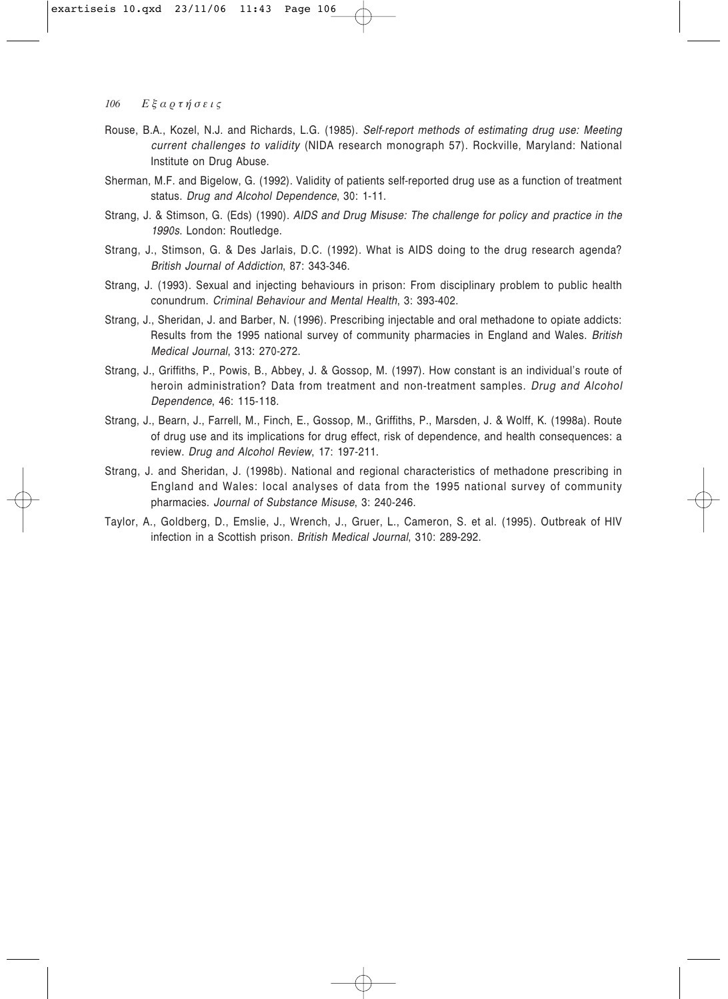- Rouse, B.A., Kozel, N.J. and Richards, L.G. (1985). *Self-report methods of estimating drug use: Meeting current challenges to validity* (NIDA research monograph 57). Rockville, Maryland: National Institute on Drug Abuse.
- Sherman, M.F. and Bigelow, G. (1992). Validity of patients self-reported drug use as a function of treatment status. *Drug and Alcohol Dependence*, 30: 1-11.
- Strang, J. & Stimson, G. (Eds) (1990). *AIDS and Drug Misuse: The challenge for policy and practice in the 1990s*. London: Routledge.
- Strang, J., Stimson, G. & Des Jarlais, D.C. (1992). What is AIDS doing to the drug research agenda? *British Journal of Addiction*, 87: 343-346.
- Strang, J. (1993). Sexual and injecting behaviours in prison: From disciplinary problem to public health conundrum. *Criminal Behaviour and Mental Health*, 3: 393-402.
- Strang, J., Sheridan, J. and Barber, N. (1996). Prescribing injectable and oral methadone to opiate addicts: Results from the 1995 national survey of community pharmacies in England and Wales. *British Medical Journal*, 313: 270-272.
- Strang, J., Griffiths, P., Powis, B., Abbey, J. & Gossop, M. (1997). How constant is an individual's route of heroin administration? Data from treatment and non-treatment samples. *Drug and Alcohol Dependence*, 46: 115-118.
- Strang, J., Bearn, J., Farrell, M., Finch, E., Gossop, M., Griffiths, P., Marsden, J. & Wolff, K. (1998a). Route of drug use and its implications for drug effect, risk of dependence, and health consequences: a review. *Drug and Alcohol Review*, 17: 197-211.
- Strang, J. and Sheridan, J. (1998b). National and regional characteristics of methadone prescribing in England and Wales: local analyses of data from the 1995 national survey of community pharmacies. *Journal of Substance Misuse*, 3: 240-246.
- Taylor, A., Goldberg, D., Emslie, J., Wrench, J., Gruer, L., Cameron, S. et al. (1995). Outbreak of HIV infection in a Scottish prison. *British Medical Journal*, 310: 289-292.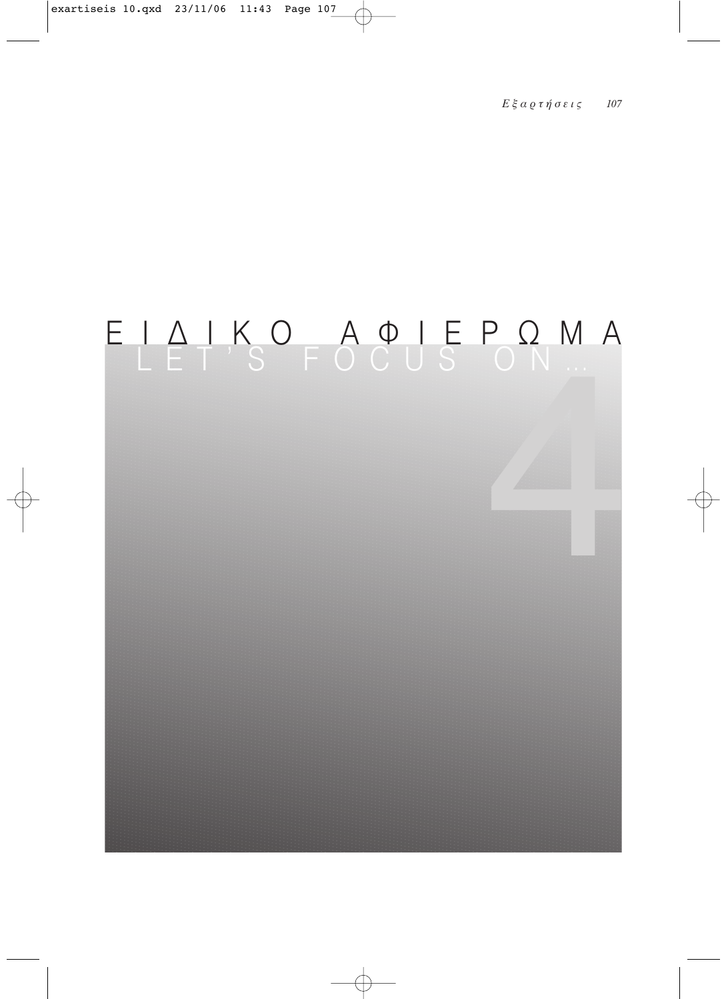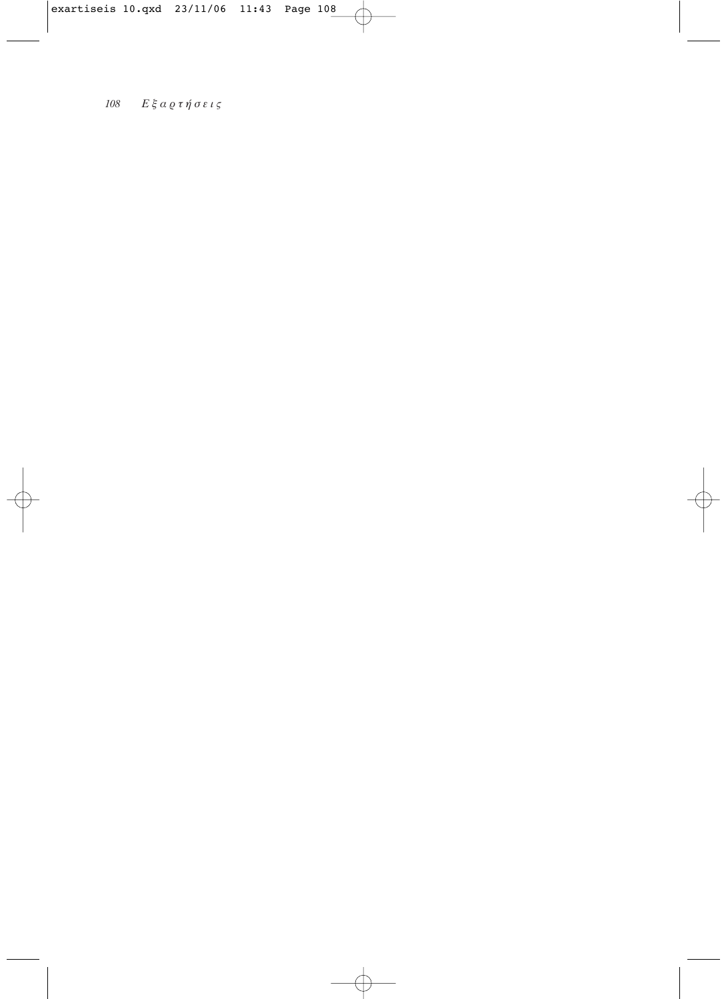$E$ ξαρτήσεις  $108\,$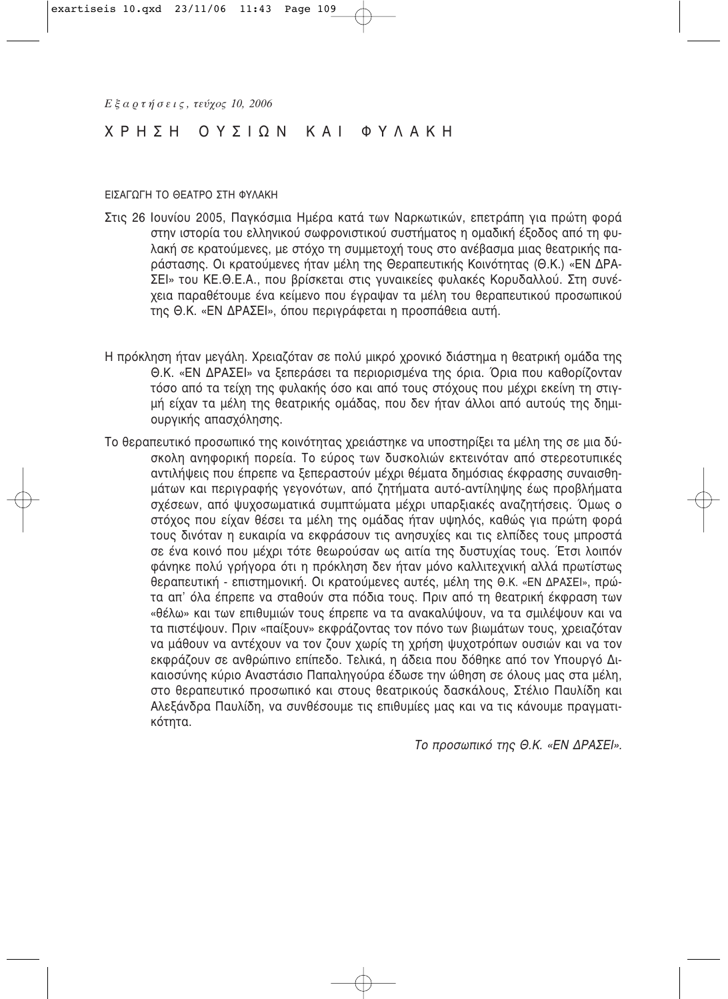*Ε ξ α ρ τ ή σ ε ι ς , τεύχος 10, 2006*

# $X$ ΡΗΣΗ ΟΥΣΙΩΝ ΚΑΙ ΦΥΛΑΚΗ

# ΕΙΣΑΓΩΓΗ ΤΟ ΘΕΑΤΡΟ ΣΤΗ ΦΥΛΑΚΗ

- Στις 26 Ιουνίου 2005, Παγκόσμια Ημέρα κατά των Ναρκωτικών, επετράπη για πρώτη φορά στην ιστορία του ελληνικού σωφρονιστικού συστήματος η ομαδική έξοδος από τη φυλακή σε κρατούμενες, με στόχο τη συμμετοχή τους στο ανέβασμα μιας θεατρικής παράστασης. Οι κρατούμενες ήταν μέλη της Θεραπευτικής Κοινότητας (Θ.Κ.) «ΕΝ ΔΡΑ-ΣΕΙ» του ΚΕ.Θ.Ε.Α., που βρίσκεται στις γυναικείες φυλακές Κορυδαλλού. Στη συνέχεια παραθέτουμε ένα κείμενο που ένραψαν τα μέλη του θεραπευτικού προσωπικού της Θ.Κ. «ΕΝ ΔΡΑΣΕΙ», όπου περιγράφεται η προσπάθεια αυτή.
- Η πρόκληση ήταν μενάλη. Χρειαζόταν σε πολύ μικρό χρονικό διάστημα η θεατρική ομάδα της Θ.Κ. «ΕΝ ΔΡΑΣΕΙ» να ξεπεράσει τα περιορισμένα της όρια. Όρια που καθορίζονταν τόσο από τα τείχη της φυλακής όσο και από τους στόχους που μέχρι εκείνη τη στιγμή είχαν τα μέλη της θεατρικής ομάδας, που δεν ήταν άλλοι από αυτούς της δημιουργικής απασχόλησης.
- Το θεραπευτικό προσωπικό της κοινότητας χρειάστηκε να υποστηρίξει τα μέλη της σε μια δύσκολη ανηφορική πορεία. Το εύρος των δυσκολιών εκτεινόταν από στερεοτυπικές αντιλήψεις που έπρεπε να ξεπεραστούν μέχρι θέματα δημόσιας έκφρασης συναισθημάτων και περιγραφής γεγονότων, από ζητήματα αυτό-αντίληψης έως προβλήματα σχέσεων, από ψυχοσωματικά συμπτώματα μέχρι υπαρξιακές αναζητήσεις. Όμως ο στόχος που είχαν θέσει τα μέλη της ομάδας ήταν υψηλός, καθώς για πρώτη φορά τους δινόταν η ευκαιρία να εκφράσουν τις ανησυχίες και τις ελπίδες τους μπροστά σε ένα κοινό που μέχρι τότε θεωρούσαν ως αιτία της δυστυχίας τους. Έτσι λοιπόν φάνηκε πολύ γρήγορα ότι η πρόκληση δεν ήταν μόνο καλλιτεχνική αλλά πρωτίστως θεραπευτική - επιστημονική. Οι κρατούμενες αυτές, μέλη της Θ.Κ. «ΕΝ ΔΡΑΣΕΙ», πρώτα απ' όλα έπρεπε να σταθούν στα πόδια τους. Πριν από τη θεατρική έκφραση των «θέλω» και των επιθυμιών τους έπρεπε να τα ανακαλύψουν, να τα σμιλέψουν και να τα πιστέψουν. Πριν «παίξουν» εκφράζοντας τον πόνο των βιωμάτων τους, χρειαζόταν να μάθουν να αντέχουν να τον ζουν χωρίς τη χρήση ψυχοτρόπων ουσιών και να τον εκφράζουν σε ανθρώπινο επίπεδο. Τελικά, η άδεια που δόθηκε από τον Υπουργό Δικαιοσύνης κύριο Αναστάσιο Παπαληγούρα έδωσε την ώθηση σε όλους μας στα μέλη, στο θεραπευτικό προσωπικό και στους θεατρικούς δασκάλους, Στέλιο Παυλίδη και Αλεξάνδρα Παυλίδη, να συνθέσουμε τις επιθυμίες μας και να τις κάνουμε πραγματικότητα.

*Το προσωπικό της Θ.Κ. «ΕΝ ΔΡΑΣΕΙ».*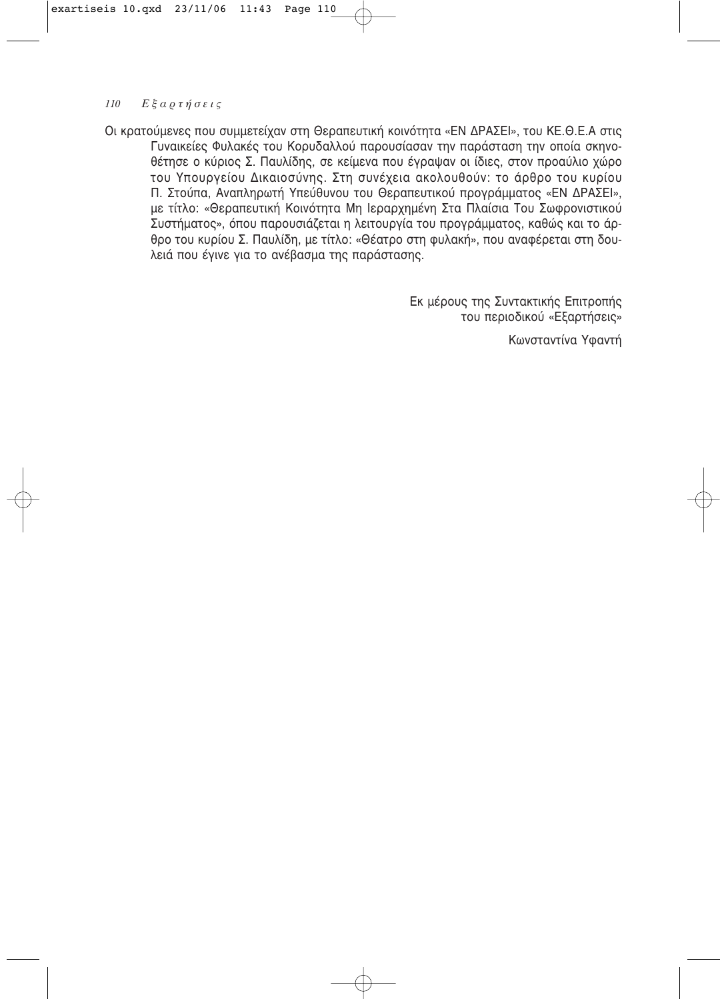Οι κρατούμενες που συμμετείχαν στη Θεραπευτική κοινότητα «ΕΝ ΔΡΑΣΕΙ», του ΚΕ.Θ.Ε.Α στις Γυναικείες Φυλακές του Κορυδαλλού παρουσίασαν την παράσταση την οποία σκηνοθέτησε ο κύριος Σ. Παυλίδης, σε κείμενα που έγραψαν οι ίδιες, στον προαύλιο χώρο του Υπουργείου Δικαιοσύνης. Στη συνέχεια ακολουθούν: το άρθρο του κυρίου ¶. ™ÙÔ‡·, ∞Ó·ÏËÚˆÙ‹ À‡ı˘ÓÔ˘ ÙÔ˘ £Âڷ¢ÙÈÎÔ‡ ÚÔÁÚ¿ÌÌ·ÙÔ˜ «∂¡ ¢ƒ∞™∂π», με τίτλο: «Θεραπευτική Κοινότητα Μη Ιεραρχημένη Στα Πλαίσια Του Σωφρονιστικού ι<br>Συστήματος», όπου παρουσιάζεται η λειτουργία του προγράμματος, καθώς και το άρθρο του κυρίου Σ. Παυλίδη, με τίτλο: «Θέατρο στη φυλακή», που αναφέρεται στη δουλειά που έγινε για το ανέβασμα της παράστασης.

> Εκ μέρους της Συντακτικής Επιτροπής του περιοδικού «Εξαρτήσεις»

> > Κωνσταντίνα Υφαντή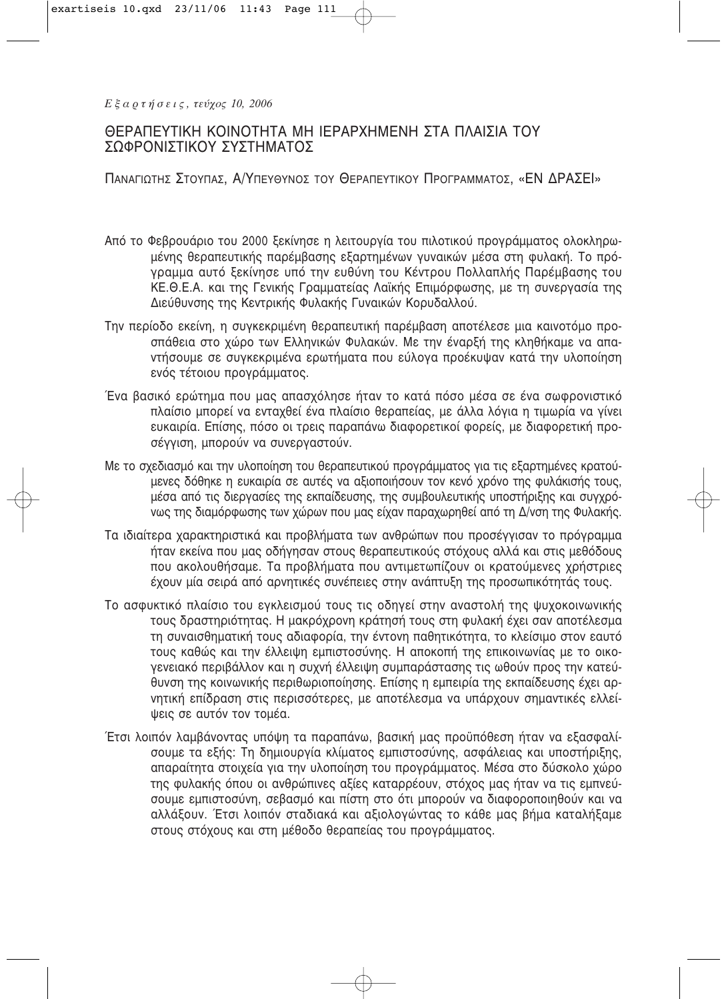# ΘΕΡΑΠΕΥΤΙΚΗ ΚΟΙΝΟΤΗΤΑ ΜΗ ΙΕΡΑΡΧΗΜΕΝΗ ΣΤΑ ΠΛΑΙΣΙΑ ΤΟΥ ΣΟΦΡΟΝΙΣΤΙΚΟΥ ΣΥΣΤΗΜΑΤΟΣ

ΠΑΝΑΓΙΩΤΗΣ ΣΤΟΥΠΑΣ, Α/ΥΠΕΥΘΥΝΟΣ ΤΟΥ ΘΕΡΑΠΕΥΤΙΚΟΥ ΠΡΟΓΡΑΜΜΑΤΟΣ, «ΕΝ ΔΡΑΣΕΙ»

- Aπό το Φεβρουάριο του 2000 ξεκίνησε η λειτουργία του πιλοτικού προγράμματος ολοκληρω− μένης θεραπευτικής παρέμβασης εξαρτημένων γυναικών μέσα στη φυλακή. Το πρόγραμμα αυτό ξεκίνησε υπό την ευθύνη του Κέντρου Πολλαπλής Παρέμβασης του ΚΕ.Θ.Ε.Α. και της Γενικής Γραμματείας Λαϊκής Επιμόρφωσης, με τη συνεργασία της Διεύθυνσης της Κεντρικής Φυλακής Γυναικών Κορυδαλλού.
- Την περίοδο εκείνη, η συγκεκριμένη θεραπευτική παρέμβαση αποτέλεσε μια καινοτόμο προσπάθεια στο χώρο των Ελληνικών Φυλακών. Με την έναρξή της κληθήκαμε να απαντήσουμε σε συγκεκριμένα ερωτήματα που εύλογα προέκυψαν κατά την υλοποίηση ενός τέτοιου προγράμματος.
- Ένα βασικό ερώτημα που μας απασχόλησε ήταν το κατά πόσο μέσα σε ένα σωφρονιστικό πλαίσιο μπορεί να ενταχθεί ένα πλαίσιο θεραπείας, με άλλα λόγια η τιμωρία να γίνει ευκαιρία. Επίσης, πόσο οι τρεις παραπάνω διαφορετικοί φορείς, με διαφορετική προσέγγιση, μπορούν να συνεργαστούν.
- Με το σχεδιασμό και την υλοποίηση του θεραπευτικού προγράμματος για τις εξαρτημένες κρατούμενες δόθηκε η ευκαιρία σε αυτές να αξιοποιήσουν τον κενό χρόνο της φυλάκισής τους. μέσα από τις διεργασίες της εκπαίδευσης, της συμβουλευτικής υποστήριξης και συγχρόνως της διαμόρφωσης των χώρων που μας είχαν παραχωρηθεί από τη Δ/νση της Φυλακής.
- Τα ιδιαίτερα χαρακτηριστικά και προβλήματα των ανθρώπων που προσέγγισαν το πρόγραμμα ήταν εκείνα που μας οδήγησαν στους θεραπευτικούς στόχους αλλά και στις μεθόδους που ακολουθήσαμε. Τα προβλήματα που αντιμετωπίζουν οι κρατούμενες χρήστριες έχουν μία σειρά από αρνητικές συνέπειες στην ανάπτυξη της προσωπικότητάς τους.
- Το ασφυκτικό πλαίσιο του εγκλεισμού τους τις οδηγεί στην αναστολή της ψυχοκοινωνικής τους δραστηριότητας. Η μακρόχρονη κράτησή τους στη φυλακή έχει σαν αποτέλεσμα τη συναισθηματική τους αδιαφορία, την έντονη παθητικότητα, το κλείσιμο στον εαυτό τους καθώς και την έλλειψη εμπιστοσύνης. Η αποκοπή της επικοινωνίας με το οικογενειακό περιβάλλον και η συχνή έλλειψη συμπαράστασης τις ωθούν προς την κατεύθυνση της κοινωνικής περιθωριοποίησης. Επίσης η εμπειρία της εκπαίδευσης έχει αρνητική επίδραση στις περισσότερες, με αποτέλεσμα να υπάρχουν σημαντικές ελλεί-Ψεις σε αυτόν τον τομέα.
- Έτσι λοιπόν λαμβάνοντας υπόψη τα παραπάνω, βασική μας προϋπόθεση ήταν να εξασφαλίσουμε τα εξής: Τη δημιουργία κλίματος εμπιστοσύνης, ασφάλειας και υποστήριξης, απαραίτητα στοιχεία για την υλοποίηση του προγράμματος. Μέσα στο δύσκολο χώρο της φυλακής όπου οι ανθρώπινες αξίες καταρρέουν, στόχος μας ήταν να τις εμπνεύσουμε εμπιστοσύνη, σεβασμό και πίστη στο ότι μπορούν να διαφοροποιηθούν και να αλλάξουν. Έτσι λοιπόν σταδιακά και αξιολογώντας το κάθε μας βήμα καταλήξαμε στους στόχους και στη μέθοδο θεραπείας του προγράμματος.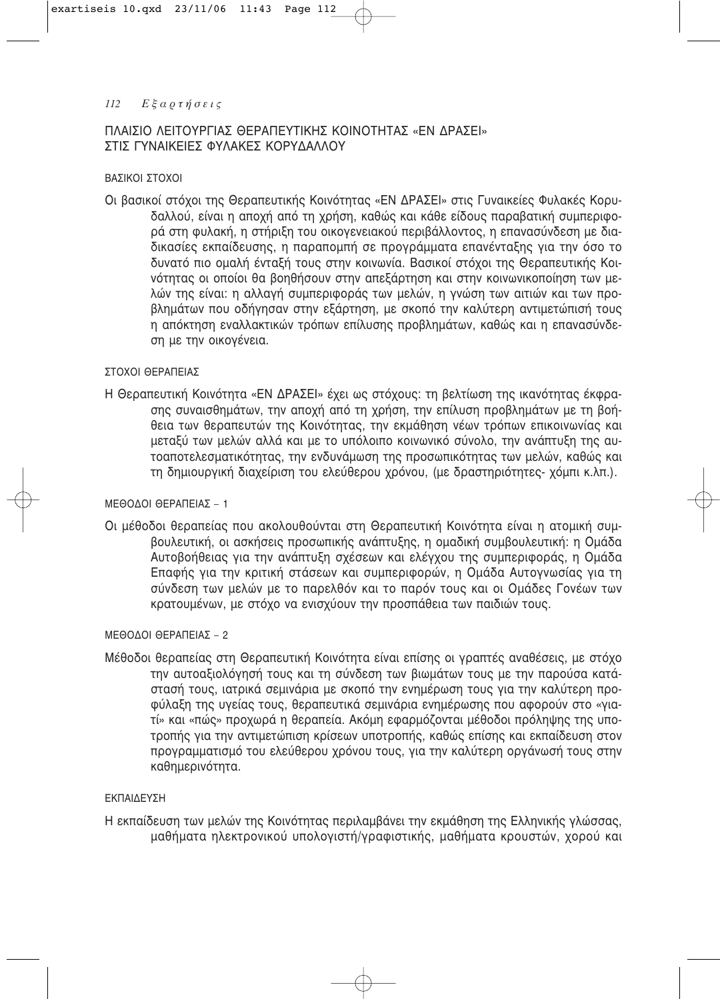# ΠΛΑΙΣΙΟ ΛΕΙΤΟΥΡΓΙΑΣ ΘΕΡΑΠΕΥΤΙΚΗΣ ΚΟΙΝΟΤΗΤΑΣ «ΕΝ ΛΡΑΣΕΙ» ΣΤΙΣ ΓΥΝΑΙΚΕΙΕΣ ΦΥΛΑΚΕΣ ΚΟΡΥΛΑΛΛΟΥ

# ΒΑΣΙΚΩΙ ΣΤΩΧΩΙ

Οι βασικοί στόχοι της Θεραπευτικής Κοινότητας «ΕΝ ΔΡΑΣΕΙ» στις Γυναικείες Φυλακές Κορυδαλλού, είναι η αποχή από τη χρήση, καθώς και κάθε είδους παραβατική συμπεριφορά στη φυλακή, η στήριξη του οικονενειακού περιβάλλοντος, η επανασύνδεση με διαδικασίες εκπαίδευσης, η παραπομπή σε προγράμματα επανένταξης για την όσο το δυνατό πιο ομαλή ένταξή τους στην κοινωνία. Βασικοί στόχοι της Θεραπευτικής Κοινότητας οι οποίοι θα βοηθήσουν στην απεξάρτηση και στην κοινωνικοποίηση των μελών της είναι: η αλλαγή συμπεριφοράς των μελών, η γνώση των αιτιών και των προβλημάτων που οδήγησαν στην εξάρτηση, με σκοπό την καλύτερη αντιμετώπισή τους η απόκτηση εναλλακτικών τρόπων επίλυσης προβλημάτων, καθώς και η επανασύνδεση με την οικογένεια.

# ΣΤΩΧΩΙ ΘΕΡΑΠΕΙΑΣ

Η Θεραπευτική Κοινότητα «ΕΝ ΔΡΑΣΕΙ» έχει ως στόχους: τη βελτίωση της ικανότητας έκφρασης συναισθημάτων, την αποχή από τη χρήση, την επίλυση προβλημάτων με τη βοήθεια των θεραπευτών της Κοινότητας, την εκμάθηση νέων τρόπων επικοινωνίας και μεταξύ των μελών αλλά και με το υπόλοιπο κοινωνικό σύνολο, την ανάπτυξη της αυτοαποτελεσματικότητας, την ενδυνάμωση της προσωπικότητας των μελών, καθώς και τη δημιουργική διαχείριση του ελεύθερου χρόνου, (με δραστηριότητες- χόμπι κ.λπ.).

# ΜΕΘΩΛΩΙ ΘΕΡΑΠΕΙΑΣ – 1

Οι μέθοδοι θεραπείας που ακολουθούνται στη Θεραπευτική Κοινότητα είναι η ατομική συμβουλευτική, οι ασκήσεις προσωπικής ανάπτυξης, η ομαδική συμβουλευτική: η Ομάδα Αυτοβοήθειας για την ανάπτυξη σχέσεων και ελέγχου της συμπεριφοράς, η Ομάδα Επαφής για την κριτική στάσεων και συμπεριφορών, η Ομάδα Αυτογνωσίας για τη σύνδεση των μελών με το παρελθόν και το παρόν τους και οι Ομάδες Γονέων των Κρατουμένων, με στόχο να ενισχύουν την προσπάθεια των παιδιών τους.

# ΜΕΘΟΔΟΙ ΘΕΡΑΠΕΙΑΣ – 2

Μέθοδοι θεραπείας στη Θεραπευτική Κοινότητα είναι επίσης οι γραπτές αναθέσεις, με στόχο την αυτοαξιολόγησή τους και τη σύνδεση των βιωμάτων τους με την παρούσα κατάστασή τους, ιατρικά σεμινάρια με σκοπό την ενημέρωση τους για την καλύτερη προφύλαξη της υγείας τους, θεραπευτικά σεμινάρια ενημέρωσης που αφορούν στο «γιατί» και «πώς» προχωρά η θεραπεία. Ακόμη εφαρμόζονται μέθοδοι πρόληψης της υποτροπής για την αντιμετώπιση κρίσεων υποτροπής, καθώς επίσης και εκπαίδευση στον προγραμματισμό του ελεύθερου χρόνου τους, για την καλύτερη οργάνωσή τους στην καθημερινότητα.

# EΚΠAΙΔEΥΣΗ

Η εκπαίδευση των μελών της Κοινότητας περιλαμβάνει την εκμάθηση της Ελληνικής γλώσσας, μαθήματα ηλεκτρονικού υπολογιστή/γραφιστικής, μαθήματα κρουστών, χορού και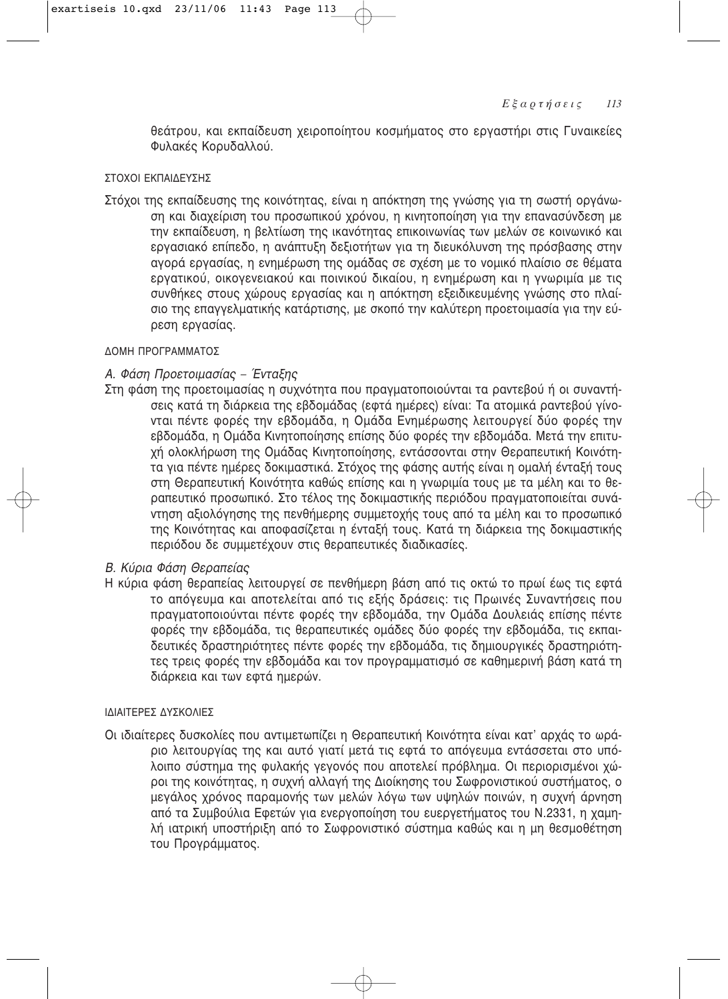θεάτρου, και εκπαίδευση χειροποίητου κοσμήματος στο εργαστήρι στις Γυναικείες Φυλακές Κορυδαλλού.

# ΣΤΟΧΟΙ ΕΚΠΑΙΔΕΥΣΗΣ

Στόχοι της εκπαίδευσης της κοινότητας, είναι η απόκτηση της γνώσης για τη σωστή οργάνωση και διαχείριση του προσωπικού χρόνου, η κινητοποίηση για την επανασύνδεση με την εκπαίδευση, η βελτίωση της ικανότητας επικοινωνίας των μελών σε κοινωνικό και εργασιακό επίπεδο, η ανάπτυξη δεξιοτήτων για τη διευκόλυνση της πρόσβασης στην αγορά εργασίας, η ενημέρωση της ομάδας σε σχέση με το νομικό πλαίσιο σε θέματα εργατικού, οικογενειακού και ποινικού δικαίου, η ενημέρωση και η γνωριμία με τις συνθήκες στους χώρους εργασίας και η απόκτηση εξειδικευμένης γνώσης στο πλαίσιο της επαγγελματικής κατάρτισης, με σκοπό την καλύτερη προετοιμασία για την εύρεση εργασίας.

# ΔΟΜΗ ΠΡΟΓΡΑΜΜΑΤΟΣ

# *A. Φάση Προετοιμασίας – Ένταξης*

Στη φάση της προετοιμασίας η συχνότητα που πραγματοποιούνται τα ραντεβού ή οι συναντήσεις κατά τη διάρκεια της εβδομάδας (εφτά ημέρες) είναι: Τα ατομικά ραντεβού γίνονται πέντε φορές την εβδομάδα, η Ομάδα Ενημέρωσης λειτουργεί δύο φορές την εβδομάδα, η Ομάδα Κινητοποίησης επίσης δύο φορές την εβδομάδα. Μετά την επιτυχή ολοκλήρωση της Ομάδας Κινητοποίησης, εντάσσονται στην Θεραπευτική Κοινότητα για πέντε ημέρες δοκιμαστικά. Στόχος της φάσης αυτής είναι η ομαλή ένταξή τους στη Θεραπευτική Κοινότητα καθώς επίσης και η γνωριμία τους με τα μέλη και το θεραπευτικό προσωπικό. Στο τέλος της δοκιμαστικής περιόδου πραγματοποιείται συνάντηση αξιολόγησης της πενθήμερης συμμετοχής τους από τα μέλη και το προσωπικό της Κοινότητας και αποφασίζεται η ένταξή τους. Κατά τη διάρκεια της δοκιμαστικής περιόδου δε συμμετέχουν στις θεραπευτικές διαδικασίες.

# *Β. Κύρια Φάση Θεραπείας*

Η κύρια φάση θεραπείας λειτουργεί σε πενθήμερη βάση από τις οκτώ το πρωί έως τις εφτά το απόγευμα και αποτελείται από τις εξής δράσεις: τις Πρωινές Συναντήσεις που πραγματοποιούνται πέντε φορές την εβδομάδα, την Ομάδα Δουλειάς επίσης πέντε φορές την εβδομάδα, τις θεραπευτικές ομάδες δύο φορές την εβδομάδα, τις εκπαιδευτικές δραστηριότητες πέντε φορές την εβδομάδα, τις δημιουργικές δραστηριότητες τρεις φορές την εβδομάδα και τον προγραμματισμό σε καθημερινή βάση κατά τη διάρκεια και των εφτά ημερών.

# ΙΔΙΑΙΤΕΡΕΣ ΔΥΣΚΟΛΙΕΣ

Οι ιδιαίτερες δυσκολίες που αντιμετωπίζει η Θεραπευτική Κοινότητα είναι κατ' αρχάς το ωράοιο λειτουργίας της και αυτό γιατί μετά τις εφτά το απόνευμα εντάσσεται στο υπόλοιπο σύστημα της φυλακής γεγονός που αποτελεί πρόβλημα. Οι περιορισμένοι χώροι της κοινότητας, η συχνή αλλαγή της Διοίκησης του Σωφρονιστικού συστήματος, ο μεγάλος χρόνος παραμονής των μελών λόγω των υψηλών ποινών, η συχνή άρνηση από τα Συμβούλια Εφετών για ενεργοποίηση του ευεργετήματος του Ν.2331, η χαμηλή ιατρική υποστήριξη από το Σωφρονιστικό σύστημα καθώς και η μη θεσμοθέτηση του Προνράμματος.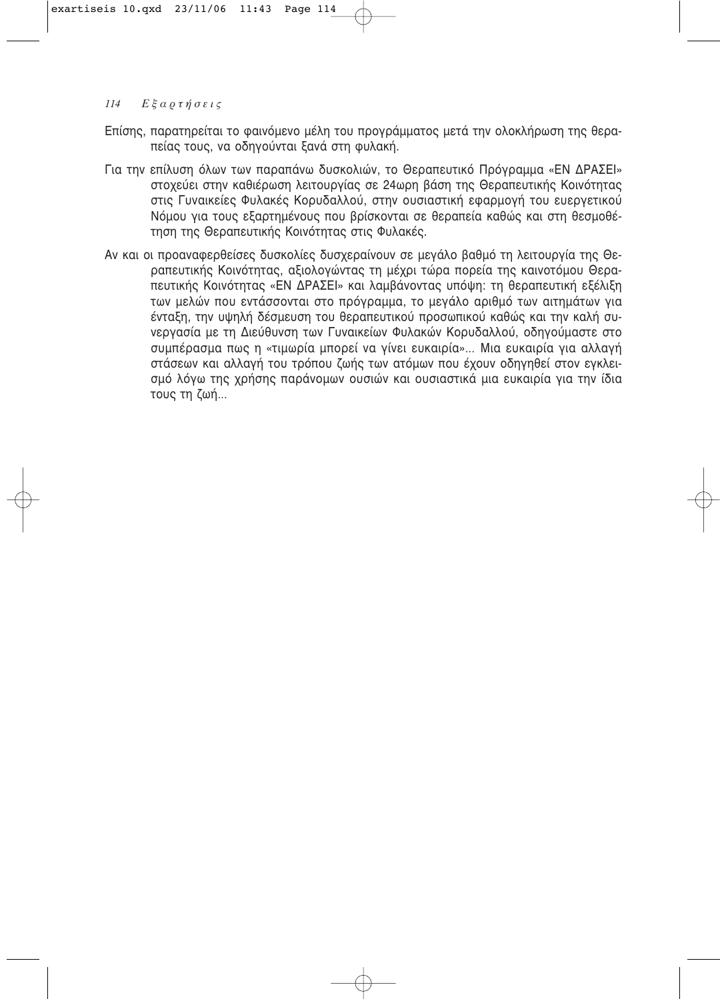- Επίσης, παρατηρείται το φαινόμενο μέλη του προγράμματος μετά την ολοκλήρωση της θεραπείας τους, να οδηγούνται ξανά στη φυλακή.
- Για την επίλυση όλων των παραπάνω δυσκολιών, το Θεραπευτικό Πρόγραμμα «ΕΝ ΔΡΑΣΕΙ» στοχεύει στην καθιέρωση λειτουργίας σε 24ωρη βάση της Θεραπευτικής Κοινότητας στις Γυναικείες Φυλακές Κορυδαλλού, στην ουσιαστική εφαρμογή του ευεργετικού Νόμου για τους εξαρτημένους που βρίσκονται σε θεραπεία καθώς και στη θεσμοθέτηση της Θεραπευτικής Κοινότητας στις Φυλακές.
- Aν και οι προαναφερθείσες δυσκολίες δυσχεραίνουν σε μενάλο βαθμό τη λειτουργία της Θεραπευτικής Κοινότητας, αξιολογώντας τη μέχρι τώρα πορεία της καινοτόμου Θεραπευτικής Κοινότητας «ΕΝ ΔΡΑΣΕΙ» και λαμβάνοντας υπόψη: τη θεραπευτική εξέλιξη των μελών που εντάσσονται στο πρόγραμμα, το μεγάλο αριθμό των αιτημάτων για ένταξη, την υψηλή δέσμευση του θεραπευτικού προσωπικού καθώς και την καλή συνεργασία με τη Διεύθυνση των Γυναικείων Φυλακών Κορυδαλλού, οδηγούμαστε στο συμπέρασμα πως η «τιμωρία μπορεί να γίνει ευκαιρία»... Μια ευκαιρία για αλλαγή στάσεων και αλλαγή του τρόπου ζωής των ατόμων που έχουν οδηγηθεί στον εγκλεισμό λόγω της χρήσης παράνομων ουσιών και ουσιαστικά μια ευκαιρία για την ίδια τους τη ζωή...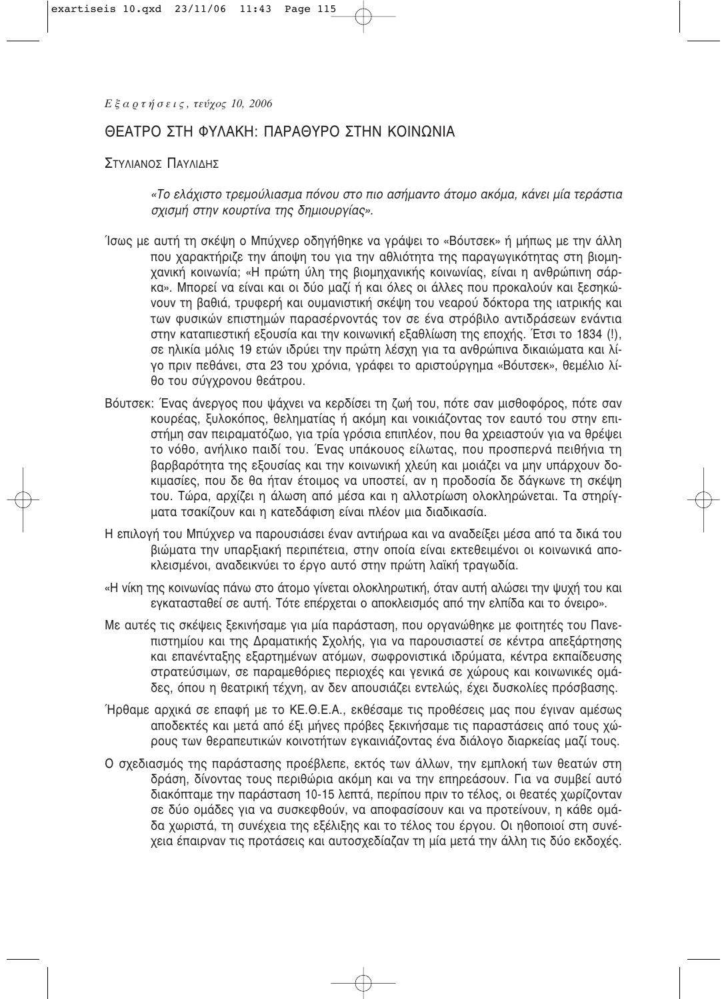# ΘΕΑΤΡΟ ΣΤΗ ΦΥΛΑΚΗ: ΠΑΡΑΘΥΡΟ ΣΤΗΝ ΚΟΙΝΩΝΙΑ

# ΣΤΥΛΙΑΝΟΣ ΠΑΥΛΙΔΗΣ

«Το ελάχιστο τρεμούλιασμα πόνου στο πιο ασήμαντο άτομο ακόμα, κάνει μία τεράστια σχισμή στην κουρτίνα της δημιουργίας».

- Ίσως με αυτή τη σκέψη ο Μπύχνερ οδηγήθηκε να γράψει το «Βόυτσεκ» ή μήπως με την άλλη που χαρακτήριζε την άποψη του για την αθλιότητα της παραγωγικότητας στη βιομηχανική κοινωνία; «Η πρώτη ύλη της βιομηχανικής κοινωνίας, είναι η ανθρώπινη σάρκα». Μπορεί να είναι και οι δύο μαζί ή και όλες οι άλλες που προκαλούν και ξεσηκώνουν τη βαθιά, τρυφερή και ουμανιστική σκέψη του νεαρού δόκτορα της ιατρικής και των φυσικών επιστημών παρασέρνοντάς τον σε ένα στρόβιλο αντιδράσεων ενάντια στην καταπιεστική εξουσία και την κοινωνική εξαθλίωση της εποχής. Έτσι το 1834 (!), σε ηλικία μόλις 19 ετών ιδρύει την πρώτη λέσχη για τα ανθρώπινα δικαιώματα και λίγο πριν πεθάνει, στα 23 του χρόνια, γράφει το αριστούργημα «Βόυτσεκ», θεμέλιο λίθο του σύγχρονου θεάτρου.
- Βόυτσεκ: Ένας άνεργος που ψάχνει να κερδίσει τη ζωή του, πότε σαν μισθοφόρος, πότε σαν κουρέας, ξυλοκόπος, θεληματίας ή ακόμη και νοικιάζοντας τον εαυτό του στην επιστήμη σαν πειραματόζωο, για τρία γρόσια επιπλέον, που θα χρειαστούν για να θρέψει το νόθο, ανήλικο παιδί του. Ένας υπάκουος είλωτας, που προσπερνά πειθήνια τη βαρβαρότητα της εξουσίας και την κοινωνική χλεύη και μοιάζει να μην υπάρχουν δοκιμασίες, που δε θα ήταν έτοιμος να υποστεί, αν η προδοσία δε δάγκωνε τη σκέψη του. Τώρα, αρχίζει η άλωση από μέσα και η αλλοτρίωση ολοκληρώνεται. Τα στηρίγματα τσακίζουν και η κατεδάφιση είναι πλέον μια διαδικασία.
- Η επιλογή του Μπύχνερ να παρουσιάσει έναν αντιήρωα και να αναδείξει μέσα από τα δικά του βιώματα την υπαρξιακή περιπέτεια, στην οποία είναι εκτεθειμένοι οι κοινωνικά αποκλεισμένοι, αναδεικνύει το έργο αυτό στην πρώτη λαϊκή τραγωδία.
- «Η νίκη της κοινωνίας πάνω στο άτομο γίνεται ολοκληρωτική, όταν αυτή αλώσει την ψυχή του και ενκατασταθεί σε αυτή. Τότε επέρχεται ο αποκλεισμός από την ελπίδα και το όνειρο».
- Με αυτές τις σκέψεις ξεκινήσαμε για μία παράσταση, που οργανώθηκε με φοιτητές του Πανεπιστημίου και της Δραματικής Σχολής, για να παρουσιαστεί σε κέντρα απεξάρτησης και επανένταξης εξαρτημένων ατόμων, σωφρονιστικά ιδρύματα, κέντρα εκπαίδευσης στρατεύσιμων, σε παραμεθόριες περιοχές και γενικά σε χώρους και κοινωνικές ομάδες, όπου η θεατρική τέχνη, αν δεν απουσιάζει εντελώς, έχει δυσκολίες πρόσβασης.
- Ήρθαμε αρχικά σε επαφή με το ΚΕ.Θ.Ε.Α., εκθέσαμε τις προθέσεις μας που έγιναν αμέσως αποδεκτές και μετά από έξι μήνες πρόβες ξεκινήσαμε τις παραστάσεις από τους χώρους των θεραπευτικών κοινοτήτων εγκαινιάζοντας ένα διάλογο διαρκείας μαζί τους.
- Ο σχεδιασμός της παράστασης προέβλεπε, εκτός των άλλων, την εμπλοκή των θεατών στη δράση. δίνοντας τους περιθώρια ακόμη και να την επηρεάσουν. Για να συμβεί αυτό διακόπταμε την παράσταση 10-15 λεπτά, περίπου πριν το τέλος, οι θεατές χωρίζονταν σε δύο ομάδες για να συσκεφθούν, να αποφασίσουν και να προτείνουν, η κάθε ομάδα χωριστά, τη συνέχεια της εξέλιξης και το τέλος του έργου. Οι ηθοποιοί στη συνέχεια έπαιρναν τις προτάσεις και αυτοσχεδίαζαν τη μία μετά την άλλη τις δύο εκδοχές.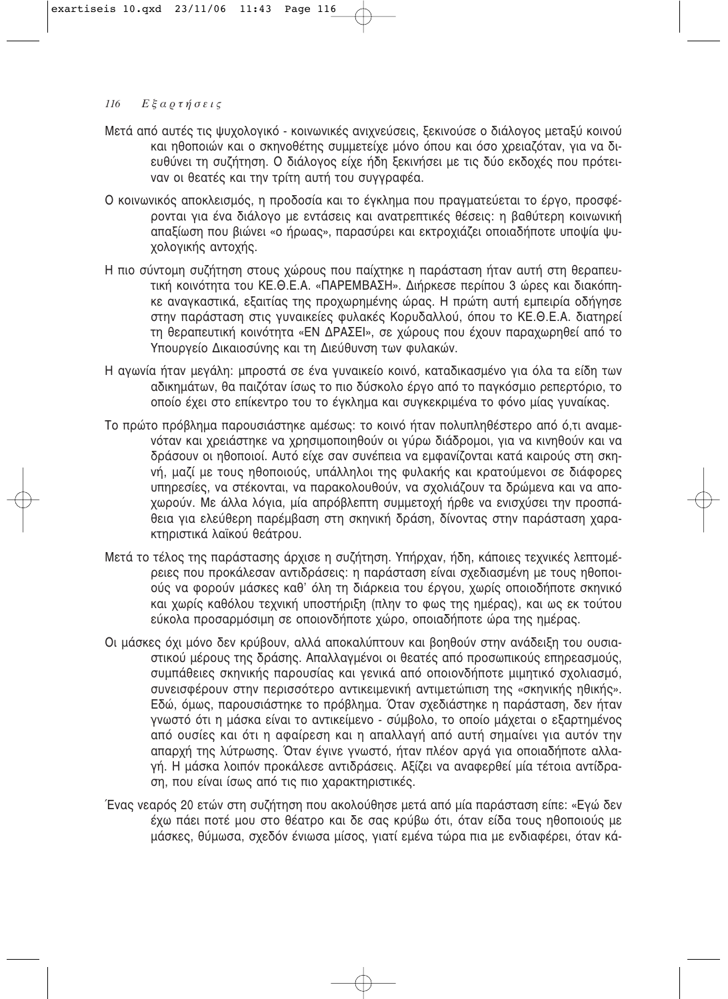- Μετά από αυτές τις ψυχολογικό κοινωνικές ανιχνεύσεις, ξεκινούσε ο διάλογος μεταξύ κοινού και ηθοποιών και ο σκηνοθέτης συμμετείχε μόνο όπου και όσο χρειαζόταν, για να διευθύνει τη συζήτηση. Ο διάλογος είχε ήδη ξεκινήσει με τις δύο εκδοχές που πρότειναν οι θεατές και την τρίτη αυτή του συγγραφέα.
- Ο κοινωνικός αποκλεισμός, η προδοσία και το έγκλημα που πραγματεύεται το έργο, προσφέρονται για ένα διάλογο με εντάσεις και ανατρεπτικές θέσεις: η βαθύτερη κοινωνική απαξίωση που βιώνει «ο ήρωας», παρασύρει και εκτροχιάζει οποιαδήποτε υποψία ψυχολογικής αντοχής.
- Η πιο σύντομη συζήτηση στους χώρους που παίχτηκε η παράσταση ήταν αυτή στη θεραπευτική κοινότητα του ΚΕ.Θ.Ε.Α. «ΠΑΡΕΜΒΑΣΗ». Διήρκεσε περίπου 3 ώρες και διακόπηκε αναγκαστικά, εξαιτίας της προχωρημένης ώρας. Η πρώτη αυτή εμπειρία οδήγησε στην παράσταση στις γυναικείες φυλακές Κορυδαλλού, όπου το ΚΕ.Θ.Ε.Α. διατηρεί τη θεραπευτική κοινότητα «ΕΝ ΔΡΑΣΕΙ», σε χώρους που έχουν παραχωρηθεί από το Υπουργείο Δικαιοσύνης και τη Διεύθυνση των φυλακών.
- Η αγωνία ήταν μεγάλη: μπροστά σε ένα γυναικείο κοινό, καταδικασμένο για όλα τα είδη των αδικημάτων, θα παιζόταν ίσως το πιο δύσκολο έργο από το παγκόσμιο ρεπερτόριο, το οποίο έχει στο επίκεντρο του το έγκλημα και συγκεκριμένα το φόνο μίας γυναίκας.
- Το πρώτο πρόβλημα παρουσιάστηκε αμέσως: το κοινό ήταν πολυπληθέστερο από ό,τι αναμενόταν και χρειάστηκε να χρησιμοποιηθούν οι γύρω διάδρομοι, για να κινηθούν και να δράσουν οι ηθοποιοί. Αυτό είχε σαν συνέπεια να εμφανίζονται κατά καιρούς στη σκηνή, μαζί με τους ηθοποιούς, υπάλληλοι της φυλακής και κρατούμενοι σε διάφορες υπηρεσίες, να στέκονται, να παρακολουθούν, να σχολιάζουν τα δρώμενα και να αποχωρούν. Με άλλα λόγια, μία απρόβλεπτη συμμετοχή ήρθε να ενισχύσει την προσπάθεια για ελεύθερη παρέμβαση στη σκηνική δράση, δίνοντας στην παράσταση χαρακτηριστικά λαϊκού θεάτρου.
- Μετά το τέλος της παράστασης άρχισε η συζήτηση. Υπήρχαν, ήδη, κάποιες τεχνικές λεπτομέρειες που προκάλεσαν αντιδράσεις: η παράσταση είναι σχεδιασμένη με τους ηθοποιούς να φορούν μάσκες καθ' όλη τη διάρκεια του έργου, χωρίς οποιοδήποτε σκηνικό και χωρίς καθόλου τεχνική υποστήριξη (πλην το φως της ημέρας), και ως εκ τούτου εύκολα προσαρμόσιμη σε οποιονδήποτε χώρο, οποιαδήποτε ώρα της ημέρας.
- Οι μάσκες όχι μόνο δεν κρύβουν, αλλά αποκαλύπτουν και βοηθούν στην ανάδειξη του ουσιαστικού μέρους της δράσης. Απαλλαγμένοι οι θεατές από προσωπικούς επηρεασμούς, συμπάθειες σκηνικής παρουσίας και γενικά από οποιονδήποτε μιμητικό σχολιασμό, συνεισφέρουν στην περισσότερο αντικειμενική αντιμετώπιση της «σκηνικής ηθικής». Εδώ, όμως, παρουσιάστηκε το πρόβλημα. Όταν σχεδιάστηκε η παράσταση, δεν ήταν γνωστό ότι η μάσκα είναι το αντικείμενο - σύμβολο, το οποίο μάχεται ο εξαρτημένος από ουσίες και ότι η αφαίρεση και η απαλλαγή από αυτή σημαίνει για αυτόν την απαρχή της λύτρωσης. Όταν έγινε γνωστό, ήταν πλέον αργά για οποιαδήποτε αλλαγή. Η μάσκα λοιπόν προκάλεσε αντιδράσεις. Αξίζει να αναφερθεί μία τέτοια αντίδραση, που είναι ίσως από τις πιο χαρακτηριστικές.
- Ένας νεαρός 20 ετών στη συζήτηση που ακολούθησε μετά από μία παράσταση είπε: «Εγώ δεν έχω πάει ποτέ μου στο θέατρο και δε σας κρύβω ότι, όταν είδα τους ηθοποιούς με μάσκες, θύμωσα, σχεδόν ένιωσα μίσος, γιατί εμένα τώρα πια με ενδιαφέρει, όταν κά-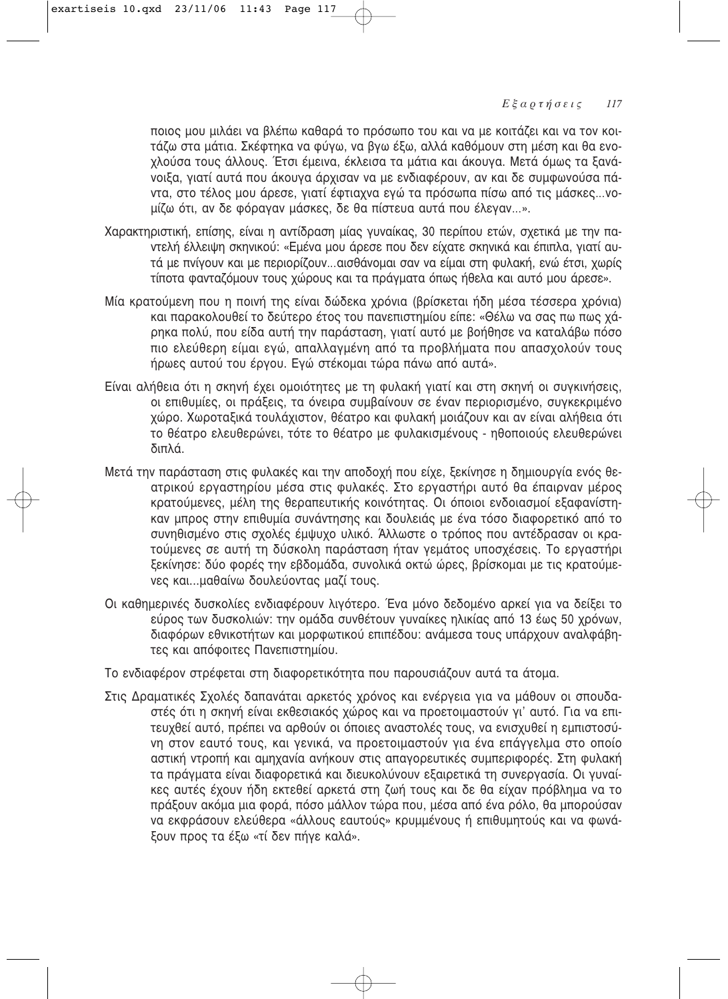ποιος μου μιλάει να βλέπω καθαρά το πρόσωπο του και να με κοιτάζει και να τον κοιτάζω στα μάτια. Σκέφτηκα να φύγω, να βγω έξω, αλλά καθόμουν στη μέση και θα ενοχλούσα τους άλλους. Έτσι έμεινα, έκλεισα τα μάτια και άκουγα. Μετά όμως τα ξανάνοιξα, γιατί αυτά που άκουγα άρχισαν να με ενδιαφέρουν, αν και δε συμφωνούσα πάντα, στο τέλος μου άρεσε, γιατί έφτιαχνα εγώ τα πρόσωπα πίσω από τις μάσκες...νομίζω ότι, αν δε φόραγαν μάσκες, δε θα πίστευα αυτά που έλεγαν...».

- Χαρακτηριστική, επίσης, είναι η αντίδραση μίας γυναίκας, 30 περίπου ετών, σχετικά με την πα-.<br>ντελή έλλειψη σκηνικού: «Εμένα μου άρεσε που δεν είχατε σκηνικά και έπιπλα, γιατί αυτά με πνίγουν και με περιορίζουν...αισθάνομαι σαν να είμαι στη φυλακή, ενώ έτσι, χωρίς τίποτα φανταζόμουν τους χώρους και τα πράγματα όπως ήθελα και αυτό μου άρεσε».
- Μία κρατούμενη που η ποινή της είναι δώδεκα χρόνια (βρίσκεται ήδη μέσα τέσσερα χρόνια) και παρακολουθεί το δεύτερο έτος του πανεπιστημίου είπε: «Θέλω να σας πω πως χάρηκα πολύ, που είδα αυτή την παράσταση, γιατί αυτό με βοήθησε να καταλάβω πόσο πιο ελεύθερη είμαι εγώ, απαλλαγμένη από τα προβλήματα που απασχολούν τους ήρωες αυτού του έργου. Εγώ στέκομαι τώρα πάνω από αυτά».
- Είναι αλήθεια ότι η σκηνή έχει ομοιότητες με τη φυλακή γιατί και στη σκηνή οι συγκινήσεις, οι επιθυμίες, οι πράξεις, τα όνειρα συμβαίνουν σε έναν περιορισμένο, συγκεκριμένο χώρο. Χωροταξικά τουλάχιστον, θέατρο και φυλακή μοιάζουν και αν είναι αλήθεια ότι το θέατρο ελευθερώνει, τότε το θέατρο με φυλακισμένους - ηθοποιούς ελευθερώνει διπλά.
- Μετά την παράσταση στις φυλακές και την αποδοχή που είχε, ξεκίνησε η δημιουργία ενός θεατρικού εργαστηρίου μέσα στις φυλακές. Στο εργαστήρι αυτό θα έπαιρναν μέρος κρατούμενες, μέλη της θεραπευτικής κοινότητας. Οι όποιοι ενδοιασμοί εξαφανίστηκαν μπρος στην επιθυμία συνάντησης και δουλειάς με ένα τόσο διαφορετικό από το συνηθισμένο στις σχολές έμψυχο υλικό. Άλλωστε ο τρόπος που αντέδρασαν οι κρατούμενες σε αυτή τη δύσκολη παράσταση ήταν γεμάτος υποσχέσεις. Το εργαστήρι ξεκίνησε: δύο φορές την εβδομάδα, συνολικά οκτώ ώρες, βρίσκομαι με τις κρατούμενες και...μαθαίνω δουλεύοντας μαζί τους.
- Οι καθημερινές δυσκολίες ενδιαφέρουν λιγότερο. Ένα μόνο δεδομένο αρκεί για να δείξει το εύρος των δυσκολιών: την ομάδα συνθέτουν νυναίκες ηλικίας από 13 έως 50 χρόνων. διαφόρων εθνικοτήτων και μορφωτικού επιπέδου: ανάμεσα τους υπάρχουν αναλφάβητες και απόφοιτες Πανεπιστημίου.
- Το ενδιαφέρον στρέφεται στη διαφορετικότητα που παρουσιάζουν αυτά τα άτομα.
- Στις Δραματικές Σχολές δαπανάται αρκετός χρόνος και ενέργεια για να μάθουν οι σπουδαστές ότι η σκηνή είναι εκθεσιακός χώρος και να προετοιμαστούν γι' αυτό. Για να επιτευχθεί αυτό, πρέπει να αρθούν οι όποιες αναστολές τους, να ενισχυθεί η εμπιστοσύνη στον εαυτό τους, και γενικά, να προετοιμαστούν για ένα επάγγελμα στο οποίο αστική ντροπή και αμηχανία ανήκουν στις απαγορευτικές συμπεριφορές. Στη φυλακή τα πράγματα είναι διαφορετικά και διευκολύνουν εξαιρετικά τη συνεργασία. Οι γυναίκες αυτές έχουν ήδη εκτεθεί αρκετά στη ζωή τους και δε θα είχαν πρόβλημα να το πράξουν ακόμα μια φορά, πόσο μάλλον τώρα που, μέσα από ένα ρόλο, θα μπορούσαν να εκφράσουν ελεύθερα «άλλους εαυτούς» κρυμμένους ή επιθυμητούς και να φωνάξουν προς τα έξω «τί δεν πήγε καλά».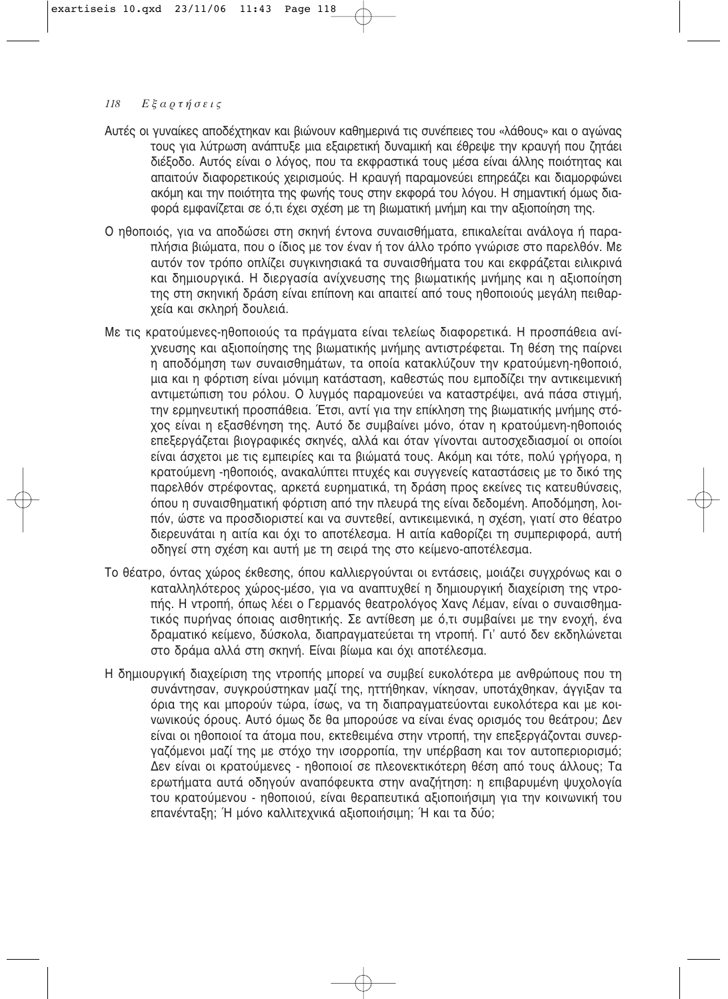- Αυτές οι γυναίκες αποδέχτηκαν και βιώνουν καθημερινά τις συνέπειες του «λάθους» και ο αγώνας τους για λύτρωση ανάπτυξε μια εξαιρετική δυναμική και έθρεψε την κραυγή που ζητάει διέξοδο. Αυτός είναι ο λόγος, που τα εκφραστικά τους μέσα είναι άλλης ποιότητας και απαιτούν διαφορετικούς χειρισμούς. Η κραυγή παραμονεύει επηρεάζει και διαμορφώνει ακόμη και την ποιότητα της φωνής τους στην εκφορά του λόγου. Η σημαντική όμως διαφορά εμφανίζεται σε ό,τι έχει σχέση με τη βιωματική μνήμη και την αξιοποίηση της.
- Ο ηθοποιός, για να αποδώσει στη σκηνή έντονα συναισθήματα, επικαλείται ανάλονα ή παραπλήσια βιώματα, που ο ίδιος με τον έναν ή τον άλλο τρόπο γνώρισε στο παρελθόν. Με αυτόν τον τρόπο οπλίζει συγκινησιακά τα συναισθήματα του και εκφράζεται ειλικρινά και δημιουργικά. Η διεργασία ανίχνευσης της βιωματικής μνήμης και η αξιοποίηση της στη σκηνική δράση είναι επίπονη και απαιτεί από τους ηθοποιούς μεγάλη πειθαρχεία και σκληρή δουλειά.
- Με τις κρατούμενες-ηθοποιούς τα πράγματα είναι τελείως διαφορετικά. Η προσπάθεια ανίχνευσης και αξιοποίησης της βιωματικής μνήμης αντιστρέφεται. Τη θέση της παίρνει η αποδόμηση των συναισθημάτων, τα οποία κατακλύζουν την κρατούμενη-ηθοποιό, μια και η φόρτιση είναι μόνιμη κατάσταση, καθεστώς που εμποδίζει την αντικειμενική αντιμετώπιση του ρόλου. Ο λυγμός παραμονεύει να καταστρέψει, ανά πάσα στινμή, την ερμηνευτική προσπάθεια. Έτσι, αντί για την επίκληση της βιωματικής μνήμης στόχος είναι η εξασθένηση της. Αυτό δε συμβαίνει μόνο, όταν η κρατούμενη-ηθοποιός επεξεργάζεται βιογραφικές σκηνές, αλλά και όταν γίνονται αυτοσχεδιασμοί οι οποίοι είναι άσχετοι με τις εμπειρίες και τα βιώματά τους. Ακόμη και τότε, πολύ γρήγορα, η κρατούμενη -ηθοποιός, ανακαλύπτει πτυχές και συγγενείς καταστάσεις με το δικό της παρελθόν στρέφοντας, αρκετά ευρηματικά, τη δράση προς εκείνες τις κατευθύνσεις, όπου η συναισθηματική φόρτιση από την πλευρά της είναι δεδομένη. Αποδόμηση, λοιπόν, ώστε να προσδιοριστεί και να συντεθεί, αντικειμενικά, η σχέση, γιατί στο θέατρο διερευνάται η αιτία και όχι το αποτέλεσμα. Η αιτία καθορίζει τη συμπεριφορά, αυτή οδηγεί στη σχέση και αυτή με τη σειρά της στο κείμενο-αποτέλεσμα.
- Το θέατρο, όντας χώρος έκθεσης, όπου καλλιεργούνται οι εντάσεις, μοιάζει συγχρόνως και ο καταλληλότερος χώρος-μέσο, για να αναπτυχθεί η δημιουργική διαχείριση της ντροπής. Η ντροπή, όπως λέει ο Γερμανός θεατρολόγος Χανς Λέμαν, είναι ο συναισθηματικός πυρήνας όποιας αισθητικής. Σε αντίθεση με ό,τι συμβαίνει με την ενοχή, ένα δραματικό κείμενο, δύσκολα, διαπραγματεύεται τη ντροπή. Γι' αυτό δεν εκδηλώνεται στο δράμα αλλά στη σκηνή. Είναι βίωμα και όχι αποτέλεσμα.
- Η δημιουργική διαχείριση της ντροπής μπορεί να συμβεί ευκολότερα με ανθρώπους που τη συνάντησαν, συγκρούστηκαν μαζί της, ηττήθηκαν, νίκησαν, υποτάχθηκαν, άννιξαν τα όρια της και μπορούν τώρα, ίσως, να τη διαπραγματεύονται ευκολότερα και με κοινωνικούς όρους. Αυτό όμως δε θα μπορούσε να είναι ένας ορισμός του θεάτρου; Δεν είναι οι ηθοποιοί τα άτομα που, εκτεθειμένα στην ντροπή, την επεξεργάζονται συνεργαζόμενοι μαζί της με στόχο την ισορροπία, την υπέρβαση και τον αυτοπεριορισμό; Δεν είναι οι κρατούμενες - ηθοποιοί σε πλεονεκτικότερη θέση από τους άλλους; Τα ερωτήματα αυτά οδηγούν αναπόφευκτα στην αναζήτηση: η επιβαρυμένη ψυχολογία του κρατούμενου - ηθοποιού, είναι θεραπευτικά αξιοποιήσιμη για την κοινωνική του επανένταξη; Ή μόνο καλλιτεχνικά αξιοποιήσιμη; Ή και τα δύο;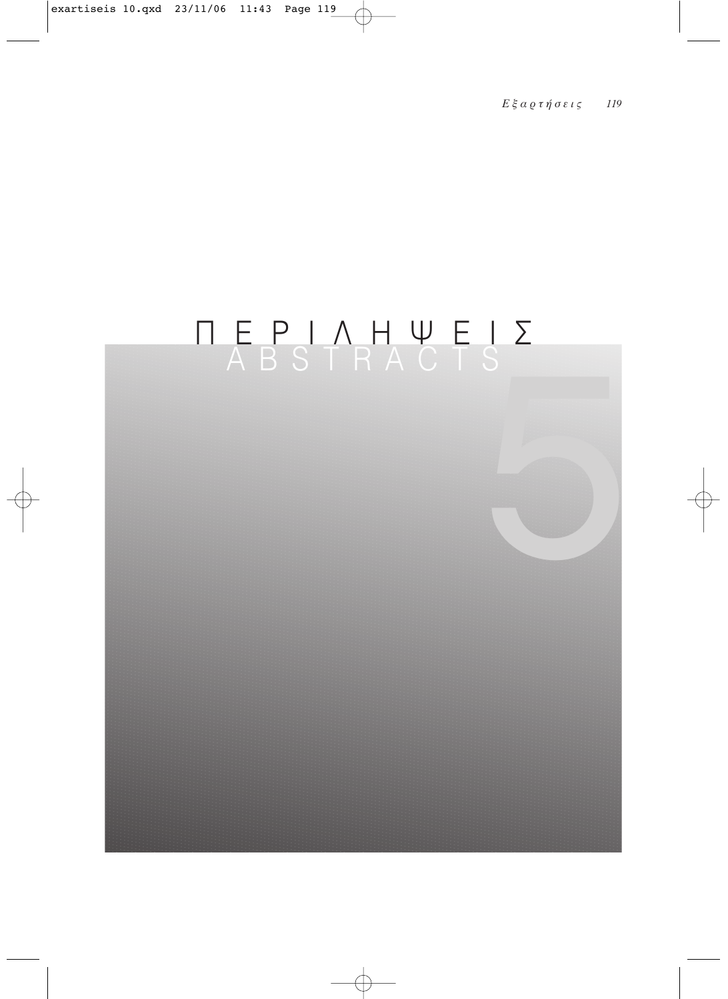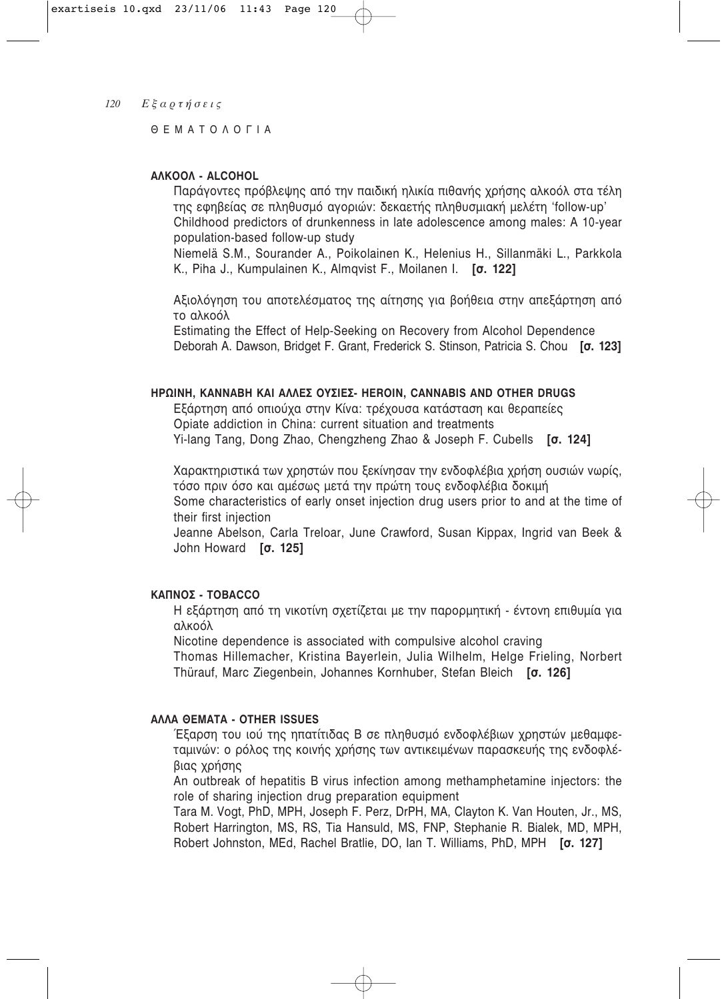**OEMATOAOFIA** 

# ANKOOA - ALCOHOL

Παράγοντες πρόβλεψης από την παιδική ηλικία πιθανής χρήσης αλκοόλ στα τέλη της εφηβείας σε πληθυσμό αγοριών: δεκαετής πληθυσμιακή μελέτη 'follow-up' Childhood predictors of drunkenness in late adolescence among males: A 10-year population-based follow-up study

Niemelä S.M., Sourander A., Poikolainen K., Helenius H., Sillanmäki L., Parkkola K., Piha J., Kumpulainen K., Almovist F., Moilanen I. **[g. 122]** 

Αξιολόγηση του αποτελέσματος της αίτησης για βοήθεια στην απεξάρτηση από το αλκοόλ

Estimating the Effect of Help-Seeking on Recovery from Alcohol Dependence Deborah A. Dawson, Bridget F. Grant, Frederick S. Stinson, Patricia S. Chou [o. 123]

# ΗΡΩΙΝΗ, ΚΑΝΝΑΒΗ ΚΑΙ ΑΛΛΕΣ ΟΥΣΙΕΣ- HEROIN, CANNABIS AND OTHER DRUGS

Εξάρτηση από οπιούχα στην Κίνα: τρέχουσα κατάσταση και θεραπείες Opiate addiction in China: current situation and treatments Yi-lang Tang, Dong Zhao, Chengzheng Zhao & Joseph F. Cubells [o. 124]

Χαρακτηριστικά των χρηστών που ξεκίνησαν την ενδοφλέβια χρήση ουσιών νωρίς, τόσο πριν όσο και αμέσως μετά την πρώτη τους ενδοφλέβια δοκιμή Some characteristics of early onset injection drug users prior to and at the time of their first injection

Jeanne Abelson, Carla Treloar, June Crawford, Susan Kippax, Ingrid van Beek & John Howard **[g. 125]** 

# ΚΑΠΝΟΣ - ΤΟΒΑCCO

Η εξάρτηση από τη νικοτίνη σχετίζεται με την παρορμητική - έντονη επιθυμία για αλκοόλ

Nicotine dependence is associated with compulsive alcohol craving

Thomas Hillemacher, Kristina Bayerlein, Julia Wilhelm, Helge Frieling, Norbert Thürauf, Marc Ziegenbein, Johannes Kornhuber, Stefan Bleich [o. 126]

# **AAAA GEMATA - OTHER ISSUES**

Έξαρση του ιού της ηπατίτιδας Β σε πληθυσμό ενδοφλέβιων χρηστών μεθαμφεταμινών: ο ρόλος της κοινής χρήσης των αντικειμένων παρασκευής της ενδοφλέβιας χρήσης

An outbreak of hepatitis B virus infection among methamphetamine injectors: the role of sharing injection drug preparation equipment

Tara M. Vogt, PhD, MPH, Joseph F. Perz, DrPH, MA, Clayton K. Van Houten, Jr., MS, Robert Harrington, MS, RS, Tia Hansuld, MS, FNP, Stephanie R, Bialek, MD, MPH, Robert Johnston, MEd, Rachel Bratlie, DO, Ian T. Williams, PhD, MPH [o. 127]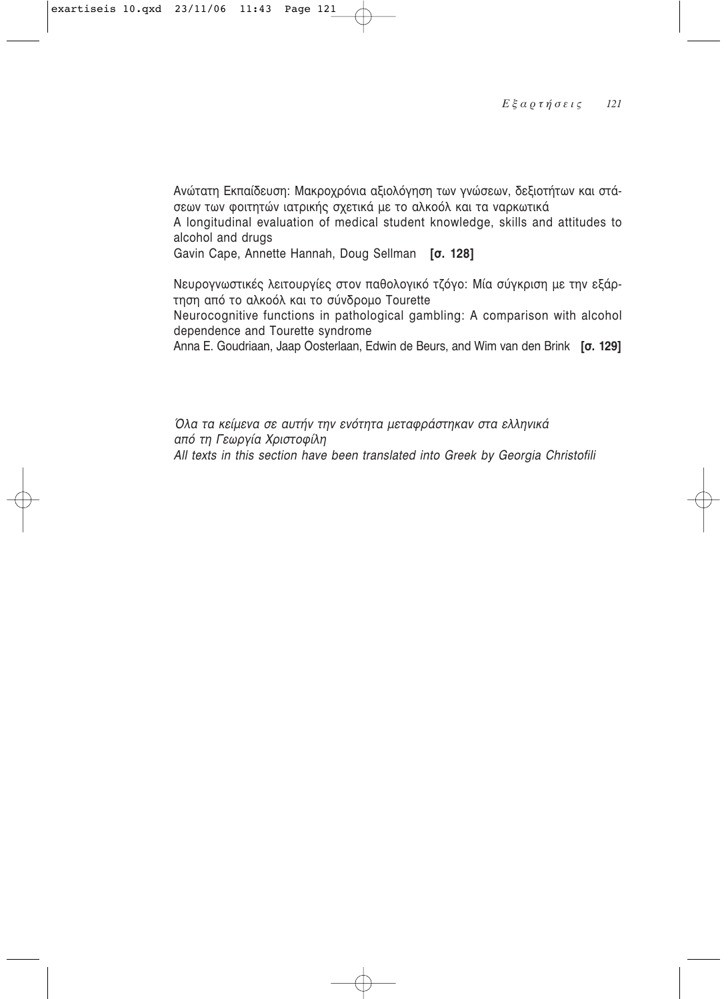Ανώτατη Εκπαίδευση: Μακροχρόνια αξιολόγηση των γνώσεων, δεξιοτήτων και στάσεων των φοιτητών ιατρικής σχετικά με το αλκοόλ και τα ναρκωτικά

A longitudinal evaluation of medical student knowledge, skills and attitudes to alcohol and drugs

Gavin Cape, Annette Hannah, Doug Sellman [o. 128]

Νευρογνωστικές λειτουργίες στον παθολογικό τζόγο: Μία σύγκριση με την εξάρτηση από το αλκοόλ και το σύνδρομο Tourette

Neurocognitive functions in pathological gambling: A comparison with alcohol dependence and Tourette syndrome

Anna E. Goudriaan, Jaap Oosterlaan, Edwin de Beurs, and Wim van den Brink [o. 129]

Όλα τα κείμενα σε αυτήν την ενότητα μεταφράστηκαν στα ελληνικά από τη Γεωργία Χριστοφίλη All texts in this section have been translated into Greek by Georgia Christofili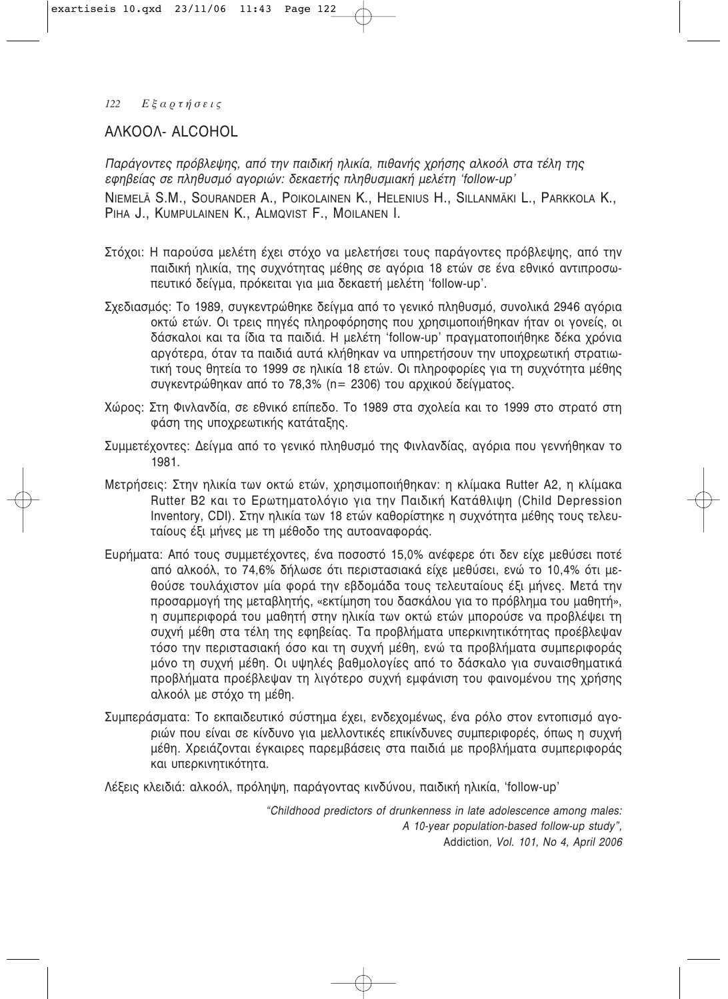# ∞§∫√√§- ALCOHOL

Παράγοντες πρόβλεψης, από την παιδική ηλικία, πιθανής χρήσης αλκοόλ στα τέλη της εφηβείας σε πληθυσμό αγοριών: δεκαετής πληθυσμιακή μελέτη 'follow-up'

NIEMELÄ S.M., SOURANDER A., POIKOLAINEN K., HELENIUS H., SILLANMÄKI L., PARKKOLA K., PIHA J., KUMPULAINEN K., ALMQVIST F., MOILANEN I.

- Στόχοι: Η παρούσα μελέτη έχει στόχο να μελετήσει τους παράγοντες πρόβλεψης, από την παιδική ηλικία, της συχνότητας μέθης σε αγόρια 18 ετών σε ένα εθνικό αντιπροσωπευτικό δείγμα, πρόκειται για μια δεκαετή μελέτη 'follow-up'.
- Σχεδιασμός: Το 1989, συγκεντρώθηκε δείγμα από το γενικό πληθυσμό, συνολικά 2946 αγόρια οκτώ ετών. Οι τρεις πηγές πληροφόρησης που χρησιμοποιήθηκαν ήταν οι γονείς, οι δάσκαλοι και τα ίδια τα παιδιά. Η μελέτη 'follow-up' πραγματοποιήθηκε δέκα χρόνια αργότερα, όταν τα παιδιά αυτά κλήθηκαν να υπηρετήσουν την υποχρεωτική στρατιωτική τους θητεία το 1999 σε ηλικία 18 ετών. Οι πληροφορίες για τη συχνότητα μέθης συγκεντρώθηκαν από το 78,3% (n= 2306) του αρχικού δείγματος.
- Χώρος: Στη Φινλανδία, σε εθνικό επίπεδο. Το 1989 στα σχολεία και το 1999 στο στρατό στη φάση της υποχρεωτικής κατάταξης.
- Συμμετέχοντες: Δείγμα από το γενικό πληθυσμό της Φινλανδίας, αγόρια που γεννήθηκαν το 1981.
- Μετρήσεις: Στην ηλικία των οκτώ ετών, χρησιμοποιήθηκαν: η κλίμακα Rutter A2, η κλίμακα Rutter B2 και το Ερωτηματολόγιο για την Παιδική Κατάθλιψη (Child Depression Inventory, CDI). Στην ηλικία των 18 ετών καθορίστηκε η συχνότητα μέθης τους τελευταίους έξι μήνες με τη μέθοδο της αυτοαναφοράς.
- Ευρήματα: Από τους συμμετέχοντες, ένα ποσοστό 15,0% ανέφερε ότι δεν είχε μεθύσει ποτέ από αλκοόλ, το 74,6% δήλωσε ότι περιστασιακά είχε μεθύσει, ενώ το 10,4% ότι μεθούσε τουλάχιστον μία φορά την εβδομάδα τους τελευταίους έξι μήνες. Μετά την προσαρμογή της μεταβλητής, «εκτίμηση του δασκάλου για το πρόβλημα του μαθητή», η συμπεριφορά του μαθητή στην ηλικία των οκτώ ετών μπορούσε να προβλέψει τη συχνή μέθη στα τέλη της εφηβείας. Τα προβλήματα υπερκινητικότητας προέβλεψαν τόσο την περιστασιακή όσο και τη συχνή μέθη, ενώ τα προβλήματα συμπεριφοράς μόνο τη συχνή μέθη. Οι υψηλές βαθμολογίες από το δάσκαλο για συναισθηματικά προβλήματα προέβλεψαν τη λιγότερο συχνή εμφάνιση του φαινομένου της χρήσης αλκοόλ με στόχο τη μέθη.
- Συμπεράσματα: Το εκπαιδευτικό σύστημα έχει, ενδεχομένως, ένα ρόλο στον εντοπισμό αγοριών που είναι σε κίνδυνο για μελλοντικές επικίνδυνες συμπεριφορές, όπως η συχνή μέθη. Χρειάζονται έγκαιρες παρεμβάσεις στα παιδιά με προβλήματα συμπεριφοράς και υπερκινητικότητα.

Λέξεις κλειδιά: αλκοόλ, πρόληψη, παράγοντας κινδύνου, παιδική ηλικία, 'follow-up'

*"Childhood predictors of drunkenness in late adolescence among males: A 10-year population-based follow-up study",* Addiction*, Vol. 101, No 4, April 2006*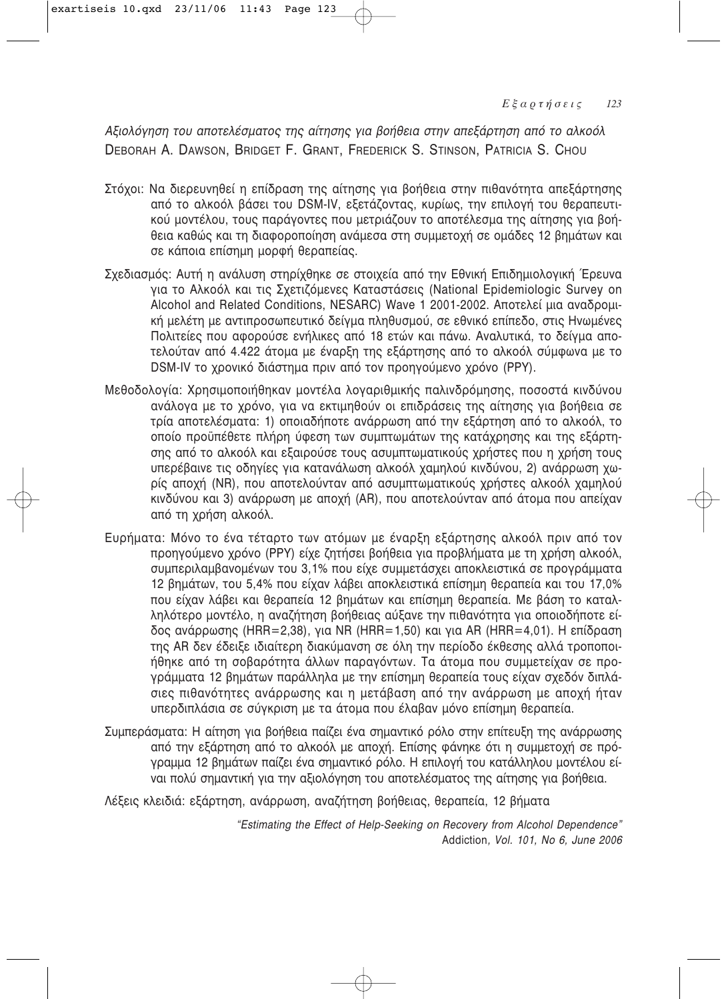Αξιολόγηση του αποτελέσματος της αίτησης για βοήθεια στην απεξάρτηση από το αλκοόλ DEBORAH A. DAWSON, BRIDGET F. GRANT, FREDERICK S. STINSON, PATRICIA S. CHOU

- Στόχοι: Να διερευνηθεί η επίδραση της αίτησης για βοήθεια στην πιθανότητα απεξάρτησης από το αλκοόλ βάσει του DSM-IV, εξετάζοντας, κυρίως, την επιλογή του θεραπευτικού μοντέλου, τους παράγοντες που μετριάζουν το αποτέλεσμα της αίτησης νια βοήθεια καθώς και τη διαφοροποίηση ανάμεσα στη συμμετοχή σε ομάδες 12 βημάτων και σε κάποια επίσημη μορφή θεραπείας.
- Σχεδιασμός: Αυτή η ανάλυση στηρίχθηκε σε στοιχεία από την Εθνική Επιδημιολογική Έρευνα για το Αλκοόλ και τις Σχετιζόμενες Καταστάσεις (National Epidemiologic Survey on Alcohol and Related Conditions, NESARC) Wave 1 2001-2002. Αποτελεί μια αναδρομική μελέτη με αντιπροσωπευτικό δείγμα πληθυσμού, σε εθνικό επίπεδο, στις Ηνωμένες Πολιτείες που αφορούσε ενήλικες από 18 ετών και πάνω. Αναλυτικά, το δείγμα αποτελούταν από 4.422 άτομα με έναρξη της εξάρτησης από το αλκοόλ σύμφωνα με το DSM-IV το χρονικό διάστημα πριν από τον προηγούμενο χρόνο (PPY).
- Μεθοδολογία: Χρησιμοποιήθηκαν μοντέλα λογαριθμικής παλινδρόμησης, ποσοστά κινδύνου ανάλογα με το χρόνο, για να εκτιμηθούν οι επιδράσεις της αίτησης για βοήθεια σε τρία αποτελέσματα: 1) οποιαδήποτε ανάρρωση από την εξάρτηση από το αλκοόλ, το οποίο προϋπέθετε πλήρη ύφεση των συμπτωμάτων της κατάχρησης και της εξάρτησης από το αλκοόλ και εξαιρούσε τους ασυμπτωματικούς χρήστες που η χρήση τους υπερέβαινε τις οδηγίες για κατανάλωση αλκοόλ χαμηλού κινδύνου, 2) ανάρρωση χωρίς αποχή (NR), που αποτελούνταν από ασυμπτωματικούς χρήστες αλκοόλ χαμηλού κινδύνου και 3) ανάρρωση με αποχή (AR), που αποτελούνταν από άτομα που απείχαν από τη χρήση αλκοόλ.
- Ευρήματα: Μόνο το ένα τέταρτο των ατόμων με έναρξη εξάρτησης αλκοόλ πριν από τον προηγούμενο χρόνο (PPY) είχε ζητήσει βοήθεια για προβλήματα με τη χρήση αλκοόλ, συμπεριλαμβανομένων του 3,1% που είχε συμμετάσχει αποκλειστικά σε προγράμματα 12 βημάτων, του 5,4% που είχαν λάβει αποκλειστικά επίσημη θεραπεία και του 17,0% που είχαν λάβει και θεραπεία 12 βημάτων και επίσημη θεραπεία. Με βάση το καταλληλότερο μοντέλο, η αναζήτηση βοήθειας αύξανε την πιθανότητα για οποιοδήποτε είδος ανάρρωσης (HRR=2,38), για NR (HRR=1,50) και για AR (HRR=4,01). Η επίδραση της AR δεν έδειξε ιδιαίτερη διακύμανση σε όλη την περίοδο έκθεσης αλλά τροποποιήθηκε από τη σοβαρότητα άλλων παραγόντων. Τα άτομα που συμμετείχαν σε προγράμματα 12 βημάτων παράλληλα με την επίσημη θεραπεία τους είχαν σχεδόν διπλάσιες πιθανότητες ανάρρωσης και η μετάβαση από την ανάρρωση με αποχή ήταν υπερδιπλάσια σε σύγκριση με τα άτομα που έλαβαν μόνο επίσημη θεραπεία.
- Συμπεράσματα: Η αίτηση για βοήθεια παίζει ένα σημαντικό ρόλο στην επίτευξη της ανάρρωσης από την εξάρτηση από το αλκοόλ με αποχή. Επίσης φάνηκε ότι η συμμετοχή σε πρόγραμμα 12 βημάτων παίζει ένα σημαντικό ρόλο. Η επιλογή του κατάλληλου μοντέλου είναι πολύ σημαντική για την αξιολόγηση του αποτελέσματος της αίτησης για βοήθεια.

Λέξεις κλειδιά: εξάρτηση, ανάρρωση, αναζήτηση βοήθειας, θεραπεία, 12 βήματα

"Estimating the Effect of Help-Seeking on Recovery from Alcohol Dependence" Addiction, Vol. 101, No 6, June 2006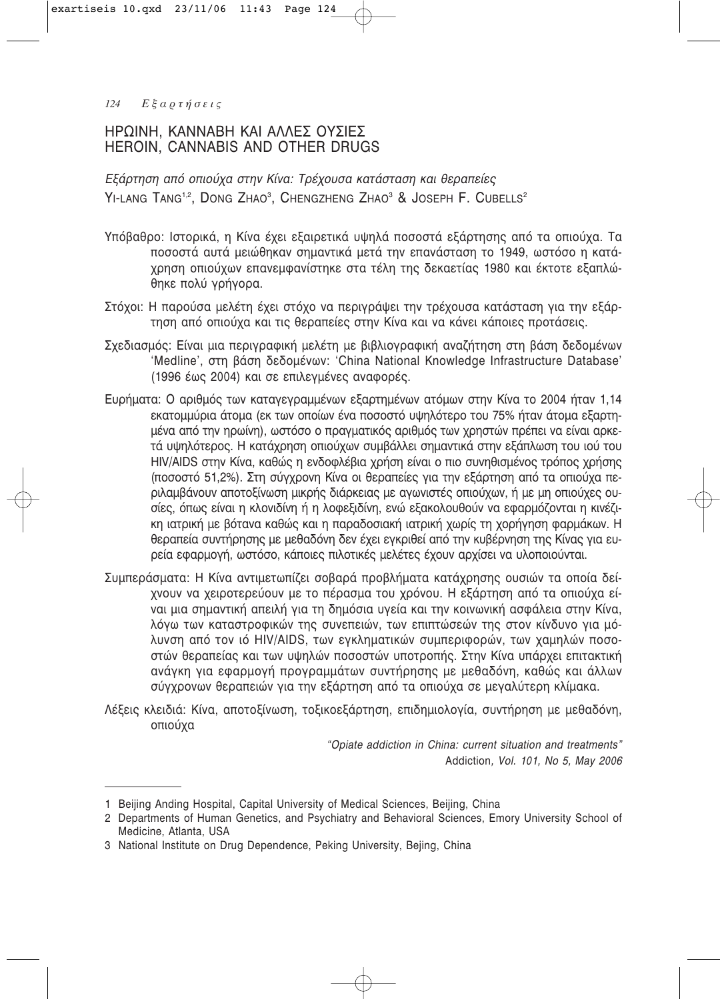# ΗΡΩΙΝΗ, ΚΑΝΝΑΒΗ ΚΑΙ ΑΛΛΕΣ ΟΥΣΙΕΣ HEROIN, CANNABIS AND OTHER DRUGS

Εξάρτηση από οπιούχα στην Κίνα: Τρέχουσα κατάσταση και θεραπείες YI-LANG TANG<sup>1,2</sup>, DONG ZHAO<sup>3</sup>, CHENGZHENG ZHAO<sup>3</sup> & JOSEPH F. CUBELLS<sup>2</sup>

- Υπόβαθρο: Ιστορικά, η Κίνα έχει εξαιρετικά υψηλά ποσοστά εξάρτησης από τα οπιούχα. Τα ποσοστά αυτά μειώθηκαν σημαντικά μετά την επανάσταση το 1949, ωστόσο η κατάχρηση οπιούχων επανεμφανίστηκε στα τέλη της δεκαετίας 1980 και έκτοτε εξαπλώθηκε πολύ γρήγορα.
- Στόχοι: Η παρούσα μελέτη έχει στόχο να περιγράψει την τρέχουσα κατάσταση για την εξάρτηση από οπιούχα και τις θεραπείες στην Κίνα και να κάνει κάποιες προτάσεις.
- Σχεδιασμός: Είναι μια περιγραφική μελέτη με βιβλιογραφική αναζήτηση στη βάση δεδομένων 'Medline', στη βάση δεδομένων: 'China National Knowledge Infrastructure Database' (1996 έως 2004) και σε επιλενμένες αναφορές.
- Ευρήματα: Ο αριθμός των καταγεγραμμένων εξαρτημένων ατόμων στην Κίνα το 2004 ήταν 1,14 εκατομμύρια άτομα (εκ των οποίων ένα ποσοστό υψηλότερο του 75% ήταν άτομα εξαρτημένα από την ηρωίνη), ωστόσο ο πραγματικός αριθμός των χρηστών πρέπει να είναι αρκετά υψηλότερος. Η κατάχρηση οπιούχων συμβάλλει σημαντικά στην εξάπλωση του ιού του HIV/AIDS στην Κίνα, καθώς η ενδοφλέβια χρήση είναι ο πιο συνηθισμένος τρόπος χρήσης (ποσοστό 51,2%). Στη σύγχρονη Κίνα οι θεραπείες για την εξάρτηση από τα οπιούχα περιλαμβάνουν αποτοξίνωση μικρής διάρκειας με αγωνιστές οπιούχων, ή με μη οπιούχες ουσίες, όπως είναι η κλονιδίνη ή η λοφεξιδίνη, ενώ εξακολουθούν να εφαρμόζονται η κινέζικη ιατρική με βότανα καθώς και η παραδοσιακή ιατρική χωρίς τη χορήγηση φαρμάκων. Η θεραπεία συντήρησης με μεθαδόνη δεν έχει ενκριθεί από την κυβέρνηση της Κίνας για ευρεία εφαρμογή, ωστόσο, κάποιες πιλοτικές μελέτες έχουν αρχίσει να υλοποιούνται.
- Συμπεράσματα: Η Κίνα αντιμετωπίζει σοβαρά προβλήματα κατάχρησης ουσιών τα οποία δείχνουν να χειροτερεύουν με το πέρασμα του χρόνου. Η εξάρτηση από τα οπιούχα είναι μια σημαντική απειλή για τη δημόσια υνεία και την κοινωνική ασφάλεια στην Κίνα. λόγω των καταστροφικών της συνεπειών, των επιπτώσεών της στον κίνδυνο για μόλυνση από τον ιό HIV/AIDS, των εγκληματικών συμπεριφορών, των χαμηλών ποσοστών θεραπείας και των υψηλών ποσοστών υποτροπής. Στην Κίνα υπάρχει επιτακτική ανάγκη για εφαρμογή προγραμμάτων συντήρησης με μεθαδόνη, καθώς και άλλων σύγχρονων θεραπειών για την εξάρτηση από τα οπιούχα σε μεγαλύτερη κλίμακα.
- Λέξεις κλειδιά: Κίνα, αποτοξίνωση, τοξικοεξάρτηση, επιδημιολογία, συντήρηση με μεθαδόνη, οπιούχα

"Opiate addiction in China: current situation and treatments" Addiction, Vol. 101, No 5, May 2006

<sup>1</sup> Beijing Anding Hospital, Capital University of Medical Sciences, Beijing, China

<sup>2</sup> Departments of Human Genetics, and Psychiatry and Behavioral Sciences, Emory University School of Medicine, Atlanta, USA

<sup>3</sup> National Institute on Drug Dependence, Peking University, Bejing, China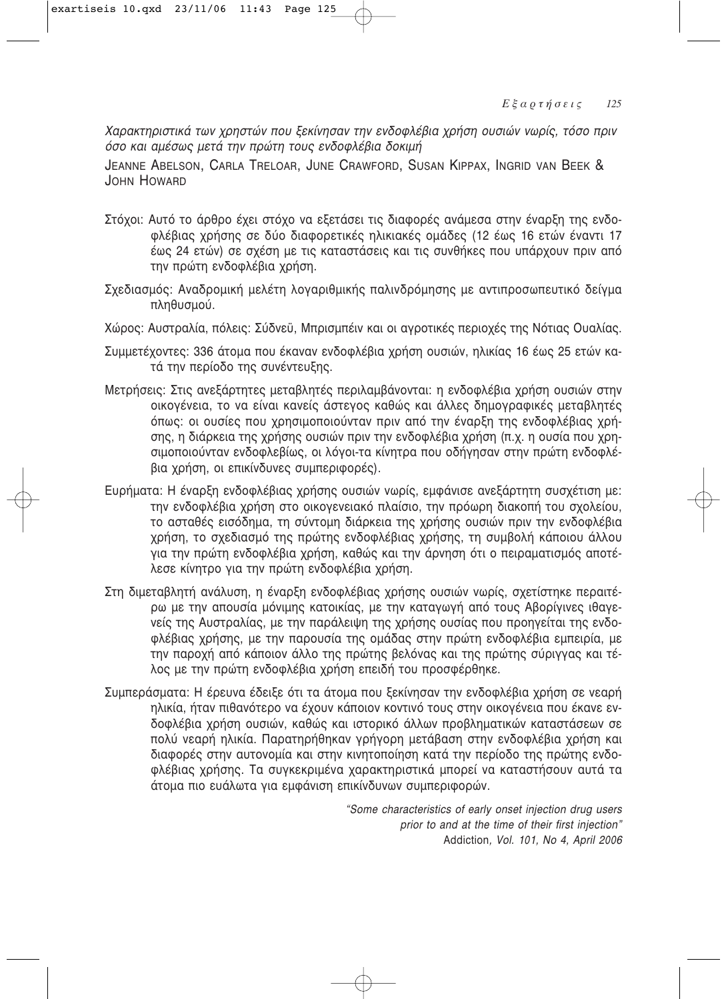Χαρακτηριστικά των χρηστών που ξεκίνησαν την ενδοφλέβια χρήση ουσιών νωρίς, τόσο πριν *όσο και αμέσως μετά την πρώτη τους ενδοφλέβια δοκιμή* 

JEANNE ABELSON, CARLA TRELOAR, JUNE CRAWFORD, SUSAN KIPPAX, INGRID VAN BEEK & JOHN HOWARD

- Στόχοι: Αυτό το άρθρο έχει στόχο να εξετάσει τις διαφορές ανάμεσα στην έναρξη της ενδο-Φλέβιας χρήσης σε δύο διαφορετικές ηλικιακές ομάδες (12 έως 16 ετών έναντι 17 έως 24 ετών) σε σχέση με τις καταστάσεις και τις συνθήκες που υπάρχουν πριν από την πρώτη ενδοφλέβια χρήση.
- Σχεδιασμός: Αναδρομική μελέτη λογαριθμικής παλινδρόμησης με αντιπροσωπευτικό δείγμα πληθυσμού.
- Χώρος: Αυστραλία, πόλεις: Σύδνεϋ, Μπρισμπέιν και οι αγροτικές περιοχές της Νότιας Ουαλίας.
- Συμμετέχοντες: 336 άτομα που έκαναν ενδοφλέβια χρήση ουσιών, ηλικίας 16 έως 25 ετών κατά την περίοδο της συνέντευξης.
- Μετρήσεις: Στις ανεξάρτητες μεταβλητές περιλαμβάνονται: η ενδοφλέβια χρήση ουσιών στην οικογένεια, το να είναι κανείς άστεγος καθώς και άλλες δημογραφικές μεταβλητές όπως: οι ουσίες που χρησιμοποιούνταν πριν από την έναρξη της ενδοφλέβιας χρήσης, η διάρκεια της χρήσης ουσιών πριν την ενδοφλέβια χρήση (π.χ. η ουσία που χρησιμοποιούνταν ενδοφλεβίως, οι λόνοι-τα κίνητρα που οδήνησαν στην πρώτη ενδοφλέβια χρήση, οι επικίνδυνες συμπεριφορές).
- Ευρήματα: Η έναρξη ενδοφλέβιας χρήσης ουσιών νωρίς, εμφάνισε ανεξάρτητη συσχέτιση με: την ενδοφλέβια χρήση στο οικογενειακό πλαίσιο, την πρόωρη διακοπή του σχολείου, το ασταθές εισόδημα, τη σύντομη διάρκεια της χρήσης ουσιών πριν την ενδοφλέβια χρήση, το σχεδιασμό της πρώτης ενδοφλέβιας χρήσης, τη συμβολή κάποιου άλλου για την πρώτη ενδοφλέβια χρήση, καθώς και την άρνηση ότι ο πειραματισμός αποτέλεσε κίνητρο για την πρώτη ενδοφλέβια χρήση.
- Στη διμεταβλητή ανάλυση, η έναρξη ενδοφλέβιας χρήσης ουσιών νωρίς, σχετίστηκε περαιτέρω με την απουσία μόνιμης κατοικίας, με την καταγωγή από τους Αβορίγινες ιθαγενείς της Αυστραλίας, με την παράλειψη της χρήσης ουσίας που προηγείται της ενδοφλέβιας χρήσης, με την παρουσία της ομάδας στην πρώτη ενδοφλέβια εμπειρία, με την παροχή από κάποιον άλλο της πρώτης βελόνας και της πρώτης σύριγγας και τέλος με την πρώτη ενδοφλέβια χρήση επειδή του προσφέρθηκε.
- Συμπεράσματα: Η έρευνα έδειξε ότι τα άτομα που ξεκίνησαν την ενδοφλέβια χρήση σε νεαρή ηλικία, ήταν πιθανότερο να έχουν κάποιον κοντινό τους στην οικογένεια που έκανε ενδοφλέβια χρήση ουσιών, καθώς και ιστορικό άλλων προβληματικών καταστάσεων σε πολύ νεαρή ηλικία. Παρατηρήθηκαν γρήγορη μετάβαση στην ενδοφλέβια χρήση και διαφορές στην αυτονομία και στην κινητοποίηση κατά την περίοδο της πρώτης ενδοφλέβιας χρήσης. Τα συγκεκριμένα χαρακτηριστικά μπορεί να καταστήσουν αυτά τα άτομα πιο ευάλωτα για εμφάνιση επικίνδυνων συμπεριφορών.

*"Some characteristics of early onset injection drug users prior to and at the time of their first injection"* Addiction*, Vol. 101, No 4, April 2006*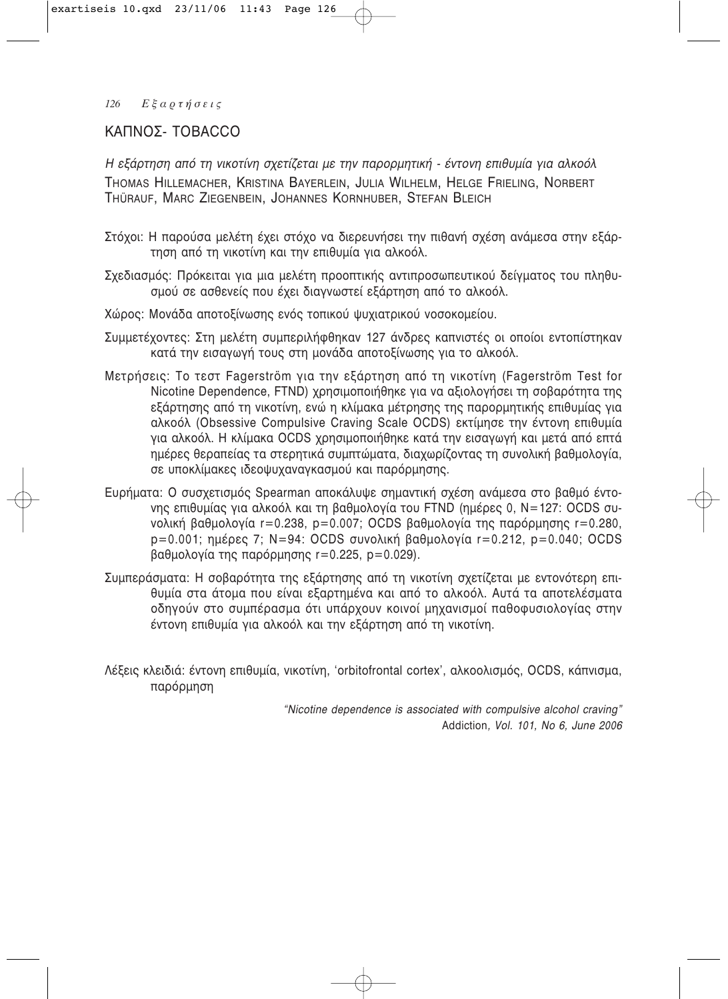# 126  $E$ ξαρτήσεις

# ΚΑΠΝΟΣ- ΤΟΒΑCCO

Η εξάρτηση από τη νικοτίνη σχετίζεται με την παρορμητική - έντονη επιθυμία για αλκοόλ THOMAS HILLEMACHER, KRISTINA BAYERLEIN, JULIA WILHELM, HELGE FRIELING, NORBERT THÜRAUF, MARC ZIEGENBEIN, JOHANNES KORNHUBER, STEFAN BLEICH

- Στόχοι: Η παρούσα μελέτη έχει στόχο να διερευνήσει την πιθανή σχέση ανάμεσα στην εξάρτηση από τη νικοτίνη και την επιθυμία για αλκοόλ.
- Σχεδιασμός: Πρόκειται για μια μελέτη προοπτικής αντιπροσωπευτικού δείγματος του πληθυσμού σε ασθενείς που έχει διαγνωστεί εξάρτηση από το αλκοόλ.
- Χώρος: Μονάδα αποτοξίνωσης ενός τοπικού ψυχιατρικού νοσοκομείου.
- Συμμετέχοντες: Στη μελέτη συμπεριλήφθηκαν 127 άνδρες καπνιστές οι οποίοι εντοπίστηκαν κατά την εισαγωγή τους στη μονάδα αποτοξίνωσης για το αλκοόλ.
- Μετρήσεις: Το τεστ Fagerström για την εξάρτηση από τη νικοτίνη (Fagerström Test for Nicotine Dependence, FTND) χρησιμοποιήθηκε για να αξιολογήσει τη σοβαρότητα της εξάρτησης από τη νικοτίνη, ενώ η κλίμακα μέτρησης της παρορμητικής επιθυμίας για αλκοόλ (Obsessive Compulsive Craving Scale OCDS) εκτίμησε την έντονη επιθυμία για αλκοόλ. Η κλίμακα OCDS χρησιμοποιήθηκε κατά την εισαγωγή και μετά από επτά ημέρες θεραπείας τα στερητικά συμπτώματα, διαχωρίζοντας τη συνολική βαθμολογία, σε υποκλίμακες ιδεοψυχαναγκασμού και παρόρμησης.
- Ευρήματα: Ο συσχετισμός Spearman αποκάλυψε σημαντική σχέση ανάμεσα στο βαθμό έντονης επιθυμίας για αλκοόλ και τη βαθμολογία του FTND (ημέρες 0, N=127: OCDS συνολική βαθμολογία r=0.238, p=0.007; OCDS βαθμολογία της παρόρμησης r=0.280,  $p=0.001$ ; ημέρες 7; N=94: OCDS συνολική βαθμολογία r=0.212, p=0.040; OCDS βαθμολογία της παρόρμησης r=0.225, p=0.029).
- Συμπεράσματα: Η σοβαρότητα της εξάρτησης από τη νικοτίνη σχετίζεται με εντονότερη επιθυμία στα άτομα που είναι εξαρτημένα και από το αλκοόλ. Αυτά τα αποτελέσματα οδηγούν στο συμπέρασμα ότι υπάρχουν κοινοί μηχανισμοί παθοφυσιολογίας στην έντονη επιθυμία για αλκοόλ και την εξάρτηση από τη νικοτίνη.
- Λέξεις κλειδιά: έντονη επιθυμία, νικοτίνη, 'orbitofrontal cortex', αλκοολισμός, OCDS, κάπνισμα, παρόρμηση

"Nicotine dependence is associated with compulsive alcohol craving" Addiction, Vol. 101, No 6, June 2006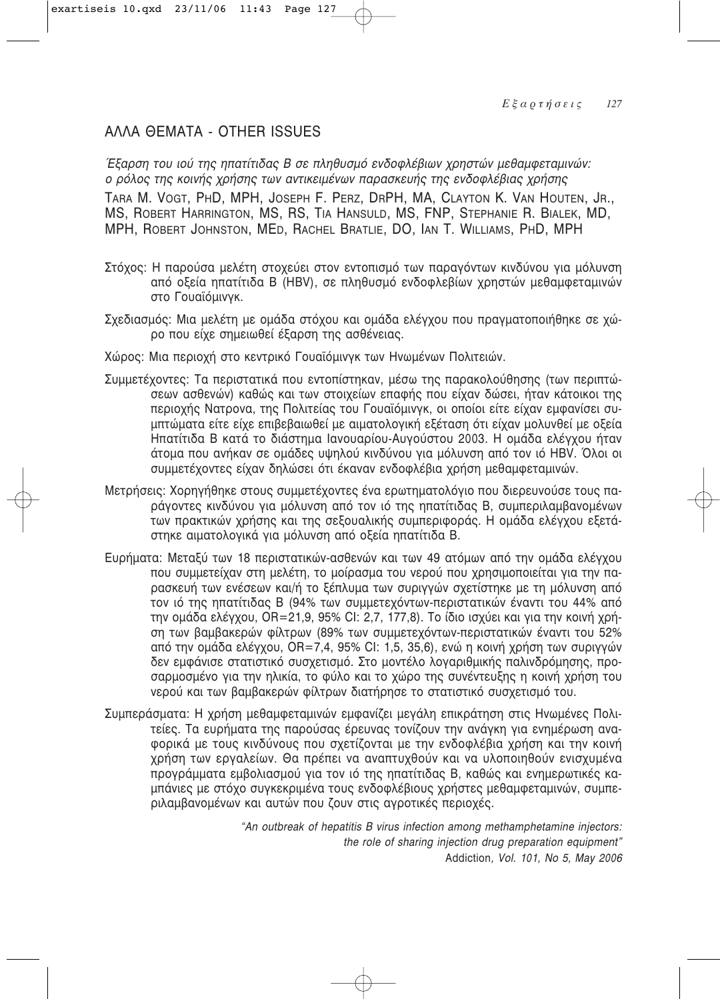# AAAA OEMATA - OTHER ISSUES

Έξαρση του ιού της ηπατίτιδας Β σε πληθυσμό ενδοφλέβιων χρηστών μεθαμφεταμινών: ο ρόλος της κοινής χρήσης των αντικειμένων παρασκευής της ενδοφλέβιας χρήσης

TARA M. VOGT, PHD, MPH, JOSEPH F. PERZ, DRPH, MA, CLAYTON K. VAN HOUTEN, JR., MS, ROBERT HARRINGTON, MS, RS, TIA HANSULD, MS, FNP, STEPHANIE R. BIALEK, MD, MPH, ROBERT JOHNSTON, MED. RACHEL BRATLIF, DO. JAN T. WILLIAMS, PHD. MPH

- Στόχος: Η παρούσα μελέτη στοχεύει στον εντοπισμό των παραγόντων κινδύνου για μόλυνση από οξεία ηπατίτιδα Β (HBV), σε πληθυσμό ενδοφλεβίων χρηστών μεθαμφεταμινών στο Γουαϊόμινγκ.
- Σχεδιασμός: Μια μελέτη με ομάδα στόχου και ομάδα ελέγχου που πραγματοποιήθηκε σε χώρο που είχε σημειωθεί έξαρση της ασθένειας.
- Χώρος: Μια περιοχή στο κεντρικό Γουαϊόμιννκ των Ηνωμένων Πολιτειών.
- Συμμετέχοντες: Τα περιστατικά που εντοπίστηκαν, μέσω της παρακολούθησης (των περιπτώσεων ασθενών) καθώς και των στοιχείων επαφής που είχαν δώσει, ήταν κάτοικοι της περιοχής Νατρονα, της Πολιτείας του Γουαϊόμινγκ, οι οποίοι είτε είχαν εμφανίσει συμπτώματα είτε είχε επιβεβαιωθεί με αιματολογική εξέταση ότι είχαν μολυνθεί με οξεία Ηπατίτιδα Β κατά το διάστημα Ιανουαρίου-Αυγούστου 2003. Η ομάδα ελέγχου ήταν άτομα που ανήκαν σε ομάδες υψηλού κινδύνου για μόλυνση από τον ιό HBV. Όλοι οι συμμετέχοντες είχαν δηλώσει ότι έκαναν ενδοφλέβια χρήση μεθαμφεταμινών.
- Μετρήσεις: Χορηγήθηκε στους συμμετέχοντες ένα ερωτηματολόγιο που διερευνούσε τους παράγοντες κινδύνου για μόλυνση από τον ιό της ηπατίτιδας Β, συμπεριλαμβανομένων των πρακτικών χρήσης και της σεξουαλικής συμπεριφοράς. Η ομάδα ελέγχου εξετάστηκε αιματολογικά για μόλυνση από οξεία ηπατίτιδα Β.
- Ευρήματα: Μεταξύ των 18 περιστατικών-ασθενών και των 49 ατόμων από την ομάδα ελέγχου που συμμετείχαν στη μελέτη, το μοίρασμα του νερού που χρησιμοποιείται για την παρασκευή των ενέσεων και/ή το ξέπλυμα των συριννών σχετίστηκε με τη μόλυνση από τον ιό της ηπατίτιδας Β (94% των συμμετεχόντων περιστατικών έναντι του 44% από την ομάδα ελέγχου, OR=21,9, 95% Cl: 2,7, 177,8). Το ίδιο ισχύει και για την κοινή χρήση των βαμβακερών φίλτρων (89% των συμμετεχόντων-περιστατικών έναντι του 52% από την ομάδα ελέγχου, OR=7,4, 95% Cl: 1,5, 35,6), ενώ η κοινή χρήση των συριγγών δεν εμφάνισε στατιστικό συσχετισμό. Στο μοντέλο λογαριθμικής παλινδρόμησης, προσαρμοσμένο για την ηλικία, το φύλο και το χώρο της συνέντευξης η κοινή χρήση του νερού και των βαμβακερών φίλτρων διατήρησε το στατιστικό συσχετισμό του.
- Συμπεράσματα: Η χρήση μεθαμφεταμινών εμφανίζει μεγάλη επικράτηση στις Ηνωμένες Πολιτείες. Τα ευρήματα της παρούσας έρευνας τονίζουν την ανάγκη για ενημέρωση αναφορικά με τους κινδύνους που σχετίζονται με την ενδοφλέβια χρήση και την κοινή χρήση των εργαλείων. Θα πρέπει να αναπτυχθούν και να υλοποιηθούν ενισχυμένα προγράμματα εμβολιασμού για τον ιό της ηπατίτιδας Β, καθώς και ενημερωτικές καμπάνιες με στόχο συγκεκριμένα τους ενδοφλέβιους χρήστες μεθαμφεταμινών, συμπεριλαμβανομένων και αυτών που ζουν στις αγροτικές περιοχές.

"An outbreak of hepatitis B virus infection among methamphetamine injectors: the role of sharing injection drug preparation equipment" Addiction, Vol. 101, No 5, May 2006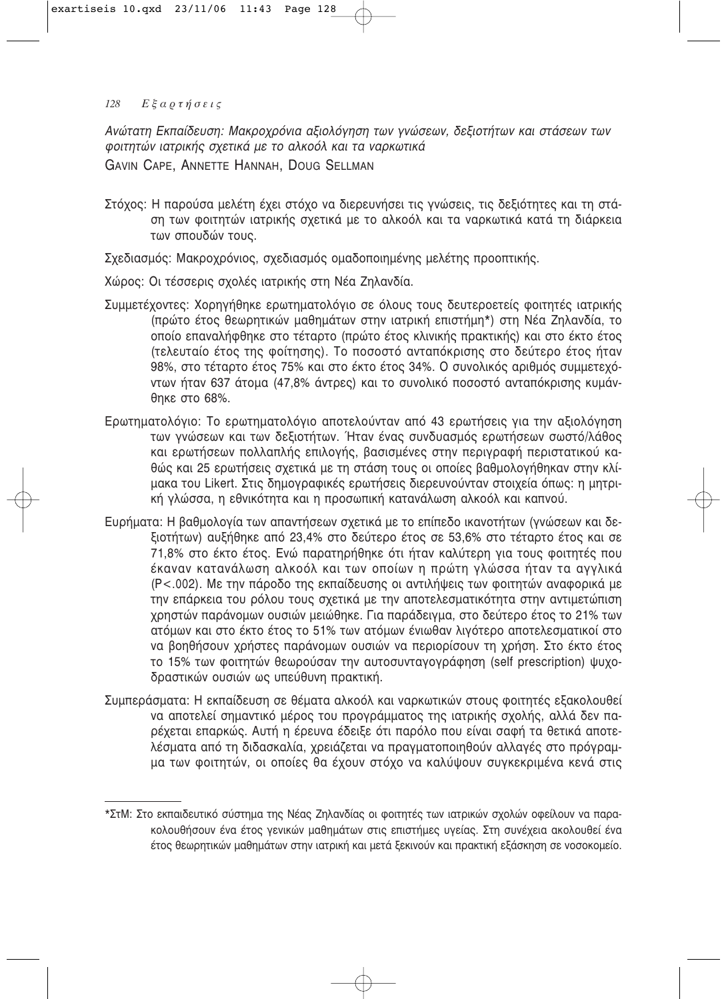Ανώτατη Εκπαίδευση: Μακροχρόνια αξιολόγηση των γνώσεων, δεξιοτήτων και στάσεων των *ÊÔÈÙËÙÒÓ È·ÙÚÈ΋˜ Û¯ÂÙÈο Ì ÙÔ ·ÏÎÔfiÏ Î·È Ù· Ó·ÚΈÙÈο*

GAVIN CAPE, ANNETTE HANNAH, DOUG SELLMAN

Στόχος: Η παρούσα μελέτη έχει στόχο να διερευνήσει τις γνώσεις, τις δεξιότητες και τη στάση των φοιτητών ιατρικής σχετικά με το αλκοόλ και τα ναρκωτικά κατά τη διάρκεια των σπουδών τους.

Σχεδιασμός: Μακροχρόνιος, σχεδιασμός ομαδοποιημένης μελέτης προοπτικής.

- Χώρος: Οι τέσσερις σχολές ιατρικής στη Νέα Ζηλανδία.
- Συμμετέχοντες: Χορηγήθηκε ερωτηματολόγιο σε όλους τους δευτεροετείς φοιτητές ιατρικής (πρώτο έτος θεωρητικών μαθημάτων στην ιατρική επιστήμη\*) στη Νέα Ζηλανδία, το οποίο επαναλήφθηκε στο τέταρτο (πρώτο έτος κλινικής πρακτικής) και στο έκτο έτος (τελευταίο έτος της φοίτησης). Το ποσοστό ανταπόκρισης στο δεύτερο έτος ήταν 98%, στο τέταρτο έτος 75% και στο έκτο έτος 34%. Ο συνολικός αριθμός συμμετεχόντων ήταν 637 άτομα (47,8% άντρες) και το συνολικό ποσοστό ανταπόκρισης κυμάνθηκε στο 68%.
- Ερωτηματολόγιο: Το ερωτηματολόγιο αποτελούνταν από 43 ερωτήσεις για την αξιολόγηση των γνώσεων και των δεξιοτήτων. Ήταν ένας συνδυασμός ερωτήσεων σωστό/λάθος και ερωτήσεων πολλαπλής επιλονής, βασισμένες στην περινραφή περιστατικού καθώς και 25 ερωτήσεις σχετικά με τη στάση τους οι οποίες βαθμολογήθηκαν στην κλίμακα του Likert. Στις δημογραφικές ερωτήσεις διερευνούνταν στοιχεία όπως: η μητρική γλώσσα, η εθνικότητα και η προσωπική κατανάλωση αλκοόλ και καπνού.
- Ευρήματα: Η βαθμολογία των απαντήσεων σχετικά με το επίπεδο ικανοτήτων (γνώσεων και δεξιοτήτων) αυξήθηκε από 23,4% στο δεύτερο έτος σε 53,6% στο τέταρτο έτος και σε 71,8% στο έκτο έτος. Ενώ παρατηρήθηκε ότι ήταν καλύτερη για τους φοιτητές που έκαναν κατανάλωση αλκοόλ και των οποίων η πρώτη γλώσσα ήταν τα αγγλικά (P<.002). Με την πάροδο της εκπαίδευσης οι αντιλήψεις των φοιτητών αναφορικά με την επάρκεια του ρόλου τους σχετικά με την αποτελεσματικότητα στην αντιμετώπιση χρηστών παράνομων ουσιών μειώθηκε. Για παράδειγμα, στο δεύτερο έτος το 21% των ατόμων και στο έκτο έτος το 51% των ατόμων ένιωθαν λιγότερο αποτελεσματικοί στο να βοηθήσουν χρήστες παράνομων ουσιών να περιορίσουν τη χρήση. Στο έκτο έτος το 15% των φοιτητών θεωρούσαν την αυτοσυνταγογράφηση (self prescription) ψυχοδραστικών ουσιών ως υπεύθυνη πρακτική.
- Συμπεράσματα: Η εκπαίδευση σε θέματα αλκοόλ και ναρκωτικών στους φοιτητές εξακολουθεί να αποτελεί σημαντικό μέρος του προγράμματος της ιατρικής σχολής, αλλά δεν παρέχεται επαρκώς. Αυτή η έρευνα έδειξε ότι παρόλο που είναι σαφή τα θετικά αποτελέσματα από τη διδασκαλία, χρειάζεται να πραγματοποιηθούν αλλαγές στο πρόγραμμα των φοιτητών, οι οποίες θα έχουν στόχο να καλύψουν συγκεκριμένα κενά στις

<sup>\*</sup>ΣτΜ: Στο εκπαιδευτικό σύστημα της Νέας Ζηλανδίας οι φοιτητές των ιατρικών σχολών οφείλουν να παρακολουθήσουν ένα έτος γενικών μαθημάτων στις επιστήμες υγείας. Στη συνέχεια ακολουθεί ένα έτος θεωρητικών μαθημάτων στην ιατρική και μετά ξεκινούν και πρακτική εξάσκηση σε νοσοκομείο.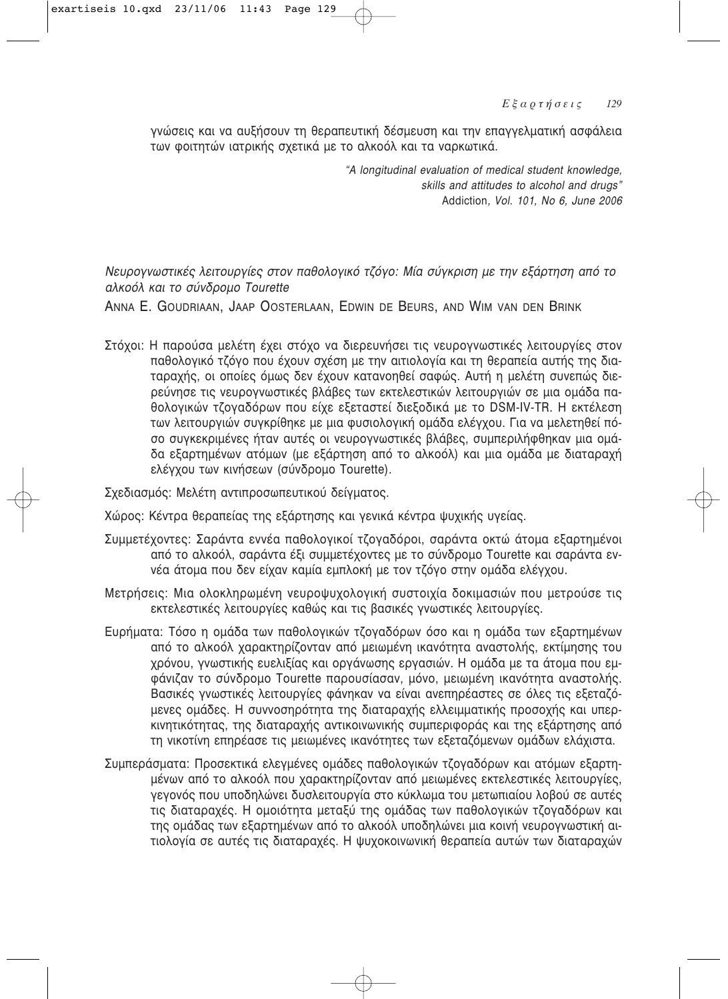γνώσεις και να αυξήσουν τη θεραπευτική δέσμευση και την επαγγελματική ασφάλεια των φοιτητών ιατρικής σχετικά με το αλκοόλ και τα ναρκωτικά.

> "A longitudinal evaluation of medical student knowledge, skills and attitudes to alcohol and drugs" Addiction, Vol. 101, No 6, June 2006

# Νευροννωστικές λειτουργίες στον παθολονικό τζόνο: Μία σύνκριση με την εξάρτηση από το αλκοόλ και το σύνδρομο Tourette

ANNA E. GOUDRIAAN, JAAP OOSTERLAAN, EDWIN DE BEURS, AND WIM VAN DEN BRINK

Στόχοι: Η παρούσα μελέτη έχει στόχο να διερευνήσει τις νευρογνωστικές λειτουργίες στον παθολογικό τζόγο που έχουν σχέση με την αιτιολογία και τη θεραπεία αυτής της διαταραχής, οι οποίες όμως δεν έχουν κατανοηθεί σαφώς. Αυτή η μελέτη συνεπώς διερεύνησε τις νευροννωστικές βλάβες των εκτελεστικών λειτουργιών σε μια ομάδα πα-.<br>Θολογικών τζοναδόρων που είχε εξεταστεί διεξοδικά με το DSM-IV-TR. Η εκτέλεση των λειτουργιών συγκρίθηκε με μια φυσιολογική ομάδα ελέγχου. Για να μελετηθεί πόσο συγκεκριμένες ήταν αυτές οι νευρογνωστικές βλάβες, συμπεριλήφθηκαν μια ομάδα εξαρτημένων ατόμων (με εξάρτηση από το αλκοόλ) και μια ομάδα με διαταραχή ελέγχου των κινήσεων (σύνδρομο Tourette).

Σχεδιασμός: Μελέτη αντιπροσωπευτικού δείγματος.

Χώρος: Κέντρα θεραπείας της εξάρτησης και γενικά κέντρα ψυχικής υγείας.

- Συμμετέχοντες: Σαράντα εννέα παθολογικοί τζογαδόροι, σαράντα οκτώ άτομα εξαρτημένοι από το αλκοόλ, σαράντα έξι συμμετέχοντες με το σύνδρομο Tourette και σαράντα εννέα άτομα που δεν είχαν καμία εμπλοκή με τον τζόγο στην ομάδα ελέγχου.
- Μετρήσεις: Μια ολοκληρωμένη νευροψυχολογική συστοιχία δοκιμασιών που μετρούσε τις εκτελεστικές λειτουργίες καθώς και τις βασικές γνωστικές λειτουργίες.
- Ευρήματα: Τόσο η ομάδα των παθολογικών τζογαδόρων όσο και η ομάδα των εξαρτημένων από το αλκοόλ χαρακτηρίζονταν από μειωμένη ικανότητα αναστολής, εκτίμησης του χρόνου, γνωστικής ευελιξίας και οργάνωσης εργασιών. Η ομάδα με τα άτομα που εμφάνιζαν το σύνδρομο Tourette παρουσίασαν, μόνο, μειωμένη ικανότητα αναστολής. Βασικές γνωστικές λειτουργίες φάνηκαν να είναι ανεπηρέαστες σε όλες τις εξεταζόμενες ομάδες. Η συννοσηρότητα της διαταραχής ελλειμματικής προσοχής και υπερκινητικότητας, της διαταραχής αντικοινωνικής συμπεριφοράς και της εξάρτησης από τη νικοτίνη επηρέασε τις μειωμένες ικανότητες των εξεταζόμενων ομάδων ελάχιστα.
- Συμπεράσματα: Προσεκτικά ελεγμένες ομάδες παθολογικών τζογαδόρων και ατόμων εξαρτημένων από το αλκοόλ που χαρακτηρίζονταν από μειωμένες εκτελεστικές λειτουργίες, γεγονός που υποδηλώνει δυσλειτουργία στο κύκλωμα του μετωπιαίου λοβού σε αυτές τις διαταραχές. Η ομοιότητα μεταξύ της ομάδας των παθολογικών τζογαδόρων και της ομάδας των εξαρτημένων από το αλκοόλ υποδηλώνει μια κοινή νευρογνωστική αιτιολογία σε αυτές τις διαταραχές. Η ψυχοκοινωνική θεραπεία αυτών των διαταραχών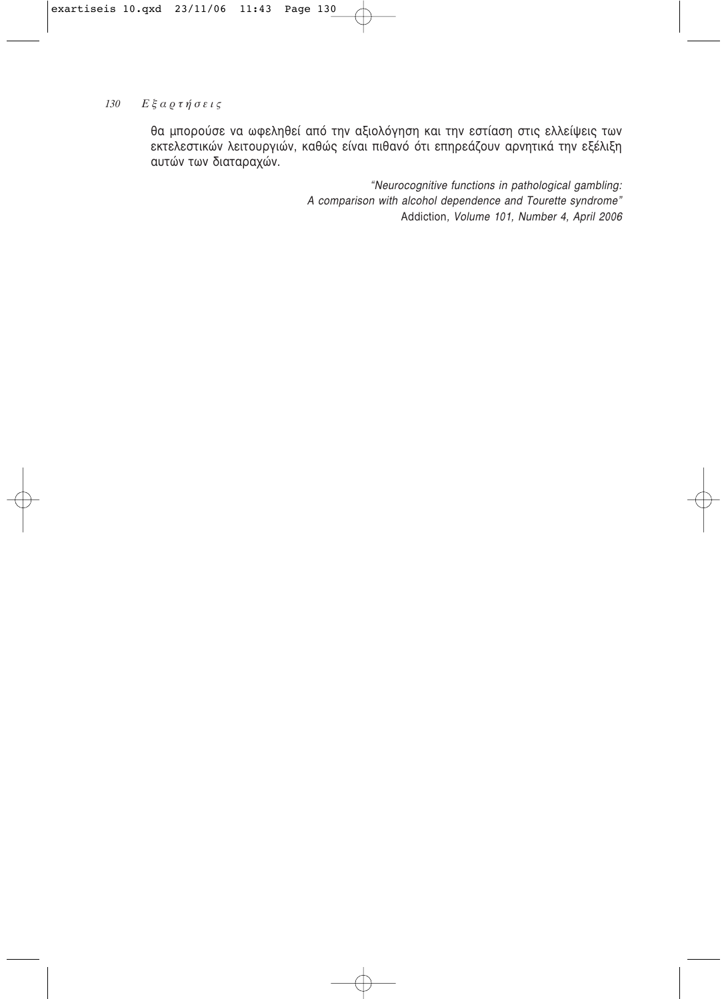θα μπορούσε να ωφεληθεί από την αξιολόγηση και την εστίαση στις ελλείψεις των εκτελεστικών λειτουργιών, καθώς είναι πιθανό ότι επηρεάζουν αρνητικά την εξέλιξη αυτών των διαταραχών.

> "Neurocognitive functions in pathological gambling: A comparison with alcohol dependence and Tourette syndrome" Addiction, Volume 101, Number 4, April 2006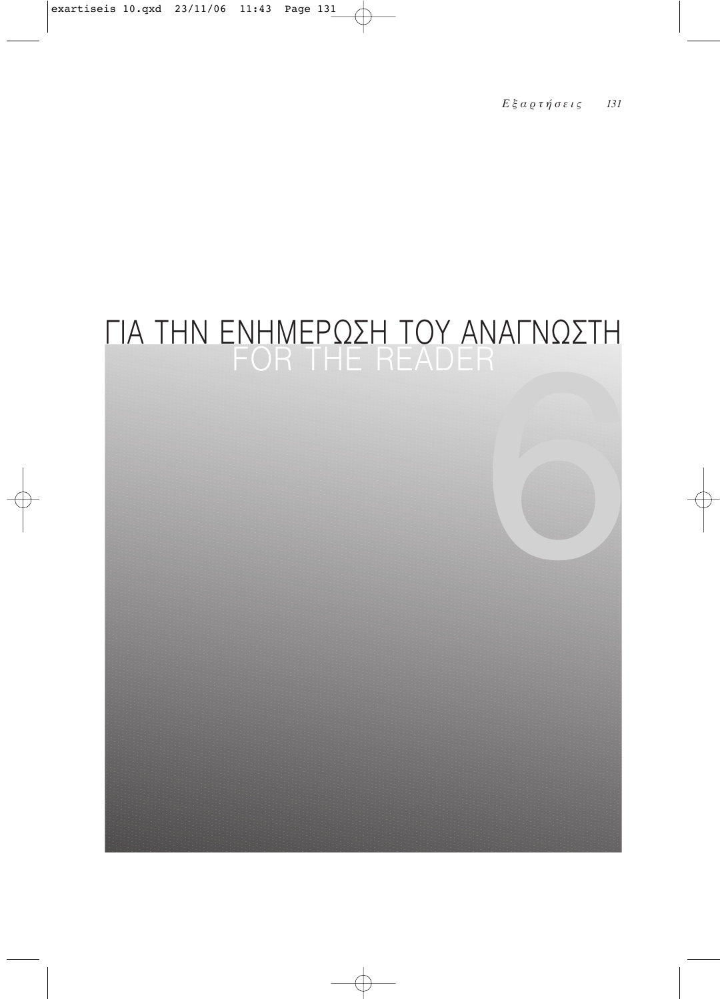# ΓΙΑ ΤΗΝ ΕΝΗΜΕΡΩΣΗ ΤΟΥ ΑΝΑΓΝΩΣΤΗ<br>FOR THE READER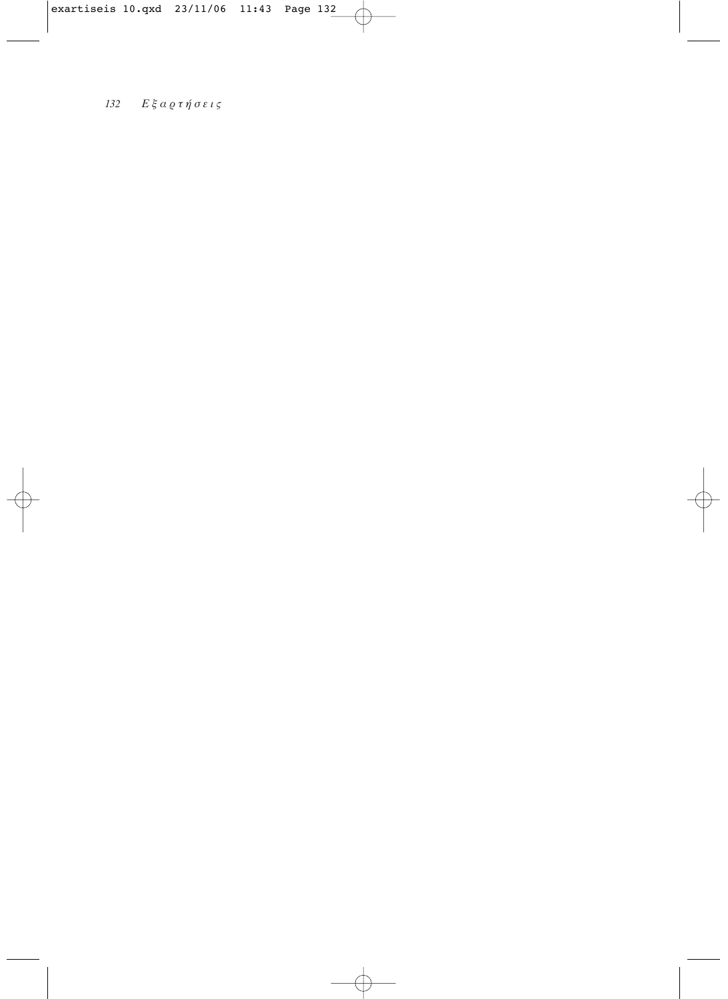$E$ ξαρτήσεις 132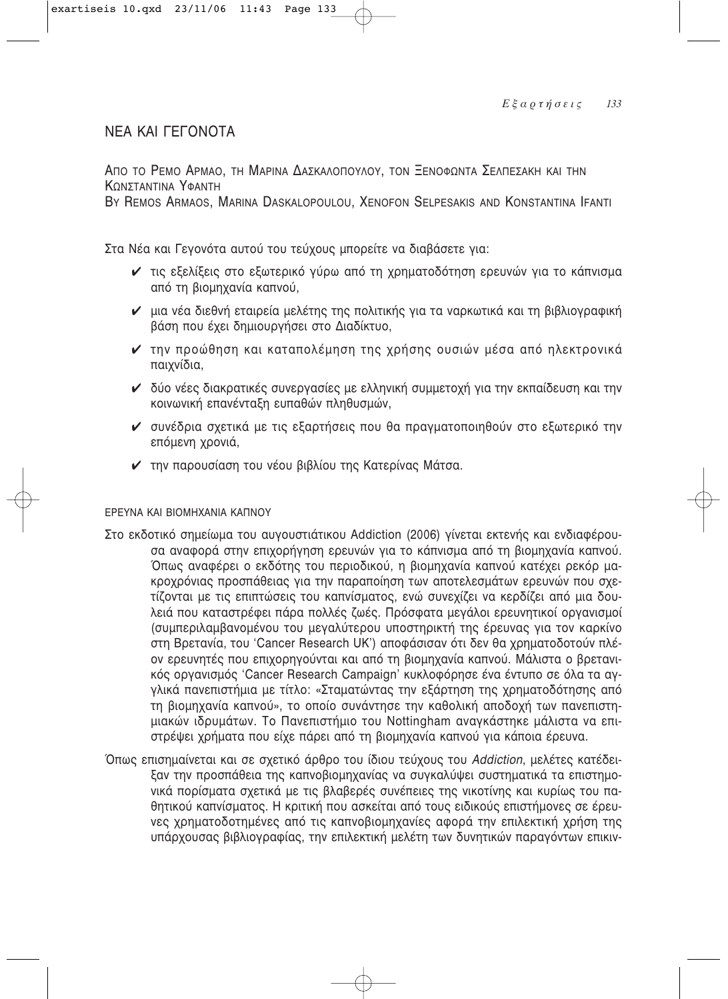# **NEA KAI FEFONOTA**

ΑΠΟ ΤΟ ΡΕΜΟ ΑΡΜΑΟ, ΤΗ ΜΑΡΙΝΑ ΔΑΣΚΑΛΟΠΟΥΛΟΥ, ΤΟΝ ΞΕΝΟΦΩΝΤΑ ΣΕΛΠΕΣΑΚΗ ΚΑΙ ΤΗΝ **KONSTANTINA YOANTH** 

BY REMOS ARMAOS, MARINA DASKALOPOULOU, XENOFON SELPESAKIS AND KONSTANTINA FRANTI

Στα Νέα και Γεγονότα αυτού του τεύχους μπορείτε να διαβάσετε για:

- ν τις εξελίξεις στο εξωτερικό γύρω από τη χρηματοδότηση ερευνών για το κάπνισμα από τη βιομηχανία καπνού,
- γ μια νέα διεθνή εταιρεία μελέτης της πολιτικής για τα ναρκωτικά και τη βιβλιογραφική βάση που έχει δημιουργήσει στο Διαδίκτυο,
- ν την προώθηση και καταπολέμηση της χρήσης ουσιών μέσα από ηλεκτρονικά παιχνίδια,
- δύο νέες διακρατικές συνεργασίες με ελληνική συμμετοχή για την εκπαίδευση και την κοινωνική επανένταξη ευπαθών πληθυσμών,
- ν συνέδρια σχετικά με τις εξαρτήσεις που θα πραγματοποιηθούν στο εξωτερικό την επόμενη χρονιά,
- ν την παρουσίαση του νέου βιβλίου της Κατερίνας Μάτσα.

# FPFYNA KAI RIOMHXANIA KATINOY

- Στο εκδοτικό σημείωμα του αυγουστιάτικου Addiction (2006) γίνεται εκτενής και ενδιαφέρουσα αναφορά στην επιχορήγηση ερευνών για το κάπνισμα από τη βιομηχανία καπνού. Όπως αναφέρει ο εκδότης του περιοδικού, η βιομηχανία καπνού κατέχει ρεκόρ μακροχρόνιας προσπάθειας για την παραποίηση των αποτελεσμάτων ερευνών που σχετίζονται με τις επιπτώσεις του καπνίσματος, ενώ συνεχίζει να κερδίζει από μια δουλειά που καταστρέφει πάρα πολλές ζωές. Πρόσφατα μεγάλοι ερευνητικοί οργανισμοί (συμπεριλαμβανομένου του μεγαλύτερου υποστηρικτή της έρευνας για τον καρκίνο στη Βρετανία, του 'Cancer Research UK') αποφάσισαν ότι δεν θα χρηματοδοτούν πλέον ερευνητές που επιχορηγούνται και από τη βιομηχανία καπνού. Μάλιστα ο βρετανικός οργανισμός 'Cancer Research Campaign' κυκλοφόρησε ένα έντυπο σε όλα τα αγγλικά πανεπιστήμια με τίτλο: «Σταματώντας την εξάρτηση της χρηματοδότησης από τη βιομηχανία καπνού», το οποίο συνάντησε την καθολική αποδοχή των πανεπιστημιακών ιδρυμάτων. Το Πανεπιστήμιο του Nottingham αναγκάστηκε μάλιστα να επιστρέψει χρήματα που είχε πάρει από τη βιομηχανία καπνού για κάποια έρευνα.
- Όπως επισημαίνεται και σε σχετικό άρθρο του ίδιου τεύχους του Addiction, μελέτες κατέδειξαν την προσπάθεια της καπνοβιομηχανίας να συγκαλύψει συστηματικά τα επιστημονικά πορίσματα σχετικά με τις βλαβερές συνέπειες της νικοτίνης και κυρίως του παθητικού καπνίσματος. Η κριτική που ασκείται από τους ειδικούς επιστήμονες σε έρευνες χρηματοδοτημένες από τις καπνοβιομηχανίες αφορά την επιλεκτική χρήση της υπάρχουσας βιβλιογραφίας, την επιλεκτική μελέτη των δυνητικών παραγόντων επικιν-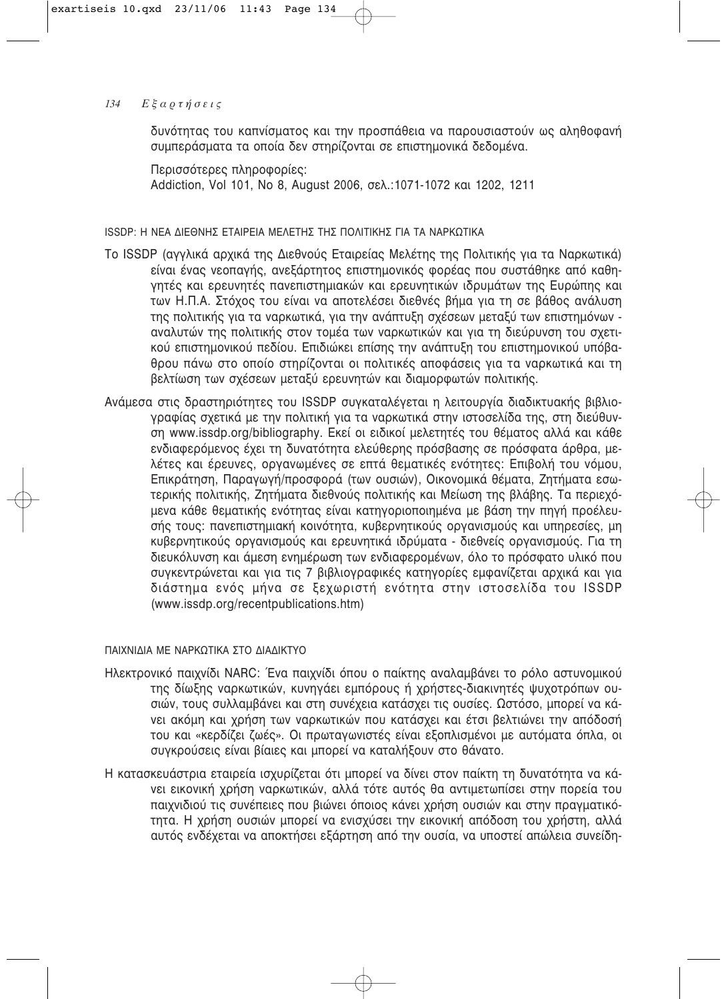δυνότητας του καπνίσματος και την προσπάθεια να παρουσιαστούν ως αληθοφανή συμπεράσματα τα οποία δεν στηρίζονται σε επιστημονικά δεδομένα.

Περισσότερες πληροφορίες: Addiction, Vol 101, No 8, August 2006, σελ.:1071-1072 και 1202, 1211

# ISSDP: Η ΝΕΑ ΛΙΕΘΝΗΣ ΕΤΑΙΡΕΙΑ ΜΕΛΕΤΗΣ ΤΗΣ ΠΟΛΙΤΙΚΗΣ ΓΙΑ ΤΑ ΝΑΡΚΟΤΙΚΑ

- Το ISSDP (αγγλικά αρχικά της Διεθνούς Εταιρείας Μελέτης της Πολιτικής για τα Ναρκωτικά) είναι ένας νεοπαγής, ανεξάρτητος επιστημονικός φορέας που συστάθηκε από καθηγητές και ερευνητές πανεπιστημιακών και ερευνητικών ιδρυμάτων της Ευρώπης και των Η.Π.Α. Στόχος του είναι να αποτελέσει διεθνές βήμα για τη σε βάθος ανάλυση της πολιτικής για τα ναρκωτικά, για την ανάπτυξη σχέσεων μεταξύ των επιστημόνων αναλυτών της πολιτικής στον τομέα των ναρκωτικών και για τη διεύρυνση του σχετικού επιστημονικού πεδίου. Επιδιώκει επίσης την ανάπτυξη του επιστημονικού υπόβαθρου πάνω στο οποίο στηρίζονται οι πολιτικές αποφάσεις για τα ναρκωτικά και τη βελτίωση των σχέσεων μεταξύ ερευνητών και διαμορφωτών πολιτικής.
- Ανάμεσα στις δραστηριότητες του ISSDP συγκαταλέγεται η λειτουργία διαδικτυακής βιβλιογραφίας σχετικά με την πολιτική για τα ναρκωτικά στην ιστοσελίδα της, στη διεύθυνση www.issdp.org/bibliography. Εκεί οι ειδικοί μελετητές του θέματος αλλά και κάθε ενδιαφερόμενος έχει τη δυνατότητα ελεύθερης πρόσβασης σε πρόσφατα άρθρα, μελέτες και έρευνες, οργανωμένες σε επτά θεματικές ενότητες: Επιβολή του νόμου, Επικράτηση, Παραγωγή/προσφορά (των ουσιών), Οικονομικά θέματα, Ζητήματα εσωτερικής πολιτικής, Ζητήματα διεθνούς πολιτικής και Μείωση της βλάβης. Τα περιεχόμενα κάθε θεματικής ενότητας είναι κατηγοριοποιημένα με βάση την πηγή προέλευσής τους: πανεπιστημιακή κοινότητα, κυβερνητικούς οργανισμούς και υπηρεσίες, μη κυβερνητικούς οργανισμούς και ερευνητικά ιδρύματα - διεθνείς οργανισμούς. Για τη διευκόλυνση και άμεση ενημέρωση των ενδιαφερομένων, όλο το πρόσφατο υλικό που συγκεντρώνεται και για τις 7 βιβλιογραφικές κατηγορίες εμφανίζεται αρχικά και για διάστημα ενός μήνα σε ξεχωριστή ενότητα στην ιστοσελίδα του ISSDP (www.issdp.org/recentpublications.htm)

# ΠΑΙΧΝΙΔΙΑ ΜΕ ΝΑΡΚΩΤΙΚΑ ΣΤΟ ΔΙΑΔΙΚΤΥΟ

- Hλεκτρονικό παιχνίδι NARC: Ένα παιχνίδι όπου ο παίκτης αναλαμβάνει το ρόλο αστυνομικού της δίωξης ναρκωτικών, κυνηγάει εμπόρους ή χρήστες-διακινητές ψυχοτρόπων ουσιών, τους συλλαμβάνει και στη συνέχεια κατάσχει τις ουσίες. Ωστόσο, μπορεί να κάνει ακόμη και χρήση των ναρκωτικών που κατάσχει και έτσι βελτιώνει την απόδοσή του και «κερδίζει ζωές». Οι πρωταγωνιστές είναι εξοπλισμένοι με αυτόματα όπλα, οι συγκρούσεις είναι βίαιες και μπορεί να καταλήξουν στο θάνατο.
- Η κατασκευάστρια εταιρεία ισχυρίζεται ότι μπορεί να δίνει στον παίκτη τη δυνατότητα να κά-VEL ΕΙΚΟΥΙΚή χρήση ναρκωτικών, αλλά τότε αυτός θα αντιμετωπίσει στην πορεία του παιχνιδιού τις συνέπειες που βιώνει όποιος κάνει χρήση ουσιών και στην πραγματικότητα. Η χρήση ουσιών μπορεί να ενισχύσει την εικονική απόδοση του χρήστη, αλλά αυτός ενδέχεται να αποκτήσει εξάρτηση από την ουσία, να υποστεί απώλεια συνείδη-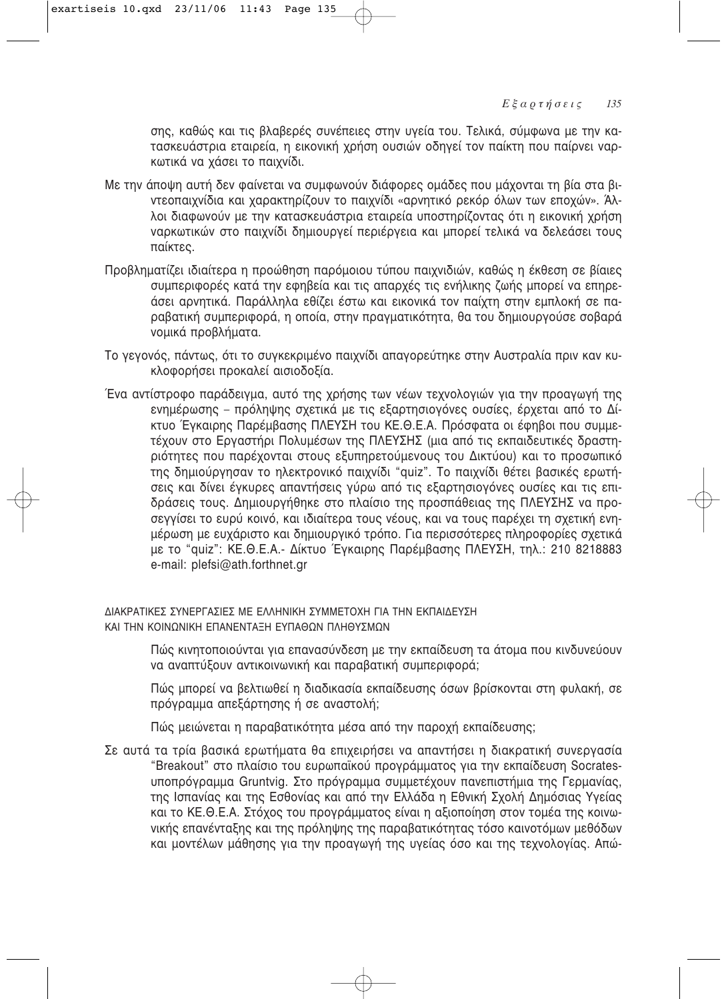σης, καθώς και τις βλαβερές συνέπειες στην υγεία του. Τελικά, σύμφωνα με την κατασκευάστρια εταιρεία, η εικονική χρήση ουσιών οδηγεί τον παίκτη που παίρνει ναρκωτικά να χάσει το παιχνίδι.

- Με την άποψη αυτή δεν φαίνεται να συμφωνούν διάφορες ομάδες που μάχονται τη βία στα βιντεοπαιχνίδια και χαρακτηρίζουν το παιχνίδι «αρνητικό ρεκόρ όλων των εποχών». Άλλοι διαφωνούν με την κατασκευάστρια εταιρεία υποστηρίζοντας ότι η εικονική χρήση ναρκωτικών στο παιχνίδι δημιουργεί περιέργεια και μπορεί τελικά να δελεάσει τους παίκτες.
- Προβληματίζει ιδιαίτερα η προώθηση παρόμοιου τύπου παιχνιδιών, καθώς η έκθεση σε βίαιες συμπεριφορές κατά την εφηβεία και τις απαρχές τις ενήλικης ζωής μπορεί να επηρεάσει αρνητικά. Παράλληλα εθίζει έστω και εικονικά τον παίχτη στην εμπλοκή σε παραβατική συμπεριφορά, η οποία, στην πραγματικότητα, θα του δημιουργούσε σοβαρά νομικά προβλήματα.
- Το γεγονός, πάντως, ότι το συγκεκριμένο παιχνίδι απαγορεύτηκε στην Αυστραλία πριν καν κυκλοφορήσει προκαλεί αισιοδοξία.
- Ένα αντίστροφο παράδειγμα, αυτό της χρήσης των νέων τεχνολογιών για την προαγωγή της ενημέρωσης – πρόληψης σχετικά με τις εξαρτησιογόνες ουσίες, έρχεται από το Δίκτυο Έγκαιρης Παρέμβασης ΠΛΕΥΣΗ του ΚΕ.Θ.Ε.Α. Πρόσφατα οι έφηβοι που συμμετέχουν στο Εργαστήρι Πολυμέσων της ΠΛΕΥΣΗΣ (μια από τις εκπαιδευτικές δραστηριότητες που παρέχονται στους εξυπηρετούμενους του Δικτύου) και το προσωπικό της δημιούργησαν το ηλεκτρονικό παιχνίδι "auiz". Το παιχνίδι θέτει βασικές ερωτήσεις και δίνει έγκυρες απαντήσεις γύρω από τις εξαρτησιογόνες ουσίες και τις επιδράσεις τους. Δημιουργήθηκε στο πλαίσιο της προσπάθειας της ΠΛΕΥΣΗΣ να προσεγγίσει το ευρύ κοινό, και ιδιαίτερα τους νέους, και να τους παρέχει τη σχετική ενημέρωση με ευχάριστο και δημιουργικό τρόπο. Για περισσότερες πληροφορίες σχετικά με το "quiz": KE.Θ.Ε.Α.- Δίκτυο Έγκαιρης Παρέμβασης ΠΛΕΥΣΗ, τηλ.: 210 8218883 e-mail: plefsi@ath.forthnet.gr

ΛΙΑΚΡΑΤΙΚΕΣ ΣΥΝΕΡΓΑΣΙΕΣ ΜΕ ΕΛΛΗΝΙΚΗ ΣΥΜΜΕΤΟΧΗ ΓΙΑ ΤΗΝ ΕΚΠΑΙΛΕΥΣΗ KAI THN KOINONIKH FΠANFNTA=Η FYΠAΘON ΠΛΗΘΥΣΜΟΝ

> Πώς κινητοποιούνται για επανασύνδεση με την εκπαίδευση τα άτομα που κινδυνεύουν να αναπτύξουν αντικοινωνική και παραβατική συμπεριφορά;

> Πώς μπορεί να βελτιωθεί η διαδικασία εκπαίδευσης όσων βρίσκονται στη φυλακή, σε πρόγραμμα απεξάρτησης ή σε αναστολή;

Πώς μειώνεται η παραβατικότητα μέσα από την παροχή εκπαίδευσης;

Σε αυτά τα τρία βασικά ερωτήματα θα επιχειρήσει να απαντήσει η διακρατική συνεργασία "Breakout" στο πλαίσιο του ευρωπαϊκού προγράμματος για την εκπαίδευση Socratesυποπρόγραμμα Gruntvig. Στο πρόγραμμα συμμετέχουν πανεπιστήμια της Γερμανίας, της Ισπανίας και της Εσθονίας και από την Ελλάδα η Εθνική Σχολή Δημόσιας Υγείας και το ΚΕ.Θ.Ε.Α. Στόχος του προγράμματος είναι η αξιοποίηση στον τομέα της κοινωνικής επανένταξης και της πρόληψης της παραβατικότητας τόσο καινοτόμων μεθόδων και μοντέλων μάθησης για την προαγωγή της υγείας όσο και της τεχνολογίας. Απώ-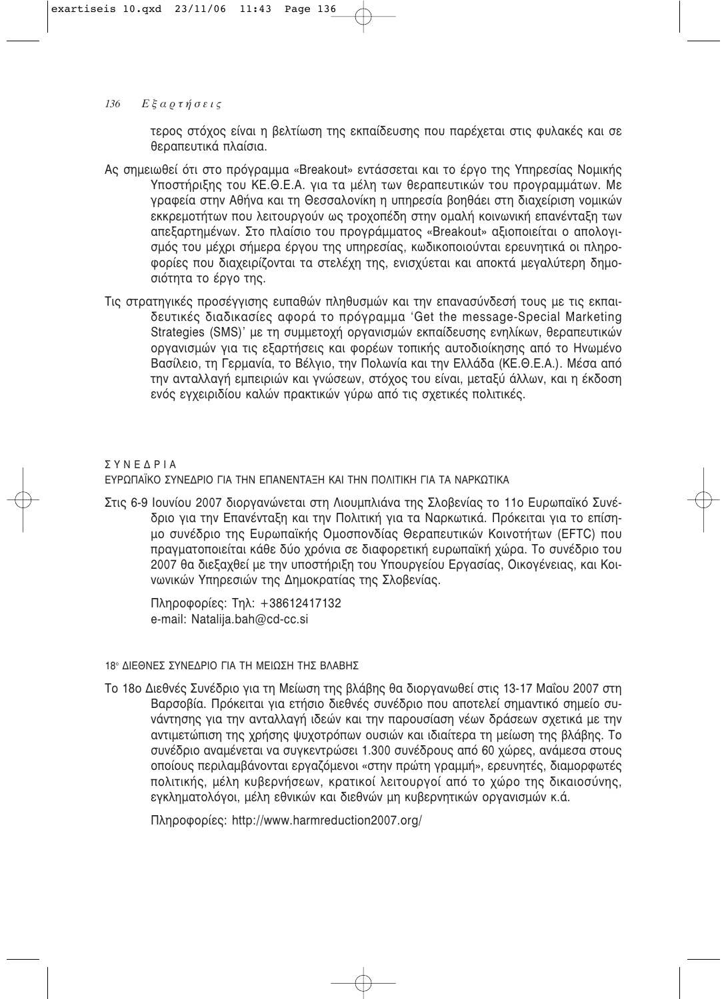τερος στόχος είναι η βελτίωση της εκπαίδευσης που παρέχεται στις φυλακές και σε θεραπευτικά πλαίσια.

- Ας σημειωθεί ότι στο πρόγραμμα «Breakout» εντάσσεται και το έργο της Υπηρεσίας Νομικής Υποστήριξης του ΚΕ.Θ.Ε.Α. για τα μέλη των θεραπευτικών του προγραμμάτων. Με γραφεία στην Αθήνα και τη Θεσσαλονίκη η υπηρεσία βοηθάει στη διαχείριση νομικών εκκρεμοτήτων που λειτουργούν ως τροχοπέδη στην ομαλή κοινωνική επανένταξη των απεξαρτημένων. Στο πλαίσιο του προνράμματος «Breakout» αξιοποιείται ο απολογισμός του μέχρι σήμερα έργου της υπηρεσίας, κωδικοποιούνται ερευνητικά οι πληροφορίες που διαχειρίζονται τα στελέχη της, ενισχύεται και αποκτά μεγαλύτερη δημοσιότητα το έργο της.
- Τις στρατηγικές προσέγγισης ευπαθών πληθυσμών και την επανασύνδεσή τους με τις εκπαιδευτικές διαδικασίες αφορά το πρόγραμμα 'Get the message-Special Marketing Strategies (SMS)' με τη συμμετοχή οργανισμών εκπαίδευσης ενηλίκων, θεραπευτικών οργανισμών για τις εξαρτήσεις και φορέων τοπικής αυτοδιοίκησης από το Ηνωμένο Βασίλειο, τη Γερμανία, το Βέλγιο, την Πολωνία και την Ελλάδα (ΚΕ.Θ.Ε.Α.). Μέσα από την ανταλλαγή εμπειριών και γνώσεων, στόχος του είναι, μεταξύ άλλων, και η έκδοση ενός ενχειριδίου καλών πρακτικών νύρω από τις σχετικές πολιτικές.

# ΣΥΝΕΛΡΙΑ

ΕΥΡΩΠΑΪΚΟ ΣΥΝΕΔΡΙΟ ΓΙΑ ΤΗΝ ΕΠΑΝΕΝΤΑΞΗ ΚΑΙ ΤΗΝ ΠΟΛΙΤΙΚΗ ΓΙΑ ΤΑ ΝΑΡΚΩΤΙΚΑ

Στις 6-9 Ιουνίου 2007 διοργανώνεται στη Λιουμπλιάνα της Σλοβενίας το 11ο Ευρωπαϊκό Συνέδριο για την Επανένταξη και την Πολιτική για τα Ναρκωτικά. Πρόκειται για το επίσημο συνέδριο της Ευρωπαϊκής Ομοσπονδίας Θεραπευτικών Κοινοτήτων (ΕFTC) που πραγματοποιείται κάθε δύο χρόνια σε διαφορετική ευρωπαϊκή χώρα. Το συνέδριο του 2007 θα διεξαχθεί με την υποστήριξη του Υπουργείου Εργασίας, Οικογένειας, και Κοινωνικών Υπηρεσιών της Δημοκρατίας της Σλοβενίας.

Πληροφορίες: Τηλ: +38612417132 e-mail: Natalija.bah@cd-cc.si

# 18° ΛΙΕΘΝΕΣ ΣΥΝΕΛΡΙΟ ΓΙΑ ΤΗ ΜΕΙΟΣΗ ΤΗΣ ΒΛΑΒΗΣ

Το 18ο Διεθνές Συνέδριο για τη Μείωση της βλάβης θα διοργανωθεί στις 13-17 Μαΐου 2007 στη Βαρσοβία. Πρόκειται για ετήσιο διεθνές συνέδριο που αποτελεί σημαντικό σημείο συνάντησης για την ανταλλαγή ιδεών και την παρουσίαση νέων δράσεων σχετικά με την αντιμετώπιση της χρήσης ψυχοτρόπων ουσιών και ιδιαίτερα τη μείωση της βλάβης. Το συνέδριο αναμένεται να συγκεντρώσει 1.300 συνέδρους από 60 χώρες, ανάμεσα στους οποίους περιλαμβάνονται εργαζόμενοι «στην πρώτη γραμμή», ερευνητές, διαμορφωτές πολιτικής, μέλη κυβερνήσεων, κρατικοί λειτουργοί από το χώρο της δικαιοσύνης, εγκληματολόγοι, μέλη εθνικών και διεθνών μη κυβερνητικών οργανισμών κ.ά.

 $\Pi$ ληροφορίες: http://www.harmreduction2007.org/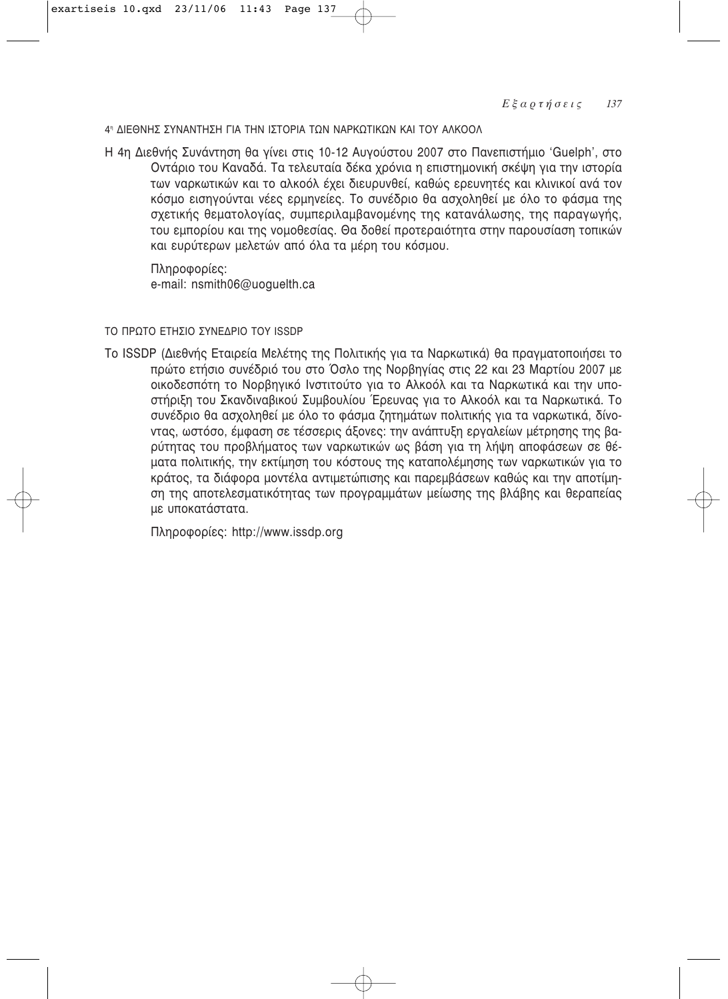- 4™ ΛΙΕΘΝΗΣ ΣΥΝΑΝΤΗΣΗ ΓΙΑ ΤΗΝ ΙΣΤΟΡΙΑ ΤΟΝ ΝΑΡΚΟΤΙΚΟΝ ΚΑΙ ΤΟΥ ΑΛΚΟΟΛ
- Η 4η Διεθνής Συνάντηση θα γίνει στις 10-12 Αυγούστου 2007 στο Πανεπιστήμιο 'Guelph', στο Οντάριο του Καναδά. Τα τελευταία δέκα χρόνια η επιστημονική σκέψη για την ιστορία των ναρκωτικών και το αλκοόλ έχει διευρυνθεί, καθώς ερευνητές και κλινικοί ανά τον κόσμο εισηγούνται νέες ερμηνείες. Το συνέδριο θα ασχοληθεί με όλο το φάσμα της σχετικής θεματολογίας, συμπεριλαμβανομένης της κατανάλωσης, της παραγωγής, του εμπορίου και της νομοθεσίας. Θα δοθεί προτεραιότητα στην παρουσίαση τοπικών και ευρύτερων μελετών από όλα τα μέρη του κόσμου.

Πληροφορίες: e-mail: nsmith06@uoguelth.ca

# ΤΟ ΠΡΩΤΟ ΕΤΗΣΙΟ ΣΥΝΕΔΡΙΟ ΤΟΥ ISSDP

Το ISSDP (Διεθνής Εταιρεία Μελέτης της Πολιτικής για τα Ναρκωτικά) θα πραγματοποιήσει το πρώτο ετήσιο συνέδριό του στο Όσλο της Νορβηνίας στις 22 και 23 Μαρτίου 2007 με οικοδεσπότη το Νορβηγικό Ινστιτούτο για το Αλκοόλ και τα Ναρκωτικά και την υποστήριξη του Σκανδιναβικού Συμβουλίου Έρευνας για το Αλκοόλ και τα Ναρκωτικά. Το συνέδριο θα ασχοληθεί με όλο το φάσμα ζητημάτων πολιτικής για τα ναρκωτικά, δίνοντας, ωστόσο, έμφαση σε τέσσερις άξονες: την ανάπτυξη εργαλείων μέτρησης της βαρύτητας του προβλήματος των ναρκωτικών ως βάση για τη λήψη αποφάσεων σε θέματα πολιτικής, την εκτίμηση του κόστους της καταπολέμησης των ναρκωτικών για το Κράτος, τα διάφορα μοντέλα αντιμετώπισης και παρεμβάσεων καθώς και την αποτίμηση της αποτελεσματικότητας των προγραμμάτων μείωσης της βλάβης και θεραπείας με υποκατάστατα.

 $\Pi$ ληροφορίες: http://www.issdp.org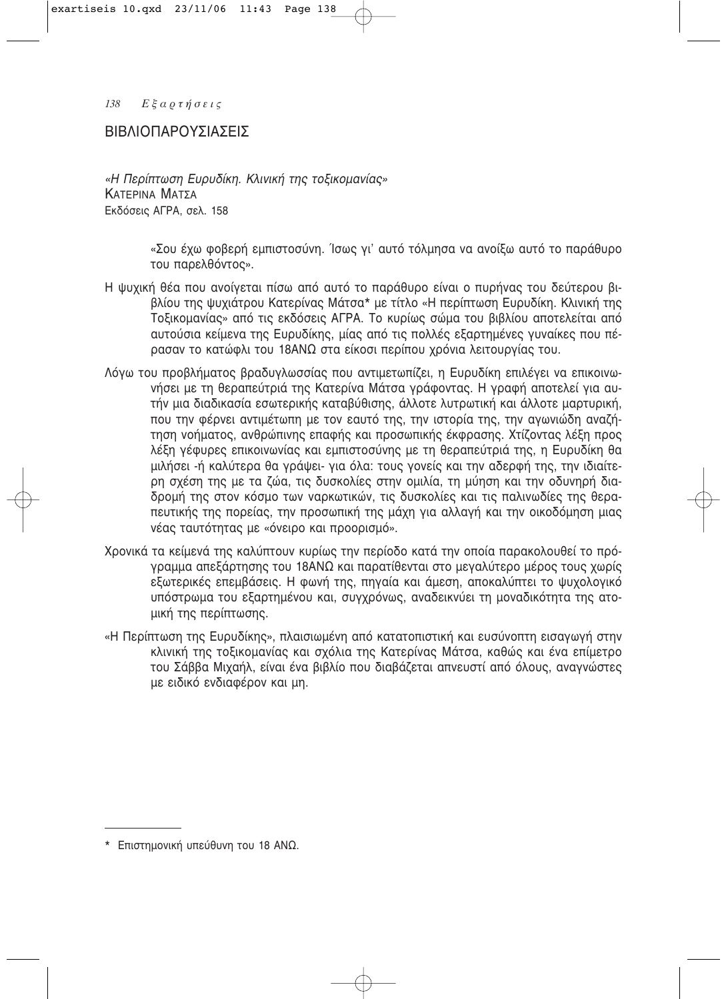# ΒΙΒΛΙΟΠΑΡΟΥΣΙΑΣΕΙΣ

«Η Περίπτωση Ευρυδίκη. Κλινική της τοξικομανίας» ΚΑΤΕΡΙΝΑ ΜΑΤΣΑ Ηκδόσεις ΑΓΡΑ, σελ. 158

> «Σου έχω φοβερή εμπιστοσύνη. Ίσως γι' αυτό τόλμησα να ανοίξω αυτό το παράθυρο του παρελθόντος».

- Η ψυχική θέα που ανοίγεται πίσω από αυτό το παράθυρο είναι ο πυρήνας του δεύτερου βιβλίου της ψυχιάτρου Κατερίνας Μάτσα\* με τίτλο «Η περίπτωση Ευρυδίκη. Κλινική της Τοξικομανίας» από τις εκδόσεις AΓPA. Το κυρίως σώμα του βιβλίου αποτελείται από αυτούσια κείμενα της Ευρυδίκης, μίας από τις πολλές εξαρτημένες γυναίκες που πέρασαν το κατώφλι του 18ΑΝΩ στα είκοσι περίπου χρόνια λειτουργίας του.
- Λόγω του προβλήματος βραδυγλωσσίας που αντιμετωπίζει, η Ευρυδίκη επιλέγει να επικοινωνήσει με τη θεραπεύτριά της Κατερίνα Μάτσα γράφοντας. Η γραφή αποτελεί για αυτήν μια διαδικασία εσωτερικής καταβύθισης, άλλοτε λυτρωτική και άλλοτε μαρτυρική, που την φέρνει αντιμέτωπη με τον εαυτό της, την ιστορία της, την αγωνιώδη αναζήτηση νοήματος, ανθρώπινης επαφής και προσωπικής έκφρασης. Χτίζοντας λέξη προς λέξη γέφυρες επικοινωνίας και εμπιστοσύνης με τη θεραπεύτριά της, η Ευρυδίκη θα μιλήσει -ή καλύτερα θα γράψει- για όλα: τους γονείς και την αδερφή της, την ιδιαίτερη σχέση της με τα ζώα, τις δυσκολίες στην ομιλία, τη μύηση και την οδυνηρή διαδρομή της στον κόσμο των ναρκωτικών, τις δυσκολίες και τις παλινωδίες της θεραπευτικής της πορείας, την προσωπική της μάχη για αλλαγή και την οικοδόμηση μιας νέας ταυτότητας με «όνειρο και προορισμό».
- Χρονικά τα κείμενά της καλύπτουν κυρίως την περίοδο κατά την οποία παρακολουθεί το πρόγραμμα απεξάρτησης του 18ΑΝΩ και παρατίθενται στο μεγαλύτερο μέρος τους χωρίς εξωτερικές επεμβάσεις. Η φωνή της, πηγαία και άμεση, αποκαλύπτει το ψυχολογικό υπόστρωμα του εξαρτημένου και, συγχρόνως, αναδεικνύει τη μοναδικότητα της ατομική της περίπτωσης.
- «Η Περίπτωση της Ευρυδίκης», πλαισιωμένη από κατατοπιστική και ευσύνοπτη εισαγωγή στην κλινική της τοξικομανίας και σχόλια της Κατερίνας Μάτσα, καθώς και ένα επίμετρο του Σάββα Μιχαήλ, είναι ένα βιβλίο που διαβάζεται απνευστί από όλους, αναγνώστες με ειδικό ενδιαφέρον και μη.

<sup>\*</sup> Επιστημονική υπεύθυνη του 18 ΑΝΩ.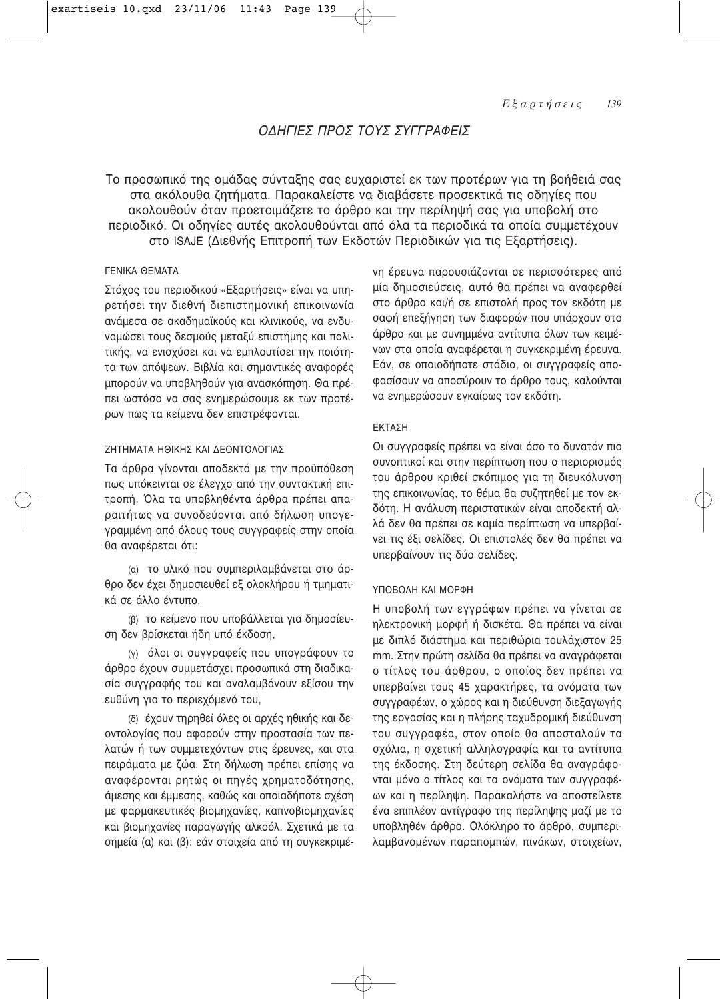# ΟΛΗΓΙΕΣ ΠΡΟΣ ΤΟΥΣ ΣΥΓΓΡΑΦΕΙΣ

Το προσωπικό της ομάδας σύνταξης σας ευχαριστεί εκ των προτέρων για τη βοήθειά σας στα ακόλουθα ζητήματα. Παρακαλείστε να διαβάσετε προσεκτικά τις οδηγίες που ακολουθούν όταν προετοιμάζετε το άρθρο και την περίληψή σας για υποβολή στο περιοδικό. Οι οδηγίες αυτές ακολουθούνται από όλα τα περιοδικά τα οποία συμμετέχουν στο ISAJE (Διεθνής Επιτροπή των Εκδοτών Περιοδικών για τις Εξαρτήσεις).

# *ΓΕΝΙΚΑ ΘΕΜΑΤΑ*

Στόχος του περιοδικού «Εξαρτήσεις» είναι να υπηρετήσει την διεθνή διεπιστημονική επικοινωνία ανάμεσα σε ακαδημαϊκούς και κλινικούς, να ενδυναμώσει τους δεσμούς μεταξύ επιστήμης και πολιτικής, να ενισχύσει και να εμπλουτίσει την ποιότητα των απόψεων. Βιβλία και σημαντικές αναφορές μπορούν να υποβληθούν για ανασκόπηση. Θα πρέπει ωστόσο να σας ενημερώσουμε εκ των προτέρων πως τα κείμενα δεν επιστρέφονται.

# ΖΗΤΗΜΑΤΑ ΗΘΙΚΗΣ ΚΑΙ ΔΕΟΝΤΟΛΟΓΙΑΣ

Τα άρθρα γίνονται αποδεκτά με την προϋπόθεση πως υπόκεινται σε έλεγχο από την συντακτική επιτροπή. Όλα τα υποβληθέντα άρθρα πρέπει απαραιτήτως να συνοδεύονται από δήλωση υπογεγραμμένη από όλους τους συγγραφείς στην οποία θα αναφέρεται ότι:

(α) το υλικό που συμπεριλαμβάνεται στο άρθρο δεν έχει δημοσιευθεί εξ ολοκλήρου ή τμηματικά σε άλλο έντυπο,

(β) το κείμενο που υποβάλλεται για δημοσίευση δεν βρίσκεται ήδη υπό έκδοση,

(γ) όλοι οι συγγραφείς που υπογράφουν το άρθρο έχουν συμμετάσχει προσωπικά στη διαδικασία συγγραφής του και αναλαμβάνουν εξίσου την ευθύνη για το περιεχόμενό του,

(δ) έχουν τηρηθεί όλες οι αρχές ηθικής και δεοντολογίας που αφορούν στην προστασία των πελατών ή των συμμετεχόντων στις έρευνες, και στα πειράματα με ζώα. Στη δήλωση πρέπει επίσης να αναφέρονται ρητώς οι πηγές χρηματοδότησης, άμεσης και έμμεσης, καθώς και οποιαδήποτε σχέση με φαρμακευτικές βιομηχανίες, καπνοβιομηχανίες και βιομηχανίες παραγωγής αλκοόλ. Σχετικά με τα σημεία (α) και (β): εάν στοιχεία από τη συγκεκριμένη έρευνα παρουσιάζονται σε περισσότερες από μία δημοσιεύσεις, αυτό θα πρέπει να αναφερθεί στο άρθρο και/ή σε επιστολή προς τον εκδότη με σαφή επεξήγηση των διαφορών που υπάρχουν στο άρθρο και με συνημμένα αντίτυπα όλων των κειμένων στα οποία αναφέρεται η συγκεκριμένη έρευνα. Εάν, σε οποιοδήποτε στάδιο, οι συγγραφείς αποφασίσουν να αποσύρουν το άρθρο τους, καλούνται να ενημερώσουν εγκαίρως τον εκδότη.

# **FKTA7H**

Οι συγγραφείς πρέπει να είναι όσο το δυνατόν πιο συνοπτικοί και στην περίπτωση που ο περιορισμός του άρθρου κριθεί σκόπιμος για τη διευκόλυνση της επικοινωνίας, το θέμα θα συζητηθεί με τον εκδότη. Η ανάλυση περιστατικών είναι αποδεκτή αλλά δεν θα πρέπει σε καμία περίπτωση να υπερβαίνει τις έξι σελίδες. Οι επιστολές δεν θα πρέπει να υπερβαίνουν τις δύο σελίδες.

#### YΠOROΛΗ ΚΑΙ ΜΟΡΦΗ

Η υποβολή των εγγράφων πρέπει να γίνεται σε ηλεκτρονική μορφή ή δισκέτα. Θα πρέπει να είναι με διπλό διάστημα και περιθώρια τουλάχιστον 25 mm. Στην πρώτη σελίδα θα πρέπει να αναγράφεται ο τίτλος του άρθρου, ο οποίος δεν πρέπει να υπερβαίνει τους 45 χαρακτήρες, τα ονόματα των συγγραφέων, ο χώρος και η διεύθυνση διεξαγωγής της εργασίας και η πλήρης ταχυδρομική διεύθυνση του συγγραφέα, στον οποίο θα αποσταλούν τα σχόλια, η σχετική αλληλογραφία και τα αντίτυπα της έκδοσης. Στη δεύτερη σελίδα θα αναγράφονται μόνο ο τίτλος και τα ονόματα των συγγραφέων και η περίληψη. Παρακαλήστε να αποστείλετε ένα επιπλέον αντίγραφο της περίληψης μαζί με το υποβληθέν άρθρο. Ολόκληρο το άρθρο, συμπεριλαμβανομένων παραπομπών, πινάκων, στοιχείων,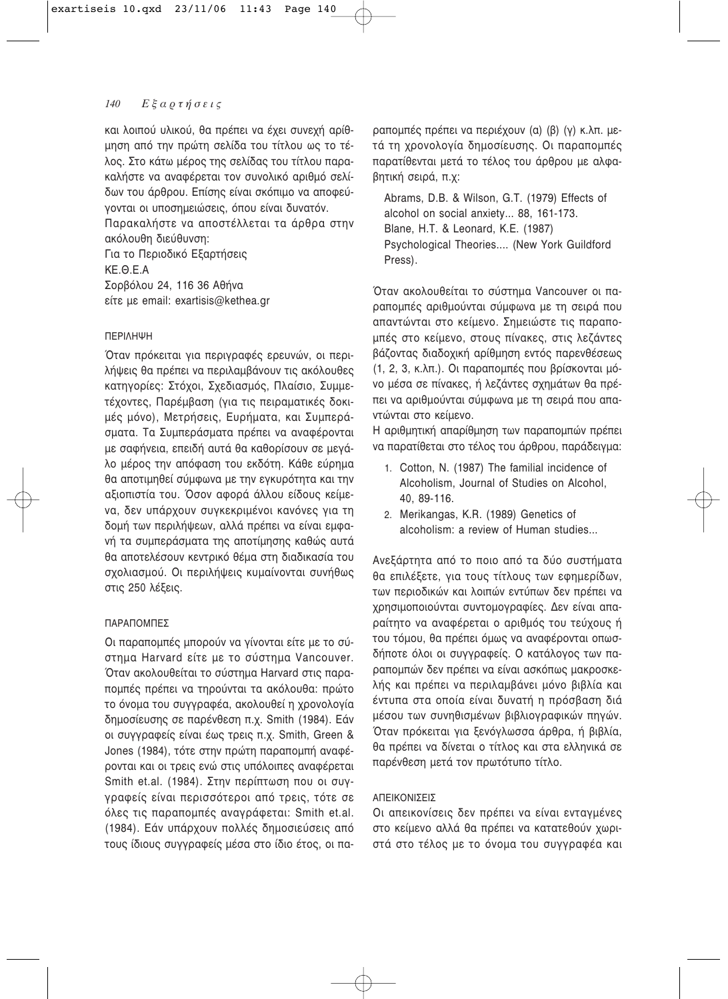και λοιπού υλικού, θα πρέπει να έχει συνεχή αρίθμηση από την πρώτη σελίδα του τίτλου ως το τέλος. Στο κάτω μέρος της σελίδας του τίτλου παρακαλήστε να αναφέρεται τον συνολικό αριθμό σελίδων του άρθρου. Επίσης είναι σκόπιμο να αποφεύγονται οι υποσημειώσεις, όπου είναι δυνατόν.

Παρακαλήστε να αποστέλλεται τα άρθρα στην ακόλουθη διεύθυνση:

Για το Περιοδικό Εξαρτήσεις  $KE. \Theta.E.A$ Σορβόλου 24, 116 36 Αθήνα είτε με email: exartisis@kethea.gr

# ПЕРІЛНФН

Όταν πρόκειται για περιγραφές ερευνών, οι περιλήψεις θα πρέπει να περιλαμβάνουν τις ακόλουθες κατηγορίες: Στόχοι, Σχεδιασμός, Πλαίσιο, Συμμετέχοντες, Παρέμβαση (για τις πειραματικές δοκιμές μόνο), Μετρήσεις, Ευρήματα, και Συμπεράσματα. Τα Συμπεράσματα πρέπει να αναφέρονται με σαφήνεια, επειδή αυτά θα καθορίσουν σε μεγάλο μέρος την απόφαση του εκδότη. Κάθε εύρημα θα αποτιμηθεί σύμφωνα με την εγκυρότητα και την αξιοπιστία του. Όσον αφορά άλλου είδους κείμενα, δεν υπάρχουν συγκεκριμένοι κανόνες για τη δομή των περιλήψεων, αλλά πρέπει να είναι εμφανή τα συμπεράσματα της αποτίμησης καθώς αυτά θα αποτελέσουν κεντρικό θέμα στη διαδικασία του σχολιασμού. Οι περιλήψεις κυμαίνονται συνήθως στις 250 λέξεις.

#### ΠΑΡΑΠΟΜΠΕΣ

Οι παραπομπές μπορούν να γίνονται είτε με το σύστημα Harvard είτε με το σύστημα Vancouver. Όταν ακολουθείται το σύστημα Harvard στις παραπομπές πρέπει να τηρούνται τα ακόλουθα: πρώτο το όνομα του συγγραφέα, ακολουθεί η χρονολογία δημοσίευσης σε παρένθεση π.χ. Smith (1984). Εάν οι συγγραφείς είναι έως τρεις π.χ. Smith, Green & Jones (1984), τότε στην πρώτη παραπομπή αναφέρονται και οι τρεις ενώ στις υπόλοιπες αναφέρεται Smith et.al. (1984). Στην περίπτωση που οι συγγραφείς είναι περισσότεροι από τρεις, τότε σε όλες τις παραπομπές αναγράφεται: Smith et.al. (1984). Εάν υπάρχουν πολλές δημοσιεύσεις από τους ίδιους συγγραφείς μέσα στο ίδιο έτος, οι παραπομπές πρέπει να περιέχουν (α) (β) (γ) κ.λπ. μετά τη χρονολογία δημοσίευσης. Οι παραπομπές παρατίθενται μετά το τέλος του άρθρου με αλφαβητική σειρά, π.χ:

Abrams, D.B. & Wilson, G.T. (1979) Effects of alcohol on social anxiety... 88, 161-173. Blane, H.T. & Leonard, K.E. (1987) Psychological Theories.... (New York Guildford Press).

Όταν ακολουθείται το σύστημα Vancouver οι παραπομπές αριθμούνται σύμφωνα με τη σειρά που απαντώνται στο κείμενο. Σημειώστε τις παραπομπές στο κείμενο, στους πίνακες, στις λεζάντες βάζοντας διαδοχική αρίθμηση εντός παρενθέσεως (1, 2, 3, κ.λπ.). Οι παραπομπές που βρίσκονται μόνο μέσα σε πίνακες, ή λεζάντες σχημάτων θα πρέπει να αριθμούνται σύμφωνα με τη σειρά που απαντώνται στο κείμενο.

Η αριθμητική απαρίθμηση των παραπομπών πρέπει να παρατίθεται στο τέλος του άρθρου, παράδειγμα:

- 1. Cotton, N. (1987) The familial incidence of Alcoholism, Journal of Studies on Alcohol, 40.89-116.
- 2. Merikangas, K.R. (1989) Genetics of alcoholism: a review of Human studies...

Ανεξάρτητα από το ποιο από τα δύο συστήματα θα επιλέξετε, για τους τίτλους των εφημερίδων, των περιοδικών και λοιπών εντύπων δεν πρέπει να χρησιμοποιούνται συντομογραφίες. Δεν είναι απαραίτητο να αναφέρεται ο αριθμός του τεύχους ή του τόμου, θα πρέπει όμως να αναφέρονται οπωσδήποτε όλοι οι συγγραφείς. Ο κατάλογος των παραπομπών δεν πρέπει να είναι ασκόπως μακροσκελής και πρέπει να περιλαμβάνει μόνο βιβλία και έντυπα στα οποία είναι δυνατή η πρόσβαση διά μέσου των συνηθισμένων βιβλιογραφικών πηγών. Όταν πρόκειται για ξενόγλωσσα άρθρα, ή βιβλία, θα πρέπει να δίνεται ο τίτλος και στα ελληνικά σε παρένθεση μετά τον πρωτότυπο τίτλο.

#### ΑΠΕΙΚΟΝΙΣΕΙΣ

Οι απεικονίσεις δεν πρέπει να είναι ενταγμένες στο κείμενο αλλά θα πρέπει να κατατεθούν χωριστά στο τέλος με το όνομα του συγγραφέα και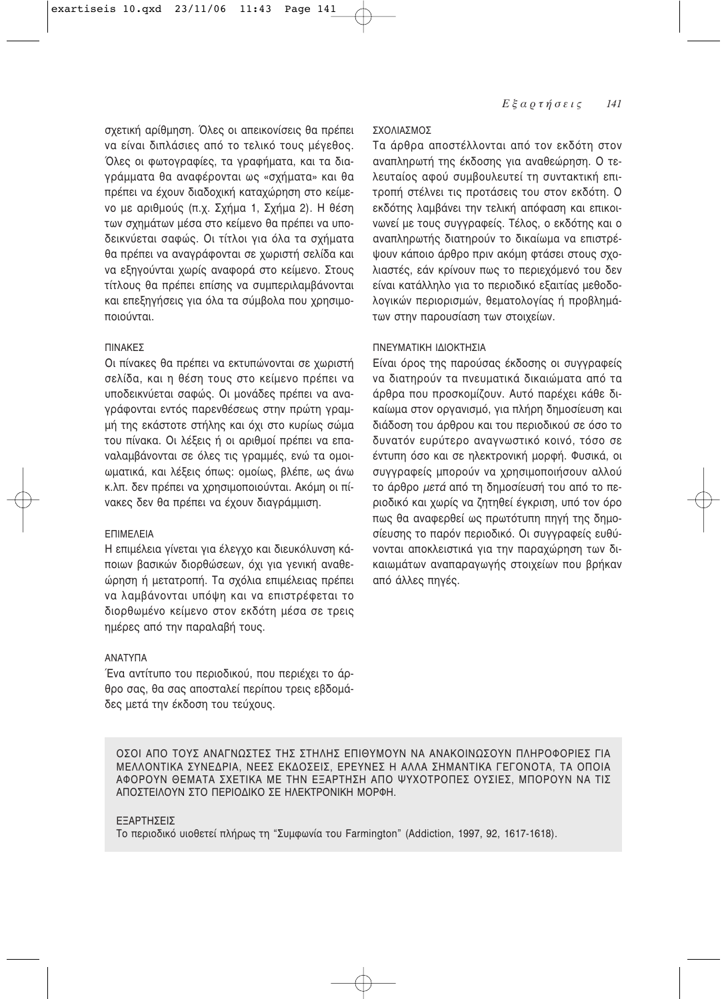σχετική αρίθμηση. Όλες οι απεικονίσεις θα πρέπει να είναι διπλάσιες από το τελικό τους μέγεθος. Όλες οι φωτογραφίες, τα γραφήματα, και τα διαγράμματα θα αναφέρονται ως «σχήματα» και θα πρέπει να έχουν διαδοχική καταχώρηση στο κείμενο με αριθμούς (π.χ. Σχήμα 1, Σχήμα 2). Η θέση των σχημάτων μέσα στο κείμενο θα πρέπει να υποδεικνύεται σαφώς. Οι τίτλοι για όλα τα σχήματα θα πρέπει να αναγράφονται σε χωριστή σελίδα και να εξηγούνται χωρίς αναφορά στο κείμενο. Στους τίτλους θα πρέπει επίσης να συμπεριλαμβάνονται και επεξηγήσεις για όλα τα σύμβολα που χρησιμοποιούνται

# ΠΙΝΑΚΕΣ

Οι πίνακες θα πρέπει να εκτυπώνονται σε χωριστή σελίδα, και η θέση τους στο κείμενο πρέπει να υποδεικνύεται σαφώς. Οι μονάδες πρέπει να αναγράφονται εντός παρενθέσεως στην πρώτη γραμμή της εκάστοτε στήλης και όχι στο κυρίως σώμα του πίνακα. Οι λέξεις ή οι αριθμοί πρέπει να επαναλαμβάνονται σε όλες τις γραμμές, ενώ τα ομοιωματικά, και λέξεις όπως: ομοίως, βλέπε, ως άνω κ.λπ. δεν πρέπει να χρησιμοποιούνται. Ακόμη οι πίνακες δεν θα πρέπει να έχουν διαγράμμιση.

# ΕΠΙΜΕΛΕΙΑ

Η επιμέλεια γίνεται για έλεγχο και διευκόλυνση κάποιων βασικών διορθώσεων, όχι για γενική αναθεώρηση ή μετατροπή. Τα σχόλια επιμέλειας πρέπει να λαμβάνονται υπόψη και να επιστρέφεται το διορθωμένο κείμενο στον εκδότη μέσα σε τρεις ημέρες από την παραλαβή τους.

## ΑΝΑΤΥΠΑ

Ένα αντίτυπο του περιοδικού, που περιέχει το άρθρο σας, θα σας αποσταλεί περίπου τρεις εβδομάδες μετά την έκδοση του τεύχους.

#### ΣΧΟΛΙΑΣΜΟΣ

Τα άρθρα αποστέλλονται από τον εκδότη στον αναπληρωτή της έκδοσης για αναθεώρηση. Ο τελευταίος αφού συμβουλευτεί τη συντακτική επιτροπή στέλνει τις προτάσεις του στον εκδότη. Ο εκδότης λαμβάνει την τελική απόφαση και επικοινωνεί με τους συγγραφείς. Τέλος, ο εκδότης και ο αναπληρωτής διατηρούν το δικαίωμα να επιστρέψουν κάποιο άρθρο πριν ακόμη φτάσει στους σχολιαστές, εάν κρίνουν πως το περιεχόμενό του δεν είναι κατάλληλο για το περιοδικό εξαιτίας μεθοδολογικών περιορισμών, θεματολογίας ή προβλημάτων στην παρουσίαση των στοιχείων.

# ΠΝΕΥΜΑΤΙΚΗ ΙΔΙΟΚΤΗΣΙΑ

Είναι όρος της παρούσας έκδοσης οι συγγραφείς να διατηρούν τα πνευματικά δικαιώματα από τα άρθρα που προσκομίζουν. Αυτό παρέχει κάθε δικαίωμα στον οργανισμό, για πλήρη δημοσίευση και διάδοση του άρθρου και του περιοδικού σε όσο το δυνατόν ευρύτερο αναγνωστικό κοινό, τόσο σε έντυπη όσο και σε ηλεκτρονική μορφή. Φυσικά, οι συγγραφείς μπορούν να χρησιμοποιήσουν αλλού το άρθρο μετά από τη δημοσίευσή του από το περιοδικό και χωρίς να ζητηθεί έγκριση, υπό τον όρο πως θα αναφερθεί ως πρωτότυπη πηγή της δημοσίευσης το παρόν περιοδικό. Οι συγγραφείς ευθύνονται αποκλειστικά για την παραχώρηση των δικαιωμάτων αναπαραγωγής στοιχείων που βρήκαν από άλλες πηγές.

ΟΣΟΙ ΑΠΟ ΤΟΥΣ ΑΝΑΓΝΩΣΤΕΣ ΤΗΣ ΣΤΗΛΗΣ ΕΠΙΘΥΜΟΥΝ ΝΑ ΑΝΑΚΟΙΝΩΣΟΥΝ ΠΛΗΡΟΦΟΡΙΕΣ ΓΙΑ ΜΕΛΛΟΝΤΙΚΑ ΣΥΝΕΔΡΙΑ, ΝΕΕΣ ΕΚΔΟΣΕΙΣ, ΕΡΕΥΝΕΣ Η ΑΛΛΑ ΣΗΜΑΝΤΙΚΑ ΓΕΓΟΝΟΤΑ, ΤΑ ΟΠΟΙΑ ΑΦΟΡΟΥΝ ΘΕΜΑΤΑ ΣΧΕΤΙΚΑ ΜΕ ΤΗΝ ΕΞΑΡΤΗΣΗ ΑΠΟ ΨΥΧΟΤΡΟΠΕΣ ΟΥΣΙΕΣ. ΜΠΟΡΟΥΝ ΝΑ ΤΙΣ ΑΠΟΣΤΕΙΛΟΥΝ ΣΤΟ ΠΕΡΙΟΔΙΚΟ ΣΕ ΗΛΕΚΤΡΟΝΙΚΗ ΜΟΡΦΗ.

#### ΕΞΑΡΤΗΣΕΙΣ

Το περιοδικό υιοθετεί πλήρως τη "Συμφωνία του Farmington" (Addiction, 1997, 92, 1617-1618).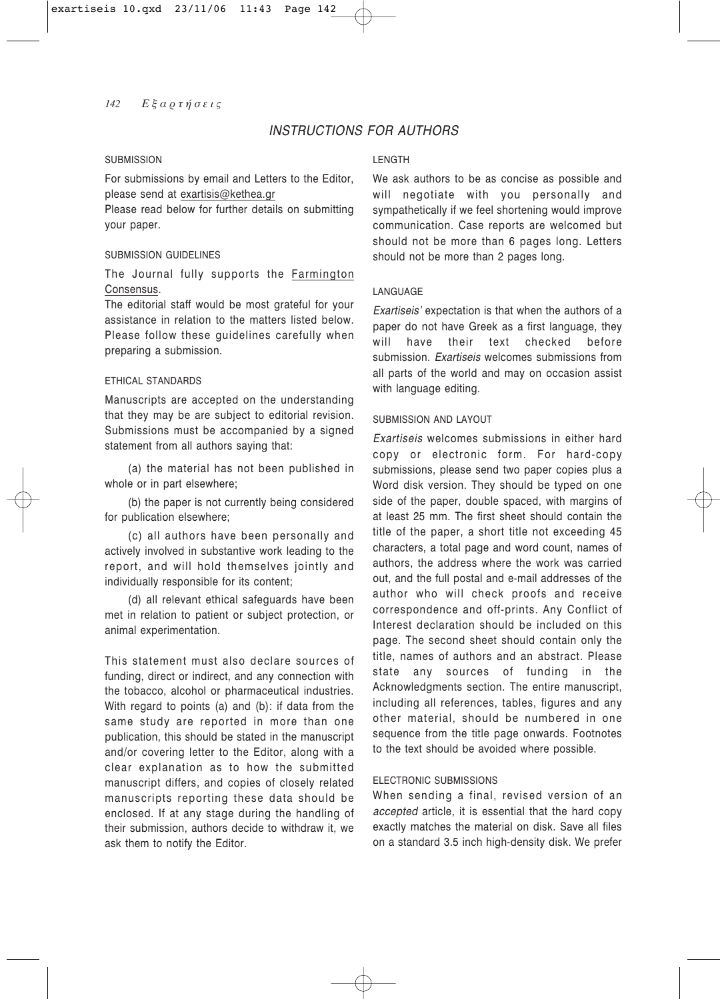# *INSTRUCTIONS FOR AUTHORS*

# **SUBMISSION**

For submissions by email and Letters to the Editor, please send at exartisis@kethea.gr

Please read below for further details on submitting your paper.

#### SUBMISSION GUIDELINES

The Journal fully supports the Farmington Consensus.

The editorial staff would be most grateful for your assistance in relation to the matters listed below. Please follow these guidelines carefully when preparing a submission.

# ETHICAL STANDARDS

Manuscripts are accepted on the understanding that they may be are subject to editorial revision. Submissions must be accompanied by a signed statement from all authors saying that:

(a) the material has not been published in whole or in part elsewhere;

(b) the paper is not currently being considered for publication elsewhere;

(c) all authors have been personally and actively involved in substantive work leading to the report, and will hold themselves jointly and individually responsible for its content;

(d) all relevant ethical safeguards have been met in relation to patient or subject protection, or animal experimentation.

This statement must also declare sources of funding, direct or indirect, and any connection with the tobacco, alcohol or pharmaceutical industries. With regard to points (a) and (b): if data from the same study are reported in more than one publication, this should be stated in the manuscript and/or covering letter to the Editor, along with a clear explanation as to how the submitted manuscript differs, and copies of closely related manuscripts reporting these data should be enclosed. If at any stage during the handling of their submission, authors decide to withdraw it, we ask them to notify the Editor.

## LENGTH

We ask authors to be as concise as possible and will negotiate with you personally and sympathetically if we feel shortening would improve communication. Case reports are welcomed but should not be more than 6 pages long. Letters should not be more than 2 pages long.

#### **LANGUAGE**

*Exartiseis'* expectation is that when the authors of a paper do not have Greek as a first language, they will have their text checked before submission. *Exartiseis* welcomes submissions from all parts of the world and may on occasion assist with language editing.

# SUBMISSION AND LAYOUT

*Exartiseis* welcomes submissions in either hard copy or electronic form. For hard-copy submissions, please send two paper copies plus a Word disk version. They should be typed on one side of the paper, double spaced, with margins of at least 25 mm. The first sheet should contain the title of the paper, a short title not exceeding 45 characters, a total page and word count, names of authors, the address where the work was carried out, and the full postal and e-mail addresses of the author who will check proofs and receive correspondence and off-prints. Any Conflict of Interest declaration should be included on this page. The second sheet should contain only the title, names of authors and an abstract. Please state any sources of funding in the Acknowledgments section. The entire manuscript, including all references, tables, figures and any other material, should be numbered in one sequence from the title page onwards. Footnotes to the text should be avoided where possible.

# ELECTRONIC SUBMISSIONS

When sending a final, revised version of an *accepted* article, it is essential that the hard copy exactly matches the material on disk. Save all files on a standard 3.5 inch high-density disk. We prefer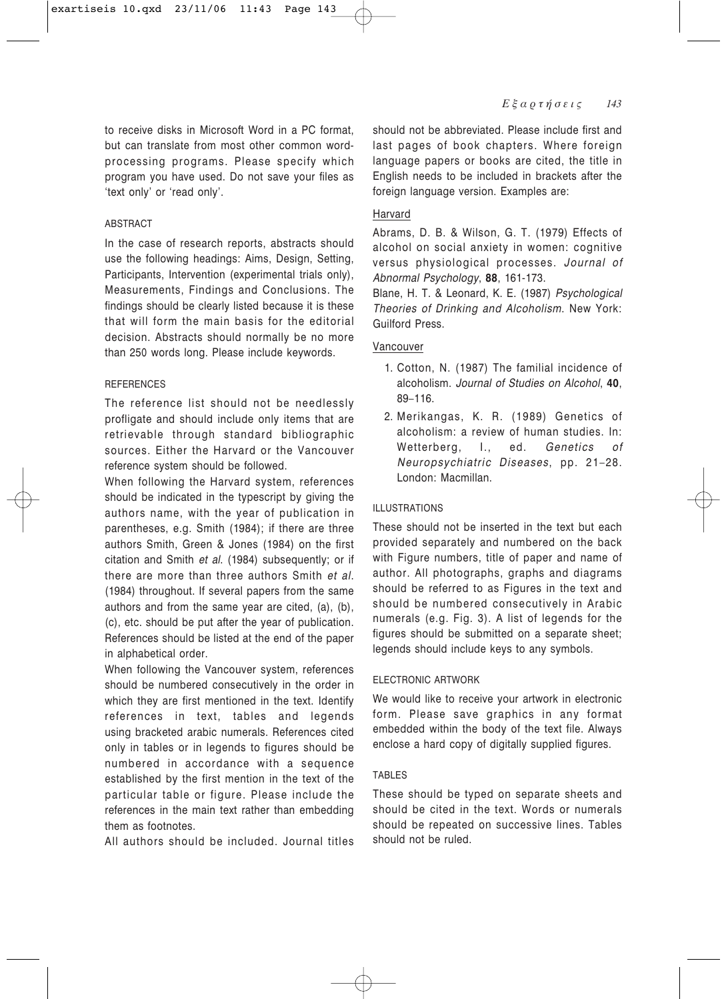to receive disks in Microsoft Word in a PC format, but can translate from most other common wordprocessing programs. Please specify which program you have used. Do not save your files as 'text only' or 'read only'.

# **ABSTRACT**

In the case of research reports, abstracts should use the following headings: Aims, Design, Setting, Participants, Intervention (experimental trials only), Measurements, Findings and Conclusions. The findings should be clearly listed because it is these that will form the main basis for the editorial decision. Abstracts should normally be no more than 250 words long. Please include keywords.

#### **REFERENCES**

The reference list should not be needlessly profligate and should include only items that are retrievable through standard bibliographic sources. Either the Harvard or the Vancouver reference system should be followed.

When following the Harvard system, references should be indicated in the typescript by giving the authors name, with the year of publication in parentheses, e.g. Smith (1984); if there are three authors Smith, Green & Jones (1984) on the first citation and Smith *et al*. (1984) subsequently; or if there are more than three authors Smith *et al*. (1984) throughout. If several papers from the same authors and from the same year are cited, (a), (b), (c), etc. should be put after the year of publication. References should be listed at the end of the paper in alphabetical order.

When following the Vancouver system, references should be numbered consecutively in the order in which they are first mentioned in the text. Identify references in text, tables and legends using bracketed arabic numerals. References cited only in tables or in legends to figures should be numbered in accordance with a sequence established by the first mention in the text of the particular table or figure. Please include the references in the main text rather than embedding them as footnotes.

All authors should be included. Journal titles

should not be abbreviated. Please include first and last pages of book chapters. Where foreign language papers or books are cited, the title in English needs to be included in brackets after the foreign language version. Examples are:

# Harvard

Abrams, D. B. & Wilson, G. T. (1979) Effects of alcohol on social anxiety in women: cognitive versus physiological processes. *Journal of Abnormal Psychology*, **88**, 161-173.

Blane, H. T. & Leonard, K. E. (1987) *Psychological Theories of Drinking and Alcoholism*. New York: Guilford Press.

#### Vancouver

- 1. Cotton, N. (1987) The familial incidence of alcoholism. *Journal of Studies on Alcohol*, **40**, 89–116.
- 2. Merikangas, K. R. (1989) Genetics of alcoholism: a review of human studies. In: Wetterberg, I., ed. *Genetics of Neuropsychiatric Diseases*, pp. 21–28. London: Macmillan.

#### ILLUSTRATIONS

These should not be inserted in the text but each provided separately and numbered on the back with Figure numbers, title of paper and name of author. All photographs, graphs and diagrams should be referred to as Figures in the text and should be numbered consecutively in Arabic numerals (e.g. Fig. 3). A list of legends for the figures should be submitted on a separate sheet; legends should include keys to any symbols.

#### ELECTRONIC ARTWORK

We would like to receive your artwork in electronic form. Please save graphics in any format embedded within the body of the text file. Always enclose a hard copy of digitally supplied figures.

## TABLES

These should be typed on separate sheets and should be cited in the text. Words or numerals should be repeated on successive lines. Tables should not be ruled.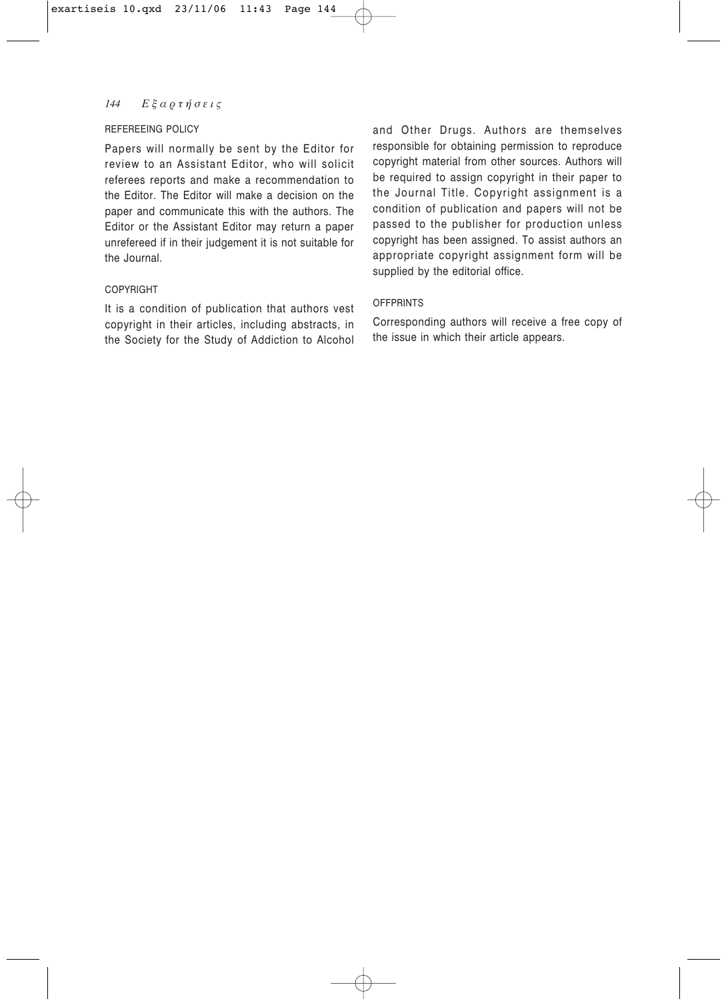## REFEREEING POLICY

Papers will normally be sent by the Editor for review to an Assistant Editor, who will solicit referees reports and make a recommendation to the Editor. The Editor will make a decision on the paper and communicate this with the authors. The Editor or the Assistant Editor may return a paper unrefereed if in their judgement it is not suitable for the Journal.

# **COPYRIGHT**

It is a condition of publication that authors vest copyright in their articles, including abstracts, in the Society for the Study of Addiction to Alcohol and Other Drugs. Authors are themselves responsible for obtaining permission to reproduce copyright material from other sources. Authors will be required to assign copyright in their paper to the Journal Title. Copyright assignment is a condition of publication and papers will not be passed to the publisher for production unless copyright has been assigned. To assist authors an appropriate copyright assignment form will be supplied by the editorial office.

## **OFFPRINTS**

Corresponding authors will receive a free copy of the issue in which their article appears.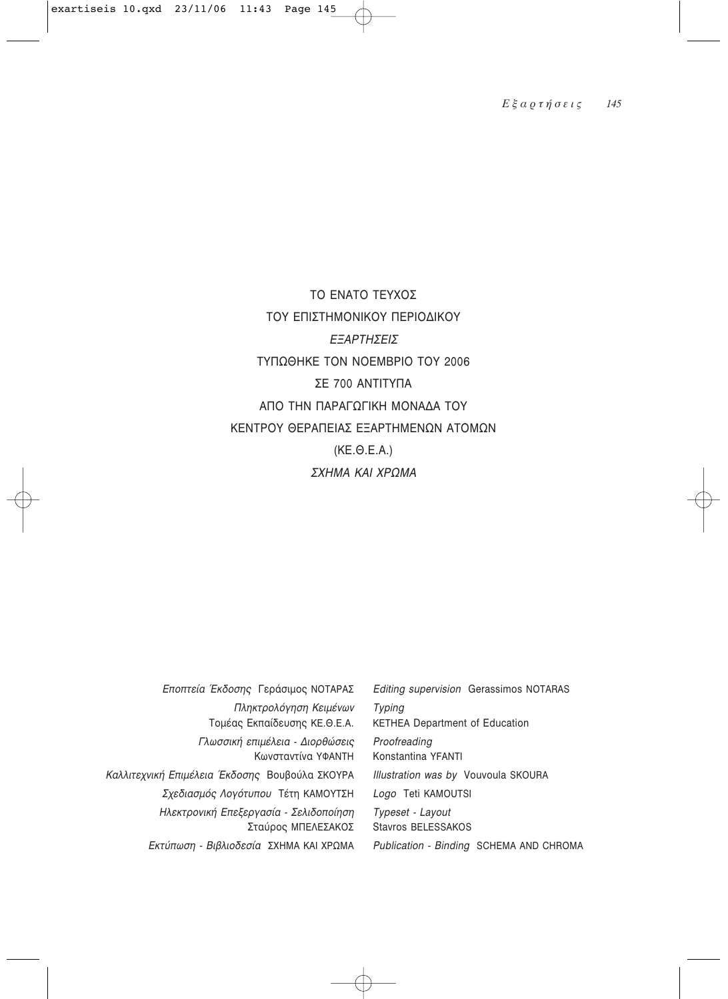ΤΟ ΕΝΑΤΟ ΤΕΥΧΟΣ ΤΟΥ ΕΠΙΣΤΗΜΟΝΙΚΟΥ ΠΕΡΙΟΔΙΚΟΥ *ΕΞΑΡΤΗΣΕΙΣ* ΤΥΠΩΘΗΚΕ ΤΟΝ ΝΟΕΜΒΡΙΟ ΤΟΥ 2006 ΣΕ 700 ΑΝΤΙΤΥΠΑ ΑΠΟ ΤΗΝ ΠΑΡΑΓΩΓΙΚΗ ΜΟΝΑΔΑ ΤΟΥ ΚΕΝΤΡΟΥ ΘΕΡΑΠΕΙΑΣ ΕΞΑΡΤΗΜΕΝΩΝ ΑΤΟΜΩΝ  $(KE.\Theta.E.A.)$  $ΣXHMA$  KAI XPΩMA

| Εποπτεία Έκδοσης Γεράσιμος ΝΟΤΑΡΑΣ                    | Editing supervision Gerassimos NOTARAS  |
|-------------------------------------------------------|-----------------------------------------|
| Πληκτρολόγηση Κειμένων                                | Typing                                  |
| Τομέας Εκπαίδευσης ΚΕ.Θ.Ε.Α.                          | <b>KETHEA Department of Education</b>   |
| Γλωσσική επιμέλεια - Διορθώσεις                       | Proofreading                            |
| Κωνσταντίνα ΥΦΑΝΤΗ                                    | Konstantina YFANTI                      |
| <i>Καλλιτεχνική Επιμέλεια Έκδοσης</i> Βουβούλα ΣΚΟΥΡΑ | Illustration was by Vouvoula SKOURA     |
| Σχεδιασμός Λογότυπου Τέτη ΚΑΜΟΥΤΣΗ                    | Logo Teti KAMOUTSI                      |
| Ηλεκτρονική Επεξεργασία - Σελιδοποίηση                | Typeset - Layout                        |
| Σταύρος ΜΠΕΛΕΣΑΚΟΣ                                    | Stavros BELESSAKOS                      |
| Εκτύπωση - Βιβλιοδεσία ΣΧΗΜΑ ΚΑΙ ΧΡΩΜΑ                | Publication - Binding SCHEMA AND CHROMA |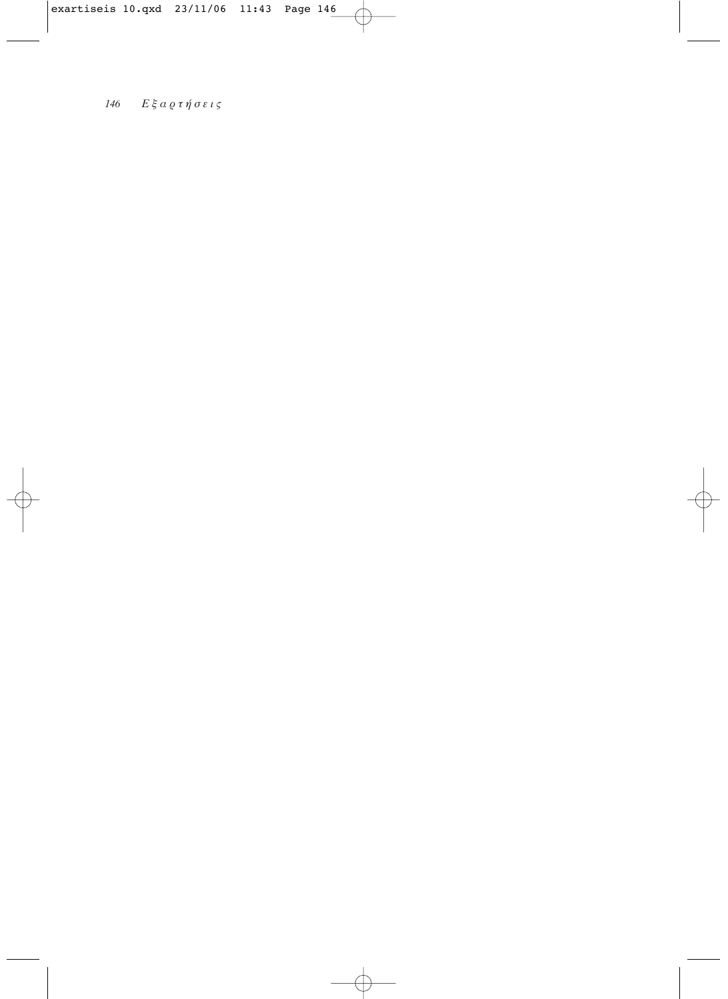$E$ ξαρτήσεις 146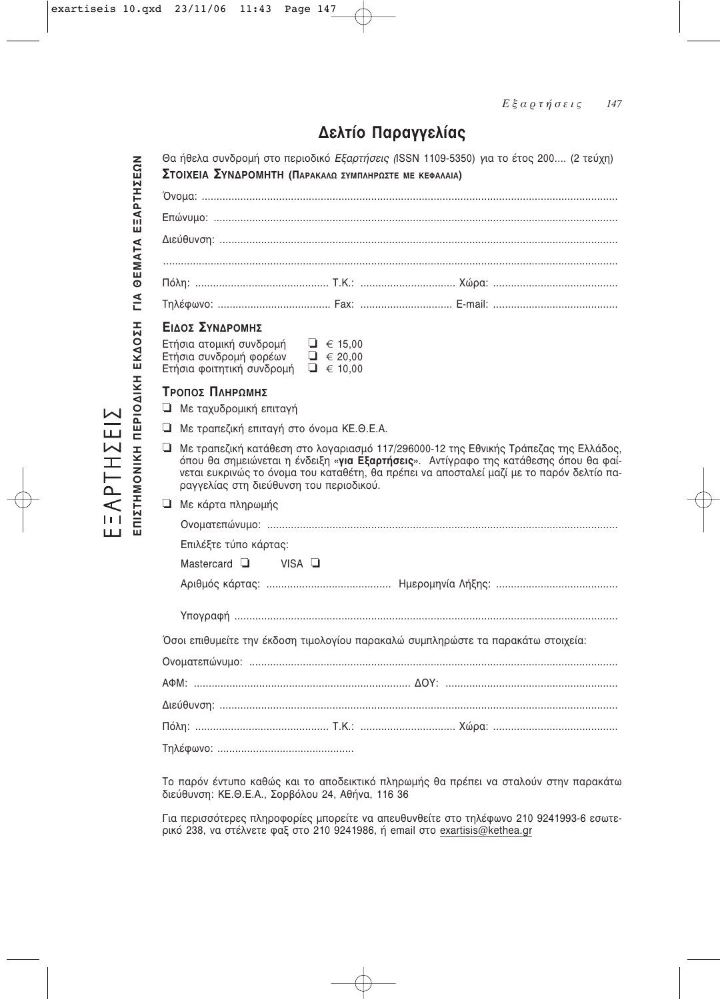## Δελτίο Παραγγελίας

Θα ήθελα συνδρομή στο περιοδικό Εξαρτήσεις (ISSN 1109-5350) για το έτος 200.... (2 τεύχη) ΣΤΟΙΧΕΙΑ ΣΥΝΔΡΟΜΗΤΗ (ΠΑΡΑΚΑΛΩ ΣΥΜΠΛΗΡΩΣΤΕ ΜΕ ΚΕΦΑΛΑΙΑ) ΕΙΔΟΣ ΣΥΝΔΡΟΜΗΣ Ετήσια ατομική συνδρομή  $\Box$  € 15,00  $\overline{\Box}$   $\in$  20,00 Ετήσια συνδρομή φορέων Ετήσια φοιτητική συνδρομή ■ € 10.00 ΤΡΟΠΟΣ ΠΛΗΡΩΜΗΣ **4** Με ταχυδρομική επιταγή **I** Με τραπεζική επιταγή στο όνομα ΚΕ.Θ.Ε.Α. Δ Με τραπεζική κατάθεση στο λογαριασμό 117/296000-12 της Εθνικής Τράπεζας της Ελλάδος. όπου θα σημειώνεται η ένδειξη «για Εξαρτήσεις». Αντίγραφο της κατάθεσης όπου θα φαίνεται ευκρινώς το όνομα του καταθέτη. Θα πρέπει να αποσταλεί μαζί με το παρόν δελτίο παραννελίας στη διεύθυνση του περιοδικού. **α** Με κάρτα πληρωμής Επιλέξτε τύπο κάρτας:  $VISA$ Mastercard  $\Box$ Όσοι επιθυμείτε την έκδοση τιμολογίου παρακαλώ συμπληρώστε τα παρακάτω στοιχεία: 

Το παρόν έντυπο καθώς και το αποδεικτικό πληρωμής θα πρέπει να σταλούν στην παρακάτω διεύθυνση: ΚΕ.Θ.Ε.Α., Σορβόλου 24, Αθήνα, 116 36

Για περισσότερες πληροφορίες μπορείτε να απευθυνθείτε στο τηλέφωνο 210 9241993-6 εσωτερικό 238, να στέλνετε φαξ στο 210 9241986, ή email στο exartisis@kethea.gr